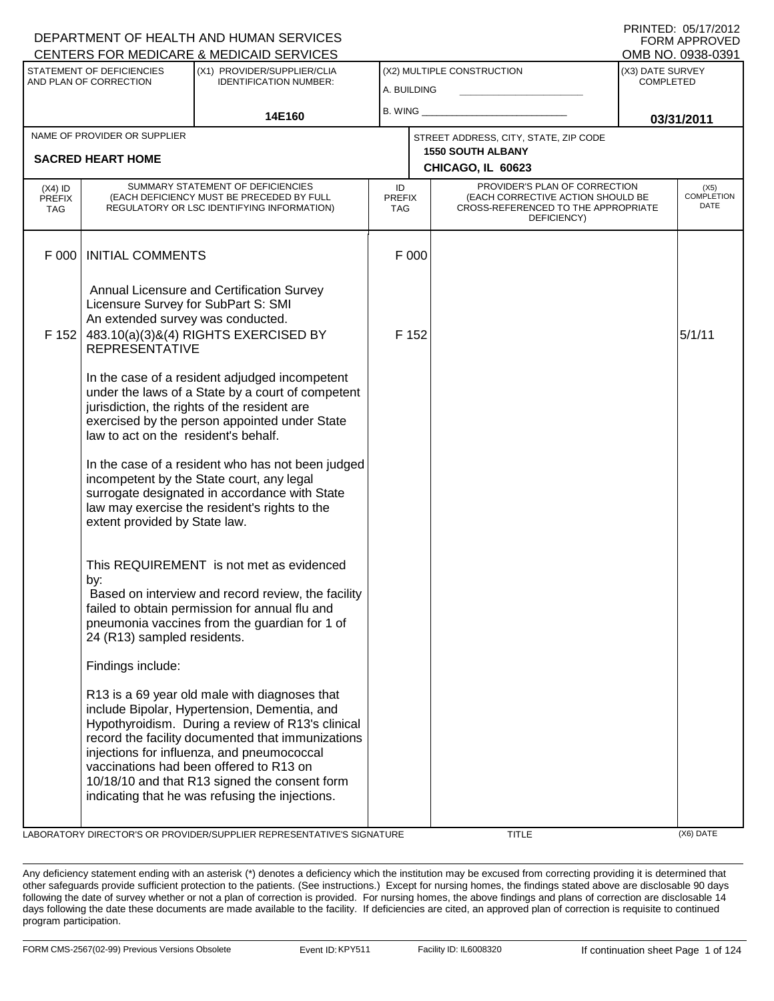|                                          |                                                                                                   | <b>CENTERS FOR MEDICARE &amp; MEDICAID SERVICES</b>                                                                                                                                                                                                                                                                                                                                                  |                            |                          |                                                                                                                          |                                      | OMB NO. 0938-0391                 |
|------------------------------------------|---------------------------------------------------------------------------------------------------|------------------------------------------------------------------------------------------------------------------------------------------------------------------------------------------------------------------------------------------------------------------------------------------------------------------------------------------------------------------------------------------------------|----------------------------|--------------------------|--------------------------------------------------------------------------------------------------------------------------|--------------------------------------|-----------------------------------|
|                                          | <b>STATEMENT OF DEFICIENCIES</b>                                                                  | (X1) PROVIDER/SUPPLIER/CLIA                                                                                                                                                                                                                                                                                                                                                                          |                            |                          | (X2) MULTIPLE CONSTRUCTION                                                                                               | (X3) DATE SURVEY<br><b>COMPLETED</b> |                                   |
|                                          | AND PLAN OF CORRECTION                                                                            | <b>IDENTIFICATION NUMBER:</b>                                                                                                                                                                                                                                                                                                                                                                        | A. BUILDING                |                          |                                                                                                                          |                                      |                                   |
|                                          |                                                                                                   | 14E160                                                                                                                                                                                                                                                                                                                                                                                               | B. WING                    |                          |                                                                                                                          |                                      | 03/31/2011                        |
|                                          | NAME OF PROVIDER OR SUPPLIER                                                                      |                                                                                                                                                                                                                                                                                                                                                                                                      |                            |                          | STREET ADDRESS, CITY, STATE, ZIP CODE                                                                                    |                                      |                                   |
| <b>SACRED HEART HOME</b>                 |                                                                                                   |                                                                                                                                                                                                                                                                                                                                                                                                      |                            | <b>1550 SOUTH ALBANY</b> |                                                                                                                          |                                      |                                   |
|                                          |                                                                                                   |                                                                                                                                                                                                                                                                                                                                                                                                      |                            |                          | CHICAGO, IL 60623                                                                                                        |                                      |                                   |
| $(X4)$ ID<br><b>PREFIX</b><br><b>TAG</b> |                                                                                                   | SUMMARY STATEMENT OF DEFICIENCIES<br>(EACH DEFICIENCY MUST BE PRECEDED BY FULL<br>REGULATORY OR LSC IDENTIFYING INFORMATION)                                                                                                                                                                                                                                                                         | ID<br><b>PREFIX</b><br>TAG |                          | PROVIDER'S PLAN OF CORRECTION<br>(EACH CORRECTIVE ACTION SHOULD BE<br>CROSS-REFERENCED TO THE APPROPRIATE<br>DEFICIENCY) |                                      | (X5)<br><b>COMPLETION</b><br>DATE |
| F 000                                    | <b>INITIAL COMMENTS</b>                                                                           |                                                                                                                                                                                                                                                                                                                                                                                                      |                            | F 000                    |                                                                                                                          |                                      |                                   |
| F 152                                    | Licensure Survey for SubPart S: SMI<br>An extended survey was conducted.<br><b>REPRESENTATIVE</b> | Annual Licensure and Certification Survey<br>483.10(a)(3)&(4) RIGHTS EXERCISED BY                                                                                                                                                                                                                                                                                                                    |                            | F 152                    |                                                                                                                          |                                      | 5/1/11                            |
|                                          | law to act on the resident's behalf.                                                              | In the case of a resident adjudged incompetent<br>under the laws of a State by a court of competent<br>jurisdiction, the rights of the resident are<br>exercised by the person appointed under State                                                                                                                                                                                                 |                            |                          |                                                                                                                          |                                      |                                   |
|                                          | extent provided by State law.                                                                     | In the case of a resident who has not been judged<br>incompetent by the State court, any legal<br>surrogate designated in accordance with State<br>law may exercise the resident's rights to the                                                                                                                                                                                                     |                            |                          |                                                                                                                          |                                      |                                   |
|                                          | by:<br>24 (R13) sampled residents.                                                                | This REQUIREMENT is not met as evidenced<br>Based on interview and record review, the facility<br>failed to obtain permission for annual flu and<br>pneumonia vaccines from the guardian for 1 of                                                                                                                                                                                                    |                            |                          |                                                                                                                          |                                      |                                   |
|                                          | Findings include:                                                                                 |                                                                                                                                                                                                                                                                                                                                                                                                      |                            |                          |                                                                                                                          |                                      |                                   |
|                                          |                                                                                                   | R13 is a 69 year old male with diagnoses that<br>include Bipolar, Hypertension, Dementia, and<br>Hypothyroidism. During a review of R13's clinical<br>record the facility documented that immunizations<br>injections for influenza, and pneumococcal<br>vaccinations had been offered to R13 on<br>10/18/10 and that R13 signed the consent form<br>indicating that he was refusing the injections. |                            |                          |                                                                                                                          |                                      |                                   |
|                                          |                                                                                                   | LABORATORY DIRECTOR'S OR PROVIDER/SUPPLIER REPRESENTATIVE'S SIGNATURE                                                                                                                                                                                                                                                                                                                                |                            |                          | <b>TITLE</b>                                                                                                             |                                      | (X6) DATE                         |

Any deficiency statement ending with an asterisk (\*) denotes a deficiency which the institution may be excused from correcting providing it is determined that other safeguards provide sufficient protection to the patients. (See instructions.) Except for nursing homes, the findings stated above are disclosable 90 days following the date of survey whether or not a plan of correction is provided. For nursing homes, the above findings and plans of correction are disclosable 14 days following the date these documents are made available to the facility. If deficiencies are cited, an approved plan of correction is requisite to continued program participation.

DEPARTMENT OF HEALTH AND HUMAN SERVICES

PRINTED: 05/17/2012 FORM APPROVED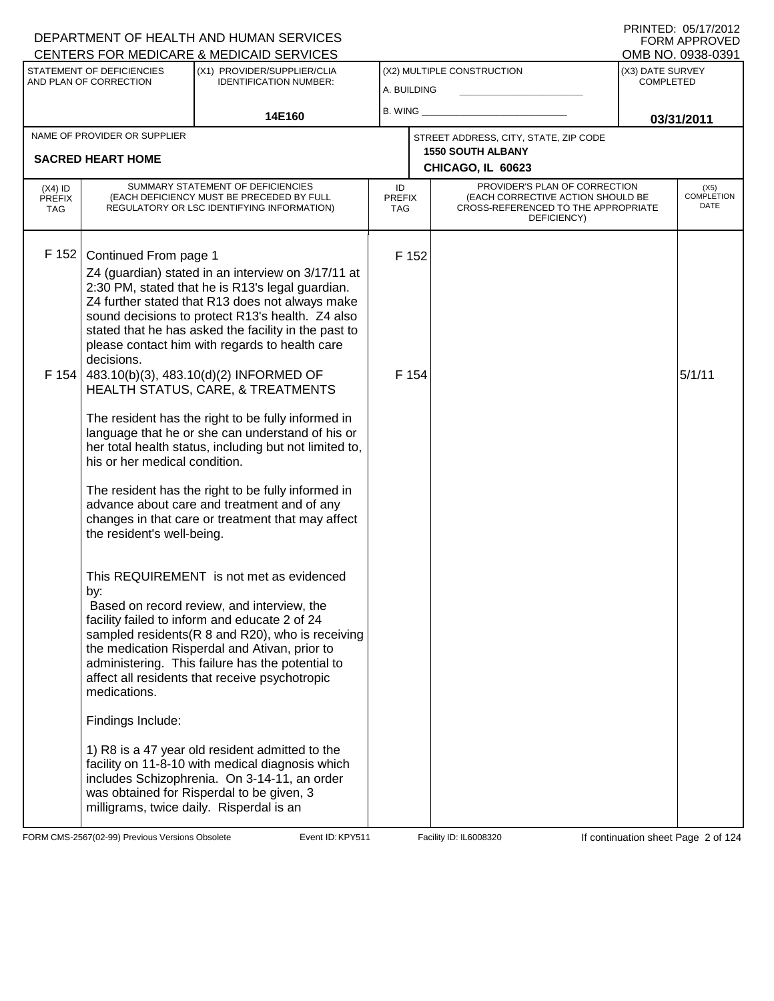#### A. BUILDING (X1) PROVIDER/SUPPLIER/CLIA IDENTIFICATION NUMBER: STATEMENT OF DEFICIENCIES AND PLAN OF CORRECTION (X3) DATE SURVEY COMPLETED FORM APPROVED<br>OMB NO. 0938-0391 (X2) MULTIPLE CONSTRUCTION B. WING **\_\_\_\_\_\_\_\_\_\_\_\_\_\_\_\_\_\_\_\_\_\_** CENTERS FOR MEDICARE & MEDICAID SERVICES 14E160 **B. WING CONSUMING (2011 03/31/2011 CHICAGO, IL 60623** NAME OF PROVIDER OR SUPPLIER STREET ADDRESS, CITY, STATE, ZIP CODE **SACRED HEART HOME 1550 SOUTH ALBANY** PROVIDER'S PLAN OF CORRECTION (EACH CORRECTIVE ACTION SHOULD BE CROSS-REFERENCED TO THE APPROPRIATE DEFICIENCY) (X5) COMPLETION DATE ID PREFIX TAG (X4) ID PREFIX TAG SUMMARY STATEMENT OF DEFICIENCIES (EACH DEFICIENCY MUST BE PRECEDED BY FULL REGULATORY OR LSC IDENTIFYING INFORMATION) F 152 Continued From page 1 F 152 Z4 (guardian) stated in an interview on 3/17/11 at 2:30 PM, stated that he is R13's legal guardian. Z4 further stated that R13 does not always make sound decisions to protect R13's health. Z4 also stated that he has asked the facility in the past to please contact him with regards to health care decisions. F 154 483.10(b)(3), 483.10(d)(2) INFORMED OF HEALTH STATUS, CARE, & TREATMENTS The resident has the right to be fully informed in language that he or she can understand of his or her total health status, including but not limited to, his or her medical condition. The resident has the right to be fully informed in advance about care and treatment and of any changes in that care or treatment that may affect the resident's well-being. This REQUIREMENT is not met as evidenced by:  $F$  154  $5/1/11$  Based on record review, and interview, the facility failed to inform and educate 2 of 24 sampled residents(R 8 and R20), who is receiving the medication Risperdal and Ativan, prior to administering. This failure has the potential to affect all residents that receive psychotropic medications. Findings Include: 1) R8 is a 47 year old resident admitted to the facility on 11-8-10 with medical diagnosis which includes Schizophrenia. On 3-14-11, an order was obtained for Risperdal to be given, 3 milligrams, twice daily. Risperdal is an

FORM CMS-2567(02-99) Previous Versions Obsolete KPS Event ID: KPY511 Facility ID: IL6008320 If continuation sheet Page 2 of 124

DEPARTMENT OF HEALTH AND HUMAN SERVICES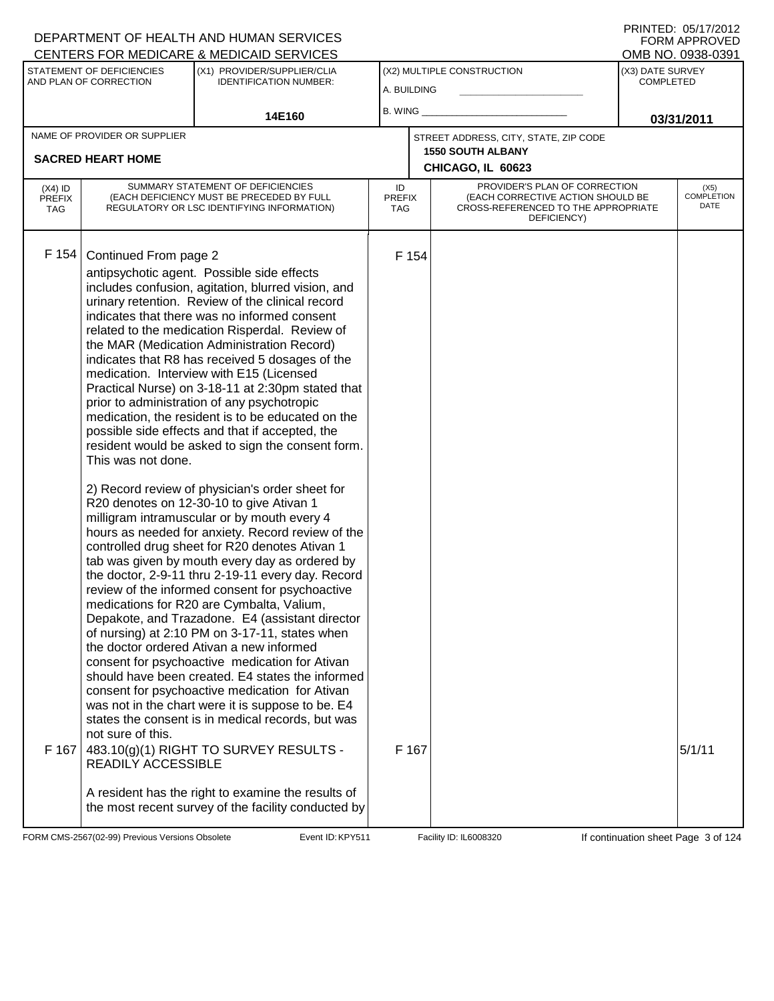PRINTED: 05/17/2012 FORM APPROVED

|                                          |                                                                                               | <u>UENTERS FÜR MEDIUARE &amp; MEDIUAID SERVIUES</u>                                                                                                                                                                                                                                                                                                                                                                                                                                                                                                                                                                                                                                                                                                                                                                                                                                                                                                                                                                                                                                                                                                                                                                                                                                                                                                                                                                                                                                                                                                                                                                                                 |                            |                |                                                                                                                          |                                      | UMB NU. 0938-0391                 |
|------------------------------------------|-----------------------------------------------------------------------------------------------|-----------------------------------------------------------------------------------------------------------------------------------------------------------------------------------------------------------------------------------------------------------------------------------------------------------------------------------------------------------------------------------------------------------------------------------------------------------------------------------------------------------------------------------------------------------------------------------------------------------------------------------------------------------------------------------------------------------------------------------------------------------------------------------------------------------------------------------------------------------------------------------------------------------------------------------------------------------------------------------------------------------------------------------------------------------------------------------------------------------------------------------------------------------------------------------------------------------------------------------------------------------------------------------------------------------------------------------------------------------------------------------------------------------------------------------------------------------------------------------------------------------------------------------------------------------------------------------------------------------------------------------------------------|----------------------------|----------------|--------------------------------------------------------------------------------------------------------------------------|--------------------------------------|-----------------------------------|
|                                          | STATEMENT OF DEFICIENCIES<br>AND PLAN OF CORRECTION                                           | (X1) PROVIDER/SUPPLIER/CLIA<br><b>IDENTIFICATION NUMBER:</b>                                                                                                                                                                                                                                                                                                                                                                                                                                                                                                                                                                                                                                                                                                                                                                                                                                                                                                                                                                                                                                                                                                                                                                                                                                                                                                                                                                                                                                                                                                                                                                                        | A. BUILDING                |                | (X2) MULTIPLE CONSTRUCTION                                                                                               | (X3) DATE SURVEY<br><b>COMPLETED</b> |                                   |
|                                          |                                                                                               | 14E160                                                                                                                                                                                                                                                                                                                                                                                                                                                                                                                                                                                                                                                                                                                                                                                                                                                                                                                                                                                                                                                                                                                                                                                                                                                                                                                                                                                                                                                                                                                                                                                                                                              | $B.$ WING $\_$             |                |                                                                                                                          |                                      | 03/31/2011                        |
|                                          | NAME OF PROVIDER OR SUPPLIER                                                                  |                                                                                                                                                                                                                                                                                                                                                                                                                                                                                                                                                                                                                                                                                                                                                                                                                                                                                                                                                                                                                                                                                                                                                                                                                                                                                                                                                                                                                                                                                                                                                                                                                                                     |                            |                | STREET ADDRESS, CITY, STATE, ZIP CODE                                                                                    |                                      |                                   |
|                                          | <b>SACRED HEART HOME</b>                                                                      |                                                                                                                                                                                                                                                                                                                                                                                                                                                                                                                                                                                                                                                                                                                                                                                                                                                                                                                                                                                                                                                                                                                                                                                                                                                                                                                                                                                                                                                                                                                                                                                                                                                     |                            |                | <b>1550 SOUTH ALBANY</b><br>CHICAGO, IL 60623                                                                            |                                      |                                   |
| $(X4)$ ID<br><b>PREFIX</b><br><b>TAG</b> |                                                                                               | SUMMARY STATEMENT OF DEFICIENCIES<br>(EACH DEFICIENCY MUST BE PRECEDED BY FULL<br>REGULATORY OR LSC IDENTIFYING INFORMATION)                                                                                                                                                                                                                                                                                                                                                                                                                                                                                                                                                                                                                                                                                                                                                                                                                                                                                                                                                                                                                                                                                                                                                                                                                                                                                                                                                                                                                                                                                                                        | ID<br><b>PREFIX</b><br>TAG |                | PROVIDER'S PLAN OF CORRECTION<br>(EACH CORRECTIVE ACTION SHOULD BE<br>CROSS-REFERENCED TO THE APPROPRIATE<br>DEFICIENCY) |                                      | (X5)<br><b>COMPLETION</b><br>DATE |
| F 154<br>F 167                           | Continued From page 2<br>This was not done.<br>not sure of this.<br><b>READILY ACCESSIBLE</b> | antipsychotic agent. Possible side effects<br>includes confusion, agitation, blurred vision, and<br>urinary retention. Review of the clinical record<br>indicates that there was no informed consent<br>related to the medication Risperdal. Review of<br>the MAR (Medication Administration Record)<br>indicates that R8 has received 5 dosages of the<br>medication. Interview with E15 (Licensed<br>Practical Nurse) on 3-18-11 at 2:30pm stated that<br>prior to administration of any psychotropic<br>medication, the resident is to be educated on the<br>possible side effects and that if accepted, the<br>resident would be asked to sign the consent form.<br>2) Record review of physician's order sheet for<br>R20 denotes on 12-30-10 to give Ativan 1<br>milligram intramuscular or by mouth every 4<br>hours as needed for anxiety. Record review of the<br>controlled drug sheet for R20 denotes Ativan 1<br>tab was given by mouth every day as ordered by<br>the doctor, 2-9-11 thru 2-19-11 every day. Record<br>review of the informed consent for psychoactive<br>medications for R20 are Cymbalta, Valium,<br>Depakote, and Trazadone. E4 (assistant director<br>of nursing) at 2:10 PM on 3-17-11, states when<br>the doctor ordered Ativan a new informed<br>consent for psychoactive medication for Ativan<br>should have been created. E4 states the informed<br>consent for psychoactive medication for Ativan<br>was not in the chart were it is suppose to be. E4<br>states the consent is in medical records, but was<br>483.10(g)(1) RIGHT TO SURVEY RESULTS -<br>A resident has the right to examine the results of |                            | F 154<br>F 167 |                                                                                                                          |                                      | 5/1/11                            |
|                                          |                                                                                               | the most recent survey of the facility conducted by                                                                                                                                                                                                                                                                                                                                                                                                                                                                                                                                                                                                                                                                                                                                                                                                                                                                                                                                                                                                                                                                                                                                                                                                                                                                                                                                                                                                                                                                                                                                                                                                 |                            |                |                                                                                                                          |                                      |                                   |

FORM CMS-2567(02-99) Previous Versions Obsolete Event ID: KPY511 Facility ID: IL6008320 If continuation sheet Page 3 of 124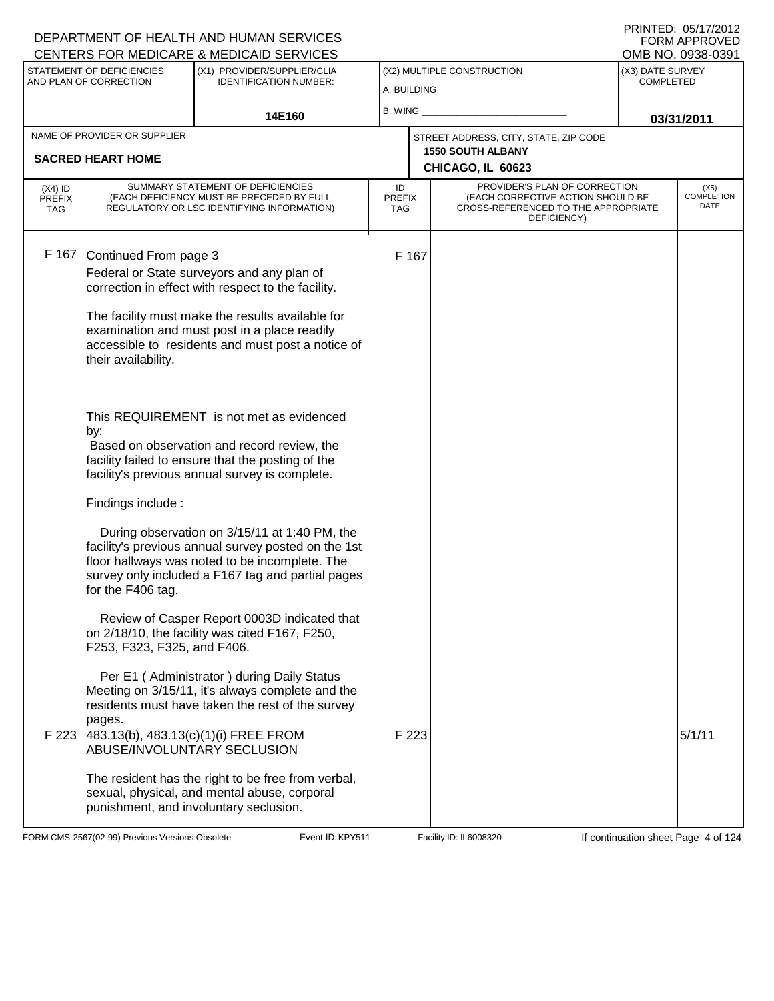#### A. BUILDING (X1) PROVIDER/SUPPLIER/CLIA IDENTIFICATION NUMBER: STATEMENT OF DEFICIENCIES AND PLAN OF CORRECTION (X3) DATE SURVEY COMPLETED FORM APPROVED<br>OMB NO. 0938-0391 (X2) MULTIPLE CONSTRUCTION B. WING **\_\_\_\_\_\_\_\_\_\_\_\_\_\_\_\_\_\_\_\_\_\_** CENTERS FOR MEDICARE & MEDICAID SERVICES 14E160 **B. WING CONSUMING (2011 03/31/2011 CHICAGO, IL 60623** NAME OF PROVIDER OR SUPPLIER STREET ADDRESS, CITY, STATE, ZIP CODE **SACRED HEART HOME 1550 SOUTH ALBANY** PROVIDER'S PLAN OF CORRECTION (EACH CORRECTIVE ACTION SHOULD BE CROSS-REFERENCED TO THE APPROPRIATE DEFICIENCY) (X5) COMPLETION DATE ID PREFIX TAG (X4) ID PREFIX TAG SUMMARY STATEMENT OF DEFICIENCIES (EACH DEFICIENCY MUST BE PRECEDED BY FULL REGULATORY OR LSC IDENTIFYING INFORMATION) F 167 Continued From page 3 F 167 Federal or State surveyors and any plan of correction in effect with respect to the facility. The facility must make the results available for examination and must post in a place readily accessible to residents and must post a notice of their availability. This REQUIREMENT is not met as evidenced by: Based on observation and record review, the facility failed to ensure that the posting of the facility's previous annual survey is complete. Findings include : During observation on 3/15/11 at 1:40 PM, the facility's previous annual survey posted on the 1st floor hallways was noted to be incomplete. The survey only included a F167 tag and partial pages for the F406 tag. Review of Casper Report 0003D indicated that on 2/18/10, the facility was cited F167, F250, F253, F323, F325, and F406. Per E1 ( Administrator ) during Daily Status Meeting on 3/15/11, it's always complete and the residents must have taken the rest of the survey pages. F 223 483.13(b), 483.13(c)(1)(i) FREE FROM ABUSE/INVOLUNTARY SECLUSION The resident has the right to be free from verbal, sexual, physical, and mental abuse, corporal punishment, and involuntary seclusion. F 223  $\vert$  5/1/11

FORM CMS-2567(02-99) Previous Versions Obsolete KPY511 Event ID: KPY511 Facility ID: IL6008320 If continuation sheet Page 4 of 124

DEPARTMENT OF HEALTH AND HUMAN SERVICES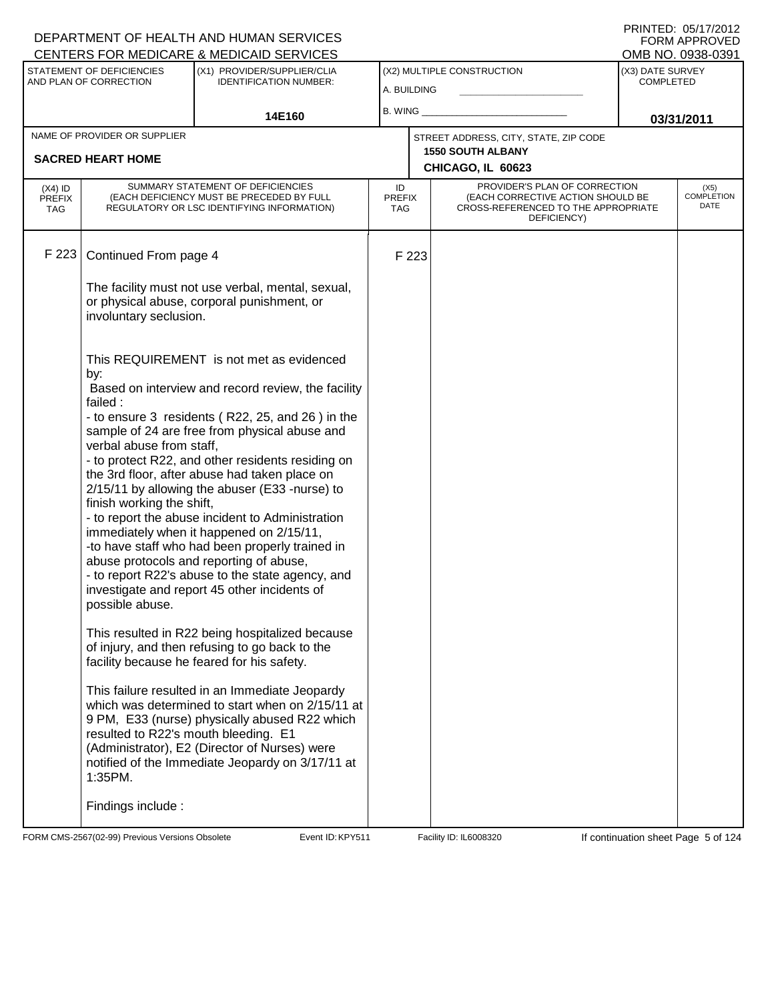#### A. BUILDING (X1) PROVIDER/SUPPLIER/CLIA IDENTIFICATION NUMBER: STATEMENT OF DEFICIENCIES AND PLAN OF CORRECTION (X3) DATE SURVEY COMPLETED FORM APPROVED<br>OMB NO. 0938-0391 (X2) MULTIPLE CONSTRUCTION B. WING **\_\_\_\_\_\_\_\_\_\_\_\_\_\_\_\_\_\_\_\_\_\_** CENTERS FOR MEDICARE & MEDICAID SERVICES 14E160 **B. WING CONSUMING (2011 03/31/2011 CHICAGO, IL 60623** NAME OF PROVIDER OR SUPPLIER STREET ADDRESS, CITY, STATE, ZIP CODE **SACRED HEART HOME 1550 SOUTH ALBANY** PROVIDER'S PLAN OF CORRECTION (EACH CORRECTIVE ACTION SHOULD BE CROSS-REFERENCED TO THE APPROPRIATE DEFICIENCY) (X5) COMPLETION DATE ID PREFIX TAG (X4) ID PREFIX TAG SUMMARY STATEMENT OF DEFICIENCIES (EACH DEFICIENCY MUST BE PRECEDED BY FULL REGULATORY OR LSC IDENTIFYING INFORMATION) F 223 Continued From page 4 F 223 The facility must not use verbal, mental, sexual, or physical abuse, corporal punishment, or involuntary seclusion. This REQUIREMENT is not met as evidenced by: Based on interview and record review, the facility failed : - to ensure 3 residents ( R22, 25, and 26 ) in the sample of 24 are free from physical abuse and verbal abuse from staff, - to protect R22, and other residents residing on the 3rd floor, after abuse had taken place on 2/15/11 by allowing the abuser (E33 -nurse) to finish working the shift, - to report the abuse incident to Administration immediately when it happened on 2/15/11, -to have staff who had been properly trained in abuse protocols and reporting of abuse, - to report R22's abuse to the state agency, and investigate and report 45 other incidents of possible abuse. This resulted in R22 being hospitalized because of injury, and then refusing to go back to the facility because he feared for his safety. This failure resulted in an Immediate Jeopardy which was determined to start when on 2/15/11 at 9 PM, E33 (nurse) physically abused R22 which resulted to R22's mouth bleeding. E1 (Administrator), E2 (Director of Nurses) were notified of the Immediate Jeopardy on 3/17/11 at 1:35PM. Findings include :

FORM CMS-2567(02-99) Previous Versions Obsolete KPS Event ID: KPY511 Facility ID: IL6008320 If continuation sheet Page 5 of 124

DEPARTMENT OF HEALTH AND HUMAN SERVICES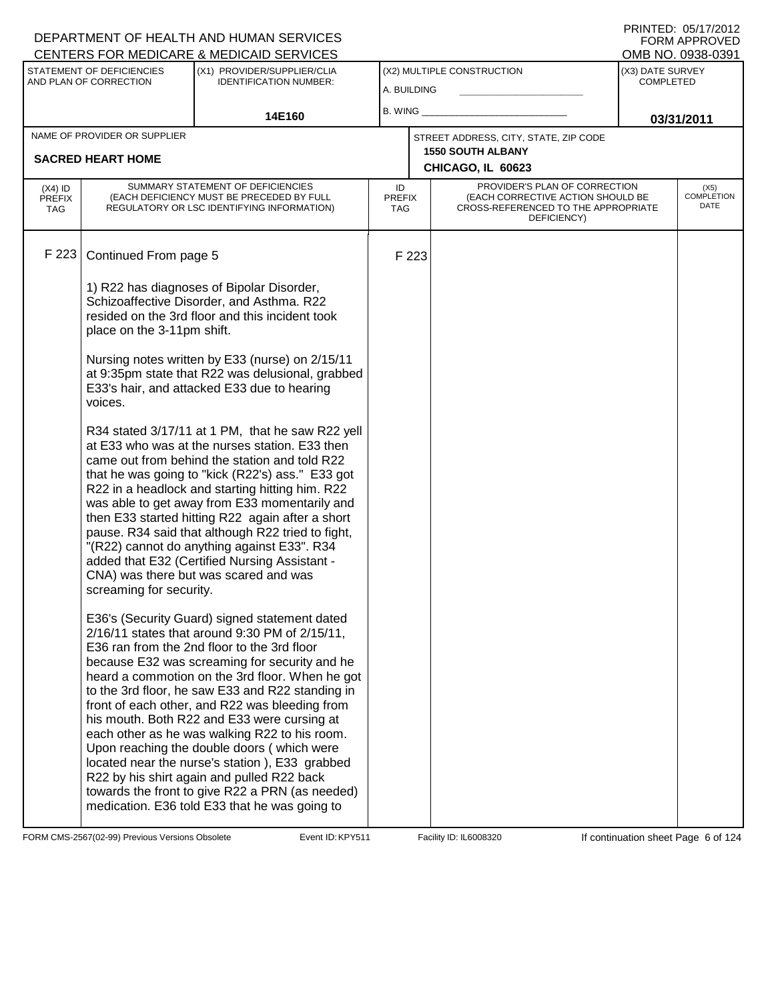|                                          |                                                          | <u>UENTERS FUR MEDIUARE &amp; MEDIUAID SERVIUES</u>                                                                                                                                                                                                                                                                                                                                                                                                                                                                                                                                                                                                                                                        |                                           |       |                                                                                                                          |                                      | ו פטיסטאט .טאו םועוט              |
|------------------------------------------|----------------------------------------------------------|------------------------------------------------------------------------------------------------------------------------------------------------------------------------------------------------------------------------------------------------------------------------------------------------------------------------------------------------------------------------------------------------------------------------------------------------------------------------------------------------------------------------------------------------------------------------------------------------------------------------------------------------------------------------------------------------------------|-------------------------------------------|-------|--------------------------------------------------------------------------------------------------------------------------|--------------------------------------|-----------------------------------|
|                                          | STATEMENT OF DEFICIENCIES<br>AND PLAN OF CORRECTION      | (X1) PROVIDER/SUPPLIER/CLIA<br><b>IDENTIFICATION NUMBER:</b>                                                                                                                                                                                                                                                                                                                                                                                                                                                                                                                                                                                                                                               | (X2) MULTIPLE CONSTRUCTION<br>A. BUILDING |       |                                                                                                                          | (X3) DATE SURVEY<br><b>COMPLETED</b> |                                   |
|                                          |                                                          | 14E160                                                                                                                                                                                                                                                                                                                                                                                                                                                                                                                                                                                                                                                                                                     | B. WING $\_$                              |       |                                                                                                                          |                                      | 03/31/2011                        |
|                                          | NAME OF PROVIDER OR SUPPLIER<br><b>SACRED HEART HOME</b> |                                                                                                                                                                                                                                                                                                                                                                                                                                                                                                                                                                                                                                                                                                            |                                           |       | STREET ADDRESS, CITY, STATE, ZIP CODE<br><b>1550 SOUTH ALBANY</b><br>CHICAGO, IL 60623                                   |                                      |                                   |
| $(X4)$ ID<br><b>PREFIX</b><br><b>TAG</b> |                                                          | SUMMARY STATEMENT OF DEFICIENCIES<br>(EACH DEFICIENCY MUST BE PRECEDED BY FULL<br>REGULATORY OR LSC IDENTIFYING INFORMATION)                                                                                                                                                                                                                                                                                                                                                                                                                                                                                                                                                                               | ID<br><b>PREFIX</b><br>TAG.               |       | PROVIDER'S PLAN OF CORRECTION<br>(EACH CORRECTIVE ACTION SHOULD BE<br>CROSS-REFERENCED TO THE APPROPRIATE<br>DEFICIENCY) |                                      | (X5)<br><b>COMPLETION</b><br>DATE |
| F 223                                    | Continued From page 5                                    |                                                                                                                                                                                                                                                                                                                                                                                                                                                                                                                                                                                                                                                                                                            |                                           | F 223 |                                                                                                                          |                                      |                                   |
|                                          | place on the 3-11pm shift.                               | 1) R22 has diagnoses of Bipolar Disorder,<br>Schizoaffective Disorder, and Asthma. R22<br>resided on the 3rd floor and this incident took                                                                                                                                                                                                                                                                                                                                                                                                                                                                                                                                                                  |                                           |       |                                                                                                                          |                                      |                                   |
|                                          | voices.                                                  | Nursing notes written by E33 (nurse) on 2/15/11<br>at 9:35pm state that R22 was delusional, grabbed<br>E33's hair, and attacked E33 due to hearing                                                                                                                                                                                                                                                                                                                                                                                                                                                                                                                                                         |                                           |       |                                                                                                                          |                                      |                                   |
|                                          | screaming for security.                                  | R34 stated 3/17/11 at 1 PM, that he saw R22 yell<br>at E33 who was at the nurses station. E33 then<br>came out from behind the station and told R22<br>that he was going to "kick (R22's) ass." E33 got<br>R22 in a headlock and starting hitting him. R22<br>was able to get away from E33 momentarily and<br>then E33 started hitting R22 again after a short<br>pause. R34 said that although R22 tried to fight,<br>"(R22) cannot do anything against E33". R34<br>added that E32 (Certified Nursing Assistant -<br>CNA) was there but was scared and was                                                                                                                                              |                                           |       |                                                                                                                          |                                      |                                   |
|                                          |                                                          | E36's (Security Guard) signed statement dated<br>2/16/11 states that around 9:30 PM of 2/15/11,<br>E36 ran from the 2nd floor to the 3rd floor<br>because E32 was screaming for security and he<br>heard a commotion on the 3rd floor. When he got<br>to the 3rd floor, he saw E33 and R22 standing in<br>front of each other, and R22 was bleeding from<br>his mouth. Both R22 and E33 were cursing at<br>each other as he was walking R22 to his room.<br>Upon reaching the double doors (which were<br>located near the nurse's station), E33 grabbed<br>R22 by his shirt again and pulled R22 back<br>towards the front to give R22 a PRN (as needed)<br>medication. E36 told E33 that he was going to |                                           |       |                                                                                                                          |                                      |                                   |

FORM CMS-2567(02-99) Previous Versions Obsolete KPY511 Event ID: KPY511 Facility ID: IL6008320 If continuation sheet Page 6 of 124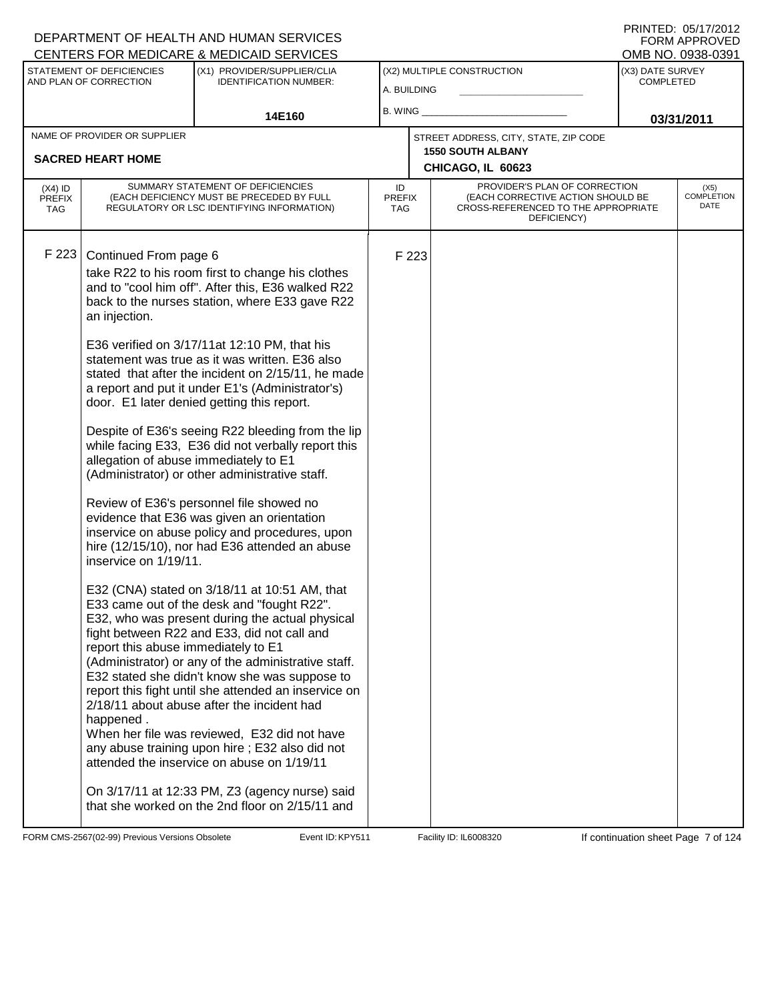|                                          |                                                                                                                                                 | CENTERS FOR MEDICARE & MEDICAID SERVICES                                                                                                                                                                                                                                                                                                                                                                                                                                                                                                                                                                                                                                                                                                                                                                                                                                                                                                                                                                                             |                                   |       |                                                                                                                          |                  | OMB NO. 0938-0391            |
|------------------------------------------|-------------------------------------------------------------------------------------------------------------------------------------------------|--------------------------------------------------------------------------------------------------------------------------------------------------------------------------------------------------------------------------------------------------------------------------------------------------------------------------------------------------------------------------------------------------------------------------------------------------------------------------------------------------------------------------------------------------------------------------------------------------------------------------------------------------------------------------------------------------------------------------------------------------------------------------------------------------------------------------------------------------------------------------------------------------------------------------------------------------------------------------------------------------------------------------------------|-----------------------------------|-------|--------------------------------------------------------------------------------------------------------------------------|------------------|------------------------------|
|                                          | STATEMENT OF DEFICIENCIES                                                                                                                       | (X1) PROVIDER/SUPPLIER/CLIA                                                                                                                                                                                                                                                                                                                                                                                                                                                                                                                                                                                                                                                                                                                                                                                                                                                                                                                                                                                                          |                                   |       | (X2) MULTIPLE CONSTRUCTION                                                                                               | (X3) DATE SURVEY |                              |
|                                          | AND PLAN OF CORRECTION                                                                                                                          | <b>IDENTIFICATION NUMBER:</b>                                                                                                                                                                                                                                                                                                                                                                                                                                                                                                                                                                                                                                                                                                                                                                                                                                                                                                                                                                                                        | A. BUILDING                       |       |                                                                                                                          | <b>COMPLETED</b> |                              |
|                                          |                                                                                                                                                 | 14E160                                                                                                                                                                                                                                                                                                                                                                                                                                                                                                                                                                                                                                                                                                                                                                                                                                                                                                                                                                                                                               | <b>B. WING</b>                    |       |                                                                                                                          |                  |                              |
|                                          | NAME OF PROVIDER OR SUPPLIER                                                                                                                    |                                                                                                                                                                                                                                                                                                                                                                                                                                                                                                                                                                                                                                                                                                                                                                                                                                                                                                                                                                                                                                      |                                   |       | STREET ADDRESS, CITY, STATE, ZIP CODE                                                                                    |                  | 03/31/2011                   |
|                                          |                                                                                                                                                 |                                                                                                                                                                                                                                                                                                                                                                                                                                                                                                                                                                                                                                                                                                                                                                                                                                                                                                                                                                                                                                      |                                   |       | <b>1550 SOUTH ALBANY</b>                                                                                                 |                  |                              |
|                                          | <b>SACRED HEART HOME</b>                                                                                                                        |                                                                                                                                                                                                                                                                                                                                                                                                                                                                                                                                                                                                                                                                                                                                                                                                                                                                                                                                                                                                                                      |                                   |       | CHICAGO, IL 60623                                                                                                        |                  |                              |
| $(X4)$ ID<br><b>PREFIX</b><br><b>TAG</b> |                                                                                                                                                 | SUMMARY STATEMENT OF DEFICIENCIES<br>(EACH DEFICIENCY MUST BE PRECEDED BY FULL<br>REGULATORY OR LSC IDENTIFYING INFORMATION)                                                                                                                                                                                                                                                                                                                                                                                                                                                                                                                                                                                                                                                                                                                                                                                                                                                                                                         | ID<br><b>PREFIX</b><br><b>TAG</b> |       | PROVIDER'S PLAN OF CORRECTION<br>(EACH CORRECTIVE ACTION SHOULD BE<br>CROSS-REFERENCED TO THE APPROPRIATE<br>DEFICIENCY) |                  | $(X5)$<br>COMPLETION<br>DATE |
| F 223                                    | Continued From page 6<br>an injection.<br>allegation of abuse immediately to E1<br>inservice on 1/19/11.<br>report this abuse immediately to E1 | take R22 to his room first to change his clothes<br>and to "cool him off". After this, E36 walked R22<br>back to the nurses station, where E33 gave R22<br>E36 verified on 3/17/11at 12:10 PM, that his<br>statement was true as it was written. E36 also<br>stated that after the incident on 2/15/11, he made<br>a report and put it under E1's (Administrator's)<br>door. E1 later denied getting this report.<br>Despite of E36's seeing R22 bleeding from the lip<br>while facing E33, E36 did not verbally report this<br>(Administrator) or other administrative staff.<br>Review of E36's personnel file showed no<br>evidence that E36 was given an orientation<br>inservice on abuse policy and procedures, upon<br>hire (12/15/10), nor had E36 attended an abuse<br>E32 (CNA) stated on 3/18/11 at 10:51 AM, that<br>E33 came out of the desk and "fought R22".<br>E32, who was present during the actual physical<br>fight between R22 and E33, did not call and<br>(Administrator) or any of the administrative staff. |                                   | F 223 |                                                                                                                          |                  |                              |
|                                          | happened.                                                                                                                                       | E32 stated she didn't know she was suppose to<br>report this fight until she attended an inservice on<br>2/18/11 about abuse after the incident had<br>When her file was reviewed, E32 did not have<br>any abuse training upon hire; E32 also did not<br>attended the inservice on abuse on 1/19/11<br>On 3/17/11 at 12:33 PM, Z3 (agency nurse) said<br>that she worked on the 2nd floor on 2/15/11 and                                                                                                                                                                                                                                                                                                                                                                                                                                                                                                                                                                                                                             |                                   |       |                                                                                                                          |                  |                              |

FORM CMS-2567(02-99) Previous Versions Obsolete Event ID: KPY511 Facility ID: IL6008320 If continuation sheet Page 7 of 124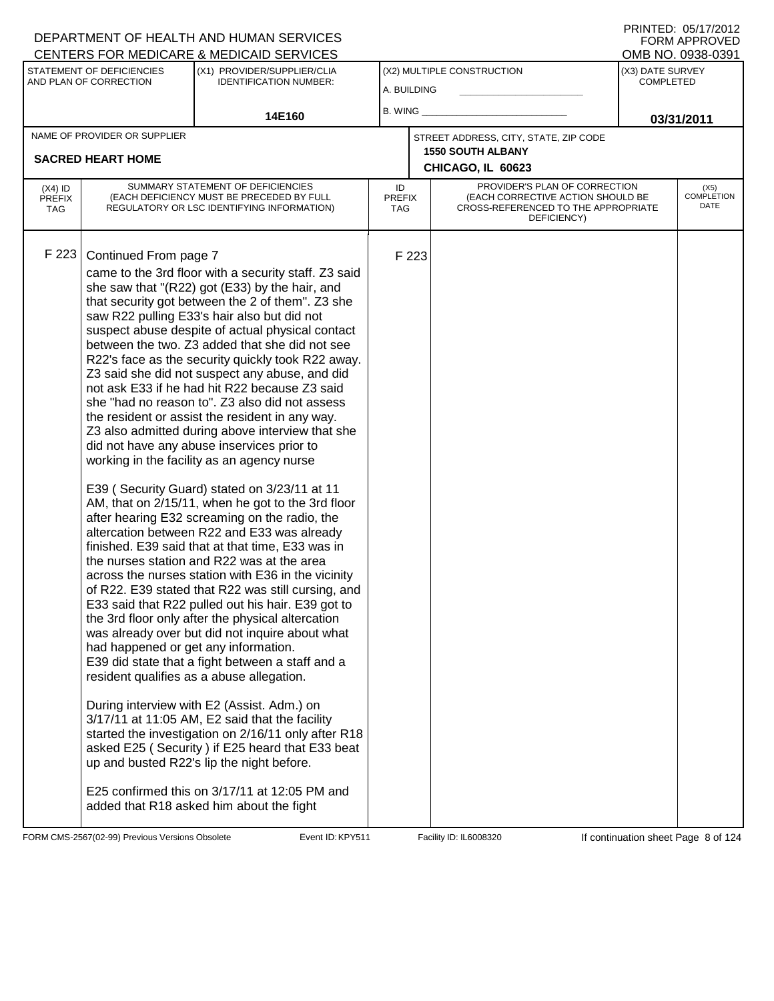|                                          |                                                               | <u>UENTERS FÜR MEDIUARE &amp; MEDIUAID SERVIUES</u>                                                                                                                                                                                                                                                                                                                                                                                                                                                                                                                                                                                                                                                                                                                                                                                                                                                                                                                                                                                                                                                                                                                                                                                                                                                                                                                                                                                                                                                                                                                                                                                                                                                                                                               |                            |       |                                                                                                                          |                                      | UMB NU. 0938-0391                 |
|------------------------------------------|---------------------------------------------------------------|-------------------------------------------------------------------------------------------------------------------------------------------------------------------------------------------------------------------------------------------------------------------------------------------------------------------------------------------------------------------------------------------------------------------------------------------------------------------------------------------------------------------------------------------------------------------------------------------------------------------------------------------------------------------------------------------------------------------------------------------------------------------------------------------------------------------------------------------------------------------------------------------------------------------------------------------------------------------------------------------------------------------------------------------------------------------------------------------------------------------------------------------------------------------------------------------------------------------------------------------------------------------------------------------------------------------------------------------------------------------------------------------------------------------------------------------------------------------------------------------------------------------------------------------------------------------------------------------------------------------------------------------------------------------------------------------------------------------------------------------------------------------|----------------------------|-------|--------------------------------------------------------------------------------------------------------------------------|--------------------------------------|-----------------------------------|
|                                          | STATEMENT OF DEFICIENCIES<br>AND PLAN OF CORRECTION           | (X1) PROVIDER/SUPPLIER/CLIA<br><b>IDENTIFICATION NUMBER:</b>                                                                                                                                                                                                                                                                                                                                                                                                                                                                                                                                                                                                                                                                                                                                                                                                                                                                                                                                                                                                                                                                                                                                                                                                                                                                                                                                                                                                                                                                                                                                                                                                                                                                                                      | A. BUILDING                |       | (X2) MULTIPLE CONSTRUCTION                                                                                               | (X3) DATE SURVEY<br><b>COMPLETED</b> |                                   |
|                                          |                                                               | 14E160                                                                                                                                                                                                                                                                                                                                                                                                                                                                                                                                                                                                                                                                                                                                                                                                                                                                                                                                                                                                                                                                                                                                                                                                                                                                                                                                                                                                                                                                                                                                                                                                                                                                                                                                                            | B. WING $\_$               |       |                                                                                                                          |                                      | 03/31/2011                        |
|                                          | NAME OF PROVIDER OR SUPPLIER<br><b>SACRED HEART HOME</b>      |                                                                                                                                                                                                                                                                                                                                                                                                                                                                                                                                                                                                                                                                                                                                                                                                                                                                                                                                                                                                                                                                                                                                                                                                                                                                                                                                                                                                                                                                                                                                                                                                                                                                                                                                                                   |                            |       | STREET ADDRESS, CITY, STATE, ZIP CODE<br><b>1550 SOUTH ALBANY</b><br>CHICAGO, IL 60623                                   |                                      |                                   |
| $(X4)$ ID<br><b>PREFIX</b><br><b>TAG</b> |                                                               | SUMMARY STATEMENT OF DEFICIENCIES<br>(EACH DEFICIENCY MUST BE PRECEDED BY FULL<br>REGULATORY OR LSC IDENTIFYING INFORMATION)                                                                                                                                                                                                                                                                                                                                                                                                                                                                                                                                                                                                                                                                                                                                                                                                                                                                                                                                                                                                                                                                                                                                                                                                                                                                                                                                                                                                                                                                                                                                                                                                                                      | ID<br><b>PREFIX</b><br>TAG |       | PROVIDER'S PLAN OF CORRECTION<br>(EACH CORRECTIVE ACTION SHOULD BE<br>CROSS-REFERENCED TO THE APPROPRIATE<br>DEFICIENCY) |                                      | (X5)<br><b>COMPLETION</b><br>DATE |
| F 223                                    | Continued From page 7<br>had happened or get any information. | came to the 3rd floor with a security staff. Z3 said<br>she saw that "(R22) got (E33) by the hair, and<br>that security got between the 2 of them". Z3 she<br>saw R22 pulling E33's hair also but did not<br>suspect abuse despite of actual physical contact<br>between the two. Z3 added that she did not see<br>R22's face as the security quickly took R22 away.<br>Z3 said she did not suspect any abuse, and did<br>not ask E33 if he had hit R22 because Z3 said<br>she "had no reason to". Z3 also did not assess<br>the resident or assist the resident in any way.<br>Z3 also admitted during above interview that she<br>did not have any abuse inservices prior to<br>working in the facility as an agency nurse<br>E39 (Security Guard) stated on 3/23/11 at 11<br>AM, that on 2/15/11, when he got to the 3rd floor<br>after hearing E32 screaming on the radio, the<br>altercation between R22 and E33 was already<br>finished. E39 said that at that time, E33 was in<br>the nurses station and R22 was at the area<br>across the nurses station with E36 in the vicinity<br>of R22. E39 stated that R22 was still cursing, and<br>E33 said that R22 pulled out his hair. E39 got to<br>the 3rd floor only after the physical altercation<br>was already over but did not inquire about what<br>E39 did state that a fight between a staff and a<br>resident qualifies as a abuse allegation.<br>During interview with E2 (Assist. Adm.) on<br>3/17/11 at 11:05 AM, E2 said that the facility<br>started the investigation on 2/16/11 only after R18<br>asked E25 (Security) if E25 heard that E33 beat<br>up and busted R22's lip the night before.<br>E25 confirmed this on 3/17/11 at 12:05 PM and<br>added that R18 asked him about the fight |                            | F 223 |                                                                                                                          |                                      |                                   |

FORM CMS-2567(02-99) Previous Versions Obsolete Event ID: KPY511 Facility ID: IL6008320 If continuation sheet Page 8 of 124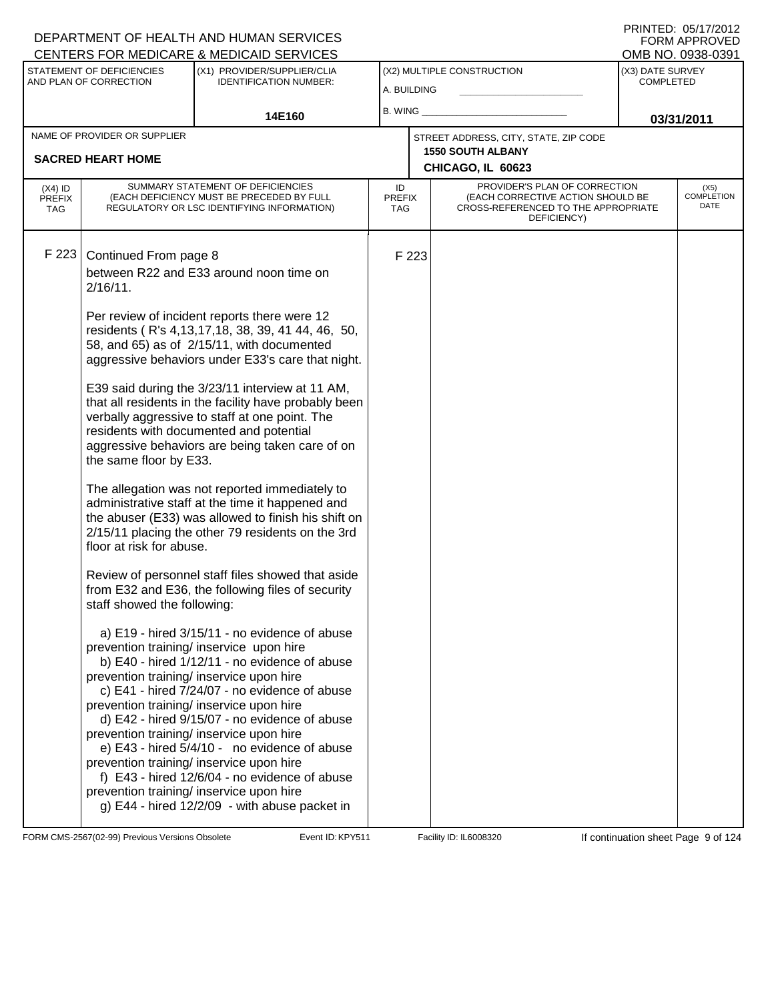|                                          |                                                     | CENTERS FOR MEDICARE & MEDICAID SERVICES                                                                                                                                                                                                                                                                                                                                                                                                                                                                                                                                                                                   |                                   |       |                                                                                         |                                      | OMB NO. 0938-0391                 |
|------------------------------------------|-----------------------------------------------------|----------------------------------------------------------------------------------------------------------------------------------------------------------------------------------------------------------------------------------------------------------------------------------------------------------------------------------------------------------------------------------------------------------------------------------------------------------------------------------------------------------------------------------------------------------------------------------------------------------------------------|-----------------------------------|-------|-----------------------------------------------------------------------------------------|--------------------------------------|-----------------------------------|
|                                          | STATEMENT OF DEFICIENCIES<br>AND PLAN OF CORRECTION | (X1) PROVIDER/SUPPLIER/CLIA<br><b>IDENTIFICATION NUMBER:</b>                                                                                                                                                                                                                                                                                                                                                                                                                                                                                                                                                               | A. BUILDING                       |       | (X2) MULTIPLE CONSTRUCTION                                                              | (X3) DATE SURVEY<br><b>COMPLETED</b> |                                   |
|                                          |                                                     | 14E160                                                                                                                                                                                                                                                                                                                                                                                                                                                                                                                                                                                                                     | B. WING                           |       |                                                                                         |                                      | 03/31/2011                        |
|                                          | NAME OF PROVIDER OR SUPPLIER                        |                                                                                                                                                                                                                                                                                                                                                                                                                                                                                                                                                                                                                            |                                   |       | STREET ADDRESS, CITY, STATE, ZIP CODE                                                   |                                      |                                   |
|                                          | <b>SACRED HEART HOME</b>                            |                                                                                                                                                                                                                                                                                                                                                                                                                                                                                                                                                                                                                            |                                   |       | <b>1550 SOUTH ALBANY</b><br>CHICAGO, IL 60623                                           |                                      |                                   |
|                                          |                                                     | SUMMARY STATEMENT OF DEFICIENCIES                                                                                                                                                                                                                                                                                                                                                                                                                                                                                                                                                                                          |                                   |       | PROVIDER'S PLAN OF CORRECTION                                                           |                                      |                                   |
| $(X4)$ ID<br><b>PREFIX</b><br><b>TAG</b> |                                                     | (EACH DEFICIENCY MUST BE PRECEDED BY FULL<br>REGULATORY OR LSC IDENTIFYING INFORMATION)                                                                                                                                                                                                                                                                                                                                                                                                                                                                                                                                    | ID<br><b>PREFIX</b><br><b>TAG</b> |       | (EACH CORRECTIVE ACTION SHOULD BE<br>CROSS-REFERENCED TO THE APPROPRIATE<br>DEFICIENCY) |                                      | (X5)<br><b>COMPLETION</b><br>DATE |
|                                          |                                                     |                                                                                                                                                                                                                                                                                                                                                                                                                                                                                                                                                                                                                            |                                   |       |                                                                                         |                                      |                                   |
| F 223                                    | Continued From page 8<br>$2/16/11$ .                | between R22 and E33 around noon time on                                                                                                                                                                                                                                                                                                                                                                                                                                                                                                                                                                                    |                                   | F 223 |                                                                                         |                                      |                                   |
|                                          |                                                     | Per review of incident reports there were 12<br>residents (R's 4,13,17,18, 38, 39, 41 44, 46, 50,<br>58, and 65) as of 2/15/11, with documented<br>aggressive behaviors under E33's care that night.                                                                                                                                                                                                                                                                                                                                                                                                                       |                                   |       |                                                                                         |                                      |                                   |
|                                          | the same floor by E33.                              | E39 said during the 3/23/11 interview at 11 AM,<br>that all residents in the facility have probably been<br>verbally aggressive to staff at one point. The<br>residents with documented and potential<br>aggressive behaviors are being taken care of on                                                                                                                                                                                                                                                                                                                                                                   |                                   |       |                                                                                         |                                      |                                   |
|                                          | floor at risk for abuse.                            | The allegation was not reported immediately to<br>administrative staff at the time it happened and<br>the abuser (E33) was allowed to finish his shift on<br>2/15/11 placing the other 79 residents on the 3rd                                                                                                                                                                                                                                                                                                                                                                                                             |                                   |       |                                                                                         |                                      |                                   |
|                                          | staff showed the following:                         | Review of personnel staff files showed that aside<br>from E32 and E36, the following files of security                                                                                                                                                                                                                                                                                                                                                                                                                                                                                                                     |                                   |       |                                                                                         |                                      |                                   |
|                                          |                                                     | a) E19 - hired 3/15/11 - no evidence of abuse<br>prevention training/ inservice upon hire<br>b) E40 - hired 1/12/11 - no evidence of abuse<br>prevention training/ inservice upon hire<br>c) E41 - hired 7/24/07 - no evidence of abuse<br>prevention training/ inservice upon hire<br>d) E42 - hired 9/15/07 - no evidence of abuse<br>prevention training/ inservice upon hire<br>e) E43 - hired 5/4/10 - no evidence of abuse<br>prevention training/ inservice upon hire<br>f) E43 - hired 12/6/04 - no evidence of abuse<br>prevention training/ inservice upon hire<br>g) E44 - hired 12/2/09 - with abuse packet in |                                   |       |                                                                                         |                                      |                                   |

FORM CMS-2567(02-99) Previous Versions Obsolete Event ID: KPY511 Facility ID: IL6008320 If continuation sheet Page 9 of 124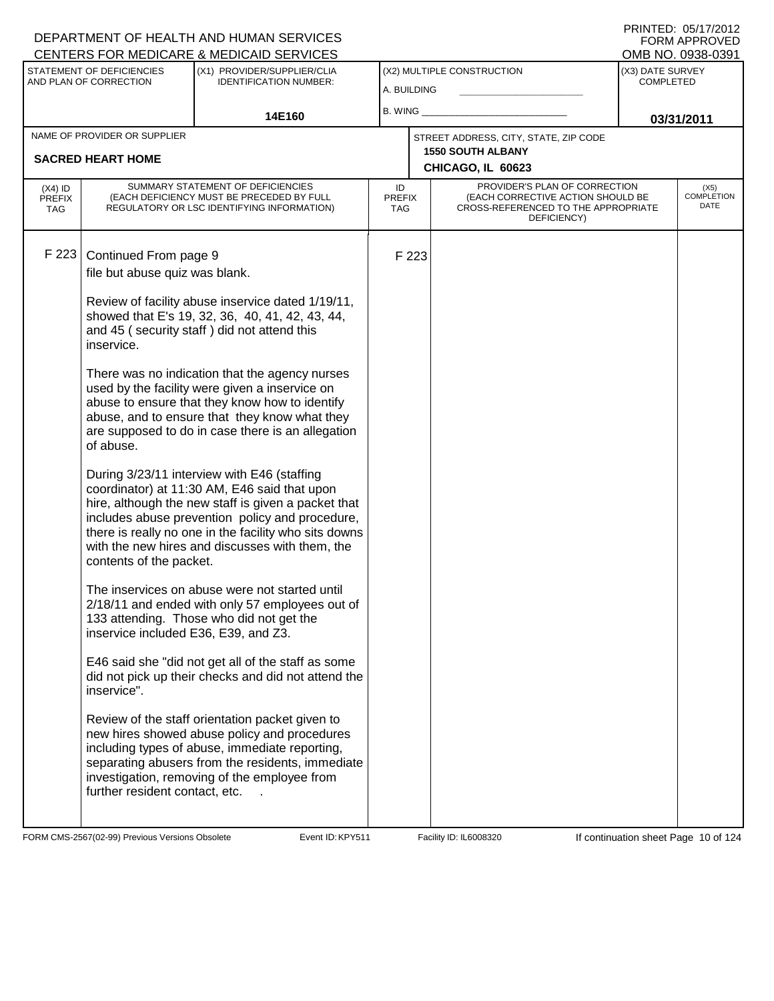| PRINTED: 05/17/2012 |               |
|---------------------|---------------|
|                     | FORM APPROVED |
| OMB NO. 0938-0391   |               |

|                                          |                                                     | <b>CENTERS FOR MEDICARE &amp; MEDICAID SERVICES</b>                                                                                                                                                                                                                                                               |                            |       |                                                                                                                          |                                      | OMB NO. 0938-0391            |
|------------------------------------------|-----------------------------------------------------|-------------------------------------------------------------------------------------------------------------------------------------------------------------------------------------------------------------------------------------------------------------------------------------------------------------------|----------------------------|-------|--------------------------------------------------------------------------------------------------------------------------|--------------------------------------|------------------------------|
|                                          | STATEMENT OF DEFICIENCIES<br>AND PLAN OF CORRECTION | (X1) PROVIDER/SUPPLIER/CLIA<br><b>IDENTIFICATION NUMBER:</b>                                                                                                                                                                                                                                                      | A. BUILDING                |       | (X2) MULTIPLE CONSTRUCTION                                                                                               | (X3) DATE SURVEY<br><b>COMPLETED</b> |                              |
|                                          |                                                     |                                                                                                                                                                                                                                                                                                                   | B. WING                    |       |                                                                                                                          |                                      |                              |
|                                          |                                                     | 14E160                                                                                                                                                                                                                                                                                                            |                            |       |                                                                                                                          |                                      | 03/31/2011                   |
|                                          | NAME OF PROVIDER OR SUPPLIER                        |                                                                                                                                                                                                                                                                                                                   |                            |       | STREET ADDRESS, CITY, STATE, ZIP CODE                                                                                    |                                      |                              |
|                                          | <b>SACRED HEART HOME</b>                            |                                                                                                                                                                                                                                                                                                                   |                            |       | <b>1550 SOUTH ALBANY</b><br>CHICAGO, IL 60623                                                                            |                                      |                              |
| $(X4)$ ID<br><b>PREFIX</b><br><b>TAG</b> |                                                     | SUMMARY STATEMENT OF DEFICIENCIES<br>(EACH DEFICIENCY MUST BE PRECEDED BY FULL<br>REGULATORY OR LSC IDENTIFYING INFORMATION)                                                                                                                                                                                      | ID<br><b>PREFIX</b><br>TAG |       | PROVIDER'S PLAN OF CORRECTION<br>(EACH CORRECTIVE ACTION SHOULD BE<br>CROSS-REFERENCED TO THE APPROPRIATE<br>DEFICIENCY) |                                      | $(X5)$<br>COMPLETION<br>DATE |
| F 223                                    | Continued From page 9                               |                                                                                                                                                                                                                                                                                                                   |                            | F 223 |                                                                                                                          |                                      |                              |
|                                          | file but abuse quiz was blank.                      |                                                                                                                                                                                                                                                                                                                   |                            |       |                                                                                                                          |                                      |                              |
|                                          | inservice.                                          | Review of facility abuse inservice dated 1/19/11,<br>showed that E's 19, 32, 36, 40, 41, 42, 43, 44,<br>and 45 (security staff) did not attend this                                                                                                                                                               |                            |       |                                                                                                                          |                                      |                              |
|                                          | of abuse.                                           | There was no indication that the agency nurses<br>used by the facility were given a inservice on<br>abuse to ensure that they know how to identify<br>abuse, and to ensure that they know what they<br>are supposed to do in case there is an allegation                                                          |                            |       |                                                                                                                          |                                      |                              |
|                                          | contents of the packet.                             | During 3/23/11 interview with E46 (staffing<br>coordinator) at 11:30 AM, E46 said that upon<br>hire, although the new staff is given a packet that<br>includes abuse prevention policy and procedure,<br>there is really no one in the facility who sits downs<br>with the new hires and discusses with them, the |                            |       |                                                                                                                          |                                      |                              |
|                                          | inservice included E36, E39, and Z3.                | The inservices on abuse were not started until<br>2/18/11 and ended with only 57 employees out of<br>133 attending. Those who did not get the                                                                                                                                                                     |                            |       |                                                                                                                          |                                      |                              |
|                                          | inservice".                                         | E46 said she "did not get all of the staff as some<br>did not pick up their checks and did not attend the                                                                                                                                                                                                         |                            |       |                                                                                                                          |                                      |                              |
|                                          | further resident contact, etc.                      | Review of the staff orientation packet given to<br>new hires showed abuse policy and procedures<br>including types of abuse, immediate reporting,<br>separating abusers from the residents, immediate<br>investigation, removing of the employee from                                                             |                            |       |                                                                                                                          |                                      |                              |

FORM CMS-2567(02-99) Previous Versions Obsolete Event ID: KPY511 Facility ID: IL6008320 If continuation sheet Page 10 of 124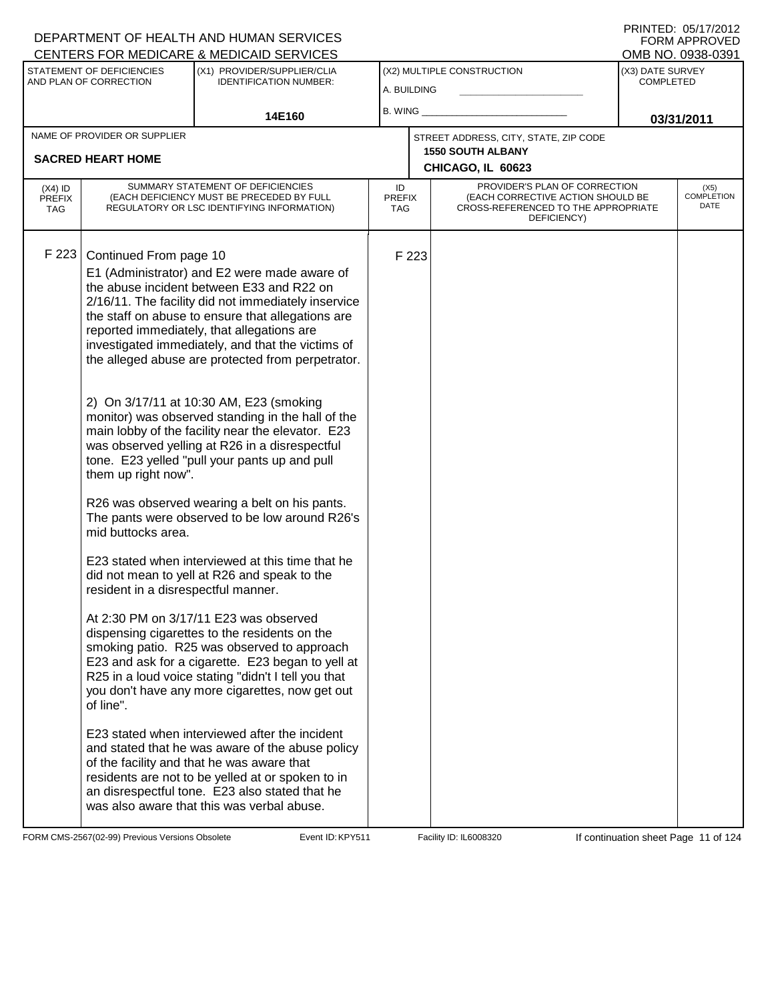|                                          |                                                                                                                         | CENTERS FOR MEDICARE & MEDICAID SERVICES                                                                                                                                                                                                                                                                                                                                                                                                                                                                                                                                                                                                                                                                                                                                                                                                                                                                                                                                                                                                                                                                                                                                                                                                                                                                                                                                                         |                            |       |                                                                                                                          |                  | OMB NO. 0938-0391                 |
|------------------------------------------|-------------------------------------------------------------------------------------------------------------------------|--------------------------------------------------------------------------------------------------------------------------------------------------------------------------------------------------------------------------------------------------------------------------------------------------------------------------------------------------------------------------------------------------------------------------------------------------------------------------------------------------------------------------------------------------------------------------------------------------------------------------------------------------------------------------------------------------------------------------------------------------------------------------------------------------------------------------------------------------------------------------------------------------------------------------------------------------------------------------------------------------------------------------------------------------------------------------------------------------------------------------------------------------------------------------------------------------------------------------------------------------------------------------------------------------------------------------------------------------------------------------------------------------|----------------------------|-------|--------------------------------------------------------------------------------------------------------------------------|------------------|-----------------------------------|
|                                          | STATEMENT OF DEFICIENCIES                                                                                               | (X1) PROVIDER/SUPPLIER/CLIA                                                                                                                                                                                                                                                                                                                                                                                                                                                                                                                                                                                                                                                                                                                                                                                                                                                                                                                                                                                                                                                                                                                                                                                                                                                                                                                                                                      |                            |       | (X2) MULTIPLE CONSTRUCTION                                                                                               | (X3) DATE SURVEY |                                   |
|                                          | AND PLAN OF CORRECTION                                                                                                  | <b>IDENTIFICATION NUMBER:</b>                                                                                                                                                                                                                                                                                                                                                                                                                                                                                                                                                                                                                                                                                                                                                                                                                                                                                                                                                                                                                                                                                                                                                                                                                                                                                                                                                                    | A. BUILDING                |       |                                                                                                                          | <b>COMPLETED</b> |                                   |
|                                          |                                                                                                                         |                                                                                                                                                                                                                                                                                                                                                                                                                                                                                                                                                                                                                                                                                                                                                                                                                                                                                                                                                                                                                                                                                                                                                                                                                                                                                                                                                                                                  | B. WING                    |       |                                                                                                                          |                  |                                   |
|                                          |                                                                                                                         | 14E160                                                                                                                                                                                                                                                                                                                                                                                                                                                                                                                                                                                                                                                                                                                                                                                                                                                                                                                                                                                                                                                                                                                                                                                                                                                                                                                                                                                           |                            |       |                                                                                                                          |                  | 03/31/2011                        |
|                                          | NAME OF PROVIDER OR SUPPLIER                                                                                            |                                                                                                                                                                                                                                                                                                                                                                                                                                                                                                                                                                                                                                                                                                                                                                                                                                                                                                                                                                                                                                                                                                                                                                                                                                                                                                                                                                                                  |                            |       | STREET ADDRESS, CITY, STATE, ZIP CODE<br><b>1550 SOUTH ALBANY</b>                                                        |                  |                                   |
|                                          | <b>SACRED HEART HOME</b>                                                                                                |                                                                                                                                                                                                                                                                                                                                                                                                                                                                                                                                                                                                                                                                                                                                                                                                                                                                                                                                                                                                                                                                                                                                                                                                                                                                                                                                                                                                  |                            |       | CHICAGO, IL 60623                                                                                                        |                  |                                   |
| $(X4)$ ID<br><b>PREFIX</b><br><b>TAG</b> |                                                                                                                         | SUMMARY STATEMENT OF DEFICIENCIES<br>(EACH DEFICIENCY MUST BE PRECEDED BY FULL<br>REGULATORY OR LSC IDENTIFYING INFORMATION)                                                                                                                                                                                                                                                                                                                                                                                                                                                                                                                                                                                                                                                                                                                                                                                                                                                                                                                                                                                                                                                                                                                                                                                                                                                                     | ID<br><b>PREFIX</b><br>TAG |       | PROVIDER'S PLAN OF CORRECTION<br>(EACH CORRECTIVE ACTION SHOULD BE<br>CROSS-REFERENCED TO THE APPROPRIATE<br>DEFICIENCY) |                  | (X5)<br><b>COMPLETION</b><br>DATE |
| F 223                                    | Continued From page 10<br>them up right now".<br>mid buttocks area.<br>resident in a disrespectful manner.<br>of line". | E1 (Administrator) and E2 were made aware of<br>the abuse incident between E33 and R22 on<br>2/16/11. The facility did not immediately inservice<br>the staff on abuse to ensure that allegations are<br>reported immediately, that allegations are<br>investigated immediately, and that the victims of<br>the alleged abuse are protected from perpetrator.<br>2) On 3/17/11 at 10:30 AM, E23 (smoking<br>monitor) was observed standing in the hall of the<br>main lobby of the facility near the elevator. E23<br>was observed yelling at R26 in a disrespectful<br>tone. E23 yelled "pull your pants up and pull<br>R26 was observed wearing a belt on his pants.<br>The pants were observed to be low around R26's<br>E23 stated when interviewed at this time that he<br>did not mean to yell at R26 and speak to the<br>At 2:30 PM on 3/17/11 E23 was observed<br>dispensing cigarettes to the residents on the<br>smoking patio. R25 was observed to approach<br>E23 and ask for a cigarette. E23 began to yell at<br>R25 in a loud voice stating "didn't I tell you that<br>you don't have any more cigarettes, now get out<br>E23 stated when interviewed after the incident<br>and stated that he was aware of the abuse policy<br>of the facility and that he was aware that<br>residents are not to be yelled at or spoken to in<br>an disrespectful tone. E23 also stated that he |                            | F 223 |                                                                                                                          |                  |                                   |
|                                          |                                                                                                                         | was also aware that this was verbal abuse.                                                                                                                                                                                                                                                                                                                                                                                                                                                                                                                                                                                                                                                                                                                                                                                                                                                                                                                                                                                                                                                                                                                                                                                                                                                                                                                                                       |                            |       |                                                                                                                          |                  |                                   |

FORM CMS-2567(02-99) Previous Versions Obsolete Event ID: KPY511 Facility ID: IL6008320 If continuation sheet Page 11 of 124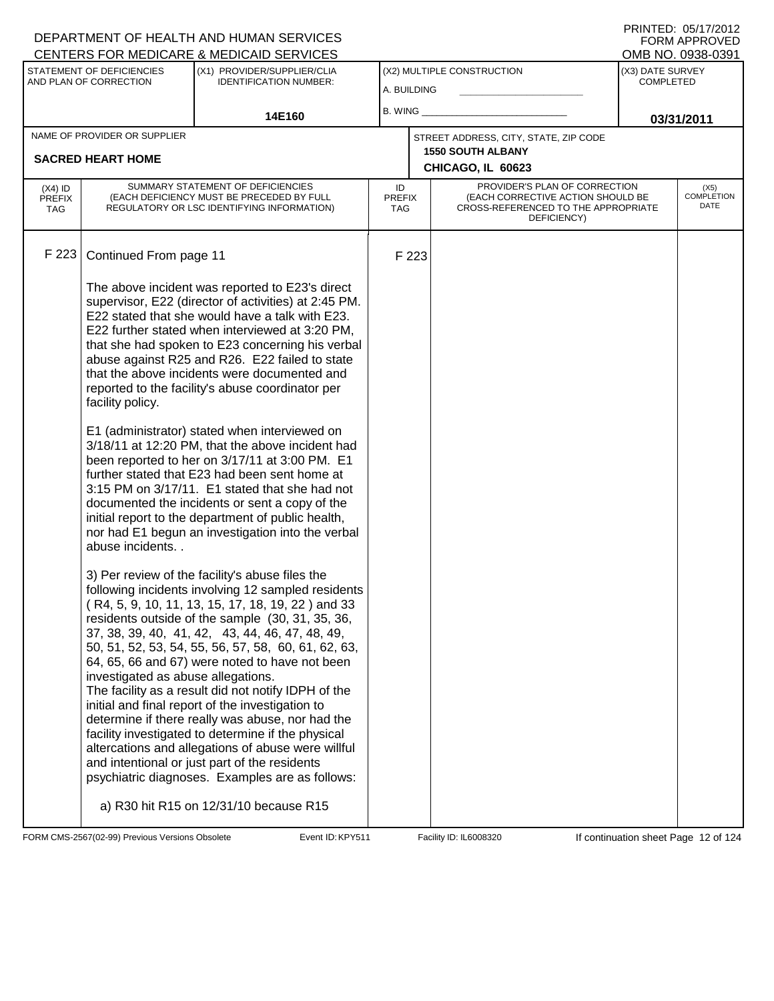| PRINTED: 05/17/2012 |
|---------------------|
| FORM APPROVED       |
| OMB NO. 0938-0391   |

|                                   |                                                                              | <u>ULIVILING I UN MEDIUANE &amp; MEDIUAID GENVIULO</u>                                                                                                                                                                                                                                                                                                                                                                                                                                                                                                                                                                                                                                                                                                                                                                                                                                                                                                                                                                                                                                                                                                                                                                                                                                                                                                                                                                                                                                                                                                                                                                                                |                                           |       |                                                                                                                          |                                      | ו פטט־טטפט . טאו טואוט            |
|-----------------------------------|------------------------------------------------------------------------------|-------------------------------------------------------------------------------------------------------------------------------------------------------------------------------------------------------------------------------------------------------------------------------------------------------------------------------------------------------------------------------------------------------------------------------------------------------------------------------------------------------------------------------------------------------------------------------------------------------------------------------------------------------------------------------------------------------------------------------------------------------------------------------------------------------------------------------------------------------------------------------------------------------------------------------------------------------------------------------------------------------------------------------------------------------------------------------------------------------------------------------------------------------------------------------------------------------------------------------------------------------------------------------------------------------------------------------------------------------------------------------------------------------------------------------------------------------------------------------------------------------------------------------------------------------------------------------------------------------------------------------------------------------|-------------------------------------------|-------|--------------------------------------------------------------------------------------------------------------------------|--------------------------------------|-----------------------------------|
|                                   | STATEMENT OF DEFICIENCIES<br>AND PLAN OF CORRECTION                          | (X1) PROVIDER/SUPPLIER/CLIA<br><b>IDENTIFICATION NUMBER:</b>                                                                                                                                                                                                                                                                                                                                                                                                                                                                                                                                                                                                                                                                                                                                                                                                                                                                                                                                                                                                                                                                                                                                                                                                                                                                                                                                                                                                                                                                                                                                                                                          | (X2) MULTIPLE CONSTRUCTION<br>A. BUILDING |       |                                                                                                                          | (X3) DATE SURVEY<br><b>COMPLETED</b> |                                   |
|                                   |                                                                              | 14E160                                                                                                                                                                                                                                                                                                                                                                                                                                                                                                                                                                                                                                                                                                                                                                                                                                                                                                                                                                                                                                                                                                                                                                                                                                                                                                                                                                                                                                                                                                                                                                                                                                                | <b>B. WING</b>                            |       |                                                                                                                          |                                      | 03/31/2011                        |
|                                   | NAME OF PROVIDER OR SUPPLIER                                                 |                                                                                                                                                                                                                                                                                                                                                                                                                                                                                                                                                                                                                                                                                                                                                                                                                                                                                                                                                                                                                                                                                                                                                                                                                                                                                                                                                                                                                                                                                                                                                                                                                                                       |                                           |       | STREET ADDRESS, CITY, STATE, ZIP CODE<br><b>1550 SOUTH ALBANY</b>                                                        |                                      |                                   |
|                                   | <b>SACRED HEART HOME</b>                                                     |                                                                                                                                                                                                                                                                                                                                                                                                                                                                                                                                                                                                                                                                                                                                                                                                                                                                                                                                                                                                                                                                                                                                                                                                                                                                                                                                                                                                                                                                                                                                                                                                                                                       |                                           |       | CHICAGO, IL 60623                                                                                                        |                                      |                                   |
| $(X4)$ ID<br><b>PREFIX</b><br>TAG |                                                                              | SUMMARY STATEMENT OF DEFICIENCIES<br>(EACH DEFICIENCY MUST BE PRECEDED BY FULL<br>REGULATORY OR LSC IDENTIFYING INFORMATION)                                                                                                                                                                                                                                                                                                                                                                                                                                                                                                                                                                                                                                                                                                                                                                                                                                                                                                                                                                                                                                                                                                                                                                                                                                                                                                                                                                                                                                                                                                                          | ID<br><b>PREFIX</b><br><b>TAG</b>         |       | PROVIDER'S PLAN OF CORRECTION<br>(EACH CORRECTIVE ACTION SHOULD BE<br>CROSS-REFERENCED TO THE APPROPRIATE<br>DEFICIENCY) |                                      | (X5)<br><b>COMPLETION</b><br>DATE |
| F 223                             | Continued From page 11                                                       |                                                                                                                                                                                                                                                                                                                                                                                                                                                                                                                                                                                                                                                                                                                                                                                                                                                                                                                                                                                                                                                                                                                                                                                                                                                                                                                                                                                                                                                                                                                                                                                                                                                       |                                           | F 223 |                                                                                                                          |                                      |                                   |
|                                   | facility policy.<br>abuse incidents. .<br>investigated as abuse allegations. | The above incident was reported to E23's direct<br>supervisor, E22 (director of activities) at 2:45 PM.<br>E22 stated that she would have a talk with E23.<br>E22 further stated when interviewed at 3:20 PM,<br>that she had spoken to E23 concerning his verbal<br>abuse against R25 and R26. E22 failed to state<br>that the above incidents were documented and<br>reported to the facility's abuse coordinator per<br>E1 (administrator) stated when interviewed on<br>3/18/11 at 12:20 PM, that the above incident had<br>been reported to her on 3/17/11 at 3:00 PM. E1<br>further stated that E23 had been sent home at<br>3:15 PM on 3/17/11. E1 stated that she had not<br>documented the incidents or sent a copy of the<br>initial report to the department of public health,<br>nor had E1 begun an investigation into the verbal<br>3) Per review of the facility's abuse files the<br>following incidents involving 12 sampled residents<br>(R4, 5, 9, 10, 11, 13, 15, 17, 18, 19, 22) and 33<br>residents outside of the sample (30, 31, 35, 36,<br>37, 38, 39, 40, 41, 42, 43, 44, 46, 47, 48, 49,<br>50, 51, 52, 53, 54, 55, 56, 57, 58, 60, 61, 62, 63,<br>64, 65, 66 and 67) were noted to have not been<br>The facility as a result did not notify IDPH of the<br>initial and final report of the investigation to<br>determine if there really was abuse, nor had the<br>facility investigated to determine if the physical<br>altercations and allegations of abuse were willful<br>and intentional or just part of the residents<br>psychiatric diagnoses. Examples are as follows:<br>a) R30 hit R15 on 12/31/10 because R15 |                                           |       |                                                                                                                          |                                      |                                   |

FORM CMS-2567(02-99) Previous Versions Obsolete Event ID: KPY511 Facility ID: IL6008320 If continuation sheet Page 12 of 124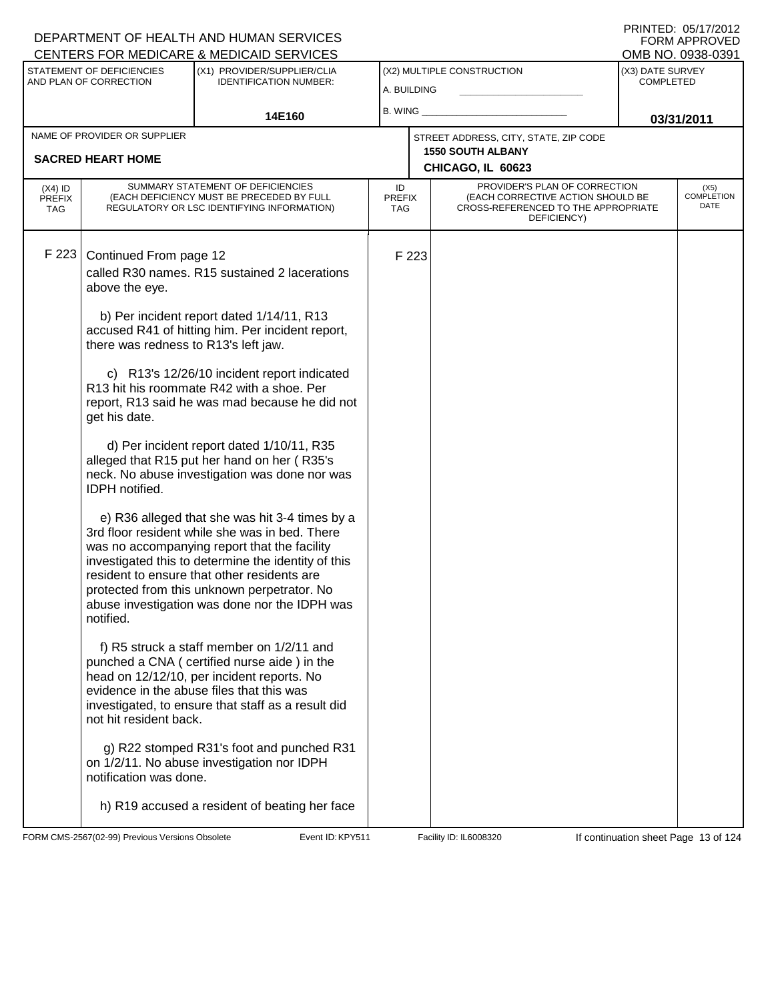#### A. BUILDING (X1) PROVIDER/SUPPLIER/CLIA IDENTIFICATION NUMBER: STATEMENT OF DEFICIENCIES AND PLAN OF CORRECTION (X3) DATE SURVEY COMPLETED FORM APPROVED<br>OMB NO. 0938-0391 (X2) MULTIPLE CONSTRUCTION B. WING **\_\_\_\_\_\_\_\_\_\_\_\_\_\_\_\_\_\_\_\_\_\_** CENTERS FOR MEDICARE & MEDICAID SERVICES 14E160 **B. WING CONSUMING (2011 03/31/2011 CHICAGO, IL 60623** NAME OF PROVIDER OR SUPPLIER STREET ADDRESS, CITY, STATE, ZIP CODE **SACRED HEART HOME 1550 SOUTH ALBANY** PROVIDER'S PLAN OF CORRECTION (EACH CORRECTIVE ACTION SHOULD BE CROSS-REFERENCED TO THE APPROPRIATE DEFICIENCY) (X5) COMPLETION DATE ID PREFIX TAG (X4) ID **PREFIX** TAG SUMMARY STATEMENT OF DEFICIENCIES (EACH DEFICIENCY MUST BE PRECEDED BY FULL REGULATORY OR LSC IDENTIFYING INFORMATION) F 223 Continued From page 12 F 223 called R30 names. R15 sustained 2 lacerations above the eye. b) Per incident report dated 1/14/11, R13 accused R41 of hitting him. Per incident report, there was redness to R13's left jaw. c) R13's 12/26/10 incident report indicated R13 hit his roommate R42 with a shoe. Per report, R13 said he was mad because he did not get his date. d) Per incident report dated 1/10/11, R35 alleged that R15 put her hand on her ( R35's neck. No abuse investigation was done nor was IDPH notified. e) R36 alleged that she was hit 3-4 times by a 3rd floor resident while she was in bed. There was no accompanying report that the facility investigated this to determine the identity of this resident to ensure that other residents are protected from this unknown perpetrator. No abuse investigation was done nor the IDPH was notified. f) R5 struck a staff member on 1/2/11 and punched a CNA ( certified nurse aide ) in the head on 12/12/10, per incident reports. No evidence in the abuse files that this was investigated, to ensure that staff as a result did not hit resident back. g) R22 stomped R31's foot and punched R31 on 1/2/11. No abuse investigation nor IDPH notification was done. h) R19 accused a resident of beating her face

FORM CMS-2567(02-99) Previous Versions Obsolete **KRY511** Event ID: KPY511 Facility ID: IL6008320 If continuation sheet Page 13 of 124

DEPARTMENT OF HEALTH AND HUMAN SERVICES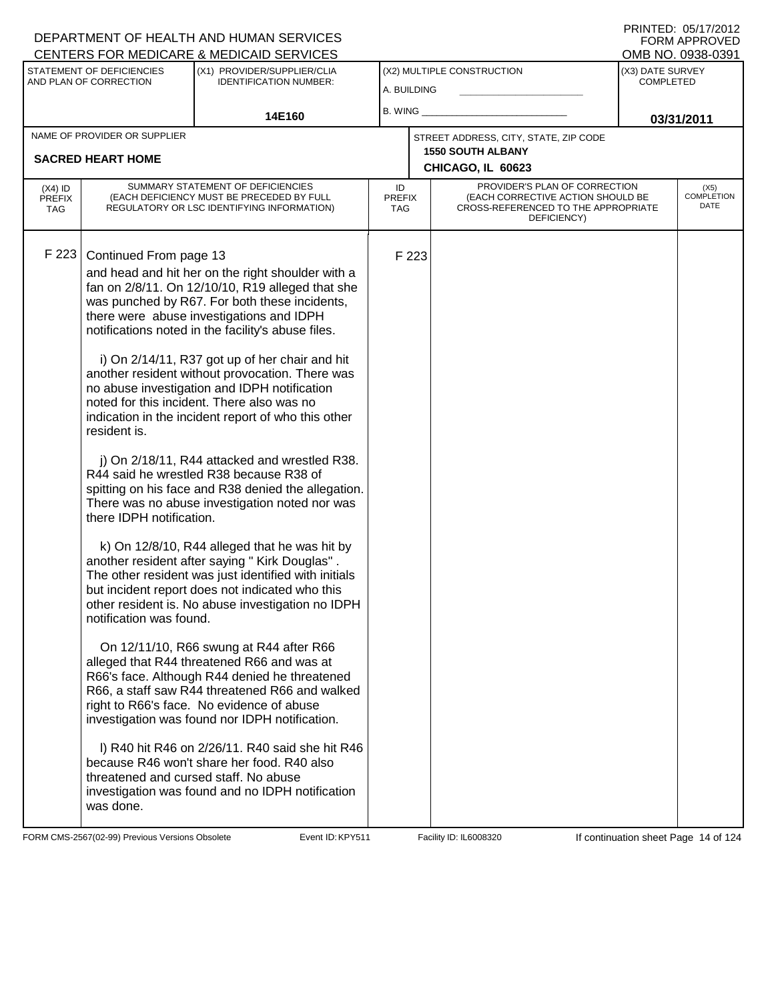| PRINTED: 05/17/2012 |               |
|---------------------|---------------|
|                     | FORM APPROVED |
| OMB NO. 0938-0391   |               |

| CENTERS FOR MEDICARE & MEDICAID SERVICES |                                                                                                            |                                                                                                                                                                                                                                                                                                                                                                                                                                                                                                                                                                                                                                                                                                                                                                                                                                                                                                                                                                                                                                                                                                                                                                                                                                                                                                                                                                                                                                                                                     |                            |       |                                                                                                                          |                                      | OMB NO. 0938-0391                 |
|------------------------------------------|------------------------------------------------------------------------------------------------------------|-------------------------------------------------------------------------------------------------------------------------------------------------------------------------------------------------------------------------------------------------------------------------------------------------------------------------------------------------------------------------------------------------------------------------------------------------------------------------------------------------------------------------------------------------------------------------------------------------------------------------------------------------------------------------------------------------------------------------------------------------------------------------------------------------------------------------------------------------------------------------------------------------------------------------------------------------------------------------------------------------------------------------------------------------------------------------------------------------------------------------------------------------------------------------------------------------------------------------------------------------------------------------------------------------------------------------------------------------------------------------------------------------------------------------------------------------------------------------------------|----------------------------|-------|--------------------------------------------------------------------------------------------------------------------------|--------------------------------------|-----------------------------------|
|                                          | STATEMENT OF DEFICIENCIES<br>AND PLAN OF CORRECTION                                                        | (X1) PROVIDER/SUPPLIER/CLIA<br><b>IDENTIFICATION NUMBER:</b>                                                                                                                                                                                                                                                                                                                                                                                                                                                                                                                                                                                                                                                                                                                                                                                                                                                                                                                                                                                                                                                                                                                                                                                                                                                                                                                                                                                                                        | A. BUILDING                |       | (X2) MULTIPLE CONSTRUCTION                                                                                               | (X3) DATE SURVEY<br><b>COMPLETED</b> |                                   |
|                                          |                                                                                                            | 14E160                                                                                                                                                                                                                                                                                                                                                                                                                                                                                                                                                                                                                                                                                                                                                                                                                                                                                                                                                                                                                                                                                                                                                                                                                                                                                                                                                                                                                                                                              | B. WING                    |       |                                                                                                                          |                                      | 03/31/2011                        |
|                                          | NAME OF PROVIDER OR SUPPLIER                                                                               |                                                                                                                                                                                                                                                                                                                                                                                                                                                                                                                                                                                                                                                                                                                                                                                                                                                                                                                                                                                                                                                                                                                                                                                                                                                                                                                                                                                                                                                                                     |                            |       | STREET ADDRESS, CITY, STATE, ZIP CODE                                                                                    |                                      |                                   |
|                                          | <b>SACRED HEART HOME</b>                                                                                   |                                                                                                                                                                                                                                                                                                                                                                                                                                                                                                                                                                                                                                                                                                                                                                                                                                                                                                                                                                                                                                                                                                                                                                                                                                                                                                                                                                                                                                                                                     |                            |       | <b>1550 SOUTH ALBANY</b><br>CHICAGO, IL 60623                                                                            |                                      |                                   |
| $(X4)$ ID<br><b>PREFIX</b><br><b>TAG</b> |                                                                                                            | SUMMARY STATEMENT OF DEFICIENCIES<br>(EACH DEFICIENCY MUST BE PRECEDED BY FULL<br>REGULATORY OR LSC IDENTIFYING INFORMATION)                                                                                                                                                                                                                                                                                                                                                                                                                                                                                                                                                                                                                                                                                                                                                                                                                                                                                                                                                                                                                                                                                                                                                                                                                                                                                                                                                        | ID<br><b>PREFIX</b><br>TAG |       | PROVIDER'S PLAN OF CORRECTION<br>(EACH CORRECTIVE ACTION SHOULD BE<br>CROSS-REFERENCED TO THE APPROPRIATE<br>DEFICIENCY) |                                      | (X5)<br><b>COMPLETION</b><br>DATE |
| F 223                                    | Continued From page 13<br>resident is.<br>there IDPH notification.<br>notification was found.<br>was done. | and head and hit her on the right shoulder with a<br>fan on 2/8/11. On 12/10/10, R19 alleged that she<br>was punched by R67. For both these incidents,<br>there were abuse investigations and IDPH<br>notifications noted in the facility's abuse files.<br>i) On 2/14/11, R37 got up of her chair and hit<br>another resident without provocation. There was<br>no abuse investigation and IDPH notification<br>noted for this incident. There also was no<br>indication in the incident report of who this other<br>j) On 2/18/11, R44 attacked and wrestled R38.<br>R44 said he wrestled R38 because R38 of<br>spitting on his face and R38 denied the allegation.<br>There was no abuse investigation noted nor was<br>k) On 12/8/10, R44 alleged that he was hit by<br>another resident after saying " Kirk Douglas".<br>The other resident was just identified with initials<br>but incident report does not indicated who this<br>other resident is. No abuse investigation no IDPH<br>On 12/11/10, R66 swung at R44 after R66<br>alleged that R44 threatened R66 and was at<br>R66's face. Although R44 denied he threatened<br>R66, a staff saw R44 threatened R66 and walked<br>right to R66's face. No evidence of abuse<br>investigation was found nor IDPH notification.<br>I) R40 hit R46 on 2/26/11. R40 said she hit R46<br>because R46 won't share her food. R40 also<br>threatened and cursed staff. No abuse<br>investigation was found and no IDPH notification |                            | F 223 |                                                                                                                          |                                      |                                   |

FORM CMS-2567(02-99) Previous Versions Obsolete Event ID: KPY511 Facility ID: IL6008320 If continuation sheet Page 14 of 124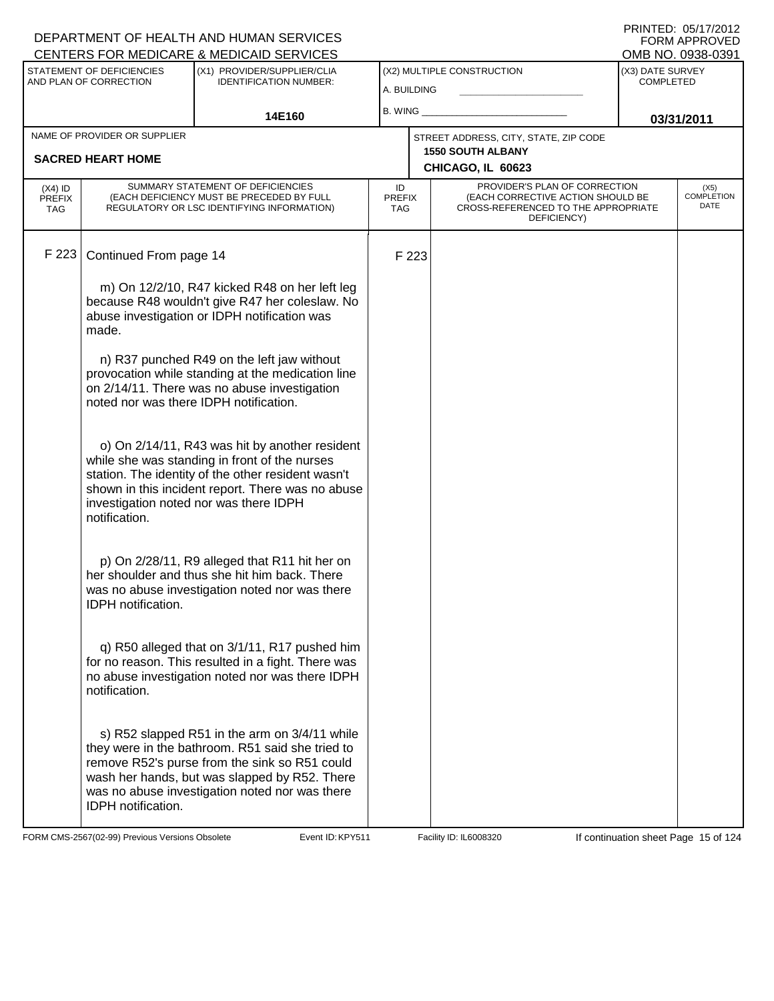|                                                                                                                                                                 |                                                          | DEPARTMENT OF HEALTH AND HUMAN SERVICES                                                                                                                                                                                                               |                                   |                            |                                                                                                                          |            | FORM APPROVED<br>OMB NO. 0938-0391 |  |
|-----------------------------------------------------------------------------------------------------------------------------------------------------------------|----------------------------------------------------------|-------------------------------------------------------------------------------------------------------------------------------------------------------------------------------------------------------------------------------------------------------|-----------------------------------|----------------------------|--------------------------------------------------------------------------------------------------------------------------|------------|------------------------------------|--|
| CENTERS FOR MEDICARE & MEDICAID SERVICES<br>STATEMENT OF DEFICIENCIES<br>(X1) PROVIDER/SUPPLIER/CLIA<br><b>IDENTIFICATION NUMBER:</b><br>AND PLAN OF CORRECTION |                                                          | A. BUILDING                                                                                                                                                                                                                                           |                                   | (X2) MULTIPLE CONSTRUCTION | (X3) DATE SURVEY<br><b>COMPLETED</b>                                                                                     |            |                                    |  |
|                                                                                                                                                                 |                                                          | 14E160                                                                                                                                                                                                                                                | B. WING                           |                            |                                                                                                                          | 03/31/2011 |                                    |  |
|                                                                                                                                                                 | NAME OF PROVIDER OR SUPPLIER<br><b>SACRED HEART HOME</b> |                                                                                                                                                                                                                                                       |                                   |                            | STREET ADDRESS, CITY, STATE, ZIP CODE<br><b>1550 SOUTH ALBANY</b>                                                        |            |                                    |  |
|                                                                                                                                                                 |                                                          |                                                                                                                                                                                                                                                       |                                   |                            | CHICAGO, IL 60623                                                                                                        |            |                                    |  |
| $(X4)$ ID<br><b>PREFIX</b><br>TAG                                                                                                                               |                                                          | SUMMARY STATEMENT OF DEFICIENCIES<br>(EACH DEFICIENCY MUST BE PRECEDED BY FULL<br>REGULATORY OR LSC IDENTIFYING INFORMATION)                                                                                                                          | ID<br><b>PREFIX</b><br><b>TAG</b> |                            | PROVIDER'S PLAN OF CORRECTION<br>(EACH CORRECTIVE ACTION SHOULD BE<br>CROSS-REFERENCED TO THE APPROPRIATE<br>DEFICIENCY) |            | $(X5)$<br>COMPLETION<br>DATE       |  |
| F 223                                                                                                                                                           | Continued From page 14                                   |                                                                                                                                                                                                                                                       |                                   | F 223                      |                                                                                                                          |            |                                    |  |
|                                                                                                                                                                 | made.                                                    | m) On 12/2/10, R47 kicked R48 on her left leg<br>because R48 wouldn't give R47 her coleslaw. No<br>abuse investigation or IDPH notification was                                                                                                       |                                   |                            |                                                                                                                          |            |                                    |  |
|                                                                                                                                                                 | noted nor was there IDPH notification.                   | n) R37 punched R49 on the left jaw without<br>provocation while standing at the medication line<br>on 2/14/11. There was no abuse investigation                                                                                                       |                                   |                            |                                                                                                                          |            |                                    |  |
|                                                                                                                                                                 | notification.                                            | o) On 2/14/11, R43 was hit by another resident<br>while she was standing in front of the nurses<br>station. The identity of the other resident wasn't<br>shown in this incident report. There was no abuse<br>investigation noted nor was there IDPH  |                                   |                            |                                                                                                                          |            |                                    |  |
|                                                                                                                                                                 | <b>IDPH</b> notification.                                | p) On 2/28/11, R9 alleged that R11 hit her on<br>her shoulder and thus she hit him back. There<br>was no abuse investigation noted nor was there                                                                                                      |                                   |                            |                                                                                                                          |            |                                    |  |
|                                                                                                                                                                 | notification.                                            | q) R50 alleged that on 3/1/11, R17 pushed him<br>for no reason. This resulted in a fight. There was<br>no abuse investigation noted nor was there IDPH                                                                                                |                                   |                            |                                                                                                                          |            |                                    |  |
|                                                                                                                                                                 | IDPH notification.                                       | s) R52 slapped R51 in the arm on 3/4/11 while<br>they were in the bathroom. R51 said she tried to<br>remove R52's purse from the sink so R51 could<br>wash her hands, but was slapped by R52. There<br>was no abuse investigation noted nor was there |                                   |                            |                                                                                                                          |            |                                    |  |

FORM CMS-2567(02-99) Previous Versions Obsolete Event ID: KPY511 Facility ID: IL6008320 If continuation sheet Page 15 of 124

DEPARTMENT OF HEALTH AND HUMAN SERVICES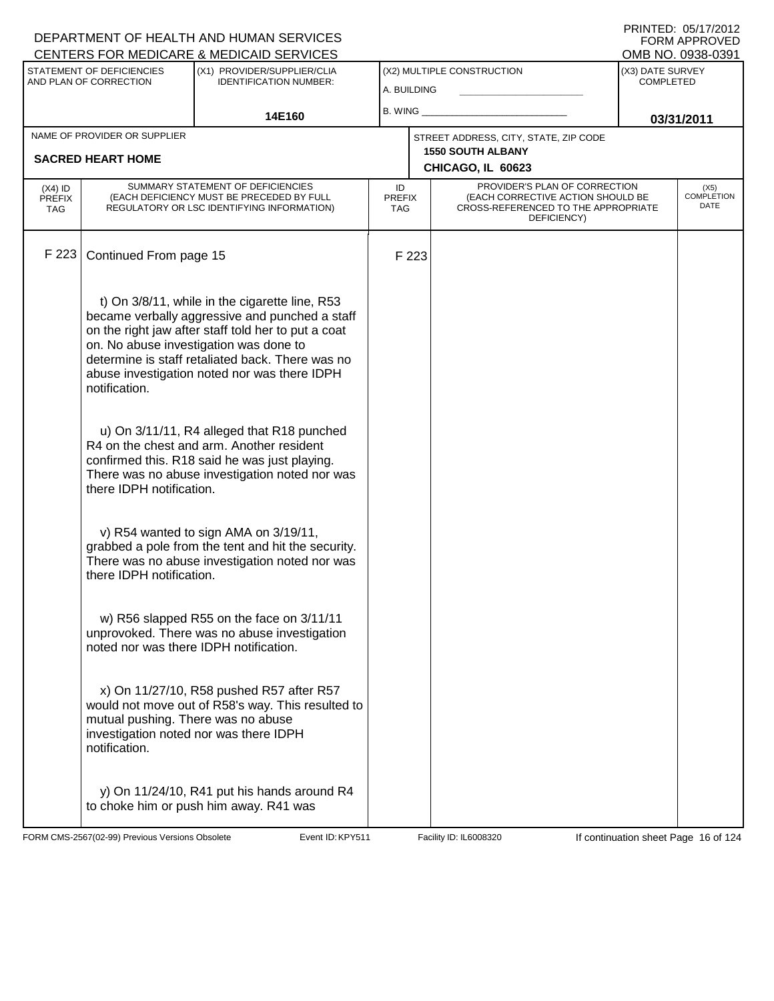|                                          |                                                     | DEPARTMENT OF HEALTH AND HUMAN SERVICES<br>CENTERS FOR MEDICARE & MEDICAID SERVICES                                                                                                                                                                                                                   |                                   |       |                                                                                                                          |                                      | FORM APPROVED<br>OMB NO. 0938-0391 |
|------------------------------------------|-----------------------------------------------------|-------------------------------------------------------------------------------------------------------------------------------------------------------------------------------------------------------------------------------------------------------------------------------------------------------|-----------------------------------|-------|--------------------------------------------------------------------------------------------------------------------------|--------------------------------------|------------------------------------|
|                                          | STATEMENT OF DEFICIENCIES<br>AND PLAN OF CORRECTION | (X1) PROVIDER/SUPPLIER/CLIA<br><b>IDENTIFICATION NUMBER:</b>                                                                                                                                                                                                                                          | A. BUILDING                       |       | (X2) MULTIPLE CONSTRUCTION                                                                                               | (X3) DATE SURVEY<br><b>COMPLETED</b> |                                    |
|                                          |                                                     | 14E160                                                                                                                                                                                                                                                                                                | B. WING                           |       |                                                                                                                          |                                      | 03/31/2011                         |
|                                          | NAME OF PROVIDER OR SUPPLIER                        |                                                                                                                                                                                                                                                                                                       |                                   |       | STREET ADDRESS, CITY, STATE, ZIP CODE<br><b>1550 SOUTH ALBANY</b>                                                        |                                      |                                    |
|                                          | <b>SACRED HEART HOME</b>                            |                                                                                                                                                                                                                                                                                                       |                                   |       | CHICAGO, IL 60623                                                                                                        |                                      |                                    |
| $(X4)$ ID<br><b>PREFIX</b><br><b>TAG</b> |                                                     | SUMMARY STATEMENT OF DEFICIENCIES<br>(EACH DEFICIENCY MUST BE PRECEDED BY FULL<br>REGULATORY OR LSC IDENTIFYING INFORMATION)                                                                                                                                                                          | ID<br><b>PREFIX</b><br><b>TAG</b> |       | PROVIDER'S PLAN OF CORRECTION<br>(EACH CORRECTIVE ACTION SHOULD BE<br>CROSS-REFERENCED TO THE APPROPRIATE<br>DEFICIENCY) |                                      | $(X5)$<br>COMPLETION<br>DATE       |
| F 223                                    | Continued From page 15                              |                                                                                                                                                                                                                                                                                                       |                                   | F 223 |                                                                                                                          |                                      |                                    |
|                                          | notification.                                       | t) On 3/8/11, while in the cigarette line, R53<br>became verbally aggressive and punched a staff<br>on the right jaw after staff told her to put a coat<br>on. No abuse investigation was done to<br>determine is staff retaliated back. There was no<br>abuse investigation noted nor was there IDPH |                                   |       |                                                                                                                          |                                      |                                    |
|                                          | there IDPH notification.                            | u) On 3/11/11, R4 alleged that R18 punched<br>R4 on the chest and arm. Another resident<br>confirmed this. R18 said he was just playing.<br>There was no abuse investigation noted nor was                                                                                                            |                                   |       |                                                                                                                          |                                      |                                    |
|                                          | there IDPH notification.                            | v) R54 wanted to sign AMA on 3/19/11,<br>grabbed a pole from the tent and hit the security.<br>There was no abuse investigation noted nor was                                                                                                                                                         |                                   |       |                                                                                                                          |                                      |                                    |
|                                          | noted nor was there IDPH notification.              | w) R56 slapped R55 on the face on 3/11/11<br>unprovoked. There was no abuse investigation                                                                                                                                                                                                             |                                   |       |                                                                                                                          |                                      |                                    |
|                                          | mutual pushing. There was no abuse<br>notification. | x) On 11/27/10, R58 pushed R57 after R57<br>would not move out of R58's way. This resulted to<br>investigation noted nor was there IDPH                                                                                                                                                               |                                   |       |                                                                                                                          |                                      |                                    |
|                                          |                                                     | y) On 11/24/10, R41 put his hands around R4<br>to choke him or push him away. R41 was                                                                                                                                                                                                                 |                                   |       |                                                                                                                          |                                      |                                    |

FORM CMS-2567(02-99) Previous Versions Obsolete Event ID: KPY511 Facility ID: IL6008320 If continuation sheet Page 16 of 124

DEPARTMENT OF HEALTH AND HUMAN SERVICES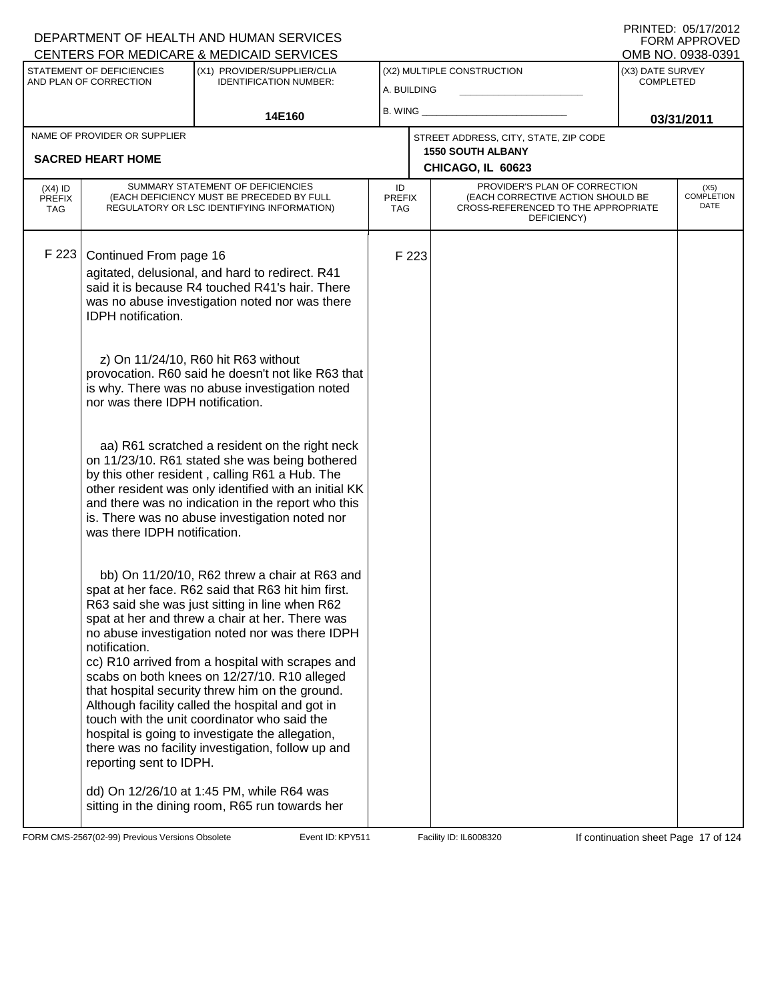| CENTERS FOR MEDICARE & MEDICAID SERVICES |                                                     |                                                                                                                                                                                                                                                                                                                                                                                                                                                                                                                                                                                                                                  |                            |       |                                                                                                                          |                                      | OMB NO. 0938-0391                 |
|------------------------------------------|-----------------------------------------------------|----------------------------------------------------------------------------------------------------------------------------------------------------------------------------------------------------------------------------------------------------------------------------------------------------------------------------------------------------------------------------------------------------------------------------------------------------------------------------------------------------------------------------------------------------------------------------------------------------------------------------------|----------------------------|-------|--------------------------------------------------------------------------------------------------------------------------|--------------------------------------|-----------------------------------|
|                                          | STATEMENT OF DEFICIENCIES<br>AND PLAN OF CORRECTION | (X1) PROVIDER/SUPPLIER/CLIA<br><b>IDENTIFICATION NUMBER:</b>                                                                                                                                                                                                                                                                                                                                                                                                                                                                                                                                                                     | A. BUILDING                |       | (X2) MULTIPLE CONSTRUCTION                                                                                               | (X3) DATE SURVEY<br><b>COMPLETED</b> |                                   |
|                                          |                                                     | 14E160                                                                                                                                                                                                                                                                                                                                                                                                                                                                                                                                                                                                                           | B. WING                    |       |                                                                                                                          | 03/31/2011                           |                                   |
|                                          | NAME OF PROVIDER OR SUPPLIER                        |                                                                                                                                                                                                                                                                                                                                                                                                                                                                                                                                                                                                                                  |                            |       | STREET ADDRESS, CITY, STATE, ZIP CODE                                                                                    |                                      |                                   |
|                                          | <b>SACRED HEART HOME</b>                            |                                                                                                                                                                                                                                                                                                                                                                                                                                                                                                                                                                                                                                  |                            |       | <b>1550 SOUTH ALBANY</b>                                                                                                 |                                      |                                   |
|                                          |                                                     |                                                                                                                                                                                                                                                                                                                                                                                                                                                                                                                                                                                                                                  |                            |       | CHICAGO, IL 60623                                                                                                        |                                      |                                   |
| $(X4)$ ID<br><b>PREFIX</b><br><b>TAG</b> |                                                     | SUMMARY STATEMENT OF DEFICIENCIES<br>(EACH DEFICIENCY MUST BE PRECEDED BY FULL<br>REGULATORY OR LSC IDENTIFYING INFORMATION)                                                                                                                                                                                                                                                                                                                                                                                                                                                                                                     | ID<br><b>PREFIX</b><br>TAG |       | PROVIDER'S PLAN OF CORRECTION<br>(EACH CORRECTIVE ACTION SHOULD BE<br>CROSS-REFERENCED TO THE APPROPRIATE<br>DEFICIENCY) |                                      | (X5)<br><b>COMPLETION</b><br>DATE |
| F 223                                    | Continued From page 16<br><b>IDPH</b> notification. | agitated, delusional, and hard to redirect. R41<br>said it is because R4 touched R41's hair. There<br>was no abuse investigation noted nor was there                                                                                                                                                                                                                                                                                                                                                                                                                                                                             |                            | F 223 |                                                                                                                          |                                      |                                   |
|                                          | nor was there IDPH notification.                    | z) On 11/24/10, R60 hit R63 without<br>provocation. R60 said he doesn't not like R63 that<br>is why. There was no abuse investigation noted                                                                                                                                                                                                                                                                                                                                                                                                                                                                                      |                            |       |                                                                                                                          |                                      |                                   |
|                                          | was there IDPH notification.                        | aa) R61 scratched a resident on the right neck<br>on 11/23/10. R61 stated she was being bothered<br>by this other resident, calling R61 a Hub. The<br>other resident was only identified with an initial KK<br>and there was no indication in the report who this<br>is. There was no abuse investigation noted nor                                                                                                                                                                                                                                                                                                              |                            |       |                                                                                                                          |                                      |                                   |
|                                          | notification.<br>reporting sent to IDPH.            | bb) On 11/20/10, R62 threw a chair at R63 and<br>spat at her face. R62 said that R63 hit him first.<br>R63 said she was just sitting in line when R62<br>spat at her and threw a chair at her. There was<br>no abuse investigation noted nor was there IDPH<br>cc) R10 arrived from a hospital with scrapes and<br>scabs on both knees on 12/27/10. R10 alleged<br>that hospital security threw him on the ground.<br>Although facility called the hospital and got in<br>touch with the unit coordinator who said the<br>hospital is going to investigate the allegation,<br>there was no facility investigation, follow up and |                            |       |                                                                                                                          |                                      |                                   |
|                                          |                                                     | dd) On 12/26/10 at 1:45 PM, while R64 was<br>sitting in the dining room, R65 run towards her                                                                                                                                                                                                                                                                                                                                                                                                                                                                                                                                     |                            |       |                                                                                                                          |                                      |                                   |

FORM CMS-2567(02-99) Previous Versions Obsolete Event ID: KPY511 Facility ID: IL6008320 If continuation sheet Page 17 of 124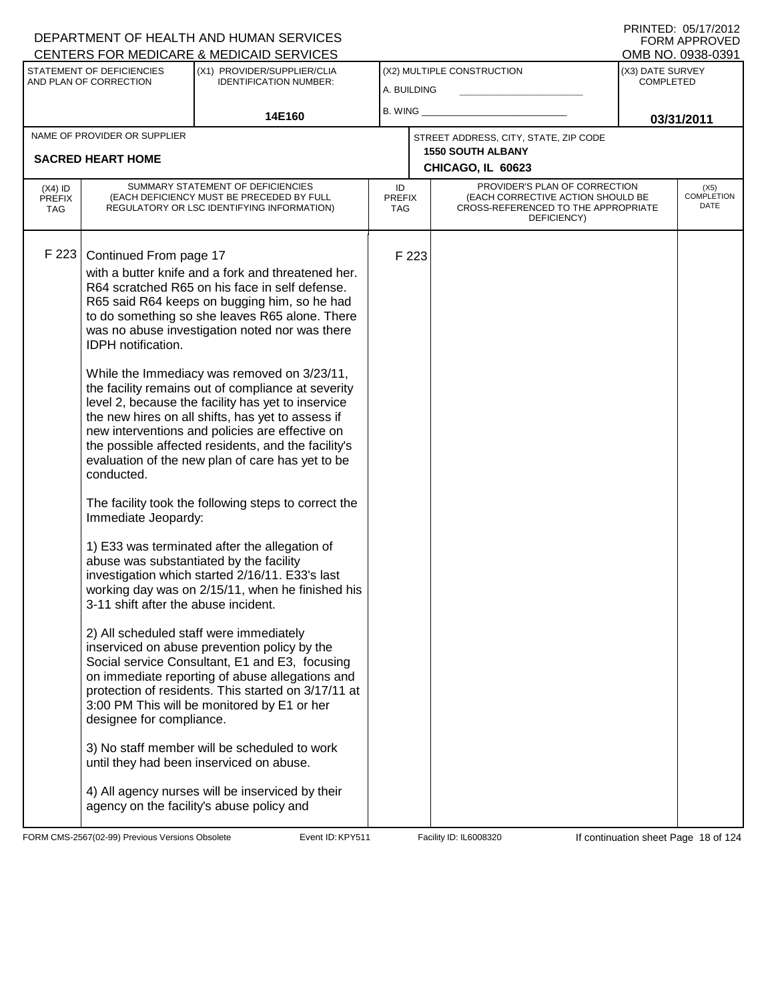PRINTED: 05/17/2012 FORM APPROVED<br>OMB NO. 0938-0391

| STATEMENT OF DEFICIENCIES<br>AND PLAN OF CORRECTION |                                                                                                                                                              | **********************<br>(X1) PROVIDER/SUPPLIER/CLIA<br><b>IDENTIFICATION NUMBER:</b>                                                                                                                                                                                                                                                                                                                                                                                                                                                                                                                                                                                                                                                                                                                                                                                                                                                                                                                                                                                                                                                                                                                                                                                                                                                                                                               | (X2) MULTIPLE CONSTRUCTION<br>A. BUILDING |       |                                                                                                                          | (X3) DATE SURVEY<br><b>COMPLETED</b> |                                   |
|-----------------------------------------------------|--------------------------------------------------------------------------------------------------------------------------------------------------------------|------------------------------------------------------------------------------------------------------------------------------------------------------------------------------------------------------------------------------------------------------------------------------------------------------------------------------------------------------------------------------------------------------------------------------------------------------------------------------------------------------------------------------------------------------------------------------------------------------------------------------------------------------------------------------------------------------------------------------------------------------------------------------------------------------------------------------------------------------------------------------------------------------------------------------------------------------------------------------------------------------------------------------------------------------------------------------------------------------------------------------------------------------------------------------------------------------------------------------------------------------------------------------------------------------------------------------------------------------------------------------------------------------|-------------------------------------------|-------|--------------------------------------------------------------------------------------------------------------------------|--------------------------------------|-----------------------------------|
|                                                     |                                                                                                                                                              | 14E160                                                                                                                                                                                                                                                                                                                                                                                                                                                                                                                                                                                                                                                                                                                                                                                                                                                                                                                                                                                                                                                                                                                                                                                                                                                                                                                                                                                               | B. WING _                                 |       |                                                                                                                          |                                      | 03/31/2011                        |
|                                                     | NAME OF PROVIDER OR SUPPLIER<br><b>SACRED HEART HOME</b>                                                                                                     |                                                                                                                                                                                                                                                                                                                                                                                                                                                                                                                                                                                                                                                                                                                                                                                                                                                                                                                                                                                                                                                                                                                                                                                                                                                                                                                                                                                                      |                                           |       | STREET ADDRESS, CITY, STATE, ZIP CODE<br><b>1550 SOUTH ALBANY</b><br>CHICAGO, IL 60623                                   |                                      |                                   |
| $(X4)$ ID<br><b>PREFIX</b><br><b>TAG</b>            |                                                                                                                                                              | SUMMARY STATEMENT OF DEFICIENCIES<br>(EACH DEFICIENCY MUST BE PRECEDED BY FULL<br>REGULATORY OR LSC IDENTIFYING INFORMATION)                                                                                                                                                                                                                                                                                                                                                                                                                                                                                                                                                                                                                                                                                                                                                                                                                                                                                                                                                                                                                                                                                                                                                                                                                                                                         | ID<br><b>PREFIX</b><br><b>TAG</b>         |       | PROVIDER'S PLAN OF CORRECTION<br>(EACH CORRECTIVE ACTION SHOULD BE<br>CROSS-REFERENCED TO THE APPROPRIATE<br>DEFICIENCY) |                                      | (X5)<br><b>COMPLETION</b><br>DATE |
| F 223                                               | Continued From page 17<br><b>IDPH</b> notification.<br>conducted.<br>Immediate Jeopardy:<br>3-11 shift after the abuse incident.<br>designee for compliance. | with a butter knife and a fork and threatened her.<br>R64 scratched R65 on his face in self defense.<br>R65 said R64 keeps on bugging him, so he had<br>to do something so she leaves R65 alone. There<br>was no abuse investigation noted nor was there<br>While the Immediacy was removed on 3/23/11,<br>the facility remains out of compliance at severity<br>level 2, because the facility has yet to inservice<br>the new hires on all shifts, has yet to assess if<br>new interventions and policies are effective on<br>the possible affected residents, and the facility's<br>evaluation of the new plan of care has yet to be<br>The facility took the following steps to correct the<br>1) E33 was terminated after the allegation of<br>abuse was substantiated by the facility<br>investigation which started 2/16/11. E33's last<br>working day was on 2/15/11, when he finished his<br>2) All scheduled staff were immediately<br>inserviced on abuse prevention policy by the<br>Social service Consultant, E1 and E3, focusing<br>on immediate reporting of abuse allegations and<br>protection of residents. This started on 3/17/11 at<br>3:00 PM This will be monitored by E1 or her<br>3) No staff member will be scheduled to work<br>until they had been inserviced on abuse.<br>4) All agency nurses will be inserviced by their<br>agency on the facility's abuse policy and |                                           | F 223 |                                                                                                                          |                                      |                                   |

FORM CMS-2567(02-99) Previous Versions Obsolete **KRY511** Event ID: KPY511 Facility ID: IL6008320 If continuation sheet Page 18 of 124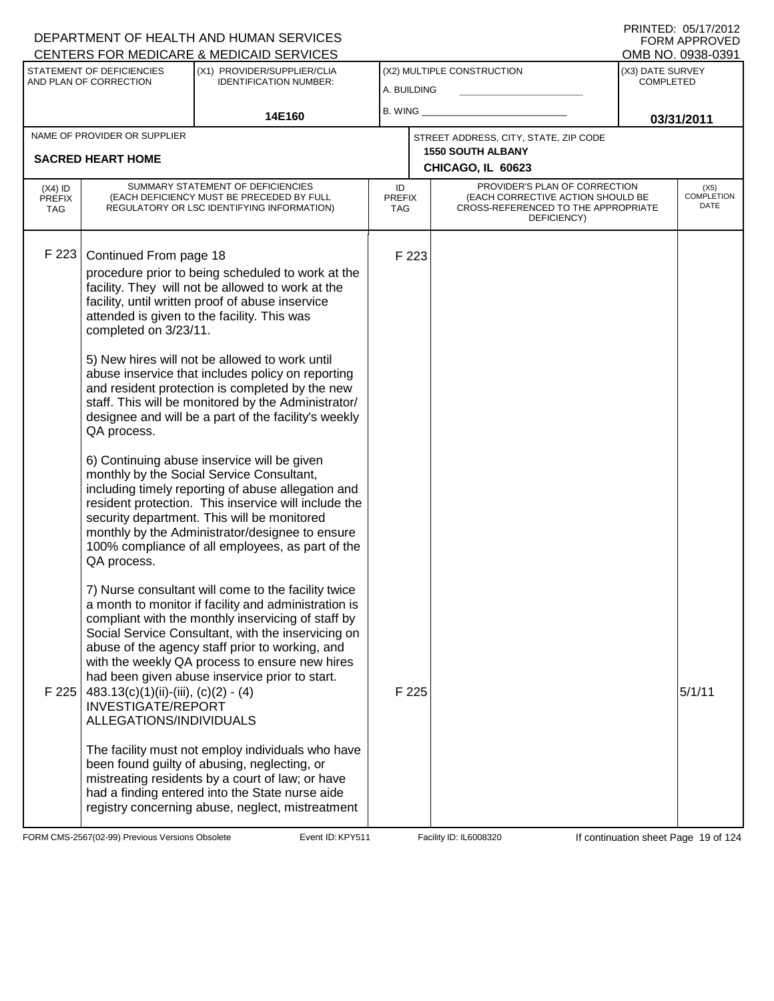|                                   |                                      | CENTERS FOR MEDICARE & MEDICAID SERVICES                                                                                     |                            |       |                                                                                                                          |                  | OMB NO. 0938-0391            |
|-----------------------------------|--------------------------------------|------------------------------------------------------------------------------------------------------------------------------|----------------------------|-------|--------------------------------------------------------------------------------------------------------------------------|------------------|------------------------------|
|                                   | STATEMENT OF DEFICIENCIES            | (X1) PROVIDER/SUPPLIER/CLIA                                                                                                  |                            |       | (X2) MULTIPLE CONSTRUCTION                                                                                               | (X3) DATE SURVEY |                              |
|                                   | AND PLAN OF CORRECTION               | <b>IDENTIFICATION NUMBER:</b>                                                                                                | A. BUILDING                |       |                                                                                                                          | <b>COMPLETED</b> |                              |
|                                   |                                      |                                                                                                                              | B. WING ___                |       |                                                                                                                          |                  |                              |
|                                   |                                      | 14E160                                                                                                                       |                            |       |                                                                                                                          |                  | 03/31/2011                   |
|                                   | NAME OF PROVIDER OR SUPPLIER         |                                                                                                                              |                            |       | STREET ADDRESS, CITY, STATE, ZIP CODE                                                                                    |                  |                              |
|                                   | <b>SACRED HEART HOME</b>             |                                                                                                                              |                            |       | <b>1550 SOUTH ALBANY</b><br>CHICAGO, IL 60623                                                                            |                  |                              |
|                                   |                                      |                                                                                                                              |                            |       |                                                                                                                          |                  |                              |
| $(X4)$ ID<br><b>PREFIX</b><br>TAG |                                      | SUMMARY STATEMENT OF DEFICIENCIES<br>(EACH DEFICIENCY MUST BE PRECEDED BY FULL<br>REGULATORY OR LSC IDENTIFYING INFORMATION) | ID<br><b>PREFIX</b><br>TAG |       | PROVIDER'S PLAN OF CORRECTION<br>(EACH CORRECTIVE ACTION SHOULD BE<br>CROSS-REFERENCED TO THE APPROPRIATE<br>DEFICIENCY) |                  | $(X5)$<br>COMPLETION<br>DATE |
|                                   |                                      |                                                                                                                              |                            |       |                                                                                                                          |                  |                              |
| F 223                             | Continued From page 18               |                                                                                                                              |                            | F 223 |                                                                                                                          |                  |                              |
|                                   |                                      | procedure prior to being scheduled to work at the                                                                            |                            |       |                                                                                                                          |                  |                              |
|                                   |                                      | facility. They will not be allowed to work at the                                                                            |                            |       |                                                                                                                          |                  |                              |
|                                   |                                      | facility, until written proof of abuse inservice                                                                             |                            |       |                                                                                                                          |                  |                              |
|                                   |                                      | attended is given to the facility. This was                                                                                  |                            |       |                                                                                                                          |                  |                              |
|                                   | completed on 3/23/11.                |                                                                                                                              |                            |       |                                                                                                                          |                  |                              |
|                                   |                                      | 5) New hires will not be allowed to work until                                                                               |                            |       |                                                                                                                          |                  |                              |
|                                   |                                      | abuse inservice that includes policy on reporting                                                                            |                            |       |                                                                                                                          |                  |                              |
|                                   |                                      | and resident protection is completed by the new                                                                              |                            |       |                                                                                                                          |                  |                              |
|                                   |                                      | staff. This will be monitored by the Administrator/                                                                          |                            |       |                                                                                                                          |                  |                              |
|                                   | QA process.                          | designee and will be a part of the facility's weekly                                                                         |                            |       |                                                                                                                          |                  |                              |
|                                   |                                      |                                                                                                                              |                            |       |                                                                                                                          |                  |                              |
|                                   |                                      | 6) Continuing abuse inservice will be given                                                                                  |                            |       |                                                                                                                          |                  |                              |
|                                   |                                      | monthly by the Social Service Consultant,                                                                                    |                            |       |                                                                                                                          |                  |                              |
|                                   |                                      | including timely reporting of abuse allegation and<br>resident protection. This inservice will include the                   |                            |       |                                                                                                                          |                  |                              |
|                                   |                                      | security department. This will be monitored                                                                                  |                            |       |                                                                                                                          |                  |                              |
|                                   |                                      | monthly by the Administrator/designee to ensure                                                                              |                            |       |                                                                                                                          |                  |                              |
|                                   |                                      | 100% compliance of all employees, as part of the                                                                             |                            |       |                                                                                                                          |                  |                              |
|                                   | QA process.                          |                                                                                                                              |                            |       |                                                                                                                          |                  |                              |
|                                   |                                      | 7) Nurse consultant will come to the facility twice                                                                          |                            |       |                                                                                                                          |                  |                              |
|                                   |                                      | a month to monitor if facility and administration is                                                                         |                            |       |                                                                                                                          |                  |                              |
|                                   |                                      | compliant with the monthly inservicing of staff by                                                                           |                            |       |                                                                                                                          |                  |                              |
|                                   |                                      | Social Service Consultant, with the inservicing on                                                                           |                            |       |                                                                                                                          |                  |                              |
|                                   |                                      | abuse of the agency staff prior to working, and<br>with the weekly QA process to ensure new hires                            |                            |       |                                                                                                                          |                  |                              |
|                                   |                                      | had been given abuse inservice prior to start.                                                                               |                            |       |                                                                                                                          |                  |                              |
| F 225                             | $483.13(c)(1)(ii)-(iii), (c)(2)-(4)$ |                                                                                                                              |                            | F 225 |                                                                                                                          |                  | 5/1/11                       |
|                                   | <b>INVESTIGATE/REPORT</b>            |                                                                                                                              |                            |       |                                                                                                                          |                  |                              |
|                                   | ALLEGATIONS/INDIVIDUALS              |                                                                                                                              |                            |       |                                                                                                                          |                  |                              |
|                                   |                                      | The facility must not employ individuals who have                                                                            |                            |       |                                                                                                                          |                  |                              |
|                                   |                                      | been found guilty of abusing, neglecting, or                                                                                 |                            |       |                                                                                                                          |                  |                              |
|                                   |                                      | mistreating residents by a court of law; or have                                                                             |                            |       |                                                                                                                          |                  |                              |
|                                   |                                      | had a finding entered into the State nurse aide                                                                              |                            |       |                                                                                                                          |                  |                              |
|                                   |                                      | registry concerning abuse, neglect, mistreatment                                                                             |                            |       |                                                                                                                          |                  |                              |

FORM CMS-2567(02-99) Previous Versions Obsolete Event ID: KPY511 Facility ID: IL6008320 If continuation sheet Page 19 of 124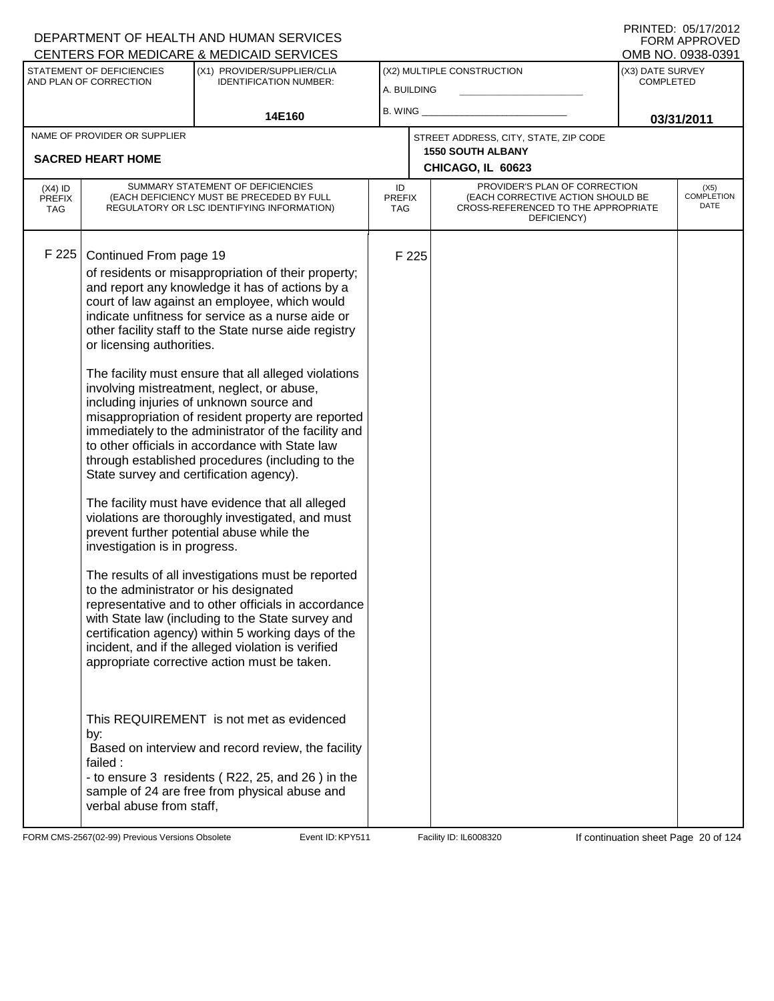| CENTERS FOR MEDICARE & MEDICAID SERVICES |                                                                                                                                |                                                                                                                                                                                                                                                                                                                                                                                                                                                                                                                                                                                                                                                                                                                                                                                                                                                                                                                                                                                                                                                                                                                                                                                                                        |                            |       |                                                                                                                          |                                      | OMB NO. 0938-0391                 |
|------------------------------------------|--------------------------------------------------------------------------------------------------------------------------------|------------------------------------------------------------------------------------------------------------------------------------------------------------------------------------------------------------------------------------------------------------------------------------------------------------------------------------------------------------------------------------------------------------------------------------------------------------------------------------------------------------------------------------------------------------------------------------------------------------------------------------------------------------------------------------------------------------------------------------------------------------------------------------------------------------------------------------------------------------------------------------------------------------------------------------------------------------------------------------------------------------------------------------------------------------------------------------------------------------------------------------------------------------------------------------------------------------------------|----------------------------|-------|--------------------------------------------------------------------------------------------------------------------------|--------------------------------------|-----------------------------------|
|                                          | STATEMENT OF DEFICIENCIES<br>AND PLAN OF CORRECTION                                                                            | (X1) PROVIDER/SUPPLIER/CLIA<br><b>IDENTIFICATION NUMBER:</b>                                                                                                                                                                                                                                                                                                                                                                                                                                                                                                                                                                                                                                                                                                                                                                                                                                                                                                                                                                                                                                                                                                                                                           | A. BUILDING                |       | (X2) MULTIPLE CONSTRUCTION                                                                                               | (X3) DATE SURVEY<br><b>COMPLETED</b> |                                   |
|                                          |                                                                                                                                | 14E160                                                                                                                                                                                                                                                                                                                                                                                                                                                                                                                                                                                                                                                                                                                                                                                                                                                                                                                                                                                                                                                                                                                                                                                                                 | <b>B. WING</b>             |       |                                                                                                                          |                                      | 03/31/2011                        |
|                                          | NAME OF PROVIDER OR SUPPLIER                                                                                                   |                                                                                                                                                                                                                                                                                                                                                                                                                                                                                                                                                                                                                                                                                                                                                                                                                                                                                                                                                                                                                                                                                                                                                                                                                        |                            |       | STREET ADDRESS, CITY, STATE, ZIP CODE                                                                                    |                                      |                                   |
|                                          | <b>SACRED HEART HOME</b>                                                                                                       |                                                                                                                                                                                                                                                                                                                                                                                                                                                                                                                                                                                                                                                                                                                                                                                                                                                                                                                                                                                                                                                                                                                                                                                                                        |                            |       | <b>1550 SOUTH ALBANY</b><br>CHICAGO, IL 60623                                                                            |                                      |                                   |
|                                          |                                                                                                                                |                                                                                                                                                                                                                                                                                                                                                                                                                                                                                                                                                                                                                                                                                                                                                                                                                                                                                                                                                                                                                                                                                                                                                                                                                        |                            |       |                                                                                                                          |                                      |                                   |
| $(X4)$ ID<br><b>PREFIX</b><br><b>TAG</b> |                                                                                                                                | SUMMARY STATEMENT OF DEFICIENCIES<br>(EACH DEFICIENCY MUST BE PRECEDED BY FULL<br>REGULATORY OR LSC IDENTIFYING INFORMATION)                                                                                                                                                                                                                                                                                                                                                                                                                                                                                                                                                                                                                                                                                                                                                                                                                                                                                                                                                                                                                                                                                           | ID<br><b>PREFIX</b><br>TAG |       | PROVIDER'S PLAN OF CORRECTION<br>(EACH CORRECTIVE ACTION SHOULD BE<br>CROSS-REFERENCED TO THE APPROPRIATE<br>DEFICIENCY) |                                      | (X5)<br><b>COMPLETION</b><br>DATE |
| F 225                                    | Continued From page 19<br>or licensing authorities.<br>investigation is in progress.<br>to the administrator or his designated | of residents or misappropriation of their property;<br>and report any knowledge it has of actions by a<br>court of law against an employee, which would<br>indicate unfitness for service as a nurse aide or<br>other facility staff to the State nurse aide registry<br>The facility must ensure that all alleged violations<br>involving mistreatment, neglect, or abuse,<br>including injuries of unknown source and<br>misappropriation of resident property are reported<br>immediately to the administrator of the facility and<br>to other officials in accordance with State law<br>through established procedures (including to the<br>State survey and certification agency).<br>The facility must have evidence that all alleged<br>violations are thoroughly investigated, and must<br>prevent further potential abuse while the<br>The results of all investigations must be reported<br>representative and to other officials in accordance<br>with State law (including to the State survey and<br>certification agency) within 5 working days of the<br>incident, and if the alleged violation is verified<br>appropriate corrective action must be taken.<br>This REQUIREMENT is not met as evidenced |                            | F 225 |                                                                                                                          |                                      |                                   |
|                                          | by:<br>failed:<br>verbal abuse from staff,                                                                                     | Based on interview and record review, the facility<br>- to ensure 3 residents (R22, 25, and 26) in the<br>sample of 24 are free from physical abuse and                                                                                                                                                                                                                                                                                                                                                                                                                                                                                                                                                                                                                                                                                                                                                                                                                                                                                                                                                                                                                                                                |                            |       |                                                                                                                          |                                      |                                   |

FORM CMS-2567(02-99) Previous Versions Obsolete Event ID: KPY511 Facility ID: IL6008320 If continuation sheet Page 20 of 124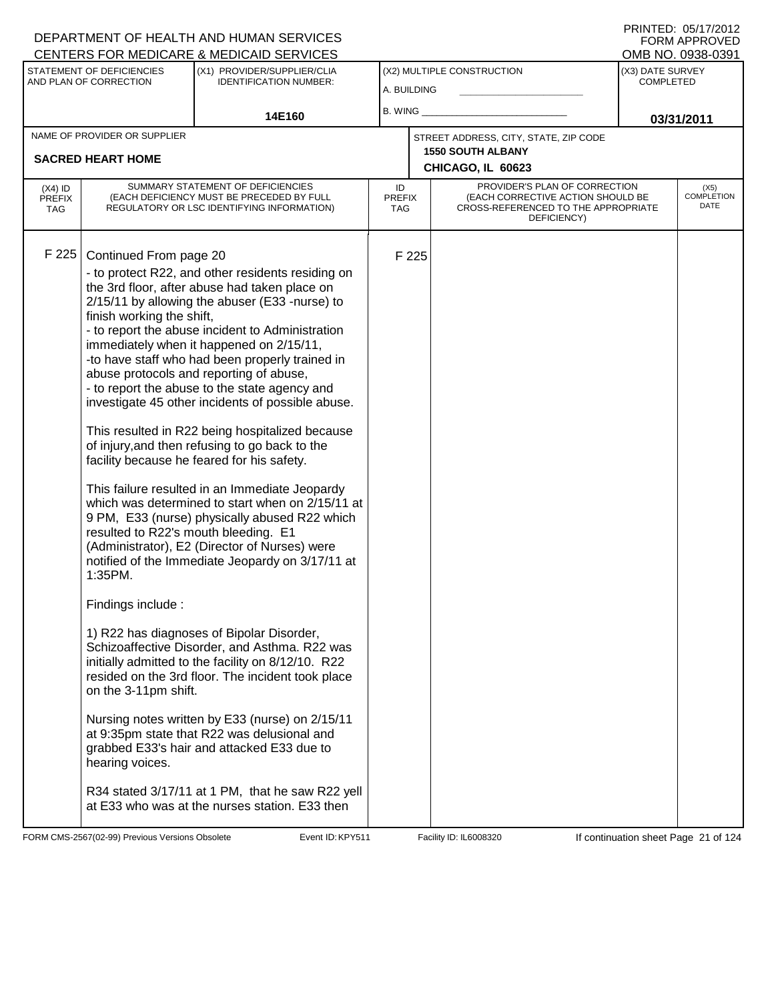| STATEMENT OF DEFICIENCIES<br>(X1) PROVIDER/SUPPLIER/CLIA<br>(X2) MULTIPLE CONSTRUCTION<br>(X3) DATE SURVEY<br>AND PLAN OF CORRECTION<br><b>IDENTIFICATION NUMBER:</b><br><b>COMPLETED</b><br>A. BUILDING<br>B. WING<br>14E160<br>03/31/2011<br>NAME OF PROVIDER OR SUPPLIER<br>STREET ADDRESS, CITY, STATE, ZIP CODE<br><b>1550 SOUTH ALBANY</b><br><b>SACRED HEART HOME</b><br>CHICAGO, IL 60623<br>SUMMARY STATEMENT OF DEFICIENCIES<br>PROVIDER'S PLAN OF CORRECTION<br>ID<br>$(X4)$ ID<br>(X5)<br><b>COMPLETION</b><br>(EACH CORRECTIVE ACTION SHOULD BE<br>(EACH DEFICIENCY MUST BE PRECEDED BY FULL<br><b>PREFIX</b><br><b>PREFIX</b><br>DATE<br>REGULATORY OR LSC IDENTIFYING INFORMATION)<br>CROSS-REFERENCED TO THE APPROPRIATE<br><b>TAG</b><br><b>TAG</b><br>DEFICIENCY)<br>F 225<br>Continued From page 20<br>F 225<br>- to protect R22, and other residents residing on<br>the 3rd floor, after abuse had taken place on<br>2/15/11 by allowing the abuser (E33 -nurse) to<br>finish working the shift,<br>- to report the abuse incident to Administration<br>immediately when it happened on 2/15/11,<br>-to have staff who had been properly trained in<br>abuse protocols and reporting of abuse,<br>- to report the abuse to the state agency and<br>investigate 45 other incidents of possible abuse.<br>This resulted in R22 being hospitalized because<br>of injury, and then refusing to go back to the<br>facility because he feared for his safety.<br>This failure resulted in an Immediate Jeopardy<br>which was determined to start when on 2/15/11 at<br>9 PM, E33 (nurse) physically abused R22 which<br>resulted to R22's mouth bleeding. E1<br>(Administrator), E2 (Director of Nurses) were<br>notified of the Immediate Jeopardy on 3/17/11 at<br>1:35PM.<br>Findings include:<br>1) R22 has diagnoses of Bipolar Disorder,<br>Schizoaffective Disorder, and Asthma. R22 was<br>initially admitted to the facility on 8/12/10. R22<br>resided on the 3rd floor. The incident took place<br>on the 3-11pm shift.<br>Nursing notes written by E33 (nurse) on 2/15/11<br>at 9:35pm state that R22 was delusional and<br>grabbed E33's hair and attacked E33 due to<br>hearing voices. | <b>CENTERS FOR MEDICARE &amp; MEDICAID SERVICES</b> |  |  |  |  | OMB NO. 0938-0391 |
|---------------------------------------------------------------------------------------------------------------------------------------------------------------------------------------------------------------------------------------------------------------------------------------------------------------------------------------------------------------------------------------------------------------------------------------------------------------------------------------------------------------------------------------------------------------------------------------------------------------------------------------------------------------------------------------------------------------------------------------------------------------------------------------------------------------------------------------------------------------------------------------------------------------------------------------------------------------------------------------------------------------------------------------------------------------------------------------------------------------------------------------------------------------------------------------------------------------------------------------------------------------------------------------------------------------------------------------------------------------------------------------------------------------------------------------------------------------------------------------------------------------------------------------------------------------------------------------------------------------------------------------------------------------------------------------------------------------------------------------------------------------------------------------------------------------------------------------------------------------------------------------------------------------------------------------------------------------------------------------------------------------------------------------------------------------------------------------------------------------------------------------------------------------------------------------------------------------------|-----------------------------------------------------|--|--|--|--|-------------------|
|                                                                                                                                                                                                                                                                                                                                                                                                                                                                                                                                                                                                                                                                                                                                                                                                                                                                                                                                                                                                                                                                                                                                                                                                                                                                                                                                                                                                                                                                                                                                                                                                                                                                                                                                                                                                                                                                                                                                                                                                                                                                                                                                                                                                                     |                                                     |  |  |  |  |                   |
|                                                                                                                                                                                                                                                                                                                                                                                                                                                                                                                                                                                                                                                                                                                                                                                                                                                                                                                                                                                                                                                                                                                                                                                                                                                                                                                                                                                                                                                                                                                                                                                                                                                                                                                                                                                                                                                                                                                                                                                                                                                                                                                                                                                                                     |                                                     |  |  |  |  |                   |
|                                                                                                                                                                                                                                                                                                                                                                                                                                                                                                                                                                                                                                                                                                                                                                                                                                                                                                                                                                                                                                                                                                                                                                                                                                                                                                                                                                                                                                                                                                                                                                                                                                                                                                                                                                                                                                                                                                                                                                                                                                                                                                                                                                                                                     |                                                     |  |  |  |  |                   |
|                                                                                                                                                                                                                                                                                                                                                                                                                                                                                                                                                                                                                                                                                                                                                                                                                                                                                                                                                                                                                                                                                                                                                                                                                                                                                                                                                                                                                                                                                                                                                                                                                                                                                                                                                                                                                                                                                                                                                                                                                                                                                                                                                                                                                     |                                                     |  |  |  |  |                   |
|                                                                                                                                                                                                                                                                                                                                                                                                                                                                                                                                                                                                                                                                                                                                                                                                                                                                                                                                                                                                                                                                                                                                                                                                                                                                                                                                                                                                                                                                                                                                                                                                                                                                                                                                                                                                                                                                                                                                                                                                                                                                                                                                                                                                                     |                                                     |  |  |  |  |                   |
|                                                                                                                                                                                                                                                                                                                                                                                                                                                                                                                                                                                                                                                                                                                                                                                                                                                                                                                                                                                                                                                                                                                                                                                                                                                                                                                                                                                                                                                                                                                                                                                                                                                                                                                                                                                                                                                                                                                                                                                                                                                                                                                                                                                                                     |                                                     |  |  |  |  |                   |
| R34 stated 3/17/11 at 1 PM, that he saw R22 yell<br>at E33 who was at the nurses station. E33 then                                                                                                                                                                                                                                                                                                                                                                                                                                                                                                                                                                                                                                                                                                                                                                                                                                                                                                                                                                                                                                                                                                                                                                                                                                                                                                                                                                                                                                                                                                                                                                                                                                                                                                                                                                                                                                                                                                                                                                                                                                                                                                                  |                                                     |  |  |  |  |                   |

FORM CMS-2567(02-99) Previous Versions Obsolete Event ID: KPY511 Facility ID: IL6008320 If continuation sheet Page 21 of 124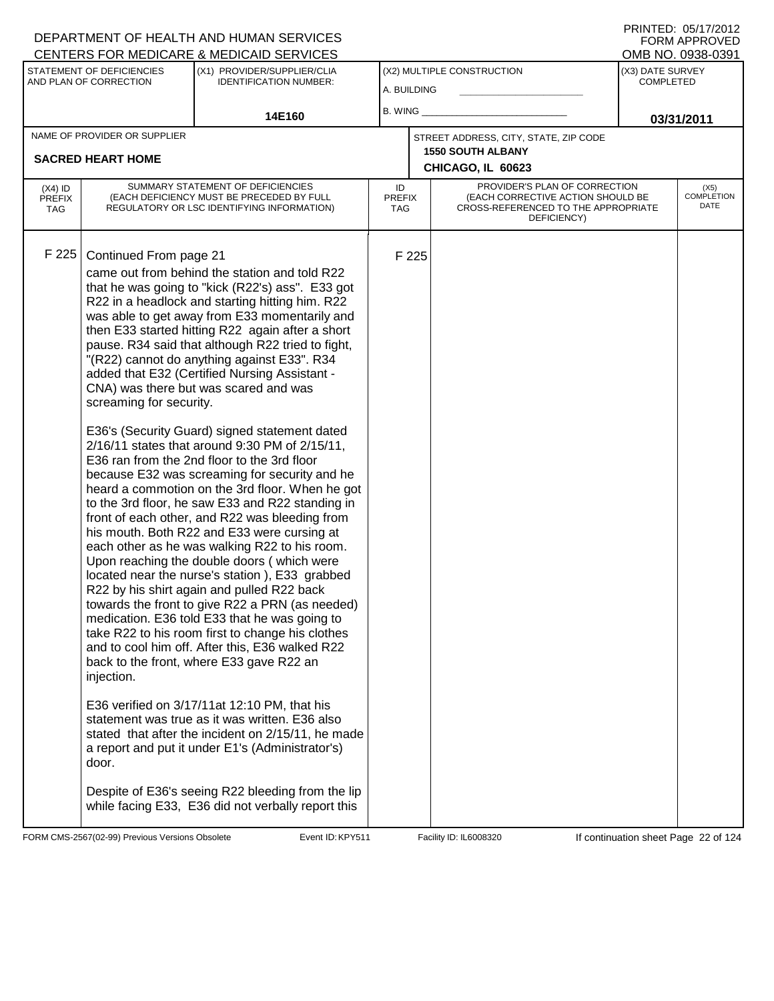|                                          |                                                                          | <u>CENTERS FOR MEDICARE &amp; MEDICAID SERVICES</u>                                                                                                                                                                                                                                                                                                                                                                                                                                                                                                                                                                                                                                                                                                                                                                                                                                                                                                                                                                                                                                                                                                                                                                                                                                                                                                                                                                                                                                                                                                                                                                                             |                            |       |                                                                                                                          |                                      | UMB NU. 0938-0391                 |  |
|------------------------------------------|--------------------------------------------------------------------------|-------------------------------------------------------------------------------------------------------------------------------------------------------------------------------------------------------------------------------------------------------------------------------------------------------------------------------------------------------------------------------------------------------------------------------------------------------------------------------------------------------------------------------------------------------------------------------------------------------------------------------------------------------------------------------------------------------------------------------------------------------------------------------------------------------------------------------------------------------------------------------------------------------------------------------------------------------------------------------------------------------------------------------------------------------------------------------------------------------------------------------------------------------------------------------------------------------------------------------------------------------------------------------------------------------------------------------------------------------------------------------------------------------------------------------------------------------------------------------------------------------------------------------------------------------------------------------------------------------------------------------------------------|----------------------------|-------|--------------------------------------------------------------------------------------------------------------------------|--------------------------------------|-----------------------------------|--|
|                                          | STATEMENT OF DEFICIENCIES<br>AND PLAN OF CORRECTION                      | (X1) PROVIDER/SUPPLIER/CLIA<br><b>IDENTIFICATION NUMBER:</b>                                                                                                                                                                                                                                                                                                                                                                                                                                                                                                                                                                                                                                                                                                                                                                                                                                                                                                                                                                                                                                                                                                                                                                                                                                                                                                                                                                                                                                                                                                                                                                                    | A. BUILDING                |       | (X2) MULTIPLE CONSTRUCTION                                                                                               | (X3) DATE SURVEY<br><b>COMPLETED</b> |                                   |  |
|                                          |                                                                          | 14E160                                                                                                                                                                                                                                                                                                                                                                                                                                                                                                                                                                                                                                                                                                                                                                                                                                                                                                                                                                                                                                                                                                                                                                                                                                                                                                                                                                                                                                                                                                                                                                                                                                          | $B.$ WING $\_$             |       |                                                                                                                          | 03/31/2011                           |                                   |  |
|                                          | NAME OF PROVIDER OR SUPPLIER                                             |                                                                                                                                                                                                                                                                                                                                                                                                                                                                                                                                                                                                                                                                                                                                                                                                                                                                                                                                                                                                                                                                                                                                                                                                                                                                                                                                                                                                                                                                                                                                                                                                                                                 |                            |       | STREET ADDRESS, CITY, STATE, ZIP CODE                                                                                    |                                      |                                   |  |
|                                          | <b>SACRED HEART HOME</b>                                                 |                                                                                                                                                                                                                                                                                                                                                                                                                                                                                                                                                                                                                                                                                                                                                                                                                                                                                                                                                                                                                                                                                                                                                                                                                                                                                                                                                                                                                                                                                                                                                                                                                                                 |                            |       | <b>1550 SOUTH ALBANY</b><br>CHICAGO, IL 60623                                                                            |                                      |                                   |  |
| $(X4)$ ID<br><b>PREFIX</b><br><b>TAG</b> |                                                                          | SUMMARY STATEMENT OF DEFICIENCIES<br>(EACH DEFICIENCY MUST BE PRECEDED BY FULL<br>REGULATORY OR LSC IDENTIFYING INFORMATION)                                                                                                                                                                                                                                                                                                                                                                                                                                                                                                                                                                                                                                                                                                                                                                                                                                                                                                                                                                                                                                                                                                                                                                                                                                                                                                                                                                                                                                                                                                                    | ID<br><b>PREFIX</b><br>TAG |       | PROVIDER'S PLAN OF CORRECTION<br>(EACH CORRECTIVE ACTION SHOULD BE<br>CROSS-REFERENCED TO THE APPROPRIATE<br>DEFICIENCY) |                                      | (X5)<br><b>COMPLETION</b><br>DATE |  |
| F 225                                    | Continued From page 21<br>screaming for security.<br>injection.<br>door. | came out from behind the station and told R22<br>that he was going to "kick (R22's) ass". E33 got<br>R22 in a headlock and starting hitting him. R22<br>was able to get away from E33 momentarily and<br>then E33 started hitting R22 again after a short<br>pause. R34 said that although R22 tried to fight,<br>"(R22) cannot do anything against E33". R34<br>added that E32 (Certified Nursing Assistant -<br>CNA) was there but was scared and was<br>E36's (Security Guard) signed statement dated<br>2/16/11 states that around 9:30 PM of 2/15/11,<br>E36 ran from the 2nd floor to the 3rd floor<br>because E32 was screaming for security and he<br>heard a commotion on the 3rd floor. When he got<br>to the 3rd floor, he saw E33 and R22 standing in<br>front of each other, and R22 was bleeding from<br>his mouth. Both R22 and E33 were cursing at<br>each other as he was walking R22 to his room.<br>Upon reaching the double doors (which were<br>located near the nurse's station), E33 grabbed<br>R22 by his shirt again and pulled R22 back<br>towards the front to give R22 a PRN (as needed)<br>medication. E36 told E33 that he was going to<br>take R22 to his room first to change his clothes<br>and to cool him off. After this, E36 walked R22<br>back to the front, where E33 gave R22 an<br>E36 verified on 3/17/11at 12:10 PM, that his<br>statement was true as it was written. E36 also<br>stated that after the incident on 2/15/11, he made<br>a report and put it under E1's (Administrator's)<br>Despite of E36's seeing R22 bleeding from the lip<br>while facing E33, E36 did not verbally report this |                            | F 225 |                                                                                                                          |                                      |                                   |  |

FORM CMS-2567(02-99) Previous Versions Obsolete Event ID: KPY511 Facility ID: IL6008320 If continuation sheet Page 22 of 124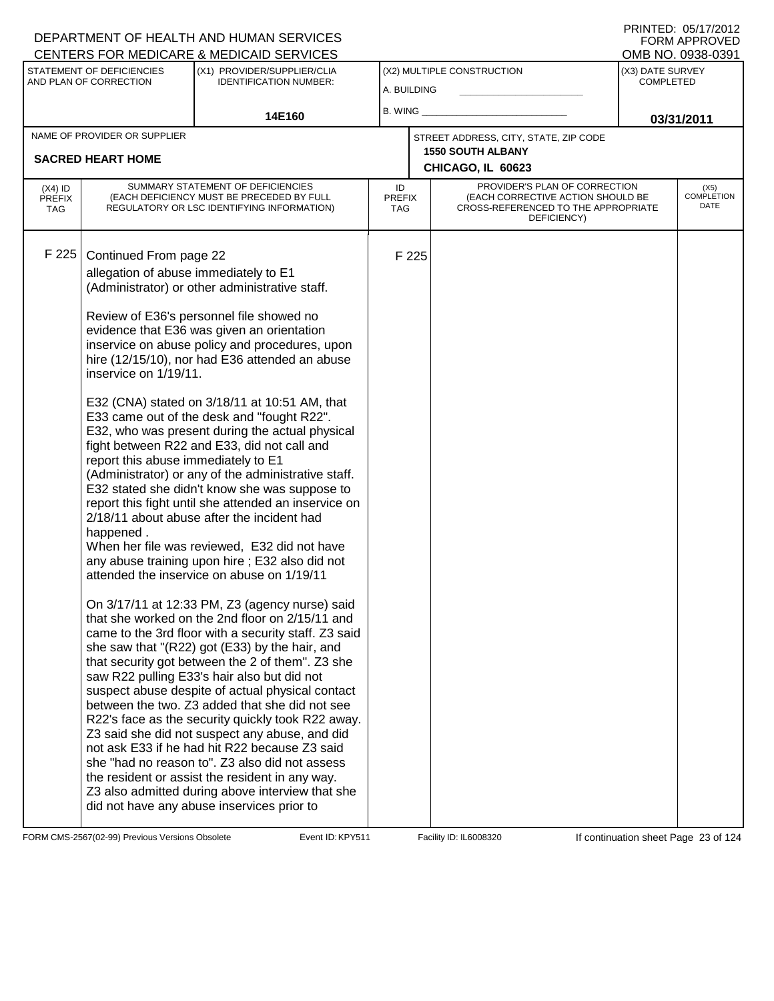|                                          |                                                     | CENTERS FOR MEDICARE & MEDICAID SERVICES                                                                                                                                                                                                                                                                                                                                                                                                                                                                                                                                                                                                                                                                                                                                            |                                   |       |                                                                                                                          |                                      | OMB NO. 0938-0391            |
|------------------------------------------|-----------------------------------------------------|-------------------------------------------------------------------------------------------------------------------------------------------------------------------------------------------------------------------------------------------------------------------------------------------------------------------------------------------------------------------------------------------------------------------------------------------------------------------------------------------------------------------------------------------------------------------------------------------------------------------------------------------------------------------------------------------------------------------------------------------------------------------------------------|-----------------------------------|-------|--------------------------------------------------------------------------------------------------------------------------|--------------------------------------|------------------------------|
|                                          | STATEMENT OF DEFICIENCIES<br>AND PLAN OF CORRECTION | (X1) PROVIDER/SUPPLIER/CLIA<br><b>IDENTIFICATION NUMBER:</b>                                                                                                                                                                                                                                                                                                                                                                                                                                                                                                                                                                                                                                                                                                                        | A. BUILDING                       |       | (X2) MULTIPLE CONSTRUCTION                                                                                               | (X3) DATE SURVEY<br><b>COMPLETED</b> |                              |
|                                          |                                                     | 14E160                                                                                                                                                                                                                                                                                                                                                                                                                                                                                                                                                                                                                                                                                                                                                                              | <b>B. WING</b>                    |       |                                                                                                                          |                                      | 03/31/2011                   |
|                                          | NAME OF PROVIDER OR SUPPLIER                        |                                                                                                                                                                                                                                                                                                                                                                                                                                                                                                                                                                                                                                                                                                                                                                                     |                                   |       | STREET ADDRESS, CITY, STATE, ZIP CODE                                                                                    |                                      |                              |
|                                          | <b>SACRED HEART HOME</b>                            |                                                                                                                                                                                                                                                                                                                                                                                                                                                                                                                                                                                                                                                                                                                                                                                     |                                   |       | <b>1550 SOUTH ALBANY</b><br>CHICAGO, IL 60623                                                                            |                                      |                              |
|                                          |                                                     |                                                                                                                                                                                                                                                                                                                                                                                                                                                                                                                                                                                                                                                                                                                                                                                     |                                   |       |                                                                                                                          |                                      |                              |
| $(X4)$ ID<br><b>PREFIX</b><br><b>TAG</b> |                                                     | SUMMARY STATEMENT OF DEFICIENCIES<br>(EACH DEFICIENCY MUST BE PRECEDED BY FULL<br>REGULATORY OR LSC IDENTIFYING INFORMATION)                                                                                                                                                                                                                                                                                                                                                                                                                                                                                                                                                                                                                                                        | ID<br><b>PREFIX</b><br><b>TAG</b> |       | PROVIDER'S PLAN OF CORRECTION<br>(EACH CORRECTIVE ACTION SHOULD BE<br>CROSS-REFERENCED TO THE APPROPRIATE<br>DEFICIENCY) |                                      | $(X5)$<br>COMPLETION<br>DATE |
| F 225                                    | Continued From page 22                              |                                                                                                                                                                                                                                                                                                                                                                                                                                                                                                                                                                                                                                                                                                                                                                                     |                                   | F 225 |                                                                                                                          |                                      |                              |
|                                          | allegation of abuse immediately to E1               | (Administrator) or other administrative staff.                                                                                                                                                                                                                                                                                                                                                                                                                                                                                                                                                                                                                                                                                                                                      |                                   |       |                                                                                                                          |                                      |                              |
|                                          | inservice on 1/19/11.                               | Review of E36's personnel file showed no<br>evidence that E36 was given an orientation<br>inservice on abuse policy and procedures, upon<br>hire (12/15/10), nor had E36 attended an abuse                                                                                                                                                                                                                                                                                                                                                                                                                                                                                                                                                                                          |                                   |       |                                                                                                                          |                                      |                              |
|                                          | report this abuse immediately to E1<br>happened.    | E32 (CNA) stated on 3/18/11 at 10:51 AM, that<br>E33 came out of the desk and "fought R22".<br>E32, who was present during the actual physical<br>fight between R22 and E33, did not call and<br>(Administrator) or any of the administrative staff.<br>E32 stated she didn't know she was suppose to<br>report this fight until she attended an inservice on<br>2/18/11 about abuse after the incident had<br>When her file was reviewed, E32 did not have<br>any abuse training upon hire; E32 also did not<br>attended the inservice on abuse on 1/19/11                                                                                                                                                                                                                         |                                   |       |                                                                                                                          |                                      |                              |
|                                          |                                                     | On 3/17/11 at 12:33 PM, Z3 (agency nurse) said<br>that she worked on the 2nd floor on 2/15/11 and<br>came to the 3rd floor with a security staff. Z3 said<br>she saw that "(R22) got (E33) by the hair, and<br>that security got between the 2 of them". Z3 she<br>saw R22 pulling E33's hair also but did not<br>suspect abuse despite of actual physical contact<br>between the two. Z3 added that she did not see<br>R22's face as the security quickly took R22 away.<br>Z3 said she did not suspect any abuse, and did<br>not ask E33 if he had hit R22 because Z3 said<br>she "had no reason to". Z3 also did not assess<br>the resident or assist the resident in any way.<br>Z3 also admitted during above interview that she<br>did not have any abuse inservices prior to |                                   |       |                                                                                                                          |                                      |                              |

FORM CMS-2567(02-99) Previous Versions Obsolete **KRYS11** Event ID: KPY511 Facility ID: IL6008320 If continuation sheet Page 23 of 124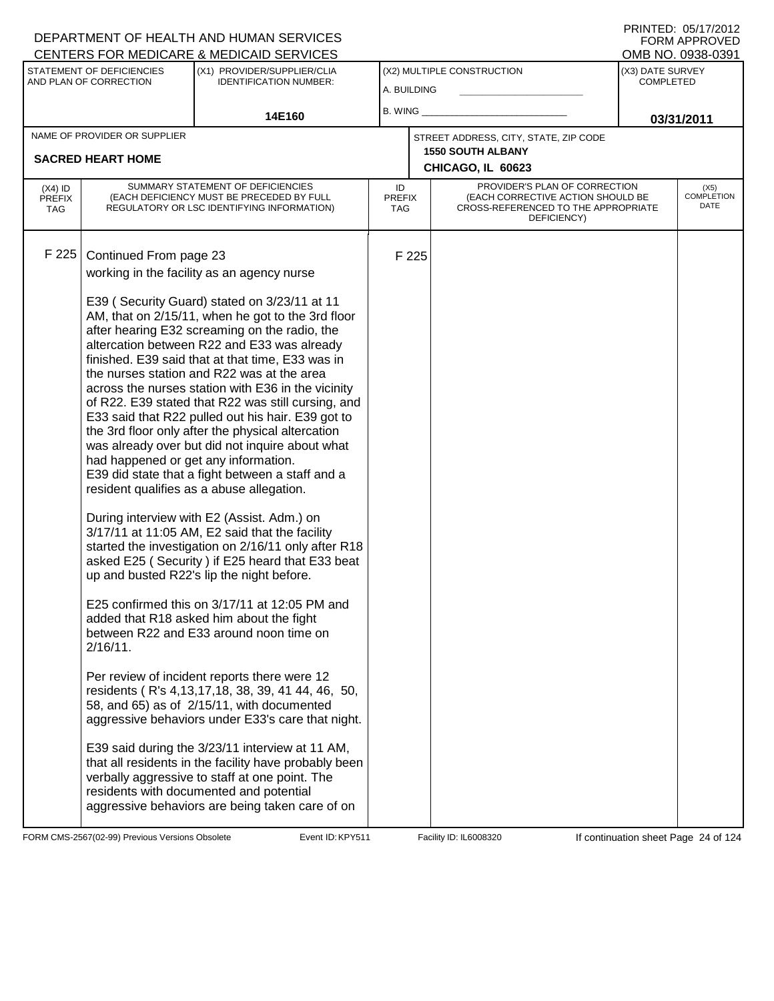| <b>CENTERS FOR MEDICARE &amp; MEDICAID SERVICES</b> |                                                                               |                                                                                                                                                                                                                                                                                                                                                                                                                                                                                                                                                                                                                                                                                                                                                                                                                                                                                                                                                                                                                                                                                                                                                                                                                                                                                                                                                                                                                                                                                                                                                                                                |                            |       |                                                                                                                          |                                      | OMB NO. 0938-0391            |
|-----------------------------------------------------|-------------------------------------------------------------------------------|------------------------------------------------------------------------------------------------------------------------------------------------------------------------------------------------------------------------------------------------------------------------------------------------------------------------------------------------------------------------------------------------------------------------------------------------------------------------------------------------------------------------------------------------------------------------------------------------------------------------------------------------------------------------------------------------------------------------------------------------------------------------------------------------------------------------------------------------------------------------------------------------------------------------------------------------------------------------------------------------------------------------------------------------------------------------------------------------------------------------------------------------------------------------------------------------------------------------------------------------------------------------------------------------------------------------------------------------------------------------------------------------------------------------------------------------------------------------------------------------------------------------------------------------------------------------------------------------|----------------------------|-------|--------------------------------------------------------------------------------------------------------------------------|--------------------------------------|------------------------------|
|                                                     | STATEMENT OF DEFICIENCIES<br>AND PLAN OF CORRECTION                           | (X1) PROVIDER/SUPPLIER/CLIA<br><b>IDENTIFICATION NUMBER:</b>                                                                                                                                                                                                                                                                                                                                                                                                                                                                                                                                                                                                                                                                                                                                                                                                                                                                                                                                                                                                                                                                                                                                                                                                                                                                                                                                                                                                                                                                                                                                   | A. BUILDING                |       | (X2) MULTIPLE CONSTRUCTION                                                                                               | (X3) DATE SURVEY<br><b>COMPLETED</b> |                              |
|                                                     |                                                                               | 14E160                                                                                                                                                                                                                                                                                                                                                                                                                                                                                                                                                                                                                                                                                                                                                                                                                                                                                                                                                                                                                                                                                                                                                                                                                                                                                                                                                                                                                                                                                                                                                                                         | B. WING                    |       |                                                                                                                          | 03/31/2011                           |                              |
|                                                     | NAME OF PROVIDER OR SUPPLIER                                                  |                                                                                                                                                                                                                                                                                                                                                                                                                                                                                                                                                                                                                                                                                                                                                                                                                                                                                                                                                                                                                                                                                                                                                                                                                                                                                                                                                                                                                                                                                                                                                                                                |                            |       | STREET ADDRESS, CITY, STATE, ZIP CODE                                                                                    |                                      |                              |
|                                                     | <b>SACRED HEART HOME</b>                                                      |                                                                                                                                                                                                                                                                                                                                                                                                                                                                                                                                                                                                                                                                                                                                                                                                                                                                                                                                                                                                                                                                                                                                                                                                                                                                                                                                                                                                                                                                                                                                                                                                |                            |       | <b>1550 SOUTH ALBANY</b><br>CHICAGO, IL 60623                                                                            |                                      |                              |
| $(X4)$ ID<br><b>PREFIX</b><br><b>TAG</b>            |                                                                               | SUMMARY STATEMENT OF DEFICIENCIES<br>(EACH DEFICIENCY MUST BE PRECEDED BY FULL<br>REGULATORY OR LSC IDENTIFYING INFORMATION)                                                                                                                                                                                                                                                                                                                                                                                                                                                                                                                                                                                                                                                                                                                                                                                                                                                                                                                                                                                                                                                                                                                                                                                                                                                                                                                                                                                                                                                                   | ID<br><b>PREFIX</b><br>TAG |       | PROVIDER'S PLAN OF CORRECTION<br>(EACH CORRECTIVE ACTION SHOULD BE<br>CROSS-REFERENCED TO THE APPROPRIATE<br>DEFICIENCY) |                                      | $(X5)$<br>COMPLETION<br>DATE |
| F 225                                               | Continued From page 23<br>had happened or get any information.<br>$2/16/11$ . | working in the facility as an agency nurse<br>E39 (Security Guard) stated on 3/23/11 at 11<br>AM, that on 2/15/11, when he got to the 3rd floor<br>after hearing E32 screaming on the radio, the<br>altercation between R22 and E33 was already<br>finished. E39 said that at that time, E33 was in<br>the nurses station and R22 was at the area<br>across the nurses station with E36 in the vicinity<br>of R22. E39 stated that R22 was still cursing, and<br>E33 said that R22 pulled out his hair. E39 got to<br>the 3rd floor only after the physical altercation<br>was already over but did not inquire about what<br>E39 did state that a fight between a staff and a<br>resident qualifies as a abuse allegation.<br>During interview with E2 (Assist. Adm.) on<br>3/17/11 at 11:05 AM, E2 said that the facility<br>started the investigation on 2/16/11 only after R18<br>asked E25 (Security) if E25 heard that E33 beat<br>up and busted R22's lip the night before.<br>E25 confirmed this on 3/17/11 at 12:05 PM and<br>added that R18 asked him about the fight<br>between R22 and E33 around noon time on<br>Per review of incident reports there were 12<br>residents (R's 4,13,17,18, 38, 39, 41 44, 46, 50,<br>58, and 65) as of 2/15/11, with documented<br>aggressive behaviors under E33's care that night.<br>E39 said during the 3/23/11 interview at 11 AM,<br>that all residents in the facility have probably been<br>verbally aggressive to staff at one point. The<br>residents with documented and potential<br>aggressive behaviors are being taken care of on |                            | F 225 |                                                                                                                          |                                      |                              |

FORM CMS-2567(02-99) Previous Versions Obsolete KRYS11 Event ID: KPY511 Facility ID: IL6008320 If continuation sheet Page 24 of 124

 $\mathsf{L}$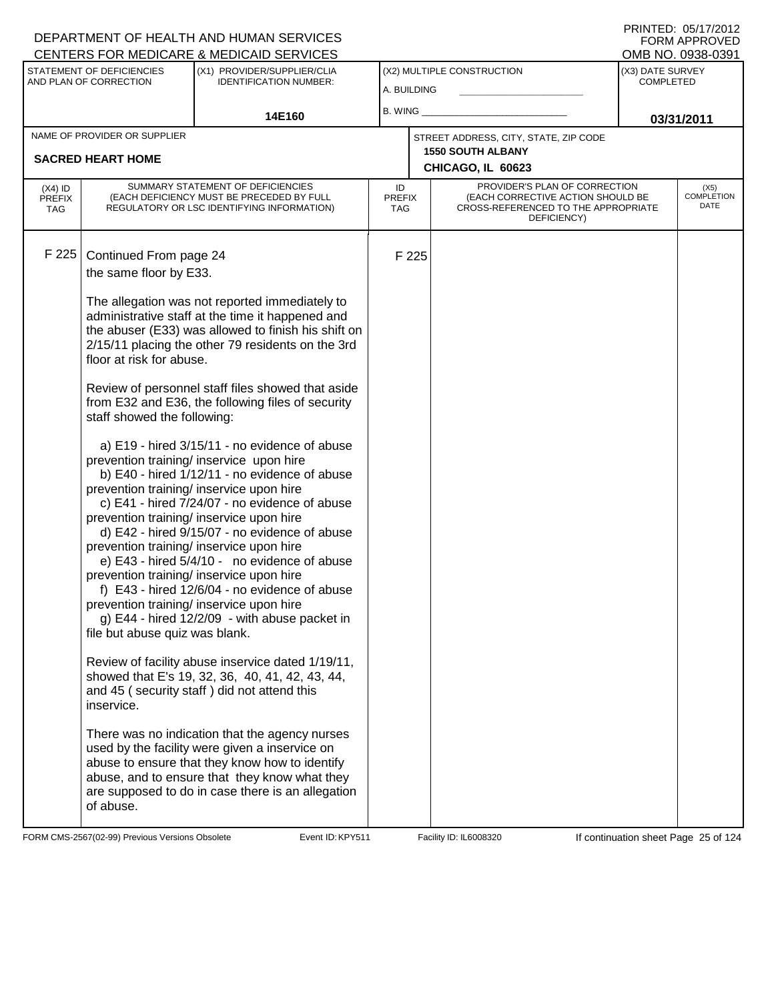| CENTERS FOR MEDICARE & MEDICAID SERVICES                                                                                                                                                                                                                                                                                                                                                                                                                  |                                                                                                                                                                                                                                                                                                                                                                                                                                                                                                                                                                                                                                                                                                                                                                                                                                                                                                                                                                                                                                                                                                     |                            |       |                                                                                                                          |                                      | OMB NO. 0938-0391                 |
|-----------------------------------------------------------------------------------------------------------------------------------------------------------------------------------------------------------------------------------------------------------------------------------------------------------------------------------------------------------------------------------------------------------------------------------------------------------|-----------------------------------------------------------------------------------------------------------------------------------------------------------------------------------------------------------------------------------------------------------------------------------------------------------------------------------------------------------------------------------------------------------------------------------------------------------------------------------------------------------------------------------------------------------------------------------------------------------------------------------------------------------------------------------------------------------------------------------------------------------------------------------------------------------------------------------------------------------------------------------------------------------------------------------------------------------------------------------------------------------------------------------------------------------------------------------------------------|----------------------------|-------|--------------------------------------------------------------------------------------------------------------------------|--------------------------------------|-----------------------------------|
| STATEMENT OF DEFICIENCIES<br>AND PLAN OF CORRECTION                                                                                                                                                                                                                                                                                                                                                                                                       | (X1) PROVIDER/SUPPLIER/CLIA<br><b>IDENTIFICATION NUMBER:</b>                                                                                                                                                                                                                                                                                                                                                                                                                                                                                                                                                                                                                                                                                                                                                                                                                                                                                                                                                                                                                                        | A. BUILDING                |       | (X2) MULTIPLE CONSTRUCTION                                                                                               | (X3) DATE SURVEY<br><b>COMPLETED</b> |                                   |
|                                                                                                                                                                                                                                                                                                                                                                                                                                                           |                                                                                                                                                                                                                                                                                                                                                                                                                                                                                                                                                                                                                                                                                                                                                                                                                                                                                                                                                                                                                                                                                                     | B. WING                    |       |                                                                                                                          |                                      |                                   |
|                                                                                                                                                                                                                                                                                                                                                                                                                                                           | 14E160                                                                                                                                                                                                                                                                                                                                                                                                                                                                                                                                                                                                                                                                                                                                                                                                                                                                                                                                                                                                                                                                                              |                            |       |                                                                                                                          |                                      | 03/31/2011                        |
| NAME OF PROVIDER OR SUPPLIER                                                                                                                                                                                                                                                                                                                                                                                                                              |                                                                                                                                                                                                                                                                                                                                                                                                                                                                                                                                                                                                                                                                                                                                                                                                                                                                                                                                                                                                                                                                                                     |                            |       | STREET ADDRESS, CITY, STATE, ZIP CODE<br><b>1550 SOUTH ALBANY</b>                                                        |                                      |                                   |
| <b>SACRED HEART HOME</b>                                                                                                                                                                                                                                                                                                                                                                                                                                  |                                                                                                                                                                                                                                                                                                                                                                                                                                                                                                                                                                                                                                                                                                                                                                                                                                                                                                                                                                                                                                                                                                     |                            |       | CHICAGO, IL 60623                                                                                                        |                                      |                                   |
| $(X4)$ ID<br><b>PREFIX</b><br><b>TAG</b>                                                                                                                                                                                                                                                                                                                                                                                                                  | SUMMARY STATEMENT OF DEFICIENCIES<br>(EACH DEFICIENCY MUST BE PRECEDED BY FULL<br>REGULATORY OR LSC IDENTIFYING INFORMATION)                                                                                                                                                                                                                                                                                                                                                                                                                                                                                                                                                                                                                                                                                                                                                                                                                                                                                                                                                                        | ID<br><b>PREFIX</b><br>TAG |       | PROVIDER'S PLAN OF CORRECTION<br>(EACH CORRECTIVE ACTION SHOULD BE<br>CROSS-REFERENCED TO THE APPROPRIATE<br>DEFICIENCY) |                                      | (X5)<br><b>COMPLETION</b><br>DATE |
| F 225<br>Continued From page 24<br>the same floor by E33.<br>floor at risk for abuse.<br>staff showed the following:<br>prevention training/ inservice upon hire<br>prevention training/ inservice upon hire<br>prevention training/ inservice upon hire<br>prevention training/ inservice upon hire<br>prevention training/ inservice upon hire<br>prevention training/ inservice upon hire<br>file but abuse quiz was blank.<br>inservice.<br>of abuse. | The allegation was not reported immediately to<br>administrative staff at the time it happened and<br>the abuser (E33) was allowed to finish his shift on<br>2/15/11 placing the other 79 residents on the 3rd<br>Review of personnel staff files showed that aside<br>from E32 and E36, the following files of security<br>a) E19 - hired 3/15/11 - no evidence of abuse<br>b) E40 - hired 1/12/11 - no evidence of abuse<br>c) E41 - hired 7/24/07 - no evidence of abuse<br>d) E42 - hired 9/15/07 - no evidence of abuse<br>e) E43 - hired 5/4/10 - no evidence of abuse<br>f) E43 - hired 12/6/04 - no evidence of abuse<br>g) E44 - hired $12/2/09$ - with abuse packet in<br>Review of facility abuse inservice dated 1/19/11,<br>showed that E's 19, 32, 36, 40, 41, 42, 43, 44,<br>and 45 (security staff) did not attend this<br>There was no indication that the agency nurses<br>used by the facility were given a inservice on<br>abuse to ensure that they know how to identify<br>abuse, and to ensure that they know what they<br>are supposed to do in case there is an allegation |                            | F 225 |                                                                                                                          |                                      |                                   |

FORM CMS-2567(02-99) Previous Versions Obsolete Event ID: KPY511 Facility ID: IL6008320 If continuation sheet Page 25 of 124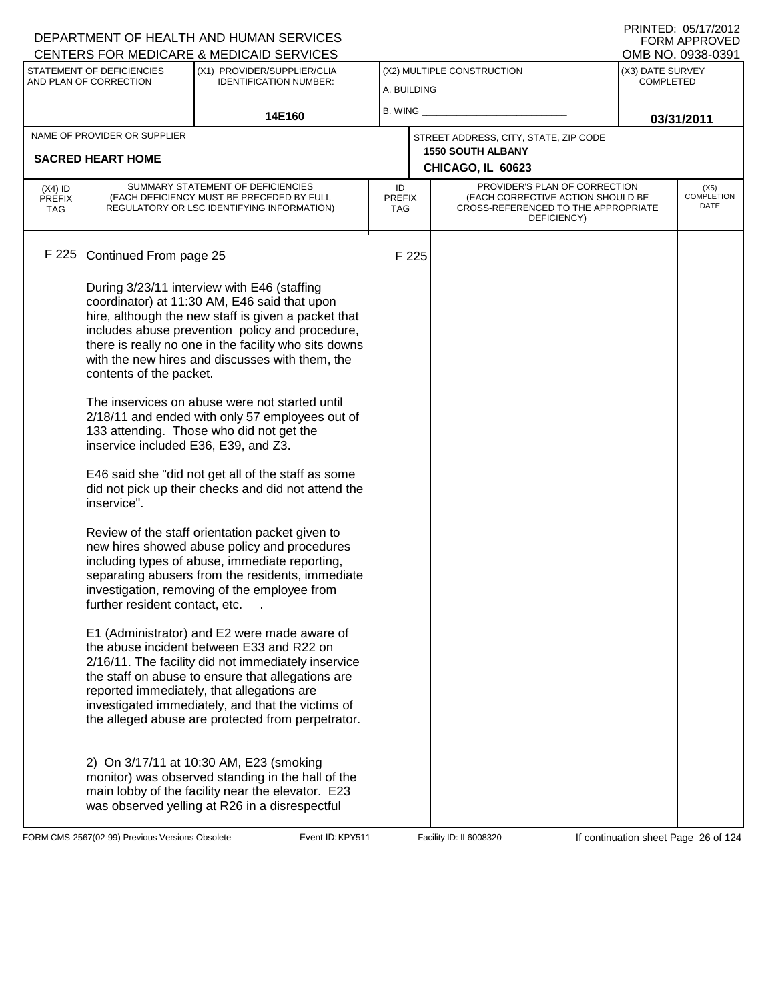|                                                     | <u>UENTERS FOR MEDICARE &amp; MEDICAID SERVICES</u>               |                                                                                                                                                                                                                                                                                                                                                                                                                                                                                                                                                                                                                                                                                                                                                                                                                                                                                                                                                                                                                                                                                                                                                                                                                                                                                                                                                                                                                                                                                                                                                                                                                                                                                                                                                 |                                           |                                      |                                                                                        | UMB NU. UYJ8-UJYT                                                                                         |
|-----------------------------------------------------|-------------------------------------------------------------------|-------------------------------------------------------------------------------------------------------------------------------------------------------------------------------------------------------------------------------------------------------------------------------------------------------------------------------------------------------------------------------------------------------------------------------------------------------------------------------------------------------------------------------------------------------------------------------------------------------------------------------------------------------------------------------------------------------------------------------------------------------------------------------------------------------------------------------------------------------------------------------------------------------------------------------------------------------------------------------------------------------------------------------------------------------------------------------------------------------------------------------------------------------------------------------------------------------------------------------------------------------------------------------------------------------------------------------------------------------------------------------------------------------------------------------------------------------------------------------------------------------------------------------------------------------------------------------------------------------------------------------------------------------------------------------------------------------------------------------------------------|-------------------------------------------|--------------------------------------|----------------------------------------------------------------------------------------|-----------------------------------------------------------------------------------------------------------|
| STATEMENT OF DEFICIENCIES<br>AND PLAN OF CORRECTION |                                                                   |                                                                                                                                                                                                                                                                                                                                                                                                                                                                                                                                                                                                                                                                                                                                                                                                                                                                                                                                                                                                                                                                                                                                                                                                                                                                                                                                                                                                                                                                                                                                                                                                                                                                                                                                                 | (X2) MULTIPLE CONSTRUCTION<br>A. BUILDING |                                      | (X3) DATE SURVEY<br><b>COMPLETED</b>                                                   |                                                                                                           |
|                                                     | 14E160                                                            | B. WING $\_$                                                                                                                                                                                                                                                                                                                                                                                                                                                                                                                                                                                                                                                                                                                                                                                                                                                                                                                                                                                                                                                                                                                                                                                                                                                                                                                                                                                                                                                                                                                                                                                                                                                                                                                                    |                                           | 03/31/2011                           |                                                                                        |                                                                                                           |
|                                                     |                                                                   |                                                                                                                                                                                                                                                                                                                                                                                                                                                                                                                                                                                                                                                                                                                                                                                                                                                                                                                                                                                                                                                                                                                                                                                                                                                                                                                                                                                                                                                                                                                                                                                                                                                                                                                                                 |                                           |                                      |                                                                                        |                                                                                                           |
|                                                     |                                                                   |                                                                                                                                                                                                                                                                                                                                                                                                                                                                                                                                                                                                                                                                                                                                                                                                                                                                                                                                                                                                                                                                                                                                                                                                                                                                                                                                                                                                                                                                                                                                                                                                                                                                                                                                                 |                                           |                                      |                                                                                        |                                                                                                           |
|                                                     |                                                                   | ID                                                                                                                                                                                                                                                                                                                                                                                                                                                                                                                                                                                                                                                                                                                                                                                                                                                                                                                                                                                                                                                                                                                                                                                                                                                                                                                                                                                                                                                                                                                                                                                                                                                                                                                                              |                                           | DEFICIENCY)                          |                                                                                        | (X5)<br><b>COMPLETION</b><br>DATE                                                                         |
|                                                     |                                                                   |                                                                                                                                                                                                                                                                                                                                                                                                                                                                                                                                                                                                                                                                                                                                                                                                                                                                                                                                                                                                                                                                                                                                                                                                                                                                                                                                                                                                                                                                                                                                                                                                                                                                                                                                                 |                                           |                                      |                                                                                        |                                                                                                           |
| inservice".                                         |                                                                   |                                                                                                                                                                                                                                                                                                                                                                                                                                                                                                                                                                                                                                                                                                                                                                                                                                                                                                                                                                                                                                                                                                                                                                                                                                                                                                                                                                                                                                                                                                                                                                                                                                                                                                                                                 |                                           |                                      |                                                                                        |                                                                                                           |
|                                                     |                                                                   |                                                                                                                                                                                                                                                                                                                                                                                                                                                                                                                                                                                                                                                                                                                                                                                                                                                                                                                                                                                                                                                                                                                                                                                                                                                                                                                                                                                                                                                                                                                                                                                                                                                                                                                                                 |                                           |                                      |                                                                                        |                                                                                                           |
|                                                     | NAME OF PROVIDER OR SUPPLIER<br><b>SACRED HEART HOME</b><br>F 225 | (X1) PROVIDER/SUPPLIER/CLIA<br><b>IDENTIFICATION NUMBER:</b><br>SUMMARY STATEMENT OF DEFICIENCIES<br>(EACH DEFICIENCY MUST BE PRECEDED BY FULL<br>REGULATORY OR LSC IDENTIFYING INFORMATION)<br>Continued From page 25<br>During 3/23/11 interview with E46 (staffing<br>coordinator) at 11:30 AM, E46 said that upon<br>hire, although the new staff is given a packet that<br>includes abuse prevention policy and procedure,<br>there is really no one in the facility who sits downs<br>with the new hires and discusses with them, the<br>contents of the packet.<br>The inservices on abuse were not started until<br>2/18/11 and ended with only 57 employees out of<br>133 attending. Those who did not get the<br>inservice included E36, E39, and Z3.<br>E46 said she "did not get all of the staff as some<br>did not pick up their checks and did not attend the<br>Review of the staff orientation packet given to<br>new hires showed abuse policy and procedures<br>including types of abuse, immediate reporting,<br>separating abusers from the residents, immediate<br>investigation, removing of the employee from<br>further resident contact, etc.<br>E1 (Administrator) and E2 were made aware of<br>the abuse incident between E33 and R22 on<br>2/16/11. The facility did not immediately inservice<br>the staff on abuse to ensure that allegations are<br>reported immediately, that allegations are<br>investigated immediately, and that the victims of<br>the alleged abuse are protected from perpetrator.<br>2) On 3/17/11 at 10:30 AM, E23 (smoking<br>monitor) was observed standing in the hall of the<br>main lobby of the facility near the elevator. E23<br>was observed yelling at R26 in a disrespectful |                                           | <b>PREFIX</b><br><b>TAG</b><br>F 225 | STREET ADDRESS, CITY, STATE, ZIP CODE<br><b>1550 SOUTH ALBANY</b><br>CHICAGO, IL 60623 | PROVIDER'S PLAN OF CORRECTION<br>(EACH CORRECTIVE ACTION SHOULD BE<br>CROSS-REFERENCED TO THE APPROPRIATE |

FORM CMS-2567(02-99) Previous Versions Obsolete Event ID: KPY511 Facility ID: IL6008320 If continuation sheet Page 26 of 124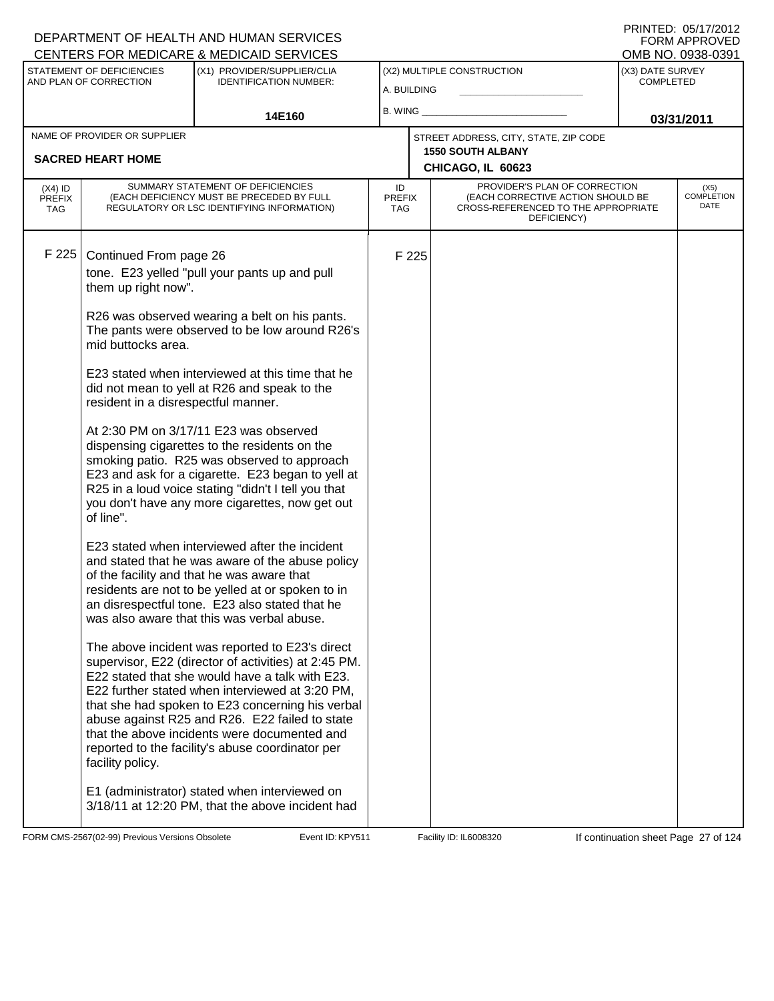| CENTERS FOR MEDICARE & MEDICAID SERVICES |                                                          |                                                                                                     |               |       |                                                                   |                  | OMB NO. 0938-0391         |
|------------------------------------------|----------------------------------------------------------|-----------------------------------------------------------------------------------------------------|---------------|-------|-------------------------------------------------------------------|------------------|---------------------------|
|                                          | STATEMENT OF DEFICIENCIES<br>(X1) PROVIDER/SUPPLIER/CLIA |                                                                                                     |               |       | (X2) MULTIPLE CONSTRUCTION                                        | (X3) DATE SURVEY |                           |
|                                          | AND PLAN OF CORRECTION                                   | <b>IDENTIFICATION NUMBER:</b>                                                                       | A. BUILDING   |       |                                                                   | <b>COMPLETED</b> |                           |
|                                          |                                                          |                                                                                                     | B. WING $\_$  |       |                                                                   |                  |                           |
|                                          |                                                          | 14E160                                                                                              |               |       |                                                                   |                  | 03/31/2011                |
|                                          | NAME OF PROVIDER OR SUPPLIER                             |                                                                                                     |               |       | STREET ADDRESS, CITY, STATE, ZIP CODE<br><b>1550 SOUTH ALBANY</b> |                  |                           |
|                                          | <b>SACRED HEART HOME</b>                                 |                                                                                                     |               |       | CHICAGO, IL 60623                                                 |                  |                           |
| $(X4)$ ID                                |                                                          | SUMMARY STATEMENT OF DEFICIENCIES                                                                   | ID            |       | PROVIDER'S PLAN OF CORRECTION                                     |                  | (X5)                      |
| <b>PREFIX</b>                            |                                                          | (EACH DEFICIENCY MUST BE PRECEDED BY FULL                                                           | <b>PREFIX</b> |       | (EACH CORRECTIVE ACTION SHOULD BE                                 |                  | <b>COMPLETION</b><br>DATE |
| <b>TAG</b>                               |                                                          | REGULATORY OR LSC IDENTIFYING INFORMATION)                                                          | TAG.          |       | CROSS-REFERENCED TO THE APPROPRIATE<br>DEFICIENCY)                |                  |                           |
|                                          |                                                          |                                                                                                     |               |       |                                                                   |                  |                           |
| F 225                                    | Continued From page 26                                   |                                                                                                     |               | F 225 |                                                                   |                  |                           |
|                                          |                                                          | tone. E23 yelled "pull your pants up and pull                                                       |               |       |                                                                   |                  |                           |
|                                          | them up right now".                                      |                                                                                                     |               |       |                                                                   |                  |                           |
|                                          |                                                          | R26 was observed wearing a belt on his pants.                                                       |               |       |                                                                   |                  |                           |
|                                          |                                                          | The pants were observed to be low around R26's                                                      |               |       |                                                                   |                  |                           |
|                                          | mid buttocks area.                                       |                                                                                                     |               |       |                                                                   |                  |                           |
|                                          |                                                          | E23 stated when interviewed at this time that he                                                    |               |       |                                                                   |                  |                           |
|                                          |                                                          | did not mean to yell at R26 and speak to the                                                        |               |       |                                                                   |                  |                           |
|                                          | resident in a disrespectful manner.                      |                                                                                                     |               |       |                                                                   |                  |                           |
|                                          |                                                          |                                                                                                     |               |       |                                                                   |                  |                           |
|                                          |                                                          | At 2:30 PM on 3/17/11 E23 was observed<br>dispensing cigarettes to the residents on the             |               |       |                                                                   |                  |                           |
|                                          |                                                          | smoking patio. R25 was observed to approach                                                         |               |       |                                                                   |                  |                           |
|                                          |                                                          | E23 and ask for a cigarette. E23 began to yell at                                                   |               |       |                                                                   |                  |                           |
|                                          |                                                          | R25 in a loud voice stating "didn't I tell you that                                                 |               |       |                                                                   |                  |                           |
|                                          | of line".                                                | you don't have any more cigarettes, now get out                                                     |               |       |                                                                   |                  |                           |
|                                          |                                                          |                                                                                                     |               |       |                                                                   |                  |                           |
|                                          |                                                          | E23 stated when interviewed after the incident                                                      |               |       |                                                                   |                  |                           |
|                                          |                                                          | and stated that he was aware of the abuse policy<br>of the facility and that he was aware that      |               |       |                                                                   |                  |                           |
|                                          |                                                          | residents are not to be yelled at or spoken to in                                                   |               |       |                                                                   |                  |                           |
|                                          |                                                          | an disrespectful tone. E23 also stated that he                                                      |               |       |                                                                   |                  |                           |
|                                          |                                                          | was also aware that this was verbal abuse.                                                          |               |       |                                                                   |                  |                           |
|                                          |                                                          | The above incident was reported to E23's direct                                                     |               |       |                                                                   |                  |                           |
|                                          |                                                          | supervisor, E22 (director of activities) at 2:45 PM.                                                |               |       |                                                                   |                  |                           |
|                                          |                                                          | E22 stated that she would have a talk with E23.                                                     |               |       |                                                                   |                  |                           |
|                                          |                                                          | E22 further stated when interviewed at 3:20 PM,<br>that she had spoken to E23 concerning his verbal |               |       |                                                                   |                  |                           |
|                                          |                                                          | abuse against R25 and R26. E22 failed to state                                                      |               |       |                                                                   |                  |                           |
|                                          |                                                          | that the above incidents were documented and                                                        |               |       |                                                                   |                  |                           |
|                                          |                                                          | reported to the facility's abuse coordinator per                                                    |               |       |                                                                   |                  |                           |
|                                          | facility policy.                                         |                                                                                                     |               |       |                                                                   |                  |                           |
|                                          |                                                          | E1 (administrator) stated when interviewed on                                                       |               |       |                                                                   |                  |                           |
|                                          |                                                          | 3/18/11 at 12:20 PM, that the above incident had                                                    |               |       |                                                                   |                  |                           |
|                                          |                                                          |                                                                                                     |               |       |                                                                   |                  |                           |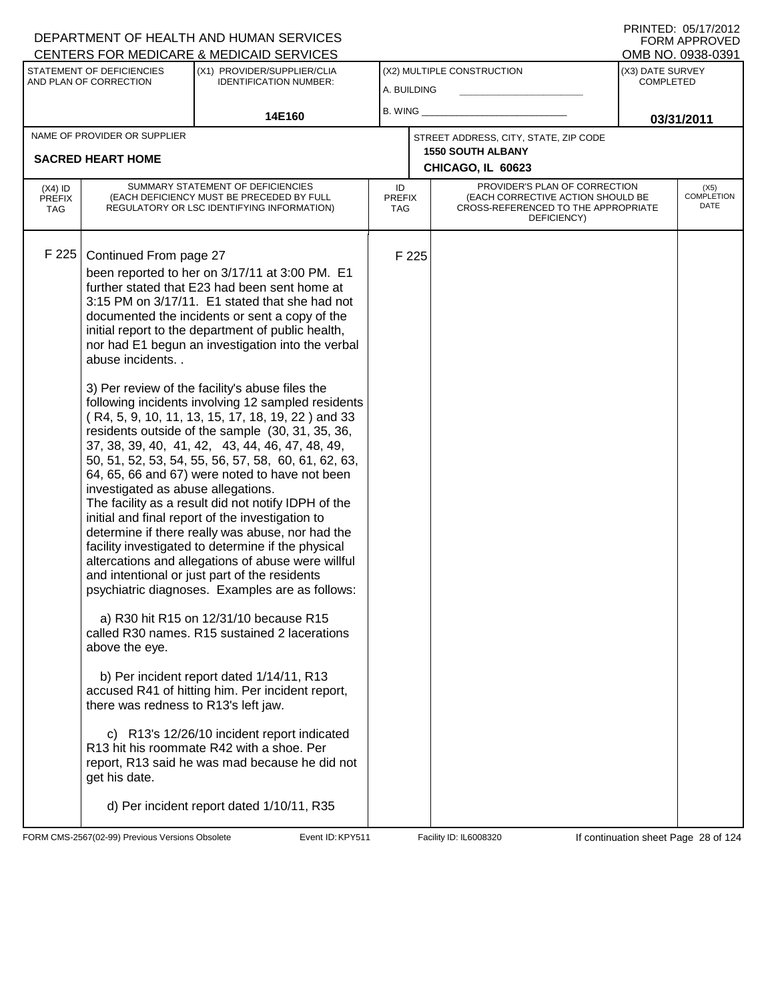PRINTED: 05/17/2012 FORM APPROVED<br>OMB NO. 0938-0391

|                                                     |                                                                                                                                                            | <u>ULIVILINU I UN MILDIUANL &amp; MILDIUAID ULIVIULU</u>                                                                                                                                                                                                                                                                                                                                                                                                                                                                                                                                                                                                                                                                                                                                                                                                                                                                                                                                                                                                                                                                                                                                                                                                                                                                                                                                                                                                           |                                   |       |                                                                                                                          |                                      | ו טטטטיט. טאו שוויט          |
|-----------------------------------------------------|------------------------------------------------------------------------------------------------------------------------------------------------------------|--------------------------------------------------------------------------------------------------------------------------------------------------------------------------------------------------------------------------------------------------------------------------------------------------------------------------------------------------------------------------------------------------------------------------------------------------------------------------------------------------------------------------------------------------------------------------------------------------------------------------------------------------------------------------------------------------------------------------------------------------------------------------------------------------------------------------------------------------------------------------------------------------------------------------------------------------------------------------------------------------------------------------------------------------------------------------------------------------------------------------------------------------------------------------------------------------------------------------------------------------------------------------------------------------------------------------------------------------------------------------------------------------------------------------------------------------------------------|-----------------------------------|-------|--------------------------------------------------------------------------------------------------------------------------|--------------------------------------|------------------------------|
| STATEMENT OF DEFICIENCIES<br>AND PLAN OF CORRECTION |                                                                                                                                                            | (X1) PROVIDER/SUPPLIER/CLIA<br><b>IDENTIFICATION NUMBER:</b>                                                                                                                                                                                                                                                                                                                                                                                                                                                                                                                                                                                                                                                                                                                                                                                                                                                                                                                                                                                                                                                                                                                                                                                                                                                                                                                                                                                                       | A. BUILDING                       |       | (X2) MULTIPLE CONSTRUCTION                                                                                               | (X3) DATE SURVEY<br><b>COMPLETED</b> |                              |
|                                                     |                                                                                                                                                            | 14E160                                                                                                                                                                                                                                                                                                                                                                                                                                                                                                                                                                                                                                                                                                                                                                                                                                                                                                                                                                                                                                                                                                                                                                                                                                                                                                                                                                                                                                                             | B. WING $\_$                      |       |                                                                                                                          |                                      | 03/31/2011                   |
|                                                     | NAME OF PROVIDER OR SUPPLIER<br><b>SACRED HEART HOME</b>                                                                                                   |                                                                                                                                                                                                                                                                                                                                                                                                                                                                                                                                                                                                                                                                                                                                                                                                                                                                                                                                                                                                                                                                                                                                                                                                                                                                                                                                                                                                                                                                    |                                   |       | STREET ADDRESS, CITY, STATE, ZIP CODE<br><b>1550 SOUTH ALBANY</b><br>CHICAGO, IL 60623                                   |                                      |                              |
| $(X4)$ ID<br><b>PREFIX</b><br>TAG                   |                                                                                                                                                            | SUMMARY STATEMENT OF DEFICIENCIES<br>(EACH DEFICIENCY MUST BE PRECEDED BY FULL<br>REGULATORY OR LSC IDENTIFYING INFORMATION)                                                                                                                                                                                                                                                                                                                                                                                                                                                                                                                                                                                                                                                                                                                                                                                                                                                                                                                                                                                                                                                                                                                                                                                                                                                                                                                                       | ID<br><b>PREFIX</b><br><b>TAG</b> |       | PROVIDER'S PLAN OF CORRECTION<br>(EACH CORRECTIVE ACTION SHOULD BE<br>CROSS-REFERENCED TO THE APPROPRIATE<br>DEFICIENCY) |                                      | $(X5)$<br>COMPLETION<br>DATE |
| F 225                                               | Continued From page 27<br>abuse incidents<br>investigated as abuse allegations.<br>above the eye.<br>there was redness to R13's left jaw.<br>get his date. | been reported to her on 3/17/11 at 3:00 PM. E1<br>further stated that E23 had been sent home at<br>3:15 PM on 3/17/11. E1 stated that she had not<br>documented the incidents or sent a copy of the<br>initial report to the department of public health,<br>nor had E1 begun an investigation into the verbal<br>3) Per review of the facility's abuse files the<br>following incidents involving 12 sampled residents<br>(R4, 5, 9, 10, 11, 13, 15, 17, 18, 19, 22) and 33<br>residents outside of the sample (30, 31, 35, 36,<br>37, 38, 39, 40, 41, 42, 43, 44, 46, 47, 48, 49,<br>50, 51, 52, 53, 54, 55, 56, 57, 58, 60, 61, 62, 63,<br>64, 65, 66 and 67) were noted to have not been<br>The facility as a result did not notify IDPH of the<br>initial and final report of the investigation to<br>determine if there really was abuse, nor had the<br>facility investigated to determine if the physical<br>altercations and allegations of abuse were willful<br>and intentional or just part of the residents<br>psychiatric diagnoses. Examples are as follows:<br>a) R30 hit R15 on 12/31/10 because R15<br>called R30 names. R15 sustained 2 lacerations<br>b) Per incident report dated 1/14/11, R13<br>accused R41 of hitting him. Per incident report,<br>c) R13's 12/26/10 incident report indicated<br>R13 hit his roommate R42 with a shoe. Per<br>report, R13 said he was mad because he did not<br>d) Per incident report dated 1/10/11, R35 |                                   | F 225 |                                                                                                                          |                                      |                              |

FORM CMS-2567(02-99) Previous Versions Obsolete **KRY511** Event ID: KPY511 Facility ID: IL6008320 If continuation sheet Page 28 of 124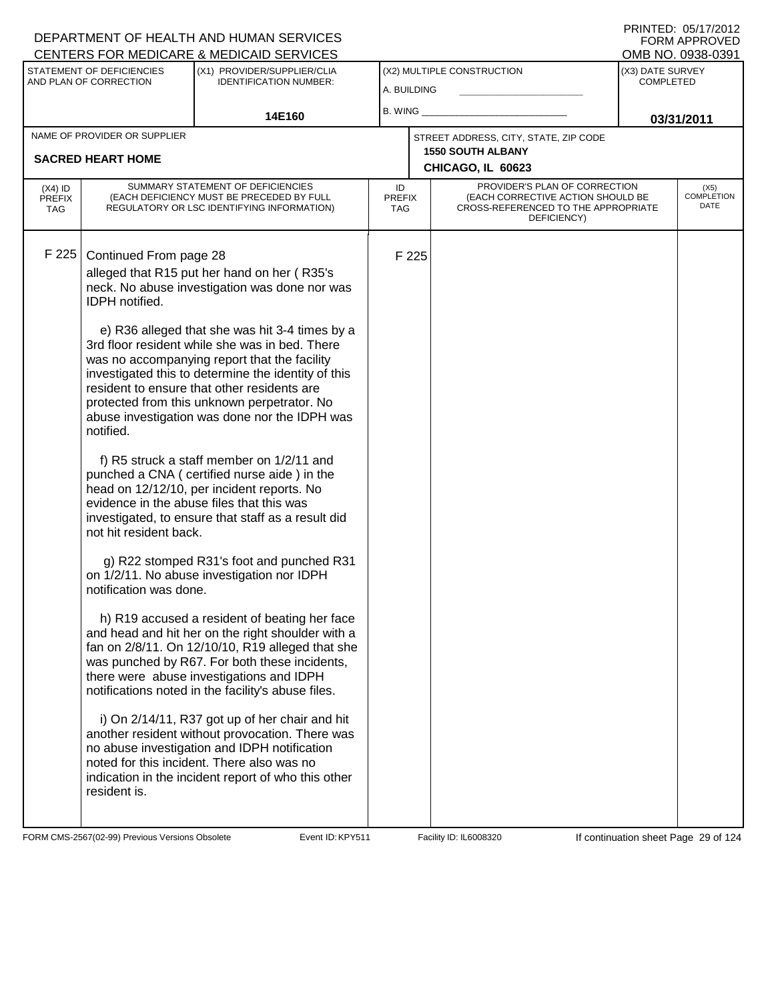|                                                     |                                                                                                           | CENTERS FOR MEDICARE & MEDICAID SERVICES                                                                                                                                                                                                                                                                                                                                                                                                                                                                                                                                                                                                                                                                                                                                                                                                        |                                   |       |                                                                                                                          | OMB NO. 0938-0391                    |                                   |  |
|-----------------------------------------------------|-----------------------------------------------------------------------------------------------------------|-------------------------------------------------------------------------------------------------------------------------------------------------------------------------------------------------------------------------------------------------------------------------------------------------------------------------------------------------------------------------------------------------------------------------------------------------------------------------------------------------------------------------------------------------------------------------------------------------------------------------------------------------------------------------------------------------------------------------------------------------------------------------------------------------------------------------------------------------|-----------------------------------|-------|--------------------------------------------------------------------------------------------------------------------------|--------------------------------------|-----------------------------------|--|
| STATEMENT OF DEFICIENCIES<br>AND PLAN OF CORRECTION |                                                                                                           | (X1) PROVIDER/SUPPLIER/CLIA<br><b>IDENTIFICATION NUMBER:</b>                                                                                                                                                                                                                                                                                                                                                                                                                                                                                                                                                                                                                                                                                                                                                                                    | A. BUILDING                       |       | (X2) MULTIPLE CONSTRUCTION                                                                                               | (X3) DATE SURVEY<br><b>COMPLETED</b> |                                   |  |
|                                                     | 14E160                                                                                                    |                                                                                                                                                                                                                                                                                                                                                                                                                                                                                                                                                                                                                                                                                                                                                                                                                                                 | B. WING                           |       |                                                                                                                          | 03/31/2011                           |                                   |  |
|                                                     | NAME OF PROVIDER OR SUPPLIER                                                                              |                                                                                                                                                                                                                                                                                                                                                                                                                                                                                                                                                                                                                                                                                                                                                                                                                                                 |                                   |       | STREET ADDRESS, CITY, STATE, ZIP CODE                                                                                    |                                      |                                   |  |
|                                                     | <b>SACRED HEART HOME</b>                                                                                  |                                                                                                                                                                                                                                                                                                                                                                                                                                                                                                                                                                                                                                                                                                                                                                                                                                                 |                                   |       | <b>1550 SOUTH ALBANY</b>                                                                                                 |                                      |                                   |  |
|                                                     |                                                                                                           |                                                                                                                                                                                                                                                                                                                                                                                                                                                                                                                                                                                                                                                                                                                                                                                                                                                 |                                   |       | CHICAGO, IL 60623                                                                                                        |                                      |                                   |  |
| $(X4)$ ID<br><b>PREFIX</b><br><b>TAG</b>            |                                                                                                           | SUMMARY STATEMENT OF DEFICIENCIES<br>(EACH DEFICIENCY MUST BE PRECEDED BY FULL<br>REGULATORY OR LSC IDENTIFYING INFORMATION)                                                                                                                                                                                                                                                                                                                                                                                                                                                                                                                                                                                                                                                                                                                    | ID<br><b>PREFIX</b><br><b>TAG</b> |       | PROVIDER'S PLAN OF CORRECTION<br>(EACH CORRECTIVE ACTION SHOULD BE<br>CROSS-REFERENCED TO THE APPROPRIATE<br>DEFICIENCY) |                                      | (X5)<br><b>COMPLETION</b><br>DATE |  |
| F 225                                               | Continued From page 28<br>IDPH notified.<br>notified.<br>not hit resident back.<br>notification was done. | alleged that R15 put her hand on her (R35's<br>neck. No abuse investigation was done nor was<br>e) R36 alleged that she was hit 3-4 times by a<br>3rd floor resident while she was in bed. There<br>was no accompanying report that the facility<br>investigated this to determine the identity of this<br>resident to ensure that other residents are<br>protected from this unknown perpetrator. No<br>abuse investigation was done nor the IDPH was<br>f) R5 struck a staff member on 1/2/11 and<br>punched a CNA (certified nurse aide) in the<br>head on 12/12/10, per incident reports. No<br>evidence in the abuse files that this was<br>investigated, to ensure that staff as a result did<br>g) R22 stomped R31's foot and punched R31<br>on 1/2/11. No abuse investigation nor IDPH<br>h) R19 accused a resident of beating her face |                                   | F 225 |                                                                                                                          |                                      |                                   |  |
|                                                     |                                                                                                           | and head and hit her on the right shoulder with a<br>fan on 2/8/11. On 12/10/10, R19 alleged that she<br>was punched by R67. For both these incidents,<br>there were abuse investigations and IDPH<br>notifications noted in the facility's abuse files.                                                                                                                                                                                                                                                                                                                                                                                                                                                                                                                                                                                        |                                   |       |                                                                                                                          |                                      |                                   |  |
|                                                     | resident is.                                                                                              | i) On 2/14/11, R37 got up of her chair and hit<br>another resident without provocation. There was<br>no abuse investigation and IDPH notification<br>noted for this incident. There also was no<br>indication in the incident report of who this other                                                                                                                                                                                                                                                                                                                                                                                                                                                                                                                                                                                          |                                   |       |                                                                                                                          |                                      |                                   |  |

FORM CMS-2567(02-99) Previous Versions Obsolete Event ID: KPY511 Facility ID: IL6008320 If continuation sheet Page 29 of 124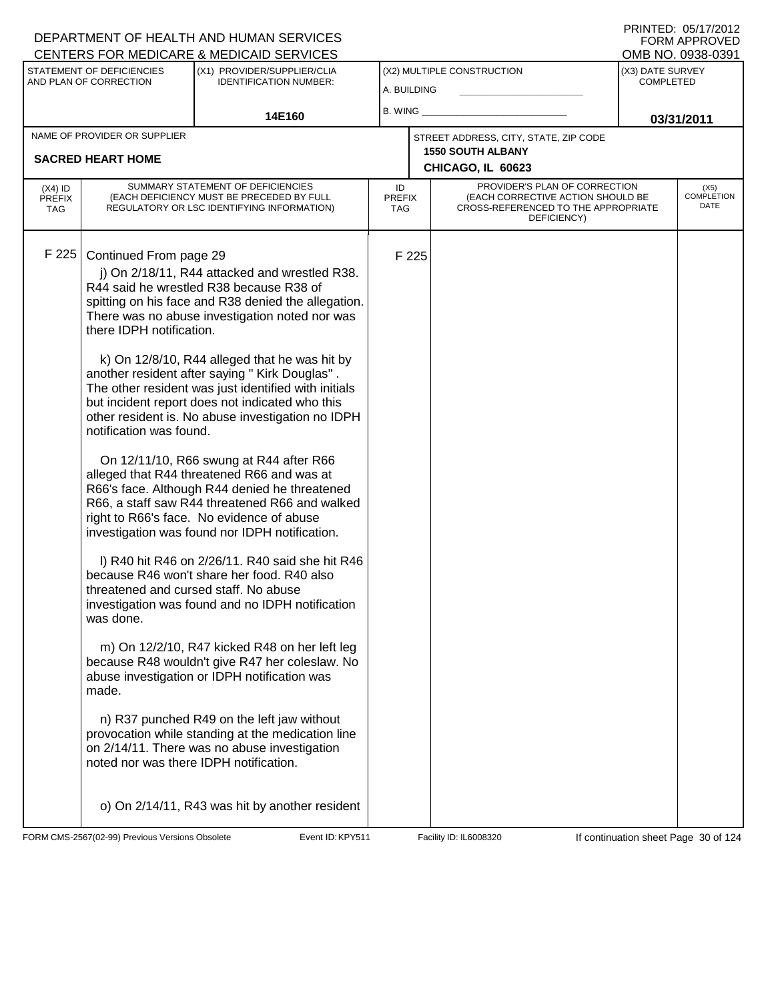| PRINTED: 05/17/2012 |
|---------------------|
| FORM APPROVED       |
| OMB NO. 0938-0391   |

|                                                     |                                                                                                     | <u>CENTERS FOR MEDICARE &amp; MEDICAID SERVICES</u>                                                                                                                                                                                                                                                                                                                                                                                                                                                                                                                                                                                                                                                                                                                                                                                                                                                                                                                                                                                                                                                                                                                                                                                                                 |                            |       |                                                                                                                          |                                      | ו פטיסטאט וער שועוט               |
|-----------------------------------------------------|-----------------------------------------------------------------------------------------------------|---------------------------------------------------------------------------------------------------------------------------------------------------------------------------------------------------------------------------------------------------------------------------------------------------------------------------------------------------------------------------------------------------------------------------------------------------------------------------------------------------------------------------------------------------------------------------------------------------------------------------------------------------------------------------------------------------------------------------------------------------------------------------------------------------------------------------------------------------------------------------------------------------------------------------------------------------------------------------------------------------------------------------------------------------------------------------------------------------------------------------------------------------------------------------------------------------------------------------------------------------------------------|----------------------------|-------|--------------------------------------------------------------------------------------------------------------------------|--------------------------------------|-----------------------------------|
| STATEMENT OF DEFICIENCIES<br>AND PLAN OF CORRECTION |                                                                                                     | (X1) PROVIDER/SUPPLIER/CLIA<br><b>IDENTIFICATION NUMBER:</b>                                                                                                                                                                                                                                                                                                                                                                                                                                                                                                                                                                                                                                                                                                                                                                                                                                                                                                                                                                                                                                                                                                                                                                                                        | A. BUILDING                |       | (X2) MULTIPLE CONSTRUCTION                                                                                               | (X3) DATE SURVEY<br><b>COMPLETED</b> |                                   |
|                                                     |                                                                                                     | 14E160                                                                                                                                                                                                                                                                                                                                                                                                                                                                                                                                                                                                                                                                                                                                                                                                                                                                                                                                                                                                                                                                                                                                                                                                                                                              | B. WING                    |       | 03/31/2011                                                                                                               |                                      |                                   |
|                                                     | NAME OF PROVIDER OR SUPPLIER                                                                        |                                                                                                                                                                                                                                                                                                                                                                                                                                                                                                                                                                                                                                                                                                                                                                                                                                                                                                                                                                                                                                                                                                                                                                                                                                                                     |                            |       | STREET ADDRESS, CITY, STATE, ZIP CODE                                                                                    |                                      |                                   |
|                                                     | <b>SACRED HEART HOME</b>                                                                            |                                                                                                                                                                                                                                                                                                                                                                                                                                                                                                                                                                                                                                                                                                                                                                                                                                                                                                                                                                                                                                                                                                                                                                                                                                                                     |                            |       | <b>1550 SOUTH ALBANY</b><br>CHICAGO, IL 60623                                                                            |                                      |                                   |
| $(X4)$ ID<br><b>PREFIX</b><br><b>TAG</b>            |                                                                                                     | SUMMARY STATEMENT OF DEFICIENCIES<br>(EACH DEFICIENCY MUST BE PRECEDED BY FULL<br>REGULATORY OR LSC IDENTIFYING INFORMATION)                                                                                                                                                                                                                                                                                                                                                                                                                                                                                                                                                                                                                                                                                                                                                                                                                                                                                                                                                                                                                                                                                                                                        | ID<br><b>PREFIX</b><br>TAG |       | PROVIDER'S PLAN OF CORRECTION<br>(EACH CORRECTIVE ACTION SHOULD BE<br>CROSS-REFERENCED TO THE APPROPRIATE<br>DEFICIENCY) |                                      | (X5)<br><b>COMPLETION</b><br>DATE |
| F 225                                               | Continued From page 29<br>there IDPH notification.<br>notification was found.<br>was done.<br>made. | j) On 2/18/11, R44 attacked and wrestled R38.<br>R44 said he wrestled R38 because R38 of<br>spitting on his face and R38 denied the allegation.<br>There was no abuse investigation noted nor was<br>k) On 12/8/10, R44 alleged that he was hit by<br>another resident after saying " Kirk Douglas".<br>The other resident was just identified with initials<br>but incident report does not indicated who this<br>other resident is. No abuse investigation no IDPH<br>On 12/11/10, R66 swung at R44 after R66<br>alleged that R44 threatened R66 and was at<br>R66's face. Although R44 denied he threatened<br>R66, a staff saw R44 threatened R66 and walked<br>right to R66's face. No evidence of abuse<br>investigation was found nor IDPH notification.<br>I) R40 hit R46 on 2/26/11. R40 said she hit R46<br>because R46 won't share her food. R40 also<br>threatened and cursed staff. No abuse<br>investigation was found and no IDPH notification<br>m) On 12/2/10, R47 kicked R48 on her left leg<br>because R48 wouldn't give R47 her coleslaw. No<br>abuse investigation or IDPH notification was<br>n) R37 punched R49 on the left jaw without<br>provocation while standing at the medication line<br>on 2/14/11. There was no abuse investigation |                            | F 225 |                                                                                                                          |                                      |                                   |
|                                                     | noted nor was there IDPH notification.                                                              | o) On 2/14/11, R43 was hit by another resident                                                                                                                                                                                                                                                                                                                                                                                                                                                                                                                                                                                                                                                                                                                                                                                                                                                                                                                                                                                                                                                                                                                                                                                                                      |                            |       |                                                                                                                          |                                      |                                   |

FORM CMS-2567(02-99) Previous Versions Obsolete Event ID: KPY511 Facility ID: IL6008320 If continuation sheet Page 30 of 124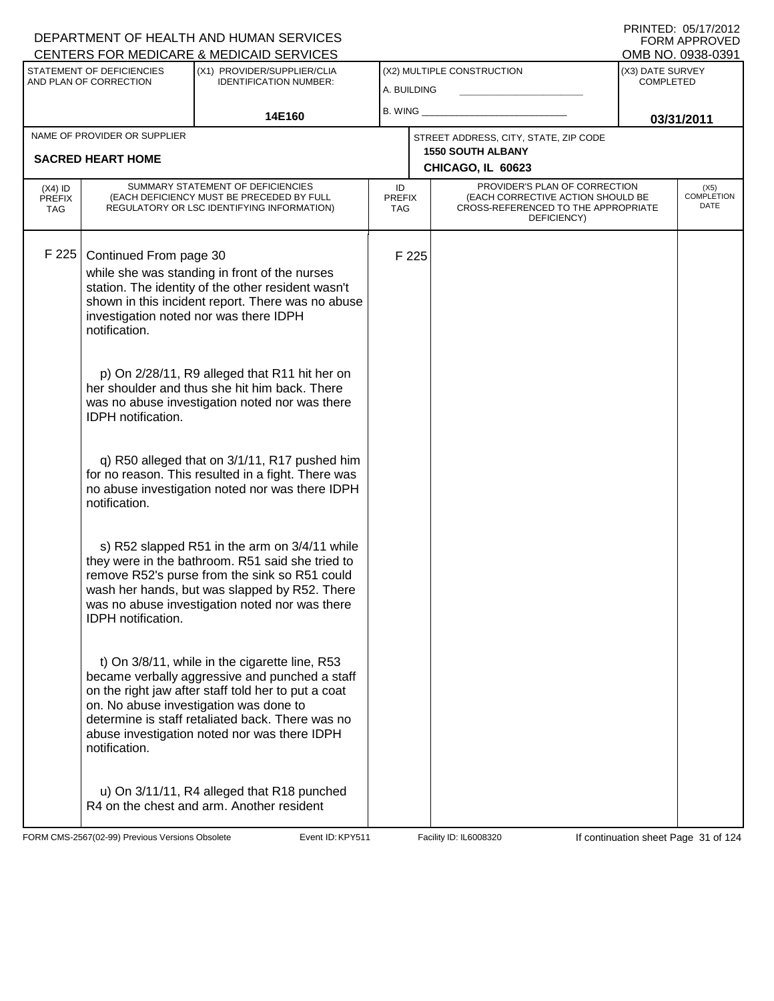|                                                     |                                         | <b>CENTERS FOR MEDICARE &amp; MEDICAID SERVICES</b>                                                                                                                                                                                                                                                   |                            |       |                                                                                                                          |                                      | OMB NO. 0938-0391                 |
|-----------------------------------------------------|-----------------------------------------|-------------------------------------------------------------------------------------------------------------------------------------------------------------------------------------------------------------------------------------------------------------------------------------------------------|----------------------------|-------|--------------------------------------------------------------------------------------------------------------------------|--------------------------------------|-----------------------------------|
| STATEMENT OF DEFICIENCIES<br>AND PLAN OF CORRECTION |                                         | (X1) PROVIDER/SUPPLIER/CLIA<br><b>IDENTIFICATION NUMBER:</b>                                                                                                                                                                                                                                          | A. BUILDING                |       | (X2) MULTIPLE CONSTRUCTION                                                                                               | (X3) DATE SURVEY<br><b>COMPLETED</b> |                                   |
|                                                     |                                         |                                                                                                                                                                                                                                                                                                       |                            |       |                                                                                                                          |                                      |                                   |
|                                                     |                                         | 14E160                                                                                                                                                                                                                                                                                                | $B.$ WING $\_$             |       |                                                                                                                          |                                      | 03/31/2011                        |
|                                                     | NAME OF PROVIDER OR SUPPLIER            |                                                                                                                                                                                                                                                                                                       |                            |       | STREET ADDRESS, CITY, STATE, ZIP CODE                                                                                    |                                      |                                   |
|                                                     | <b>SACRED HEART HOME</b>                |                                                                                                                                                                                                                                                                                                       |                            |       | <b>1550 SOUTH ALBANY</b><br>CHICAGO, IL 60623                                                                            |                                      |                                   |
| $(X4)$ ID<br><b>PREFIX</b><br><b>TAG</b>            |                                         | SUMMARY STATEMENT OF DEFICIENCIES<br>(EACH DEFICIENCY MUST BE PRECEDED BY FULL<br>REGULATORY OR LSC IDENTIFYING INFORMATION)                                                                                                                                                                          | ID<br><b>PREFIX</b><br>TAG |       | PROVIDER'S PLAN OF CORRECTION<br>(EACH CORRECTIVE ACTION SHOULD BE<br>CROSS-REFERENCED TO THE APPROPRIATE<br>DEFICIENCY) |                                      | (X5)<br><b>COMPLETION</b><br>DATE |
| F 225                                               | Continued From page 30<br>notification. | while she was standing in front of the nurses<br>station. The identity of the other resident wasn't<br>shown in this incident report. There was no abuse<br>investigation noted nor was there IDPH                                                                                                    |                            | F 225 |                                                                                                                          |                                      |                                   |
|                                                     | <b>IDPH</b> notification.               | p) On 2/28/11, R9 alleged that R11 hit her on<br>her shoulder and thus she hit him back. There<br>was no abuse investigation noted nor was there                                                                                                                                                      |                            |       |                                                                                                                          |                                      |                                   |
|                                                     | notification.                           | q) R50 alleged that on 3/1/11, R17 pushed him<br>for no reason. This resulted in a fight. There was<br>no abuse investigation noted nor was there IDPH                                                                                                                                                |                            |       |                                                                                                                          |                                      |                                   |
|                                                     | IDPH notification.                      | s) R52 slapped R51 in the arm on 3/4/11 while<br>they were in the bathroom. R51 said she tried to<br>remove R52's purse from the sink so R51 could<br>wash her hands, but was slapped by R52. There<br>was no abuse investigation noted nor was there                                                 |                            |       |                                                                                                                          |                                      |                                   |
|                                                     | notification.                           | t) On 3/8/11, while in the cigarette line, R53<br>became verbally aggressive and punched a staff<br>on the right jaw after staff told her to put a coat<br>on. No abuse investigation was done to<br>determine is staff retaliated back. There was no<br>abuse investigation noted nor was there IDPH |                            |       |                                                                                                                          |                                      |                                   |
|                                                     |                                         | u) On 3/11/11, R4 alleged that R18 punched<br>R4 on the chest and arm. Another resident                                                                                                                                                                                                               |                            |       |                                                                                                                          |                                      |                                   |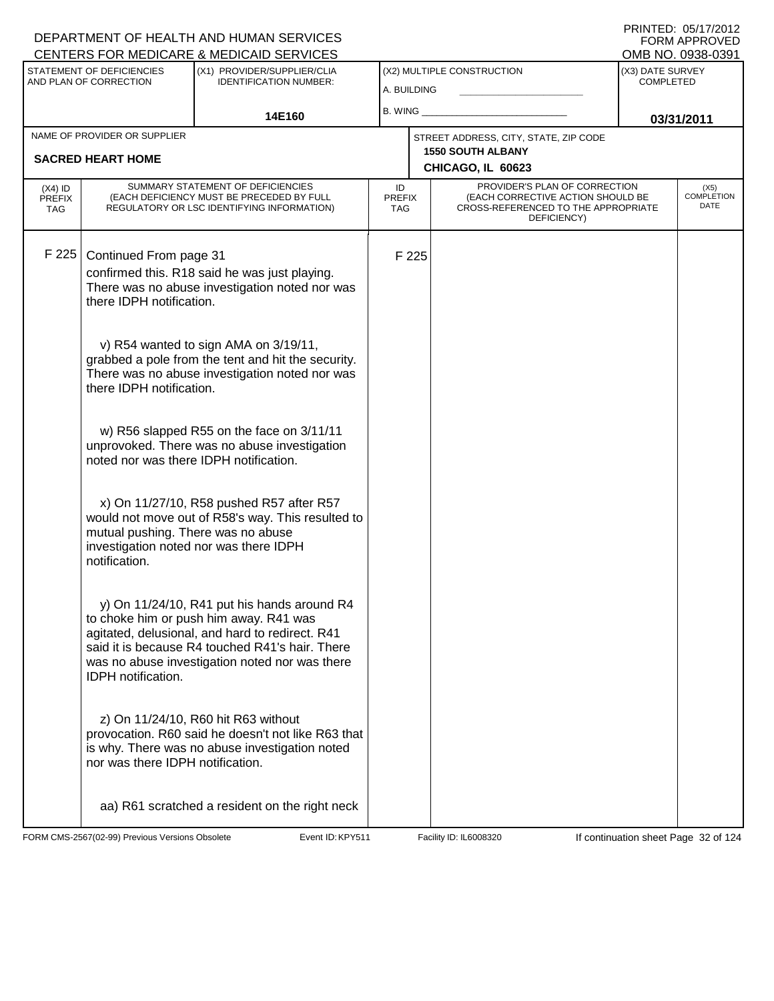#### A. BUILDING (X1) PROVIDER/SUPPLIER/CLIA IDENTIFICATION NUMBER: STATEMENT OF DEFICIENCIES AND PLAN OF CORRECTION (X3) DATE SURVEY COMPLETED FORM APPROVED<br>OMB NO. 0938-0391 (X2) MULTIPLE CONSTRUCTION B. WING **\_\_\_\_\_\_\_\_\_\_\_\_\_\_\_\_\_\_\_\_\_\_** CENTERS FOR MEDICARE & MEDICAID SERVICES 14E160 **B. WING CONSUMING (2011 03/31/2011 CHICAGO, IL 60623** NAME OF PROVIDER OR SUPPLIER STREET ADDRESS, CITY, STATE, ZIP CODE **SACRED HEART HOME 1550 SOUTH ALBANY** PROVIDER'S PLAN OF CORRECTION (EACH CORRECTIVE ACTION SHOULD BE CROSS-REFERENCED TO THE APPROPRIATE DEFICIENCY) (X5) COMPLETION DATE ID PREFIX TAG (X4) ID **PREFIX** TAG SUMMARY STATEMENT OF DEFICIENCIES (EACH DEFICIENCY MUST BE PRECEDED BY FULL REGULATORY OR LSC IDENTIFYING INFORMATION) F 225 Continued From page 31 F 225 confirmed this. R18 said he was just playing. There was no abuse investigation noted nor was there IDPH notification. v) R54 wanted to sign AMA on 3/19/11, grabbed a pole from the tent and hit the security. There was no abuse investigation noted nor was there IDPH notification. w) R56 slapped R55 on the face on 3/11/11 unprovoked. There was no abuse investigation noted nor was there IDPH notification. x) On 11/27/10, R58 pushed R57 after R57 would not move out of R58's way. This resulted to mutual pushing. There was no abuse investigation noted nor was there IDPH notification. y) On 11/24/10, R41 put his hands around R4 to choke him or push him away. R41 was agitated, delusional, and hard to redirect. R41 said it is because R4 touched R41's hair. There was no abuse investigation noted nor was there IDPH notification. z) On 11/24/10, R60 hit R63 without provocation. R60 said he doesn't not like R63 that is why. There was no abuse investigation noted nor was there IDPH notification. aa) R61 scratched a resident on the right neck

FORM CMS-2567(02-99) Previous Versions Obsolete **KRY511** Event ID: KPY511 Facility ID: IL6008320 If continuation sheet Page 32 of 124

DEPARTMENT OF HEALTH AND HUMAN SERVICES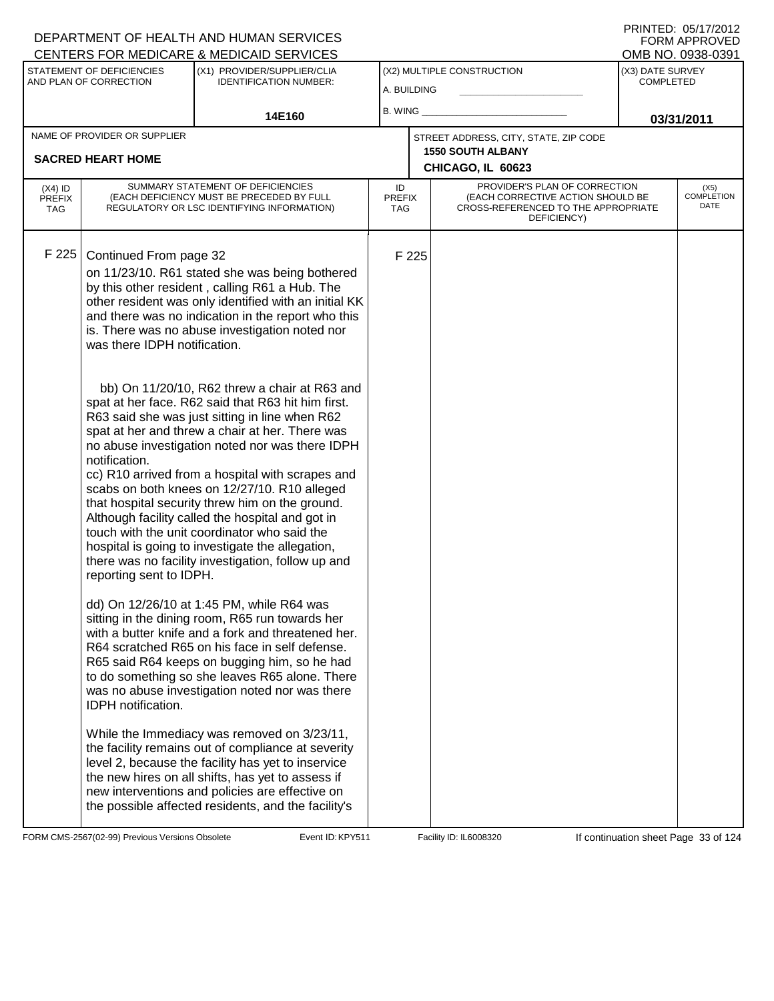|                                                     |                                                        | CENTERS FOR MEDICARE & MEDICAID SERVICES                                                                                                                                                                                                                                                                                                                                                                                                                                                                                                                                        |                            |       |                                                                                                                          |                                      | OMB NO. 0938-0391                 |
|-----------------------------------------------------|--------------------------------------------------------|---------------------------------------------------------------------------------------------------------------------------------------------------------------------------------------------------------------------------------------------------------------------------------------------------------------------------------------------------------------------------------------------------------------------------------------------------------------------------------------------------------------------------------------------------------------------------------|----------------------------|-------|--------------------------------------------------------------------------------------------------------------------------|--------------------------------------|-----------------------------------|
| STATEMENT OF DEFICIENCIES<br>AND PLAN OF CORRECTION |                                                        | (X1) PROVIDER/SUPPLIER/CLIA<br><b>IDENTIFICATION NUMBER:</b>                                                                                                                                                                                                                                                                                                                                                                                                                                                                                                                    | A. BUILDING                |       | (X2) MULTIPLE CONSTRUCTION                                                                                               | (X3) DATE SURVEY<br><b>COMPLETED</b> |                                   |
|                                                     |                                                        |                                                                                                                                                                                                                                                                                                                                                                                                                                                                                                                                                                                 | B. WING _                  |       |                                                                                                                          |                                      |                                   |
|                                                     | NAME OF PROVIDER OR SUPPLIER                           | 14E160                                                                                                                                                                                                                                                                                                                                                                                                                                                                                                                                                                          |                            |       |                                                                                                                          |                                      | 03/31/2011                        |
|                                                     |                                                        |                                                                                                                                                                                                                                                                                                                                                                                                                                                                                                                                                                                 |                            |       | STREET ADDRESS, CITY, STATE, ZIP CODE<br><b>1550 SOUTH ALBANY</b>                                                        |                                      |                                   |
|                                                     | <b>SACRED HEART HOME</b>                               |                                                                                                                                                                                                                                                                                                                                                                                                                                                                                                                                                                                 |                            |       | CHICAGO, IL 60623                                                                                                        |                                      |                                   |
| $(X4)$ ID<br><b>PREFIX</b><br><b>TAG</b>            |                                                        | SUMMARY STATEMENT OF DEFICIENCIES<br>(EACH DEFICIENCY MUST BE PRECEDED BY FULL<br>REGULATORY OR LSC IDENTIFYING INFORMATION)                                                                                                                                                                                                                                                                                                                                                                                                                                                    | ID<br><b>PREFIX</b><br>TAG |       | PROVIDER'S PLAN OF CORRECTION<br>(EACH CORRECTIVE ACTION SHOULD BE<br>CROSS-REFERENCED TO THE APPROPRIATE<br>DEFICIENCY) |                                      | (X5)<br><b>COMPLETION</b><br>DATE |
| F 225                                               | Continued From page 32<br>was there IDPH notification. | on 11/23/10. R61 stated she was being bothered<br>by this other resident, calling R61 a Hub. The<br>other resident was only identified with an initial KK<br>and there was no indication in the report who this<br>is. There was no abuse investigation noted nor<br>bb) On 11/20/10, R62 threw a chair at R63 and                                                                                                                                                                                                                                                              |                            | F 225 |                                                                                                                          |                                      |                                   |
|                                                     | notification.<br>reporting sent to IDPH.               | spat at her face. R62 said that R63 hit him first.<br>R63 said she was just sitting in line when R62<br>spat at her and threw a chair at her. There was<br>no abuse investigation noted nor was there IDPH<br>cc) R10 arrived from a hospital with scrapes and<br>scabs on both knees on 12/27/10. R10 alleged<br>that hospital security threw him on the ground.<br>Although facility called the hospital and got in<br>touch with the unit coordinator who said the<br>hospital is going to investigate the allegation,<br>there was no facility investigation, follow up and |                            |       |                                                                                                                          |                                      |                                   |
|                                                     | <b>IDPH</b> notification.                              | dd) On 12/26/10 at 1:45 PM, while R64 was<br>sitting in the dining room, R65 run towards her<br>with a butter knife and a fork and threatened her.<br>R64 scratched R65 on his face in self defense.<br>R65 said R64 keeps on bugging him, so he had<br>to do something so she leaves R65 alone. There<br>was no abuse investigation noted nor was there                                                                                                                                                                                                                        |                            |       |                                                                                                                          |                                      |                                   |
|                                                     |                                                        | While the Immediacy was removed on 3/23/11,<br>the facility remains out of compliance at severity<br>level 2, because the facility has yet to inservice<br>the new hires on all shifts, has yet to assess if<br>new interventions and policies are effective on<br>the possible affected residents, and the facility's                                                                                                                                                                                                                                                          |                            |       |                                                                                                                          |                                      |                                   |

FORM CMS-2567(02-99) Previous Versions Obsolete **KRYS11** Event ID: KPY511 Facility ID: IL6008320 If continuation sheet Page 33 of 124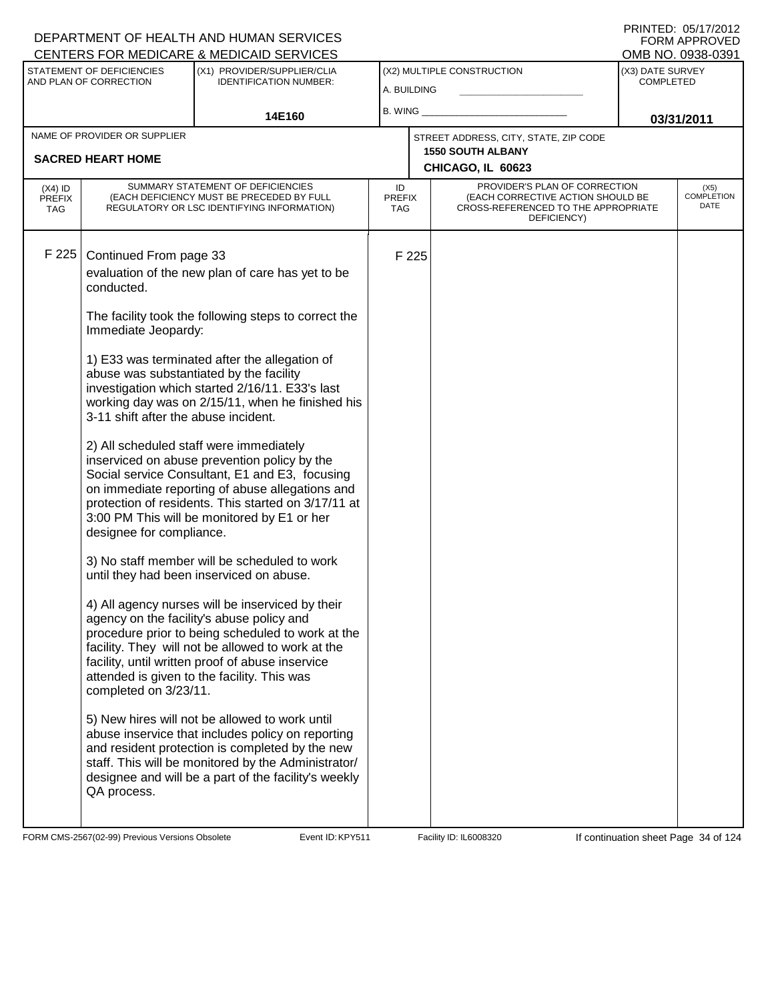|                                                     |                                                                                 | CENTERS FOR MEDICARE & MEDICAID SERVICES                                                                                                                                                                                                                                                                   |                            |       |                                                                                                                          |                                      | OMB NO. 0938-0391                 |
|-----------------------------------------------------|---------------------------------------------------------------------------------|------------------------------------------------------------------------------------------------------------------------------------------------------------------------------------------------------------------------------------------------------------------------------------------------------------|----------------------------|-------|--------------------------------------------------------------------------------------------------------------------------|--------------------------------------|-----------------------------------|
| STATEMENT OF DEFICIENCIES<br>AND PLAN OF CORRECTION |                                                                                 | (X1) PROVIDER/SUPPLIER/CLIA<br><b>IDENTIFICATION NUMBER:</b>                                                                                                                                                                                                                                               |                            |       | (X2) MULTIPLE CONSTRUCTION                                                                                               | (X3) DATE SURVEY<br><b>COMPLETED</b> |                                   |
|                                                     |                                                                                 |                                                                                                                                                                                                                                                                                                            | A. BUILDING                |       |                                                                                                                          |                                      |                                   |
|                                                     | 14E160                                                                          |                                                                                                                                                                                                                                                                                                            | B. WING                    |       |                                                                                                                          | 03/31/2011                           |                                   |
|                                                     | NAME OF PROVIDER OR SUPPLIER                                                    |                                                                                                                                                                                                                                                                                                            |                            |       | STREET ADDRESS, CITY, STATE, ZIP CODE                                                                                    |                                      |                                   |
|                                                     | <b>SACRED HEART HOME</b>                                                        |                                                                                                                                                                                                                                                                                                            |                            |       | <b>1550 SOUTH ALBANY</b>                                                                                                 |                                      |                                   |
|                                                     |                                                                                 |                                                                                                                                                                                                                                                                                                            |                            |       | CHICAGO, IL 60623                                                                                                        |                                      |                                   |
| $(X4)$ ID<br><b>PREFIX</b><br><b>TAG</b>            |                                                                                 | SUMMARY STATEMENT OF DEFICIENCIES<br>(EACH DEFICIENCY MUST BE PRECEDED BY FULL<br>REGULATORY OR LSC IDENTIFYING INFORMATION)                                                                                                                                                                               | ID<br><b>PREFIX</b><br>TAG |       | PROVIDER'S PLAN OF CORRECTION<br>(EACH CORRECTIVE ACTION SHOULD BE<br>CROSS-REFERENCED TO THE APPROPRIATE<br>DEFICIENCY) |                                      | (X5)<br><b>COMPLETION</b><br>DATE |
| F 225                                               | Continued From page 33<br>conducted.                                            | evaluation of the new plan of care has yet to be                                                                                                                                                                                                                                                           |                            | F 225 |                                                                                                                          |                                      |                                   |
|                                                     | Immediate Jeopardy:                                                             | The facility took the following steps to correct the                                                                                                                                                                                                                                                       |                            |       |                                                                                                                          |                                      |                                   |
|                                                     | abuse was substantiated by the facility<br>3-11 shift after the abuse incident. | 1) E33 was terminated after the allegation of<br>investigation which started 2/16/11. E33's last<br>working day was on 2/15/11, when he finished his                                                                                                                                                       |                            |       |                                                                                                                          |                                      |                                   |
|                                                     | designee for compliance.                                                        | 2) All scheduled staff were immediately<br>inserviced on abuse prevention policy by the<br>Social service Consultant, E1 and E3, focusing<br>on immediate reporting of abuse allegations and<br>protection of residents. This started on 3/17/11 at<br>3:00 PM This will be monitored by E1 or her         |                            |       |                                                                                                                          |                                      |                                   |
|                                                     |                                                                                 | 3) No staff member will be scheduled to work<br>until they had been inserviced on abuse.                                                                                                                                                                                                                   |                            |       |                                                                                                                          |                                      |                                   |
|                                                     | completed on 3/23/11.                                                           | 4) All agency nurses will be inserviced by their<br>agency on the facility's abuse policy and<br>procedure prior to being scheduled to work at the<br>facility. They will not be allowed to work at the<br>facility, until written proof of abuse inservice<br>attended is given to the facility. This was |                            |       |                                                                                                                          |                                      |                                   |
|                                                     | QA process.                                                                     | 5) New hires will not be allowed to work until<br>abuse inservice that includes policy on reporting<br>and resident protection is completed by the new<br>staff. This will be monitored by the Administrator/<br>designee and will be a part of the facility's weekly                                      |                            |       |                                                                                                                          |                                      |                                   |

FORM CMS-2567(02-99) Previous Versions Obsolete Event ID: KPY511 Facility ID: IL6008320 If continuation sheet Page 34 of 124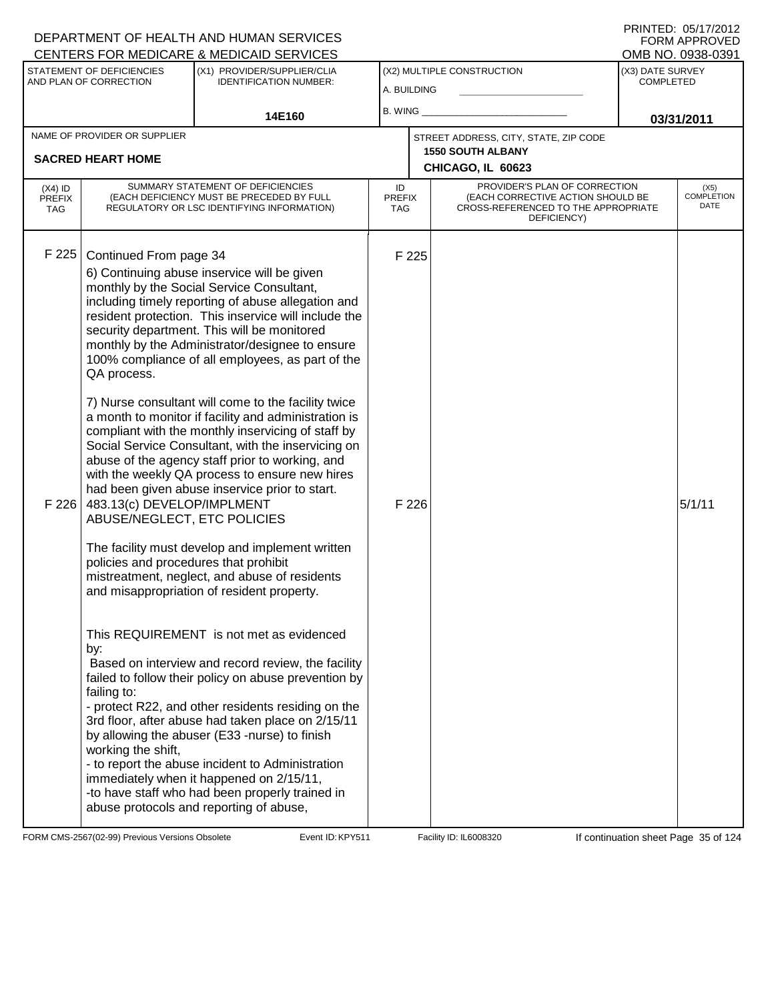#### A. BUILDING (X1) PROVIDER/SUPPLIER/CLIA IDENTIFICATION NUMBER: STATEMENT OF DEFICIENCIES AND PLAN OF CORRECTION (X3) DATE SURVEY COMPLETED FORM APPROVED<br>OMB NO. 0938-0391 (X2) MULTIPLE CONSTRUCTION B. WING **\_\_\_\_\_\_\_\_\_\_\_\_\_\_\_\_\_\_\_\_\_\_** CENTERS FOR MEDICARE & MEDICAID SERVICES 14E160 **B. WING CONSUMING (2011 03/31/2011 CHICAGO, IL 60623** NAME OF PROVIDER OR SUPPLIER STREET ADDRESS, CITY, STATE, ZIP CODE **SACRED HEART HOME 1550 SOUTH ALBANY** PROVIDER'S PLAN OF CORRECTION (EACH CORRECTIVE ACTION SHOULD BE CROSS-REFERENCED TO THE APPROPRIATE DEFICIENCY) (X5) COMPLETION DATE ID PREFIX TAG (X4) ID PREFIX TAG SUMMARY STATEMENT OF DEFICIENCIES (EACH DEFICIENCY MUST BE PRECEDED BY FULL REGULATORY OR LSC IDENTIFYING INFORMATION) F 225 Continued From page 34 F 225 6) Continuing abuse inservice will be given monthly by the Social Service Consultant, including timely reporting of abuse allegation and resident protection. This inservice will include the security department. This will be monitored monthly by the Administrator/designee to ensure 100% compliance of all employees, as part of the QA process. 7) Nurse consultant will come to the facility twice a month to monitor if facility and administration is compliant with the monthly inservicing of staff by Social Service Consultant, with the inservicing on abuse of the agency staff prior to working, and with the weekly QA process to ensure new hires had been given abuse inservice prior to start. F 226  $\vert$  483.13(c) DEVELOP/IMPLMENT ABUSE/NEGLECT, ETC POLICIES The facility must develop and implement written policies and procedures that prohibit mistreatment, neglect, and abuse of residents and misappropriation of resident property. This REQUIREMENT is not met as evidenced by:  $F$  226  $5/1/11$  Based on interview and record review, the facility failed to follow their policy on abuse prevention by failing to: - protect R22, and other residents residing on the 3rd floor, after abuse had taken place on 2/15/11 by allowing the abuser (E33 -nurse) to finish working the shift, - to report the abuse incident to Administration immediately when it happened on 2/15/11, -to have staff who had been properly trained in abuse protocols and reporting of abuse,

FORM CMS-2567(02-99) Previous Versions Obsolete **KRYS11** Event ID: KPY511 Facility ID: IL6008320 If continuation sheet Page 35 of 124

DEPARTMENT OF HEALTH AND HUMAN SERVICES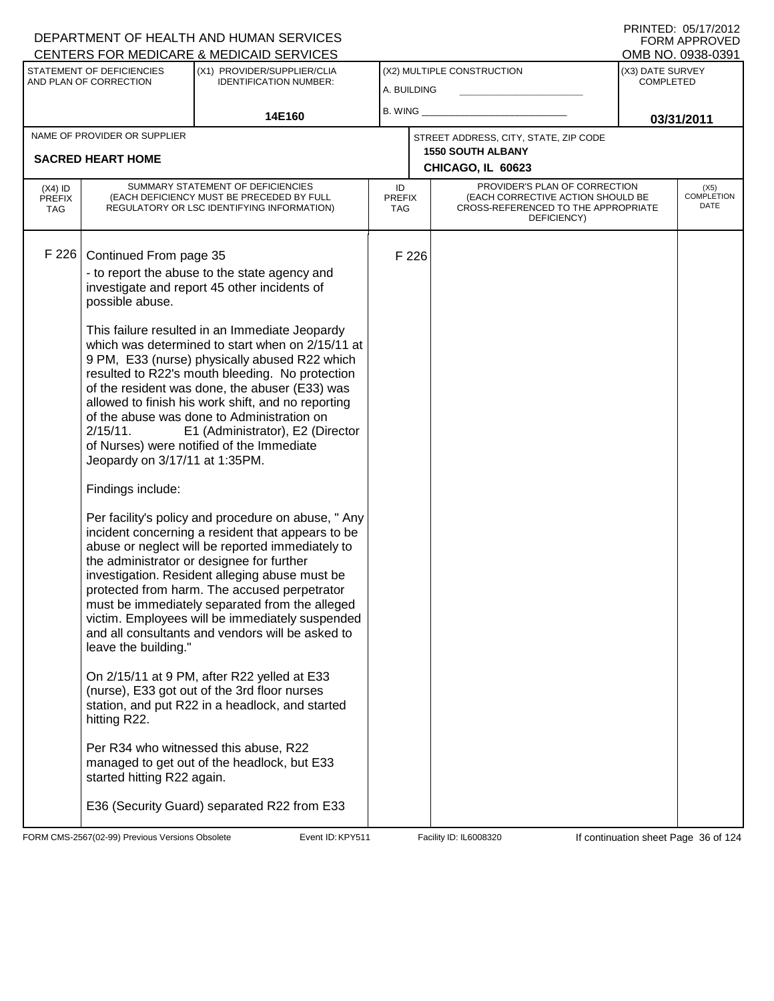|                                                     |                                               | <b>CENTERS FOR MEDICARE &amp; MEDICAID SERVICES</b>                                                                                                                                                                                                                                                                                                                                                                                                                  |                            |       |                                                                                                                          |                                      | OMB NO. 0938-0391                 |
|-----------------------------------------------------|-----------------------------------------------|----------------------------------------------------------------------------------------------------------------------------------------------------------------------------------------------------------------------------------------------------------------------------------------------------------------------------------------------------------------------------------------------------------------------------------------------------------------------|----------------------------|-------|--------------------------------------------------------------------------------------------------------------------------|--------------------------------------|-----------------------------------|
| STATEMENT OF DEFICIENCIES<br>AND PLAN OF CORRECTION |                                               | (X1) PROVIDER/SUPPLIER/CLIA<br><b>IDENTIFICATION NUMBER:</b>                                                                                                                                                                                                                                                                                                                                                                                                         |                            |       | (X2) MULTIPLE CONSTRUCTION                                                                                               | (X3) DATE SURVEY<br><b>COMPLETED</b> |                                   |
|                                                     |                                               |                                                                                                                                                                                                                                                                                                                                                                                                                                                                      | A. BUILDING                |       |                                                                                                                          |                                      |                                   |
|                                                     | 14E160                                        |                                                                                                                                                                                                                                                                                                                                                                                                                                                                      | B. WING                    |       |                                                                                                                          | 03/31/2011                           |                                   |
|                                                     | NAME OF PROVIDER OR SUPPLIER                  |                                                                                                                                                                                                                                                                                                                                                                                                                                                                      |                            |       | STREET ADDRESS, CITY, STATE, ZIP CODE                                                                                    |                                      |                                   |
|                                                     | <b>SACRED HEART HOME</b>                      |                                                                                                                                                                                                                                                                                                                                                                                                                                                                      |                            |       | <b>1550 SOUTH ALBANY</b>                                                                                                 |                                      |                                   |
|                                                     |                                               |                                                                                                                                                                                                                                                                                                                                                                                                                                                                      |                            |       | CHICAGO, IL 60623                                                                                                        |                                      |                                   |
| $(X4)$ ID<br><b>PREFIX</b><br><b>TAG</b>            |                                               | SUMMARY STATEMENT OF DEFICIENCIES<br>(EACH DEFICIENCY MUST BE PRECEDED BY FULL<br>REGULATORY OR LSC IDENTIFYING INFORMATION)                                                                                                                                                                                                                                                                                                                                         | ID<br><b>PREFIX</b><br>TAG |       | PROVIDER'S PLAN OF CORRECTION<br>(EACH CORRECTIVE ACTION SHOULD BE<br>CROSS-REFERENCED TO THE APPROPRIATE<br>DEFICIENCY) |                                      | (X5)<br><b>COMPLETION</b><br>DATE |
| F 226                                               | Continued From page 35                        |                                                                                                                                                                                                                                                                                                                                                                                                                                                                      |                            | F 226 |                                                                                                                          |                                      |                                   |
|                                                     | possible abuse.                               | - to report the abuse to the state agency and<br>investigate and report 45 other incidents of                                                                                                                                                                                                                                                                                                                                                                        |                            |       |                                                                                                                          |                                      |                                   |
|                                                     | $2/15/11$ .<br>Jeopardy on 3/17/11 at 1:35PM. | This failure resulted in an Immediate Jeopardy<br>which was determined to start when on 2/15/11 at<br>9 PM, E33 (nurse) physically abused R22 which<br>resulted to R22's mouth bleeding. No protection<br>of the resident was done, the abuser (E33) was<br>allowed to finish his work shift, and no reporting<br>of the abuse was done to Administration on<br>E1 (Administrator), E2 (Director<br>of Nurses) were notified of the Immediate                        |                            |       |                                                                                                                          |                                      |                                   |
|                                                     | Findings include:                             |                                                                                                                                                                                                                                                                                                                                                                                                                                                                      |                            |       |                                                                                                                          |                                      |                                   |
|                                                     | leave the building."                          | Per facility's policy and procedure on abuse, " Any<br>incident concerning a resident that appears to be<br>abuse or neglect will be reported immediately to<br>the administrator or designee for further<br>investigation. Resident alleging abuse must be<br>protected from harm. The accused perpetrator<br>must be immediately separated from the alleged<br>victim. Employees will be immediately suspended<br>and all consultants and vendors will be asked to |                            |       |                                                                                                                          |                                      |                                   |
|                                                     | hitting R22.                                  | On 2/15/11 at 9 PM, after R22 yelled at E33<br>(nurse), E33 got out of the 3rd floor nurses<br>station, and put R22 in a headlock, and started                                                                                                                                                                                                                                                                                                                       |                            |       |                                                                                                                          |                                      |                                   |
|                                                     | started hitting R22 again.                    | Per R34 who witnessed this abuse, R22<br>managed to get out of the headlock, but E33                                                                                                                                                                                                                                                                                                                                                                                 |                            |       |                                                                                                                          |                                      |                                   |
|                                                     |                                               | E36 (Security Guard) separated R22 from E33                                                                                                                                                                                                                                                                                                                                                                                                                          |                            |       |                                                                                                                          |                                      |                                   |

FORM CMS-2567(02-99) Previous Versions Obsolete **KRYS11** Event ID: KPY511 Facility ID: IL6008320 If continuation sheet Page 36 of 124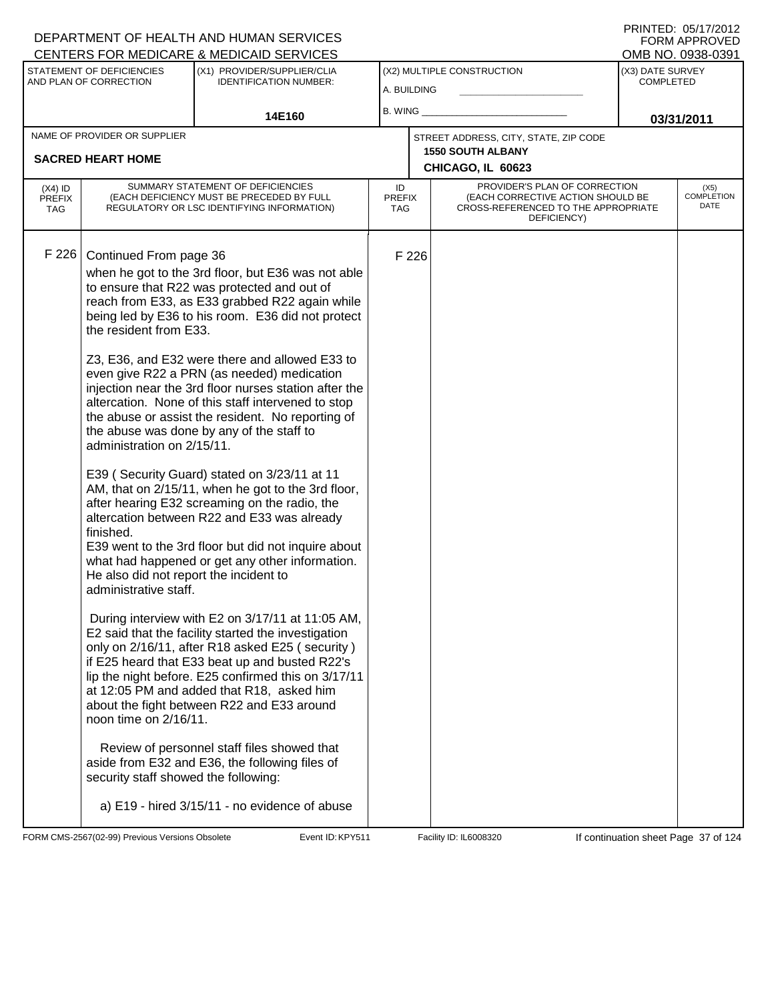PRINTED: 05/17/2012 FORM APPROVED<br>OMB NO. 0938-0391

|                                   | STATEMENT OF DEFICIENCIES                                                                                                                                                                                                       | (X1) PROVIDER/SUPPLIER/CLIA                                                                                                                                                                                                                                                                                                                                                                                                                                                                                                                                                                                                                                                                                                                                                                                                                                                                                                                                                                                                                                                                                                                                                                                                                                                                                  |                                   |       | (X2) MULTIPLE CONSTRUCTION                                                                                               | ו פטט־טטפט .טאו טואוט<br>(X3) DATE SURVEY |                                   |  |
|-----------------------------------|---------------------------------------------------------------------------------------------------------------------------------------------------------------------------------------------------------------------------------|--------------------------------------------------------------------------------------------------------------------------------------------------------------------------------------------------------------------------------------------------------------------------------------------------------------------------------------------------------------------------------------------------------------------------------------------------------------------------------------------------------------------------------------------------------------------------------------------------------------------------------------------------------------------------------------------------------------------------------------------------------------------------------------------------------------------------------------------------------------------------------------------------------------------------------------------------------------------------------------------------------------------------------------------------------------------------------------------------------------------------------------------------------------------------------------------------------------------------------------------------------------------------------------------------------------|-----------------------------------|-------|--------------------------------------------------------------------------------------------------------------------------|-------------------------------------------|-----------------------------------|--|
|                                   | AND PLAN OF CORRECTION                                                                                                                                                                                                          | <b>IDENTIFICATION NUMBER:</b>                                                                                                                                                                                                                                                                                                                                                                                                                                                                                                                                                                                                                                                                                                                                                                                                                                                                                                                                                                                                                                                                                                                                                                                                                                                                                | A. BUILDING                       |       |                                                                                                                          | <b>COMPLETED</b>                          |                                   |  |
|                                   |                                                                                                                                                                                                                                 | 14E160                                                                                                                                                                                                                                                                                                                                                                                                                                                                                                                                                                                                                                                                                                                                                                                                                                                                                                                                                                                                                                                                                                                                                                                                                                                                                                       |                                   |       |                                                                                                                          | 03/31/2011                                |                                   |  |
|                                   | NAME OF PROVIDER OR SUPPLIER<br><b>SACRED HEART HOME</b>                                                                                                                                                                        |                                                                                                                                                                                                                                                                                                                                                                                                                                                                                                                                                                                                                                                                                                                                                                                                                                                                                                                                                                                                                                                                                                                                                                                                                                                                                                              |                                   |       | STREET ADDRESS, CITY, STATE, ZIP CODE<br><b>1550 SOUTH ALBANY</b><br>CHICAGO, IL 60623                                   |                                           |                                   |  |
| $(X4)$ ID<br><b>PREFIX</b><br>TAG |                                                                                                                                                                                                                                 | SUMMARY STATEMENT OF DEFICIENCIES<br>(EACH DEFICIENCY MUST BE PRECEDED BY FULL<br>REGULATORY OR LSC IDENTIFYING INFORMATION)                                                                                                                                                                                                                                                                                                                                                                                                                                                                                                                                                                                                                                                                                                                                                                                                                                                                                                                                                                                                                                                                                                                                                                                 | ID<br><b>PREFIX</b><br><b>TAG</b> |       | PROVIDER'S PLAN OF CORRECTION<br>(EACH CORRECTIVE ACTION SHOULD BE<br>CROSS-REFERENCED TO THE APPROPRIATE<br>DEFICIENCY) |                                           | (X5)<br><b>COMPLETION</b><br>DATE |  |
| F 226                             | Continued From page 36<br>the resident from E33.<br>administration on 2/15/11.<br>finished.<br>He also did not report the incident to<br>administrative staff.<br>noon time on 2/16/11.<br>security staff showed the following: | when he got to the 3rd floor, but E36 was not able<br>to ensure that R22 was protected and out of<br>reach from E33, as E33 grabbed R22 again while<br>being led by E36 to his room. E36 did not protect<br>Z3, E36, and E32 were there and allowed E33 to<br>even give R22 a PRN (as needed) medication<br>injection near the 3rd floor nurses station after the<br>altercation. None of this staff intervened to stop<br>the abuse or assist the resident. No reporting of<br>the abuse was done by any of the staff to<br>E39 (Security Guard) stated on 3/23/11 at 11<br>AM, that on 2/15/11, when he got to the 3rd floor,<br>after hearing E32 screaming on the radio, the<br>altercation between R22 and E33 was already<br>E39 went to the 3rd floor but did not inquire about<br>what had happened or get any other information.<br>During interview with E2 on 3/17/11 at 11:05 AM,<br>E2 said that the facility started the investigation<br>only on 2/16/11, after R18 asked E25 (security)<br>if E25 heard that E33 beat up and busted R22's<br>lip the night before. E25 confirmed this on 3/17/11<br>at 12:05 PM and added that R18, asked him<br>about the fight between R22 and E33 around<br>Review of personnel staff files showed that<br>aside from E32 and E36, the following files of |                                   | F 226 |                                                                                                                          |                                           |                                   |  |
|                                   |                                                                                                                                                                                                                                 | a) E19 - hired 3/15/11 - no evidence of abuse                                                                                                                                                                                                                                                                                                                                                                                                                                                                                                                                                                                                                                                                                                                                                                                                                                                                                                                                                                                                                                                                                                                                                                                                                                                                |                                   |       |                                                                                                                          |                                           |                                   |  |

FORM CMS-2567(02-99) Previous Versions Obsolete **KRY511** Event ID: KPY511 Facility ID: IL6008320 If continuation sheet Page 37 of 124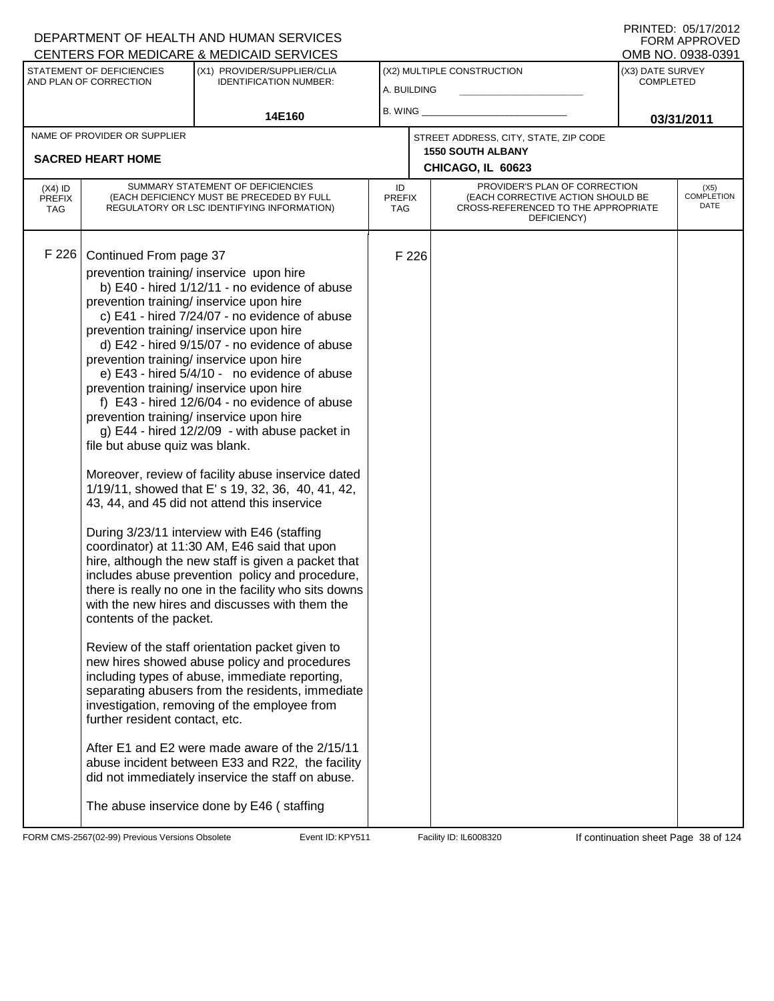| STATEMENT OF DEFICIENCIES<br>(X1) PROVIDER/SUPPLIER/CLIA<br>(X2) MULTIPLE CONSTRUCTION<br>(X3) DATE SURVEY<br>AND PLAN OF CORRECTION<br><b>IDENTIFICATION NUMBER:</b><br><b>COMPLETED</b><br>A. BUILDING<br>B. WING<br>14E160<br>03/31/2011<br>NAME OF PROVIDER OR SUPPLIER<br>STREET ADDRESS, CITY, STATE, ZIP CODE<br><b>1550 SOUTH ALBANY</b><br><b>SACRED HEART HOME</b><br>CHICAGO, IL 60623<br>SUMMARY STATEMENT OF DEFICIENCIES<br>PROVIDER'S PLAN OF CORRECTION<br>ID<br>$(X4)$ ID<br>(X5)<br><b>COMPLETION</b><br>(EACH CORRECTIVE ACTION SHOULD BE<br>(EACH DEFICIENCY MUST BE PRECEDED BY FULL<br><b>PREFIX</b><br><b>PREFIX</b><br>DATE<br>CROSS-REFERENCED TO THE APPROPRIATE<br>REGULATORY OR LSC IDENTIFYING INFORMATION)<br>TAG<br><b>TAG</b><br>DEFICIENCY)<br>F 226<br>Continued From page 37<br>F 226<br>prevention training/ inservice upon hire<br>b) E40 - hired 1/12/11 - no evidence of abuse<br>prevention training/ inservice upon hire<br>c) E41 - hired 7/24/07 - no evidence of abuse<br>prevention training/ inservice upon hire<br>d) E42 - hired 9/15/07 - no evidence of abuse<br>prevention training/ inservice upon hire<br>e) E43 - hired 5/4/10 - no evidence of abuse<br>prevention training/ inservice upon hire<br>f) E43 - hired 12/6/04 - no evidence of abuse<br>prevention training/ inservice upon hire<br>g) E44 - hired 12/2/09 - with abuse packet in<br>file but abuse quiz was blank.<br>Moreover, review of facility abuse inservice dated<br>1/19/11, showed that E' s 19, 32, 36, 40, 41, 42,<br>43, 44, and 45 did not attend this inservice<br>During 3/23/11 interview with E46 (staffing<br>coordinator) at 11:30 AM, E46 said that upon<br>hire, although the new staff is given a packet that<br>includes abuse prevention policy and procedure,<br>there is really no one in the facility who sits downs<br>with the new hires and discusses with them the<br>contents of the packet.<br>Review of the staff orientation packet given to<br>new hires showed abuse policy and procedures<br>including types of abuse, immediate reporting,<br>separating abusers from the residents, immediate<br>investigation, removing of the employee from<br>further resident contact, etc.<br>After E1 and E2 were made aware of the 2/15/11<br>abuse incident between E33 and R22, the facility<br>did not immediately inservice the staff on abuse. | CENTERS FOR MEDICARE & MEDICAID SERVICES |  |  | OMB NO. 0938-0391 |  |  |
|---------------------------------------------------------------------------------------------------------------------------------------------------------------------------------------------------------------------------------------------------------------------------------------------------------------------------------------------------------------------------------------------------------------------------------------------------------------------------------------------------------------------------------------------------------------------------------------------------------------------------------------------------------------------------------------------------------------------------------------------------------------------------------------------------------------------------------------------------------------------------------------------------------------------------------------------------------------------------------------------------------------------------------------------------------------------------------------------------------------------------------------------------------------------------------------------------------------------------------------------------------------------------------------------------------------------------------------------------------------------------------------------------------------------------------------------------------------------------------------------------------------------------------------------------------------------------------------------------------------------------------------------------------------------------------------------------------------------------------------------------------------------------------------------------------------------------------------------------------------------------------------------------------------------------------------------------------------------------------------------------------------------------------------------------------------------------------------------------------------------------------------------------------------------------------------------------------------------------------------------------------------------------------------------------------------------------------------------------------------------------------------------------------|------------------------------------------|--|--|-------------------|--|--|
|                                                                                                                                                                                                                                                                                                                                                                                                                                                                                                                                                                                                                                                                                                                                                                                                                                                                                                                                                                                                                                                                                                                                                                                                                                                                                                                                                                                                                                                                                                                                                                                                                                                                                                                                                                                                                                                                                                                                                                                                                                                                                                                                                                                                                                                                                                                                                                                                         |                                          |  |  |                   |  |  |
|                                                                                                                                                                                                                                                                                                                                                                                                                                                                                                                                                                                                                                                                                                                                                                                                                                                                                                                                                                                                                                                                                                                                                                                                                                                                                                                                                                                                                                                                                                                                                                                                                                                                                                                                                                                                                                                                                                                                                                                                                                                                                                                                                                                                                                                                                                                                                                                                         |                                          |  |  |                   |  |  |
|                                                                                                                                                                                                                                                                                                                                                                                                                                                                                                                                                                                                                                                                                                                                                                                                                                                                                                                                                                                                                                                                                                                                                                                                                                                                                                                                                                                                                                                                                                                                                                                                                                                                                                                                                                                                                                                                                                                                                                                                                                                                                                                                                                                                                                                                                                                                                                                                         |                                          |  |  |                   |  |  |
|                                                                                                                                                                                                                                                                                                                                                                                                                                                                                                                                                                                                                                                                                                                                                                                                                                                                                                                                                                                                                                                                                                                                                                                                                                                                                                                                                                                                                                                                                                                                                                                                                                                                                                                                                                                                                                                                                                                                                                                                                                                                                                                                                                                                                                                                                                                                                                                                         |                                          |  |  |                   |  |  |
|                                                                                                                                                                                                                                                                                                                                                                                                                                                                                                                                                                                                                                                                                                                                                                                                                                                                                                                                                                                                                                                                                                                                                                                                                                                                                                                                                                                                                                                                                                                                                                                                                                                                                                                                                                                                                                                                                                                                                                                                                                                                                                                                                                                                                                                                                                                                                                                                         |                                          |  |  |                   |  |  |
|                                                                                                                                                                                                                                                                                                                                                                                                                                                                                                                                                                                                                                                                                                                                                                                                                                                                                                                                                                                                                                                                                                                                                                                                                                                                                                                                                                                                                                                                                                                                                                                                                                                                                                                                                                                                                                                                                                                                                                                                                                                                                                                                                                                                                                                                                                                                                                                                         |                                          |  |  |                   |  |  |
|                                                                                                                                                                                                                                                                                                                                                                                                                                                                                                                                                                                                                                                                                                                                                                                                                                                                                                                                                                                                                                                                                                                                                                                                                                                                                                                                                                                                                                                                                                                                                                                                                                                                                                                                                                                                                                                                                                                                                                                                                                                                                                                                                                                                                                                                                                                                                                                                         |                                          |  |  |                   |  |  |
| The abuse inservice done by E46 (staffing                                                                                                                                                                                                                                                                                                                                                                                                                                                                                                                                                                                                                                                                                                                                                                                                                                                                                                                                                                                                                                                                                                                                                                                                                                                                                                                                                                                                                                                                                                                                                                                                                                                                                                                                                                                                                                                                                                                                                                                                                                                                                                                                                                                                                                                                                                                                                               |                                          |  |  |                   |  |  |

FORM CMS-2567(02-99) Previous Versions Obsolete Event ID: KPY511 Facility ID: IL6008320 If continuation sheet Page 38 of 124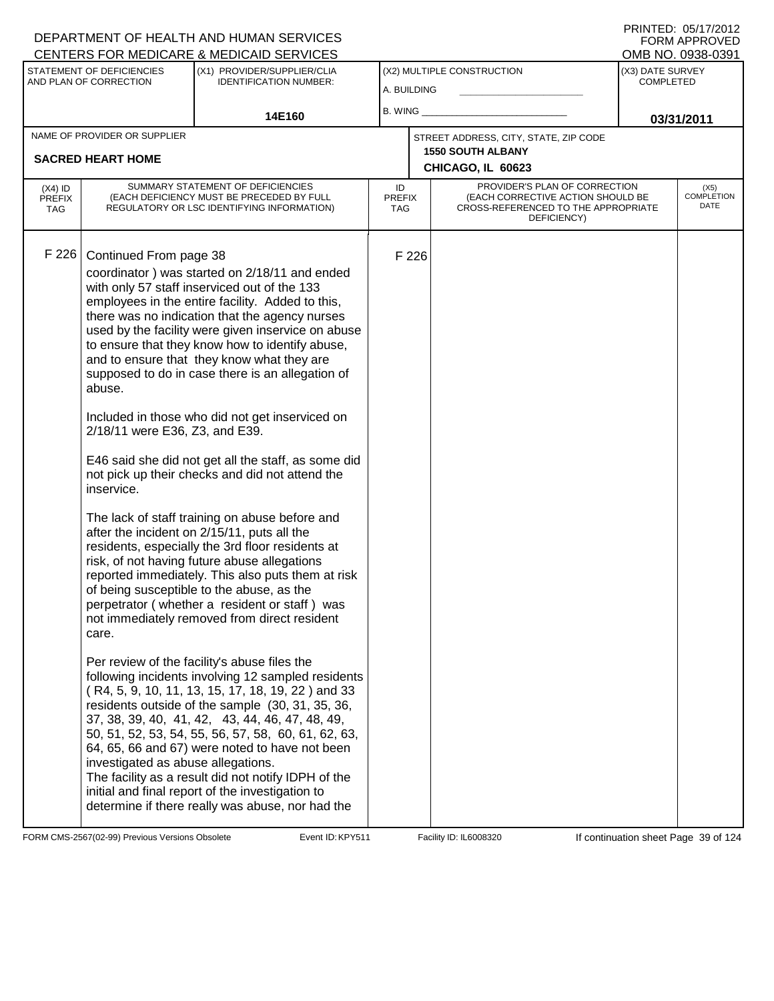| CENTERS FOR MEDICARE & MEDICAID SERVICES |                                                                                                                                 |                                                                                                                                                                                                                                                                                                                                                                                                                                                                                                                                                                                                                                                                                                                                                                                                                                                                                                                                                                                                                                                                                                                                                                                                                                                                                                                                                                                                                                                                                                                               |                                   |                                           |                                                                                                                          |                                      | OMB NO. 0938-0391            |
|------------------------------------------|---------------------------------------------------------------------------------------------------------------------------------|-------------------------------------------------------------------------------------------------------------------------------------------------------------------------------------------------------------------------------------------------------------------------------------------------------------------------------------------------------------------------------------------------------------------------------------------------------------------------------------------------------------------------------------------------------------------------------------------------------------------------------------------------------------------------------------------------------------------------------------------------------------------------------------------------------------------------------------------------------------------------------------------------------------------------------------------------------------------------------------------------------------------------------------------------------------------------------------------------------------------------------------------------------------------------------------------------------------------------------------------------------------------------------------------------------------------------------------------------------------------------------------------------------------------------------------------------------------------------------------------------------------------------------|-----------------------------------|-------------------------------------------|--------------------------------------------------------------------------------------------------------------------------|--------------------------------------|------------------------------|
|                                          | STATEMENT OF DEFICIENCIES<br>AND PLAN OF CORRECTION                                                                             | (X1) PROVIDER/SUPPLIER/CLIA<br><b>IDENTIFICATION NUMBER:</b>                                                                                                                                                                                                                                                                                                                                                                                                                                                                                                                                                                                                                                                                                                                                                                                                                                                                                                                                                                                                                                                                                                                                                                                                                                                                                                                                                                                                                                                                  |                                   | (X2) MULTIPLE CONSTRUCTION<br>A. BUILDING |                                                                                                                          | (X3) DATE SURVEY<br><b>COMPLETED</b> |                              |
|                                          |                                                                                                                                 | 14E160                                                                                                                                                                                                                                                                                                                                                                                                                                                                                                                                                                                                                                                                                                                                                                                                                                                                                                                                                                                                                                                                                                                                                                                                                                                                                                                                                                                                                                                                                                                        | $B.$ WING $\_$                    |                                           |                                                                                                                          | 03/31/2011                           |                              |
|                                          | NAME OF PROVIDER OR SUPPLIER                                                                                                    |                                                                                                                                                                                                                                                                                                                                                                                                                                                                                                                                                                                                                                                                                                                                                                                                                                                                                                                                                                                                                                                                                                                                                                                                                                                                                                                                                                                                                                                                                                                               |                                   |                                           | STREET ADDRESS, CITY, STATE, ZIP CODE                                                                                    |                                      |                              |
|                                          | <b>SACRED HEART HOME</b>                                                                                                        |                                                                                                                                                                                                                                                                                                                                                                                                                                                                                                                                                                                                                                                                                                                                                                                                                                                                                                                                                                                                                                                                                                                                                                                                                                                                                                                                                                                                                                                                                                                               |                                   |                                           | <b>1550 SOUTH ALBANY</b><br>CHICAGO, IL 60623                                                                            |                                      |                              |
| $(X4)$ ID<br><b>PREFIX</b><br>TAG        |                                                                                                                                 | SUMMARY STATEMENT OF DEFICIENCIES<br>(EACH DEFICIENCY MUST BE PRECEDED BY FULL<br>REGULATORY OR LSC IDENTIFYING INFORMATION)                                                                                                                                                                                                                                                                                                                                                                                                                                                                                                                                                                                                                                                                                                                                                                                                                                                                                                                                                                                                                                                                                                                                                                                                                                                                                                                                                                                                  | ID<br><b>PREFIX</b><br><b>TAG</b> |                                           | PROVIDER'S PLAN OF CORRECTION<br>(EACH CORRECTIVE ACTION SHOULD BE<br>CROSS-REFERENCED TO THE APPROPRIATE<br>DEFICIENCY) |                                      | $(X5)$<br>COMPLETION<br>DATE |
| F 226                                    | Continued From page 38<br>abuse.<br>2/18/11 were E36, Z3, and E39.<br>inservice.<br>care.<br>investigated as abuse allegations. | coordinator) was started on 2/18/11 and ended<br>with only 57 staff inserviced out of the 133<br>employees in the entire facility. Added to this,<br>there was no indication that the agency nurses<br>used by the facility were given inservice on abuse<br>to ensure that they know how to identify abuse,<br>and to ensure that they know what they are<br>supposed to do in case there is an allegation of<br>Included in those who did not get inserviced on<br>E46 said she did not get all the staff, as some did<br>not pick up their checks and did not attend the<br>The lack of staff training on abuse before and<br>after the incident on 2/15/11, puts all the<br>residents, especially the 3rd floor residents at<br>risk, of not having future abuse allegations<br>reported immediately. This also puts them at risk<br>of being susceptible to the abuse, as the<br>perpetrator (whether a resident or staff) was<br>not immediately removed from direct resident<br>Per review of the facility's abuse files the<br>following incidents involving 12 sampled residents<br>(R4, 5, 9, 10, 11, 13, 15, 17, 18, 19, 22) and 33<br>residents outside of the sample (30, 31, 35, 36,<br>37, 38, 39, 40, 41, 42, 43, 44, 46, 47, 48, 49,<br>50, 51, 52, 53, 54, 55, 56, 57, 58, 60, 61, 62, 63,<br>64, 65, 66 and 67) were noted to have not been<br>The facility as a result did not notify IDPH of the<br>initial and final report of the investigation to<br>determine if there really was abuse, nor had the |                                   | F 226                                     |                                                                                                                          |                                      |                              |

FORM CMS-2567(02-99) Previous Versions Obsolete Event ID: KPY511 Facility ID: IL6008320 If continuation sheet Page 39 of 124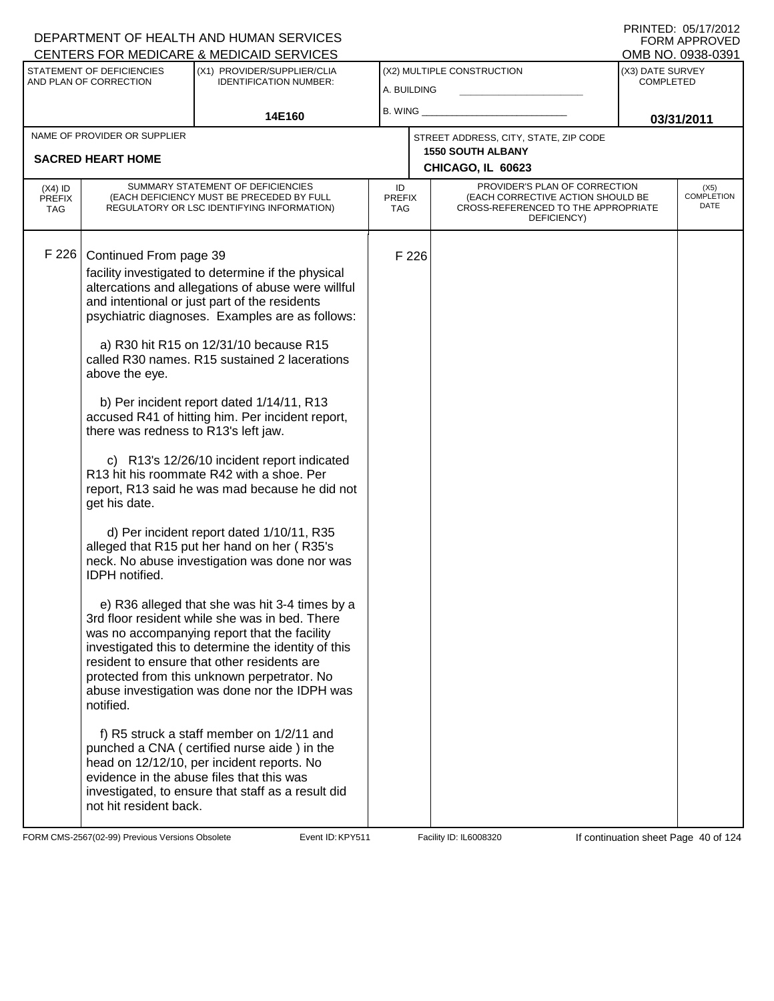### A. BUILDING (X1) PROVIDER/SUPPLIER/CLIA IDENTIFICATION NUMBER: STATEMENT OF DEFICIENCIES AND PLAN OF CORRECTION (X3) DATE SURVEY COMPLETED FORM APPROVED<br>OMB NO. 0938-0391 (X2) MULTIPLE CONSTRUCTION B. WING **\_\_\_\_\_\_\_\_\_\_\_\_\_\_\_\_\_\_\_\_\_\_** CENTERS FOR MEDICARE & MEDICAID SERVICES 14E160 **B. WING CONSUMING (2011 03/31/2011 CHICAGO, IL 60623** NAME OF PROVIDER OR SUPPLIER STREET ADDRESS, CITY, STATE, ZIP CODE **SACRED HEART HOME 1550 SOUTH ALBANY** PROVIDER'S PLAN OF CORRECTION (EACH CORRECTIVE ACTION SHOULD BE CROSS-REFERENCED TO THE APPROPRIATE DEFICIENCY) (X5) COMPLETION DATE ID PREFIX TAG (X4) ID PREFIX TAG SUMMARY STATEMENT OF DEFICIENCIES (EACH DEFICIENCY MUST BE PRECEDED BY FULL REGULATORY OR LSC IDENTIFYING INFORMATION) F 226 Continued From page 39 F 226 facility investigated to determine if the physical altercations and allegations of abuse were willful and intentional or just part of the residents psychiatric diagnoses. Examples are as follows: a) R30 hit R15 on 12/31/10 because R15 called R30 names. R15 sustained 2 lacerations above the eye. b) Per incident report dated 1/14/11, R13 accused R41 of hitting him. Per incident report, there was redness to R13's left jaw. c) R13's 12/26/10 incident report indicated R13 hit his roommate R42 with a shoe. Per report, R13 said he was mad because he did not get his date. d) Per incident report dated 1/10/11, R35 alleged that R15 put her hand on her ( R35's neck. No abuse investigation was done nor was IDPH notified. e) R36 alleged that she was hit 3-4 times by a 3rd floor resident while she was in bed. There was no accompanying report that the facility investigated this to determine the identity of this resident to ensure that other residents are protected from this unknown perpetrator. No abuse investigation was done nor the IDPH was notified. f) R5 struck a staff member on 1/2/11 and punched a CNA ( certified nurse aide ) in the head on 12/12/10, per incident reports. No evidence in the abuse files that this was investigated, to ensure that staff as a result did not hit resident back.

FORM CMS-2567(02-99) Previous Versions Obsolete **KRYS11** Event ID: KPY511 Facility ID: IL6008320 If continuation sheet Page 40 of 124

DEPARTMENT OF HEALTH AND HUMAN SERVICES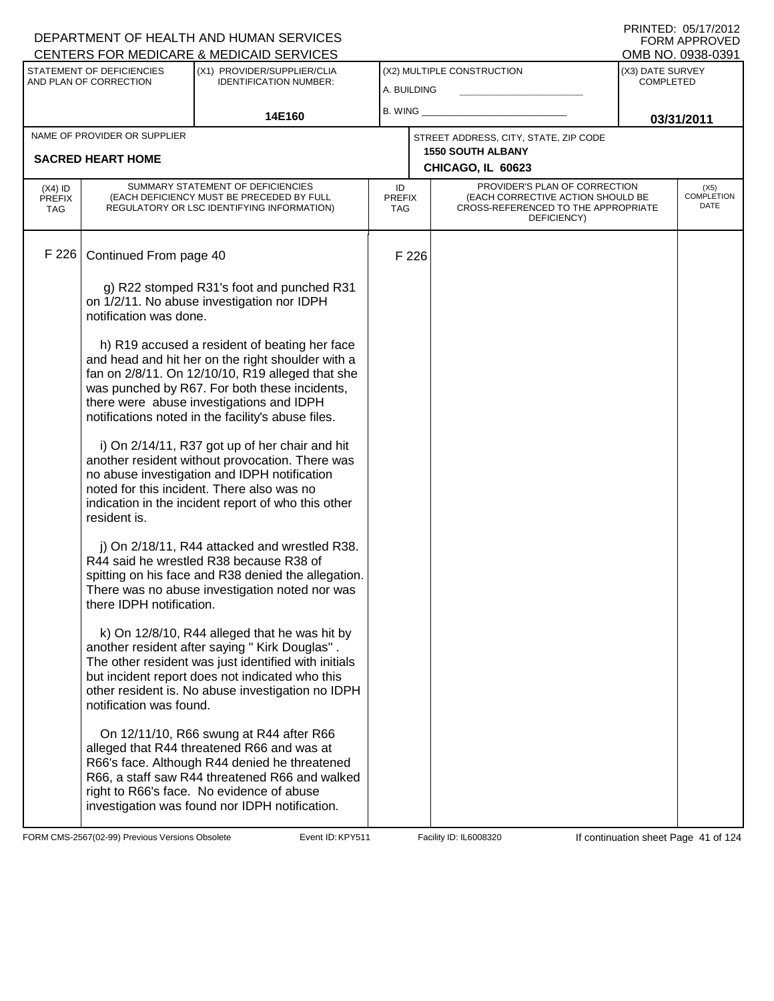|                                   |                                                     | DEPARTMENT OF HEALTH AND HUMAN SERVICES<br>CENTERS FOR MEDICARE & MEDICAID SERVICES                                                                                                                                                                                                                       |                            |       |                                                                                                                          |                                      | LININILD. <i>בו</i> טאווור<br><b>FORM APPROVED</b><br>OMB NO. 0938-0391 |
|-----------------------------------|-----------------------------------------------------|-----------------------------------------------------------------------------------------------------------------------------------------------------------------------------------------------------------------------------------------------------------------------------------------------------------|----------------------------|-------|--------------------------------------------------------------------------------------------------------------------------|--------------------------------------|-------------------------------------------------------------------------|
|                                   | STATEMENT OF DEFICIENCIES<br>AND PLAN OF CORRECTION | (X1) PROVIDER/SUPPLIER/CLIA<br><b>IDENTIFICATION NUMBER:</b>                                                                                                                                                                                                                                              | A. BUILDING                |       | (X2) MULTIPLE CONSTRUCTION                                                                                               | (X3) DATE SURVEY<br><b>COMPLETED</b> |                                                                         |
|                                   |                                                     | 14E160                                                                                                                                                                                                                                                                                                    | B. WING                    |       |                                                                                                                          | 03/31/2011                           |                                                                         |
|                                   | NAME OF PROVIDER OR SUPPLIER                        |                                                                                                                                                                                                                                                                                                           |                            |       | STREET ADDRESS, CITY, STATE, ZIP CODE                                                                                    |                                      |                                                                         |
|                                   | <b>SACRED HEART HOME</b>                            |                                                                                                                                                                                                                                                                                                           |                            |       | <b>1550 SOUTH ALBANY</b><br>CHICAGO, IL 60623                                                                            |                                      |                                                                         |
| $(X4)$ ID<br><b>PREFIX</b><br>TAG |                                                     | SUMMARY STATEMENT OF DEFICIENCIES<br>(EACH DEFICIENCY MUST BE PRECEDED BY FULL<br>REGULATORY OR LSC IDENTIFYING INFORMATION)                                                                                                                                                                              | ID<br><b>PREFIX</b><br>TAG |       | PROVIDER'S PLAN OF CORRECTION<br>(EACH CORRECTIVE ACTION SHOULD BE<br>CROSS-REFERENCED TO THE APPROPRIATE<br>DEFICIENCY) |                                      | (X5)<br><b>COMPLETION</b><br>DATE                                       |
| F 226                             | Continued From page 40                              |                                                                                                                                                                                                                                                                                                           |                            | F 226 |                                                                                                                          |                                      |                                                                         |
|                                   | notification was done.                              | g) R22 stomped R31's foot and punched R31<br>on 1/2/11. No abuse investigation nor IDPH                                                                                                                                                                                                                   |                            |       |                                                                                                                          |                                      |                                                                         |
|                                   |                                                     | h) R19 accused a resident of beating her face<br>and head and hit her on the right shoulder with a<br>fan on 2/8/11. On 12/10/10, R19 alleged that she<br>was punched by R67. For both these incidents,<br>there were abuse investigations and IDPH<br>notifications noted in the facility's abuse files. |                            |       |                                                                                                                          |                                      |                                                                         |
|                                   | resident is.                                        | i) On 2/14/11, R37 got up of her chair and hit<br>another resident without provocation. There was<br>no abuse investigation and IDPH notification<br>noted for this incident. There also was no<br>indication in the incident report of who this other                                                    |                            |       |                                                                                                                          |                                      |                                                                         |
|                                   | there IDPH notification.                            | j) On 2/18/11, R44 attacked and wrestled R38.<br>R44 said he wrestled R38 because R38 of<br>spitting on his face and R38 denied the allegation.<br>There was no abuse investigation noted nor was                                                                                                         |                            |       |                                                                                                                          |                                      |                                                                         |
|                                   | notification was found.                             | k) On 12/8/10, R44 alleged that he was hit by<br>another resident after saying " Kirk Douglas".<br>The other resident was just identified with initials<br>but incident report does not indicated who this<br>other resident is. No abuse investigation no IDPH                                           |                            |       |                                                                                                                          |                                      |                                                                         |
|                                   |                                                     | On 12/11/10, R66 swung at R44 after R66<br>alleged that R44 threatened R66 and was at<br>R66's face. Although R44 denied he threatened<br>R66, a staff saw R44 threatened R66 and walked<br>right to R66's face. No evidence of abuse<br>investigation was found nor IDPH notification.                   |                            |       |                                                                                                                          |                                      |                                                                         |

FORM CMS-2567(02-99) Previous Versions Obsolete Event ID: KPY511 Facility ID: IL6008320 If continuation sheet Page 41 of 124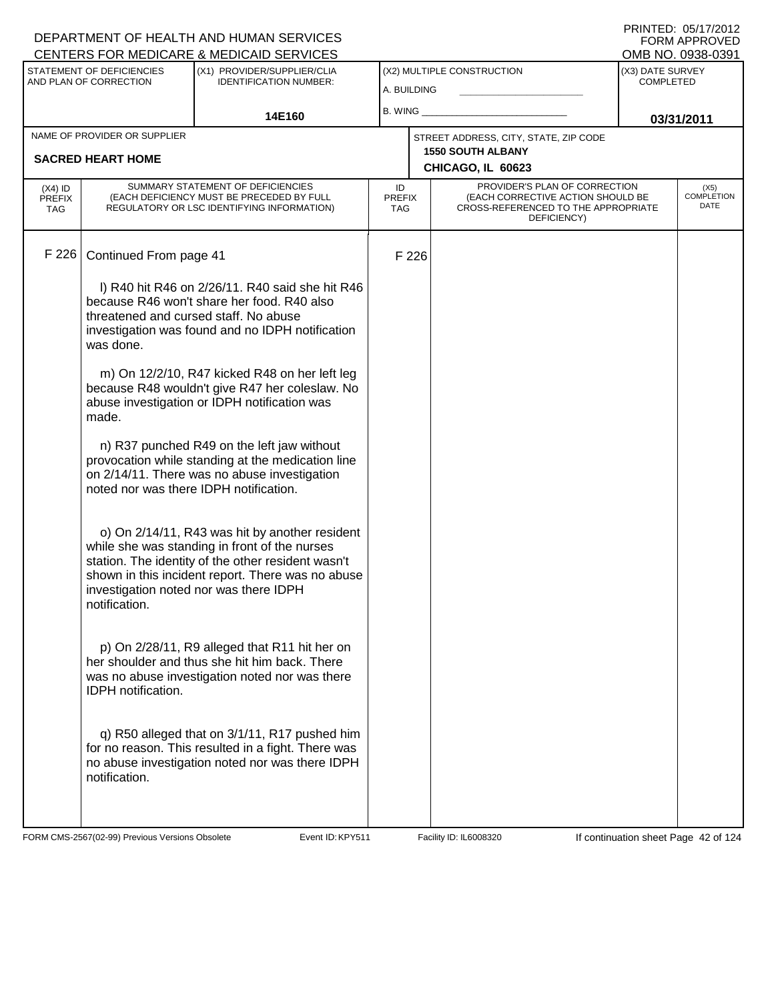|                    | DEPARTMENT OF HEALTH AND HUMAN SERVICES                                                                                  |                                                                                                                                                                                                                                                                                                                                                                                                                                                                                                                                                                                                                                                                                                                                                                                                                                                                                                                                                                                                                                                                                                                                                                                                                                                                                                                        |                                      |                                                                                                                                                | FORM APPROVED                                                                                                                  |
|--------------------|--------------------------------------------------------------------------------------------------------------------------|------------------------------------------------------------------------------------------------------------------------------------------------------------------------------------------------------------------------------------------------------------------------------------------------------------------------------------------------------------------------------------------------------------------------------------------------------------------------------------------------------------------------------------------------------------------------------------------------------------------------------------------------------------------------------------------------------------------------------------------------------------------------------------------------------------------------------------------------------------------------------------------------------------------------------------------------------------------------------------------------------------------------------------------------------------------------------------------------------------------------------------------------------------------------------------------------------------------------------------------------------------------------------------------------------------------------|--------------------------------------|------------------------------------------------------------------------------------------------------------------------------------------------|--------------------------------------------------------------------------------------------------------------------------------|
|                    | (X1) PROVIDER/SUPPLIER/CLIA<br><b>IDENTIFICATION NUMBER:</b>                                                             |                                                                                                                                                                                                                                                                                                                                                                                                                                                                                                                                                                                                                                                                                                                                                                                                                                                                                                                                                                                                                                                                                                                                                                                                                                                                                                                        |                                      | (X3) DATE SURVEY<br><b>COMPLETED</b>                                                                                                           |                                                                                                                                |
|                    | 14E160                                                                                                                   |                                                                                                                                                                                                                                                                                                                                                                                                                                                                                                                                                                                                                                                                                                                                                                                                                                                                                                                                                                                                                                                                                                                                                                                                                                                                                                                        |                                      |                                                                                                                                                | 03/31/2011                                                                                                                     |
|                    |                                                                                                                          |                                                                                                                                                                                                                                                                                                                                                                                                                                                                                                                                                                                                                                                                                                                                                                                                                                                                                                                                                                                                                                                                                                                                                                                                                                                                                                                        |                                      |                                                                                                                                                |                                                                                                                                |
|                    |                                                                                                                          |                                                                                                                                                                                                                                                                                                                                                                                                                                                                                                                                                                                                                                                                                                                                                                                                                                                                                                                                                                                                                                                                                                                                                                                                                                                                                                                        |                                      |                                                                                                                                                |                                                                                                                                |
|                    |                                                                                                                          | ID                                                                                                                                                                                                                                                                                                                                                                                                                                                                                                                                                                                                                                                                                                                                                                                                                                                                                                                                                                                                                                                                                                                                                                                                                                                                                                                     | DEFICIENCY)                          |                                                                                                                                                | (X5)<br><b>COMPLETION</b><br>DATE                                                                                              |
|                    |                                                                                                                          |                                                                                                                                                                                                                                                                                                                                                                                                                                                                                                                                                                                                                                                                                                                                                                                                                                                                                                                                                                                                                                                                                                                                                                                                                                                                                                                        |                                      |                                                                                                                                                |                                                                                                                                |
| was done.          |                                                                                                                          |                                                                                                                                                                                                                                                                                                                                                                                                                                                                                                                                                                                                                                                                                                                                                                                                                                                                                                                                                                                                                                                                                                                                                                                                                                                                                                                        |                                      |                                                                                                                                                |                                                                                                                                |
| made.              |                                                                                                                          |                                                                                                                                                                                                                                                                                                                                                                                                                                                                                                                                                                                                                                                                                                                                                                                                                                                                                                                                                                                                                                                                                                                                                                                                                                                                                                                        |                                      |                                                                                                                                                |                                                                                                                                |
|                    |                                                                                                                          |                                                                                                                                                                                                                                                                                                                                                                                                                                                                                                                                                                                                                                                                                                                                                                                                                                                                                                                                                                                                                                                                                                                                                                                                                                                                                                                        |                                      |                                                                                                                                                |                                                                                                                                |
| notification.      |                                                                                                                          |                                                                                                                                                                                                                                                                                                                                                                                                                                                                                                                                                                                                                                                                                                                                                                                                                                                                                                                                                                                                                                                                                                                                                                                                                                                                                                                        |                                      |                                                                                                                                                |                                                                                                                                |
| IDPH notification. |                                                                                                                          |                                                                                                                                                                                                                                                                                                                                                                                                                                                                                                                                                                                                                                                                                                                                                                                                                                                                                                                                                                                                                                                                                                                                                                                                                                                                                                                        |                                      |                                                                                                                                                |                                                                                                                                |
| notification.      |                                                                                                                          |                                                                                                                                                                                                                                                                                                                                                                                                                                                                                                                                                                                                                                                                                                                                                                                                                                                                                                                                                                                                                                                                                                                                                                                                                                                                                                                        |                                      |                                                                                                                                                |                                                                                                                                |
|                    | STATEMENT OF DEFICIENCIES<br>AND PLAN OF CORRECTION<br>NAME OF PROVIDER OR SUPPLIER<br><b>SACRED HEART HOME</b><br>F 226 | CENTERS FOR MEDICARE & MEDICAID SERVICES<br>SUMMARY STATEMENT OF DEFICIENCIES<br>(EACH DEFICIENCY MUST BE PRECEDED BY FULL<br>REGULATORY OR LSC IDENTIFYING INFORMATION)<br>Continued From page 41<br>I) R40 hit R46 on 2/26/11. R40 said she hit R46<br>because R46 won't share her food. R40 also<br>threatened and cursed staff. No abuse<br>investigation was found and no IDPH notification<br>m) On 12/2/10, R47 kicked R48 on her left leg<br>because R48 wouldn't give R47 her coleslaw. No<br>abuse investigation or IDPH notification was<br>n) R37 punched R49 on the left jaw without<br>provocation while standing at the medication line<br>on 2/14/11. There was no abuse investigation<br>noted nor was there IDPH notification.<br>o) On 2/14/11, R43 was hit by another resident<br>while she was standing in front of the nurses<br>station. The identity of the other resident wasn't<br>shown in this incident report. There was no abuse<br>investigation noted nor was there IDPH<br>p) On 2/28/11, R9 alleged that R11 hit her on<br>her shoulder and thus she hit him back. There<br>was no abuse investigation noted nor was there<br>q) R50 alleged that on 3/1/11, R17 pushed him<br>for no reason. This resulted in a fight. There was<br>no abuse investigation noted nor was there IDPH | <b>PREFIX</b><br><b>TAG</b><br>F 226 | (X2) MULTIPLE CONSTRUCTION<br>A. BUILDING<br>B. WING<br>STREET ADDRESS, CITY, STATE, ZIP CODE<br><b>1550 SOUTH ALBANY</b><br>CHICAGO, IL 60623 | OMB NO. 0938-0391<br>PROVIDER'S PLAN OF CORRECTION<br>(EACH CORRECTIVE ACTION SHOULD BE<br>CROSS-REFERENCED TO THE APPROPRIATE |

FORM CMS-2567(02-99) Previous Versions Obsolete Event ID: KPY511 Facility ID: IL6008320 If continuation sheet Page 42 of 124

DEPARTMENT OF HEALTH AND HUMAN SERVICES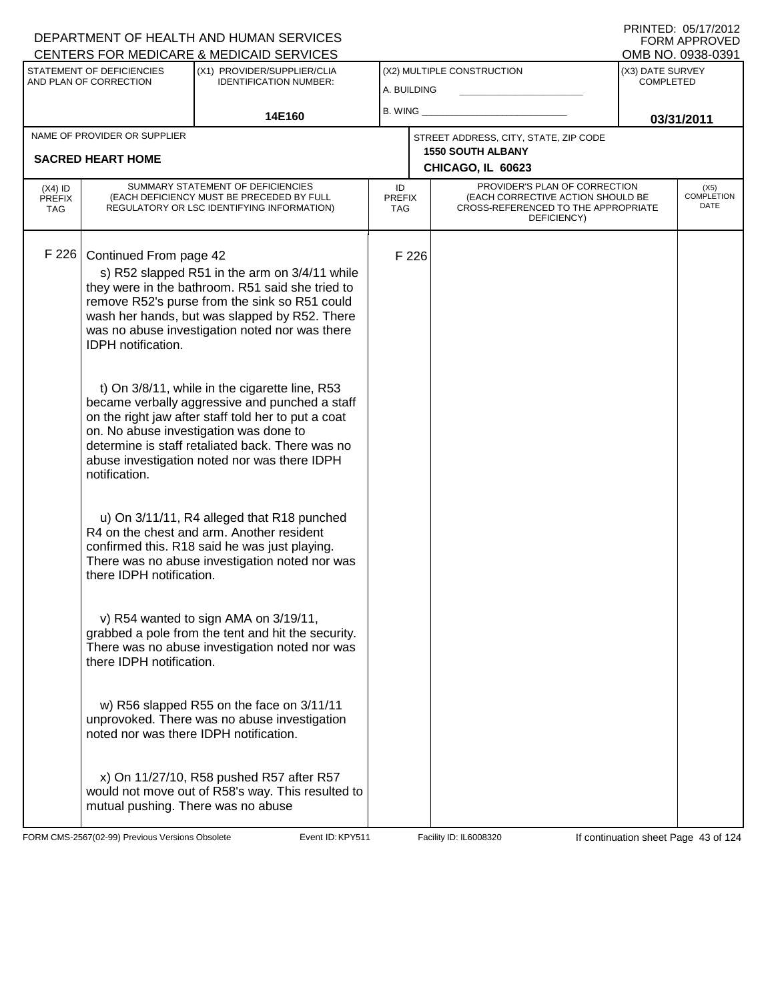PRINTED: 05/17/2012 FORM APPROVED<br>OMB NO. 0938-0391

|                                          | STATEMENT OF DEFICIENCIES<br>AND PLAN OF CORRECTION      | <u>ULIVILINU I UN MEDIUNNE &amp; MEDIUNID ULIVIULU</u><br>(X1) PROVIDER/SUPPLIER/CLIA<br><b>IDENTIFICATION NUMBER:</b>                                                                                                                                                                                | (X2) MULTIPLE CONSTRUCTION<br>A. BUILDING |       |                                                                                                                          | (X3) DATE SURVEY<br><b>COMPLETED</b> |                                   |
|------------------------------------------|----------------------------------------------------------|-------------------------------------------------------------------------------------------------------------------------------------------------------------------------------------------------------------------------------------------------------------------------------------------------------|-------------------------------------------|-------|--------------------------------------------------------------------------------------------------------------------------|--------------------------------------|-----------------------------------|
|                                          |                                                          | 14E160                                                                                                                                                                                                                                                                                                | $B.$ WING $\_$                            |       |                                                                                                                          | 03/31/2011                           |                                   |
|                                          | NAME OF PROVIDER OR SUPPLIER<br><b>SACRED HEART HOME</b> |                                                                                                                                                                                                                                                                                                       |                                           |       | STREET ADDRESS, CITY, STATE, ZIP CODE<br><b>1550 SOUTH ALBANY</b><br>CHICAGO, IL 60623                                   |                                      |                                   |
| $(X4)$ ID<br><b>PREFIX</b><br><b>TAG</b> |                                                          | SUMMARY STATEMENT OF DEFICIENCIES<br>(EACH DEFICIENCY MUST BE PRECEDED BY FULL<br>REGULATORY OR LSC IDENTIFYING INFORMATION)                                                                                                                                                                          | ID<br><b>PREFIX</b><br><b>TAG</b>         |       | PROVIDER'S PLAN OF CORRECTION<br>(EACH CORRECTIVE ACTION SHOULD BE<br>CROSS-REFERENCED TO THE APPROPRIATE<br>DEFICIENCY) |                                      | (X5)<br><b>COMPLETION</b><br>DATE |
| F 226                                    | Continued From page 42<br>IDPH notification.             | s) R52 slapped R51 in the arm on 3/4/11 while<br>they were in the bathroom. R51 said she tried to<br>remove R52's purse from the sink so R51 could<br>wash her hands, but was slapped by R52. There<br>was no abuse investigation noted nor was there                                                 |                                           | F 226 |                                                                                                                          |                                      |                                   |
|                                          | notification.                                            | t) On 3/8/11, while in the cigarette line, R53<br>became verbally aggressive and punched a staff<br>on the right jaw after staff told her to put a coat<br>on. No abuse investigation was done to<br>determine is staff retaliated back. There was no<br>abuse investigation noted nor was there IDPH |                                           |       |                                                                                                                          |                                      |                                   |
|                                          | there IDPH notification.                                 | u) On 3/11/11, R4 alleged that R18 punched<br>R4 on the chest and arm. Another resident<br>confirmed this. R18 said he was just playing.<br>There was no abuse investigation noted nor was                                                                                                            |                                           |       |                                                                                                                          |                                      |                                   |
|                                          | there IDPH notification.                                 | v) R54 wanted to sign AMA on 3/19/11,<br>grabbed a pole from the tent and hit the security.<br>There was no abuse investigation noted nor was                                                                                                                                                         |                                           |       |                                                                                                                          |                                      |                                   |
|                                          | noted nor was there IDPH notification.                   | w) R56 slapped R55 on the face on 3/11/11<br>unprovoked. There was no abuse investigation                                                                                                                                                                                                             |                                           |       |                                                                                                                          |                                      |                                   |
|                                          | mutual pushing. There was no abuse                       | x) On 11/27/10, R58 pushed R57 after R57<br>would not move out of R58's way. This resulted to                                                                                                                                                                                                         |                                           |       |                                                                                                                          |                                      |                                   |

FORM CMS-2567(02-99) Previous Versions Obsolete **KRY511** Event ID: KPY511 Facility ID: IL6008320 If continuation sheet Page 43 of 124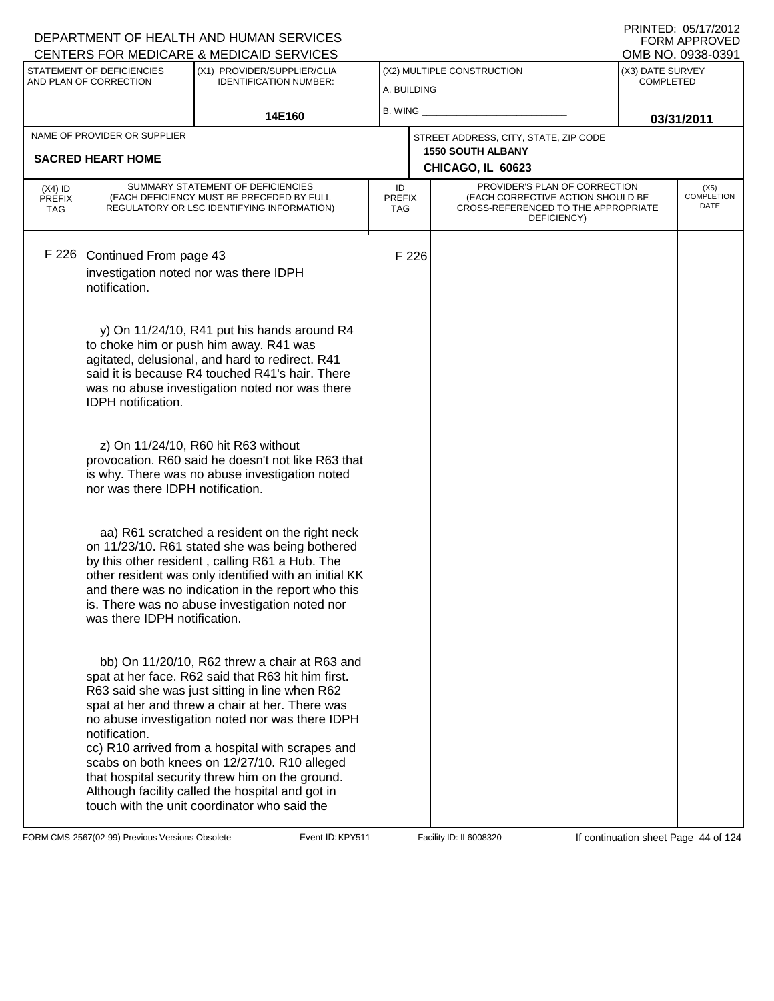|                                          | STATEMENT OF DEFICIENCIES<br>AND PLAN OF CORRECTION      | (X1) PROVIDER/SUPPLIER/CLIA<br><b>IDENTIFICATION NUMBER:</b>                                                                                                                                                                                                                                                                                                                                                                                                                                                           | A. BUILDING                       |       | (X2) MULTIPLE CONSTRUCTION                                                                                               | ו טטטט טטער שואוט<br>(X3) DATE SURVEY<br><b>COMPLETED</b> |                            |  |
|------------------------------------------|----------------------------------------------------------|------------------------------------------------------------------------------------------------------------------------------------------------------------------------------------------------------------------------------------------------------------------------------------------------------------------------------------------------------------------------------------------------------------------------------------------------------------------------------------------------------------------------|-----------------------------------|-------|--------------------------------------------------------------------------------------------------------------------------|-----------------------------------------------------------|----------------------------|--|
|                                          |                                                          | 14E160                                                                                                                                                                                                                                                                                                                                                                                                                                                                                                                 | B. WING_                          |       |                                                                                                                          | 03/31/2011                                                |                            |  |
|                                          | NAME OF PROVIDER OR SUPPLIER<br><b>SACRED HEART HOME</b> |                                                                                                                                                                                                                                                                                                                                                                                                                                                                                                                        |                                   |       | STREET ADDRESS, CITY, STATE, ZIP CODE<br><b>1550 SOUTH ALBANY</b><br>CHICAGO, IL 60623                                   |                                                           |                            |  |
| $(X4)$ ID<br><b>PREFIX</b><br><b>TAG</b> |                                                          | SUMMARY STATEMENT OF DEFICIENCIES<br>(EACH DEFICIENCY MUST BE PRECEDED BY FULL<br>REGULATORY OR LSC IDENTIFYING INFORMATION)                                                                                                                                                                                                                                                                                                                                                                                           | ID<br><b>PREFIX</b><br><b>TAG</b> |       | PROVIDER'S PLAN OF CORRECTION<br>(EACH CORRECTIVE ACTION SHOULD BE<br>CROSS-REFERENCED TO THE APPROPRIATE<br>DEFICIENCY) |                                                           | (X5)<br>COMPLETION<br>DATE |  |
| F 226                                    | Continued From page 43<br>notification.                  | investigation noted nor was there IDPH<br>y) On 11/24/10, R41 put his hands around R4<br>to choke him or push him away. R41 was<br>agitated, delusional, and hard to redirect. R41                                                                                                                                                                                                                                                                                                                                     |                                   | F 226 |                                                                                                                          |                                                           |                            |  |
|                                          | <b>IDPH</b> notification.                                | said it is because R4 touched R41's hair. There<br>was no abuse investigation noted nor was there                                                                                                                                                                                                                                                                                                                                                                                                                      |                                   |       |                                                                                                                          |                                                           |                            |  |
|                                          | nor was there IDPH notification.                         | z) On 11/24/10, R60 hit R63 without<br>provocation. R60 said he doesn't not like R63 that<br>is why. There was no abuse investigation noted                                                                                                                                                                                                                                                                                                                                                                            |                                   |       |                                                                                                                          |                                                           |                            |  |
|                                          | was there IDPH notification.                             | aa) R61 scratched a resident on the right neck<br>on 11/23/10. R61 stated she was being bothered<br>by this other resident, calling R61 a Hub. The<br>other resident was only identified with an initial KK<br>and there was no indication in the report who this<br>is. There was no abuse investigation noted nor                                                                                                                                                                                                    |                                   |       |                                                                                                                          |                                                           |                            |  |
|                                          | notification.                                            | bb) On 11/20/10, R62 threw a chair at R63 and<br>spat at her face. R62 said that R63 hit him first.<br>R63 said she was just sitting in line when R62<br>spat at her and threw a chair at her. There was<br>no abuse investigation noted nor was there IDPH<br>cc) R10 arrived from a hospital with scrapes and<br>scabs on both knees on 12/27/10. R10 alleged<br>that hospital security threw him on the ground.<br>Although facility called the hospital and got in<br>touch with the unit coordinator who said the |                                   |       |                                                                                                                          |                                                           |                            |  |

FORM CMS-2567(02-99) Previous Versions Obsolete **KRY511** Event ID: KPY511 Facility ID: IL6008320 If continuation sheet Page 44 of 124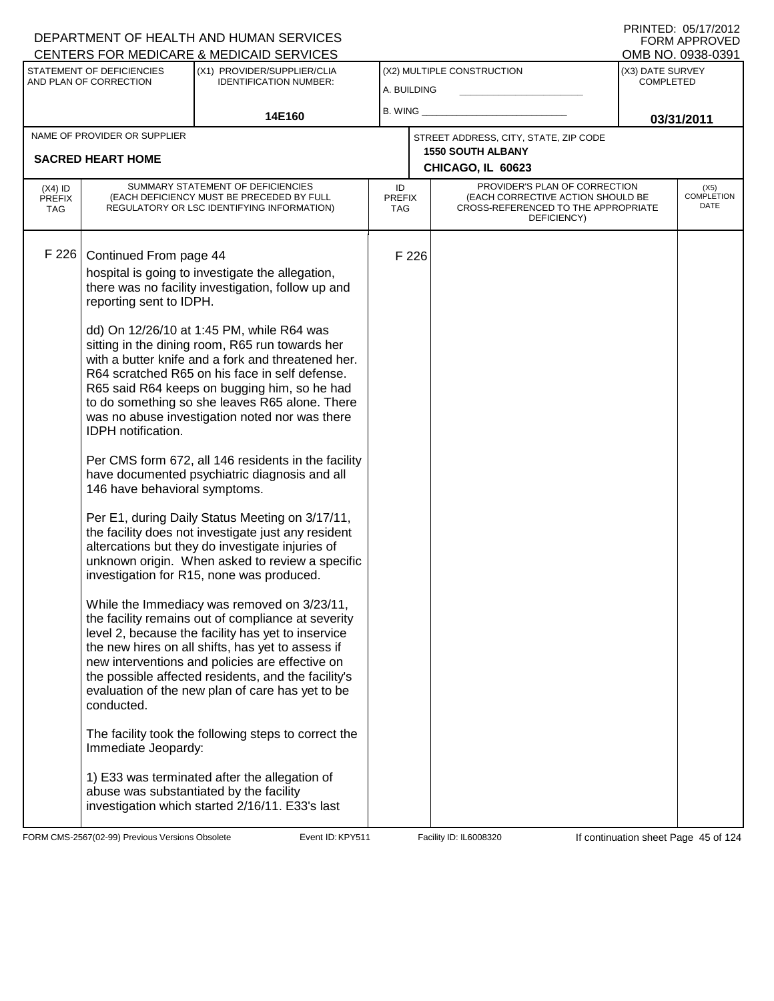| PRINTED: 05/17/2012 |
|---------------------|
| FORM APPROVED       |
| OMB NO. 0938-0391   |

| (X2) MULTIPLE CONSTRUCTION<br>STATEMENT OF DEFICIENCIES<br>(X1) PROVIDER/SUPPLIER/CLIA<br>(X3) DATE SURVEY<br>AND PLAN OF CORRECTION<br><b>IDENTIFICATION NUMBER:</b><br><b>COMPLETED</b><br>A. BUILDING<br>B. WING ___<br>14E160<br>03/31/2011<br>NAME OF PROVIDER OR SUPPLIER<br>STREET ADDRESS, CITY, STATE, ZIP CODE<br><b>1550 SOUTH ALBANY</b><br><b>SACRED HEART HOME</b><br>CHICAGO, IL 60623<br>SUMMARY STATEMENT OF DEFICIENCIES<br>PROVIDER'S PLAN OF CORRECTION<br>ID<br>$(X4)$ ID<br>(X5)<br>(EACH DEFICIENCY MUST BE PRECEDED BY FULL<br>(EACH CORRECTIVE ACTION SHOULD BE<br><b>PREFIX</b><br><b>PREFIX</b><br>DATE<br>REGULATORY OR LSC IDENTIFYING INFORMATION)<br>CROSS-REFERENCED TO THE APPROPRIATE<br>TAG<br><b>TAG</b><br>DEFICIENCY)<br>F 226<br>Continued From page 44<br>F 226<br>hospital is going to investigate the allegation,<br>there was no facility investigation, follow up and<br>reporting sent to IDPH.<br>dd) On 12/26/10 at 1:45 PM, while R64 was<br>sitting in the dining room, R65 run towards her<br>with a butter knife and a fork and threatened her.<br>R64 scratched R65 on his face in self defense.<br>R65 said R64 keeps on bugging him, so he had<br>to do something so she leaves R65 alone. There<br>was no abuse investigation noted nor was there<br>IDPH notification.<br>Per CMS form 672, all 146 residents in the facility<br>have documented psychiatric diagnosis and all<br>146 have behavioral symptoms. |  | <u>UENTERS FUR MEDIUARE &amp; MEDIUAID SERVIUES</u> |  |  | ו פטיסטאט .טאו םואוט |
|-------------------------------------------------------------------------------------------------------------------------------------------------------------------------------------------------------------------------------------------------------------------------------------------------------------------------------------------------------------------------------------------------------------------------------------------------------------------------------------------------------------------------------------------------------------------------------------------------------------------------------------------------------------------------------------------------------------------------------------------------------------------------------------------------------------------------------------------------------------------------------------------------------------------------------------------------------------------------------------------------------------------------------------------------------------------------------------------------------------------------------------------------------------------------------------------------------------------------------------------------------------------------------------------------------------------------------------------------------------------------------------------------------------------------------------------------------------------------|--|-----------------------------------------------------|--|--|----------------------|
|                                                                                                                                                                                                                                                                                                                                                                                                                                                                                                                                                                                                                                                                                                                                                                                                                                                                                                                                                                                                                                                                                                                                                                                                                                                                                                                                                                                                                                                                         |  |                                                     |  |  |                      |
|                                                                                                                                                                                                                                                                                                                                                                                                                                                                                                                                                                                                                                                                                                                                                                                                                                                                                                                                                                                                                                                                                                                                                                                                                                                                                                                                                                                                                                                                         |  |                                                     |  |  |                      |
|                                                                                                                                                                                                                                                                                                                                                                                                                                                                                                                                                                                                                                                                                                                                                                                                                                                                                                                                                                                                                                                                                                                                                                                                                                                                                                                                                                                                                                                                         |  |                                                     |  |  |                      |
|                                                                                                                                                                                                                                                                                                                                                                                                                                                                                                                                                                                                                                                                                                                                                                                                                                                                                                                                                                                                                                                                                                                                                                                                                                                                                                                                                                                                                                                                         |  |                                                     |  |  |                      |
|                                                                                                                                                                                                                                                                                                                                                                                                                                                                                                                                                                                                                                                                                                                                                                                                                                                                                                                                                                                                                                                                                                                                                                                                                                                                                                                                                                                                                                                                         |  |                                                     |  |  | COMPLETION           |
| the facility does not investigate just any resident<br>altercations but they do investigate injuries of<br>unknown origin. When asked to review a specific<br>investigation for R15, none was produced.<br>While the Immediacy was removed on 3/23/11,<br>the facility remains out of compliance at severity<br>level 2, because the facility has yet to inservice<br>the new hires on all shifts, has yet to assess if<br>new interventions and policies are effective on<br>the possible affected residents, and the facility's<br>evaluation of the new plan of care has yet to be<br>conducted.<br>The facility took the following steps to correct the<br>Immediate Jeopardy:<br>1) E33 was terminated after the allegation of<br>abuse was substantiated by the facility<br>investigation which started 2/16/11. E33's last                                                                                                                                                                                                                                                                                                                                                                                                                                                                                                                                                                                                                                       |  | Per E1, during Daily Status Meeting on 3/17/11,     |  |  |                      |

FORM CMS-2567(02-99) Previous Versions Obsolete Event ID: KPY511 Facility ID: IL6008320 If continuation sheet Page 45 of 124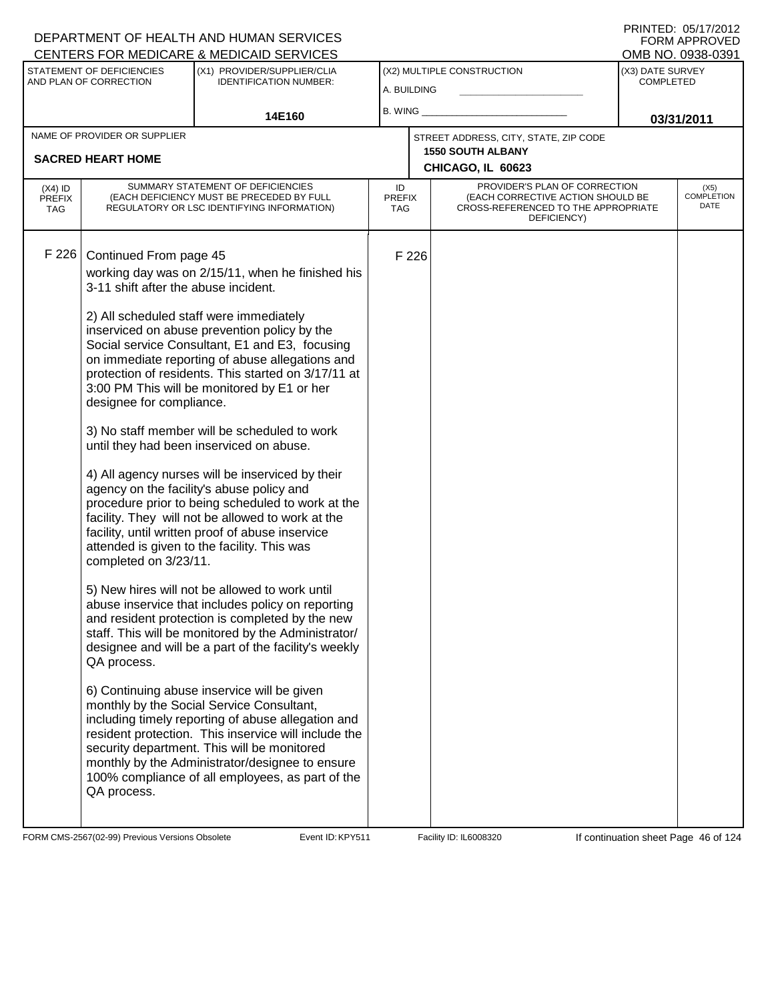| STATEMENT OF DEFICIENCIES<br>(X1) PROVIDER/SUPPLIER/CLIA<br>(X2) MULTIPLE CONSTRUCTION<br>(X3) DATE SURVEY<br>AND PLAN OF CORRECTION<br><b>IDENTIFICATION NUMBER:</b><br><b>COMPLETED</b><br>A. BUILDING<br>B. WING<br>14E160<br>03/31/2011<br>NAME OF PROVIDER OR SUPPLIER<br>STREET ADDRESS, CITY, STATE, ZIP CODE<br><b>1550 SOUTH ALBANY</b><br><b>SACRED HEART HOME</b><br>CHICAGO, IL 60623<br>SUMMARY STATEMENT OF DEFICIENCIES<br>PROVIDER'S PLAN OF CORRECTION<br>ID<br>$(X4)$ ID<br>(X5)<br><b>COMPLETION</b><br>(EACH CORRECTIVE ACTION SHOULD BE<br>(EACH DEFICIENCY MUST BE PRECEDED BY FULL<br><b>PREFIX</b><br><b>PREFIX</b><br>DATE<br>REGULATORY OR LSC IDENTIFYING INFORMATION)<br>CROSS-REFERENCED TO THE APPROPRIATE<br>TAG<br><b>TAG</b><br>DEFICIENCY)<br>F 226<br>Continued From page 45<br>F 226<br>working day was on 2/15/11, when he finished his<br>3-11 shift after the abuse incident.<br>2) All scheduled staff were immediately<br>inserviced on abuse prevention policy by the<br>Social service Consultant, E1 and E3, focusing<br>on immediate reporting of abuse allegations and<br>protection of residents. This started on 3/17/11 at<br>3:00 PM This will be monitored by E1 or her<br>designee for compliance.<br>3) No staff member will be scheduled to work<br>until they had been inserviced on abuse.<br>4) All agency nurses will be inserviced by their<br>agency on the facility's abuse policy and<br>procedure prior to being scheduled to work at the<br>facility. They will not be allowed to work at the<br>facility, until written proof of abuse inservice<br>attended is given to the facility. This was<br>completed on 3/23/11.<br>5) New hires will not be allowed to work until<br>abuse inservice that includes policy on reporting<br>and resident protection is completed by the new<br>staff. This will be monitored by the Administrator/<br>designee and will be a part of the facility's weekly<br>QA process.<br>6) Continuing abuse inservice will be given<br>monthly by the Social Service Consultant,<br>including timely reporting of abuse allegation and<br>resident protection. This inservice will include the<br>security department. This will be monitored | CENTERS FOR MEDICARE & MEDICAID SERVICES |  |                                                 |  |  |  | OMB NO. 0938-0391 |
|--------------------------------------------------------------------------------------------------------------------------------------------------------------------------------------------------------------------------------------------------------------------------------------------------------------------------------------------------------------------------------------------------------------------------------------------------------------------------------------------------------------------------------------------------------------------------------------------------------------------------------------------------------------------------------------------------------------------------------------------------------------------------------------------------------------------------------------------------------------------------------------------------------------------------------------------------------------------------------------------------------------------------------------------------------------------------------------------------------------------------------------------------------------------------------------------------------------------------------------------------------------------------------------------------------------------------------------------------------------------------------------------------------------------------------------------------------------------------------------------------------------------------------------------------------------------------------------------------------------------------------------------------------------------------------------------------------------------------------------------------------------------------------------------------------------------------------------------------------------------------------------------------------------------------------------------------------------------------------------------------------------------------------------------------------------------------------------------------------------------------------------------------------------------------------------------------------------------------------------------|------------------------------------------|--|-------------------------------------------------|--|--|--|-------------------|
|                                                                                                                                                                                                                                                                                                                                                                                                                                                                                                                                                                                                                                                                                                                                                                                                                                                                                                                                                                                                                                                                                                                                                                                                                                                                                                                                                                                                                                                                                                                                                                                                                                                                                                                                                                                                                                                                                                                                                                                                                                                                                                                                                                                                                                            |                                          |  |                                                 |  |  |  |                   |
|                                                                                                                                                                                                                                                                                                                                                                                                                                                                                                                                                                                                                                                                                                                                                                                                                                                                                                                                                                                                                                                                                                                                                                                                                                                                                                                                                                                                                                                                                                                                                                                                                                                                                                                                                                                                                                                                                                                                                                                                                                                                                                                                                                                                                                            |                                          |  |                                                 |  |  |  |                   |
|                                                                                                                                                                                                                                                                                                                                                                                                                                                                                                                                                                                                                                                                                                                                                                                                                                                                                                                                                                                                                                                                                                                                                                                                                                                                                                                                                                                                                                                                                                                                                                                                                                                                                                                                                                                                                                                                                                                                                                                                                                                                                                                                                                                                                                            |                                          |  |                                                 |  |  |  |                   |
|                                                                                                                                                                                                                                                                                                                                                                                                                                                                                                                                                                                                                                                                                                                                                                                                                                                                                                                                                                                                                                                                                                                                                                                                                                                                                                                                                                                                                                                                                                                                                                                                                                                                                                                                                                                                                                                                                                                                                                                                                                                                                                                                                                                                                                            |                                          |  |                                                 |  |  |  |                   |
|                                                                                                                                                                                                                                                                                                                                                                                                                                                                                                                                                                                                                                                                                                                                                                                                                                                                                                                                                                                                                                                                                                                                                                                                                                                                                                                                                                                                                                                                                                                                                                                                                                                                                                                                                                                                                                                                                                                                                                                                                                                                                                                                                                                                                                            |                                          |  |                                                 |  |  |  |                   |
| 100% compliance of all employees, as part of the<br>QA process.                                                                                                                                                                                                                                                                                                                                                                                                                                                                                                                                                                                                                                                                                                                                                                                                                                                                                                                                                                                                                                                                                                                                                                                                                                                                                                                                                                                                                                                                                                                                                                                                                                                                                                                                                                                                                                                                                                                                                                                                                                                                                                                                                                            |                                          |  | monthly by the Administrator/designee to ensure |  |  |  |                   |

FORM CMS-2567(02-99) Previous Versions Obsolete Event ID: KPY511 Facility ID: IL6008320 If continuation sheet Page 46 of 124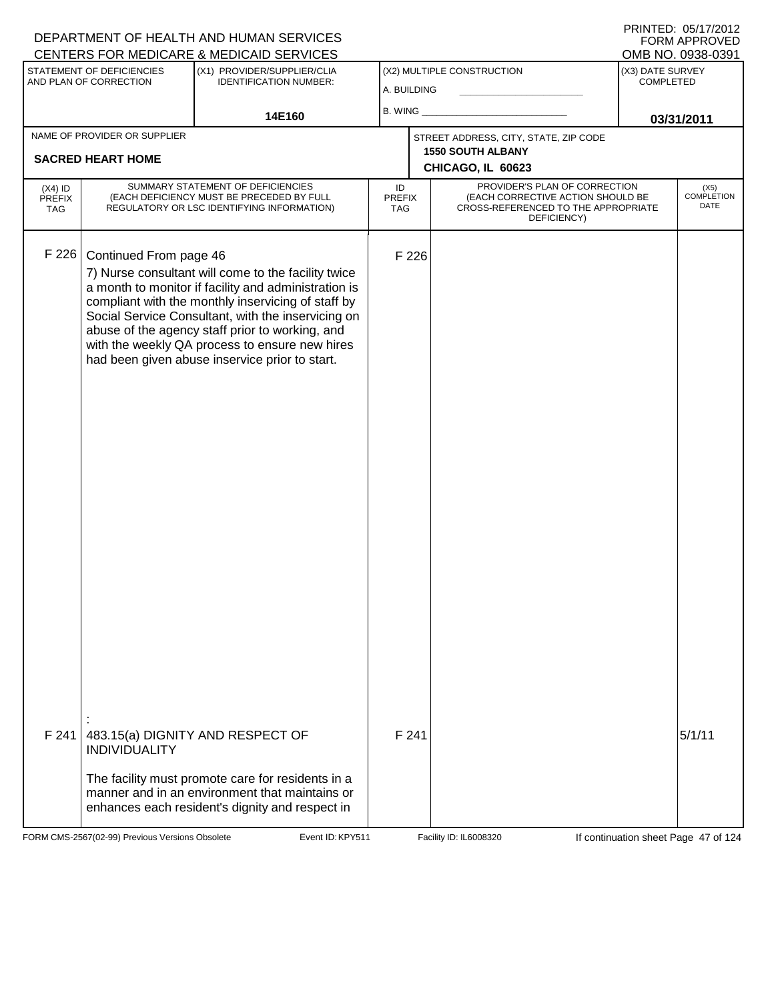|                                   |                                                     | DEPARTMENT OF HEALTH AND HUMAN SERVICES                                                                                                                                                                                                                                                                                                                                        |                            |       |                                                                                                                          |                               | FORM APPROVED                     |
|-----------------------------------|-----------------------------------------------------|--------------------------------------------------------------------------------------------------------------------------------------------------------------------------------------------------------------------------------------------------------------------------------------------------------------------------------------------------------------------------------|----------------------------|-------|--------------------------------------------------------------------------------------------------------------------------|-------------------------------|-----------------------------------|
|                                   |                                                     | CENTERS FOR MEDICARE & MEDICAID SERVICES                                                                                                                                                                                                                                                                                                                                       |                            |       |                                                                                                                          |                               | OMB NO. 0938-0391                 |
|                                   | STATEMENT OF DEFICIENCIES<br>AND PLAN OF CORRECTION | (X1) PROVIDER/SUPPLIER/CLIA<br><b>IDENTIFICATION NUMBER:</b>                                                                                                                                                                                                                                                                                                                   | A. BUILDING                |       | (X2) MULTIPLE CONSTRUCTION                                                                                               | (X3) DATE SURVEY<br>COMPLETED |                                   |
|                                   |                                                     | 14E160                                                                                                                                                                                                                                                                                                                                                                         | B. WING                    |       |                                                                                                                          |                               | 03/31/2011                        |
|                                   | NAME OF PROVIDER OR SUPPLIER                        |                                                                                                                                                                                                                                                                                                                                                                                |                            |       | STREET ADDRESS, CITY, STATE, ZIP CODE                                                                                    |                               |                                   |
|                                   | <b>SACRED HEART HOME</b>                            |                                                                                                                                                                                                                                                                                                                                                                                |                            |       | <b>1550 SOUTH ALBANY</b><br>CHICAGO, IL 60623                                                                            |                               |                                   |
| $(X4)$ ID<br><b>PREFIX</b><br>TAG |                                                     | SUMMARY STATEMENT OF DEFICIENCIES<br>(EACH DEFICIENCY MUST BE PRECEDED BY FULL<br>REGULATORY OR LSC IDENTIFYING INFORMATION)                                                                                                                                                                                                                                                   | ID<br>PREFIX<br><b>TAG</b> |       | PROVIDER'S PLAN OF CORRECTION<br>(EACH CORRECTIVE ACTION SHOULD BE<br>CROSS-REFERENCED TO THE APPROPRIATE<br>DEFICIENCY) |                               | (X5)<br><b>COMPLETION</b><br>DATE |
| F 226                             | Continued From page 46                              | 7) Nurse consultant will come to the facility twice<br>a month to monitor if facility and administration is<br>compliant with the monthly inservicing of staff by<br>Social Service Consultant, with the inservicing on<br>abuse of the agency staff prior to working, and<br>with the weekly QA process to ensure new hires<br>had been given abuse inservice prior to start. |                            | F 226 |                                                                                                                          |                               |                                   |
| F 241                             | <b>INDIVIDUALITY</b>                                | 483.15(a) DIGNITY AND RESPECT OF                                                                                                                                                                                                                                                                                                                                               |                            | F 241 |                                                                                                                          |                               | 5/1/11                            |
|                                   |                                                     | The facility must promote care for residents in a<br>manner and in an environment that maintains or<br>enhances each resident's dignity and respect in                                                                                                                                                                                                                         |                            |       |                                                                                                                          |                               |                                   |

FORM CMS-2567(02-99) Previous Versions Obsolete Event ID: KPY511 Facility ID: IL6008320 If continuation sheet Page 47 of 124

DEPARTMENT OF HEALTH AND HUMAN SERVICES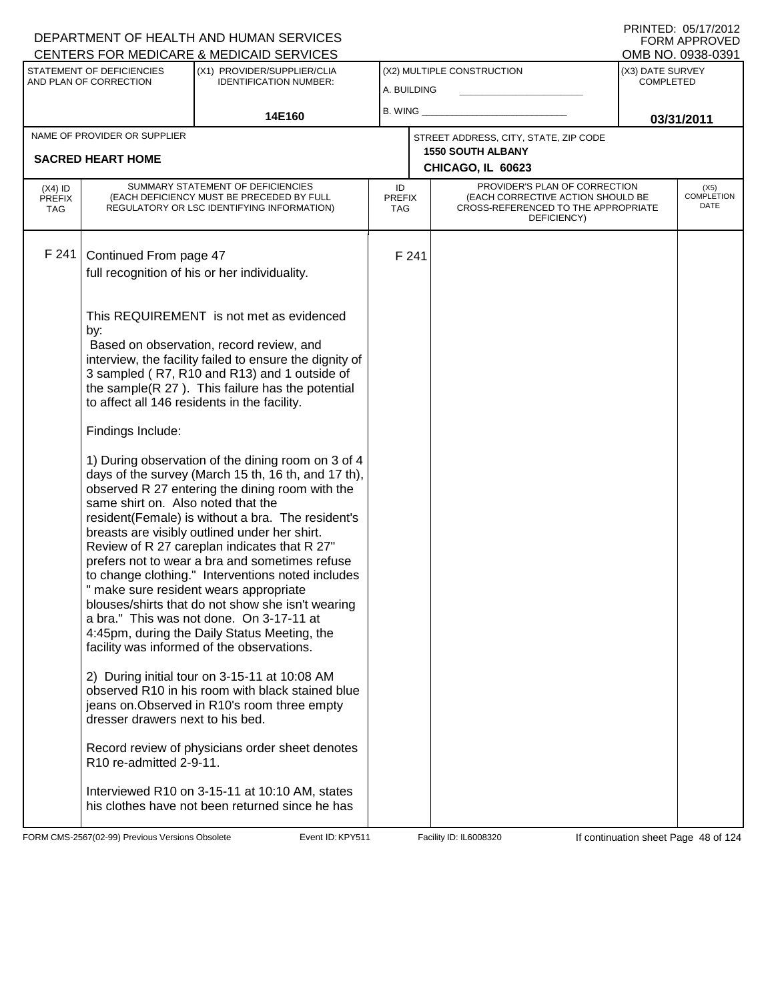### A. BUILDING (X1) PROVIDER/SUPPLIER/CLIA IDENTIFICATION NUMBER: STATEMENT OF DEFICIENCIES AND PLAN OF CORRECTION (X3) DATE SURVEY COMPLETED FORM APPROVED<br>OMB NO. 0938-0391 (X2) MULTIPLE CONSTRUCTION B. WING **\_\_\_\_\_\_\_\_\_\_\_\_\_\_\_\_\_\_\_\_\_\_** CENTERS FOR MEDICARE & MEDICAID SERVICES 14E160 **B. WING CONSUMING (2011 03/31/2011 CHICAGO, IL 60623** NAME OF PROVIDER OR SUPPLIER STREET ADDRESS, CITY, STATE, ZIP CODE **SACRED HEART HOME 1550 SOUTH ALBANY** PROVIDER'S PLAN OF CORRECTION (EACH CORRECTIVE ACTION SHOULD BE CROSS-REFERENCED TO THE APPROPRIATE DEFICIENCY) (X5) COMPLETION DATE ID PREFIX TAG (X4) ID PREFIX TAG SUMMARY STATEMENT OF DEFICIENCIES (EACH DEFICIENCY MUST BE PRECEDED BY FULL REGULATORY OR LSC IDENTIFYING INFORMATION) F 241 Continued From page 47 F 241 full recognition of his or her individuality. This REQUIREMENT is not met as evidenced by: Based on observation, record review, and interview, the facility failed to ensure the dignity of 3 sampled ( R7, R10 and R13) and 1 outside of the sample(R 27 ). This failure has the potential to affect all 146 residents in the facility. Findings Include: 1) During observation of the dining room on 3 of 4 days of the survey (March 15 th, 16 th, and 17 th), observed R 27 entering the dining room with the same shirt on. Also noted that the resident(Female) is without a bra. The resident's breasts are visibly outlined under her shirt. Review of R 27 careplan indicates that R 27" prefers not to wear a bra and sometimes refuse to change clothing." Interventions noted includes " make sure resident wears appropriate blouses/shirts that do not show she isn't wearing a bra." This was not done. On 3-17-11 at 4:45pm, during the Daily Status Meeting, the facility was informed of the observations. 2) During initial tour on 3-15-11 at 10:08 AM observed R10 in his room with black stained blue jeans on.Observed in R10's room three empty dresser drawers next to his bed. Record review of physicians order sheet denotes R10 re-admitted 2-9-11. Interviewed R10 on 3-15-11 at 10:10 AM, states his clothes have not been returned since he has

FORM CMS-2567(02-99) Previous Versions Obsolete **KRYS11** Event ID: KPY511 Facility ID: IL6008320 If continuation sheet Page 48 of 124

DEPARTMENT OF HEALTH AND HUMAN SERVICES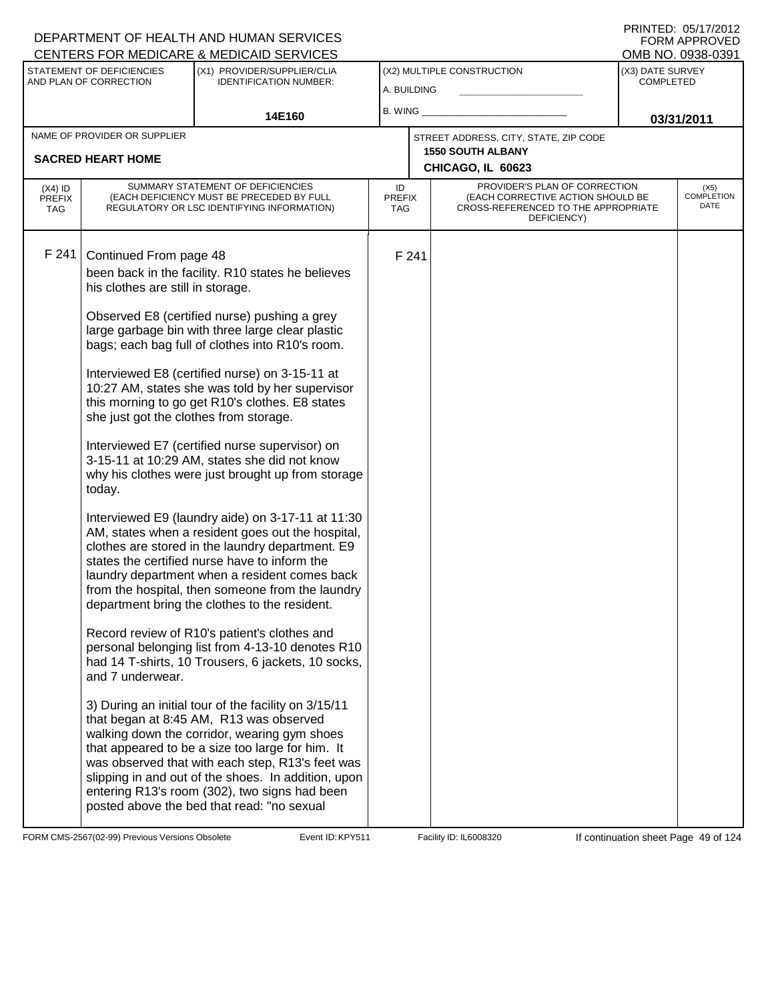| CENTERS FOR MEDICARE & MEDICAID SERVICES |                                                                                                                                     |                                                                                                                                                                                                                                                                                                                                                                                                                                                                                                                                                                                                                                                                                                                                                                                                                                                                                                                                                                                                                                                                                                                                                                                                                                                                                                                                                                                                                                                                         |                                   |                                           |                                                                                                                          |                                      | OMB NO. 0938-0391                 |
|------------------------------------------|-------------------------------------------------------------------------------------------------------------------------------------|-------------------------------------------------------------------------------------------------------------------------------------------------------------------------------------------------------------------------------------------------------------------------------------------------------------------------------------------------------------------------------------------------------------------------------------------------------------------------------------------------------------------------------------------------------------------------------------------------------------------------------------------------------------------------------------------------------------------------------------------------------------------------------------------------------------------------------------------------------------------------------------------------------------------------------------------------------------------------------------------------------------------------------------------------------------------------------------------------------------------------------------------------------------------------------------------------------------------------------------------------------------------------------------------------------------------------------------------------------------------------------------------------------------------------------------------------------------------------|-----------------------------------|-------------------------------------------|--------------------------------------------------------------------------------------------------------------------------|--------------------------------------|-----------------------------------|
|                                          | STATEMENT OF DEFICIENCIES<br>AND PLAN OF CORRECTION                                                                                 | (X1) PROVIDER/SUPPLIER/CLIA<br><b>IDENTIFICATION NUMBER:</b>                                                                                                                                                                                                                                                                                                                                                                                                                                                                                                                                                                                                                                                                                                                                                                                                                                                                                                                                                                                                                                                                                                                                                                                                                                                                                                                                                                                                            |                                   | (X2) MULTIPLE CONSTRUCTION<br>A. BUILDING |                                                                                                                          | (X3) DATE SURVEY<br><b>COMPLETED</b> |                                   |
|                                          |                                                                                                                                     | 14E160                                                                                                                                                                                                                                                                                                                                                                                                                                                                                                                                                                                                                                                                                                                                                                                                                                                                                                                                                                                                                                                                                                                                                                                                                                                                                                                                                                                                                                                                  | B. WING_                          |                                           |                                                                                                                          | 03/31/2011                           |                                   |
|                                          | NAME OF PROVIDER OR SUPPLIER                                                                                                        |                                                                                                                                                                                                                                                                                                                                                                                                                                                                                                                                                                                                                                                                                                                                                                                                                                                                                                                                                                                                                                                                                                                                                                                                                                                                                                                                                                                                                                                                         |                                   |                                           | STREET ADDRESS, CITY, STATE, ZIP CODE                                                                                    |                                      |                                   |
|                                          | <b>SACRED HEART HOME</b>                                                                                                            |                                                                                                                                                                                                                                                                                                                                                                                                                                                                                                                                                                                                                                                                                                                                                                                                                                                                                                                                                                                                                                                                                                                                                                                                                                                                                                                                                                                                                                                                         |                                   |                                           | <b>1550 SOUTH ALBANY</b><br>CHICAGO, IL 60623                                                                            |                                      |                                   |
| $(X4)$ ID<br><b>PREFIX</b><br><b>TAG</b> |                                                                                                                                     | SUMMARY STATEMENT OF DEFICIENCIES<br>(EACH DEFICIENCY MUST BE PRECEDED BY FULL<br>REGULATORY OR LSC IDENTIFYING INFORMATION)                                                                                                                                                                                                                                                                                                                                                                                                                                                                                                                                                                                                                                                                                                                                                                                                                                                                                                                                                                                                                                                                                                                                                                                                                                                                                                                                            | ID<br><b>PREFIX</b><br><b>TAG</b> |                                           | PROVIDER'S PLAN OF CORRECTION<br>(EACH CORRECTIVE ACTION SHOULD BE<br>CROSS-REFERENCED TO THE APPROPRIATE<br>DEFICIENCY) |                                      | (X5)<br><b>COMPLETION</b><br>DATE |
| F 241                                    | Continued From page 48<br>his clothes are still in storage.<br>she just got the clothes from storage.<br>today.<br>and 7 underwear. | been back in the facility. R10 states he believes<br>Observed E8 (certified nurse) pushing a grey<br>large garbage bin with three large clear plastic<br>bags; each bag full of clothes into R10's room.<br>Interviewed E8 (certified nurse) on 3-15-11 at<br>10:27 AM, states she was told by her supervisor<br>this morning to go get R10's clothes. E8 states<br>Interviewed E7 (certified nurse supervisor) on<br>3-15-11 at 10:29 AM, states she did not know<br>why his clothes were just brought up from storage<br>Interviewed E9 (laundry aide) on 3-17-11 at 11:30<br>AM, states when a resident goes out the hospital,<br>clothes are stored in the laundry department. E9<br>states the certified nurse have to inform the<br>laundry department when a resident comes back<br>from the hospital, then someone from the laundry<br>department bring the clothes to the resident.<br>Record review of R10's patient's clothes and<br>personal belonging list from 4-13-10 denotes R10<br>had 14 T-shirts, 10 Trousers, 6 jackets, 10 socks,<br>3) During an initial tour of the facility on 3/15/11<br>that began at 8:45 AM, R13 was observed<br>walking down the corridor, wearing gym shoes<br>that appeared to be a size too large for him. It<br>was observed that with each step, R13's feet was<br>slipping in and out of the shoes. In addition, upon<br>entering R13's room (302), two signs had been<br>posted above the bed that read: "no sexual |                                   | F 241                                     |                                                                                                                          |                                      |                                   |

FORM CMS-2567(02-99) Previous Versions Obsolete Event ID: KPY511 Facility ID: IL6008320 If continuation sheet Page 49 of 124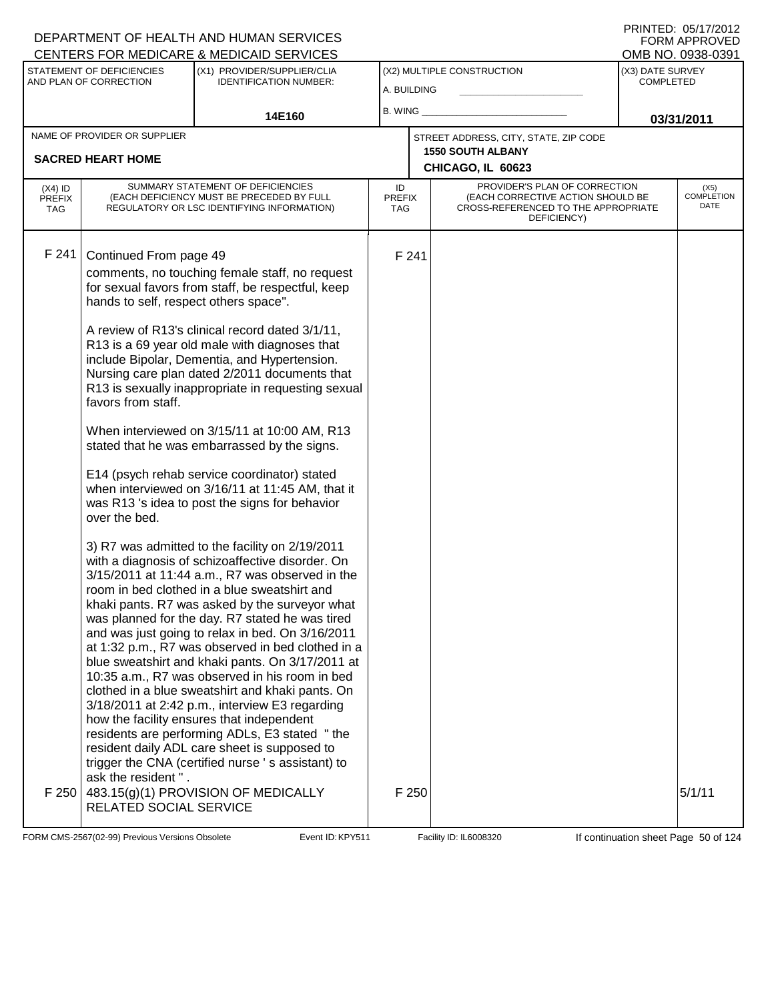|                                          |                                                                                                        | <b>CENTERS FOR MEDICARE &amp; MEDICAID SERVICES</b>                                                                                                                                                                                                                                                                                                                                                                                                                                                                                                                                                                                                                                                                                                                                                                                                                                                                                                                                                                                                                                                                                                                                                                                                                                                                                                    |                            |       |                                                                                                                          |                                      | OMB NO. 0938-0391                 |
|------------------------------------------|--------------------------------------------------------------------------------------------------------|--------------------------------------------------------------------------------------------------------------------------------------------------------------------------------------------------------------------------------------------------------------------------------------------------------------------------------------------------------------------------------------------------------------------------------------------------------------------------------------------------------------------------------------------------------------------------------------------------------------------------------------------------------------------------------------------------------------------------------------------------------------------------------------------------------------------------------------------------------------------------------------------------------------------------------------------------------------------------------------------------------------------------------------------------------------------------------------------------------------------------------------------------------------------------------------------------------------------------------------------------------------------------------------------------------------------------------------------------------|----------------------------|-------|--------------------------------------------------------------------------------------------------------------------------|--------------------------------------|-----------------------------------|
|                                          | STATEMENT OF DEFICIENCIES<br>AND PLAN OF CORRECTION                                                    | (X1) PROVIDER/SUPPLIER/CLIA<br><b>IDENTIFICATION NUMBER:</b>                                                                                                                                                                                                                                                                                                                                                                                                                                                                                                                                                                                                                                                                                                                                                                                                                                                                                                                                                                                                                                                                                                                                                                                                                                                                                           | A. BUILDING                |       | (X2) MULTIPLE CONSTRUCTION                                                                                               | (X3) DATE SURVEY<br><b>COMPLETED</b> |                                   |
|                                          |                                                                                                        | 14E160                                                                                                                                                                                                                                                                                                                                                                                                                                                                                                                                                                                                                                                                                                                                                                                                                                                                                                                                                                                                                                                                                                                                                                                                                                                                                                                                                 | B. WING_                   |       |                                                                                                                          |                                      | 03/31/2011                        |
|                                          | NAME OF PROVIDER OR SUPPLIER<br><b>SACRED HEART HOME</b>                                               |                                                                                                                                                                                                                                                                                                                                                                                                                                                                                                                                                                                                                                                                                                                                                                                                                                                                                                                                                                                                                                                                                                                                                                                                                                                                                                                                                        |                            |       | STREET ADDRESS, CITY, STATE, ZIP CODE<br><b>1550 SOUTH ALBANY</b><br>CHICAGO, IL 60623                                   |                                      |                                   |
| $(X4)$ ID<br><b>PREFIX</b><br><b>TAG</b> |                                                                                                        | SUMMARY STATEMENT OF DEFICIENCIES<br>(EACH DEFICIENCY MUST BE PRECEDED BY FULL<br>REGULATORY OR LSC IDENTIFYING INFORMATION)                                                                                                                                                                                                                                                                                                                                                                                                                                                                                                                                                                                                                                                                                                                                                                                                                                                                                                                                                                                                                                                                                                                                                                                                                           | ID<br><b>PREFIX</b><br>TAG |       | PROVIDER'S PLAN OF CORRECTION<br>(EACH CORRECTIVE ACTION SHOULD BE<br>CROSS-REFERENCED TO THE APPROPRIATE<br>DEFICIENCY) |                                      | (X5)<br><b>COMPLETION</b><br>DATE |
| F 241                                    | Continued From page 49<br>hands to self, respect others space".<br>favors from staff.<br>over the bed. | comments, no touching female staff, no request<br>for sexual favors from staff, be respectful, keep<br>A review of R13's clinical record dated 3/1/11,<br>R13 is a 69 year old male with diagnoses that<br>include Bipolar, Dementia, and Hypertension.<br>Nursing care plan dated 2/2011 documents that<br>R13 is sexually inappropriate in requesting sexual<br>When interviewed on 3/15/11 at 10:00 AM, R13<br>stated that he was embarrassed by the signs.<br>E14 (psych rehab service coordinator) stated<br>when interviewed on 3/16/11 at 11:45 AM, that it<br>was R13 's idea to post the signs for behavior<br>3) R7 was admitted to the facility on 2/19/2011<br>with a diagnosis of schizoaffective disorder. On<br>3/15/2011 at 11:44 a.m., R7 was observed in the<br>room in bed clothed in a blue sweatshirt and<br>khaki pants. R7 was asked by the surveyor what<br>was planned for the day. R7 stated he was tired<br>and was just going to relax in bed. On 3/16/2011<br>at 1:32 p.m., R7 was observed in bed clothed in a<br>blue sweatshirt and khaki pants. On 3/17/2011 at<br>10:35 a.m., R7 was observed in his room in bed<br>clothed in a blue sweatshirt and khaki pants. On<br>3/18/2011 at 2:42 p.m., interview E3 regarding<br>how the facility ensures that independent<br>residents are performing ADLs, E3 stated "the |                            | F 241 |                                                                                                                          |                                      |                                   |
|                                          | ask the resident".<br>RELATED SOCIAL SERVICE                                                           | resident daily ADL care sheet is supposed to<br>trigger the CNA (certified nurse 's assistant) to<br>F 250 $ $ 483.15(g)(1) PROVISION OF MEDICALLY                                                                                                                                                                                                                                                                                                                                                                                                                                                                                                                                                                                                                                                                                                                                                                                                                                                                                                                                                                                                                                                                                                                                                                                                     |                            | F 250 |                                                                                                                          |                                      | 5/1/11                            |

FORM CMS-2567(02-99) Previous Versions Obsolete Event ID: KPY511 Facility ID: IL6008320 If continuation sheet Page 50 of 124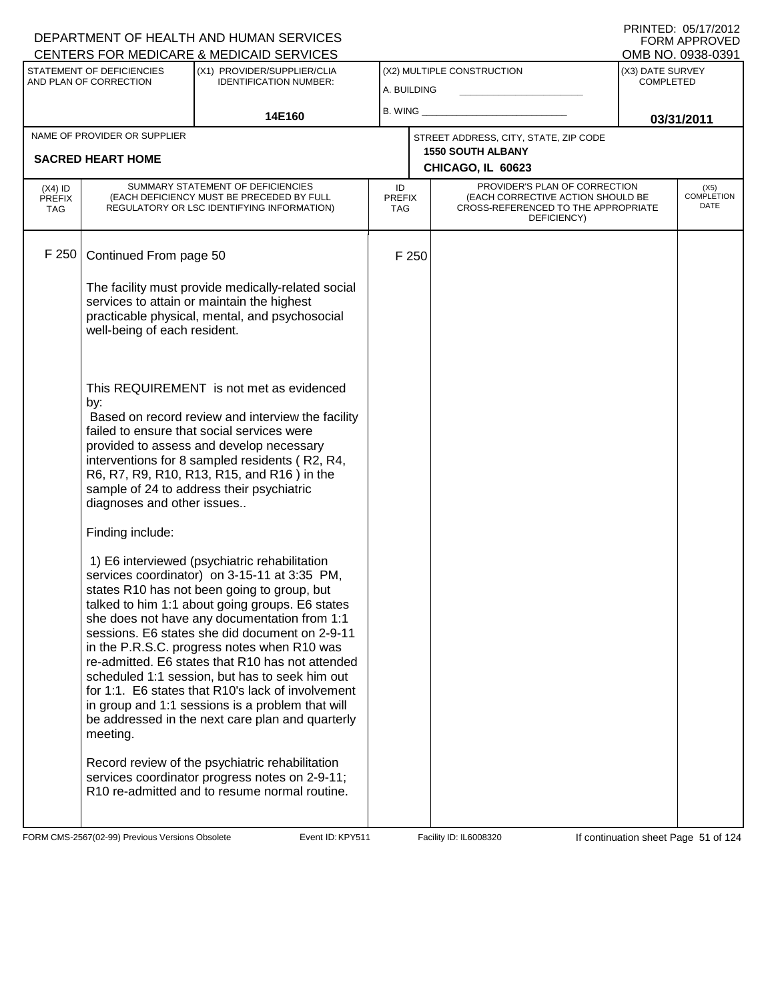|                                          |                                                                                                                                                                                                                                                                                                                                                                           | DEPARTMENT OF HEALTH AND HUMAN SERVICES<br>CENTERS FOR MEDICARE & MEDICAID SERVICES                                                                                                                                                                                                                                                                                                                                                                                                                                                                                                                                                                                                                                                                                       |                                   |                                                                                                                          |                                                    | <b>FORM APPROVED</b><br>OMB NO. 0938-0391 |
|------------------------------------------|---------------------------------------------------------------------------------------------------------------------------------------------------------------------------------------------------------------------------------------------------------------------------------------------------------------------------------------------------------------------------|---------------------------------------------------------------------------------------------------------------------------------------------------------------------------------------------------------------------------------------------------------------------------------------------------------------------------------------------------------------------------------------------------------------------------------------------------------------------------------------------------------------------------------------------------------------------------------------------------------------------------------------------------------------------------------------------------------------------------------------------------------------------------|-----------------------------------|--------------------------------------------------------------------------------------------------------------------------|----------------------------------------------------|-------------------------------------------|
|                                          | STATEMENT OF DEFICIENCIES<br>AND PLAN OF CORRECTION                                                                                                                                                                                                                                                                                                                       | (X1) PROVIDER/SUPPLIER/CLIA<br><b>IDENTIFICATION NUMBER:</b>                                                                                                                                                                                                                                                                                                                                                                                                                                                                                                                                                                                                                                                                                                              | A. BUILDING                       | (X2) MULTIPLE CONSTRUCTION                                                                                               | (X3) DATE SURVEY<br><b>COMPLETED</b><br>03/31/2011 |                                           |
|                                          |                                                                                                                                                                                                                                                                                                                                                                           | 14E160                                                                                                                                                                                                                                                                                                                                                                                                                                                                                                                                                                                                                                                                                                                                                                    | <b>B. WING</b>                    |                                                                                                                          |                                                    |                                           |
|                                          | NAME OF PROVIDER OR SUPPLIER<br><b>SACRED HEART HOME</b>                                                                                                                                                                                                                                                                                                                  |                                                                                                                                                                                                                                                                                                                                                                                                                                                                                                                                                                                                                                                                                                                                                                           |                                   | STREET ADDRESS, CITY, STATE, ZIP CODE<br><b>1550 SOUTH ALBANY</b>                                                        |                                                    |                                           |
|                                          |                                                                                                                                                                                                                                                                                                                                                                           |                                                                                                                                                                                                                                                                                                                                                                                                                                                                                                                                                                                                                                                                                                                                                                           |                                   | CHICAGO, IL 60623                                                                                                        |                                                    |                                           |
| $(X4)$ ID<br><b>PREFIX</b><br><b>TAG</b> |                                                                                                                                                                                                                                                                                                                                                                           | SUMMARY STATEMENT OF DEFICIENCIES<br>(EACH DEFICIENCY MUST BE PRECEDED BY FULL<br>REGULATORY OR LSC IDENTIFYING INFORMATION)                                                                                                                                                                                                                                                                                                                                                                                                                                                                                                                                                                                                                                              | ID<br><b>PREFIX</b><br><b>TAG</b> | PROVIDER'S PLAN OF CORRECTION<br>(EACH CORRECTIVE ACTION SHOULD BE<br>CROSS-REFERENCED TO THE APPROPRIATE<br>DEFICIENCY) |                                                    | $(X5)$<br>COMPLETION<br>DATE              |
| F 250                                    | Continued From page 50                                                                                                                                                                                                                                                                                                                                                    |                                                                                                                                                                                                                                                                                                                                                                                                                                                                                                                                                                                                                                                                                                                                                                           | F 250                             |                                                                                                                          |                                                    |                                           |
|                                          | well-being of each resident.                                                                                                                                                                                                                                                                                                                                              | The facility must provide medically-related social<br>services to attain or maintain the highest<br>practicable physical, mental, and psychosocial                                                                                                                                                                                                                                                                                                                                                                                                                                                                                                                                                                                                                        |                                   |                                                                                                                          |                                                    |                                           |
|                                          | This REQUIREMENT is not met as evidenced<br>by:<br>Based on record review and interview the facility<br>failed to ensure that social services were<br>provided to assess and develop necessary<br>interventions for 8 sampled residents (R2, R4,<br>R6, R7, R9, R10, R13, R15, and R16) in the<br>sample of 24 to address their psychiatric<br>diagnoses and other issues |                                                                                                                                                                                                                                                                                                                                                                                                                                                                                                                                                                                                                                                                                                                                                                           |                                   |                                                                                                                          |                                                    |                                           |
|                                          | Finding include:<br>meeting.                                                                                                                                                                                                                                                                                                                                              | 1) E6 interviewed (psychiatric rehabilitation<br>services coordinator) on 3-15-11 at 3:35 PM,<br>states R10 has not been going to group, but<br>talked to him 1:1 about going groups. E6 states<br>she does not have any documentation from 1:1<br>sessions. E6 states she did document on 2-9-11<br>in the P.R.S.C. progress notes when R10 was<br>re-admitted. E6 states that R10 has not attended<br>scheduled 1:1 session, but has to seek him out<br>for 1:1. E6 states that R10's lack of involvement<br>in group and 1:1 sessions is a problem that will<br>be addressed in the next care plan and quarterly<br>Record review of the psychiatric rehabilitation<br>services coordinator progress notes on 2-9-11;<br>R10 re-admitted and to resume normal routine. |                                   |                                                                                                                          |                                                    |                                           |

FORM CMS-2567(02-99) Previous Versions Obsolete Event ID: KPY511 Facility ID: IL6008320 If continuation sheet Page 51 of 124

DEPARTMENT OF HEALTH AND HUMAN SERVICES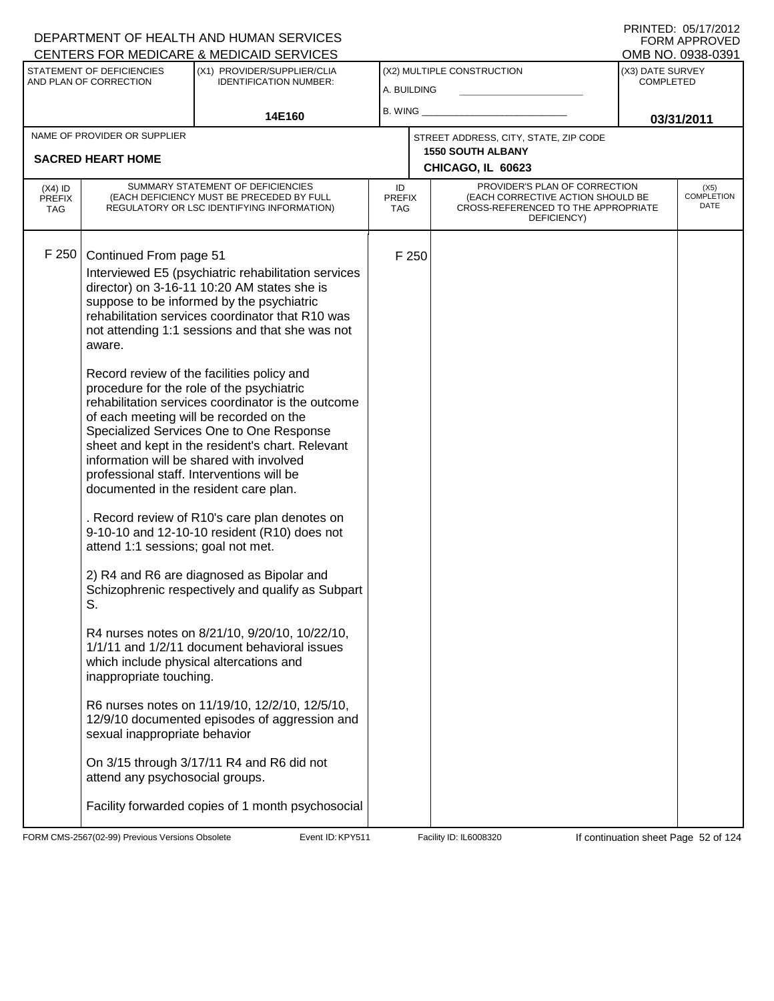|                                   |                                                     | <b>CENTERS FOR MEDICARE &amp; MEDICAID SERVICES</b>                                                                                                                                                                                                                                                                                                                               |                            |       |                                                                                                                          |                                      | OMB NO. 0938-0391            |
|-----------------------------------|-----------------------------------------------------|-----------------------------------------------------------------------------------------------------------------------------------------------------------------------------------------------------------------------------------------------------------------------------------------------------------------------------------------------------------------------------------|----------------------------|-------|--------------------------------------------------------------------------------------------------------------------------|--------------------------------------|------------------------------|
|                                   | STATEMENT OF DEFICIENCIES<br>AND PLAN OF CORRECTION | (X1) PROVIDER/SUPPLIER/CLIA<br><b>IDENTIFICATION NUMBER:</b>                                                                                                                                                                                                                                                                                                                      | A. BUILDING                |       | (X2) MULTIPLE CONSTRUCTION                                                                                               | (X3) DATE SURVEY<br><b>COMPLETED</b> |                              |
|                                   |                                                     | 14E160                                                                                                                                                                                                                                                                                                                                                                            | B. WING $\_$               |       |                                                                                                                          |                                      | 03/31/2011                   |
|                                   | NAME OF PROVIDER OR SUPPLIER                        |                                                                                                                                                                                                                                                                                                                                                                                   |                            |       | STREET ADDRESS, CITY, STATE, ZIP CODE                                                                                    |                                      |                              |
|                                   | <b>SACRED HEART HOME</b>                            |                                                                                                                                                                                                                                                                                                                                                                                   |                            |       | <b>1550 SOUTH ALBANY</b><br>CHICAGO, IL 60623                                                                            |                                      |                              |
| $(X4)$ ID<br><b>PREFIX</b><br>TAG |                                                     | SUMMARY STATEMENT OF DEFICIENCIES<br>(EACH DEFICIENCY MUST BE PRECEDED BY FULL<br>REGULATORY OR LSC IDENTIFYING INFORMATION)                                                                                                                                                                                                                                                      | ID<br><b>PREFIX</b><br>TAG |       | PROVIDER'S PLAN OF CORRECTION<br>(EACH CORRECTIVE ACTION SHOULD BE<br>CROSS-REFERENCED TO THE APPROPRIATE<br>DEFICIENCY) |                                      | $(X5)$<br>COMPLETION<br>DATE |
| F 250                             | Continued From page 51<br>aware.                    | Interviewed E5 (psychiatric rehabilitation services<br>director) on 3-16-11 10:20 AM states she is<br>suppose to be informed by the psychiatric<br>rehabilitation services coordinator that R10 was<br>not attending 1:1 sessions and that she was not                                                                                                                            |                            | F 250 |                                                                                                                          |                                      |                              |
|                                   | documented in the resident care plan.               | Record review of the facilities policy and<br>procedure for the role of the psychiatric<br>rehabilitation services coordinator is the outcome<br>of each meeting will be recorded on the<br>Specialized Services One to One Response<br>sheet and kept in the resident's chart. Relevant<br>information will be shared with involved<br>professional staff. Interventions will be |                            |       |                                                                                                                          |                                      |                              |
|                                   | attend 1:1 sessions; goal not met.                  | . Record review of R10's care plan denotes on<br>9-10-10 and 12-10-10 resident (R10) does not                                                                                                                                                                                                                                                                                     |                            |       |                                                                                                                          |                                      |                              |
|                                   | S.                                                  | 2) R4 and R6 are diagnosed as Bipolar and<br>Schizophrenic respectively and qualify as Subpart                                                                                                                                                                                                                                                                                    |                            |       |                                                                                                                          |                                      |                              |
|                                   | inappropriate touching.                             | R4 nurses notes on 8/21/10, 9/20/10, 10/22/10,<br>1/1/11 and 1/2/11 document behavioral issues<br>which include physical altercations and                                                                                                                                                                                                                                         |                            |       |                                                                                                                          |                                      |                              |
|                                   | sexual inappropriate behavior                       | R6 nurses notes on 11/19/10, 12/2/10, 12/5/10,<br>12/9/10 documented episodes of aggression and                                                                                                                                                                                                                                                                                   |                            |       |                                                                                                                          |                                      |                              |
|                                   | attend any psychosocial groups.                     | On 3/15 through 3/17/11 R4 and R6 did not                                                                                                                                                                                                                                                                                                                                         |                            |       |                                                                                                                          |                                      |                              |
|                                   |                                                     | Facility forwarded copies of 1 month psychosocial                                                                                                                                                                                                                                                                                                                                 |                            |       |                                                                                                                          |                                      |                              |

FORM CMS-2567(02-99) Previous Versions Obsolete Event ID: KPY511 Facility ID: IL6008320 If continuation sheet Page 52 of 124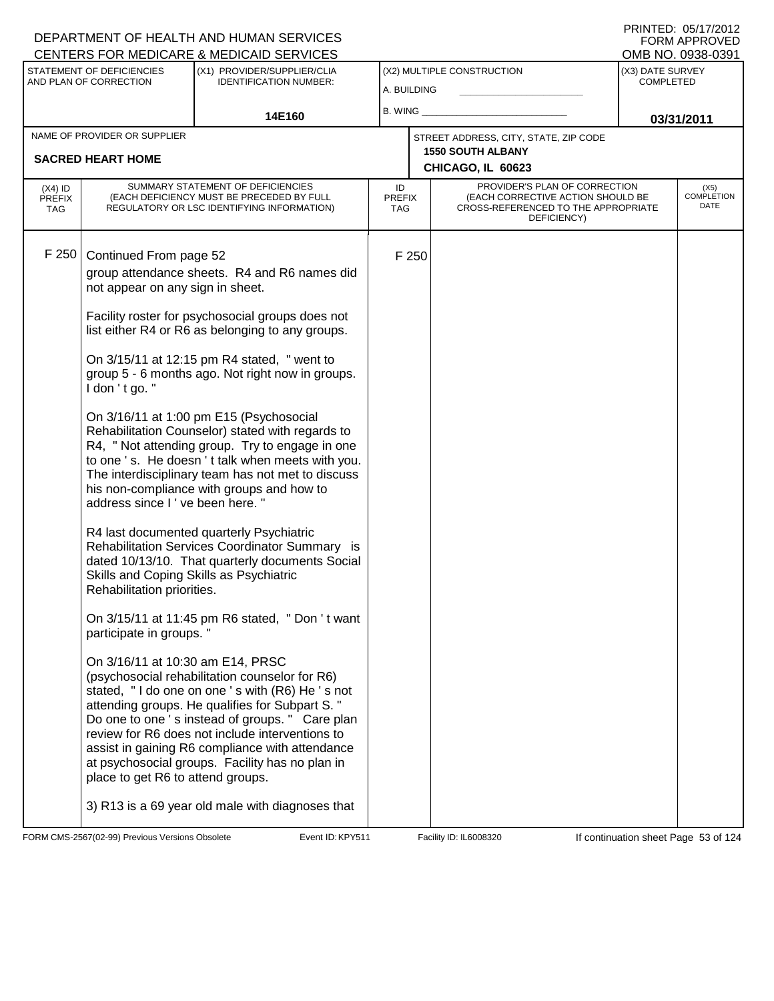|               |                                                                                                                          |                                                                                                                                                                                                                                                                                                                                                                                                                                                                                                                                                                                                                                                                                                                                                                                                                                                                                                                                                                                                                                                                                                                                                                                                                                                                                                                                                                                                                                                                                                                                                                                                                                                               |                             |                                                                                                                                                         | OMB NO. 0938-0391                                                                                         |
|---------------|--------------------------------------------------------------------------------------------------------------------------|---------------------------------------------------------------------------------------------------------------------------------------------------------------------------------------------------------------------------------------------------------------------------------------------------------------------------------------------------------------------------------------------------------------------------------------------------------------------------------------------------------------------------------------------------------------------------------------------------------------------------------------------------------------------------------------------------------------------------------------------------------------------------------------------------------------------------------------------------------------------------------------------------------------------------------------------------------------------------------------------------------------------------------------------------------------------------------------------------------------------------------------------------------------------------------------------------------------------------------------------------------------------------------------------------------------------------------------------------------------------------------------------------------------------------------------------------------------------------------------------------------------------------------------------------------------------------------------------------------------------------------------------------------------|-----------------------------|---------------------------------------------------------------------------------------------------------------------------------------------------------|-----------------------------------------------------------------------------------------------------------|
|               | (X1) PROVIDER/SUPPLIER/CLIA<br><b>IDENTIFICATION NUMBER:</b>                                                             |                                                                                                                                                                                                                                                                                                                                                                                                                                                                                                                                                                                                                                                                                                                                                                                                                                                                                                                                                                                                                                                                                                                                                                                                                                                                                                                                                                                                                                                                                                                                                                                                                                                               |                             | (X3) DATE SURVEY<br><b>COMPLETED</b>                                                                                                                    |                                                                                                           |
|               | 14E160                                                                                                                   |                                                                                                                                                                                                                                                                                                                                                                                                                                                                                                                                                                                                                                                                                                                                                                                                                                                                                                                                                                                                                                                                                                                                                                                                                                                                                                                                                                                                                                                                                                                                                                                                                                                               |                             |                                                                                                                                                         | 03/31/2011                                                                                                |
|               |                                                                                                                          |                                                                                                                                                                                                                                                                                                                                                                                                                                                                                                                                                                                                                                                                                                                                                                                                                                                                                                                                                                                                                                                                                                                                                                                                                                                                                                                                                                                                                                                                                                                                                                                                                                                               |                             |                                                                                                                                                         |                                                                                                           |
|               |                                                                                                                          |                                                                                                                                                                                                                                                                                                                                                                                                                                                                                                                                                                                                                                                                                                                                                                                                                                                                                                                                                                                                                                                                                                                                                                                                                                                                                                                                                                                                                                                                                                                                                                                                                                                               |                             |                                                                                                                                                         |                                                                                                           |
|               |                                                                                                                          | ID                                                                                                                                                                                                                                                                                                                                                                                                                                                                                                                                                                                                                                                                                                                                                                                                                                                                                                                                                                                                                                                                                                                                                                                                                                                                                                                                                                                                                                                                                                                                                                                                                                                            | DEFICIENCY)                 |                                                                                                                                                         | $(X5)$<br>COMPLETION<br>DATE                                                                              |
| I don 't go." |                                                                                                                          |                                                                                                                                                                                                                                                                                                                                                                                                                                                                                                                                                                                                                                                                                                                                                                                                                                                                                                                                                                                                                                                                                                                                                                                                                                                                                                                                                                                                                                                                                                                                                                                                                                                               |                             |                                                                                                                                                         |                                                                                                           |
|               |                                                                                                                          |                                                                                                                                                                                                                                                                                                                                                                                                                                                                                                                                                                                                                                                                                                                                                                                                                                                                                                                                                                                                                                                                                                                                                                                                                                                                                                                                                                                                                                                                                                                                                                                                                                                               |                             |                                                                                                                                                         |                                                                                                           |
|               |                                                                                                                          |                                                                                                                                                                                                                                                                                                                                                                                                                                                                                                                                                                                                                                                                                                                                                                                                                                                                                                                                                                                                                                                                                                                                                                                                                                                                                                                                                                                                                                                                                                                                                                                                                                                               |                             |                                                                                                                                                         |                                                                                                           |
|               | STATEMENT OF DEFICIENCIES<br>AND PLAN OF CORRECTION<br>NAME OF PROVIDER OR SUPPLIER<br><b>SACRED HEART HOME</b><br>F 250 | <b>CENTERS FOR MEDICARE &amp; MEDICAID SERVICES</b><br>SUMMARY STATEMENT OF DEFICIENCIES<br>(EACH DEFICIENCY MUST BE PRECEDED BY FULL<br>REGULATORY OR LSC IDENTIFYING INFORMATION)<br>Continued From page 52<br>group attendance sheets. R4 and R6 names did<br>not appear on any sign in sheet.<br>Facility roster for psychosocial groups does not<br>list either R4 or R6 as belonging to any groups.<br>On 3/15/11 at 12:15 pm R4 stated, " went to<br>group 5 - 6 months ago. Not right now in groups.<br>On 3/16/11 at 1:00 pm E15 (Psychosocial<br>Rehabilitation Counselor) stated with regards to<br>R4, " Not attending group. Try to engage in one<br>to one 's. He doesn't talk when meets with you.<br>The interdisciplinary team has not met to discuss<br>his non-compliance with groups and how to<br>address since I've been here."<br>R4 last documented quarterly Psychiatric<br>Rehabilitation Services Coordinator Summary is<br>dated 10/13/10. That quarterly documents Social<br>Skills and Coping Skills as Psychiatric<br>Rehabilitation priorities.<br>On 3/15/11 at 11:45 pm R6 stated, " Don 't want<br>participate in groups."<br>On 3/16/11 at 10:30 am E14, PRSC<br>(psychosocial rehabilitation counselor for R6)<br>stated, "I do one on one 's with (R6) He 's not<br>attending groups. He qualifies for Subpart S."<br>Do one to one 's instead of groups. " Care plan<br>review for R6 does not include interventions to<br>assist in gaining R6 compliance with attendance<br>at psychosocial groups. Facility has no plan in<br>place to get R6 to attend groups.<br>3) R13 is a 69 year old male with diagnoses that | <b>PREFIX</b><br><b>TAG</b> | (X2) MULTIPLE CONSTRUCTION<br>A. BUILDING<br>B. WING<br>STREET ADDRESS, CITY, STATE, ZIP CODE<br><b>1550 SOUTH ALBANY</b><br>CHICAGO, IL 60623<br>F 250 | PROVIDER'S PLAN OF CORRECTION<br>(EACH CORRECTIVE ACTION SHOULD BE<br>CROSS-REFERENCED TO THE APPROPRIATE |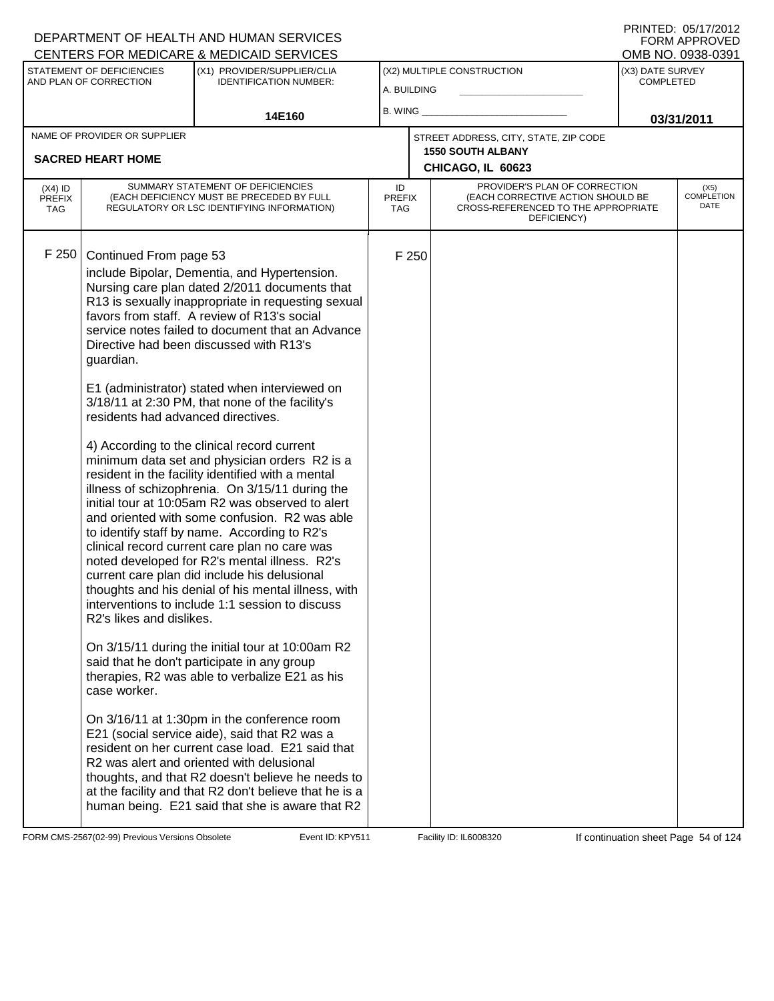|                                          |                                                                                                                       | <b>CENTERS FOR MEDICARE &amp; MEDICAID SERVICES</b>                                                                                                                                                                                                                                                                                                                                                                                                                                                                                                                                                                                                                                                                                                                                                                                                                                                                                                                                                                                                                                                                                                                                                                                                                                                                                                                                                                                                                                                                                                    |                            |       |                                                                                                                          |                                      | OMB NO. 0938-0391                 |
|------------------------------------------|-----------------------------------------------------------------------------------------------------------------------|--------------------------------------------------------------------------------------------------------------------------------------------------------------------------------------------------------------------------------------------------------------------------------------------------------------------------------------------------------------------------------------------------------------------------------------------------------------------------------------------------------------------------------------------------------------------------------------------------------------------------------------------------------------------------------------------------------------------------------------------------------------------------------------------------------------------------------------------------------------------------------------------------------------------------------------------------------------------------------------------------------------------------------------------------------------------------------------------------------------------------------------------------------------------------------------------------------------------------------------------------------------------------------------------------------------------------------------------------------------------------------------------------------------------------------------------------------------------------------------------------------------------------------------------------------|----------------------------|-------|--------------------------------------------------------------------------------------------------------------------------|--------------------------------------|-----------------------------------|
|                                          | STATEMENT OF DEFICIENCIES<br>AND PLAN OF CORRECTION                                                                   | (X1) PROVIDER/SUPPLIER/CLIA<br><b>IDENTIFICATION NUMBER:</b>                                                                                                                                                                                                                                                                                                                                                                                                                                                                                                                                                                                                                                                                                                                                                                                                                                                                                                                                                                                                                                                                                                                                                                                                                                                                                                                                                                                                                                                                                           | A. BUILDING                |       | (X2) MULTIPLE CONSTRUCTION                                                                                               | (X3) DATE SURVEY<br><b>COMPLETED</b> |                                   |
|                                          |                                                                                                                       | 14E160                                                                                                                                                                                                                                                                                                                                                                                                                                                                                                                                                                                                                                                                                                                                                                                                                                                                                                                                                                                                                                                                                                                                                                                                                                                                                                                                                                                                                                                                                                                                                 | B. WING                    |       |                                                                                                                          |                                      | 03/31/2011                        |
|                                          | NAME OF PROVIDER OR SUPPLIER                                                                                          |                                                                                                                                                                                                                                                                                                                                                                                                                                                                                                                                                                                                                                                                                                                                                                                                                                                                                                                                                                                                                                                                                                                                                                                                                                                                                                                                                                                                                                                                                                                                                        |                            |       | STREET ADDRESS, CITY, STATE, ZIP CODE                                                                                    |                                      |                                   |
|                                          | <b>SACRED HEART HOME</b>                                                                                              |                                                                                                                                                                                                                                                                                                                                                                                                                                                                                                                                                                                                                                                                                                                                                                                                                                                                                                                                                                                                                                                                                                                                                                                                                                                                                                                                                                                                                                                                                                                                                        |                            |       | <b>1550 SOUTH ALBANY</b><br>CHICAGO, IL 60623                                                                            |                                      |                                   |
| $(X4)$ ID<br><b>PREFIX</b><br><b>TAG</b> |                                                                                                                       | SUMMARY STATEMENT OF DEFICIENCIES<br>(EACH DEFICIENCY MUST BE PRECEDED BY FULL<br>REGULATORY OR LSC IDENTIFYING INFORMATION)                                                                                                                                                                                                                                                                                                                                                                                                                                                                                                                                                                                                                                                                                                                                                                                                                                                                                                                                                                                                                                                                                                                                                                                                                                                                                                                                                                                                                           | ID<br><b>PREFIX</b><br>TAG |       | PROVIDER'S PLAN OF CORRECTION<br>(EACH CORRECTIVE ACTION SHOULD BE<br>CROSS-REFERENCED TO THE APPROPRIATE<br>DEFICIENCY) |                                      | (X5)<br><b>COMPLETION</b><br>DATE |
| F 250                                    | Continued From page 53<br>guardian.<br>residents had advanced directives.<br>R2's likes and dislikes.<br>case worker. | include Bipolar, Dementia, and Hypertension.<br>Nursing care plan dated 2/2011 documents that<br>R13 is sexually inappropriate in requesting sexual<br>favors from staff. A review of R13's social<br>service notes failed to document that an Advance<br>Directive had been discussed with R13's<br>E1 (administrator) stated when interviewed on<br>3/18/11 at 2:30 PM, that none of the facility's<br>4) According to the clinical record current<br>minimum data set and physician orders R2 is a<br>resident in the facility identified with a mental<br>illness of schizophrenia. On 3/15/11 during the<br>initial tour at 10:05am R2 was observed to alert<br>and oriented with some confusion. R2 was able<br>to identify staff by name. According to R2's<br>clinical record current care plan no care was<br>noted developed for R2's mental illness. R2's<br>current care plan did include his delusional<br>thoughts and his denial of his mental illness, with<br>interventions to include 1:1 session to discuss<br>On 3/15/11 during the initial tour at 10:00am R2<br>said that he don't participate in any group<br>therapies, R2 was able to verbalize E21 as his<br>On 3/16/11 at 1:30pm in the conference room<br>E21 (social service aide), said that R2 was a<br>resident on her current case load. E21 said that<br>R2 was alert and oriented with delusional<br>thoughts, and that R2 doesn't believe he needs to<br>at the facility and that R2 don't believe that he is a<br>human being. E21 said that she is aware that R2 |                            | F 250 |                                                                                                                          |                                      |                                   |

FORM CMS-2567(02-99) Previous Versions Obsolete **KRYS11** Event ID: KPY511 Facility ID: IL6008320 If continuation sheet Page 54 of 124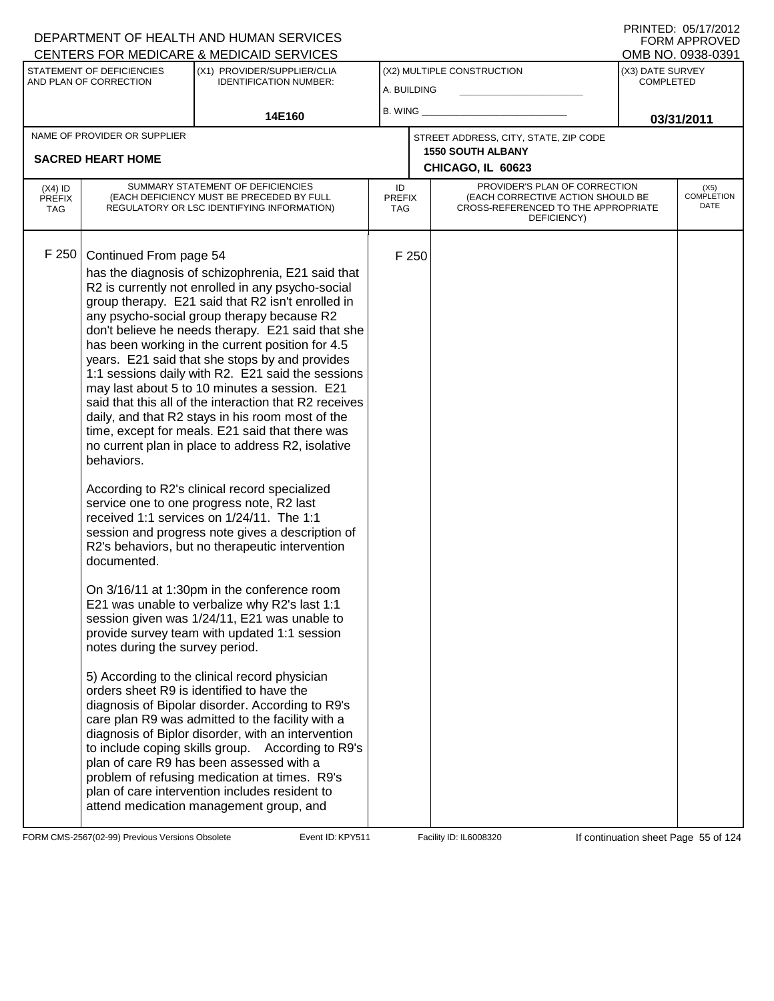| PRINTED: 05/17/2012 |
|---------------------|
| FORM APPROVED       |
| OMB NO. 0938-0391   |

| STATEMENT OF DEFICIENCIES<br>AND PLAN OF CORRECTION |                                                                                        | <u>ULIVILINU I UN MEDIUNNE &amp; MEDIUNID ULIVIULU</u><br>(X1) PROVIDER/SUPPLIER/CLIA<br><b>IDENTIFICATION NUMBER:</b>                                                                                                                                                                                                                                                                                                                                                                                                                                                                                                                                                                                                                                                                                                                                                                                                                                                                                                                                                                                                                                                                                                                                                                                                                                                                                                                                                                                                                                                                                                                                        | (X2) MULTIPLE CONSTRUCTION<br>A. BUILDING |       |                                                                                                                          | (X3) DATE SURVEY<br><b>COMPLETED</b> |                                   |
|-----------------------------------------------------|----------------------------------------------------------------------------------------|---------------------------------------------------------------------------------------------------------------------------------------------------------------------------------------------------------------------------------------------------------------------------------------------------------------------------------------------------------------------------------------------------------------------------------------------------------------------------------------------------------------------------------------------------------------------------------------------------------------------------------------------------------------------------------------------------------------------------------------------------------------------------------------------------------------------------------------------------------------------------------------------------------------------------------------------------------------------------------------------------------------------------------------------------------------------------------------------------------------------------------------------------------------------------------------------------------------------------------------------------------------------------------------------------------------------------------------------------------------------------------------------------------------------------------------------------------------------------------------------------------------------------------------------------------------------------------------------------------------------------------------------------------------|-------------------------------------------|-------|--------------------------------------------------------------------------------------------------------------------------|--------------------------------------|-----------------------------------|
|                                                     |                                                                                        | 14E160                                                                                                                                                                                                                                                                                                                                                                                                                                                                                                                                                                                                                                                                                                                                                                                                                                                                                                                                                                                                                                                                                                                                                                                                                                                                                                                                                                                                                                                                                                                                                                                                                                                        | B. WING                                   |       |                                                                                                                          |                                      | 03/31/2011                        |
|                                                     | NAME OF PROVIDER OR SUPPLIER<br><b>SACRED HEART HOME</b>                               |                                                                                                                                                                                                                                                                                                                                                                                                                                                                                                                                                                                                                                                                                                                                                                                                                                                                                                                                                                                                                                                                                                                                                                                                                                                                                                                                                                                                                                                                                                                                                                                                                                                               |                                           |       | STREET ADDRESS, CITY, STATE, ZIP CODE<br><b>1550 SOUTH ALBANY</b><br>CHICAGO, IL 60623                                   |                                      |                                   |
| $(X4)$ ID<br><b>PREFIX</b><br><b>TAG</b>            |                                                                                        | SUMMARY STATEMENT OF DEFICIENCIES<br>(EACH DEFICIENCY MUST BE PRECEDED BY FULL<br>REGULATORY OR LSC IDENTIFYING INFORMATION)                                                                                                                                                                                                                                                                                                                                                                                                                                                                                                                                                                                                                                                                                                                                                                                                                                                                                                                                                                                                                                                                                                                                                                                                                                                                                                                                                                                                                                                                                                                                  | ID<br><b>PREFIX</b><br><b>TAG</b>         |       | PROVIDER'S PLAN OF CORRECTION<br>(EACH CORRECTIVE ACTION SHOULD BE<br>CROSS-REFERENCED TO THE APPROPRIATE<br>DEFICIENCY) |                                      | (X5)<br><b>COMPLETION</b><br>DATE |
| F 250                                               | Continued From page 54<br>behaviors.<br>documented.<br>notes during the survey period. | has the diagnosis of schizophrenia, E21 said that<br>R2 is currently not enrolled in any psycho-social<br>group therapy. E21 said that R2 isn't enrolled in<br>any psycho-social group therapy because R2<br>don't believe he needs therapy. E21 said that she<br>has been working in the current position for 4.5<br>years. E21 said that she stops by and provides<br>1:1 sessions daily with R2. E21 said the sessions<br>may last about 5 to 10 minutes a session. E21<br>said that this all of the interaction that R2 receives<br>daily, and that R2 stays in his room most of the<br>time, except for meals. E21 said that there was<br>no current plan in place to address R2, isolative<br>According to R2's clinical record specialized<br>service one to one progress note, R2 last<br>received 1:1 services on 1/24/11. The 1:1<br>session and progress note gives a description of<br>R2's behaviors, but no therapeutic intervention<br>On 3/16/11 at 1:30pm in the conference room<br>E21 was unable to verbalize why R2's last 1:1<br>session given was 1/24/11, E21 was unable to<br>provide survey team with updated 1:1 session<br>5) According to the clinical record physician<br>orders sheet R9 is identified to have the<br>diagnosis of Bipolar disorder. According to R9's<br>care plan R9 was admitted to the facility with a<br>diagnosis of Biplor disorder, with an intervention<br>to include coping skills group. According to R9's<br>plan of care R9 has been assessed with a<br>problem of refusing medication at times. R9's<br>plan of care intervention includes resident to<br>attend medication management group, and |                                           | F 250 |                                                                                                                          |                                      |                                   |

FORM CMS-2567(02-99) Previous Versions Obsolete **KRYS11** Event ID: KPY511 Facility ID: IL6008320 If continuation sheet Page 55 of 124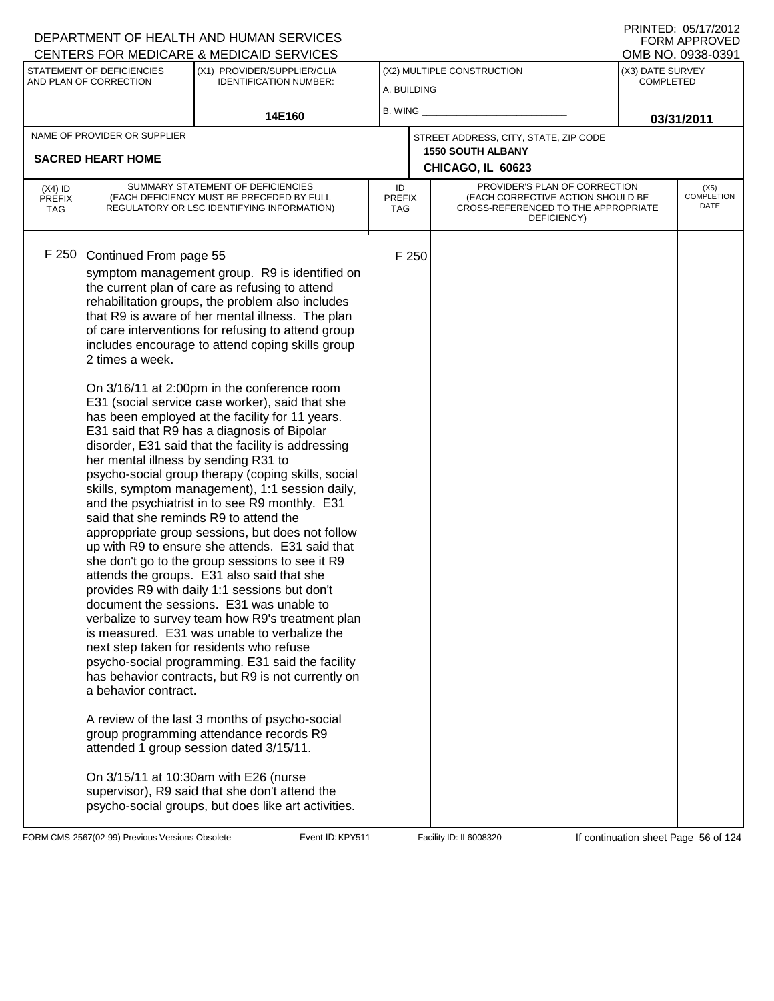|                                          |                                                                                                                                                     | <b>CENTERS FOR MEDICARE &amp; MEDICAID SERVICES</b>                                                                                                                                                                                                                                                                                                                                                                                                                                                                                                                                                                                                                                                                                                                                                                                                                                                                                                                                                                                                                                                                                                                                                                                                                                                                                                                                                                                                                                                                                                                                             |                            |       |                                                                                                                          |                                      | OMB NO. 0938-0391                 |
|------------------------------------------|-----------------------------------------------------------------------------------------------------------------------------------------------------|-------------------------------------------------------------------------------------------------------------------------------------------------------------------------------------------------------------------------------------------------------------------------------------------------------------------------------------------------------------------------------------------------------------------------------------------------------------------------------------------------------------------------------------------------------------------------------------------------------------------------------------------------------------------------------------------------------------------------------------------------------------------------------------------------------------------------------------------------------------------------------------------------------------------------------------------------------------------------------------------------------------------------------------------------------------------------------------------------------------------------------------------------------------------------------------------------------------------------------------------------------------------------------------------------------------------------------------------------------------------------------------------------------------------------------------------------------------------------------------------------------------------------------------------------------------------------------------------------|----------------------------|-------|--------------------------------------------------------------------------------------------------------------------------|--------------------------------------|-----------------------------------|
|                                          | STATEMENT OF DEFICIENCIES<br>AND PLAN OF CORRECTION                                                                                                 | (X1) PROVIDER/SUPPLIER/CLIA<br><b>IDENTIFICATION NUMBER:</b>                                                                                                                                                                                                                                                                                                                                                                                                                                                                                                                                                                                                                                                                                                                                                                                                                                                                                                                                                                                                                                                                                                                                                                                                                                                                                                                                                                                                                                                                                                                                    | A. BUILDING                |       | (X2) MULTIPLE CONSTRUCTION                                                                                               | (X3) DATE SURVEY<br><b>COMPLETED</b> |                                   |
|                                          |                                                                                                                                                     | 14E160                                                                                                                                                                                                                                                                                                                                                                                                                                                                                                                                                                                                                                                                                                                                                                                                                                                                                                                                                                                                                                                                                                                                                                                                                                                                                                                                                                                                                                                                                                                                                                                          | B. WING_                   |       |                                                                                                                          |                                      | 03/31/2011                        |
|                                          | NAME OF PROVIDER OR SUPPLIER                                                                                                                        |                                                                                                                                                                                                                                                                                                                                                                                                                                                                                                                                                                                                                                                                                                                                                                                                                                                                                                                                                                                                                                                                                                                                                                                                                                                                                                                                                                                                                                                                                                                                                                                                 |                            |       | STREET ADDRESS, CITY, STATE, ZIP CODE                                                                                    |                                      |                                   |
|                                          | <b>SACRED HEART HOME</b>                                                                                                                            |                                                                                                                                                                                                                                                                                                                                                                                                                                                                                                                                                                                                                                                                                                                                                                                                                                                                                                                                                                                                                                                                                                                                                                                                                                                                                                                                                                                                                                                                                                                                                                                                 |                            |       | <b>1550 SOUTH ALBANY</b><br>CHICAGO, IL 60623                                                                            |                                      |                                   |
| $(X4)$ ID<br><b>PREFIX</b><br><b>TAG</b> |                                                                                                                                                     | SUMMARY STATEMENT OF DEFICIENCIES<br>(EACH DEFICIENCY MUST BE PRECEDED BY FULL<br>REGULATORY OR LSC IDENTIFYING INFORMATION)                                                                                                                                                                                                                                                                                                                                                                                                                                                                                                                                                                                                                                                                                                                                                                                                                                                                                                                                                                                                                                                                                                                                                                                                                                                                                                                                                                                                                                                                    | ID<br><b>PREFIX</b><br>TAG |       | PROVIDER'S PLAN OF CORRECTION<br>(EACH CORRECTIVE ACTION SHOULD BE<br>CROSS-REFERENCED TO THE APPROPRIATE<br>DEFICIENCY) |                                      | (X5)<br><b>COMPLETION</b><br>DATE |
| F 250                                    | Continued From page 55<br>2 times a week.<br>her mental illness by sending R31 to<br>said that she reminds R9 to attend the<br>a behavior contract. | symptom management group. R9 is identified on<br>the current plan of care as refusing to attend<br>rehabilitation groups, the problem also includes<br>that R9 is aware of her mental illness. The plan<br>of care interventions for refusing to attend group<br>includes encourage to attend coping skills group<br>On 3/16/11 at 2:00pm in the conference room<br>E31 (social service case worker), said that she<br>has been employed at the facility for 11 years.<br>E31 said that R9 has a diagnosis of Bipolar<br>disorder, E31 said that the facility is addressing<br>psycho-social group therapy (coping skills, social<br>skills, symptom management), 1:1 session daily,<br>and the psychiatrist in to see R9 monthly. E31<br>approppriate group sessions, but does not follow<br>up with R9 to ensure she attends. E31 said that<br>she don't go to the group sessions to see it R9<br>attends the groups. E31 also said that she<br>provides R9 with daily 1:1 sessions but don't<br>document the sessions. E31 was unable to<br>verbalize to survey team how R9's treatment plan<br>is measured. E31 was unable to verbalize the<br>next step taken for residents who refuse<br>psycho-social programming. E31 said the facility<br>has behavior contracts, but R9 is not currently on<br>A review of the last 3 months of psycho-social<br>group programming attendance records R9<br>attended 1 group session dated 3/15/11.<br>On 3/15/11 at 10:30am with E26 (nurse<br>supervisor), R9 said that she don't attend the<br>psycho-social groups, but does like art activities. |                            | F 250 |                                                                                                                          |                                      |                                   |

FORM CMS-2567(02-99) Previous Versions Obsolete **KRYS11** Event ID: KPY511 Facility ID: IL6008320 If continuation sheet Page 56 of 124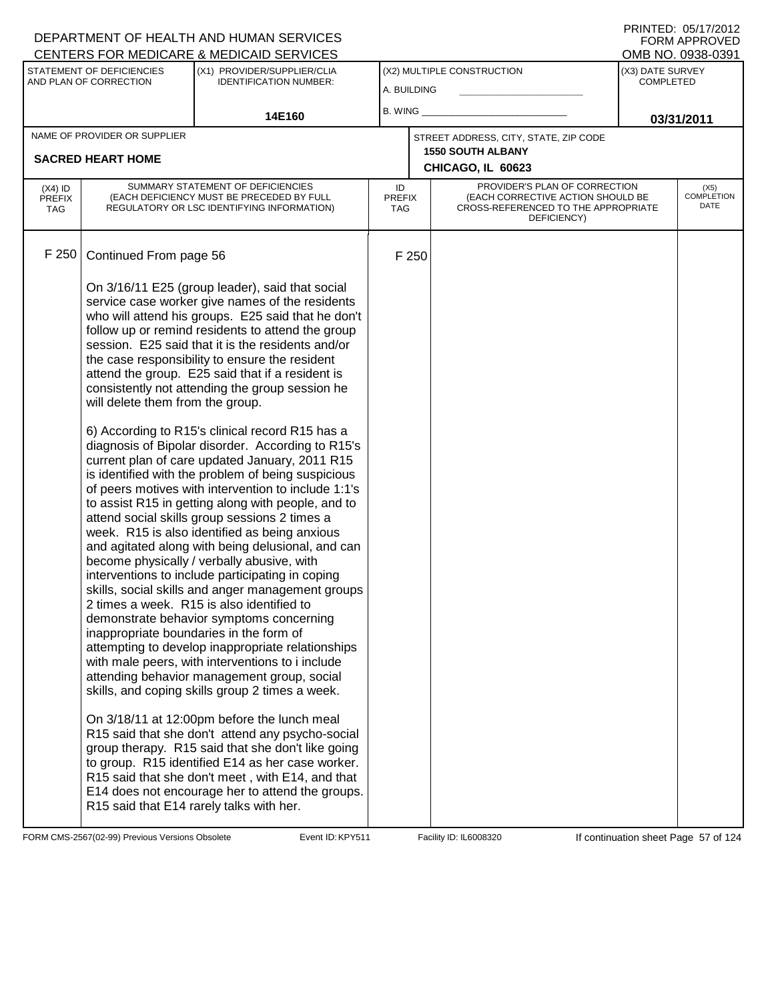### A. BUILDING (X1) PROVIDER/SUPPLIER/CLIA IDENTIFICATION NUMBER: STATEMENT OF DEFICIENCIES AND PLAN OF CORRECTION (X3) DATE SURVEY COMPLETED (X2) MULTIPLE CONSTRUCTION B. WING **\_\_\_\_\_\_\_\_\_\_\_\_\_\_\_\_\_\_\_\_\_\_** 14E160 **B. WING CONSUMING (2011 03/31/2011 CHICAGO, IL 60623** NAME OF PROVIDER OR SUPPLIER STREET ADDRESS, CITY, STATE, ZIP CODE **SACRED HEART HOME 1550 SOUTH ALBANY** PROVIDER'S PLAN OF CORRECTION (EACH CORRECTIVE ACTION SHOULD BE CROSS-REFERENCED TO THE APPROPRIATE DEFICIENCY) **COMPLETION** ID PREFIX TAG (X4) ID PREFIX TAG SUMMARY STATEMENT OF DEFICIENCIES (EACH DEFICIENCY MUST BE PRECEDED BY FULL REGULATORY OR LSC IDENTIFYING INFORMATION) F 250 Continued From page 56 F 250 On 3/16/11 E25 (group leader), said that social service case worker give names of the residents who will attend his groups. E25 said that he don't follow up or remind residents to attend the group session. E25 said that it is the residents and/or the case responsibility to ensure the resident attend the group. E25 said that if a resident is consistently not attending the group session he will delete them from the group. 6) According to R15's clinical record R15 has a diagnosis of Bipolar disorder. According to R15's current plan of care updated January, 2011 R15 is identified with the problem of being suspicious of peers motives with intervention to include 1:1's to assist R15 in getting along with people, and to attend social skills group sessions 2 times a week. R15 is also identified as being anxious and agitated along with being delusional, and can become physically / verbally abusive, with interventions to include participating in coping skills, social skills and anger management groups 2 times a week. R15 is also identified to demonstrate behavior symptoms concerning inappropriate boundaries in the form of attempting to develop inappropriate relationships with male peers, with interventions to i include attending behavior management group, social skills, and coping skills group 2 times a week. On 3/18/11 at 12:00pm before the lunch meal R15 said that she don't attend any psycho-social group therapy. R15 said that she don't like going to group. R15 identified E14 as her case worker. R15 said that she don't meet , with E14, and that E14 does not encourage her to attend the groups.

R15 said that E14 rarely talks with her.

FORM CMS-2567(02-99) Previous Versions Obsolete **KRYS11** Event ID: KPY511 Facility ID: IL6008320 If continuation sheet Page 57 of 124

### PRINTED: 05/17/2012 FORM APPROVED<br>OMB NO. 0938-0391

(X5)

DATE

DEPARTMENT OF HEALTH AND HUMAN SERVICES CENTERS FOR MEDICARE & MEDICAID SERVICES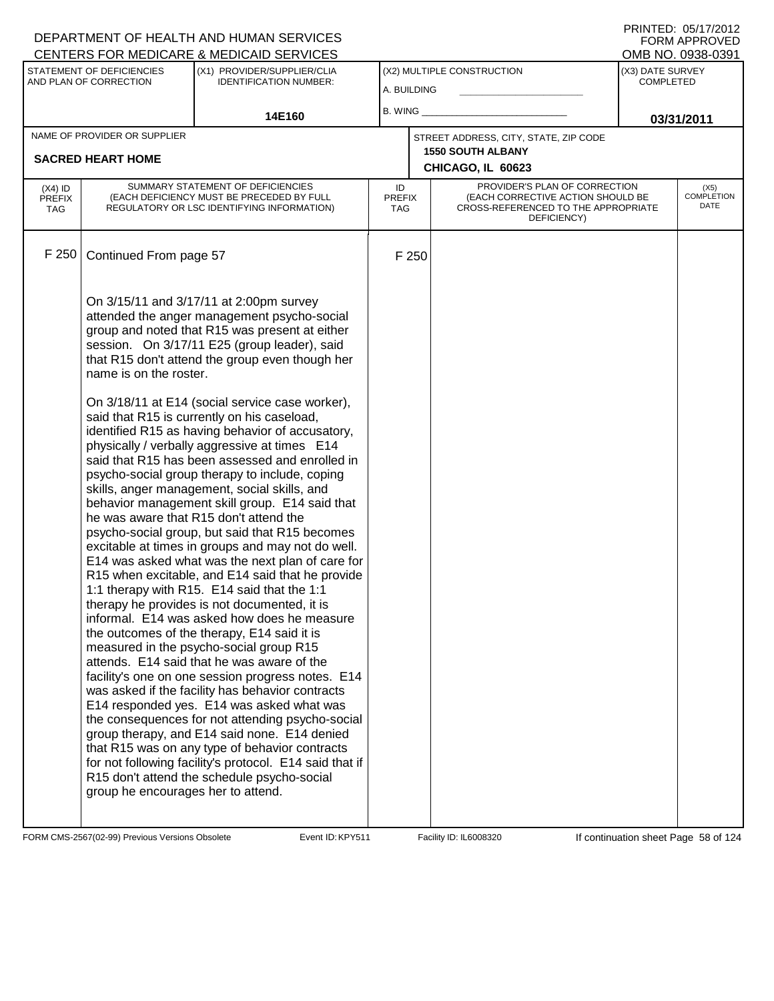|                                          |                                    | CENTERS FOR MEDICARE & MEDICAID SERVICES                                                                                                                                                                                                                                                                                                                                                                                                                                                                                                                                                                                                                                                                                                                                                                                                                                                                                                                                                                                                                                                                                                                                                                                                                                                                                                                                        |                                   |       |                                                                                                                          |                  | OMB NO. 0938-0391                 |
|------------------------------------------|------------------------------------|---------------------------------------------------------------------------------------------------------------------------------------------------------------------------------------------------------------------------------------------------------------------------------------------------------------------------------------------------------------------------------------------------------------------------------------------------------------------------------------------------------------------------------------------------------------------------------------------------------------------------------------------------------------------------------------------------------------------------------------------------------------------------------------------------------------------------------------------------------------------------------------------------------------------------------------------------------------------------------------------------------------------------------------------------------------------------------------------------------------------------------------------------------------------------------------------------------------------------------------------------------------------------------------------------------------------------------------------------------------------------------|-----------------------------------|-------|--------------------------------------------------------------------------------------------------------------------------|------------------|-----------------------------------|
|                                          | STATEMENT OF DEFICIENCIES          | (X1) PROVIDER/SUPPLIER/CLIA                                                                                                                                                                                                                                                                                                                                                                                                                                                                                                                                                                                                                                                                                                                                                                                                                                                                                                                                                                                                                                                                                                                                                                                                                                                                                                                                                     |                                   |       | (X2) MULTIPLE CONSTRUCTION                                                                                               | (X3) DATE SURVEY |                                   |
|                                          | AND PLAN OF CORRECTION             | <b>IDENTIFICATION NUMBER:</b>                                                                                                                                                                                                                                                                                                                                                                                                                                                                                                                                                                                                                                                                                                                                                                                                                                                                                                                                                                                                                                                                                                                                                                                                                                                                                                                                                   | A. BUILDING                       |       |                                                                                                                          | <b>COMPLETED</b> |                                   |
|                                          |                                    | 14E160                                                                                                                                                                                                                                                                                                                                                                                                                                                                                                                                                                                                                                                                                                                                                                                                                                                                                                                                                                                                                                                                                                                                                                                                                                                                                                                                                                          | B. WING $\_$                      |       |                                                                                                                          |                  |                                   |
|                                          | NAME OF PROVIDER OR SUPPLIER       |                                                                                                                                                                                                                                                                                                                                                                                                                                                                                                                                                                                                                                                                                                                                                                                                                                                                                                                                                                                                                                                                                                                                                                                                                                                                                                                                                                                 |                                   |       | STREET ADDRESS, CITY, STATE, ZIP CODE                                                                                    |                  | 03/31/2011                        |
|                                          |                                    |                                                                                                                                                                                                                                                                                                                                                                                                                                                                                                                                                                                                                                                                                                                                                                                                                                                                                                                                                                                                                                                                                                                                                                                                                                                                                                                                                                                 |                                   |       | <b>1550 SOUTH ALBANY</b>                                                                                                 |                  |                                   |
|                                          | <b>SACRED HEART HOME</b>           |                                                                                                                                                                                                                                                                                                                                                                                                                                                                                                                                                                                                                                                                                                                                                                                                                                                                                                                                                                                                                                                                                                                                                                                                                                                                                                                                                                                 |                                   |       | CHICAGO, IL 60623                                                                                                        |                  |                                   |
| $(X4)$ ID<br><b>PREFIX</b><br><b>TAG</b> |                                    | SUMMARY STATEMENT OF DEFICIENCIES<br>(EACH DEFICIENCY MUST BE PRECEDED BY FULL<br>REGULATORY OR LSC IDENTIFYING INFORMATION)                                                                                                                                                                                                                                                                                                                                                                                                                                                                                                                                                                                                                                                                                                                                                                                                                                                                                                                                                                                                                                                                                                                                                                                                                                                    | ID<br><b>PREFIX</b><br><b>TAG</b> |       | PROVIDER'S PLAN OF CORRECTION<br>(EACH CORRECTIVE ACTION SHOULD BE<br>CROSS-REFERENCED TO THE APPROPRIATE<br>DEFICIENCY) |                  | (X5)<br><b>COMPLETION</b><br>DATE |
| F 250                                    | Continued From page 57             |                                                                                                                                                                                                                                                                                                                                                                                                                                                                                                                                                                                                                                                                                                                                                                                                                                                                                                                                                                                                                                                                                                                                                                                                                                                                                                                                                                                 |                                   | F 250 |                                                                                                                          |                  |                                   |
|                                          | name is on the roster.             | On 3/15/11 and 3/17/11 at 2:00pm survey<br>attended the anger management psycho-social<br>group and noted that R15 was present at either<br>session. On 3/17/11 E25 (group leader), said<br>that R15 don't attend the group even though her                                                                                                                                                                                                                                                                                                                                                                                                                                                                                                                                                                                                                                                                                                                                                                                                                                                                                                                                                                                                                                                                                                                                     |                                   |       |                                                                                                                          |                  |                                   |
|                                          | group he encourages her to attend. | On 3/18/11 at E14 (social service case worker),<br>said that R15 is currently on his caseload,<br>identified R15 as having behavior of accusatory,<br>physically / verbally aggressive at times E14<br>said that R15 has been assessed and enrolled in<br>psycho-social group therapy to include, coping<br>skills, anger management, social skills, and<br>behavior management skill group. E14 said that<br>he was aware that R15 don't attend the<br>psycho-social group, but said that R15 becomes<br>excitable at times in groups and may not do well.<br>E14 was asked what was the next plan of care for<br>R15 when excitable, and E14 said that he provide<br>1:1 therapy with R15. E14 said that the 1:1<br>therapy he provides is not documented, it is<br>informal. E14 was asked how does he measure<br>the outcomes of the therapy, E14 said it is<br>measured in the psycho-social group R15<br>attends. E14 said that he was aware of the<br>facility's one on one session progress notes. E14<br>was asked if the facility has behavior contracts<br>E14 responded yes. E14 was asked what was<br>the consequences for not attending psycho-social<br>group therapy, and E14 said none. E14 denied<br>that R15 was on any type of behavior contracts<br>for not following facility's protocol. E14 said that if<br>R15 don't attend the schedule psycho-social |                                   |       |                                                                                                                          |                  |                                   |

FORM CMS-2567(02-99) Previous Versions Obsolete Event ID: KPY511 Facility ID: IL6008320 If continuation sheet Page 58 of 124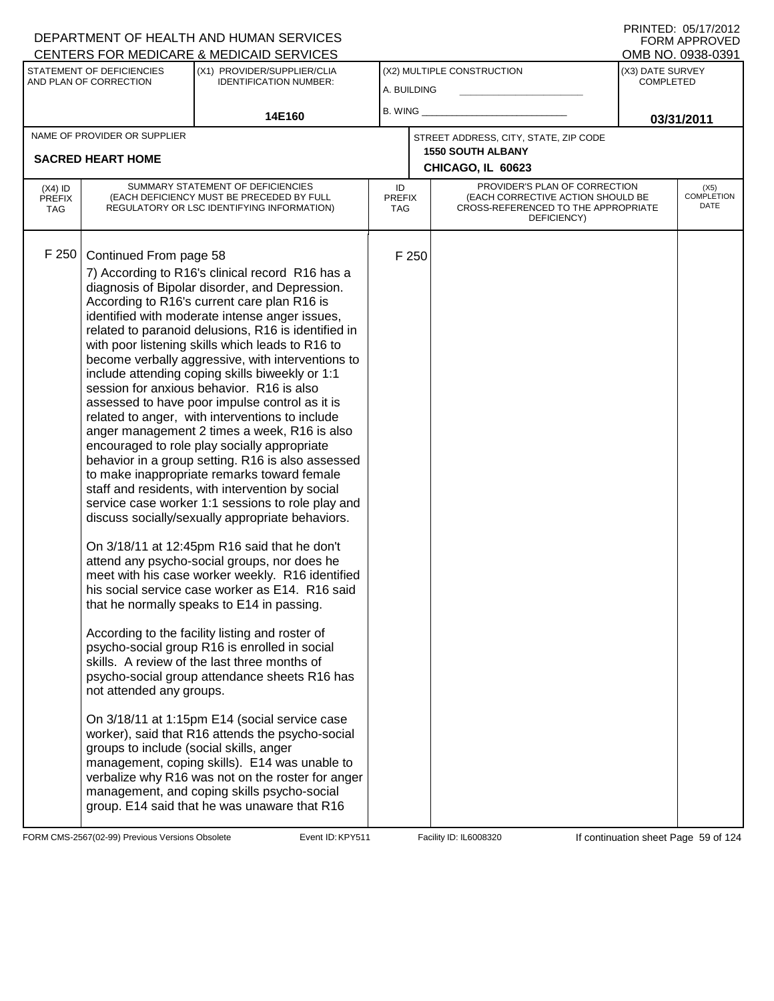|                                          |                                                                                               | CENTERS FOR MEDICARE & MEDICAID SERVICES                                                                                                                                                                                                                                                                                                                                                                                                                                                                                                                                                                                                                                                                                                                                                                                                                                                                                                                                                                                                                                                                                                                                                                                                                                                                                                                                                                                                                                                                                                                                                                                                                                                                     |                                   |       |                                                                                                                          |                                      | OMB NO. 0938-0391                 |
|------------------------------------------|-----------------------------------------------------------------------------------------------|--------------------------------------------------------------------------------------------------------------------------------------------------------------------------------------------------------------------------------------------------------------------------------------------------------------------------------------------------------------------------------------------------------------------------------------------------------------------------------------------------------------------------------------------------------------------------------------------------------------------------------------------------------------------------------------------------------------------------------------------------------------------------------------------------------------------------------------------------------------------------------------------------------------------------------------------------------------------------------------------------------------------------------------------------------------------------------------------------------------------------------------------------------------------------------------------------------------------------------------------------------------------------------------------------------------------------------------------------------------------------------------------------------------------------------------------------------------------------------------------------------------------------------------------------------------------------------------------------------------------------------------------------------------------------------------------------------------|-----------------------------------|-------|--------------------------------------------------------------------------------------------------------------------------|--------------------------------------|-----------------------------------|
|                                          | STATEMENT OF DEFICIENCIES<br>AND PLAN OF CORRECTION                                           | (X1) PROVIDER/SUPPLIER/CLIA<br><b>IDENTIFICATION NUMBER:</b>                                                                                                                                                                                                                                                                                                                                                                                                                                                                                                                                                                                                                                                                                                                                                                                                                                                                                                                                                                                                                                                                                                                                                                                                                                                                                                                                                                                                                                                                                                                                                                                                                                                 | A. BUILDING                       |       | (X2) MULTIPLE CONSTRUCTION                                                                                               | (X3) DATE SURVEY<br><b>COMPLETED</b> |                                   |
|                                          |                                                                                               | 14E160                                                                                                                                                                                                                                                                                                                                                                                                                                                                                                                                                                                                                                                                                                                                                                                                                                                                                                                                                                                                                                                                                                                                                                                                                                                                                                                                                                                                                                                                                                                                                                                                                                                                                                       | B. WING                           |       |                                                                                                                          |                                      | 03/31/2011                        |
|                                          | NAME OF PROVIDER OR SUPPLIER                                                                  |                                                                                                                                                                                                                                                                                                                                                                                                                                                                                                                                                                                                                                                                                                                                                                                                                                                                                                                                                                                                                                                                                                                                                                                                                                                                                                                                                                                                                                                                                                                                                                                                                                                                                                              |                                   |       | STREET ADDRESS, CITY, STATE, ZIP CODE                                                                                    |                                      |                                   |
|                                          | <b>SACRED HEART HOME</b>                                                                      |                                                                                                                                                                                                                                                                                                                                                                                                                                                                                                                                                                                                                                                                                                                                                                                                                                                                                                                                                                                                                                                                                                                                                                                                                                                                                                                                                                                                                                                                                                                                                                                                                                                                                                              |                                   |       | <b>1550 SOUTH ALBANY</b>                                                                                                 |                                      |                                   |
|                                          |                                                                                               |                                                                                                                                                                                                                                                                                                                                                                                                                                                                                                                                                                                                                                                                                                                                                                                                                                                                                                                                                                                                                                                                                                                                                                                                                                                                                                                                                                                                                                                                                                                                                                                                                                                                                                              |                                   |       | CHICAGO, IL 60623                                                                                                        |                                      |                                   |
| $(X4)$ ID<br><b>PREFIX</b><br><b>TAG</b> |                                                                                               | SUMMARY STATEMENT OF DEFICIENCIES<br>(EACH DEFICIENCY MUST BE PRECEDED BY FULL<br>REGULATORY OR LSC IDENTIFYING INFORMATION)                                                                                                                                                                                                                                                                                                                                                                                                                                                                                                                                                                                                                                                                                                                                                                                                                                                                                                                                                                                                                                                                                                                                                                                                                                                                                                                                                                                                                                                                                                                                                                                 | ID<br><b>PREFIX</b><br><b>TAG</b> |       | PROVIDER'S PLAN OF CORRECTION<br>(EACH CORRECTIVE ACTION SHOULD BE<br>CROSS-REFERENCED TO THE APPROPRIATE<br>DEFICIENCY) |                                      | (X5)<br><b>COMPLETION</b><br>DATE |
| F 250                                    | Continued From page 58<br>not attended any groups.<br>groups to include (social skills, anger | 7) According to R16's clinical record R16 has a<br>diagnosis of Bipolar disorder, and Depression.<br>According to R16's current care plan R16 is<br>identified with moderate intense anger issues,<br>related to paranoid delusions, R16 is identified in<br>with poor listening skills which leads to R16 to<br>become verbally aggressive, with interventions to<br>include attending coping skills biweekly or 1:1<br>session for anxious behavior. R16 is also<br>assessed to have poor impulse control as it is<br>related to anger, with interventions to include<br>anger management 2 times a week, R16 is also<br>encouraged to role play socially appropriate<br>behavior in a group setting. R16 is also assessed<br>to make inappropriate remarks toward female<br>staff and residents, with intervention by social<br>service case worker 1:1 sessions to role play and<br>discuss socially/sexually appropriate behaviors.<br>On 3/18/11 at 12:45pm R16 said that he don't<br>attend any psycho-social groups, nor does he<br>meet with his case worker weekly. R16 identified<br>his social service case worker as E14. R16 said<br>that he normally speaks to E14 in passing.<br>According to the facility listing and roster of<br>psycho-social group R16 is enrolled in social<br>skills. A review of the last three months of<br>psycho-social group attendance sheets R16 has<br>On 3/18/11 at 1:15pm E14 (social service case<br>worker), said that R16 attends the psycho-social<br>management, coping skills). E14 was unable to<br>verbalize why R16 was not on the roster for anger<br>management, and coping skills psycho-social<br>group. E14 said that he was unaware that R16 |                                   | F 250 |                                                                                                                          |                                      |                                   |

FORM CMS-2567(02-99) Previous Versions Obsolete Event ID: KPY511 Facility ID: IL6008320 If continuation sheet Page 59 of 124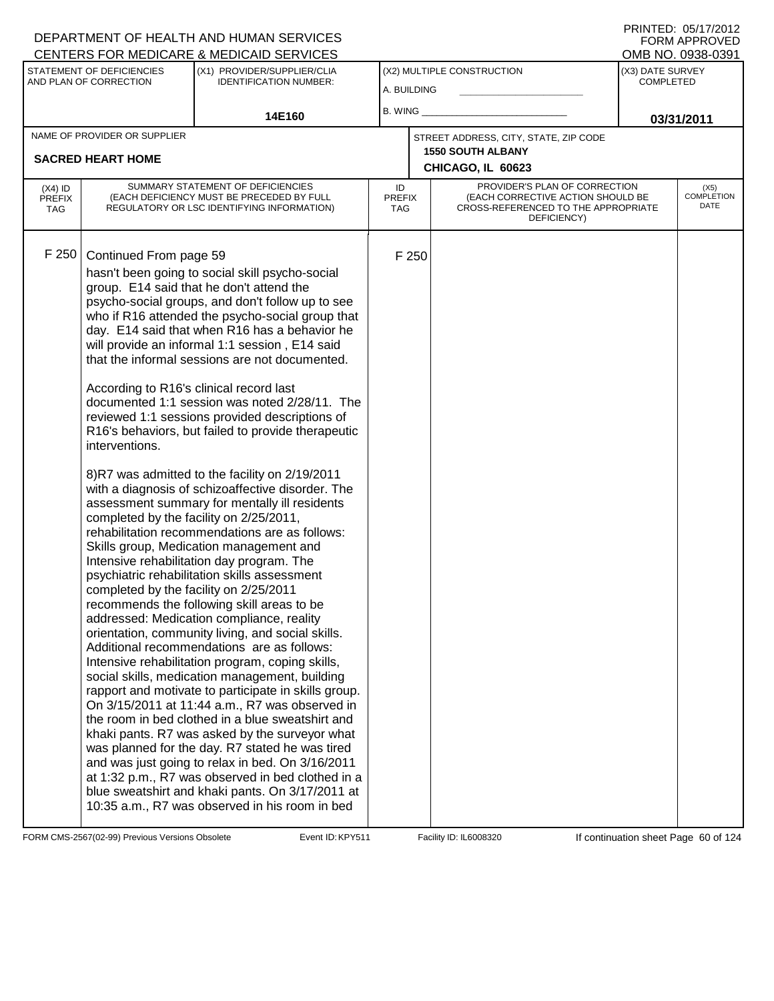|                                          |                                                                                                                                                                          | CENTERS FOR MEDICARE & MEDICAID SERVICES                                                                                                                                                                                                                                                                                                                                                                                                                                                                                                                                                                                                                                                                                                                                                                                                                                                                                                                                                                                                                                                                                                                                                                                                                                                                                                                                                                                                                                                                                                                                                                                                                  |                            |       |                                                                                                                          |                                      | OMB NO. 0938-0391                 |
|------------------------------------------|--------------------------------------------------------------------------------------------------------------------------------------------------------------------------|-----------------------------------------------------------------------------------------------------------------------------------------------------------------------------------------------------------------------------------------------------------------------------------------------------------------------------------------------------------------------------------------------------------------------------------------------------------------------------------------------------------------------------------------------------------------------------------------------------------------------------------------------------------------------------------------------------------------------------------------------------------------------------------------------------------------------------------------------------------------------------------------------------------------------------------------------------------------------------------------------------------------------------------------------------------------------------------------------------------------------------------------------------------------------------------------------------------------------------------------------------------------------------------------------------------------------------------------------------------------------------------------------------------------------------------------------------------------------------------------------------------------------------------------------------------------------------------------------------------------------------------------------------------|----------------------------|-------|--------------------------------------------------------------------------------------------------------------------------|--------------------------------------|-----------------------------------|
|                                          | STATEMENT OF DEFICIENCIES<br>AND PLAN OF CORRECTION                                                                                                                      | (X1) PROVIDER/SUPPLIER/CLIA<br><b>IDENTIFICATION NUMBER:</b>                                                                                                                                                                                                                                                                                                                                                                                                                                                                                                                                                                                                                                                                                                                                                                                                                                                                                                                                                                                                                                                                                                                                                                                                                                                                                                                                                                                                                                                                                                                                                                                              | A. BUILDING                |       | (X2) MULTIPLE CONSTRUCTION                                                                                               | (X3) DATE SURVEY<br><b>COMPLETED</b> |                                   |
|                                          |                                                                                                                                                                          | 14E160                                                                                                                                                                                                                                                                                                                                                                                                                                                                                                                                                                                                                                                                                                                                                                                                                                                                                                                                                                                                                                                                                                                                                                                                                                                                                                                                                                                                                                                                                                                                                                                                                                                    | B. WING _                  |       |                                                                                                                          |                                      | 03/31/2011                        |
|                                          | NAME OF PROVIDER OR SUPPLIER<br><b>SACRED HEART HOME</b>                                                                                                                 |                                                                                                                                                                                                                                                                                                                                                                                                                                                                                                                                                                                                                                                                                                                                                                                                                                                                                                                                                                                                                                                                                                                                                                                                                                                                                                                                                                                                                                                                                                                                                                                                                                                           |                            |       | STREET ADDRESS, CITY, STATE, ZIP CODE<br><b>1550 SOUTH ALBANY</b><br>CHICAGO, IL 60623                                   |                                      |                                   |
| $(X4)$ ID<br><b>PREFIX</b><br><b>TAG</b> |                                                                                                                                                                          | SUMMARY STATEMENT OF DEFICIENCIES<br>(EACH DEFICIENCY MUST BE PRECEDED BY FULL<br>REGULATORY OR LSC IDENTIFYING INFORMATION)                                                                                                                                                                                                                                                                                                                                                                                                                                                                                                                                                                                                                                                                                                                                                                                                                                                                                                                                                                                                                                                                                                                                                                                                                                                                                                                                                                                                                                                                                                                              | ID<br><b>PREFIX</b><br>TAG |       | PROVIDER'S PLAN OF CORRECTION<br>(EACH CORRECTIVE ACTION SHOULD BE<br>CROSS-REFERENCED TO THE APPROPRIATE<br>DEFICIENCY) |                                      | (X5)<br><b>COMPLETION</b><br>DATE |
| F250                                     | Continued From page 59<br>According to R16's clinical record last<br>interventions.<br>completed by the facility on 2/25/2011,<br>completed by the facility on 2/25/2011 | hasn't been going to social skill psycho-social<br>group. E14 said that he don't attend the<br>psycho-social groups, and don't follow up to see<br>who if R16 attended the psycho-social group that<br>day. E14 said that when R16 has a behavior he<br>will provide an informal 1:1 session, E14 said<br>that the informal sessions are not documented.<br>documented 1:1 session was noted 2/28/11. The<br>reviewed 1:1 sessions provided descriptions of<br>R16's behaviors, but failed to provide therapeutic<br>8)R7 was admitted to the facility on 2/19/2011<br>with a diagnosis of schizoaffective disorder. The<br>assessment summary for mentally ill residents<br>rehabilitation recommendations are as follows:<br>Skills group, Medication management and<br>Intensive rehabilitation day program. The<br>psychiatric rehabilitation skills assessment<br>recommends the following skill areas to be<br>addressed: Medication compliance, reality<br>orientation, community living, and social skills.<br>Additional recommendations are as follows:<br>Intensive rehabilitation program, coping skills,<br>social skills, medication management, building<br>rapport and motivate to participate in skills group.<br>On 3/15/2011 at 11:44 a.m., R7 was observed in<br>the room in bed clothed in a blue sweatshirt and<br>khaki pants. R7 was asked by the surveyor what<br>was planned for the day. R7 stated he was tired<br>and was just going to relax in bed. On 3/16/2011<br>at 1:32 p.m., R7 was observed in bed clothed in a<br>blue sweatshirt and khaki pants. On 3/17/2011 at<br>10:35 a.m., R7 was observed in his room in bed |                            | F 250 |                                                                                                                          |                                      |                                   |

FORM CMS-2567(02-99) Previous Versions Obsolete Event ID: KPY511 Facility ID: IL6008320 If continuation sheet Page 60 of 124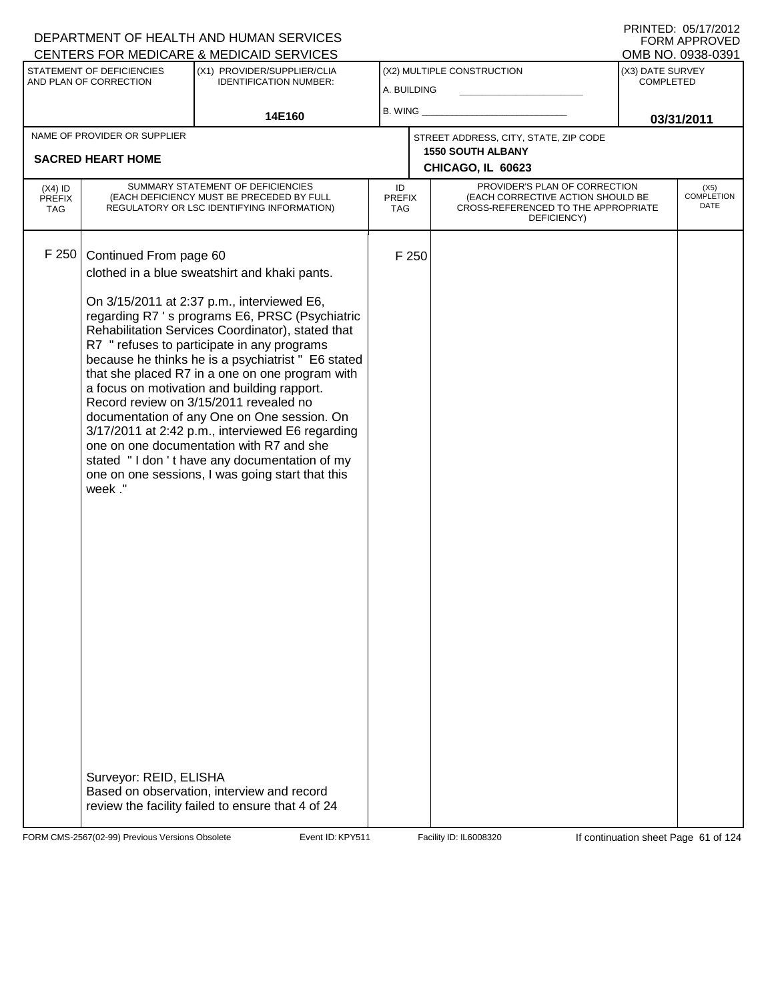|                                          |                                  | DEPARTMENT OF HEALTH AND HUMAN SERVICES<br>CENTERS FOR MEDICARE & MEDICAID SERVICES                                                                                                                                                                                                                                                                                                                                                                                                                                                                                                                                                                                                                    |                            |                                                                                                                          |                                       | FORM APPROVED                |
|------------------------------------------|----------------------------------|--------------------------------------------------------------------------------------------------------------------------------------------------------------------------------------------------------------------------------------------------------------------------------------------------------------------------------------------------------------------------------------------------------------------------------------------------------------------------------------------------------------------------------------------------------------------------------------------------------------------------------------------------------------------------------------------------------|----------------------------|--------------------------------------------------------------------------------------------------------------------------|---------------------------------------|------------------------------|
|                                          | STATEMENT OF DEFICIENCIES        | (X1) PROVIDER/SUPPLIER/CLIA                                                                                                                                                                                                                                                                                                                                                                                                                                                                                                                                                                                                                                                                            |                            | (X2) MULTIPLE CONSTRUCTION                                                                                               | OMB NO. 0938-0391<br>(X3) DATE SURVEY |                              |
|                                          | AND PLAN OF CORRECTION           | <b>IDENTIFICATION NUMBER:</b>                                                                                                                                                                                                                                                                                                                                                                                                                                                                                                                                                                                                                                                                          | A. BUILDING                |                                                                                                                          | <b>COMPLETED</b>                      |                              |
|                                          |                                  |                                                                                                                                                                                                                                                                                                                                                                                                                                                                                                                                                                                                                                                                                                        | $B.$ WING $\_$             |                                                                                                                          |                                       |                              |
|                                          |                                  | 14E160                                                                                                                                                                                                                                                                                                                                                                                                                                                                                                                                                                                                                                                                                                 |                            |                                                                                                                          |                                       | 03/31/2011                   |
|                                          | NAME OF PROVIDER OR SUPPLIER     |                                                                                                                                                                                                                                                                                                                                                                                                                                                                                                                                                                                                                                                                                                        |                            | STREET ADDRESS, CITY, STATE, ZIP CODE<br><b>1550 SOUTH ALBANY</b>                                                        |                                       |                              |
|                                          | <b>SACRED HEART HOME</b>         |                                                                                                                                                                                                                                                                                                                                                                                                                                                                                                                                                                                                                                                                                                        |                            | CHICAGO, IL 60623                                                                                                        |                                       |                              |
| $(X4)$ ID<br><b>PREFIX</b><br><b>TAG</b> |                                  | SUMMARY STATEMENT OF DEFICIENCIES<br>(EACH DEFICIENCY MUST BE PRECEDED BY FULL<br>REGULATORY OR LSC IDENTIFYING INFORMATION)                                                                                                                                                                                                                                                                                                                                                                                                                                                                                                                                                                           | ID<br>PREFIX<br><b>TAG</b> | PROVIDER'S PLAN OF CORRECTION<br>(EACH CORRECTIVE ACTION SHOULD BE<br>CROSS-REFERENCED TO THE APPROPRIATE<br>DEFICIENCY) |                                       | $(X5)$<br>COMPLETION<br>DATE |
| F 250                                    | Continued From page 60<br>week." | clothed in a blue sweatshirt and khaki pants.<br>On 3/15/2011 at 2:37 p.m., interviewed E6,<br>regarding R7 's programs E6, PRSC (Psychiatric<br>Rehabilitation Services Coordinator), stated that<br>R7 " refuses to participate in any programs<br>because he thinks he is a psychiatrist " E6 stated<br>that she placed R7 in a one on one program with<br>a focus on motivation and building rapport.<br>Record review on 3/15/2011 revealed no<br>documentation of any One on One session. On<br>3/17/2011 at 2:42 p.m., interviewed E6 regarding<br>one on one documentation with R7 and she<br>stated "I don't have any documentation of my<br>one on one sessions, I was going start that this | F 250                      |                                                                                                                          |                                       |                              |
|                                          | Surveyor: REID, ELISHA           | Based on observation, interview and record<br>review the facility failed to ensure that 4 of 24                                                                                                                                                                                                                                                                                                                                                                                                                                                                                                                                                                                                        |                            |                                                                                                                          |                                       |                              |

FORM CMS-2567(02-99) Previous Versions Obsolete Event ID: KPY511 Facility ID: IL6008320 If continuation sheet Page 61 of 124

DEPARTMENT OF HEALTH AND HUMAN SERVICES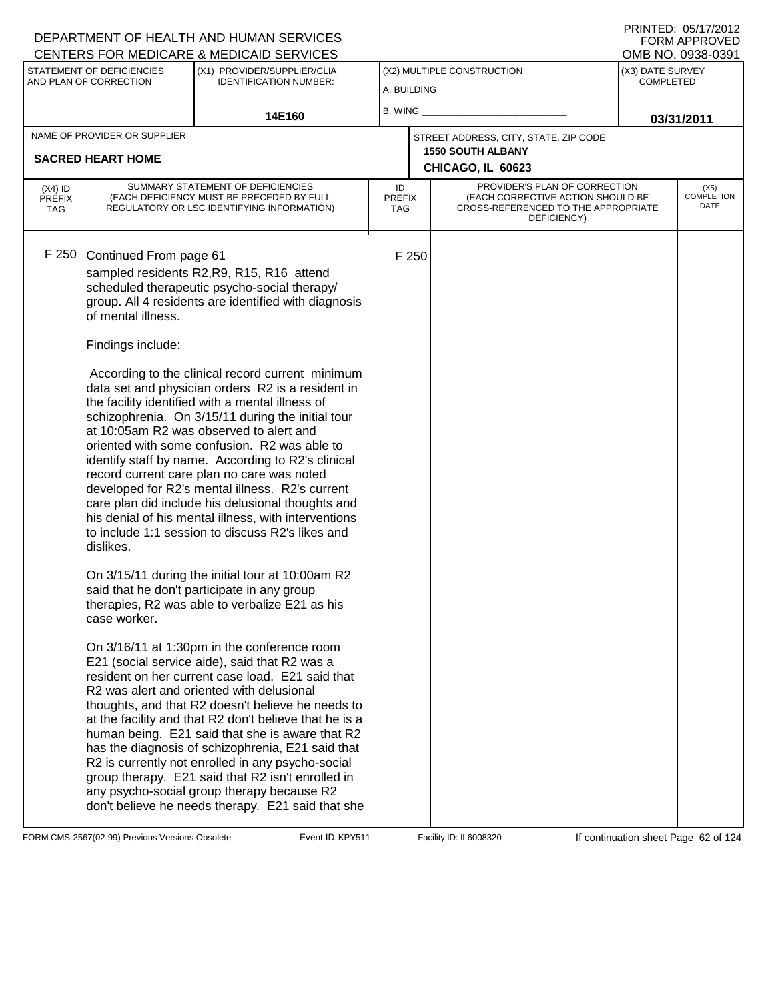|                                                          |                                                                                                | CENTERS FOR MEDICARE & MEDICAID SERVICES                                                                                                                                                                                                                                                                                                                                                                                                                                                                                                                                                                                                                                                                                                                                                                                                                                                                                                                                                                                                                                                                                                                                                                                                                                                                                                                            |                                   |                            |                                                                                                                          |                  | OMB NO. 0938-0391            |
|----------------------------------------------------------|------------------------------------------------------------------------------------------------|---------------------------------------------------------------------------------------------------------------------------------------------------------------------------------------------------------------------------------------------------------------------------------------------------------------------------------------------------------------------------------------------------------------------------------------------------------------------------------------------------------------------------------------------------------------------------------------------------------------------------------------------------------------------------------------------------------------------------------------------------------------------------------------------------------------------------------------------------------------------------------------------------------------------------------------------------------------------------------------------------------------------------------------------------------------------------------------------------------------------------------------------------------------------------------------------------------------------------------------------------------------------------------------------------------------------------------------------------------------------|-----------------------------------|----------------------------|--------------------------------------------------------------------------------------------------------------------------|------------------|------------------------------|
| STATEMENT OF DEFICIENCIES<br>(X1) PROVIDER/SUPPLIER/CLIA |                                                                                                |                                                                                                                                                                                                                                                                                                                                                                                                                                                                                                                                                                                                                                                                                                                                                                                                                                                                                                                                                                                                                                                                                                                                                                                                                                                                                                                                                                     |                                   | (X2) MULTIPLE CONSTRUCTION | (X3) DATE SURVEY                                                                                                         |                  |                              |
| AND PLAN OF CORRECTION                                   |                                                                                                | <b>IDENTIFICATION NUMBER:</b>                                                                                                                                                                                                                                                                                                                                                                                                                                                                                                                                                                                                                                                                                                                                                                                                                                                                                                                                                                                                                                                                                                                                                                                                                                                                                                                                       | A. BUILDING                       |                            |                                                                                                                          | <b>COMPLETED</b> |                              |
|                                                          |                                                                                                |                                                                                                                                                                                                                                                                                                                                                                                                                                                                                                                                                                                                                                                                                                                                                                                                                                                                                                                                                                                                                                                                                                                                                                                                                                                                                                                                                                     |                                   |                            |                                                                                                                          |                  |                              |
|                                                          |                                                                                                | 14E160                                                                                                                                                                                                                                                                                                                                                                                                                                                                                                                                                                                                                                                                                                                                                                                                                                                                                                                                                                                                                                                                                                                                                                                                                                                                                                                                                              | B. WING                           |                            |                                                                                                                          |                  | 03/31/2011                   |
|                                                          | NAME OF PROVIDER OR SUPPLIER                                                                   |                                                                                                                                                                                                                                                                                                                                                                                                                                                                                                                                                                                                                                                                                                                                                                                                                                                                                                                                                                                                                                                                                                                                                                                                                                                                                                                                                                     |                                   |                            | STREET ADDRESS, CITY, STATE, ZIP CODE                                                                                    |                  |                              |
|                                                          |                                                                                                |                                                                                                                                                                                                                                                                                                                                                                                                                                                                                                                                                                                                                                                                                                                                                                                                                                                                                                                                                                                                                                                                                                                                                                                                                                                                                                                                                                     |                                   |                            | <b>1550 SOUTH ALBANY</b>                                                                                                 |                  |                              |
|                                                          | <b>SACRED HEART HOME</b>                                                                       |                                                                                                                                                                                                                                                                                                                                                                                                                                                                                                                                                                                                                                                                                                                                                                                                                                                                                                                                                                                                                                                                                                                                                                                                                                                                                                                                                                     |                                   |                            | CHICAGO, IL 60623                                                                                                        |                  |                              |
| $(X4)$ ID<br><b>PREFIX</b><br><b>TAG</b>                 |                                                                                                | SUMMARY STATEMENT OF DEFICIENCIES<br>(EACH DEFICIENCY MUST BE PRECEDED BY FULL<br>REGULATORY OR LSC IDENTIFYING INFORMATION)                                                                                                                                                                                                                                                                                                                                                                                                                                                                                                                                                                                                                                                                                                                                                                                                                                                                                                                                                                                                                                                                                                                                                                                                                                        | ID<br><b>PREFIX</b><br><b>TAG</b> |                            | PROVIDER'S PLAN OF CORRECTION<br>(EACH CORRECTIVE ACTION SHOULD BE<br>CROSS-REFERENCED TO THE APPROPRIATE<br>DEFICIENCY) |                  | $(X5)$<br>COMPLETION<br>DATE |
| F 250                                                    | Continued From page 61<br>of mental illness.<br>Findings include:<br>dislikes.<br>case worker. | sampled residents R2, R9, R15, R16 attend<br>scheduled therapeutic psycho-social therapy/<br>group. All 4 residents are identified with diagnosis<br>According to the clinical record current minimum<br>data set and physician orders R2 is a resident in<br>the facility identified with a mental illness of<br>schizophrenia. On 3/15/11 during the initial tour<br>at 10:05am R2 was observed to alert and<br>oriented with some confusion. R2 was able to<br>identify staff by name. According to R2's clinical<br>record current care plan no care was noted<br>developed for R2's mental illness. R2's current<br>care plan did include his delusional thoughts and<br>his denial of his mental illness, with interventions<br>to include 1:1 session to discuss R2's likes and<br>On 3/15/11 during the initial tour at 10:00am R2<br>said that he don't participate in any group<br>therapies, R2 was able to verbalize E21 as his<br>On 3/16/11 at 1:30pm in the conference room<br>E21 (social service aide), said that R2 was a<br>resident on her current case load. E21 said that<br>R2 was alert and oriented with delusional<br>thoughts, and that R2 doesn't believe he needs to<br>at the facility and that R2 don't believe that he is a<br>human being. E21 said that she is aware that R2<br>has the diagnosis of schizophrenia, E21 said that |                                   | F 250                      |                                                                                                                          |                  |                              |
|                                                          |                                                                                                | R2 is currently not enrolled in any psycho-social<br>group therapy. E21 said that R2 isn't enrolled in<br>any psycho-social group therapy because R2<br>don't believe he needs therapy. E21 said that she                                                                                                                                                                                                                                                                                                                                                                                                                                                                                                                                                                                                                                                                                                                                                                                                                                                                                                                                                                                                                                                                                                                                                           |                                   |                            |                                                                                                                          |                  |                              |

FORM CMS-2567(02-99) Previous Versions Obsolete Event ID: KPY511 Facility ID: IL6008320 If continuation sheet Page 62 of 124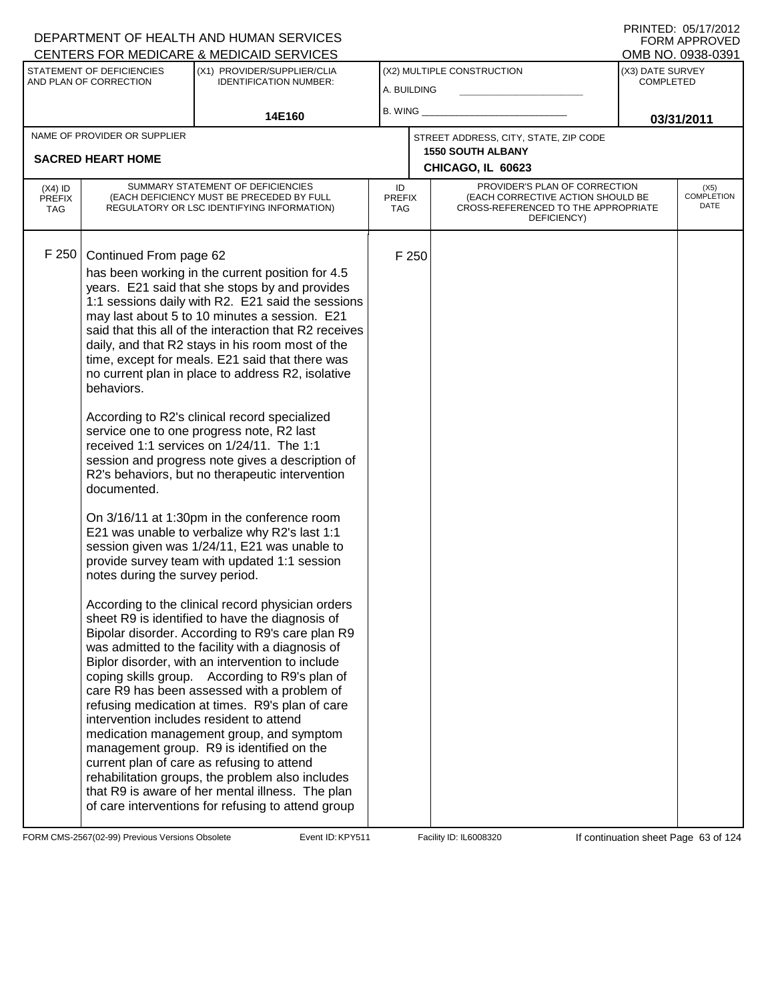|                                                                                                                                                                                                                                                                                                                                                                                                                                                                                                                                                                                                                                                                                                                                                                                                                                                                                                                                                                                                                                                                                                                                                                                                                                                                                                                                                                                                                                                                                                                                                                                                                                                                                                                                                              | <b>CENTERS FOR MEDICARE &amp; MEDICAID SERVICES</b> |                                           |       |                                                                                                                          |                                      | OMB NO. 0938-0391                 |
|--------------------------------------------------------------------------------------------------------------------------------------------------------------------------------------------------------------------------------------------------------------------------------------------------------------------------------------------------------------------------------------------------------------------------------------------------------------------------------------------------------------------------------------------------------------------------------------------------------------------------------------------------------------------------------------------------------------------------------------------------------------------------------------------------------------------------------------------------------------------------------------------------------------------------------------------------------------------------------------------------------------------------------------------------------------------------------------------------------------------------------------------------------------------------------------------------------------------------------------------------------------------------------------------------------------------------------------------------------------------------------------------------------------------------------------------------------------------------------------------------------------------------------------------------------------------------------------------------------------------------------------------------------------------------------------------------------------------------------------------------------------|-----------------------------------------------------|-------------------------------------------|-------|--------------------------------------------------------------------------------------------------------------------------|--------------------------------------|-----------------------------------|
| STATEMENT OF DEFICIENCIES<br>(X1) PROVIDER/SUPPLIER/CLIA<br>AND PLAN OF CORRECTION<br><b>IDENTIFICATION NUMBER:</b>                                                                                                                                                                                                                                                                                                                                                                                                                                                                                                                                                                                                                                                                                                                                                                                                                                                                                                                                                                                                                                                                                                                                                                                                                                                                                                                                                                                                                                                                                                                                                                                                                                          |                                                     | (X2) MULTIPLE CONSTRUCTION<br>A. BUILDING |       |                                                                                                                          | (X3) DATE SURVEY<br><b>COMPLETED</b> |                                   |
| 14E160                                                                                                                                                                                                                                                                                                                                                                                                                                                                                                                                                                                                                                                                                                                                                                                                                                                                                                                                                                                                                                                                                                                                                                                                                                                                                                                                                                                                                                                                                                                                                                                                                                                                                                                                                       |                                                     | B. WING                                   |       |                                                                                                                          | 03/31/2011                           |                                   |
| NAME OF PROVIDER OR SUPPLIER                                                                                                                                                                                                                                                                                                                                                                                                                                                                                                                                                                                                                                                                                                                                                                                                                                                                                                                                                                                                                                                                                                                                                                                                                                                                                                                                                                                                                                                                                                                                                                                                                                                                                                                                 |                                                     |                                           |       | STREET ADDRESS, CITY, STATE, ZIP CODE                                                                                    |                                      |                                   |
| <b>SACRED HEART HOME</b>                                                                                                                                                                                                                                                                                                                                                                                                                                                                                                                                                                                                                                                                                                                                                                                                                                                                                                                                                                                                                                                                                                                                                                                                                                                                                                                                                                                                                                                                                                                                                                                                                                                                                                                                     |                                                     |                                           |       | <b>1550 SOUTH ALBANY</b><br>CHICAGO, IL 60623                                                                            |                                      |                                   |
|                                                                                                                                                                                                                                                                                                                                                                                                                                                                                                                                                                                                                                                                                                                                                                                                                                                                                                                                                                                                                                                                                                                                                                                                                                                                                                                                                                                                                                                                                                                                                                                                                                                                                                                                                              |                                                     |                                           |       |                                                                                                                          |                                      |                                   |
| SUMMARY STATEMENT OF DEFICIENCIES<br>$(X4)$ ID<br>(EACH DEFICIENCY MUST BE PRECEDED BY FULL<br><b>PREFIX</b><br>REGULATORY OR LSC IDENTIFYING INFORMATION)<br><b>TAG</b>                                                                                                                                                                                                                                                                                                                                                                                                                                                                                                                                                                                                                                                                                                                                                                                                                                                                                                                                                                                                                                                                                                                                                                                                                                                                                                                                                                                                                                                                                                                                                                                     |                                                     | ID<br><b>PREFIX</b><br><b>TAG</b>         |       | PROVIDER'S PLAN OF CORRECTION<br>(EACH CORRECTIVE ACTION SHOULD BE<br>CROSS-REFERENCED TO THE APPROPRIATE<br>DEFICIENCY) |                                      | (X5)<br><b>COMPLETION</b><br>DATE |
| F 250<br>Continued From page 62<br>has been working in the current position for 4.5<br>years. E21 said that she stops by and provides<br>1:1 sessions daily with R2. E21 said the sessions<br>may last about 5 to 10 minutes a session. E21<br>said that this all of the interaction that R2 receives<br>daily, and that R2 stays in his room most of the<br>time, except for meals. E21 said that there was<br>no current plan in place to address R2, isolative<br>behaviors.<br>According to R2's clinical record specialized<br>service one to one progress note, R2 last<br>received 1:1 services on 1/24/11. The 1:1<br>session and progress note gives a description of<br>R2's behaviors, but no therapeutic intervention<br>documented.<br>On 3/16/11 at 1:30pm in the conference room<br>E21 was unable to verbalize why R2's last 1:1<br>session given was 1/24/11, E21 was unable to<br>provide survey team with updated 1:1 session<br>notes during the survey period.<br>According to the clinical record physician orders<br>sheet R9 is identified to have the diagnosis of<br>Bipolar disorder. According to R9's care plan R9<br>was admitted to the facility with a diagnosis of<br>Biplor disorder, with an intervention to include<br>coping skills group. According to R9's plan of<br>care R9 has been assessed with a problem of<br>refusing medication at times. R9's plan of care<br>intervention includes resident to attend<br>medication management group, and symptom<br>management group. R9 is identified on the<br>current plan of care as refusing to attend<br>rehabilitation groups, the problem also includes<br>that R9 is aware of her mental illness. The plan<br>of care interventions for refusing to attend group |                                                     |                                           | F 250 |                                                                                                                          |                                      |                                   |

Latter Microsoft Continuation Sheet Page 63 of 124<br>Form CMS-2567(02-99) Previous Versions Obsolete Kevent ID: KPY511 Facility ID: IL6008320 If continuation sheet Page 63 of 124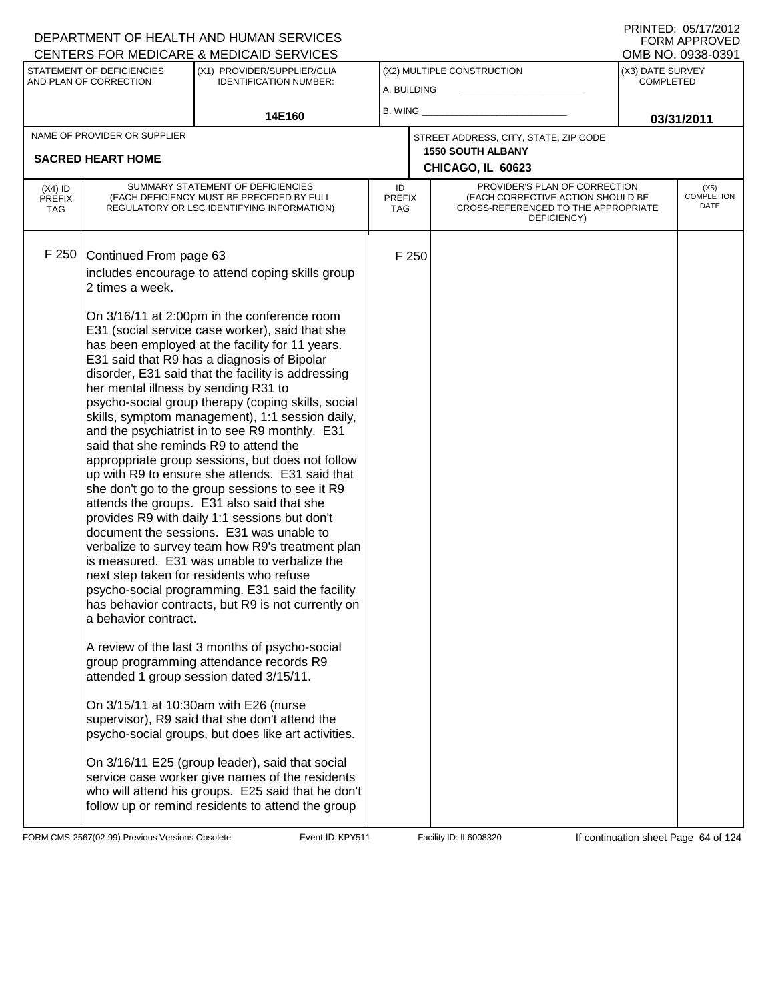|                                                                                                                     |                                                                                                        | CENTERS FOR MEDICARE & MEDICAID SERVICES                                                                                                                                                                                                                                                                                                                                                                                                                                                                                                                                                                                                                                                                                                                                                                                    |                            |                                           |                                                                                                                          |  | OMB NO. 0938-0391                    |  |
|---------------------------------------------------------------------------------------------------------------------|--------------------------------------------------------------------------------------------------------|-----------------------------------------------------------------------------------------------------------------------------------------------------------------------------------------------------------------------------------------------------------------------------------------------------------------------------------------------------------------------------------------------------------------------------------------------------------------------------------------------------------------------------------------------------------------------------------------------------------------------------------------------------------------------------------------------------------------------------------------------------------------------------------------------------------------------------|----------------------------|-------------------------------------------|--------------------------------------------------------------------------------------------------------------------------|--|--------------------------------------|--|
| STATEMENT OF DEFICIENCIES<br>(X1) PROVIDER/SUPPLIER/CLIA<br>AND PLAN OF CORRECTION<br><b>IDENTIFICATION NUMBER:</b> |                                                                                                        |                                                                                                                                                                                                                                                                                                                                                                                                                                                                                                                                                                                                                                                                                                                                                                                                                             |                            | (X2) MULTIPLE CONSTRUCTION<br>A. BUILDING |                                                                                                                          |  | (X3) DATE SURVEY<br><b>COMPLETED</b> |  |
| 14E160                                                                                                              |                                                                                                        | B. WING                                                                                                                                                                                                                                                                                                                                                                                                                                                                                                                                                                                                                                                                                                                                                                                                                     |                            |                                           | 03/31/2011                                                                                                               |  |                                      |  |
|                                                                                                                     | NAME OF PROVIDER OR SUPPLIER                                                                           |                                                                                                                                                                                                                                                                                                                                                                                                                                                                                                                                                                                                                                                                                                                                                                                                                             |                            |                                           | STREET ADDRESS, CITY, STATE, ZIP CODE                                                                                    |  |                                      |  |
|                                                                                                                     | <b>SACRED HEART HOME</b>                                                                               |                                                                                                                                                                                                                                                                                                                                                                                                                                                                                                                                                                                                                                                                                                                                                                                                                             |                            |                                           | <b>1550 SOUTH ALBANY</b>                                                                                                 |  |                                      |  |
|                                                                                                                     |                                                                                                        |                                                                                                                                                                                                                                                                                                                                                                                                                                                                                                                                                                                                                                                                                                                                                                                                                             |                            |                                           | CHICAGO, IL 60623                                                                                                        |  |                                      |  |
| $(X4)$ ID<br>PREFIX<br><b>TAG</b>                                                                                   |                                                                                                        | SUMMARY STATEMENT OF DEFICIENCIES<br>(EACH DEFICIENCY MUST BE PRECEDED BY FULL<br>REGULATORY OR LSC IDENTIFYING INFORMATION)                                                                                                                                                                                                                                                                                                                                                                                                                                                                                                                                                                                                                                                                                                | ID<br><b>PREFIX</b><br>TAG |                                           | PROVIDER'S PLAN OF CORRECTION<br>(EACH CORRECTIVE ACTION SHOULD BE<br>CROSS-REFERENCED TO THE APPROPRIATE<br>DEFICIENCY) |  | (X5)<br><b>COMPLETION</b><br>DATE    |  |
| F 250                                                                                                               | Continued From page 63<br>2 times a week.                                                              | includes encourage to attend coping skills group<br>On 3/16/11 at 2:00pm in the conference room<br>E31 (social service case worker), said that she<br>has been employed at the facility for 11 years.                                                                                                                                                                                                                                                                                                                                                                                                                                                                                                                                                                                                                       |                            | F 250                                     |                                                                                                                          |  |                                      |  |
|                                                                                                                     | her mental illness by sending R31 to<br>said that she reminds R9 to attend the<br>a behavior contract. | E31 said that R9 has a diagnosis of Bipolar<br>disorder, E31 said that the facility is addressing<br>psycho-social group therapy (coping skills, social<br>skills, symptom management), 1:1 session daily,<br>and the psychiatrist in to see R9 monthly. E31<br>approppriate group sessions, but does not follow<br>up with R9 to ensure she attends. E31 said that<br>she don't go to the group sessions to see it R9<br>attends the groups. E31 also said that she<br>provides R9 with daily 1:1 sessions but don't<br>document the sessions. E31 was unable to<br>verbalize to survey team how R9's treatment plan<br>is measured. E31 was unable to verbalize the<br>next step taken for residents who refuse<br>psycho-social programming. E31 said the facility<br>has behavior contracts, but R9 is not currently on |                            |                                           |                                                                                                                          |  |                                      |  |
|                                                                                                                     |                                                                                                        | A review of the last 3 months of psycho-social<br>group programming attendance records R9<br>attended 1 group session dated 3/15/11.<br>On 3/15/11 at 10:30am with E26 (nurse                                                                                                                                                                                                                                                                                                                                                                                                                                                                                                                                                                                                                                               |                            |                                           |                                                                                                                          |  |                                      |  |
|                                                                                                                     |                                                                                                        | supervisor), R9 said that she don't attend the<br>psycho-social groups, but does like art activities.<br>On 3/16/11 E25 (group leader), said that social<br>service case worker give names of the residents<br>who will attend his groups. E25 said that he don't<br>follow up or remind residents to attend the group                                                                                                                                                                                                                                                                                                                                                                                                                                                                                                      |                            |                                           |                                                                                                                          |  |                                      |  |
|                                                                                                                     |                                                                                                        |                                                                                                                                                                                                                                                                                                                                                                                                                                                                                                                                                                                                                                                                                                                                                                                                                             |                            |                                           |                                                                                                                          |  |                                      |  |

FORM CMS-2567(02-99) Previous Versions Obsolete Event ID: KPY511 Facility ID: IL6008320 If continuation sheet Page 64 of 124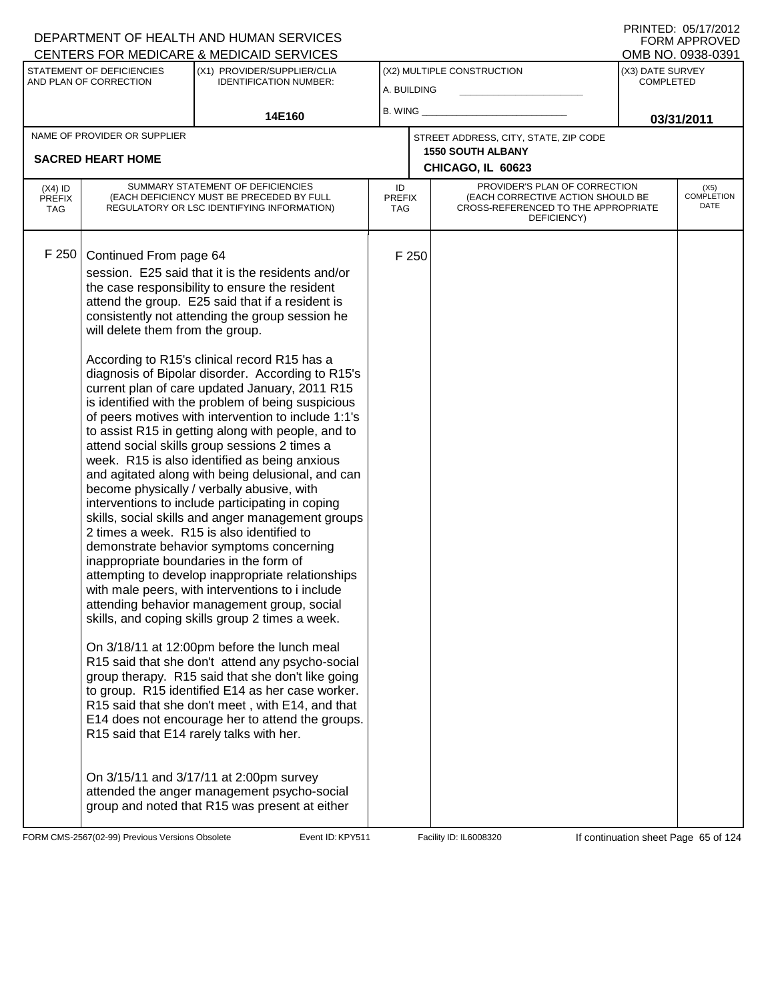|                                                          |                                                            | <u>UENTERS FÜR MEDIUARE &amp; MEDIUAID SERVIUES</u>                                                                                                                                                                                                                                                                                                                                                                                                                                                                                                                                                                                                                                                                                                                                                                                                                                                                                                                                                                                         |                               |  |                                                                                                                          |                                      | UMB NU. UYJ8-UJYT                 |
|----------------------------------------------------------|------------------------------------------------------------|---------------------------------------------------------------------------------------------------------------------------------------------------------------------------------------------------------------------------------------------------------------------------------------------------------------------------------------------------------------------------------------------------------------------------------------------------------------------------------------------------------------------------------------------------------------------------------------------------------------------------------------------------------------------------------------------------------------------------------------------------------------------------------------------------------------------------------------------------------------------------------------------------------------------------------------------------------------------------------------------------------------------------------------------|-------------------------------|--|--------------------------------------------------------------------------------------------------------------------------|--------------------------------------|-----------------------------------|
| STATEMENT OF DEFICIENCIES<br>AND PLAN OF CORRECTION      |                                                            | (X1) PROVIDER/SUPPLIER/CLIA<br><b>IDENTIFICATION NUMBER:</b>                                                                                                                                                                                                                                                                                                                                                                                                                                                                                                                                                                                                                                                                                                                                                                                                                                                                                                                                                                                | A. BUILDING                   |  | (X2) MULTIPLE CONSTRUCTION                                                                                               | (X3) DATE SURVEY<br><b>COMPLETED</b> |                                   |
| 14E160                                                   |                                                            | $B.$ WING $\_$                                                                                                                                                                                                                                                                                                                                                                                                                                                                                                                                                                                                                                                                                                                                                                                                                                                                                                                                                                                                                              |                               |  | 03/31/2011                                                                                                               |                                      |                                   |
| NAME OF PROVIDER OR SUPPLIER<br><b>SACRED HEART HOME</b> |                                                            |                                                                                                                                                                                                                                                                                                                                                                                                                                                                                                                                                                                                                                                                                                                                                                                                                                                                                                                                                                                                                                             |                               |  | STREET ADDRESS, CITY, STATE, ZIP CODE<br><b>1550 SOUTH ALBANY</b><br>CHICAGO, IL 60623                                   |                                      |                                   |
| $(X4)$ ID<br><b>PREFIX</b><br><b>TAG</b>                 |                                                            | SUMMARY STATEMENT OF DEFICIENCIES<br>(EACH DEFICIENCY MUST BE PRECEDED BY FULL<br>REGULATORY OR LSC IDENTIFYING INFORMATION)                                                                                                                                                                                                                                                                                                                                                                                                                                                                                                                                                                                                                                                                                                                                                                                                                                                                                                                | ID                            |  | PROVIDER'S PLAN OF CORRECTION<br>(EACH CORRECTIVE ACTION SHOULD BE<br>CROSS-REFERENCED TO THE APPROPRIATE<br>DEFICIENCY) |                                      | (X5)<br><b>COMPLETION</b><br>DATE |
| F 250                                                    | Continued From page 64<br>will delete them from the group. | session. E25 said that it is the residents and/or<br>the case responsibility to ensure the resident<br>attend the group. E25 said that if a resident is<br>consistently not attending the group session he<br>According to R15's clinical record R15 has a<br>diagnosis of Bipolar disorder. According to R15's<br>current plan of care updated January, 2011 R15<br>is identified with the problem of being suspicious<br>of peers motives with intervention to include 1:1's<br>to assist R15 in getting along with people, and to<br>attend social skills group sessions 2 times a<br>week. R15 is also identified as being anxious<br>and agitated along with being delusional, and can<br>become physically / verbally abusive, with<br>interventions to include participating in coping<br>skills, social skills and anger management groups<br>2 times a week. R15 is also identified to<br>demonstrate behavior symptoms concerning<br>inappropriate boundaries in the form of<br>attempting to develop inappropriate relationships | <b>PREFIX</b><br>TAG<br>F 250 |  |                                                                                                                          |                                      |                                   |
|                                                          |                                                            | with male peers, with interventions to i include<br>attending behavior management group, social<br>skills, and coping skills group 2 times a week.<br>On 3/18/11 at 12:00pm before the lunch meal<br>R15 said that she don't attend any psycho-social<br>group therapy. R15 said that she don't like going<br>to group. R15 identified E14 as her case worker.<br>R15 said that she don't meet, with E14, and that<br>E14 does not encourage her to attend the groups.<br>R15 said that E14 rarely talks with her.<br>On 3/15/11 and 3/17/11 at 2:00pm survey<br>attended the anger management psycho-social<br>group and noted that R15 was present at either                                                                                                                                                                                                                                                                                                                                                                              |                               |  |                                                                                                                          |                                      |                                   |

FORM CMS-2567(02-99) Previous Versions Obsolete Event ID: KPY511 Facility ID: IL6008320 If continuation sheet Page 65 of 124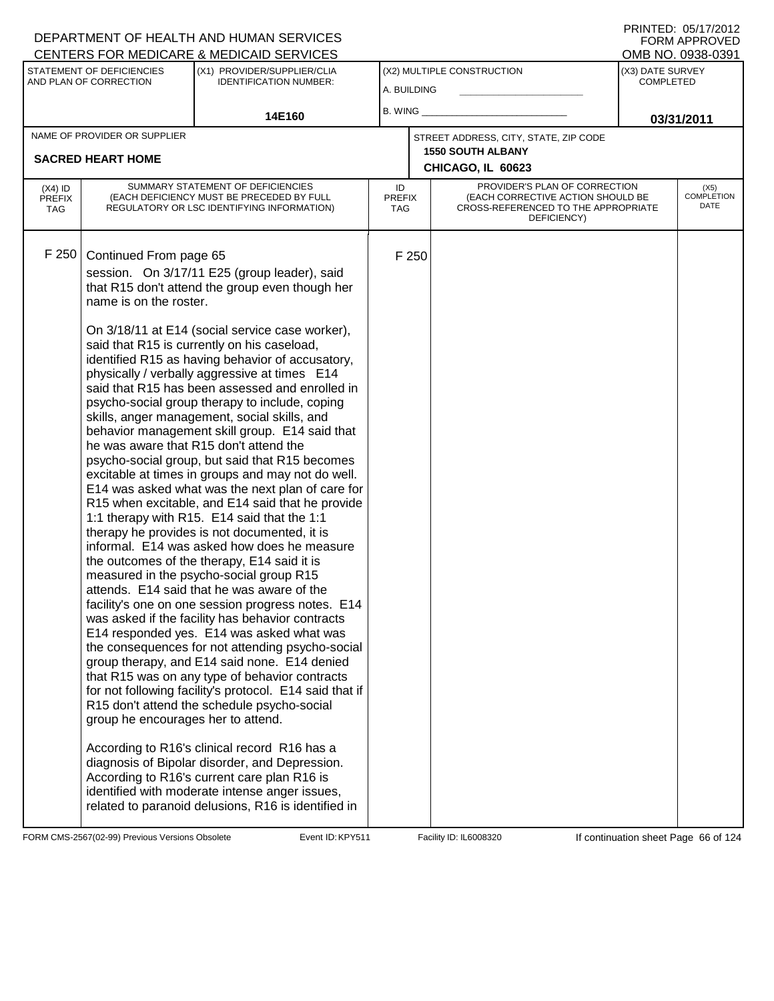| CENTERS FOR MEDICARE & MEDICAID SERVICES                                                                            |                                                                                        |                                                                                                                                                                                                                                                                                                                                                                                                                                                                                                                                                                                                                                                                                                                                                                                                                                                                                                                                                                                                                                                                                                                                                                                                                                                                                                                                                                                                                                                                                                                                                                                                                                                                                                                                              |                     |                            |                                                                                                                          |            | OMB NO. 0938-0391                 |
|---------------------------------------------------------------------------------------------------------------------|----------------------------------------------------------------------------------------|----------------------------------------------------------------------------------------------------------------------------------------------------------------------------------------------------------------------------------------------------------------------------------------------------------------------------------------------------------------------------------------------------------------------------------------------------------------------------------------------------------------------------------------------------------------------------------------------------------------------------------------------------------------------------------------------------------------------------------------------------------------------------------------------------------------------------------------------------------------------------------------------------------------------------------------------------------------------------------------------------------------------------------------------------------------------------------------------------------------------------------------------------------------------------------------------------------------------------------------------------------------------------------------------------------------------------------------------------------------------------------------------------------------------------------------------------------------------------------------------------------------------------------------------------------------------------------------------------------------------------------------------------------------------------------------------------------------------------------------------|---------------------|----------------------------|--------------------------------------------------------------------------------------------------------------------------|------------|-----------------------------------|
| STATEMENT OF DEFICIENCIES<br>(X1) PROVIDER/SUPPLIER/CLIA<br>AND PLAN OF CORRECTION<br><b>IDENTIFICATION NUMBER:</b> |                                                                                        |                                                                                                                                                                                                                                                                                                                                                                                                                                                                                                                                                                                                                                                                                                                                                                                                                                                                                                                                                                                                                                                                                                                                                                                                                                                                                                                                                                                                                                                                                                                                                                                                                                                                                                                                              |                     | (X2) MULTIPLE CONSTRUCTION | (X3) DATE SURVEY<br><b>COMPLETED</b>                                                                                     |            |                                   |
|                                                                                                                     | 14E160                                                                                 |                                                                                                                                                                                                                                                                                                                                                                                                                                                                                                                                                                                                                                                                                                                                                                                                                                                                                                                                                                                                                                                                                                                                                                                                                                                                                                                                                                                                                                                                                                                                                                                                                                                                                                                                              | A. BUILDING         |                            |                                                                                                                          | 03/31/2011 |                                   |
|                                                                                                                     |                                                                                        |                                                                                                                                                                                                                                                                                                                                                                                                                                                                                                                                                                                                                                                                                                                                                                                                                                                                                                                                                                                                                                                                                                                                                                                                                                                                                                                                                                                                                                                                                                                                                                                                                                                                                                                                              | $B.$ WING $\_$      |                            |                                                                                                                          |            |                                   |
|                                                                                                                     | NAME OF PROVIDER OR SUPPLIER                                                           |                                                                                                                                                                                                                                                                                                                                                                                                                                                                                                                                                                                                                                                                                                                                                                                                                                                                                                                                                                                                                                                                                                                                                                                                                                                                                                                                                                                                                                                                                                                                                                                                                                                                                                                                              |                     |                            | STREET ADDRESS, CITY, STATE, ZIP CODE                                                                                    |            |                                   |
|                                                                                                                     | <b>SACRED HEART HOME</b>                                                               |                                                                                                                                                                                                                                                                                                                                                                                                                                                                                                                                                                                                                                                                                                                                                                                                                                                                                                                                                                                                                                                                                                                                                                                                                                                                                                                                                                                                                                                                                                                                                                                                                                                                                                                                              |                     |                            | <b>1550 SOUTH ALBANY</b>                                                                                                 |            |                                   |
|                                                                                                                     |                                                                                        |                                                                                                                                                                                                                                                                                                                                                                                                                                                                                                                                                                                                                                                                                                                                                                                                                                                                                                                                                                                                                                                                                                                                                                                                                                                                                                                                                                                                                                                                                                                                                                                                                                                                                                                                              |                     |                            | CHICAGO, IL 60623                                                                                                        |            |                                   |
| $(X4)$ ID<br><b>PREFIX</b><br><b>TAG</b>                                                                            |                                                                                        | SUMMARY STATEMENT OF DEFICIENCIES<br>(EACH DEFICIENCY MUST BE PRECEDED BY FULL<br>REGULATORY OR LSC IDENTIFYING INFORMATION)                                                                                                                                                                                                                                                                                                                                                                                                                                                                                                                                                                                                                                                                                                                                                                                                                                                                                                                                                                                                                                                                                                                                                                                                                                                                                                                                                                                                                                                                                                                                                                                                                 | ID<br>PREFIX<br>TAG |                            | PROVIDER'S PLAN OF CORRECTION<br>(EACH CORRECTIVE ACTION SHOULD BE<br>CROSS-REFERENCED TO THE APPROPRIATE<br>DEFICIENCY) |            | (X5)<br><b>COMPLETION</b><br>DATE |
| F 250                                                                                                               | Continued From page 65<br>name is on the roster.<br>group he encourages her to attend. | session. On 3/17/11 E25 (group leader), said<br>that R15 don't attend the group even though her<br>On 3/18/11 at E14 (social service case worker),<br>said that R15 is currently on his caseload,<br>identified R15 as having behavior of accusatory,<br>physically / verbally aggressive at times E14<br>said that R15 has been assessed and enrolled in<br>psycho-social group therapy to include, coping<br>skills, anger management, social skills, and<br>behavior management skill group. E14 said that<br>he was aware that R15 don't attend the<br>psycho-social group, but said that R15 becomes<br>excitable at times in groups and may not do well.<br>E14 was asked what was the next plan of care for<br>R15 when excitable, and E14 said that he provide<br>1:1 therapy with R15. E14 said that the 1:1<br>therapy he provides is not documented, it is<br>informal. E14 was asked how does he measure<br>the outcomes of the therapy, E14 said it is<br>measured in the psycho-social group R15<br>attends. E14 said that he was aware of the<br>facility's one on one session progress notes. E14<br>was asked if the facility has behavior contracts<br>E14 responded yes. E14 was asked what was<br>the consequences for not attending psycho-social<br>group therapy, and E14 said none. E14 denied<br>that R15 was on any type of behavior contracts<br>for not following facility's protocol. E14 said that if<br>R15 don't attend the schedule psycho-social<br>According to R16's clinical record R16 has a<br>diagnosis of Bipolar disorder, and Depression.<br>According to R16's current care plan R16 is<br>identified with moderate intense anger issues,<br>related to paranoid delusions, R16 is identified in |                     | F 250                      |                                                                                                                          |            |                                   |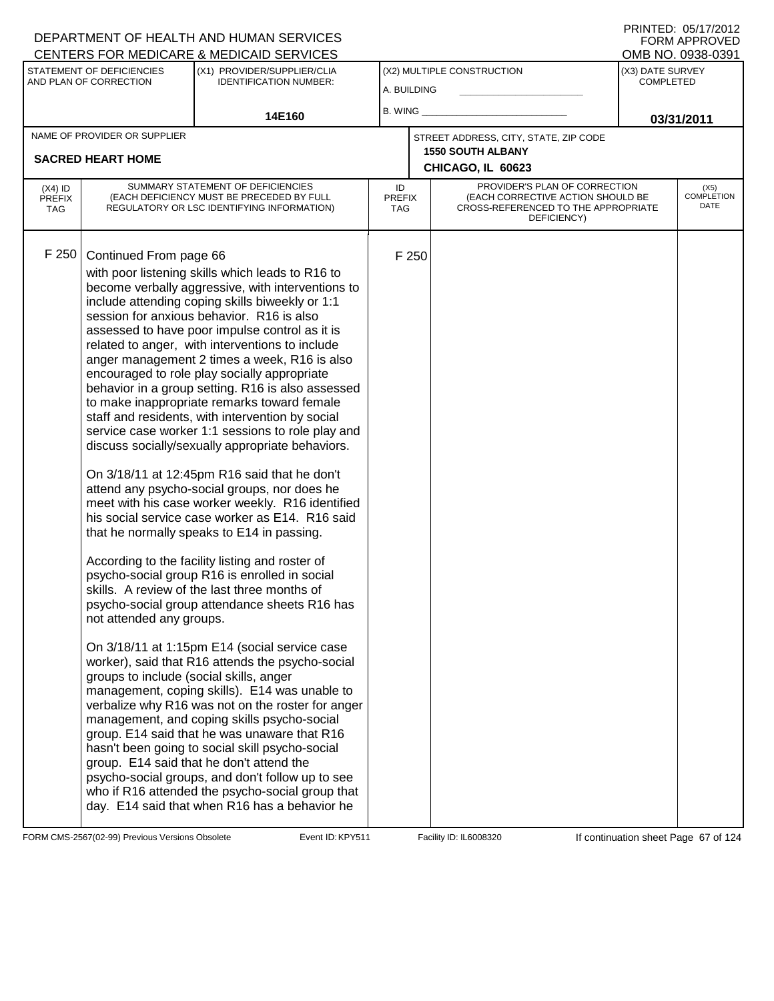|                                                                                                                     |                                                                                               | CENTERS FOR MEDICARE & MEDICAID SERVICES                                                                                                                                                                                                                                                                                                                                                                                                                                                                                                                                                                                                                                                                                                                                                                                                                                                                                                                                                                                                                                                                                                                                                                                                                                                                                                                                                                                                                                                                                                                                                                                                                                                                |                                   |       |                                                                                                                          |  | OMB NO. 0938-0391                 |
|---------------------------------------------------------------------------------------------------------------------|-----------------------------------------------------------------------------------------------|---------------------------------------------------------------------------------------------------------------------------------------------------------------------------------------------------------------------------------------------------------------------------------------------------------------------------------------------------------------------------------------------------------------------------------------------------------------------------------------------------------------------------------------------------------------------------------------------------------------------------------------------------------------------------------------------------------------------------------------------------------------------------------------------------------------------------------------------------------------------------------------------------------------------------------------------------------------------------------------------------------------------------------------------------------------------------------------------------------------------------------------------------------------------------------------------------------------------------------------------------------------------------------------------------------------------------------------------------------------------------------------------------------------------------------------------------------------------------------------------------------------------------------------------------------------------------------------------------------------------------------------------------------------------------------------------------------|-----------------------------------|-------|--------------------------------------------------------------------------------------------------------------------------|--|-----------------------------------|
| STATEMENT OF DEFICIENCIES<br>(X1) PROVIDER/SUPPLIER/CLIA<br>AND PLAN OF CORRECTION<br><b>IDENTIFICATION NUMBER:</b> |                                                                                               | (X2) MULTIPLE CONSTRUCTION<br>A. BUILDING                                                                                                                                                                                                                                                                                                                                                                                                                                                                                                                                                                                                                                                                                                                                                                                                                                                                                                                                                                                                                                                                                                                                                                                                                                                                                                                                                                                                                                                                                                                                                                                                                                                               |                                   |       | (X3) DATE SURVEY<br><b>COMPLETED</b>                                                                                     |  |                                   |
| 14E160                                                                                                              |                                                                                               | <b>B. WING</b>                                                                                                                                                                                                                                                                                                                                                                                                                                                                                                                                                                                                                                                                                                                                                                                                                                                                                                                                                                                                                                                                                                                                                                                                                                                                                                                                                                                                                                                                                                                                                                                                                                                                                          |                                   |       | 03/31/2011                                                                                                               |  |                                   |
|                                                                                                                     | NAME OF PROVIDER OR SUPPLIER                                                                  |                                                                                                                                                                                                                                                                                                                                                                                                                                                                                                                                                                                                                                                                                                                                                                                                                                                                                                                                                                                                                                                                                                                                                                                                                                                                                                                                                                                                                                                                                                                                                                                                                                                                                                         |                                   |       | STREET ADDRESS, CITY, STATE, ZIP CODE                                                                                    |  |                                   |
|                                                                                                                     | <b>SACRED HEART HOME</b>                                                                      |                                                                                                                                                                                                                                                                                                                                                                                                                                                                                                                                                                                                                                                                                                                                                                                                                                                                                                                                                                                                                                                                                                                                                                                                                                                                                                                                                                                                                                                                                                                                                                                                                                                                                                         |                                   |       | <b>1550 SOUTH ALBANY</b><br>CHICAGO, IL 60623                                                                            |  |                                   |
| $(X4)$ ID<br><b>PREFIX</b><br><b>TAG</b>                                                                            |                                                                                               | SUMMARY STATEMENT OF DEFICIENCIES<br>(EACH DEFICIENCY MUST BE PRECEDED BY FULL<br>REGULATORY OR LSC IDENTIFYING INFORMATION)                                                                                                                                                                                                                                                                                                                                                                                                                                                                                                                                                                                                                                                                                                                                                                                                                                                                                                                                                                                                                                                                                                                                                                                                                                                                                                                                                                                                                                                                                                                                                                            | ID<br><b>PREFIX</b><br><b>TAG</b> |       | PROVIDER'S PLAN OF CORRECTION<br>(EACH CORRECTIVE ACTION SHOULD BE<br>CROSS-REFERENCED TO THE APPROPRIATE<br>DEFICIENCY) |  | (X5)<br><b>COMPLETION</b><br>DATE |
| F 250                                                                                                               | Continued From page 66<br>not attended any groups.<br>groups to include (social skills, anger | with poor listening skills which leads to R16 to<br>become verbally aggressive, with interventions to<br>include attending coping skills biweekly or 1:1<br>session for anxious behavior. R16 is also<br>assessed to have poor impulse control as it is<br>related to anger, with interventions to include<br>anger management 2 times a week, R16 is also<br>encouraged to role play socially appropriate<br>behavior in a group setting. R16 is also assessed<br>to make inappropriate remarks toward female<br>staff and residents, with intervention by social<br>service case worker 1:1 sessions to role play and<br>discuss socially/sexually appropriate behaviors.<br>On 3/18/11 at 12:45pm R16 said that he don't<br>attend any psycho-social groups, nor does he<br>meet with his case worker weekly. R16 identified<br>his social service case worker as E14. R16 said<br>that he normally speaks to E14 in passing.<br>According to the facility listing and roster of<br>psycho-social group R16 is enrolled in social<br>skills. A review of the last three months of<br>psycho-social group attendance sheets R16 has<br>On 3/18/11 at 1:15pm E14 (social service case<br>worker), said that R16 attends the psycho-social<br>management, coping skills). E14 was unable to<br>verbalize why R16 was not on the roster for anger<br>management, and coping skills psycho-social<br>group. E14 said that he was unaware that R16<br>hasn't been going to social skill psycho-social<br>group. E14 said that he don't attend the<br>psycho-social groups, and don't follow up to see<br>who if R16 attended the psycho-social group that<br>day. E14 said that when R16 has a behavior he |                                   | F 250 |                                                                                                                          |  |                                   |

FORM CMS-2567(02-99) Previous Versions Obsolete Event ID: KPY511 Facility ID: IL6008320 If continuation sheet Page 67 of 124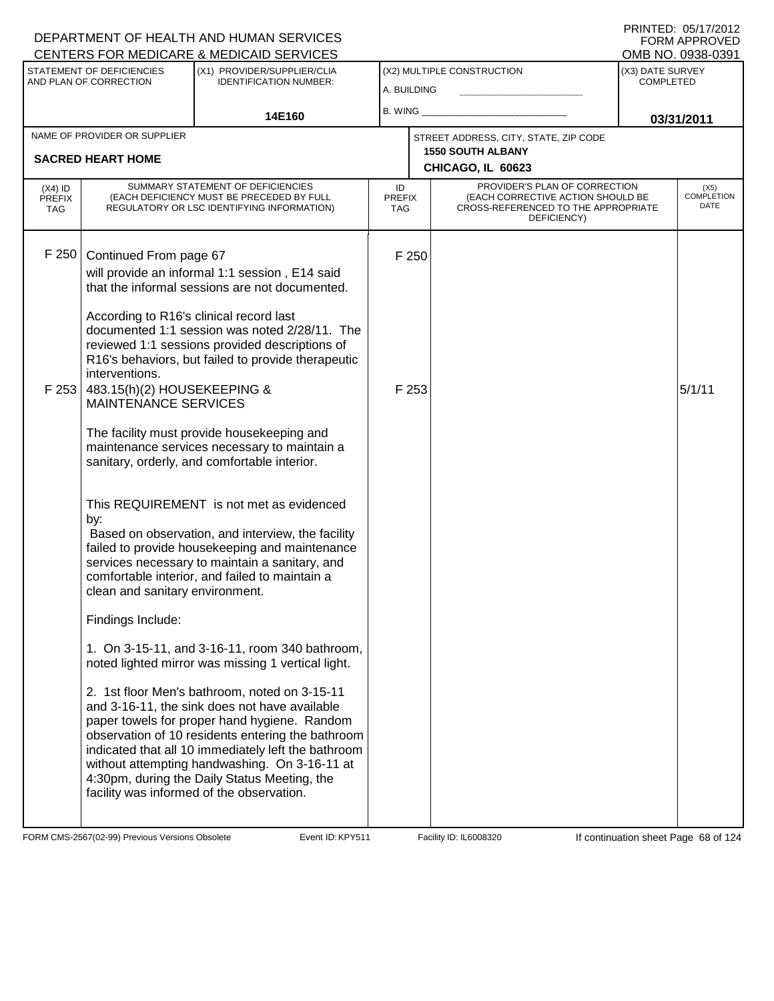### A. BUILDING (X1) PROVIDER/SUPPLIER/CLIA IDENTIFICATION NUMBER: STATEMENT OF DEFICIENCIES AND PLAN OF CORRECTION (X3) DATE SURVEY COMPLETED FORM APPROVED<br>OMB NO. 0938-0391 (X2) MULTIPLE CONSTRUCTION B. WING **\_\_\_\_\_\_\_\_\_\_\_\_\_\_\_\_\_\_\_\_\_\_** CENTERS FOR MEDICARE & MEDICAID SERVICES 14E160 **B. WING CONSUMING (2011 03/31/2011 CHICAGO, IL 60623** NAME OF PROVIDER OR SUPPLIER STREET ADDRESS, CITY, STATE, ZIP CODE **SACRED HEART HOME 1550 SOUTH ALBANY** PROVIDER'S PLAN OF CORRECTION (EACH CORRECTIVE ACTION SHOULD BE CROSS-REFERENCED TO THE APPROPRIATE DEFICIENCY) (X5) COMPLETION DATE ID PREFIX TAG (X4) ID PREFIX TAG SUMMARY STATEMENT OF DEFICIENCIES (EACH DEFICIENCY MUST BE PRECEDED BY FULL REGULATORY OR LSC IDENTIFYING INFORMATION) F 250 Continued From page 67 F 250 will provide an informal 1:1 session , E14 said that the informal sessions are not documented. According to R16's clinical record last documented 1:1 session was noted 2/28/11. The reviewed 1:1 sessions provided descriptions of R16's behaviors, but failed to provide therapeutic interventions. F 253 483.15(h)(2) HOUSEKEEPING & MAINTENANCE SERVICES The facility must provide housekeeping and maintenance services necessary to maintain a sanitary, orderly, and comfortable interior. This REQUIREMENT is not met as evidenced by:  $F$  253  $5/1/11$  Based on observation, and interview, the facility failed to provide housekeeping and maintenance services necessary to maintain a sanitary, and comfortable interior, and failed to maintain a clean and sanitary environment. Findings Include: 1. On 3-15-11, and 3-16-11, room 340 bathroom, noted lighted mirror was missing 1 vertical light. 2. 1st floor Men's bathroom, noted on 3-15-11 and 3-16-11, the sink does not have available paper towels for proper hand hygiene. Random observation of 10 residents entering the bathroom indicated that all 10 immediately left the bathroom without attempting handwashing. On 3-16-11 at 4:30pm, during the Daily Status Meeting, the facility was informed of the observation.

FORM CMS-2567(02-99) Previous Versions Obsolete **KRYS11** Event ID: KPY511 Facility ID: IL6008320 If continuation sheet Page 68 of 124

DEPARTMENT OF HEALTH AND HUMAN SERVICES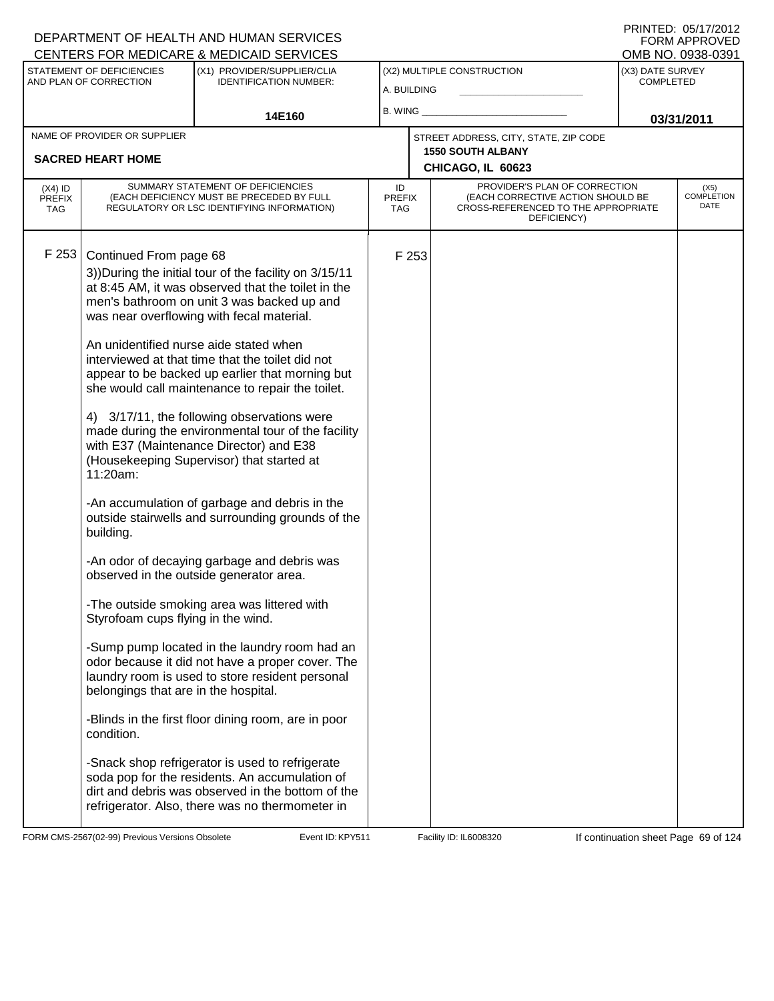|                                                          | STATEMENT OF DEFICIENCIES<br>AND PLAN OF CORRECTION                                                                                         | 0 LITTLING TON IMEDIORINE & MEDIORID OLITTIOLO<br>(X1) PROVIDER/SUPPLIER/CLIA<br><b>IDENTIFICATION NUMBER:</b>                                                                                                                                                                                                                                                                                                                                                                                                                                                                                                                                                                                                                                                                                                                                                                                                                                                                                                                                                                                                                                                                                                                                                                       | A. BUILDING                |                                                                                        | (X2) MULTIPLE CONSTRUCTION                                                                                               | (X3) DATE SURVEY<br><b>COMPLETED</b> |                                   |
|----------------------------------------------------------|---------------------------------------------------------------------------------------------------------------------------------------------|--------------------------------------------------------------------------------------------------------------------------------------------------------------------------------------------------------------------------------------------------------------------------------------------------------------------------------------------------------------------------------------------------------------------------------------------------------------------------------------------------------------------------------------------------------------------------------------------------------------------------------------------------------------------------------------------------------------------------------------------------------------------------------------------------------------------------------------------------------------------------------------------------------------------------------------------------------------------------------------------------------------------------------------------------------------------------------------------------------------------------------------------------------------------------------------------------------------------------------------------------------------------------------------|----------------------------|----------------------------------------------------------------------------------------|--------------------------------------------------------------------------------------------------------------------------|--------------------------------------|-----------------------------------|
|                                                          |                                                                                                                                             | 14E160                                                                                                                                                                                                                                                                                                                                                                                                                                                                                                                                                                                                                                                                                                                                                                                                                                                                                                                                                                                                                                                                                                                                                                                                                                                                               | B. WING                    |                                                                                        |                                                                                                                          | 03/31/2011                           |                                   |
| NAME OF PROVIDER OR SUPPLIER<br><b>SACRED HEART HOME</b> |                                                                                                                                             |                                                                                                                                                                                                                                                                                                                                                                                                                                                                                                                                                                                                                                                                                                                                                                                                                                                                                                                                                                                                                                                                                                                                                                                                                                                                                      |                            | STREET ADDRESS, CITY, STATE, ZIP CODE<br><b>1550 SOUTH ALBANY</b><br>CHICAGO, IL 60623 |                                                                                                                          |                                      |                                   |
| $(X4)$ ID<br><b>PREFIX</b><br>TAG                        |                                                                                                                                             | SUMMARY STATEMENT OF DEFICIENCIES<br>(EACH DEFICIENCY MUST BE PRECEDED BY FULL<br>REGULATORY OR LSC IDENTIFYING INFORMATION)                                                                                                                                                                                                                                                                                                                                                                                                                                                                                                                                                                                                                                                                                                                                                                                                                                                                                                                                                                                                                                                                                                                                                         | ID<br><b>PREFIX</b><br>TAG |                                                                                        | PROVIDER'S PLAN OF CORRECTION<br>(EACH CORRECTIVE ACTION SHOULD BE<br>CROSS-REFERENCED TO THE APPROPRIATE<br>DEFICIENCY) |                                      | (X5)<br><b>COMPLETION</b><br>DATE |
| F253                                                     | Continued From page 68<br>11:20am:<br>building.<br>Styrofoam cups flying in the wind.<br>belongings that are in the hospital.<br>condition. | 3)) During the initial tour of the facility on 3/15/11<br>at 8:45 AM, it was observed that the toilet in the<br>men's bathroom on unit 3 was backed up and<br>was near overflowing with fecal material.<br>An unidentified nurse aide stated when<br>interviewed at that time that the toilet did not<br>appear to be backed up earlier that morning but<br>she would call maintenance to repair the toilet.<br>4) 3/17/11, the following observations were<br>made during the environmental tour of the facility<br>with E37 (Maintenance Director) and E38<br>(Housekeeping Supervisor) that started at<br>-An accumulation of garbage and debris in the<br>outside stairwells and surrounding grounds of the<br>-An odor of decaying garbage and debris was<br>observed in the outside generator area.<br>-The outside smoking area was littered with<br>-Sump pump located in the laundry room had an<br>odor because it did not have a proper cover. The<br>laundry room is used to store resident personal<br>-Blinds in the first floor dining room, are in poor<br>-Snack shop refrigerator is used to refrigerate<br>soda pop for the residents. An accumulation of<br>dirt and debris was observed in the bottom of the<br>refrigerator. Also, there was no thermometer in |                            | F 253                                                                                  |                                                                                                                          |                                      |                                   |

FORM CMS-2567(02-99) Previous Versions Obsolete **KRY511** Event ID: KPY511 Facility ID: IL6008320 If continuation sheet Page 69 of 124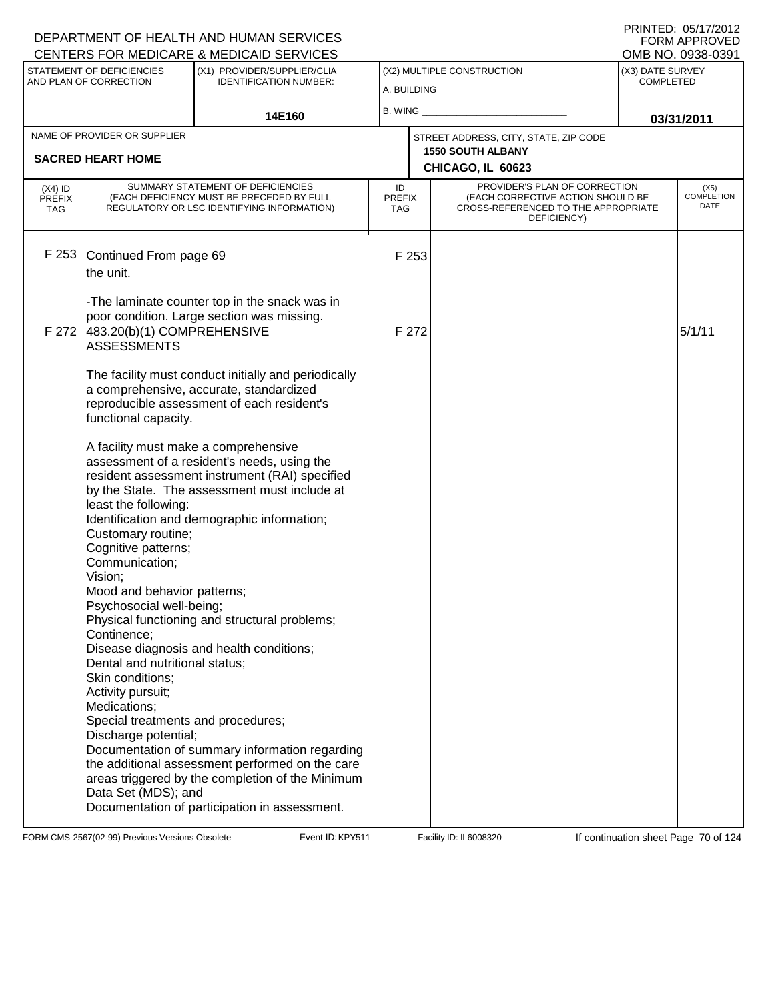#### A. BUILDING (X1) PROVIDER/SUPPLIER/CLIA IDENTIFICATION NUMBER: STATEMENT OF DEFICIENCIES AND PLAN OF CORRECTION (X3) DATE SURVEY COMPLETED FORM APPROVED<br>OMB NO. 0938-0391 (X2) MULTIPLE CONSTRUCTION B. WING **\_\_\_\_\_\_\_\_\_\_\_\_\_\_\_\_\_\_\_\_\_\_** CENTERS FOR MEDICARE & MEDICAID SERVICES 14E160 **B. WING CONSUMING (2011 03/31/2011 CHICAGO, IL 60623** NAME OF PROVIDER OR SUPPLIER STREET ADDRESS, CITY, STATE, ZIP CODE **SACRED HEART HOME 1550 SOUTH ALBANY** PROVIDER'S PLAN OF CORRECTION (EACH CORRECTIVE ACTION SHOULD BE CROSS-REFERENCED TO THE APPROPRIATE DEFICIENCY) (X5) COMPLETION DATE ID PREFIX TAG (X4) ID PREFIX TAG SUMMARY STATEMENT OF DEFICIENCIES (EACH DEFICIENCY MUST BE PRECEDED BY FULL REGULATORY OR LSC IDENTIFYING INFORMATION) F 253 Continued From page 69 F 253 the unit. -The laminate counter top in the snack was in poor condition. Large section was missing. F 272 483.20(b)(1) COMPREHENSIVE ASSESSMENTS The facility must conduct initially and periodically a comprehensive, accurate, standardized reproducible assessment of each resident's functional capacity. A facility must make a comprehensive assessment of a resident's needs, using the resident assessment instrument (RAI) specified by the State. The assessment must include at least the following: Identification and demographic information; Customary routine; Cognitive patterns; Communication; Vision; Mood and behavior patterns; Psychosocial well-being; Physical functioning and structural problems; Continence; Disease diagnosis and health conditions; Dental and nutritional status; Skin conditions; Activity pursuit; Medications; Special treatments and procedures; Discharge potential; Documentation of summary information regarding the additional assessment performed on the care areas triggered by the completion of the Minimum Data Set (MDS); and Documentation of participation in assessment.  $F$  272  $5/1/11$

FORM CMS-2567(02-99) Previous Versions Obsolete **KRY511** Event ID: KPY511 Facility ID: IL6008320 If continuation sheet Page 70 of 124

DEPARTMENT OF HEALTH AND HUMAN SERVICES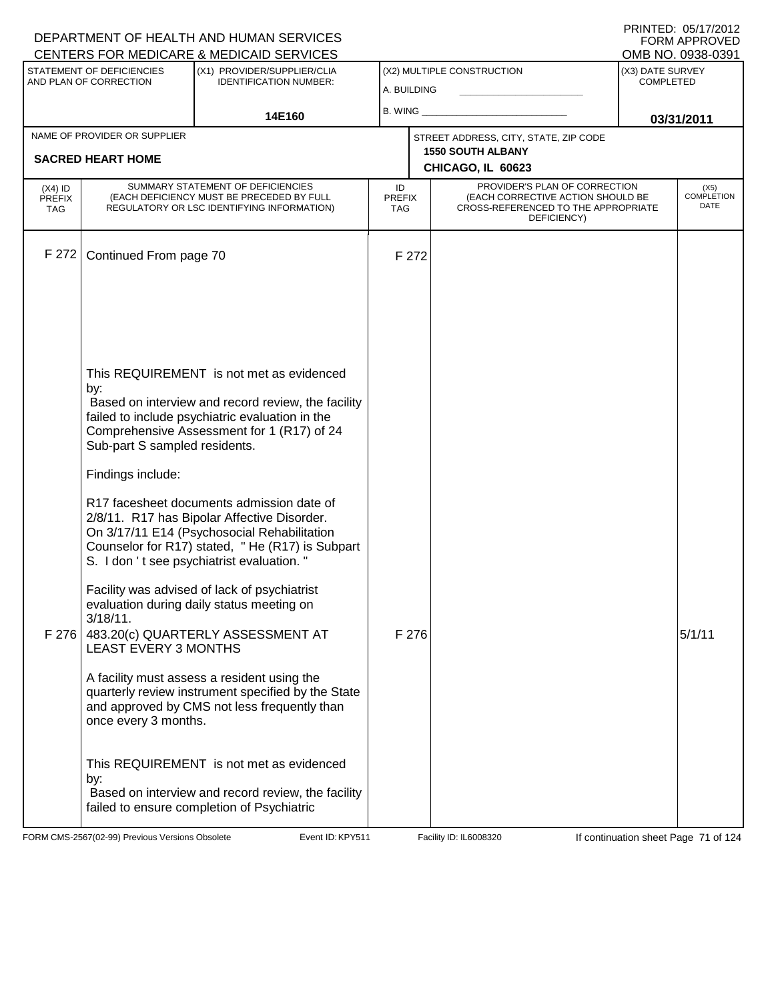|                                          |                                                                                                                                        | DEPARTMENT OF HEALTH AND HUMAN SERVICES<br>CENTERS FOR MEDICARE & MEDICAID SERVICES                                                                                                                                                                                                                                                                                                                                                                                                                                                                                                                                                                                                                                                                                                                                                                                               |                                   |                                                                                                                          |                                      | FORM APPROVED<br>OMB NO. 0938-0391 |
|------------------------------------------|----------------------------------------------------------------------------------------------------------------------------------------|-----------------------------------------------------------------------------------------------------------------------------------------------------------------------------------------------------------------------------------------------------------------------------------------------------------------------------------------------------------------------------------------------------------------------------------------------------------------------------------------------------------------------------------------------------------------------------------------------------------------------------------------------------------------------------------------------------------------------------------------------------------------------------------------------------------------------------------------------------------------------------------|-----------------------------------|--------------------------------------------------------------------------------------------------------------------------|--------------------------------------|------------------------------------|
|                                          | STATEMENT OF DEFICIENCIES<br>AND PLAN OF CORRECTION                                                                                    | (X1) PROVIDER/SUPPLIER/CLIA<br><b>IDENTIFICATION NUMBER:</b>                                                                                                                                                                                                                                                                                                                                                                                                                                                                                                                                                                                                                                                                                                                                                                                                                      | A. BUILDING                       | (X2) MULTIPLE CONSTRUCTION                                                                                               | (X3) DATE SURVEY<br><b>COMPLETED</b> |                                    |
|                                          |                                                                                                                                        | 14E160                                                                                                                                                                                                                                                                                                                                                                                                                                                                                                                                                                                                                                                                                                                                                                                                                                                                            | B. WING                           |                                                                                                                          |                                      | 03/31/2011                         |
|                                          | NAME OF PROVIDER OR SUPPLIER                                                                                                           |                                                                                                                                                                                                                                                                                                                                                                                                                                                                                                                                                                                                                                                                                                                                                                                                                                                                                   |                                   | STREET ADDRESS, CITY, STATE, ZIP CODE                                                                                    |                                      |                                    |
|                                          | <b>SACRED HEART HOME</b>                                                                                                               |                                                                                                                                                                                                                                                                                                                                                                                                                                                                                                                                                                                                                                                                                                                                                                                                                                                                                   |                                   | <b>1550 SOUTH ALBANY</b><br>CHICAGO, IL 60623                                                                            |                                      |                                    |
| $(X4)$ ID<br><b>PREFIX</b><br><b>TAG</b> |                                                                                                                                        | SUMMARY STATEMENT OF DEFICIENCIES<br>(EACH DEFICIENCY MUST BE PRECEDED BY FULL<br>REGULATORY OR LSC IDENTIFYING INFORMATION)                                                                                                                                                                                                                                                                                                                                                                                                                                                                                                                                                                                                                                                                                                                                                      | ID<br><b>PREFIX</b><br><b>TAG</b> | PROVIDER'S PLAN OF CORRECTION<br>(EACH CORRECTIVE ACTION SHOULD BE<br>CROSS-REFERENCED TO THE APPROPRIATE<br>DEFICIENCY) |                                      | (X5)<br><b>COMPLETION</b><br>DATE  |
| F 272                                    | Continued From page 70                                                                                                                 |                                                                                                                                                                                                                                                                                                                                                                                                                                                                                                                                                                                                                                                                                                                                                                                                                                                                                   | F 272                             |                                                                                                                          |                                      |                                    |
| F 276                                    | by:<br>Sub-part S sampled residents.<br>Findings include:<br>$3/18/11$ .<br><b>LEAST EVERY 3 MONTHS</b><br>once every 3 months.<br>by: | This REQUIREMENT is not met as evidenced<br>Based on interview and record review, the facility<br>failed to include psychiatric evaluation in the<br>Comprehensive Assessment for 1 (R17) of 24<br>R17 facesheet documents admission date of<br>2/8/11. R17 has Bipolar Affective Disorder.<br>On 3/17/11 E14 (Psychosocial Rehabilitation<br>Counselor for R17) stated, "He (R17) is Subpart<br>S. I don 't see psychiatrist evaluation."<br>Facility was advised of lack of psychiatrist<br>evaluation during daily status meeting on<br>483.20(c) QUARTERLY ASSESSMENT AT<br>A facility must assess a resident using the<br>quarterly review instrument specified by the State<br>and approved by CMS not less frequently than<br>This REQUIREMENT is not met as evidenced<br>Based on interview and record review, the facility<br>failed to ensure completion of Psychiatric | F 276                             |                                                                                                                          |                                      | 5/1/11                             |

FORM CMS-2567(02-99) Previous Versions Obsolete Event ID: KPY511 Facility ID: IL6008320 If continuation sheet Page 71 of 124

DEPARTMENT OF HEALTH AND HUMAN SERVICES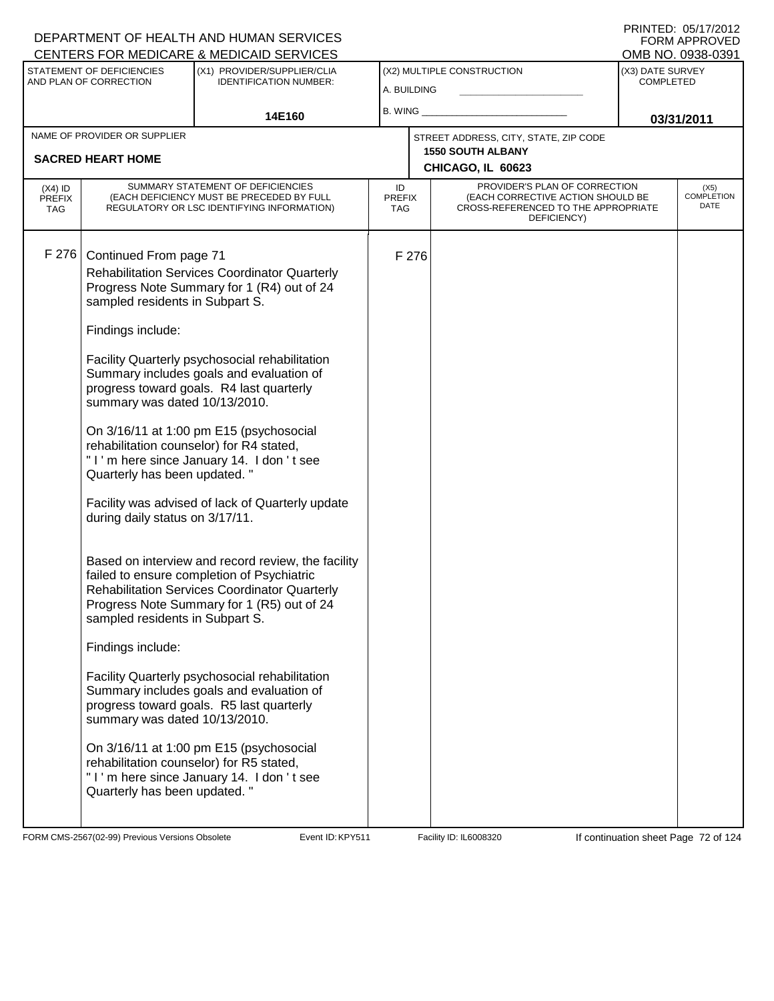| CENTERS FOR MEDICARE & MEDICAID SERVICES                 |                                                                                                                                                                                                                                                                                                                          |                                                                                                                                                                                                                                                                                                                                                                                                                                                                                                                                                                                                                                                                                                                                            |                            |                            |                                                                                                                          |                  | OMB NO. 0938-0391                 |
|----------------------------------------------------------|--------------------------------------------------------------------------------------------------------------------------------------------------------------------------------------------------------------------------------------------------------------------------------------------------------------------------|--------------------------------------------------------------------------------------------------------------------------------------------------------------------------------------------------------------------------------------------------------------------------------------------------------------------------------------------------------------------------------------------------------------------------------------------------------------------------------------------------------------------------------------------------------------------------------------------------------------------------------------------------------------------------------------------------------------------------------------------|----------------------------|----------------------------|--------------------------------------------------------------------------------------------------------------------------|------------------|-----------------------------------|
| STATEMENT OF DEFICIENCIES<br>(X1) PROVIDER/SUPPLIER/CLIA |                                                                                                                                                                                                                                                                                                                          |                                                                                                                                                                                                                                                                                                                                                                                                                                                                                                                                                                                                                                                                                                                                            |                            | (X2) MULTIPLE CONSTRUCTION | (X3) DATE SURVEY                                                                                                         |                  |                                   |
|                                                          | AND PLAN OF CORRECTION                                                                                                                                                                                                                                                                                                   | <b>IDENTIFICATION NUMBER:</b>                                                                                                                                                                                                                                                                                                                                                                                                                                                                                                                                                                                                                                                                                                              | A. BUILDING                |                            |                                                                                                                          | <b>COMPLETED</b> |                                   |
| 14E160                                                   |                                                                                                                                                                                                                                                                                                                          | B. WING                                                                                                                                                                                                                                                                                                                                                                                                                                                                                                                                                                                                                                                                                                                                    |                            |                            |                                                                                                                          |                  |                                   |
|                                                          | NAME OF PROVIDER OR SUPPLIER                                                                                                                                                                                                                                                                                             |                                                                                                                                                                                                                                                                                                                                                                                                                                                                                                                                                                                                                                                                                                                                            |                            |                            |                                                                                                                          |                  | 03/31/2011                        |
|                                                          |                                                                                                                                                                                                                                                                                                                          |                                                                                                                                                                                                                                                                                                                                                                                                                                                                                                                                                                                                                                                                                                                                            |                            |                            | STREET ADDRESS, CITY, STATE, ZIP CODE<br><b>1550 SOUTH ALBANY</b>                                                        |                  |                                   |
|                                                          | <b>SACRED HEART HOME</b>                                                                                                                                                                                                                                                                                                 |                                                                                                                                                                                                                                                                                                                                                                                                                                                                                                                                                                                                                                                                                                                                            |                            |                            | CHICAGO, IL 60623                                                                                                        |                  |                                   |
| $(X4)$ ID<br><b>PREFIX</b><br><b>TAG</b>                 |                                                                                                                                                                                                                                                                                                                          | SUMMARY STATEMENT OF DEFICIENCIES<br>(EACH DEFICIENCY MUST BE PRECEDED BY FULL<br>REGULATORY OR LSC IDENTIFYING INFORMATION)                                                                                                                                                                                                                                                                                                                                                                                                                                                                                                                                                                                                               | ID<br><b>PREFIX</b><br>TAG |                            | PROVIDER'S PLAN OF CORRECTION<br>(EACH CORRECTIVE ACTION SHOULD BE<br>CROSS-REFERENCED TO THE APPROPRIATE<br>DEFICIENCY) |                  | (X5)<br><b>COMPLETION</b><br>DATE |
| F 276                                                    | Continued From page 71<br>sampled residents in Subpart S.<br>Findings include:<br>summary was dated 10/13/2010.<br>rehabilitation counselor) for R4 stated,<br>Quarterly has been updated. "<br>during daily status on 3/17/11.<br>sampled residents in Subpart S.<br>Findings include:<br>summary was dated 10/13/2010. | <b>Rehabilitation Services Coordinator Quarterly</b><br>Progress Note Summary for 1 (R4) out of 24<br>Facility Quarterly psychosocial rehabilitation<br>Summary includes goals and evaluation of<br>progress toward goals. R4 last quarterly<br>On 3/16/11 at 1:00 pm E15 (psychosocial<br>"I'm here since January 14. I don't see<br>Facility was advised of lack of Quarterly update<br>Based on interview and record review, the facility<br>failed to ensure completion of Psychiatric<br><b>Rehabilitation Services Coordinator Quarterly</b><br>Progress Note Summary for 1 (R5) out of 24<br>Facility Quarterly psychosocial rehabilitation<br>Summary includes goals and evaluation of<br>progress toward goals. R5 last quarterly |                            | F 276                      |                                                                                                                          |                  |                                   |
|                                                          | rehabilitation counselor) for R5 stated,<br>Quarterly has been updated."                                                                                                                                                                                                                                                 | On 3/16/11 at 1:00 pm E15 (psychosocial<br>"I'm here since January 14. I don't see                                                                                                                                                                                                                                                                                                                                                                                                                                                                                                                                                                                                                                                         |                            |                            |                                                                                                                          |                  |                                   |
|                                                          |                                                                                                                                                                                                                                                                                                                          |                                                                                                                                                                                                                                                                                                                                                                                                                                                                                                                                                                                                                                                                                                                                            |                            |                            |                                                                                                                          |                  |                                   |

FORM CMS-2567(02-99) Previous Versions Obsolete Event ID: KPY511 Facility ID: IL6008320 If continuation sheet Page 72 of 124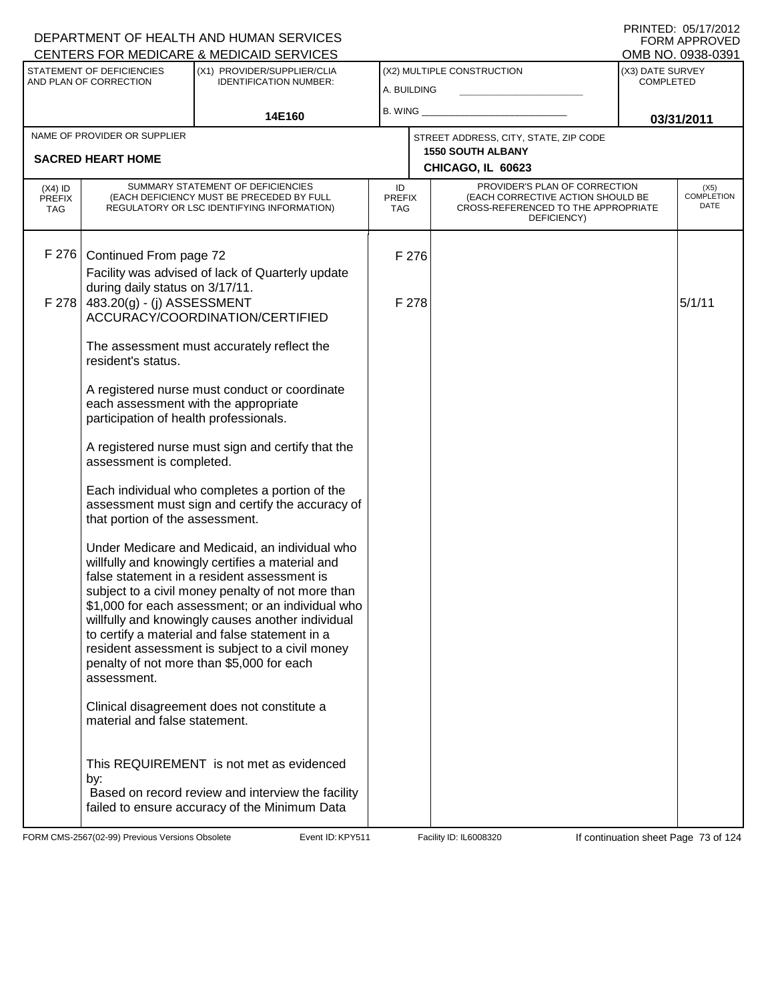#### A. BUILDING (X1) PROVIDER/SUPPLIER/CLIA IDENTIFICATION NUMBER: STATEMENT OF DEFICIENCIES AND PLAN OF CORRECTION (X3) DATE SURVEY COMPLETED (X2) MULTIPLE CONSTRUCTION B. WING **\_\_\_\_\_\_\_\_\_\_\_\_\_\_\_\_\_\_\_\_\_\_** CENTERS FOR MEDICARE & MEDICAID SERVICES 14E160 **B. WING CONSUMING (2011 03/31/2011 CHICAGO, IL 60623** NAME OF PROVIDER OR SUPPLIER STREET ADDRESS, CITY, STATE, ZIP CODE **SACRED HEART HOME 1550 SOUTH ALBANY** PROVIDER'S PLAN OF CORRECTION (EACH CORRECTIVE ACTION SHOULD BE CROSS-REFERENCED TO THE APPROPRIATE DEFICIENCY) (X5) COMPLETION DATE ID PREFIX TAG (X4) ID **PREFIX** TAG SUMMARY STATEMENT OF DEFICIENCIES (EACH DEFICIENCY MUST BE PRECEDED BY FULL REGULATORY OR LSC IDENTIFYING INFORMATION) F 276 Continued From page 72 F 276 Facility was advised of lack of Quarterly update during daily status on 3/17/11. F 278 483.20(g) - (j) ASSESSMENT ACCURACY/COORDINATION/CERTIFIED The assessment must accurately reflect the resident's status. A registered nurse must conduct or coordinate each assessment with the appropriate participation of health professionals. A registered nurse must sign and certify that the assessment is completed. Each individual who completes a portion of the assessment must sign and certify the accuracy of that portion of the assessment. Under Medicare and Medicaid, an individual who willfully and knowingly certifies a material and false statement in a resident assessment is subject to a civil money penalty of not more than \$1,000 for each assessment; or an individual who willfully and knowingly causes another individual to certify a material and false statement in a resident assessment is subject to a civil money penalty of not more than \$5,000 for each assessment. Clinical disagreement does not constitute a material and false statement. This REQUIREMENT is not met as evidenced by: F 278  $5/1/11$  Based on record review and interview the facility failed to ensure accuracy of the Minimum Data

FORM CMS-2567(02-99) Previous Versions Obsolete **KRYS11** Event ID: KPY511 Facility ID: IL6008320 If continuation sheet Page 73 of 124

DEPARTMENT OF HEALTH AND HUMAN SERVICES

PRINTED: 05/17/2012 FORM APPROVED<br>OMB NO. 0938-0391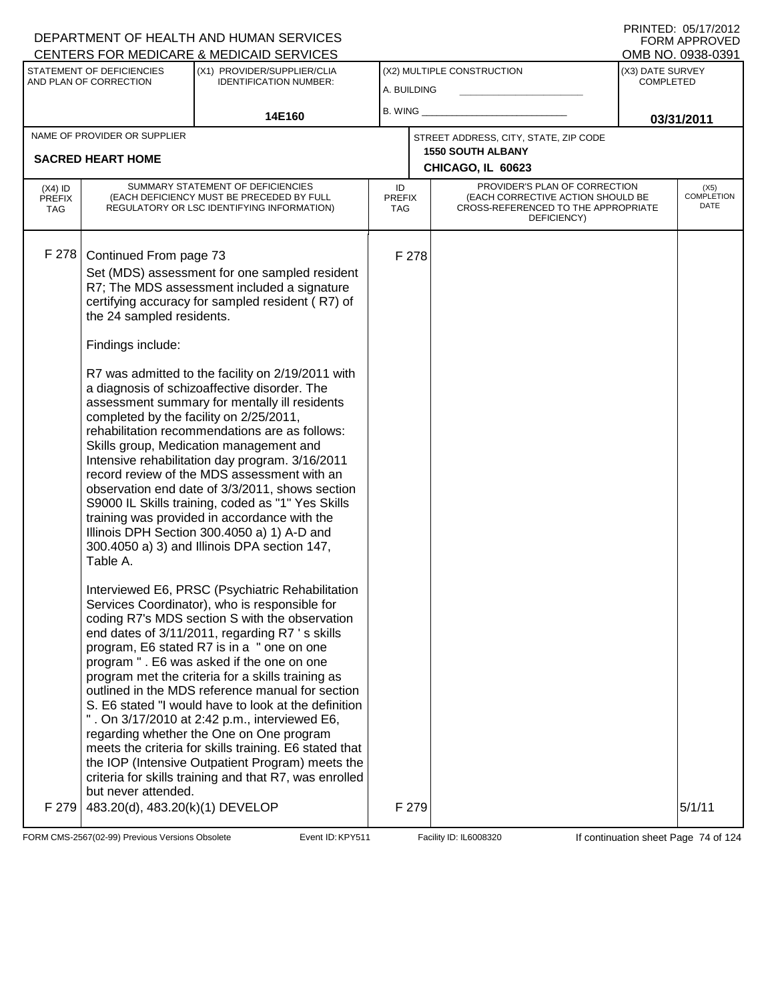|                                          |                                                                                                                                                                               | CENTERS FOR MEDICARE & MEDICAID SERVICES                                                                                                                                                                                                                                                                                                                                                                                                                                                                                                                                                                                                                                                                                                |                                   |       |                                                                                                                          |                                      | OMB NO. 0938-0391                 |
|------------------------------------------|-------------------------------------------------------------------------------------------------------------------------------------------------------------------------------|-----------------------------------------------------------------------------------------------------------------------------------------------------------------------------------------------------------------------------------------------------------------------------------------------------------------------------------------------------------------------------------------------------------------------------------------------------------------------------------------------------------------------------------------------------------------------------------------------------------------------------------------------------------------------------------------------------------------------------------------|-----------------------------------|-------|--------------------------------------------------------------------------------------------------------------------------|--------------------------------------|-----------------------------------|
|                                          | STATEMENT OF DEFICIENCIES                                                                                                                                                     | (X1) PROVIDER/SUPPLIER/CLIA<br><b>IDENTIFICATION NUMBER:</b>                                                                                                                                                                                                                                                                                                                                                                                                                                                                                                                                                                                                                                                                            |                                   |       | (X2) MULTIPLE CONSTRUCTION                                                                                               | (X3) DATE SURVEY<br><b>COMPLETED</b> |                                   |
|                                          | AND PLAN OF CORRECTION                                                                                                                                                        |                                                                                                                                                                                                                                                                                                                                                                                                                                                                                                                                                                                                                                                                                                                                         | A. BUILDING                       |       |                                                                                                                          |                                      |                                   |
|                                          |                                                                                                                                                                               | 14E160                                                                                                                                                                                                                                                                                                                                                                                                                                                                                                                                                                                                                                                                                                                                  | B. WING _                         |       |                                                                                                                          |                                      | 03/31/2011                        |
|                                          | NAME OF PROVIDER OR SUPPLIER                                                                                                                                                  |                                                                                                                                                                                                                                                                                                                                                                                                                                                                                                                                                                                                                                                                                                                                         |                                   |       | STREET ADDRESS, CITY, STATE, ZIP CODE                                                                                    |                                      |                                   |
|                                          | <b>SACRED HEART HOME</b>                                                                                                                                                      |                                                                                                                                                                                                                                                                                                                                                                                                                                                                                                                                                                                                                                                                                                                                         |                                   |       | <b>1550 SOUTH ALBANY</b>                                                                                                 |                                      |                                   |
|                                          |                                                                                                                                                                               |                                                                                                                                                                                                                                                                                                                                                                                                                                                                                                                                                                                                                                                                                                                                         |                                   |       | CHICAGO, IL 60623                                                                                                        |                                      |                                   |
| $(X4)$ ID<br><b>PREFIX</b><br><b>TAG</b> |                                                                                                                                                                               | SUMMARY STATEMENT OF DEFICIENCIES<br>(EACH DEFICIENCY MUST BE PRECEDED BY FULL<br>REGULATORY OR LSC IDENTIFYING INFORMATION)                                                                                                                                                                                                                                                                                                                                                                                                                                                                                                                                                                                                            | ID<br><b>PREFIX</b><br><b>TAG</b> |       | PROVIDER'S PLAN OF CORRECTION<br>(EACH CORRECTIVE ACTION SHOULD BE<br>CROSS-REFERENCED TO THE APPROPRIATE<br>DEFICIENCY) |                                      | (X5)<br><b>COMPLETION</b><br>DATE |
| F 278                                    | Continued From page 73                                                                                                                                                        |                                                                                                                                                                                                                                                                                                                                                                                                                                                                                                                                                                                                                                                                                                                                         |                                   | F 278 |                                                                                                                          |                                      |                                   |
|                                          | Set (MDS) assessment for one sampled resident<br>R7; The MDS assessment included a signature<br>certifying accuracy for sampled resident (R7) of<br>the 24 sampled residents. |                                                                                                                                                                                                                                                                                                                                                                                                                                                                                                                                                                                                                                                                                                                                         |                                   |       |                                                                                                                          |                                      |                                   |
|                                          | Findings include:                                                                                                                                                             |                                                                                                                                                                                                                                                                                                                                                                                                                                                                                                                                                                                                                                                                                                                                         |                                   |       |                                                                                                                          |                                      |                                   |
|                                          | completed by the facility on 2/25/2011,<br>Table A.                                                                                                                           | R7 was admitted to the facility on 2/19/2011 with<br>a diagnosis of schizoaffective disorder. The<br>assessment summary for mentally ill residents<br>rehabilitation recommendations are as follows:<br>Skills group, Medication management and<br>Intensive rehabilitation day program. 3/16/2011<br>record review of the MDS assessment with an<br>observation end date of 3/3/2011, shows section<br>S9000 IL Skills training, coded as "1" Yes Skills<br>training was provided in accordance with the<br>Illinois DPH Section 300.4050 a) 1) A-D and<br>300.4050 a) 3) and Illinois DPA section 147,                                                                                                                                |                                   |       |                                                                                                                          |                                      |                                   |
|                                          | but never attended.                                                                                                                                                           | Interviewed E6, PRSC (Psychiatric Rehabilitation<br>Services Coordinator), who is responsible for<br>coding R7's MDS section S with the observation<br>end dates of 3/11/2011, regarding R7 's skills<br>program, E6 stated R7 is in a " one on one<br>program " . E6 was asked if the one on one<br>program met the criteria for a skills training as<br>outlined in the MDS reference manual for section<br>S. E6 stated "I would have to look at the definition<br>". On 3/17/2010 at 2:42 p.m., interviewed E6,<br>regarding whether the One on One program<br>meets the criteria for skills training. E6 stated that<br>the IOP (Intensive Outpatient Program) meets the<br>criteria for skills training and that R7, was enrolled |                                   |       |                                                                                                                          |                                      |                                   |
| F 279                                    | 483.20(d), 483.20(k)(1) DEVELOP                                                                                                                                               |                                                                                                                                                                                                                                                                                                                                                                                                                                                                                                                                                                                                                                                                                                                                         |                                   | F 279 |                                                                                                                          |                                      | 5/1/11                            |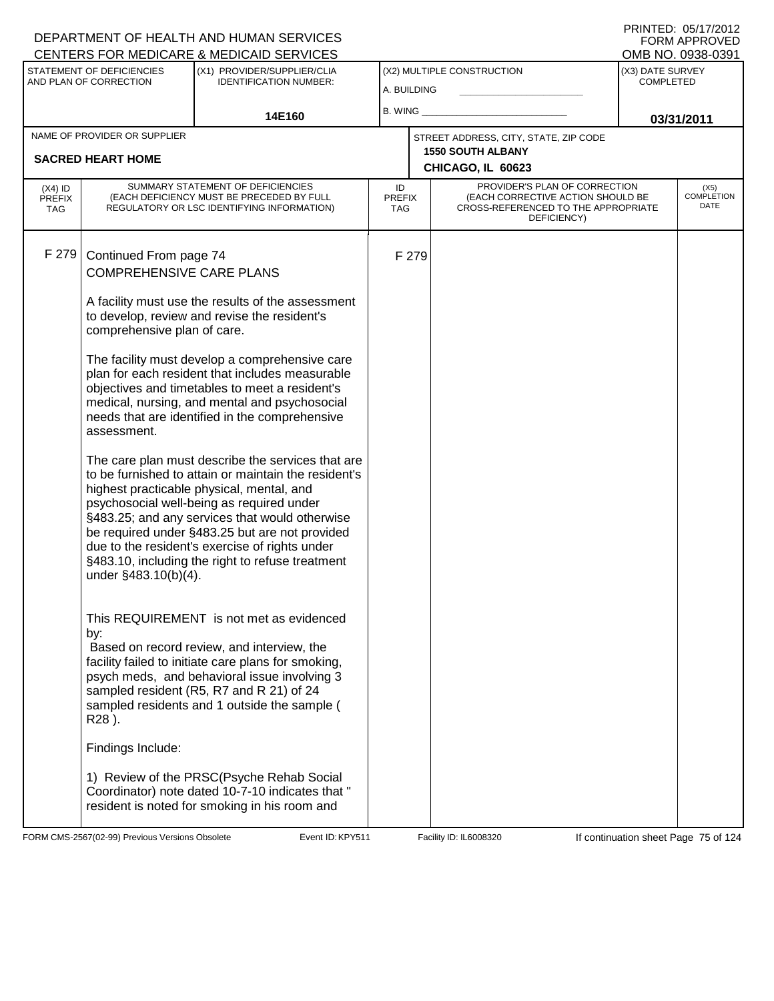#### A. BUILDING (X1) PROVIDER/SUPPLIER/CLIA IDENTIFICATION NUMBER: STATEMENT OF DEFICIENCIES AND PLAN OF CORRECTION (X3) DATE SURVEY COMPLETED FORM APPROVED<br>OMB NO. 0938-0391 (X2) MULTIPLE CONSTRUCTION B. WING **\_\_\_\_\_\_\_\_\_\_\_\_\_\_\_\_\_\_\_\_\_\_** CENTERS FOR MEDICARE & MEDICAID SERVICES 14E160 **B. WING CONSUMING (2011 03/31/2011 CHICAGO, IL 60623** NAME OF PROVIDER OR SUPPLIER STREET ADDRESS, CITY, STATE, ZIP CODE **SACRED HEART HOME 1550 SOUTH ALBANY** PROVIDER'S PLAN OF CORRECTION (EACH CORRECTIVE ACTION SHOULD BE CROSS-REFERENCED TO THE APPROPRIATE DEFICIENCY) (X5) COMPLETION DATE ID PREFIX TAG (X4) ID PREFIX TAG SUMMARY STATEMENT OF DEFICIENCIES (EACH DEFICIENCY MUST BE PRECEDED BY FULL REGULATORY OR LSC IDENTIFYING INFORMATION) F 279 Continued From page 74 F 279 COMPREHENSIVE CARE PLANS A facility must use the results of the assessment to develop, review and revise the resident's comprehensive plan of care. The facility must develop a comprehensive care plan for each resident that includes measurable objectives and timetables to meet a resident's medical, nursing, and mental and psychosocial needs that are identified in the comprehensive assessment. The care plan must describe the services that are to be furnished to attain or maintain the resident's highest practicable physical, mental, and psychosocial well-being as required under §483.25; and any services that would otherwise be required under §483.25 but are not provided due to the resident's exercise of rights under §483.10, including the right to refuse treatment under §483.10(b)(4). This REQUIREMENT is not met as evidenced by: Based on record review, and interview, the facility failed to initiate care plans for smoking, psych meds, and behavioral issue involving 3 sampled resident (R5, R7 and R 21) of 24 sampled residents and 1 outside the sample ( R28 ). Findings Include: 1) Review of the PRSC(Psyche Rehab Social Coordinator) note dated 10-7-10 indicates that " resident is noted for smoking in his room and

FORM CMS-2567(02-99) Previous Versions Obsolete **KRYS11** Event ID: KPY511 Facility ID: IL6008320 If continuation sheet Page 75 of 124

DEPARTMENT OF HEALTH AND HUMAN SERVICES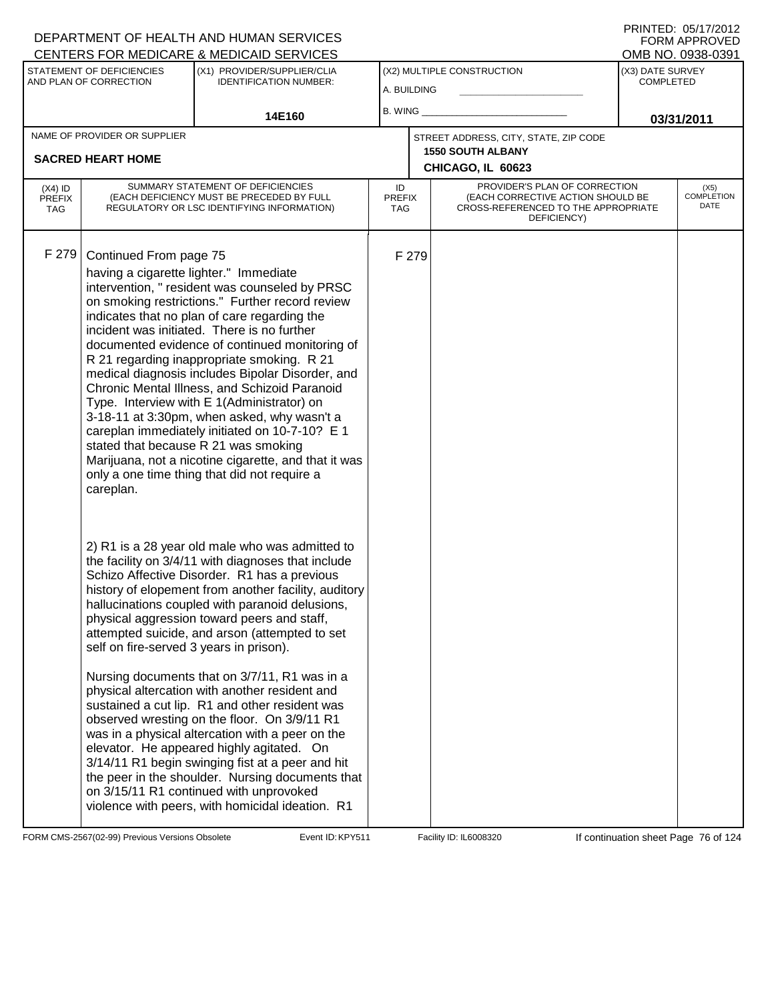|                                   |                                                                               | CENTERS FOR MEDICARE & MEDICAID SERVICES                                                                                                                                                                                                                                                                                                                                                                                                                                                                                                                                                                                                                                                                                                                                                                                                                                       |                                   |       |                                                                                                                          |                  | OMB NO. 0938-0391                 |
|-----------------------------------|-------------------------------------------------------------------------------|--------------------------------------------------------------------------------------------------------------------------------------------------------------------------------------------------------------------------------------------------------------------------------------------------------------------------------------------------------------------------------------------------------------------------------------------------------------------------------------------------------------------------------------------------------------------------------------------------------------------------------------------------------------------------------------------------------------------------------------------------------------------------------------------------------------------------------------------------------------------------------|-----------------------------------|-------|--------------------------------------------------------------------------------------------------------------------------|------------------|-----------------------------------|
|                                   | STATEMENT OF DEFICIENCIES                                                     | (X1) PROVIDER/SUPPLIER/CLIA                                                                                                                                                                                                                                                                                                                                                                                                                                                                                                                                                                                                                                                                                                                                                                                                                                                    |                                   |       | (X2) MULTIPLE CONSTRUCTION                                                                                               | (X3) DATE SURVEY |                                   |
|                                   | AND PLAN OF CORRECTION                                                        | <b>IDENTIFICATION NUMBER:</b>                                                                                                                                                                                                                                                                                                                                                                                                                                                                                                                                                                                                                                                                                                                                                                                                                                                  | A. BUILDING                       |       |                                                                                                                          | <b>COMPLETED</b> |                                   |
|                                   |                                                                               |                                                                                                                                                                                                                                                                                                                                                                                                                                                                                                                                                                                                                                                                                                                                                                                                                                                                                | B. WING                           |       |                                                                                                                          |                  |                                   |
|                                   |                                                                               | 14E160                                                                                                                                                                                                                                                                                                                                                                                                                                                                                                                                                                                                                                                                                                                                                                                                                                                                         |                                   |       |                                                                                                                          |                  | 03/31/2011                        |
|                                   | NAME OF PROVIDER OR SUPPLIER                                                  |                                                                                                                                                                                                                                                                                                                                                                                                                                                                                                                                                                                                                                                                                                                                                                                                                                                                                |                                   |       | STREET ADDRESS, CITY, STATE, ZIP CODE                                                                                    |                  |                                   |
|                                   | <b>SACRED HEART HOME</b>                                                      |                                                                                                                                                                                                                                                                                                                                                                                                                                                                                                                                                                                                                                                                                                                                                                                                                                                                                |                                   |       | <b>1550 SOUTH ALBANY</b>                                                                                                 |                  |                                   |
|                                   |                                                                               |                                                                                                                                                                                                                                                                                                                                                                                                                                                                                                                                                                                                                                                                                                                                                                                                                                                                                |                                   |       | CHICAGO, IL 60623                                                                                                        |                  |                                   |
| $(X4)$ ID<br><b>PREFIX</b><br>TAG |                                                                               | SUMMARY STATEMENT OF DEFICIENCIES<br>(EACH DEFICIENCY MUST BE PRECEDED BY FULL<br>REGULATORY OR LSC IDENTIFYING INFORMATION)                                                                                                                                                                                                                                                                                                                                                                                                                                                                                                                                                                                                                                                                                                                                                   | ID<br><b>PREFIX</b><br><b>TAG</b> |       | PROVIDER'S PLAN OF CORRECTION<br>(EACH CORRECTIVE ACTION SHOULD BE<br>CROSS-REFERENCED TO THE APPROPRIATE<br>DEFICIENCY) |                  | (X5)<br><b>COMPLETION</b><br>DATE |
| F 279                             | Continued From page 75<br>having a cigarette lighter." Immediate<br>careplan. | intervention, " resident was counseled by PRSC<br>on smoking restrictions." Further record review<br>indicates that no plan of care regarding the<br>incident was initiated. There is no further<br>documented evidence of continued monitoring of<br>R 21 regarding inappropriate smoking. R 21<br>medical diagnosis includes Bipolar Disorder, and<br>Chronic Mental Illness, and Schizoid Paranoid<br>Type. Interview with E 1(Administrator) on<br>3-18-11 at 3:30pm, when asked, why wasn't a<br>careplan immediately initiated on 10-7-10? E 1<br>stated that because R 21 was smoking<br>Marijuana, not a nicotine cigarette, and that it was<br>only a one time thing that did not require a                                                                                                                                                                           |                                   | F 279 |                                                                                                                          |                  |                                   |
|                                   | self on fire-served 3 years in prison).                                       | 2) R1 is a 28 year old male who was admitted to<br>the facility on 3/4/11 with diagnoses that include<br>Schizo Affective Disorder. R1 has a previous<br>history of elopement from another facility, auditory<br>hallucinations coupled with paranoid delusions,<br>physical aggression toward peers and staff,<br>attempted suicide, and arson (attempted to set<br>Nursing documents that on 3/7/11, R1 was in a<br>physical altercation with another resident and<br>sustained a cut lip. R1 and other resident was<br>observed wresting on the floor. On 3/9/11 R1<br>was in a physical altercation with a peer on the<br>elevator. He appeared highly agitated. On<br>3/14/11 R1 begin swinging fist at a peer and hit<br>the peer in the shoulder. Nursing documents that<br>on 3/15/11 R1 continued with unprovoked<br>violence with peers, with homicidal ideation. R1 |                                   |       |                                                                                                                          |                  |                                   |

FORM CMS-2567(02-99) Previous Versions Obsolete Event ID: KPY511 Facility ID: IL6008320 If continuation sheet Page 76 of 124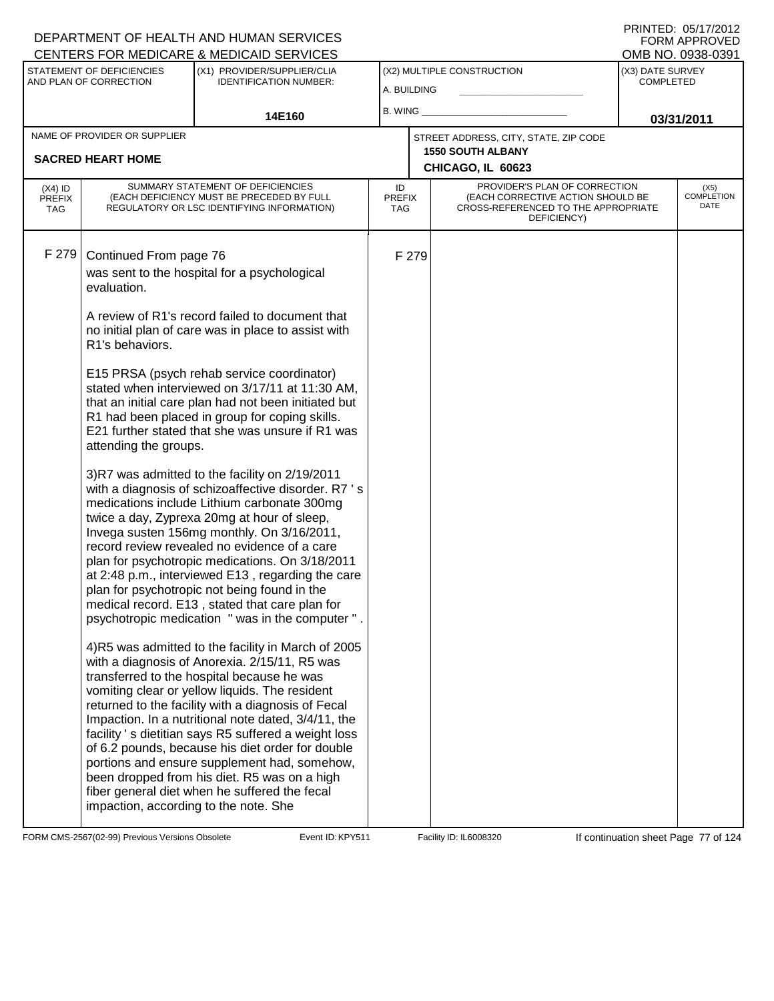| <b>CENTERS FOR MEDICARE &amp; MEDICAID SERVICES</b>                                                                                                                                                                                                                               |                                                                                                                                                                                                                                                                                                                                                                                                                                                                                                                                                                                                                                                                                                                                                                                                                                                                                                                                                                                                                                                                                                                                                                                                                                                                                                                                                                                                                            |                                           |       |                                                                                                                          |                                      | OMB NO. 0938-0391                 |
|-----------------------------------------------------------------------------------------------------------------------------------------------------------------------------------------------------------------------------------------------------------------------------------|----------------------------------------------------------------------------------------------------------------------------------------------------------------------------------------------------------------------------------------------------------------------------------------------------------------------------------------------------------------------------------------------------------------------------------------------------------------------------------------------------------------------------------------------------------------------------------------------------------------------------------------------------------------------------------------------------------------------------------------------------------------------------------------------------------------------------------------------------------------------------------------------------------------------------------------------------------------------------------------------------------------------------------------------------------------------------------------------------------------------------------------------------------------------------------------------------------------------------------------------------------------------------------------------------------------------------------------------------------------------------------------------------------------------------|-------------------------------------------|-------|--------------------------------------------------------------------------------------------------------------------------|--------------------------------------|-----------------------------------|
| STATEMENT OF DEFICIENCIES<br>AND PLAN OF CORRECTION                                                                                                                                                                                                                               | (X1) PROVIDER/SUPPLIER/CLIA<br><b>IDENTIFICATION NUMBER:</b>                                                                                                                                                                                                                                                                                                                                                                                                                                                                                                                                                                                                                                                                                                                                                                                                                                                                                                                                                                                                                                                                                                                                                                                                                                                                                                                                                               | (X2) MULTIPLE CONSTRUCTION<br>A. BUILDING |       |                                                                                                                          | (X3) DATE SURVEY<br><b>COMPLETED</b> |                                   |
|                                                                                                                                                                                                                                                                                   | 14E160                                                                                                                                                                                                                                                                                                                                                                                                                                                                                                                                                                                                                                                                                                                                                                                                                                                                                                                                                                                                                                                                                                                                                                                                                                                                                                                                                                                                                     | <b>B. WING</b>                            |       |                                                                                                                          |                                      | 03/31/2011                        |
| NAME OF PROVIDER OR SUPPLIER                                                                                                                                                                                                                                                      |                                                                                                                                                                                                                                                                                                                                                                                                                                                                                                                                                                                                                                                                                                                                                                                                                                                                                                                                                                                                                                                                                                                                                                                                                                                                                                                                                                                                                            |                                           |       | STREET ADDRESS, CITY, STATE, ZIP CODE                                                                                    |                                      |                                   |
| <b>SACRED HEART HOME</b>                                                                                                                                                                                                                                                          |                                                                                                                                                                                                                                                                                                                                                                                                                                                                                                                                                                                                                                                                                                                                                                                                                                                                                                                                                                                                                                                                                                                                                                                                                                                                                                                                                                                                                            |                                           |       | <b>1550 SOUTH ALBANY</b><br>CHICAGO, IL 60623                                                                            |                                      |                                   |
| $(X4)$ ID<br><b>PREFIX</b><br><b>TAG</b>                                                                                                                                                                                                                                          | SUMMARY STATEMENT OF DEFICIENCIES<br>(EACH DEFICIENCY MUST BE PRECEDED BY FULL<br>REGULATORY OR LSC IDENTIFYING INFORMATION)                                                                                                                                                                                                                                                                                                                                                                                                                                                                                                                                                                                                                                                                                                                                                                                                                                                                                                                                                                                                                                                                                                                                                                                                                                                                                               | ID<br><b>PREFIX</b><br><b>TAG</b>         |       | PROVIDER'S PLAN OF CORRECTION<br>(EACH CORRECTIVE ACTION SHOULD BE<br>CROSS-REFERENCED TO THE APPROPRIATE<br>DEFICIENCY) |                                      | (X5)<br><b>COMPLETION</b><br>DATE |
| F 279<br>Continued From page 76<br>was sent to the hospital for a psychological<br>evaluation.<br>R1's behaviors.<br>attending the groups.<br>plan for psychotropic not being found in the<br>transferred to the hospital because he was<br>impaction, according to the note. She | A review of R1's record failed to document that<br>no initial plan of care was in place to assist with<br>E15 PRSA (psych rehab service coordinator)<br>stated when interviewed on 3/17/11 at 11:30 AM,<br>that an initial care plan had not been initiated but<br>R1 had been placed in group for coping skills.<br>E21 further stated that she was unsure if R1 was<br>3)R7 was admitted to the facility on 2/19/2011<br>with a diagnosis of schizoaffective disorder. R7 's<br>medications include Lithium carbonate 300mg<br>twice a day, Zyprexa 20mg at hour of sleep,<br>Invega susten 156mg monthly. On 3/16/2011,<br>record review revealed no evidence of a care<br>plan for psychotropic medications. On 3/18/2011<br>at 2:48 p.m., interviewed E13, regarding the care<br>medical record. E13, stated that care plan for<br>psychotropic medication " was in the computer '<br>4)R5 was admitted to the facility in March of 2005<br>with a diagnosis of Anorexia. 2/15/11, R5 was<br>vomiting clear or yellow liquids. The resident<br>returned to the facility with a diagnosis of Fecal<br>Impaction. In a nutritional note dated, 3/4/11, the<br>facility 's dietitian says R5 suffered a weight loss<br>of 6.2 pounds, because his diet order for double<br>portions and ensure supplement had, somehow,<br>been dropped from his diet. R5 was on a high<br>fiber general diet when he suffered the fecal |                                           | F 279 |                                                                                                                          |                                      |                                   |

FORM CMS-2567(02-99) Previous Versions Obsolete Event ID: KPY511 Facility ID: IL6008320 If continuation sheet Page 77 of 124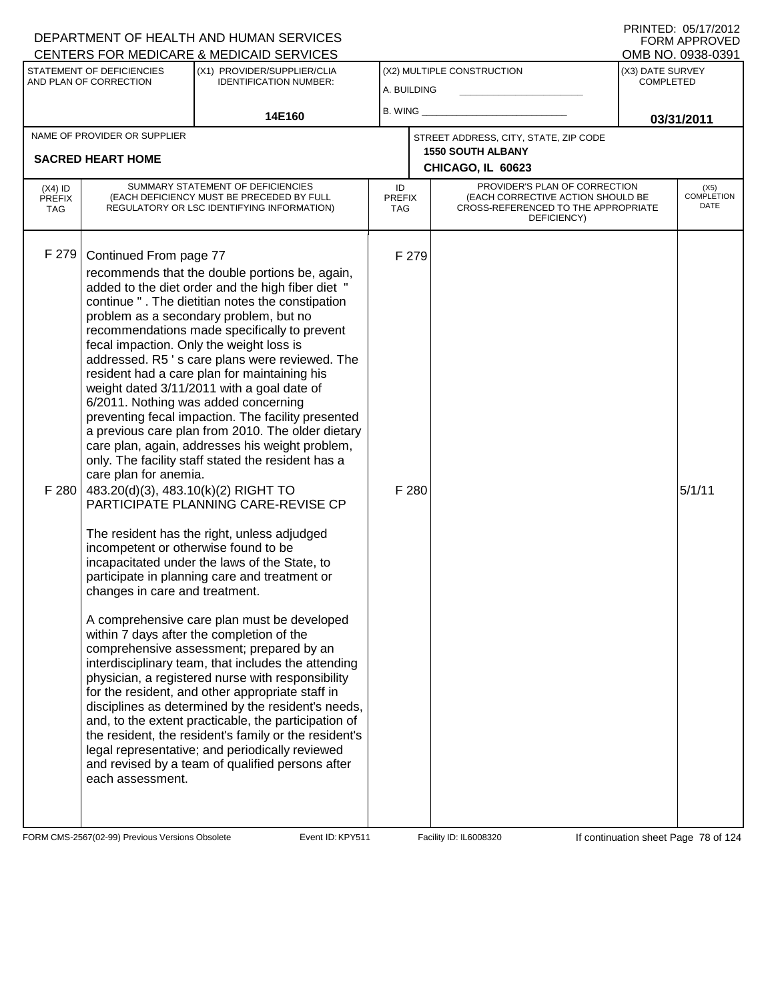#### A. BUILDING (X1) PROVIDER/SUPPLIER/CLIA IDENTIFICATION NUMBER: STATEMENT OF DEFICIENCIES AND PLAN OF CORRECTION (X3) DATE SURVEY COMPLETED FORM APPROVED<br>OMB NO. 0938-0391 (X2) MULTIPLE CONSTRUCTION B. WING **\_\_\_\_\_\_\_\_\_\_\_\_\_\_\_\_\_\_\_\_\_\_** CENTERS FOR MEDICARE & MEDICAID SERVICES 14E160 **B. WING CONSUMING (2011 03/31/2011 CHICAGO, IL 60623** NAME OF PROVIDER OR SUPPLIER STREET ADDRESS, CITY, STATE, ZIP CODE **SACRED HEART HOME 1550 SOUTH ALBANY** PROVIDER'S PLAN OF CORRECTION (EACH CORRECTIVE ACTION SHOULD BE CROSS-REFERENCED TO THE APPROPRIATE DEFICIENCY) (X5) **COMPLETION** DATE ID PREFIX TAG (X4) ID PREFIX TAG SUMMARY STATEMENT OF DEFICIENCIES (EACH DEFICIENCY MUST BE PRECEDED BY FULL REGULATORY OR LSC IDENTIFYING INFORMATION) F 279 Continued From page 77 F 279 recommends that the double portions be, again, added to the diet order and the high fiber diet " continue " . The dietitian notes the constipation problem as a secondary problem, but no recommendations made specifically to prevent fecal impaction. Only the weight loss is addressed. R5 ' s care plans were reviewed. The resident had a care plan for maintaining his weight dated 3/11/2011 with a goal date of 6/2011. Nothing was added concerning preventing fecal impaction. The facility presented a previous care plan from 2010. The older dietary care plan, again, addresses his weight problem, only. The facility staff stated the resident has a care plan for anemia. F 280  $|$  483.20(d)(3), 483.10(k)(2) RIGHT TO PARTICIPATE PLANNING CARE-REVISE CP The resident has the right, unless adjudged incompetent or otherwise found to be incapacitated under the laws of the State, to participate in planning care and treatment or changes in care and treatment. A comprehensive care plan must be developed within 7 days after the completion of the comprehensive assessment; prepared by an interdisciplinary team, that includes the attending physician, a registered nurse with responsibility for the resident, and other appropriate staff in disciplines as determined by the resident's needs, and, to the extent practicable, the participation of the resident, the resident's family or the resident's legal representative; and periodically reviewed and revised by a team of qualified persons after each assessment.  $F$  280  $5/1/11$

FORM CMS-2567(02-99) Previous Versions Obsolete **KRYS11** Event ID: KPY511 Facility ID: IL6008320 If continuation sheet Page 78 of 124

DEPARTMENT OF HEALTH AND HUMAN SERVICES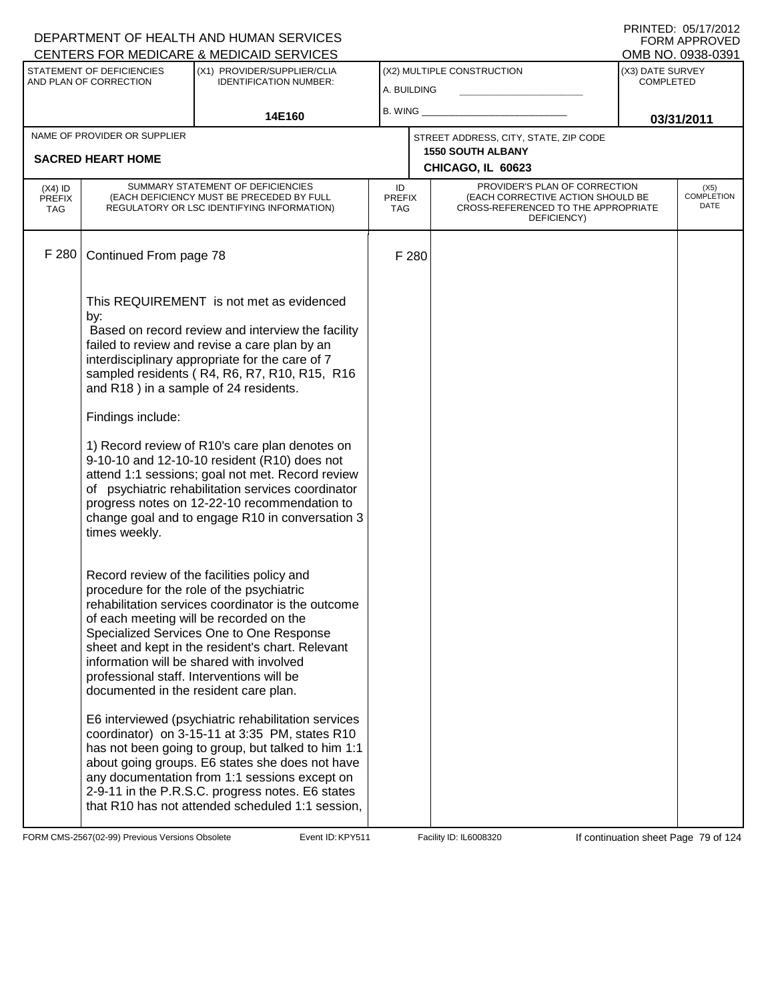#### A. BUILDING (X1) PROVIDER/SUPPLIER/CLIA IDENTIFICATION NUMBER: STATEMENT OF DEFICIENCIES AND PLAN OF CORRECTION (X3) DATE SURVEY COMPLETED FORM APPROVED<br>OMB NO. 0938-0391 (X2) MULTIPLE CONSTRUCTION B. WING **\_\_\_\_\_\_\_\_\_\_\_\_\_\_\_\_\_\_\_\_\_\_** CENTERS FOR MEDICARE & MEDICAID SERVICES 14E160 **B. WING CONSUMING (2011 03/31/2011 CHICAGO, IL 60623** NAME OF PROVIDER OR SUPPLIER STREET ADDRESS, CITY, STATE, ZIP CODE **SACRED HEART HOME 1550 SOUTH ALBANY** PROVIDER'S PLAN OF CORRECTION (EACH CORRECTIVE ACTION SHOULD BE CROSS-REFERENCED TO THE APPROPRIATE DEFICIENCY) (X5) COMPLETION DATE ID PREFIX TAG (X4) ID PREFIX TAG SUMMARY STATEMENT OF DEFICIENCIES (EACH DEFICIENCY MUST BE PRECEDED BY FULL REGULATORY OR LSC IDENTIFYING INFORMATION) F 280 Continued From page 78 F 280 This REQUIREMENT is not met as evidenced by: Based on record review and interview the facility failed to review and revise a care plan by an interdisciplinary appropriate for the care of 7 sampled residents ( R4, R6, R7, R10, R15, R16 and R18 ) in a sample of 24 residents. Findings include: 1) Record review of R10's care plan denotes on 9-10-10 and 12-10-10 resident (R10) does not attend 1:1 sessions; goal not met. Record review of psychiatric rehabilitation services coordinator progress notes on 12-22-10 recommendation to change goal and to engage R10 in conversation 3 times weekly. Record review of the facilities policy and procedure for the role of the psychiatric rehabilitation services coordinator is the outcome of each meeting will be recorded on the Specialized Services One to One Response sheet and kept in the resident's chart. Relevant information will be shared with involved professional staff. Interventions will be documented in the resident care plan. E6 interviewed (psychiatric rehabilitation services coordinator) on 3-15-11 at 3:35 PM, states R10 has not been going to group, but talked to him 1:1 about going groups. E6 states she does not have any documentation from 1:1 sessions except on 2-9-11 in the P.R.S.C. progress notes. E6 states that R10 has not attended scheduled 1:1 session,

FORM CMS-2567(02-99) Previous Versions Obsolete **KRY511** Event ID: KPY511 Facility ID: IL6008320 If continuation sheet Page 79 of 124

DEPARTMENT OF HEALTH AND HUMAN SERVICES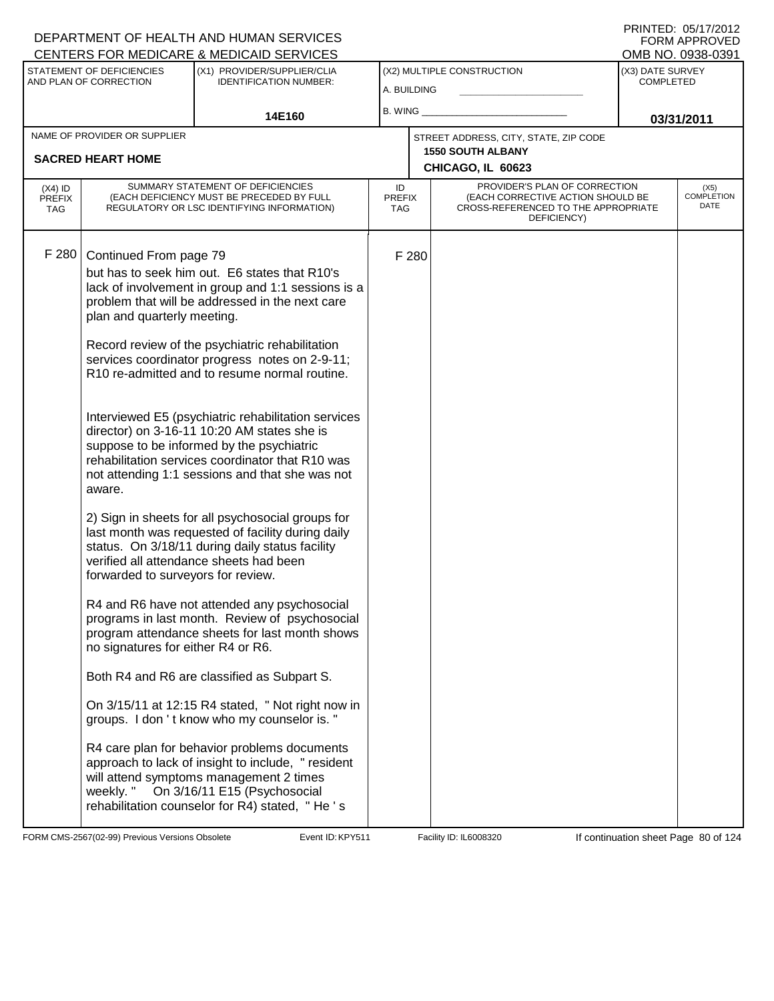|                             |                                                     | <b>CENTERS FOR MEDICARE &amp; MEDICAID SERVICES</b>                                                                                                                                                                                                    |                             |       |                                                                                         |                                      | OMB NO. 0938-0391         |
|-----------------------------|-----------------------------------------------------|--------------------------------------------------------------------------------------------------------------------------------------------------------------------------------------------------------------------------------------------------------|-----------------------------|-------|-----------------------------------------------------------------------------------------|--------------------------------------|---------------------------|
|                             | STATEMENT OF DEFICIENCIES<br>AND PLAN OF CORRECTION | (X1) PROVIDER/SUPPLIER/CLIA<br><b>IDENTIFICATION NUMBER:</b>                                                                                                                                                                                           |                             |       | (X2) MULTIPLE CONSTRUCTION                                                              | (X3) DATE SURVEY<br><b>COMPLETED</b> |                           |
|                             |                                                     |                                                                                                                                                                                                                                                        | A. BUILDING                 |       |                                                                                         |                                      |                           |
|                             |                                                     | 14E160                                                                                                                                                                                                                                                 | B. WING                     |       |                                                                                         |                                      | 03/31/2011                |
|                             | NAME OF PROVIDER OR SUPPLIER                        |                                                                                                                                                                                                                                                        |                             |       | STREET ADDRESS, CITY, STATE, ZIP CODE                                                   |                                      |                           |
|                             | <b>SACRED HEART HOME</b>                            |                                                                                                                                                                                                                                                        |                             |       | <b>1550 SOUTH ALBANY</b><br>CHICAGO, IL 60623                                           |                                      |                           |
| $(X4)$ ID                   |                                                     | SUMMARY STATEMENT OF DEFICIENCIES                                                                                                                                                                                                                      | ID                          |       | PROVIDER'S PLAN OF CORRECTION                                                           |                                      | (X5)                      |
| <b>PREFIX</b><br><b>TAG</b> |                                                     | (EACH DEFICIENCY MUST BE PRECEDED BY FULL<br>REGULATORY OR LSC IDENTIFYING INFORMATION)                                                                                                                                                                | <b>PREFIX</b><br><b>TAG</b> |       | (EACH CORRECTIVE ACTION SHOULD BE<br>CROSS-REFERENCED TO THE APPROPRIATE<br>DEFICIENCY) |                                      | <b>COMPLETION</b><br>DATE |
| F 280                       | Continued From page 79                              |                                                                                                                                                                                                                                                        |                             | F 280 |                                                                                         |                                      |                           |
|                             |                                                     | but has to seek him out. E6 states that R10's                                                                                                                                                                                                          |                             |       |                                                                                         |                                      |                           |
|                             |                                                     | lack of involvement in group and 1:1 sessions is a                                                                                                                                                                                                     |                             |       |                                                                                         |                                      |                           |
|                             | plan and quarterly meeting.                         | problem that will be addressed in the next care                                                                                                                                                                                                        |                             |       |                                                                                         |                                      |                           |
|                             |                                                     | Record review of the psychiatric rehabilitation                                                                                                                                                                                                        |                             |       |                                                                                         |                                      |                           |
|                             |                                                     | services coordinator progress notes on 2-9-11;                                                                                                                                                                                                         |                             |       |                                                                                         |                                      |                           |
|                             |                                                     | R10 re-admitted and to resume normal routine.                                                                                                                                                                                                          |                             |       |                                                                                         |                                      |                           |
|                             |                                                     | Interviewed E5 (psychiatric rehabilitation services<br>director) on 3-16-11 10:20 AM states she is<br>suppose to be informed by the psychiatric<br>rehabilitation services coordinator that R10 was<br>not attending 1:1 sessions and that she was not |                             |       |                                                                                         |                                      |                           |
|                             | aware.                                              |                                                                                                                                                                                                                                                        |                             |       |                                                                                         |                                      |                           |
|                             | forwarded to surveyors for review.                  | 2) Sign in sheets for all psychosocial groups for<br>last month was requested of facility during daily<br>status. On 3/18/11 during daily status facility<br>verified all attendance sheets had been                                                   |                             |       |                                                                                         |                                      |                           |
|                             | no signatures for either R4 or R6.                  | R4 and R6 have not attended any psychosocial<br>programs in last month. Review of psychosocial<br>program attendance sheets for last month shows                                                                                                       |                             |       |                                                                                         |                                      |                           |
|                             |                                                     | Both R4 and R6 are classified as Subpart S.                                                                                                                                                                                                            |                             |       |                                                                                         |                                      |                           |
|                             |                                                     | On 3/15/11 at 12:15 R4 stated, " Not right now in<br>groups. I don't know who my counselor is."                                                                                                                                                        |                             |       |                                                                                         |                                      |                           |
|                             | weekly."                                            | R4 care plan for behavior problems documents<br>approach to lack of insight to include, "resident<br>will attend symptoms management 2 times<br>On 3/16/11 E15 (Psychosocial<br>rehabilitation counselor for R4) stated, "He's                         |                             |       |                                                                                         |                                      |                           |

FORM CMS-2567(02-99) Previous Versions Obsolete Event ID: KPY511 Facility ID: IL6008320 If continuation sheet Page 80 of 124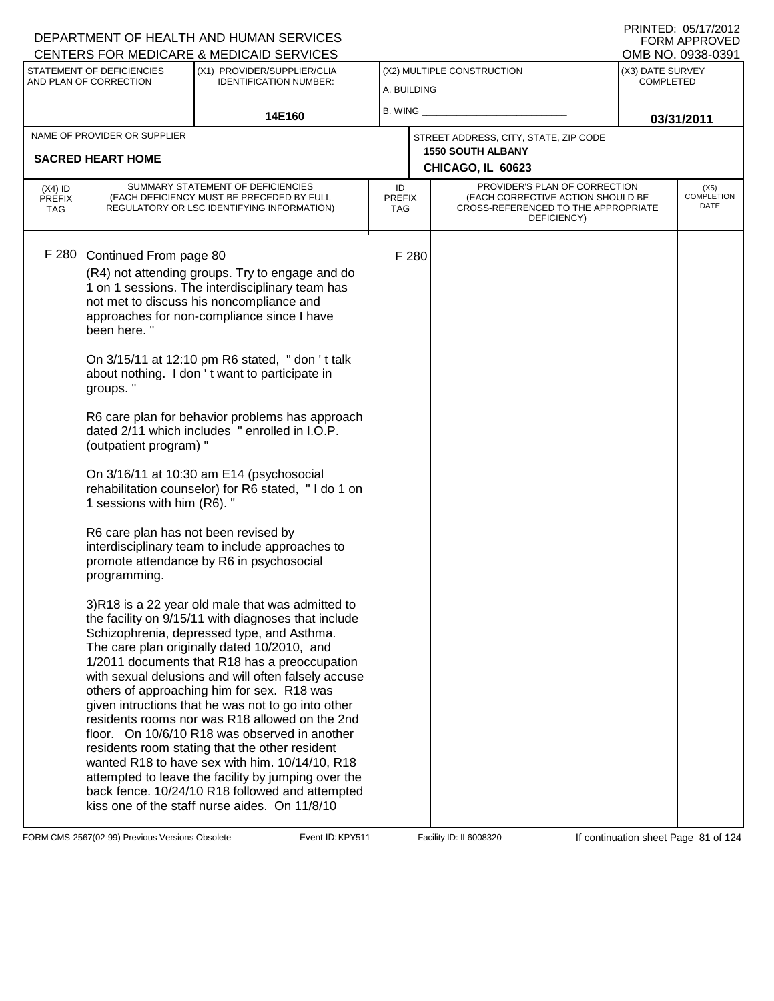|                            |                                      | CENTERS FOR MEDICARE & MEDICAID SERVICES                                                              |                     |       |                                                                    |                  | OMB NO. 0938-0391         |  |
|----------------------------|--------------------------------------|-------------------------------------------------------------------------------------------------------|---------------------|-------|--------------------------------------------------------------------|------------------|---------------------------|--|
|                            | STATEMENT OF DEFICIENCIES            | (X1) PROVIDER/SUPPLIER/CLIA                                                                           |                     |       | (X2) MULTIPLE CONSTRUCTION                                         | (X3) DATE SURVEY |                           |  |
|                            | AND PLAN OF CORRECTION               | <b>IDENTIFICATION NUMBER:</b>                                                                         | A. BUILDING         |       |                                                                    | <b>COMPLETED</b> |                           |  |
|                            |                                      |                                                                                                       | B. WING             |       |                                                                    |                  |                           |  |
|                            |                                      | 14E160                                                                                                |                     |       |                                                                    |                  | 03/31/2011                |  |
|                            | NAME OF PROVIDER OR SUPPLIER         |                                                                                                       |                     |       | STREET ADDRESS, CITY, STATE, ZIP CODE                              |                  |                           |  |
|                            | <b>SACRED HEART HOME</b>             |                                                                                                       |                     |       | <b>1550 SOUTH ALBANY</b>                                           |                  |                           |  |
|                            |                                      |                                                                                                       |                     |       | CHICAGO, IL 60623                                                  |                  |                           |  |
| $(X4)$ ID<br><b>PREFIX</b> |                                      | SUMMARY STATEMENT OF DEFICIENCIES<br>(EACH DEFICIENCY MUST BE PRECEDED BY FULL                        | ID<br><b>PREFIX</b> |       | PROVIDER'S PLAN OF CORRECTION<br>(EACH CORRECTIVE ACTION SHOULD BE |                  | (X5)<br><b>COMPLETION</b> |  |
| <b>TAG</b>                 |                                      | REGULATORY OR LSC IDENTIFYING INFORMATION)                                                            | TAG                 |       | CROSS-REFERENCED TO THE APPROPRIATE<br>DEFICIENCY)                 |                  | DATE                      |  |
|                            |                                      |                                                                                                       |                     |       |                                                                    |                  |                           |  |
| F 280                      | Continued From page 80               |                                                                                                       |                     | F 280 |                                                                    |                  |                           |  |
|                            |                                      | (R4) not attending groups. Try to engage and do                                                       |                     |       |                                                                    |                  |                           |  |
|                            |                                      | 1 on 1 sessions. The interdisciplinary team has                                                       |                     |       |                                                                    |                  |                           |  |
|                            |                                      | not met to discuss his noncompliance and                                                              |                     |       |                                                                    |                  |                           |  |
|                            | been here."                          | approaches for non-compliance since I have                                                            |                     |       |                                                                    |                  |                           |  |
|                            |                                      |                                                                                                       |                     |       |                                                                    |                  |                           |  |
|                            |                                      | On 3/15/11 at 12:10 pm R6 stated, " don 't talk                                                       |                     |       |                                                                    |                  |                           |  |
|                            |                                      | about nothing. I don't want to participate in                                                         |                     |       |                                                                    |                  |                           |  |
|                            | groups."                             |                                                                                                       |                     |       |                                                                    |                  |                           |  |
|                            |                                      | R6 care plan for behavior problems has approach                                                       |                     |       |                                                                    |                  |                           |  |
|                            |                                      | dated 2/11 which includes " enrolled in I.O.P.                                                        |                     |       |                                                                    |                  |                           |  |
|                            | (outpatient program) "               |                                                                                                       |                     |       |                                                                    |                  |                           |  |
|                            |                                      | On 3/16/11 at 10:30 am E14 (psychosocial                                                              |                     |       |                                                                    |                  |                           |  |
|                            |                                      | rehabilitation counselor) for R6 stated, "I do 1 on                                                   |                     |       |                                                                    |                  |                           |  |
|                            | 1 sessions with him (R6). "          |                                                                                                       |                     |       |                                                                    |                  |                           |  |
|                            | R6 care plan has not been revised by |                                                                                                       |                     |       |                                                                    |                  |                           |  |
|                            |                                      | interdisciplinary team to include approaches to                                                       |                     |       |                                                                    |                  |                           |  |
|                            |                                      | promote attendance by R6 in psychosocial                                                              |                     |       |                                                                    |                  |                           |  |
|                            | programming.                         |                                                                                                       |                     |       |                                                                    |                  |                           |  |
|                            |                                      | 3)R18 is a 22 year old male that was admitted to                                                      |                     |       |                                                                    |                  |                           |  |
|                            |                                      | the facility on 9/15/11 with diagnoses that include                                                   |                     |       |                                                                    |                  |                           |  |
|                            |                                      | Schizophrenia, depressed type, and Asthma.                                                            |                     |       |                                                                    |                  |                           |  |
|                            |                                      | The care plan originally dated 10/2010, and                                                           |                     |       |                                                                    |                  |                           |  |
|                            |                                      | 1/2011 documents that R18 has a preoccupation                                                         |                     |       |                                                                    |                  |                           |  |
|                            |                                      | with sexual delusions and will often falsely accuse<br>others of approaching him for sex. R18 was     |                     |       |                                                                    |                  |                           |  |
|                            |                                      | given intructions that he was not to go into other                                                    |                     |       |                                                                    |                  |                           |  |
|                            |                                      | residents rooms nor was R18 allowed on the 2nd                                                        |                     |       |                                                                    |                  |                           |  |
|                            |                                      | floor. On 10/6/10 R18 was observed in another                                                         |                     |       |                                                                    |                  |                           |  |
|                            |                                      | residents room stating that the other resident                                                        |                     |       |                                                                    |                  |                           |  |
|                            |                                      | wanted R18 to have sex with him. 10/14/10, R18<br>attempted to leave the facility by jumping over the |                     |       |                                                                    |                  |                           |  |
|                            |                                      | back fence. 10/24/10 R18 followed and attempted                                                       |                     |       |                                                                    |                  |                           |  |
|                            |                                      | kiss one of the staff nurse aides. On 11/8/10                                                         |                     |       |                                                                    |                  |                           |  |
|                            |                                      |                                                                                                       |                     |       |                                                                    |                  |                           |  |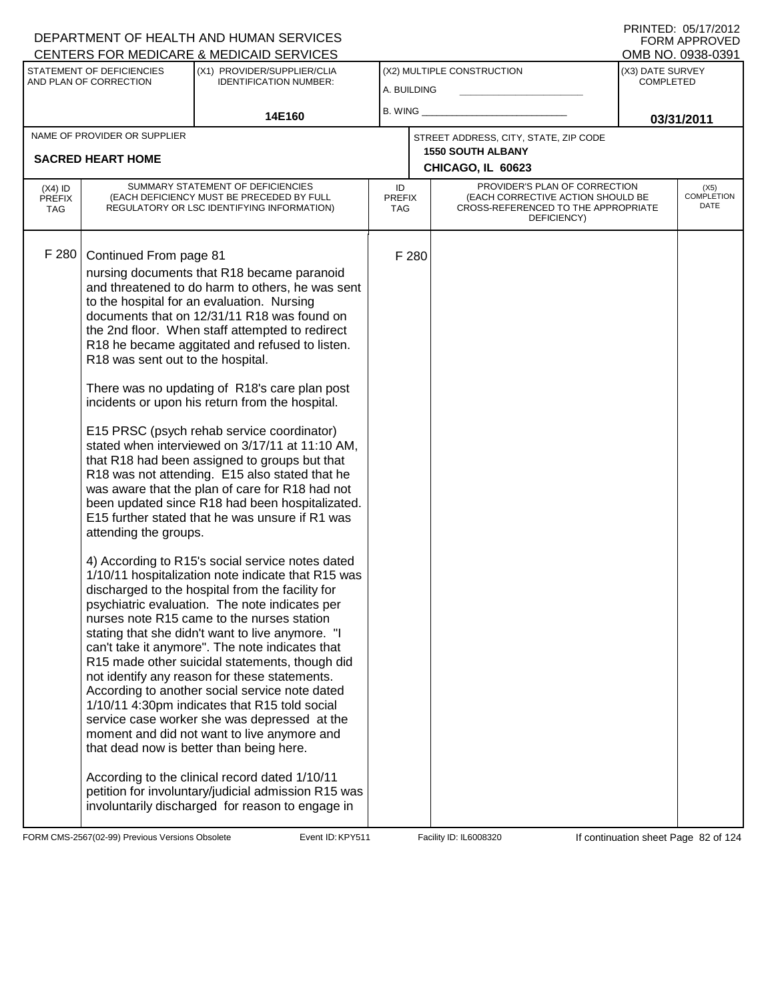|                                          |                                                                                      | <b>CENTERS FOR MEDICARE &amp; MEDICAID SERVICES</b>                                                                                                                                                                                                                                                                                                                                                                                                                                                                                                                                                                                                                                                                                                                                                                                                                                                                                                                                                                                                                                                                                                                                                                                                                                                                                                                                                                                                                                                                                                                                                                                                  |                            |       |                                                                                                                                               |                                      | OMB NO. 0938-0391                 |
|------------------------------------------|--------------------------------------------------------------------------------------|------------------------------------------------------------------------------------------------------------------------------------------------------------------------------------------------------------------------------------------------------------------------------------------------------------------------------------------------------------------------------------------------------------------------------------------------------------------------------------------------------------------------------------------------------------------------------------------------------------------------------------------------------------------------------------------------------------------------------------------------------------------------------------------------------------------------------------------------------------------------------------------------------------------------------------------------------------------------------------------------------------------------------------------------------------------------------------------------------------------------------------------------------------------------------------------------------------------------------------------------------------------------------------------------------------------------------------------------------------------------------------------------------------------------------------------------------------------------------------------------------------------------------------------------------------------------------------------------------------------------------------------------------|----------------------------|-------|-----------------------------------------------------------------------------------------------------------------------------------------------|--------------------------------------|-----------------------------------|
|                                          | STATEMENT OF DEFICIENCIES<br>AND PLAN OF CORRECTION                                  | (X1) PROVIDER/SUPPLIER/CLIA<br><b>IDENTIFICATION NUMBER:</b>                                                                                                                                                                                                                                                                                                                                                                                                                                                                                                                                                                                                                                                                                                                                                                                                                                                                                                                                                                                                                                                                                                                                                                                                                                                                                                                                                                                                                                                                                                                                                                                         | A. BUILDING                |       | (X2) MULTIPLE CONSTRUCTION                                                                                                                    | (X3) DATE SURVEY<br><b>COMPLETED</b> |                                   |
|                                          |                                                                                      | 14E160                                                                                                                                                                                                                                                                                                                                                                                                                                                                                                                                                                                                                                                                                                                                                                                                                                                                                                                                                                                                                                                                                                                                                                                                                                                                                                                                                                                                                                                                                                                                                                                                                                               | $B.$ WING $\_$             |       |                                                                                                                                               |                                      | 03/31/2011                        |
|                                          | NAME OF PROVIDER OR SUPPLIER<br><b>SACRED HEART HOME</b>                             |                                                                                                                                                                                                                                                                                                                                                                                                                                                                                                                                                                                                                                                                                                                                                                                                                                                                                                                                                                                                                                                                                                                                                                                                                                                                                                                                                                                                                                                                                                                                                                                                                                                      |                            |       | STREET ADDRESS, CITY, STATE, ZIP CODE<br><b>1550 SOUTH ALBANY</b>                                                                             |                                      |                                   |
| $(X4)$ ID<br><b>PREFIX</b><br><b>TAG</b> |                                                                                      | SUMMARY STATEMENT OF DEFICIENCIES<br>(EACH DEFICIENCY MUST BE PRECEDED BY FULL<br>REGULATORY OR LSC IDENTIFYING INFORMATION)                                                                                                                                                                                                                                                                                                                                                                                                                                                                                                                                                                                                                                                                                                                                                                                                                                                                                                                                                                                                                                                                                                                                                                                                                                                                                                                                                                                                                                                                                                                         | ID<br><b>PREFIX</b><br>TAG |       | CHICAGO, IL 60623<br>PROVIDER'S PLAN OF CORRECTION<br>(EACH CORRECTIVE ACTION SHOULD BE<br>CROSS-REFERENCED TO THE APPROPRIATE<br>DEFICIENCY) |                                      | (X5)<br><b>COMPLETION</b><br>DATE |
| F 280                                    | Continued From page 81<br>R18 was sent out to the hospital.<br>attending the groups. | nursing documents that R18 became paranoid<br>and threatened to do harm to others, he was sent<br>to the hospital for an evaluation. Nursing<br>documents that on 12/31/11 R18 was found on<br>the 2nd floor. When staff attempted to redirect<br>R18 he became aggitated and refused to listen.<br>There was no updating of R18's care plan post<br>incidents or upon his return from the hospital.<br>E15 PRSC (psych rehab service coordinator)<br>stated when interviewed on 3/17/11 at 11:10 AM,<br>that R18 had been assigned to groups but that<br>R18 was not attending. E15 also stated that he<br>was aware that the plan of care for R18 had not<br>been updated since R18 had been hospitalizated.<br>E15 further stated that he was unsure if R1 was<br>4) According to R15's social service notes dated<br>1/10/11 hospitalization note indicate that R15 was<br>discharged to the hospital from the facility for<br>psychiatric evaluation. The note indicates per<br>nurses note R15 came to the nurses station<br>stating that she didn't want to live anymore. "I<br>can't take it anymore". The note indicates that<br>R15 made other suicidal statements, though did<br>not identify any reason for these statements.<br>According to another social service note dated<br>1/10/11 4:30pm indicates that R15 told social<br>service case worker she was depressed at the<br>moment and did not want to live anymore and<br>that dead now is better than being here.<br>According to the clinical record dated 1/10/11<br>petition for involuntary/judicial admission R15 was<br>involuntarily discharged for reason to engage in |                            | F 280 |                                                                                                                                               |                                      |                                   |

FORM CMS-2567(02-99) Previous Versions Obsolete Event ID: KPY511 Facility ID: IL6008320 If continuation sheet Page 82 of 124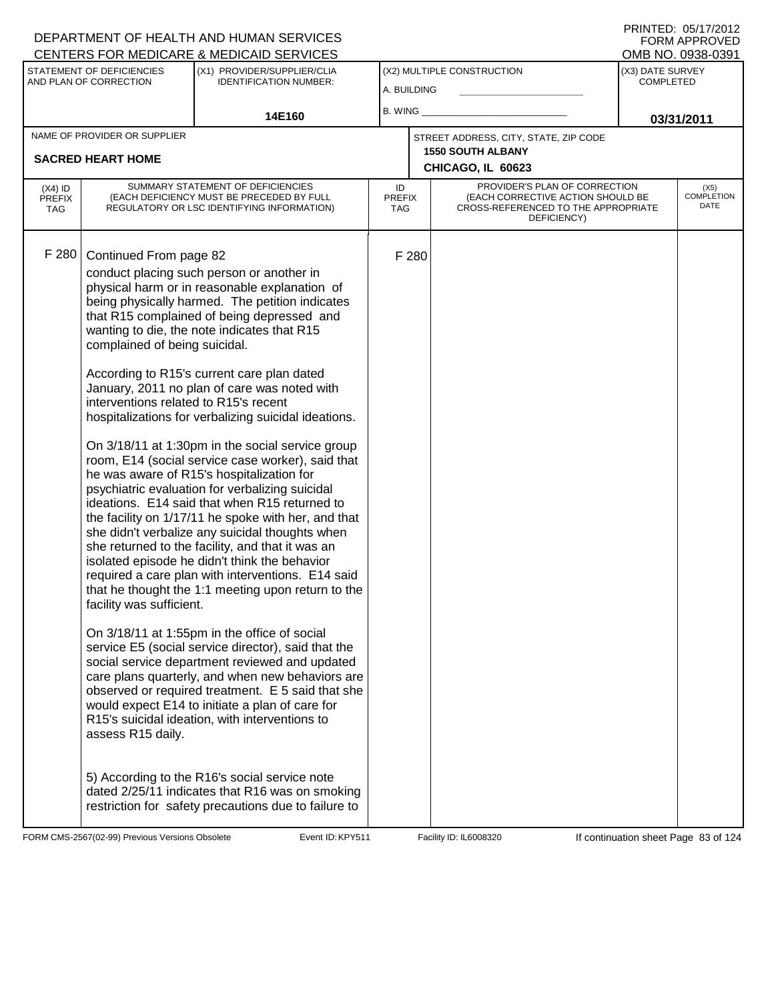|                                          |                                                                                                                                                   | CENTERS FOR MEDICARE & MEDICAID SERVICES                                                                                                                                                                                                                                                                                                                                                                                                                                                                                                                                                                                                                                                                                                                                                                                                                                                                                                                                                                                                                                                                                                                                                                                                                                                                                                                    |                            |       |                                                                                                                          |                                      | OMB NO. 0938-0391                 |
|------------------------------------------|---------------------------------------------------------------------------------------------------------------------------------------------------|-------------------------------------------------------------------------------------------------------------------------------------------------------------------------------------------------------------------------------------------------------------------------------------------------------------------------------------------------------------------------------------------------------------------------------------------------------------------------------------------------------------------------------------------------------------------------------------------------------------------------------------------------------------------------------------------------------------------------------------------------------------------------------------------------------------------------------------------------------------------------------------------------------------------------------------------------------------------------------------------------------------------------------------------------------------------------------------------------------------------------------------------------------------------------------------------------------------------------------------------------------------------------------------------------------------------------------------------------------------|----------------------------|-------|--------------------------------------------------------------------------------------------------------------------------|--------------------------------------|-----------------------------------|
|                                          | STATEMENT OF DEFICIENCIES<br>AND PLAN OF CORRECTION                                                                                               | (X1) PROVIDER/SUPPLIER/CLIA<br><b>IDENTIFICATION NUMBER:</b>                                                                                                                                                                                                                                                                                                                                                                                                                                                                                                                                                                                                                                                                                                                                                                                                                                                                                                                                                                                                                                                                                                                                                                                                                                                                                                | A. BUILDING                |       | (X2) MULTIPLE CONSTRUCTION                                                                                               | (X3) DATE SURVEY<br><b>COMPLETED</b> |                                   |
|                                          |                                                                                                                                                   | 14E160                                                                                                                                                                                                                                                                                                                                                                                                                                                                                                                                                                                                                                                                                                                                                                                                                                                                                                                                                                                                                                                                                                                                                                                                                                                                                                                                                      | $B.$ WING $\_$             |       |                                                                                                                          |                                      | 03/31/2011                        |
|                                          | NAME OF PROVIDER OR SUPPLIER<br><b>SACRED HEART HOME</b>                                                                                          |                                                                                                                                                                                                                                                                                                                                                                                                                                                                                                                                                                                                                                                                                                                                                                                                                                                                                                                                                                                                                                                                                                                                                                                                                                                                                                                                                             |                            |       | STREET ADDRESS, CITY, STATE, ZIP CODE<br><b>1550 SOUTH ALBANY</b><br>CHICAGO, IL 60623                                   |                                      |                                   |
| $(X4)$ ID<br><b>PREFIX</b><br><b>TAG</b> |                                                                                                                                                   | SUMMARY STATEMENT OF DEFICIENCIES<br>(EACH DEFICIENCY MUST BE PRECEDED BY FULL<br>REGULATORY OR LSC IDENTIFYING INFORMATION)                                                                                                                                                                                                                                                                                                                                                                                                                                                                                                                                                                                                                                                                                                                                                                                                                                                                                                                                                                                                                                                                                                                                                                                                                                | ID<br><b>PREFIX</b><br>TAG |       | PROVIDER'S PLAN OF CORRECTION<br>(EACH CORRECTIVE ACTION SHOULD BE<br>CROSS-REFERENCED TO THE APPROPRIATE<br>DEFICIENCY) |                                      | (X5)<br><b>COMPLETION</b><br>DATE |
| F 280                                    | Continued From page 82<br>complained of being suicidal.<br>interventions related to R15's recent<br>facility was sufficient.<br>assess R15 daily. | conduct placing such person or another in<br>physical harm or in reasonable explanation of<br>being physically harmed. The petition indicates<br>that R15 complained of being depressed and<br>wanting to die, the note indicates that R15<br>According to R15's current care plan dated<br>January, 2011 no plan of care was noted with<br>hospitalizations for verbalizing suicidal ideations.<br>On 3/18/11 at 1:30pm in the social service group<br>room, E14 (social service case worker), said that<br>he was aware of R15's hospitalization for<br>psychiatric evaluation for verbalizing suicidal<br>ideations. E14 said that when R15 returned to<br>the facility on 1/17/11 he spoke with her, and that<br>she didn't verbalize any suicidal thoughts when<br>she returned to the facility, and that it was an<br>isolated episode he didn't think the behavior<br>required a care plan with interventions. E14 said<br>that he thought the 1:1 meeting upon return to the<br>On 3/18/11 at 1:55pm in the office of social<br>service E5 (social service director), said that the<br>social service department reviewed and updated<br>care plans quarterly, and when new behaviors are<br>observed or required treatment. E 5 said that she<br>would expect E14 to initiate a plan of care for<br>R15's suicidal ideation, with interventions to |                            | F 280 |                                                                                                                          |                                      |                                   |
|                                          |                                                                                                                                                   | 5) According to the R16's social service note<br>dated 2/25/11 indicates that R16 was on smoking<br>restriction for safety precautions due to failure to                                                                                                                                                                                                                                                                                                                                                                                                                                                                                                                                                                                                                                                                                                                                                                                                                                                                                                                                                                                                                                                                                                                                                                                                    |                            |       |                                                                                                                          |                                      |                                   |

FORM CMS-2567(02-99) Previous Versions Obsolete Event ID: KPY511 Facility ID: IL6008320 If continuation sheet Page 83 of 124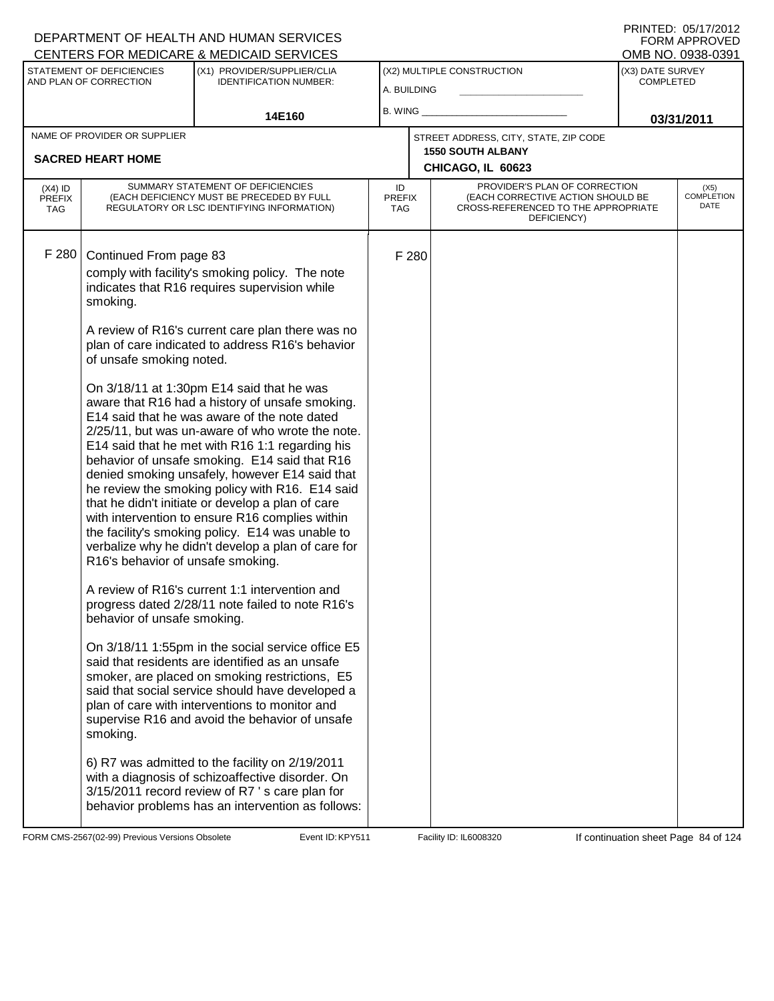PRINTED: 05/17/2012 FORM APPROVED<br>OMB NO. 0938-0391

|                                   |                                                                                                                                                | <u>ULIVILINU I UN MEDIUANE &amp; MEDIUAID ULIVIULU</u>                                                                                                                                                                                                                                                                                                                                                                                                                                                                                                                                                                                                                                                                                                                                                                                                                                                                                                                                                                                                                                                                                                                                                                                                                                                                                                                 |                             |       |                                                                                                                          |                                      | ו טטטט-טטנע וואוט            |
|-----------------------------------|------------------------------------------------------------------------------------------------------------------------------------------------|------------------------------------------------------------------------------------------------------------------------------------------------------------------------------------------------------------------------------------------------------------------------------------------------------------------------------------------------------------------------------------------------------------------------------------------------------------------------------------------------------------------------------------------------------------------------------------------------------------------------------------------------------------------------------------------------------------------------------------------------------------------------------------------------------------------------------------------------------------------------------------------------------------------------------------------------------------------------------------------------------------------------------------------------------------------------------------------------------------------------------------------------------------------------------------------------------------------------------------------------------------------------------------------------------------------------------------------------------------------------|-----------------------------|-------|--------------------------------------------------------------------------------------------------------------------------|--------------------------------------|------------------------------|
|                                   | STATEMENT OF DEFICIENCIES<br>AND PLAN OF CORRECTION                                                                                            | (X1) PROVIDER/SUPPLIER/CLIA<br><b>IDENTIFICATION NUMBER:</b>                                                                                                                                                                                                                                                                                                                                                                                                                                                                                                                                                                                                                                                                                                                                                                                                                                                                                                                                                                                                                                                                                                                                                                                                                                                                                                           | A. BUILDING                 |       | (X2) MULTIPLE CONSTRUCTION                                                                                               | (X3) DATE SURVEY<br><b>COMPLETED</b> |                              |
|                                   |                                                                                                                                                | 14E160                                                                                                                                                                                                                                                                                                                                                                                                                                                                                                                                                                                                                                                                                                                                                                                                                                                                                                                                                                                                                                                                                                                                                                                                                                                                                                                                                                 |                             |       |                                                                                                                          |                                      | 03/31/2011                   |
|                                   | NAME OF PROVIDER OR SUPPLIER<br><b>SACRED HEART HOME</b>                                                                                       |                                                                                                                                                                                                                                                                                                                                                                                                                                                                                                                                                                                                                                                                                                                                                                                                                                                                                                                                                                                                                                                                                                                                                                                                                                                                                                                                                                        |                             |       | STREET ADDRESS, CITY, STATE, ZIP CODE<br><b>1550 SOUTH ALBANY</b><br>CHICAGO, IL 60623                                   |                                      |                              |
| $(X4)$ ID<br><b>PREFIX</b><br>TAG |                                                                                                                                                | SUMMARY STATEMENT OF DEFICIENCIES<br>(EACH DEFICIENCY MUST BE PRECEDED BY FULL<br>REGULATORY OR LSC IDENTIFYING INFORMATION)                                                                                                                                                                                                                                                                                                                                                                                                                                                                                                                                                                                                                                                                                                                                                                                                                                                                                                                                                                                                                                                                                                                                                                                                                                           | ID<br><b>PREFIX</b><br>TAG. |       | PROVIDER'S PLAN OF CORRECTION<br>(EACH CORRECTIVE ACTION SHOULD BE<br>CROSS-REFERENCED TO THE APPROPRIATE<br>DEFICIENCY) |                                      | $(X5)$<br>COMPLETION<br>DATE |
| F 280                             | Continued From page 83<br>smoking.<br>of unsafe smoking noted.<br>R16's behavior of unsafe smoking.<br>behavior of unsafe smoking.<br>smoking. | comply with facility's smoking policy. The note<br>indicates that R16 requires supervision while<br>A review of R16's current care plan there was no<br>plan of care indicated to address R16's behavior<br>On 3/18/11 at 1:30pm E14 said that he was<br>aware that R16 had a history of unsafe smoking.<br>E14 said that he was aware of the note dated<br>2/25/11, but was un-aware of who wrote the note.<br>E14 said that he met with R16 1:1 regarding his<br>behavior of unsafe smoking. E14 said that R16<br>denied smoking unsafely, however E14 said that<br>he review the smoking policy with R16. E14 said<br>that he didn't initiate or develop a plan of care<br>with intervention to ensure R16 complies within<br>the facility's smoking policy. E14 was unable to<br>verbalize why he didn't develop a plan of care for<br>A review of R16's current 1:1 intervention and<br>progress dated 2/28/11 note failed to note R16's<br>On 3/18/11 1:55pm in the social service office E5<br>said that residents are identified as an unsafe<br>smoker, are placed on smoking restrictions, E5<br>said that social service should have developed a<br>plan of care with interventions to monitor and<br>supervise R16 and avoid the behavior of unsafe<br>6) R7 was admitted to the facility on 2/19/2011<br>with a diagnosis of schizoaffective disorder. On |                             | F 280 |                                                                                                                          |                                      |                              |
|                                   |                                                                                                                                                | 3/15/2011 record review of R7 's care plan for<br>behavior problems has an intervention as follows:                                                                                                                                                                                                                                                                                                                                                                                                                                                                                                                                                                                                                                                                                                                                                                                                                                                                                                                                                                                                                                                                                                                                                                                                                                                                    |                             |       |                                                                                                                          |                                      |                              |

FORM CMS-2567(02-99) Previous Versions Obsolete **KRY511** Event ID: KPY511 Facility ID: IL6008320 If continuation sheet Page 84 of 124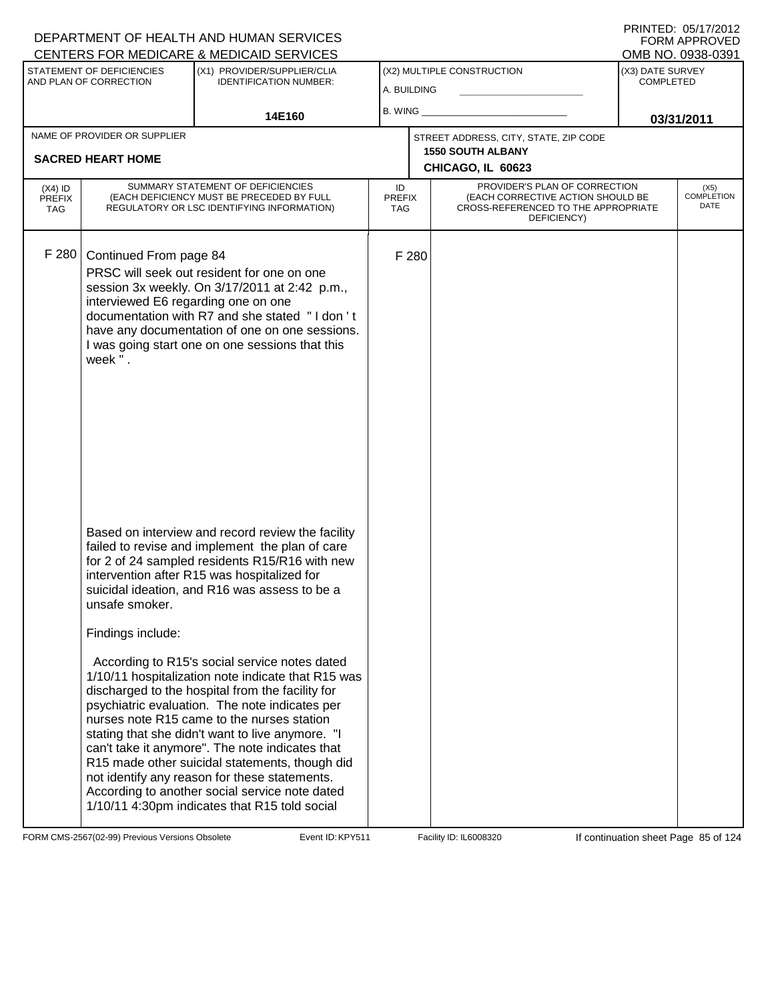|                                          |                                                                         | CENTERS FOR MEDICARE & MEDICAID SERVICES                                                                                                                                                                                                                                                                                                                                                                                                                                                                                                                                                                                                                                                                                                                                                                                       |                                   |       |                                                                                                                          |                                      | OMB NO. 0938-0391            |
|------------------------------------------|-------------------------------------------------------------------------|--------------------------------------------------------------------------------------------------------------------------------------------------------------------------------------------------------------------------------------------------------------------------------------------------------------------------------------------------------------------------------------------------------------------------------------------------------------------------------------------------------------------------------------------------------------------------------------------------------------------------------------------------------------------------------------------------------------------------------------------------------------------------------------------------------------------------------|-----------------------------------|-------|--------------------------------------------------------------------------------------------------------------------------|--------------------------------------|------------------------------|
|                                          | STATEMENT OF DEFICIENCIES<br>AND PLAN OF CORRECTION                     | (X1) PROVIDER/SUPPLIER/CLIA<br><b>IDENTIFICATION NUMBER:</b>                                                                                                                                                                                                                                                                                                                                                                                                                                                                                                                                                                                                                                                                                                                                                                   | A. BUILDING                       |       | (X2) MULTIPLE CONSTRUCTION                                                                                               | (X3) DATE SURVEY<br><b>COMPLETED</b> |                              |
|                                          |                                                                         | 14E160                                                                                                                                                                                                                                                                                                                                                                                                                                                                                                                                                                                                                                                                                                                                                                                                                         | $B.$ WING $\_$                    |       |                                                                                                                          |                                      | 03/31/2011                   |
|                                          | NAME OF PROVIDER OR SUPPLIER<br><b>SACRED HEART HOME</b>                |                                                                                                                                                                                                                                                                                                                                                                                                                                                                                                                                                                                                                                                                                                                                                                                                                                |                                   |       | STREET ADDRESS, CITY, STATE, ZIP CODE<br><b>1550 SOUTH ALBANY</b><br>CHICAGO, IL 60623                                   |                                      |                              |
| $(X4)$ ID<br><b>PREFIX</b><br><b>TAG</b> |                                                                         | SUMMARY STATEMENT OF DEFICIENCIES<br>(EACH DEFICIENCY MUST BE PRECEDED BY FULL<br>REGULATORY OR LSC IDENTIFYING INFORMATION)                                                                                                                                                                                                                                                                                                                                                                                                                                                                                                                                                                                                                                                                                                   | ID<br><b>PREFIX</b><br><b>TAG</b> |       | PROVIDER'S PLAN OF CORRECTION<br>(EACH CORRECTIVE ACTION SHOULD BE<br>CROSS-REFERENCED TO THE APPROPRIATE<br>DEFICIENCY) |                                      | $(X5)$<br>COMPLETION<br>DATE |
| F 280                                    | Continued From page 84<br>interviewed E6 regarding one on one<br>week". | PRSC will seek out resident for one on one<br>session 3x weekly. On 3/17/2011 at 2:42 p.m.,<br>documentation with R7 and she stated "I don't<br>have any documentation of one on one sessions.<br>I was going start one on one sessions that this                                                                                                                                                                                                                                                                                                                                                                                                                                                                                                                                                                              |                                   | F 280 |                                                                                                                          |                                      |                              |
|                                          | unsafe smoker.<br>Findings include:                                     | Based on interview and record review the facility<br>failed to revise and implement the plan of care<br>for 2 of 24 sampled residents R15/R16 with new<br>intervention after R15 was hospitalized for<br>suicidal ideation, and R16 was assess to be a<br>According to R15's social service notes dated<br>1/10/11 hospitalization note indicate that R15 was<br>discharged to the hospital from the facility for<br>psychiatric evaluation. The note indicates per<br>nurses note R15 came to the nurses station<br>stating that she didn't want to live anymore. "I<br>can't take it anymore". The note indicates that<br>R15 made other suicidal statements, though did<br>not identify any reason for these statements.<br>According to another social service note dated<br>1/10/11 4:30pm indicates that R15 told social |                                   |       |                                                                                                                          |                                      |                              |

FORM CMS-2567(02-99) Previous Versions Obsolete Event ID: KPY511 Facility ID: IL6008320 If continuation sheet Page 85 of 124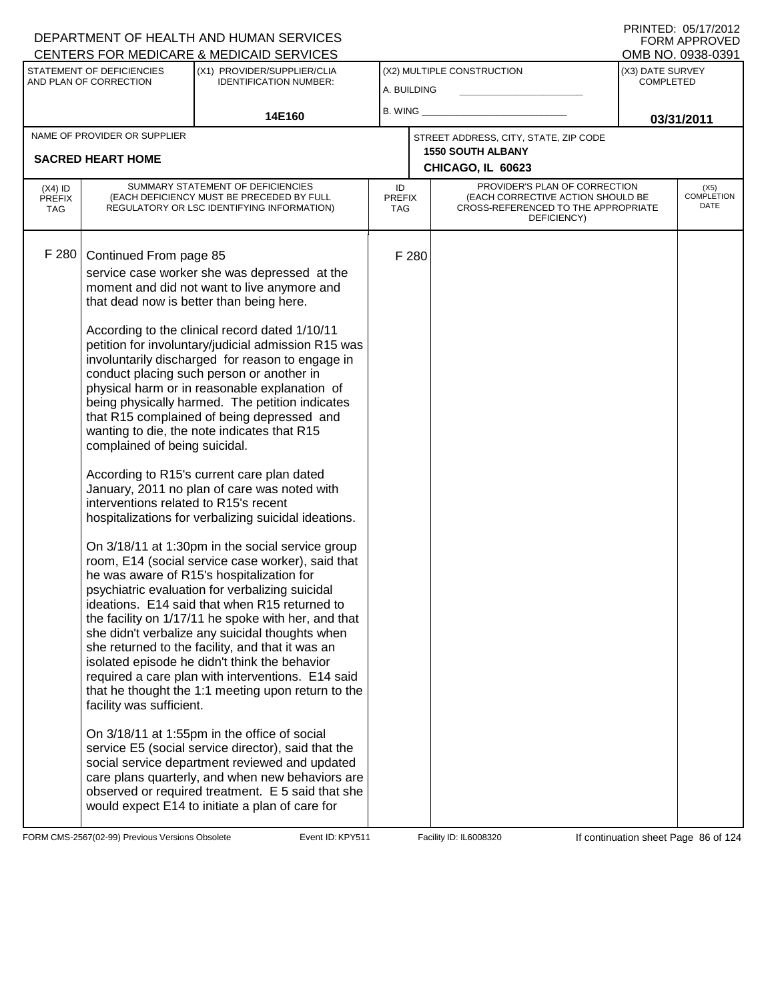|                                          |                                                                                                                              | <u>UENTERS FÜR MEDIUARE &amp; MEDIUAID SERVIUES</u>                                                                                                                                                                                                                                                                                                                                                                                                                                                                                                                                                                                                                                                                                                                                                                                                                                                                                                                                                                                                                                                                                                                                                                                                                                                                                                                                                                                                                                                                                                                                                               |                            |       |                                                                                                                          |                                      | UMB NU. 0938-0391                 |
|------------------------------------------|------------------------------------------------------------------------------------------------------------------------------|-------------------------------------------------------------------------------------------------------------------------------------------------------------------------------------------------------------------------------------------------------------------------------------------------------------------------------------------------------------------------------------------------------------------------------------------------------------------------------------------------------------------------------------------------------------------------------------------------------------------------------------------------------------------------------------------------------------------------------------------------------------------------------------------------------------------------------------------------------------------------------------------------------------------------------------------------------------------------------------------------------------------------------------------------------------------------------------------------------------------------------------------------------------------------------------------------------------------------------------------------------------------------------------------------------------------------------------------------------------------------------------------------------------------------------------------------------------------------------------------------------------------------------------------------------------------------------------------------------------------|----------------------------|-------|--------------------------------------------------------------------------------------------------------------------------|--------------------------------------|-----------------------------------|
|                                          | STATEMENT OF DEFICIENCIES<br>AND PLAN OF CORRECTION                                                                          | (X1) PROVIDER/SUPPLIER/CLIA<br><b>IDENTIFICATION NUMBER:</b>                                                                                                                                                                                                                                                                                                                                                                                                                                                                                                                                                                                                                                                                                                                                                                                                                                                                                                                                                                                                                                                                                                                                                                                                                                                                                                                                                                                                                                                                                                                                                      | A. BUILDING                |       | (X2) MULTIPLE CONSTRUCTION                                                                                               | (X3) DATE SURVEY<br><b>COMPLETED</b> |                                   |
|                                          |                                                                                                                              | 14E160                                                                                                                                                                                                                                                                                                                                                                                                                                                                                                                                                                                                                                                                                                                                                                                                                                                                                                                                                                                                                                                                                                                                                                                                                                                                                                                                                                                                                                                                                                                                                                                                            |                            |       | B. WING _______                                                                                                          | 03/31/2011                           |                                   |
|                                          | NAME OF PROVIDER OR SUPPLIER                                                                                                 |                                                                                                                                                                                                                                                                                                                                                                                                                                                                                                                                                                                                                                                                                                                                                                                                                                                                                                                                                                                                                                                                                                                                                                                                                                                                                                                                                                                                                                                                                                                                                                                                                   |                            |       | STREET ADDRESS, CITY, STATE, ZIP CODE                                                                                    |                                      |                                   |
|                                          | <b>SACRED HEART HOME</b>                                                                                                     |                                                                                                                                                                                                                                                                                                                                                                                                                                                                                                                                                                                                                                                                                                                                                                                                                                                                                                                                                                                                                                                                                                                                                                                                                                                                                                                                                                                                                                                                                                                                                                                                                   |                            |       | <b>1550 SOUTH ALBANY</b><br>CHICAGO, IL 60623                                                                            |                                      |                                   |
| $(X4)$ ID<br><b>PREFIX</b><br><b>TAG</b> |                                                                                                                              | SUMMARY STATEMENT OF DEFICIENCIES<br>(EACH DEFICIENCY MUST BE PRECEDED BY FULL<br>REGULATORY OR LSC IDENTIFYING INFORMATION)                                                                                                                                                                                                                                                                                                                                                                                                                                                                                                                                                                                                                                                                                                                                                                                                                                                                                                                                                                                                                                                                                                                                                                                                                                                                                                                                                                                                                                                                                      | ID<br><b>PREFIX</b><br>TAG |       | PROVIDER'S PLAN OF CORRECTION<br>(EACH CORRECTIVE ACTION SHOULD BE<br>CROSS-REFERENCED TO THE APPROPRIATE<br>DEFICIENCY) |                                      | (X5)<br><b>COMPLETION</b><br>DATE |
| F 280                                    | Continued From page 85<br>complained of being suicidal.<br>interventions related to R15's recent<br>facility was sufficient. | service case worker she was depressed at the<br>moment and did not want to live anymore and<br>that dead now is better than being here.<br>According to the clinical record dated 1/10/11<br>petition for involuntary/judicial admission R15 was<br>involuntarily discharged for reason to engage in<br>conduct placing such person or another in<br>physical harm or in reasonable explanation of<br>being physically harmed. The petition indicates<br>that R15 complained of being depressed and<br>wanting to die, the note indicates that R15<br>According to R15's current care plan dated<br>January, 2011 no plan of care was noted with<br>hospitalizations for verbalizing suicidal ideations.<br>On 3/18/11 at 1:30pm in the social service group<br>room, E14 (social service case worker), said that<br>he was aware of R15's hospitalization for<br>psychiatric evaluation for verbalizing suicidal<br>ideations. E14 said that when R15 returned to<br>the facility on 1/17/11 he spoke with her, and that<br>she didn't verbalize any suicidal thoughts when<br>she returned to the facility, and that it was an<br>isolated episode he didn't think the behavior<br>required a care plan with interventions. E14 said<br>that he thought the 1:1 meeting upon return to the<br>On 3/18/11 at 1:55pm in the office of social<br>service E5 (social service director), said that the<br>social service department reviewed and updated<br>care plans quarterly, and when new behaviors are<br>observed or required treatment. E 5 said that she<br>would expect E14 to initiate a plan of care for |                            | F 280 |                                                                                                                          |                                      |                                   |

FORM CMS-2567(02-99) Previous Versions Obsolete Event ID: KPY511 Facility ID: IL6008320 If continuation sheet Page 86 of 124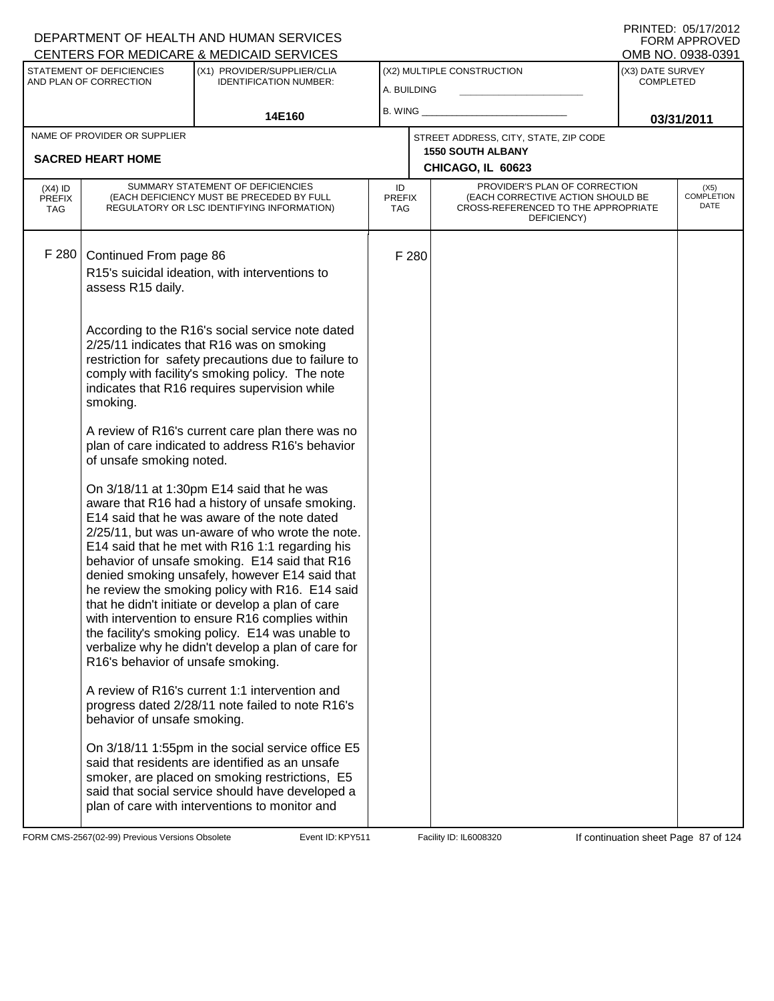|                                          |                                                          | CENTERS FOR MEDICARE & MEDICAID SERVICES                                                                                                                                                                                                                                                                                                                                                                                                                                                                                                                                                                                    |                            |       |                                                                                                                          |                                      | OMB NO. 0938-0391                 |
|------------------------------------------|----------------------------------------------------------|-----------------------------------------------------------------------------------------------------------------------------------------------------------------------------------------------------------------------------------------------------------------------------------------------------------------------------------------------------------------------------------------------------------------------------------------------------------------------------------------------------------------------------------------------------------------------------------------------------------------------------|----------------------------|-------|--------------------------------------------------------------------------------------------------------------------------|--------------------------------------|-----------------------------------|
|                                          | STATEMENT OF DEFICIENCIES<br>AND PLAN OF CORRECTION      | (X1) PROVIDER/SUPPLIER/CLIA<br><b>IDENTIFICATION NUMBER:</b>                                                                                                                                                                                                                                                                                                                                                                                                                                                                                                                                                                | A. BUILDING                |       | (X2) MULTIPLE CONSTRUCTION                                                                                               | (X3) DATE SURVEY<br><b>COMPLETED</b> |                                   |
|                                          |                                                          | 14E160                                                                                                                                                                                                                                                                                                                                                                                                                                                                                                                                                                                                                      | B. WING                    |       |                                                                                                                          |                                      | 03/31/2011                        |
|                                          | NAME OF PROVIDER OR SUPPLIER<br><b>SACRED HEART HOME</b> |                                                                                                                                                                                                                                                                                                                                                                                                                                                                                                                                                                                                                             |                            |       | STREET ADDRESS, CITY, STATE, ZIP CODE<br><b>1550 SOUTH ALBANY</b><br>CHICAGO, IL 60623                                   |                                      |                                   |
| $(X4)$ ID<br><b>PREFIX</b><br><b>TAG</b> |                                                          | SUMMARY STATEMENT OF DEFICIENCIES<br>(EACH DEFICIENCY MUST BE PRECEDED BY FULL<br>REGULATORY OR LSC IDENTIFYING INFORMATION)                                                                                                                                                                                                                                                                                                                                                                                                                                                                                                | ID<br><b>PREFIX</b><br>TAG |       | PROVIDER'S PLAN OF CORRECTION<br>(EACH CORRECTIVE ACTION SHOULD BE<br>CROSS-REFERENCED TO THE APPROPRIATE<br>DEFICIENCY) |                                      | (X5)<br><b>COMPLETION</b><br>DATE |
| F 280                                    | Continued From page 86<br>assess R15 daily.              | R15's suicidal ideation, with interventions to                                                                                                                                                                                                                                                                                                                                                                                                                                                                                                                                                                              |                            | F 280 |                                                                                                                          |                                      |                                   |
|                                          | smoking.                                                 | According to the R16's social service note dated<br>2/25/11 indicates that R16 was on smoking<br>restriction for safety precautions due to failure to<br>comply with facility's smoking policy. The note<br>indicates that R16 requires supervision while                                                                                                                                                                                                                                                                                                                                                                   |                            |       |                                                                                                                          |                                      |                                   |
|                                          | of unsafe smoking noted.                                 | A review of R16's current care plan there was no<br>plan of care indicated to address R16's behavior                                                                                                                                                                                                                                                                                                                                                                                                                                                                                                                        |                            |       |                                                                                                                          |                                      |                                   |
|                                          | R16's behavior of unsafe smoking.                        | On 3/18/11 at 1:30pm E14 said that he was<br>aware that R16 had a history of unsafe smoking.<br>E14 said that he was aware of the note dated<br>2/25/11, but was un-aware of who wrote the note.<br>E14 said that he met with R16 1:1 regarding his<br>behavior of unsafe smoking. E14 said that R16<br>denied smoking unsafely, however E14 said that<br>he review the smoking policy with R16. E14 said<br>that he didn't initiate or develop a plan of care<br>with intervention to ensure R16 complies within<br>the facility's smoking policy. E14 was unable to<br>verbalize why he didn't develop a plan of care for |                            |       |                                                                                                                          |                                      |                                   |
|                                          | behavior of unsafe smoking.                              | A review of R16's current 1:1 intervention and<br>progress dated 2/28/11 note failed to note R16's                                                                                                                                                                                                                                                                                                                                                                                                                                                                                                                          |                            |       |                                                                                                                          |                                      |                                   |
|                                          |                                                          | On 3/18/11 1:55pm in the social service office E5<br>said that residents are identified as an unsafe<br>smoker, are placed on smoking restrictions, E5<br>said that social service should have developed a<br>plan of care with interventions to monitor and                                                                                                                                                                                                                                                                                                                                                                |                            |       |                                                                                                                          |                                      |                                   |

FORM CMS-2567(02-99) Previous Versions Obsolete Event ID: KPY511 Facility ID: IL6008320 If continuation sheet Page 87 of 124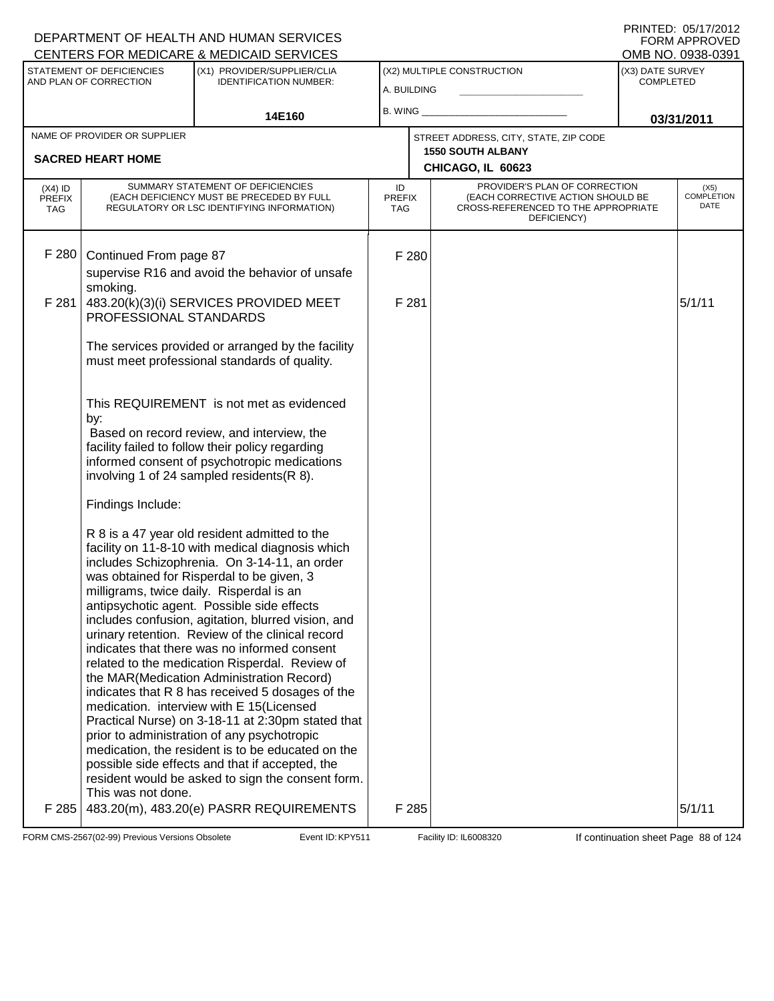#### A. BUILDING (X1) PROVIDER/SUPPLIER/CLIA IDENTIFICATION NUMBER: STATEMENT OF DEFICIENCIES AND PLAN OF CORRECTION (X3) DATE SURVEY COMPLETED FORM APPROVED<br>OMB NO. 0938-0391 (X2) MULTIPLE CONSTRUCTION B. WING **\_\_\_\_\_\_\_\_\_\_\_\_\_\_\_\_\_\_\_\_\_\_** CENTERS FOR MEDICARE & MEDICAID SERVICES 14E160 **B. WING CONSUMING (2011 03/31/2011 CHICAGO, IL 60623** NAME OF PROVIDER OR SUPPLIER STREET ADDRESS, CITY, STATE, ZIP CODE **SACRED HEART HOME 1550 SOUTH ALBANY** PROVIDER'S PLAN OF CORRECTION (EACH CORRECTIVE ACTION SHOULD BE CROSS-REFERENCED TO THE APPROPRIATE DEFICIENCY) (X5) **COMPLETION** DATE ID PREFIX TAG (X4) ID PREFIX TAG SUMMARY STATEMENT OF DEFICIENCIES (EACH DEFICIENCY MUST BE PRECEDED BY FULL REGULATORY OR LSC IDENTIFYING INFORMATION) F 280 Continued From page 87 F 280 supervise R16 and avoid the behavior of unsafe smoking. F 281  $\vert$  483.20(k)(3)(i) SERVICES PROVIDED MEET PROFESSIONAL STANDARDS The services provided or arranged by the facility must meet professional standards of quality. This REQUIREMENT is not met as evidenced by:  $F$  281  $\vert$  5/1/11 Based on record review, and interview, the facility failed to follow their policy regarding informed consent of psychotropic medications involving 1 of 24 sampled residents(R 8). Findings Include: R 8 is a 47 year old resident admitted to the facility on 11-8-10 with medical diagnosis which includes Schizophrenia. On 3-14-11, an order was obtained for Risperdal to be given, 3 milligrams, twice daily. Risperdal is an antipsychotic agent. Possible side effects includes confusion, agitation, blurred vision, and urinary retention. Review of the clinical record indicates that there was no informed consent related to the medication Risperdal. Review of the MAR(Medication Administration Record) indicates that R 8 has received 5 dosages of the medication. interview with E 15(Licensed Practical Nurse) on 3-18-11 at 2:30pm stated that prior to administration of any psychotropic medication, the resident is to be educated on the possible side effects and that if accepted, the resident would be asked to sign the consent form. This was not done.  $F$  285  $\mid$  483.20(m), 483.20(e) PASRR REQUIREMENTS  $\mid$  F 285  $\mid$  5/1/11

FORM CMS-2567(02-99) Previous Versions Obsolete Event ID: KPY511 Facility ID: IL6008320 If continuation sheet Page 88 of 124

DEPARTMENT OF HEALTH AND HUMAN SERVICES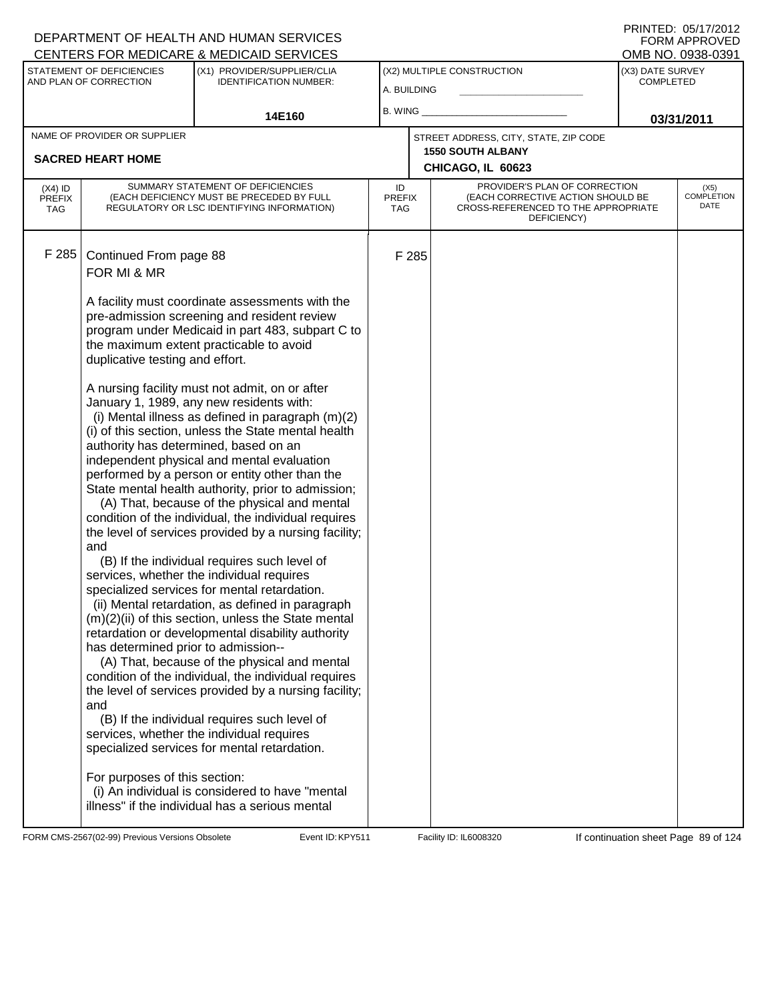| PRINTED: 05/17/2012 |
|---------------------|
| FORM APPROVED       |
| OMB NO. 0938-0391   |

| <b>CENTERS FOR MEDICARE &amp; MEDICAID SERVICES</b> |                                                                                                                     |                                                                                                                                                                                                                                                                                                                                                                                                                                                                                                                                                                                                                         |                            |       |                                                                                                                          |                                      | OMB NO. 0938-0391                 |
|-----------------------------------------------------|---------------------------------------------------------------------------------------------------------------------|-------------------------------------------------------------------------------------------------------------------------------------------------------------------------------------------------------------------------------------------------------------------------------------------------------------------------------------------------------------------------------------------------------------------------------------------------------------------------------------------------------------------------------------------------------------------------------------------------------------------------|----------------------------|-------|--------------------------------------------------------------------------------------------------------------------------|--------------------------------------|-----------------------------------|
|                                                     | STATEMENT OF DEFICIENCIES<br>(X1) PROVIDER/SUPPLIER/CLIA<br>AND PLAN OF CORRECTION<br><b>IDENTIFICATION NUMBER:</b> |                                                                                                                                                                                                                                                                                                                                                                                                                                                                                                                                                                                                                         | A. BUILDING                |       | (X2) MULTIPLE CONSTRUCTION                                                                                               | (X3) DATE SURVEY<br><b>COMPLETED</b> |                                   |
|                                                     |                                                                                                                     | 14E160                                                                                                                                                                                                                                                                                                                                                                                                                                                                                                                                                                                                                  | B. WING                    |       |                                                                                                                          | 03/31/2011                           |                                   |
|                                                     | NAME OF PROVIDER OR SUPPLIER                                                                                        |                                                                                                                                                                                                                                                                                                                                                                                                                                                                                                                                                                                                                         |                            |       | STREET ADDRESS, CITY, STATE, ZIP CODE                                                                                    |                                      |                                   |
|                                                     | <b>SACRED HEART HOME</b>                                                                                            |                                                                                                                                                                                                                                                                                                                                                                                                                                                                                                                                                                                                                         |                            |       | <b>1550 SOUTH ALBANY</b>                                                                                                 |                                      |                                   |
|                                                     |                                                                                                                     |                                                                                                                                                                                                                                                                                                                                                                                                                                                                                                                                                                                                                         |                            |       | CHICAGO, IL 60623                                                                                                        |                                      |                                   |
| $(X4)$ ID<br><b>PREFIX</b><br><b>TAG</b>            |                                                                                                                     | SUMMARY STATEMENT OF DEFICIENCIES<br>(EACH DEFICIENCY MUST BE PRECEDED BY FULL<br>REGULATORY OR LSC IDENTIFYING INFORMATION)                                                                                                                                                                                                                                                                                                                                                                                                                                                                                            | ID<br><b>PREFIX</b><br>TAG |       | PROVIDER'S PLAN OF CORRECTION<br>(EACH CORRECTIVE ACTION SHOULD BE<br>CROSS-REFERENCED TO THE APPROPRIATE<br>DEFICIENCY) |                                      | (X5)<br><b>COMPLETION</b><br>DATE |
| F 285                                               | Continued From page 88<br>FOR MI & MR                                                                               | A facility must coordinate assessments with the<br>pre-admission screening and resident review                                                                                                                                                                                                                                                                                                                                                                                                                                                                                                                          |                            | F 285 |                                                                                                                          |                                      |                                   |
|                                                     | duplicative testing and effort.                                                                                     | program under Medicaid in part 483, subpart C to<br>the maximum extent practicable to avoid                                                                                                                                                                                                                                                                                                                                                                                                                                                                                                                             |                            |       |                                                                                                                          |                                      |                                   |
|                                                     | and                                                                                                                 | A nursing facility must not admit, on or after<br>January 1, 1989, any new residents with:<br>(i) Mental illness as defined in paragraph $(m)(2)$<br>(i) of this section, unless the State mental health<br>authority has determined, based on an<br>independent physical and mental evaluation<br>performed by a person or entity other than the<br>State mental health authority, prior to admission;<br>(A) That, because of the physical and mental<br>condition of the individual, the individual requires<br>the level of services provided by a nursing facility;                                                |                            |       |                                                                                                                          |                                      |                                   |
|                                                     | has determined prior to admission--<br>and                                                                          | (B) If the individual requires such level of<br>services, whether the individual requires<br>specialized services for mental retardation.<br>(ii) Mental retardation, as defined in paragraph<br>(m)(2)(ii) of this section, unless the State mental<br>retardation or developmental disability authority<br>(A) That, because of the physical and mental<br>condition of the individual, the individual requires<br>the level of services provided by a nursing facility;<br>(B) If the individual requires such level of<br>services, whether the individual requires<br>specialized services for mental retardation. |                            |       |                                                                                                                          |                                      |                                   |
|                                                     | For purposes of this section:                                                                                       | (i) An individual is considered to have "mental<br>illness" if the individual has a serious mental                                                                                                                                                                                                                                                                                                                                                                                                                                                                                                                      |                            |       |                                                                                                                          |                                      |                                   |

FORM CMS-2567(02-99) Previous Versions Obsolete KREYS11 Event ID: KPY511 Facility ID: IL6008320 If continuation sheet Page 89 of 124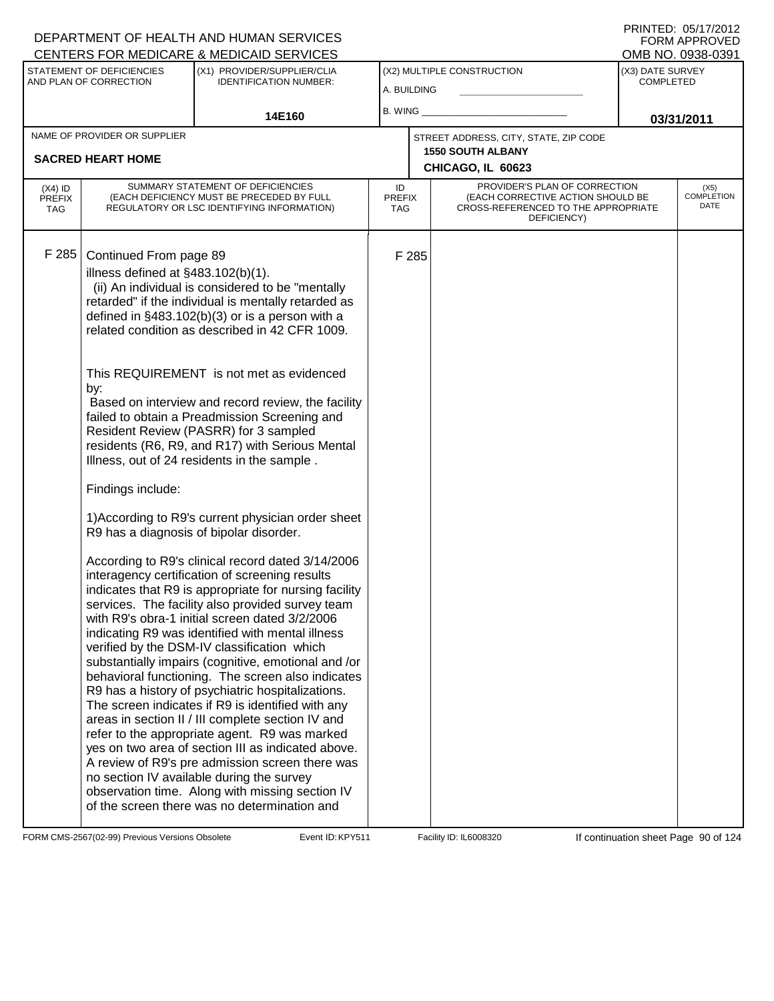| (X3) DATE SURVEY<br>STATEMENT OF DEFICIENCIES<br>(X1) PROVIDER/SUPPLIER/CLIA<br>(X2) MULTIPLE CONSTRUCTION<br>AND PLAN OF CORRECTION<br><b>IDENTIFICATION NUMBER:</b><br><b>COMPLETED</b><br>A. BUILDING<br><b>B. WING</b><br>14E160<br>03/31/2011<br>NAME OF PROVIDER OR SUPPLIER                                                                                                                                                                                                                                                                                                                                                                                                                                                                                                                                                                                                                                                                                                                                                                                                                                                                                                                                                                                                                                                                                                                                                                                                                                                                                                                                                                                                           | CENTERS FOR MEDICARE & MEDICAID SERVICES |  |  |  |                                       |  | OMB NO. 0938-0391                 |
|----------------------------------------------------------------------------------------------------------------------------------------------------------------------------------------------------------------------------------------------------------------------------------------------------------------------------------------------------------------------------------------------------------------------------------------------------------------------------------------------------------------------------------------------------------------------------------------------------------------------------------------------------------------------------------------------------------------------------------------------------------------------------------------------------------------------------------------------------------------------------------------------------------------------------------------------------------------------------------------------------------------------------------------------------------------------------------------------------------------------------------------------------------------------------------------------------------------------------------------------------------------------------------------------------------------------------------------------------------------------------------------------------------------------------------------------------------------------------------------------------------------------------------------------------------------------------------------------------------------------------------------------------------------------------------------------|------------------------------------------|--|--|--|---------------------------------------|--|-----------------------------------|
|                                                                                                                                                                                                                                                                                                                                                                                                                                                                                                                                                                                                                                                                                                                                                                                                                                                                                                                                                                                                                                                                                                                                                                                                                                                                                                                                                                                                                                                                                                                                                                                                                                                                                              |                                          |  |  |  |                                       |  |                                   |
|                                                                                                                                                                                                                                                                                                                                                                                                                                                                                                                                                                                                                                                                                                                                                                                                                                                                                                                                                                                                                                                                                                                                                                                                                                                                                                                                                                                                                                                                                                                                                                                                                                                                                              |                                          |  |  |  |                                       |  |                                   |
|                                                                                                                                                                                                                                                                                                                                                                                                                                                                                                                                                                                                                                                                                                                                                                                                                                                                                                                                                                                                                                                                                                                                                                                                                                                                                                                                                                                                                                                                                                                                                                                                                                                                                              |                                          |  |  |  | STREET ADDRESS, CITY, STATE, ZIP CODE |  |                                   |
| <b>1550 SOUTH ALBANY</b><br><b>SACRED HEART HOME</b><br>CHICAGO, IL 60623                                                                                                                                                                                                                                                                                                                                                                                                                                                                                                                                                                                                                                                                                                                                                                                                                                                                                                                                                                                                                                                                                                                                                                                                                                                                                                                                                                                                                                                                                                                                                                                                                    |                                          |  |  |  |                                       |  |                                   |
| SUMMARY STATEMENT OF DEFICIENCIES<br>PROVIDER'S PLAN OF CORRECTION<br>ID<br>$(X4)$ ID<br>(EACH CORRECTIVE ACTION SHOULD BE<br>(EACH DEFICIENCY MUST BE PRECEDED BY FULL<br><b>PREFIX</b><br><b>PREFIX</b><br>REGULATORY OR LSC IDENTIFYING INFORMATION)<br>CROSS-REFERENCED TO THE APPROPRIATE<br><b>TAG</b><br><b>TAG</b><br>DEFICIENCY)                                                                                                                                                                                                                                                                                                                                                                                                                                                                                                                                                                                                                                                                                                                                                                                                                                                                                                                                                                                                                                                                                                                                                                                                                                                                                                                                                    |                                          |  |  |  |                                       |  | (X5)<br><b>COMPLETION</b><br>DATE |
| F 285<br>Continued From page 89<br>F 285<br>illness defined at $§483.102(b)(1)$ .<br>(ii) An individual is considered to be "mentally<br>retarded" if the individual is mentally retarded as<br>defined in $§483.102(b)(3)$ or is a person with a<br>related condition as described in 42 CFR 1009.<br>This REQUIREMENT is not met as evidenced<br>by:<br>Based on interview and record review, the facility<br>failed to obtain a Preadmission Screening and<br>Resident Review (PASRR) for 3 sampled<br>residents (R6, R9, and R17) with Serious Mental<br>Illness, out of 24 residents in the sample.<br>Findings include:<br>1) According to R9's current physician order sheet<br>R9 has a diagnosis of bipolar disorder.<br>According to R9's clinical record dated 3/14/2006<br>interagency certification of screening results<br>indicates that R9 is appropriate for nursing facility<br>services. The facility also provided survey team<br>with R9's obra-1 initial screen dated 3/2/2006<br>indicating R9 was identified with mental illness<br>verified by the DSM-IV classification which<br>substantially impairs (cognitive, emotional and /or<br>behavioral functioning. The screen also indicates<br>R9 has a history of psychiatric hospitalizations.<br>The screen indicates if R9 is identified with any<br>areas in section II / III complete section IV and<br>refer to the appropriate agent. R9 was marked<br>yes on two area of section III as indicated above.<br>A review of R9's pre admission screen there was<br>no section IV available during the survey<br>observation time. Along with missing section IV<br>of the screen there was no determination and |                                          |  |  |  |                                       |  |                                   |

FORM CMS-2567(02-99) Previous Versions Obsolete Event ID: KPY511 Facility ID: IL6008320 If continuation sheet Page 90 of 124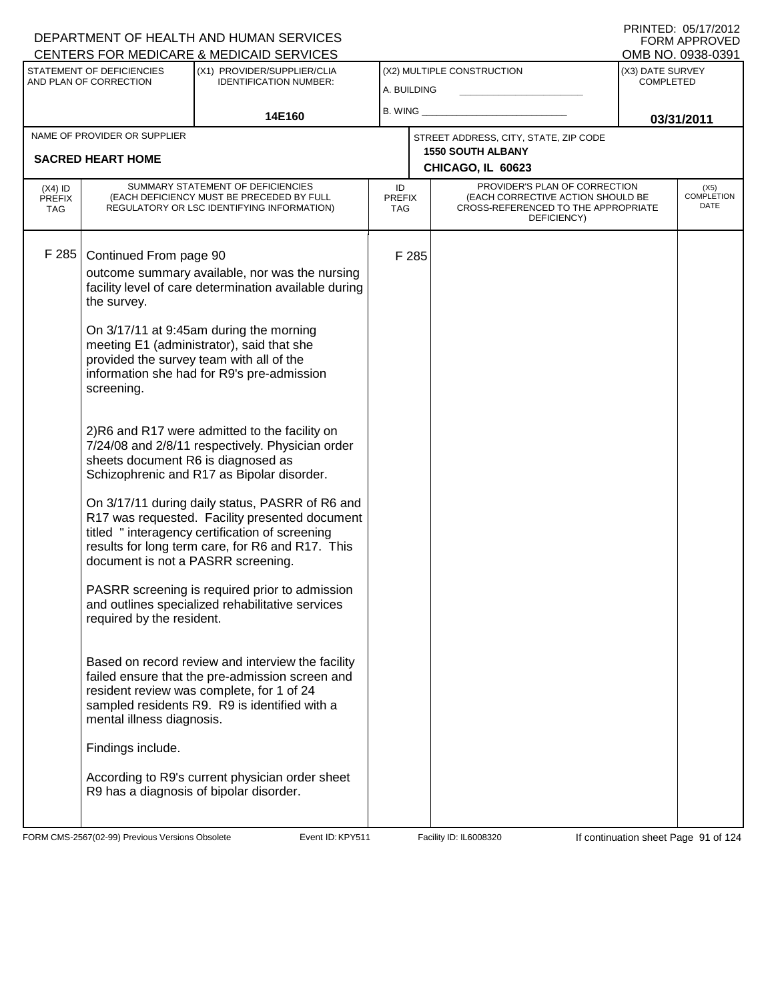| CENTERS FOR MEDICARE & MEDICAID SERVICES |                                    |                                                                                                                                                                                                         |                                   |       |                                                                                                                          |                  | OMB NO. 0938-0391            |
|------------------------------------------|------------------------------------|---------------------------------------------------------------------------------------------------------------------------------------------------------------------------------------------------------|-----------------------------------|-------|--------------------------------------------------------------------------------------------------------------------------|------------------|------------------------------|
|                                          | STATEMENT OF DEFICIENCIES          | (X1) PROVIDER/SUPPLIER/CLIA                                                                                                                                                                             |                                   |       | (X2) MULTIPLE CONSTRUCTION                                                                                               | (X3) DATE SURVEY |                              |
|                                          | AND PLAN OF CORRECTION             | <b>IDENTIFICATION NUMBER:</b>                                                                                                                                                                           | A. BUILDING                       |       |                                                                                                                          | <b>COMPLETED</b> |                              |
|                                          |                                    |                                                                                                                                                                                                         | B. WING                           |       |                                                                                                                          |                  |                              |
|                                          |                                    | 14E160                                                                                                                                                                                                  |                                   |       |                                                                                                                          |                  | 03/31/2011                   |
|                                          | NAME OF PROVIDER OR SUPPLIER       |                                                                                                                                                                                                         |                                   |       | STREET ADDRESS, CITY, STATE, ZIP CODE                                                                                    |                  |                              |
|                                          | <b>SACRED HEART HOME</b>           |                                                                                                                                                                                                         |                                   |       | <b>1550 SOUTH ALBANY</b>                                                                                                 |                  |                              |
|                                          |                                    |                                                                                                                                                                                                         |                                   |       | CHICAGO, IL 60623                                                                                                        |                  |                              |
| $(X4)$ ID<br>PREFIX<br>TAG               |                                    | SUMMARY STATEMENT OF DEFICIENCIES<br>(EACH DEFICIENCY MUST BE PRECEDED BY FULL<br>REGULATORY OR LSC IDENTIFYING INFORMATION)                                                                            | ID<br><b>PREFIX</b><br><b>TAG</b> |       | PROVIDER'S PLAN OF CORRECTION<br>(EACH CORRECTIVE ACTION SHOULD BE<br>CROSS-REFERENCED TO THE APPROPRIATE<br>DEFICIENCY) |                  | $(X5)$<br>COMPLETION<br>DATE |
| F 285                                    | Continued From page 90             |                                                                                                                                                                                                         |                                   | F 285 |                                                                                                                          |                  |                              |
|                                          |                                    | outcome summary available, nor was the nursing                                                                                                                                                          |                                   |       |                                                                                                                          |                  |                              |
|                                          |                                    | facility level of care determination available during                                                                                                                                                   |                                   |       |                                                                                                                          |                  |                              |
|                                          | the survey.                        |                                                                                                                                                                                                         |                                   |       |                                                                                                                          |                  |                              |
|                                          |                                    | On 3/17/11 at 9:45am during the morning                                                                                                                                                                 |                                   |       |                                                                                                                          |                  |                              |
|                                          |                                    | meeting E1 (administrator), said that she                                                                                                                                                               |                                   |       |                                                                                                                          |                  |                              |
|                                          |                                    | provided the survey team with all of the<br>information she had for R9's pre-admission                                                                                                                  |                                   |       |                                                                                                                          |                  |                              |
|                                          | screening.                         |                                                                                                                                                                                                         |                                   |       |                                                                                                                          |                  |                              |
|                                          |                                    |                                                                                                                                                                                                         |                                   |       |                                                                                                                          |                  |                              |
|                                          |                                    | 2)R6 and R17 were admitted to the facility on<br>7/24/08 and 2/8/11 respectively. Physician order                                                                                                       |                                   |       |                                                                                                                          |                  |                              |
|                                          | sheets document R6 is diagnosed as | Schizophrenic and R17 as Bipolar disorder.                                                                                                                                                              |                                   |       |                                                                                                                          |                  |                              |
|                                          |                                    | On 3/17/11 during daily status, PASRR of R6 and<br>R17 was requested. Facility presented document<br>titled "interagency certification of screening<br>results for long term care, for R6 and R17. This |                                   |       |                                                                                                                          |                  |                              |
|                                          | document is not a PASRR screening. |                                                                                                                                                                                                         |                                   |       |                                                                                                                          |                  |                              |
|                                          | required by the resident.          | PASRR screening is required prior to admission<br>and outlines specialized rehabilitative services                                                                                                      |                                   |       |                                                                                                                          |                  |                              |
|                                          | mental illness diagnosis.          | Based on record review and interview the facility<br>failed ensure that the pre-admission screen and<br>resident review was complete, for 1 of 24<br>sampled residents R9. R9 is identified with a      |                                   |       |                                                                                                                          |                  |                              |
|                                          | Findings include.                  |                                                                                                                                                                                                         |                                   |       |                                                                                                                          |                  |                              |
|                                          |                                    | According to R9's current physician order sheet<br>R9 has a diagnosis of bipolar disorder.                                                                                                              |                                   |       |                                                                                                                          |                  |                              |

FORM CMS-2567(02-99) Previous Versions Obsolete Event ID: KPY511 Facility ID: IL6008320 If continuation sheet Page 91 of 124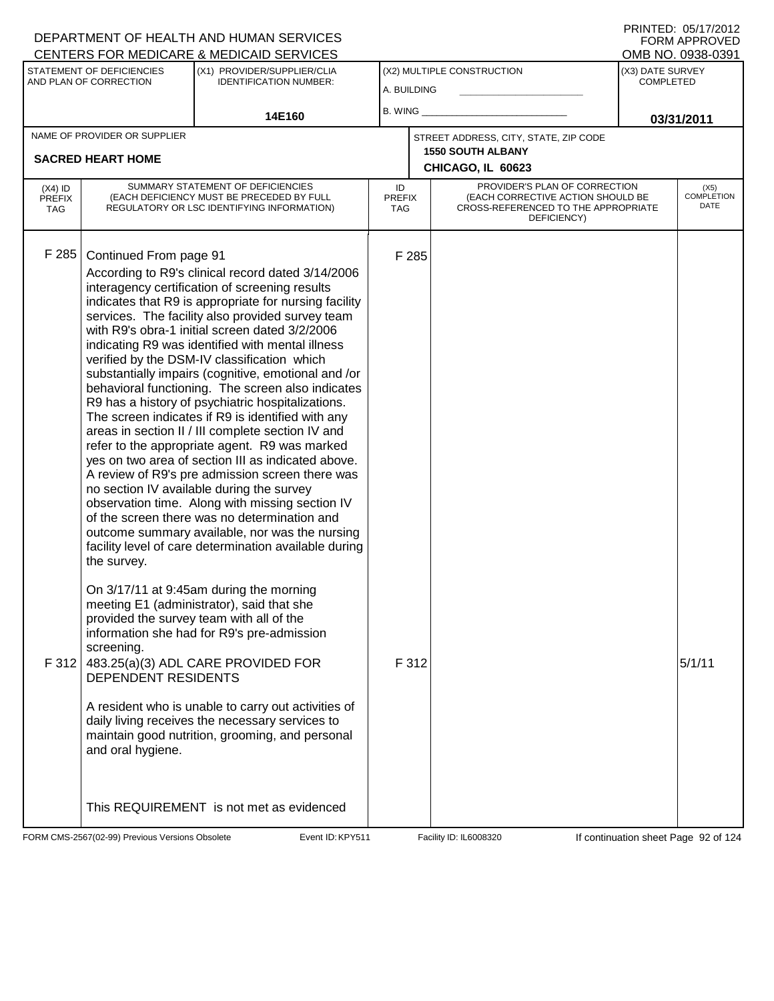|                                          |                                                                                                 | CENTERS FOR MEDICARE & MEDICAID SERVICES                                                                                                                                                                                                                                                                                                                                                                                                                                                                                                                                                                                                                                                                                                                                                                                                                                                                                                                                                                                                                                                                                                                                                                                                                                                                                                                                                                                                                   |                            |                |                                                                                                                          |                                      | OMB NO. 0938-0391                 |
|------------------------------------------|-------------------------------------------------------------------------------------------------|------------------------------------------------------------------------------------------------------------------------------------------------------------------------------------------------------------------------------------------------------------------------------------------------------------------------------------------------------------------------------------------------------------------------------------------------------------------------------------------------------------------------------------------------------------------------------------------------------------------------------------------------------------------------------------------------------------------------------------------------------------------------------------------------------------------------------------------------------------------------------------------------------------------------------------------------------------------------------------------------------------------------------------------------------------------------------------------------------------------------------------------------------------------------------------------------------------------------------------------------------------------------------------------------------------------------------------------------------------------------------------------------------------------------------------------------------------|----------------------------|----------------|--------------------------------------------------------------------------------------------------------------------------|--------------------------------------|-----------------------------------|
|                                          | STATEMENT OF DEFICIENCIES<br>AND PLAN OF CORRECTION                                             | (X1) PROVIDER/SUPPLIER/CLIA<br><b>IDENTIFICATION NUMBER:</b>                                                                                                                                                                                                                                                                                                                                                                                                                                                                                                                                                                                                                                                                                                                                                                                                                                                                                                                                                                                                                                                                                                                                                                                                                                                                                                                                                                                               | A. BUILDING                |                | (X2) MULTIPLE CONSTRUCTION                                                                                               | (X3) DATE SURVEY<br><b>COMPLETED</b> |                                   |
|                                          |                                                                                                 |                                                                                                                                                                                                                                                                                                                                                                                                                                                                                                                                                                                                                                                                                                                                                                                                                                                                                                                                                                                                                                                                                                                                                                                                                                                                                                                                                                                                                                                            |                            |                |                                                                                                                          |                                      |                                   |
|                                          |                                                                                                 | 14E160                                                                                                                                                                                                                                                                                                                                                                                                                                                                                                                                                                                                                                                                                                                                                                                                                                                                                                                                                                                                                                                                                                                                                                                                                                                                                                                                                                                                                                                     | B. WING                    |                |                                                                                                                          |                                      | 03/31/2011                        |
|                                          | NAME OF PROVIDER OR SUPPLIER                                                                    |                                                                                                                                                                                                                                                                                                                                                                                                                                                                                                                                                                                                                                                                                                                                                                                                                                                                                                                                                                                                                                                                                                                                                                                                                                                                                                                                                                                                                                                            |                            |                | STREET ADDRESS, CITY, STATE, ZIP CODE                                                                                    |                                      |                                   |
|                                          | <b>SACRED HEART HOME</b>                                                                        |                                                                                                                                                                                                                                                                                                                                                                                                                                                                                                                                                                                                                                                                                                                                                                                                                                                                                                                                                                                                                                                                                                                                                                                                                                                                                                                                                                                                                                                            |                            |                | <b>1550 SOUTH ALBANY</b><br>CHICAGO, IL 60623                                                                            |                                      |                                   |
| $(X4)$ ID<br><b>PREFIX</b><br><b>TAG</b> |                                                                                                 | SUMMARY STATEMENT OF DEFICIENCIES<br>(EACH DEFICIENCY MUST BE PRECEDED BY FULL<br>REGULATORY OR LSC IDENTIFYING INFORMATION)                                                                                                                                                                                                                                                                                                                                                                                                                                                                                                                                                                                                                                                                                                                                                                                                                                                                                                                                                                                                                                                                                                                                                                                                                                                                                                                               | ID<br><b>PREFIX</b><br>TAG |                | PROVIDER'S PLAN OF CORRECTION<br>(EACH CORRECTIVE ACTION SHOULD BE<br>CROSS-REFERENCED TO THE APPROPRIATE<br>DEFICIENCY) |                                      | (X5)<br><b>COMPLETION</b><br>DATE |
| F 285<br>F 312                           | Continued From page 91<br>the survey.<br>screening.<br>DEPENDENT RESIDENTS<br>and oral hygiene. | According to R9's clinical record dated 3/14/2006<br>interagency certification of screening results<br>indicates that R9 is appropriate for nursing facility<br>services. The facility also provided survey team<br>with R9's obra-1 initial screen dated 3/2/2006<br>indicating R9 was identified with mental illness<br>verified by the DSM-IV classification which<br>substantially impairs (cognitive, emotional and /or<br>behavioral functioning. The screen also indicates<br>R9 has a history of psychiatric hospitalizations.<br>The screen indicates if R9 is identified with any<br>areas in section II / III complete section IV and<br>refer to the appropriate agent. R9 was marked<br>yes on two area of section III as indicated above.<br>A review of R9's pre admission screen there was<br>no section IV available during the survey<br>observation time. Along with missing section IV<br>of the screen there was no determination and<br>outcome summary available, nor was the nursing<br>facility level of care determination available during<br>On 3/17/11 at 9:45am during the morning<br>meeting E1 (administrator), said that she<br>provided the survey team with all of the<br>information she had for R9's pre-admission<br>483.25(a)(3) ADL CARE PROVIDED FOR<br>A resident who is unable to carry out activities of<br>daily living receives the necessary services to<br>maintain good nutrition, grooming, and personal |                            | F 285<br>F 312 |                                                                                                                          |                                      | 5/1/11                            |
|                                          |                                                                                                 | This REQUIREMENT is not met as evidenced                                                                                                                                                                                                                                                                                                                                                                                                                                                                                                                                                                                                                                                                                                                                                                                                                                                                                                                                                                                                                                                                                                                                                                                                                                                                                                                                                                                                                   |                            |                |                                                                                                                          |                                      |                                   |

FORM CMS-2567(02-99) Previous Versions Obsolete Event ID: KPY511 Facility ID: IL6008320 If continuation sheet Page 92 of 124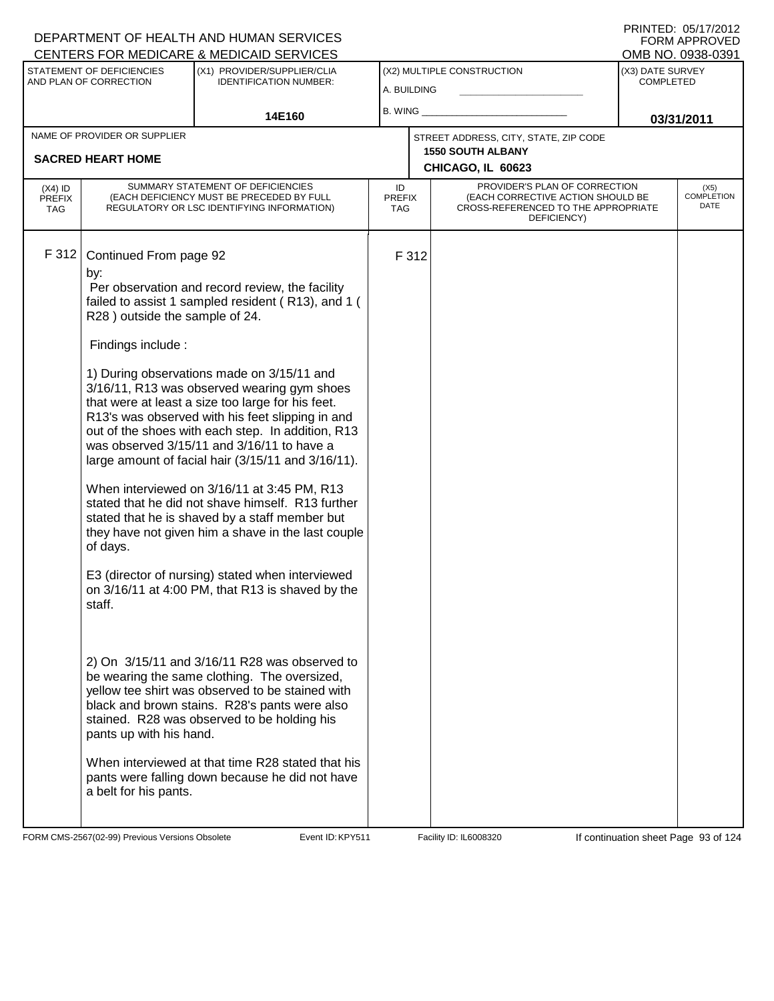#### A. BUILDING (X1) PROVIDER/SUPPLIER/CLIA IDENTIFICATION NUMBER: STATEMENT OF DEFICIENCIES AND PLAN OF CORRECTION (X3) DATE SURVEY COMPLETED FORM APPROVED<br>OMB NO. 0938-0391 (X2) MULTIPLE CONSTRUCTION B. WING **\_\_\_\_\_\_\_\_\_\_\_\_\_\_\_\_\_\_\_\_\_\_** CENTERS FOR MEDICARE & MEDICAID SERVICES 14E160 **B. WING CONSUMING (2011 03/31/2011 CHICAGO, IL 60623** NAME OF PROVIDER OR SUPPLIER STREET ADDRESS, CITY, STATE, ZIP CODE **SACRED HEART HOME 1550 SOUTH ALBANY** PROVIDER'S PLAN OF CORRECTION (EACH CORRECTIVE ACTION SHOULD BE CROSS-REFERENCED TO THE APPROPRIATE DEFICIENCY) (X5) COMPLETION DATE ID PREFIX TAG (X4) ID PREFIX TAG SUMMARY STATEMENT OF DEFICIENCIES (EACH DEFICIENCY MUST BE PRECEDED BY FULL REGULATORY OR LSC IDENTIFYING INFORMATION) F 312 Continued From page 92 F 312 by: Per observation and record review, the facility failed to assist 1 sampled resident ( R13), and 1 ( R28 ) outside the sample of 24. Findings include : 1) During observations made on 3/15/11 and 3/16/11, R13 was observed wearing gym shoes that were at least a size too large for his feet. R13's was observed with his feet slipping in and out of the shoes with each step. In addition, R13 was observed 3/15/11 and 3/16/11 to have a large amount of facial hair (3/15/11 and 3/16/11). When interviewed on 3/16/11 at 3:45 PM, R13 stated that he did not shave himself. R13 further stated that he is shaved by a staff member but they have not given him a shave in the last couple of days. E3 (director of nursing) stated when interviewed on 3/16/11 at 4:00 PM, that R13 is shaved by the staff. 2) On 3/15/11 and 3/16/11 R28 was observed to be wearing the same clothing. The oversized, yellow tee shirt was observed to be stained with black and brown stains. R28's pants were also stained. R28 was observed to be holding his pants up with his hand. When interviewed at that time R28 stated that his pants were falling down because he did not have a belt for his pants.

FORM CMS-2567(02-99) Previous Versions Obsolete **KRYS11** Event ID: KPY511 Facility ID: IL6008320 If continuation sheet Page 93 of 124

DEPARTMENT OF HEALTH AND HUMAN SERVICES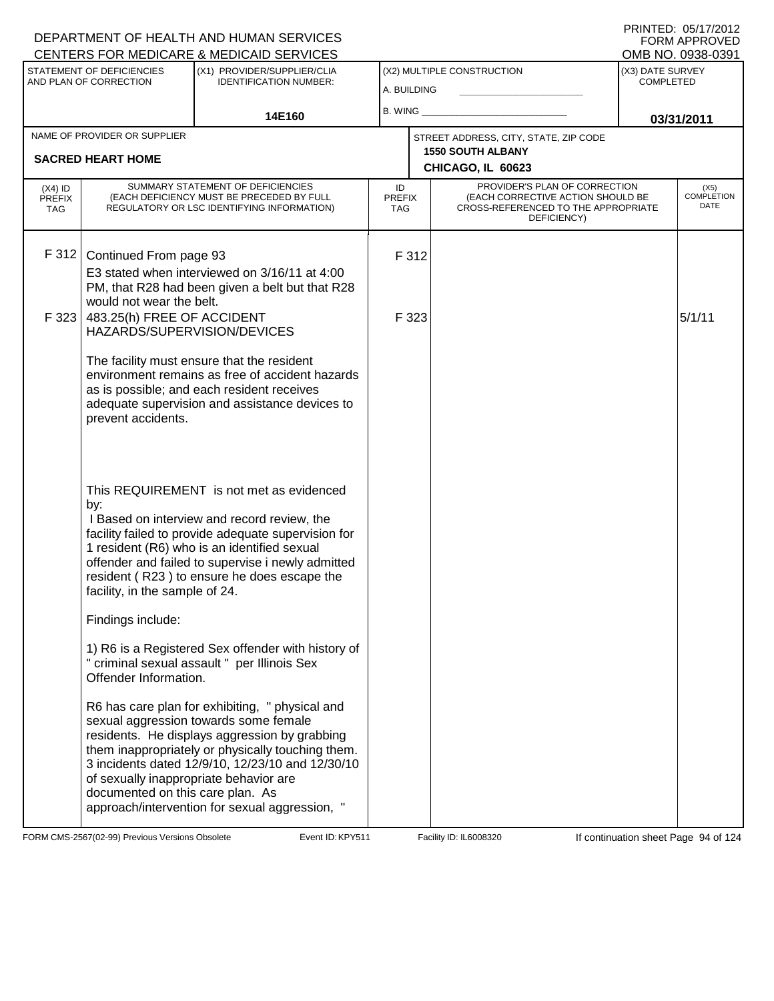#### A. BUILDING (X1) PROVIDER/SUPPLIER/CLIA IDENTIFICATION NUMBER: STATEMENT OF DEFICIENCIES AND PLAN OF CORRECTION (X3) DATE SURVEY COMPLETED FORM APPROVED<br>OMB NO. 0938-0391 (X2) MULTIPLE CONSTRUCTION B. WING **\_\_\_\_\_\_\_\_\_\_\_\_\_\_\_\_\_\_\_\_\_\_** CENTERS FOR MEDICARE & MEDICAID SERVICES 14E160 **B. WING CONSUMING (2011 03/31/2011 CHICAGO, IL 60623** NAME OF PROVIDER OR SUPPLIER STREET ADDRESS, CITY, STATE, ZIP CODE **SACRED HEART HOME 1550 SOUTH ALBANY** PROVIDER'S PLAN OF CORRECTION (EACH CORRECTIVE ACTION SHOULD BE CROSS-REFERENCED TO THE APPROPRIATE DEFICIENCY) (X5) COMPLETION DATE ID PREFIX TAG (X4) ID PREFIX TAG SUMMARY STATEMENT OF DEFICIENCIES (EACH DEFICIENCY MUST BE PRECEDED BY FULL REGULATORY OR LSC IDENTIFYING INFORMATION) F 312 Continued From page 93 F 312 E3 stated when interviewed on 3/16/11 at 4:00 PM, that R28 had been given a belt but that R28 would not wear the belt. F 323 483.25(h) FREE OF ACCIDENT HAZARDS/SUPERVISION/DEVICES The facility must ensure that the resident environment remains as free of accident hazards as is possible; and each resident receives adequate supervision and assistance devices to prevent accidents. This REQUIREMENT is not met as evidenced by:  $F$  323  $5/1/11$  I Based on interview and record review, the facility failed to provide adequate supervision for 1 resident (R6) who is an identified sexual offender and failed to supervise i newly admitted resident ( R23 ) to ensure he does escape the facility, in the sample of 24. Findings include: 1) R6 is a Registered Sex offender with history of " criminal sexual assault " per Illinois Sex Offender Information. R6 has care plan for exhibiting, " physical and sexual aggression towards some female residents. He displays aggression by grabbing them inappropriately or physically touching them. 3 incidents dated 12/9/10, 12/23/10 and 12/30/10 of sexually inappropriate behavior are documented on this care plan. As approach/intervention for sexual aggression, "

FORM CMS-2567(02-99) Previous Versions Obsolete **KRY511** Event ID: KPY511 Facility ID: IL6008320 If continuation sheet Page 94 of 124

DEPARTMENT OF HEALTH AND HUMAN SERVICES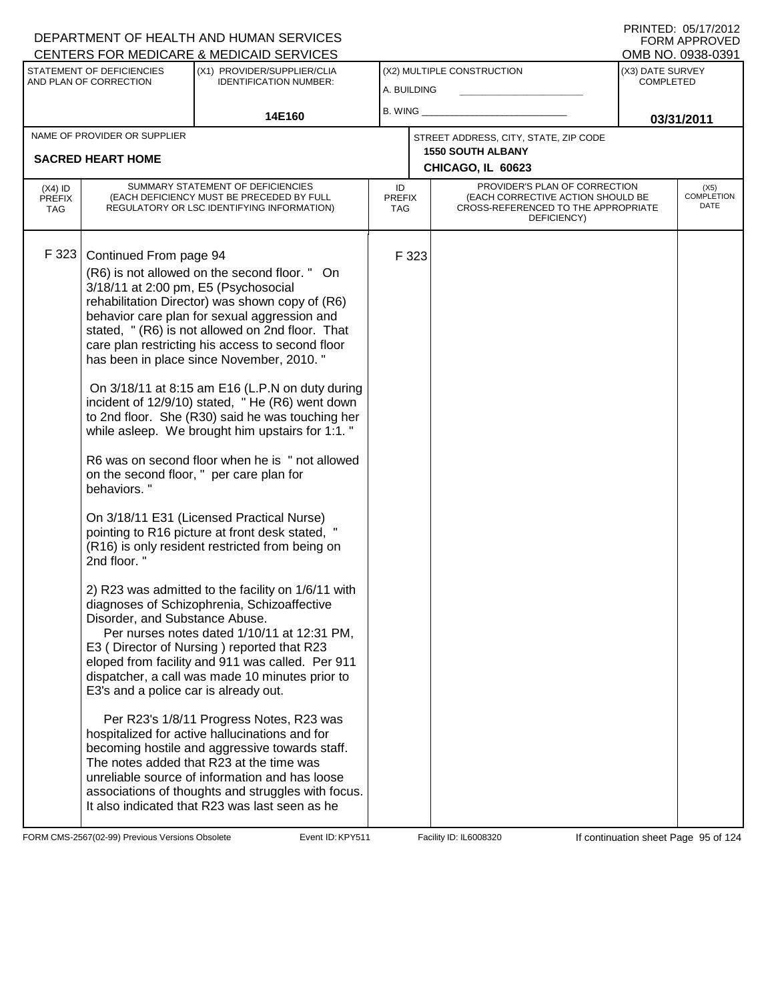| (X3) DATE SURVEY<br>STATEMENT OF DEFICIENCIES<br>(X1) PROVIDER/SUPPLIER/CLIA<br>(X2) MULTIPLE CONSTRUCTION<br>AND PLAN OF CORRECTION<br><b>IDENTIFICATION NUMBER:</b><br><b>COMPLETED</b><br>A. BUILDING<br><b>B. WING</b><br>14E160<br>03/31/2011<br>NAME OF PROVIDER OR SUPPLIER<br>STREET ADDRESS, CITY, STATE, ZIP CODE<br><b>1550 SOUTH ALBANY</b><br><b>SACRED HEART HOME</b><br>CHICAGO, IL 60623                                                                                                                                                                                                                                                                                                                                                                                                                                                                                                                                                                                                                                                                                                                                                                                                                                                                                                                                                                                                                                                                                                                                                                                                                         | <b>CENTERS FOR MEDICARE &amp; MEDICAID SERVICES</b> |  |  |  |  | OMB NO. 0938-0391         |
|----------------------------------------------------------------------------------------------------------------------------------------------------------------------------------------------------------------------------------------------------------------------------------------------------------------------------------------------------------------------------------------------------------------------------------------------------------------------------------------------------------------------------------------------------------------------------------------------------------------------------------------------------------------------------------------------------------------------------------------------------------------------------------------------------------------------------------------------------------------------------------------------------------------------------------------------------------------------------------------------------------------------------------------------------------------------------------------------------------------------------------------------------------------------------------------------------------------------------------------------------------------------------------------------------------------------------------------------------------------------------------------------------------------------------------------------------------------------------------------------------------------------------------------------------------------------------------------------------------------------------------|-----------------------------------------------------|--|--|--|--|---------------------------|
|                                                                                                                                                                                                                                                                                                                                                                                                                                                                                                                                                                                                                                                                                                                                                                                                                                                                                                                                                                                                                                                                                                                                                                                                                                                                                                                                                                                                                                                                                                                                                                                                                                  |                                                     |  |  |  |  |                           |
|                                                                                                                                                                                                                                                                                                                                                                                                                                                                                                                                                                                                                                                                                                                                                                                                                                                                                                                                                                                                                                                                                                                                                                                                                                                                                                                                                                                                                                                                                                                                                                                                                                  |                                                     |  |  |  |  |                           |
|                                                                                                                                                                                                                                                                                                                                                                                                                                                                                                                                                                                                                                                                                                                                                                                                                                                                                                                                                                                                                                                                                                                                                                                                                                                                                                                                                                                                                                                                                                                                                                                                                                  |                                                     |  |  |  |  |                           |
|                                                                                                                                                                                                                                                                                                                                                                                                                                                                                                                                                                                                                                                                                                                                                                                                                                                                                                                                                                                                                                                                                                                                                                                                                                                                                                                                                                                                                                                                                                                                                                                                                                  |                                                     |  |  |  |  |                           |
| SUMMARY STATEMENT OF DEFICIENCIES<br>PROVIDER'S PLAN OF CORRECTION<br>ID<br>$(X4)$ ID<br>(X5)<br>(EACH CORRECTIVE ACTION SHOULD BE<br>(EACH DEFICIENCY MUST BE PRECEDED BY FULL<br><b>PREFIX</b><br><b>PREFIX</b><br>REGULATORY OR LSC IDENTIFYING INFORMATION)<br>CROSS-REFERENCED TO THE APPROPRIATE<br><b>TAG</b><br><b>TAG</b><br>DEFICIENCY)                                                                                                                                                                                                                                                                                                                                                                                                                                                                                                                                                                                                                                                                                                                                                                                                                                                                                                                                                                                                                                                                                                                                                                                                                                                                                |                                                     |  |  |  |  | <b>COMPLETION</b><br>DATE |
| F 323<br>Continued From page 94<br>F 323<br>(R6) is not allowed on the second floor. " On<br>3/18/11 at 2:00 pm, E5 (Psychosocial<br>rehabilitation Director) was shown copy of (R6)<br>behavior care plan for sexual aggression and<br>stated, " (R6) is not allowed on 2nd floor. That<br>care plan restricting his access to second floor<br>has been in place since November, 2010."<br>On 3/18/11 at 8:15 am E16 (L.P.N on duty during<br>incident of 12/9/10) stated, "He (R6) went down<br>to 2nd floor. She (R30) said he was touching her<br>while asleep. We brought him upstairs for 1:1. "<br>R6 was on second floor when he is " not allowed<br>on the second floor, " per care plan for<br>behaviors."<br>On 3/18/11 E31 (Licensed Practical Nurse)<br>pointing to R16 picture at front desk stated, "<br>(R16) is only resident restricted from being on<br>2nd floor."<br>2) R23 was admitted to the facility on 1/6/11 with<br>diagnoses of Schizophrenia, Schizoaffective<br>Disorder, and Substance Abuse.<br>Per nurses notes dated 1/10/11 at 12:31 PM,<br>E3 (Director of Nursing) reported that R23<br>eloped from facility and 911 was called. Per 911<br>dispatcher, a call was made 10 minutes prior to<br>E3's and a police car is already out.<br>Per R23's 1/8/11 Progress Notes, R23 was<br>hospitalized for active hallucinations and for<br>becoming hostile and aggressive towards staff.<br>The notes added that R23 at the time was<br>unreliable source of information and has loose<br>associations of thoughts and struggles with focus.<br>It also indicated that R23 was last seen as he |                                                     |  |  |  |  |                           |

FORM CMS-2567(02-99) Previous Versions Obsolete Event ID: KPY511 Facility ID: IL6008320 If continuation sheet Page 95 of 124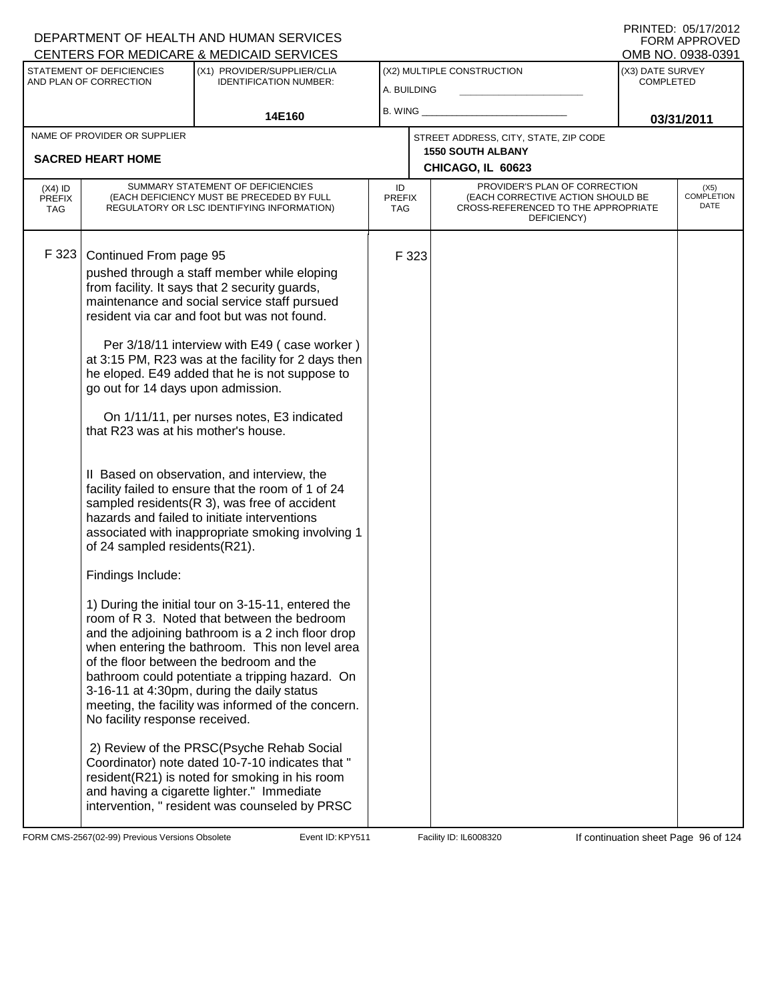| PRINTED: 05/17/2012 |
|---------------------|
| FORM APPROVED       |
| OMB NO. 0938-0391   |

| (X2) MULTIPLE CONSTRUCTION<br>(X3) DATE SURVEY<br>STATEMENT OF DEFICIENCIES<br>(X1) PROVIDER/SUPPLIER/CLIA<br>AND PLAN OF CORRECTION<br>COMPLETED<br><b>IDENTIFICATION NUMBER:</b><br>A. BUILDING<br>B. WING<br>14E160<br>03/31/2011<br>NAME OF PROVIDER OR SUPPLIER<br>STREET ADDRESS, CITY, STATE, ZIP CODE<br><b>1550 SOUTH ALBANY</b><br><b>SACRED HEART HOME</b>                                                                                                                                                                                                                                                                                                                                                                                                                                                                                                                                                                                                                                                                                                                                                                                                                                                                                                                                                                                                                                                                                                                                                                                  |  | <u>UENTERS FOR MEDIUARE &amp; MEDIUAID SERVIUES</u> |  |                   |  | UMB NU. 0938-0391         |
|--------------------------------------------------------------------------------------------------------------------------------------------------------------------------------------------------------------------------------------------------------------------------------------------------------------------------------------------------------------------------------------------------------------------------------------------------------------------------------------------------------------------------------------------------------------------------------------------------------------------------------------------------------------------------------------------------------------------------------------------------------------------------------------------------------------------------------------------------------------------------------------------------------------------------------------------------------------------------------------------------------------------------------------------------------------------------------------------------------------------------------------------------------------------------------------------------------------------------------------------------------------------------------------------------------------------------------------------------------------------------------------------------------------------------------------------------------------------------------------------------------------------------------------------------------|--|-----------------------------------------------------|--|-------------------|--|---------------------------|
|                                                                                                                                                                                                                                                                                                                                                                                                                                                                                                                                                                                                                                                                                                                                                                                                                                                                                                                                                                                                                                                                                                                                                                                                                                                                                                                                                                                                                                                                                                                                                        |  |                                                     |  |                   |  |                           |
|                                                                                                                                                                                                                                                                                                                                                                                                                                                                                                                                                                                                                                                                                                                                                                                                                                                                                                                                                                                                                                                                                                                                                                                                                                                                                                                                                                                                                                                                                                                                                        |  |                                                     |  |                   |  |                           |
|                                                                                                                                                                                                                                                                                                                                                                                                                                                                                                                                                                                                                                                                                                                                                                                                                                                                                                                                                                                                                                                                                                                                                                                                                                                                                                                                                                                                                                                                                                                                                        |  |                                                     |  |                   |  |                           |
|                                                                                                                                                                                                                                                                                                                                                                                                                                                                                                                                                                                                                                                                                                                                                                                                                                                                                                                                                                                                                                                                                                                                                                                                                                                                                                                                                                                                                                                                                                                                                        |  |                                                     |  | CHICAGO, IL 60623 |  |                           |
| SUMMARY STATEMENT OF DEFICIENCIES<br>PROVIDER'S PLAN OF CORRECTION<br>ID<br>$(X4)$ ID<br>(X5)<br>(EACH CORRECTIVE ACTION SHOULD BE<br>(EACH DEFICIENCY MUST BE PRECEDED BY FULL<br><b>PREFIX</b><br><b>PREFIX</b><br>REGULATORY OR LSC IDENTIFYING INFORMATION)<br>CROSS-REFERENCED TO THE APPROPRIATE<br>TAG<br><b>TAG</b><br>DEFICIENCY)                                                                                                                                                                                                                                                                                                                                                                                                                                                                                                                                                                                                                                                                                                                                                                                                                                                                                                                                                                                                                                                                                                                                                                                                             |  |                                                     |  |                   |  | <b>COMPLETION</b><br>DATE |
| F 323<br>Continued From page 95<br>F 323<br>pushed through a staff member while eloping<br>from facility. It says that 2 security guards,<br>maintenance and social service staff pursued<br>resident via car and foot but was not found.<br>Per 3/18/11 interview with E49 (case worker)<br>at 3:15 PM, R23 was at the facility for 2 days then<br>he eloped. E49 added that he is not suppose to<br>go out for 14 days upon admission.<br>On 1/11/11, per nurses notes, E3 indicated<br>that R23 was at his mother's house.<br>II Based on observation, and interview, the<br>facility failed to ensure that the room of 1 of 24<br>sampled residents $(R 3)$ , was free of accident<br>hazards and failed to initiate interventions<br>associated with inappropriate smoking involving 1<br>of 24 sampled residents(R21).<br>Findings Include:<br>1) During the initial tour on 3-15-11, entered the<br>room of R 3. Noted that between the bedroom<br>and the adjoining bathroom is a 2 inch floor drop<br>when entering the bathroom. This non level area<br>of the floor between the bedroom and the<br>bathroom could potentiate a tripping hazard. On<br>3-16-11 at 4:30pm, during the daily status<br>meeting, the facility was informed of the concern.<br>No facility response received.<br>2) Review of the PRSC(Psyche Rehab Social<br>Coordinator) note dated 10-7-10 indicates that "<br>resident(R21) is noted for smoking in his room<br>and having a cigarette lighter." Immediate<br>intervention, " resident was counseled by PRSC |  |                                                     |  |                   |  |                           |

FORM CMS-2567(02-99) Previous Versions Obsolete Event ID: KPY511 Facility ID: IL6008320 If continuation sheet Page 96 of 124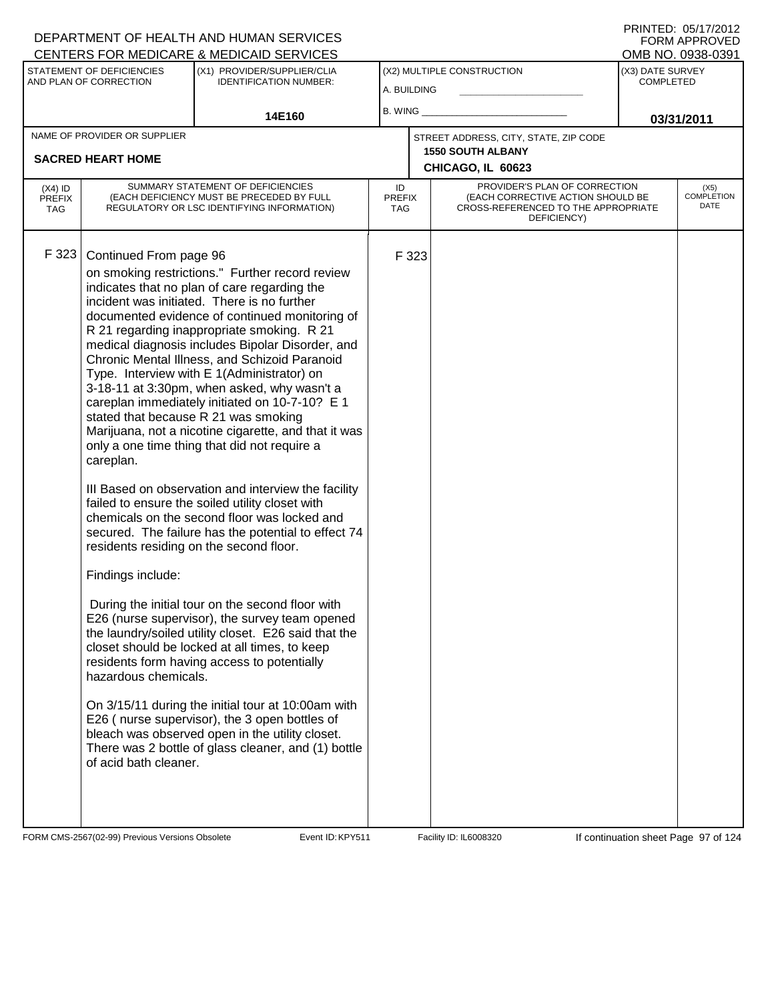| CENTERS FOR MEDICARE & MEDICAID SERVICES |                                                                                                           |                                                                                                                                                                                                                                                                                                                                                                                                                                                                                                                                                                                                                                                                                                                                                                                                                                                                                                                                                                                                                                                                                                                                                                                                                                                                                                                                                                                               |                                   |       |                                                                                                                          |                                      | OMB NO. 0938-0391                 |
|------------------------------------------|-----------------------------------------------------------------------------------------------------------|-----------------------------------------------------------------------------------------------------------------------------------------------------------------------------------------------------------------------------------------------------------------------------------------------------------------------------------------------------------------------------------------------------------------------------------------------------------------------------------------------------------------------------------------------------------------------------------------------------------------------------------------------------------------------------------------------------------------------------------------------------------------------------------------------------------------------------------------------------------------------------------------------------------------------------------------------------------------------------------------------------------------------------------------------------------------------------------------------------------------------------------------------------------------------------------------------------------------------------------------------------------------------------------------------------------------------------------------------------------------------------------------------|-----------------------------------|-------|--------------------------------------------------------------------------------------------------------------------------|--------------------------------------|-----------------------------------|
|                                          | STATEMENT OF DEFICIENCIES<br>AND PLAN OF CORRECTION                                                       | (X1) PROVIDER/SUPPLIER/CLIA<br><b>IDENTIFICATION NUMBER:</b>                                                                                                                                                                                                                                                                                                                                                                                                                                                                                                                                                                                                                                                                                                                                                                                                                                                                                                                                                                                                                                                                                                                                                                                                                                                                                                                                  | A. BUILDING                       |       | (X2) MULTIPLE CONSTRUCTION                                                                                               | (X3) DATE SURVEY<br><b>COMPLETED</b> |                                   |
|                                          |                                                                                                           | 14E160                                                                                                                                                                                                                                                                                                                                                                                                                                                                                                                                                                                                                                                                                                                                                                                                                                                                                                                                                                                                                                                                                                                                                                                                                                                                                                                                                                                        | B. WING                           |       |                                                                                                                          |                                      | 03/31/2011                        |
|                                          | NAME OF PROVIDER OR SUPPLIER                                                                              |                                                                                                                                                                                                                                                                                                                                                                                                                                                                                                                                                                                                                                                                                                                                                                                                                                                                                                                                                                                                                                                                                                                                                                                                                                                                                                                                                                                               |                                   |       | STREET ADDRESS, CITY, STATE, ZIP CODE                                                                                    |                                      |                                   |
|                                          | <b>SACRED HEART HOME</b>                                                                                  |                                                                                                                                                                                                                                                                                                                                                                                                                                                                                                                                                                                                                                                                                                                                                                                                                                                                                                                                                                                                                                                                                                                                                                                                                                                                                                                                                                                               |                                   |       | <b>1550 SOUTH ALBANY</b><br>CHICAGO, IL 60623                                                                            |                                      |                                   |
| $(X4)$ ID<br><b>PREFIX</b><br><b>TAG</b> |                                                                                                           | SUMMARY STATEMENT OF DEFICIENCIES<br>(EACH DEFICIENCY MUST BE PRECEDED BY FULL<br>REGULATORY OR LSC IDENTIFYING INFORMATION)                                                                                                                                                                                                                                                                                                                                                                                                                                                                                                                                                                                                                                                                                                                                                                                                                                                                                                                                                                                                                                                                                                                                                                                                                                                                  | ID<br><b>PREFIX</b><br><b>TAG</b> |       | PROVIDER'S PLAN OF CORRECTION<br>(EACH CORRECTIVE ACTION SHOULD BE<br>CROSS-REFERENCED TO THE APPROPRIATE<br>DEFICIENCY) |                                      | (X5)<br><b>COMPLETION</b><br>DATE |
| F 323                                    | Continued From page 96<br>careplan.<br>Findings include:<br>hazardous chemicals.<br>of acid bath cleaner. | on smoking restrictions." Further record review<br>indicates that no plan of care regarding the<br>incident was initiated. There is no further<br>documented evidence of continued monitoring of<br>R 21 regarding inappropriate smoking. R 21<br>medical diagnosis includes Bipolar Disorder, and<br>Chronic Mental Illness, and Schizoid Paranoid<br>Type. Interview with E 1(Administrator) on<br>3-18-11 at 3:30pm, when asked, why wasn't a<br>careplan immediately initiated on 10-7-10? E 1<br>stated that because R 21 was smoking<br>Marijuana, not a nicotine cigarette, and that it was<br>only a one time thing that did not require a<br>III Based on observation and interview the facility<br>failed to ensure the soiled utility closet with<br>chemicals on the second floor was locked and<br>secured. The failure has the potential to effect 74<br>residents residing on the second floor.<br>During the initial tour on the second floor with<br>E26 (nurse supervisor), the survey team opened<br>the laundry/soiled utility closet. E26 said that the<br>closet should be locked at all times, to keep<br>residents form having access to potentially<br>On 3/15/11 during the initial tour at 10:00am with<br>E26 (nurse supervisor), the 3 open bottles of<br>bleach was observed open in the utility closet.<br>There was 2 bottle of glass cleaner, and (1) bottle |                                   | F 323 |                                                                                                                          |                                      |                                   |

FORM CMS-2567(02-99) Previous Versions Obsolete Event ID: KPY511 Facility ID: IL6008320 If continuation sheet Page 97 of 124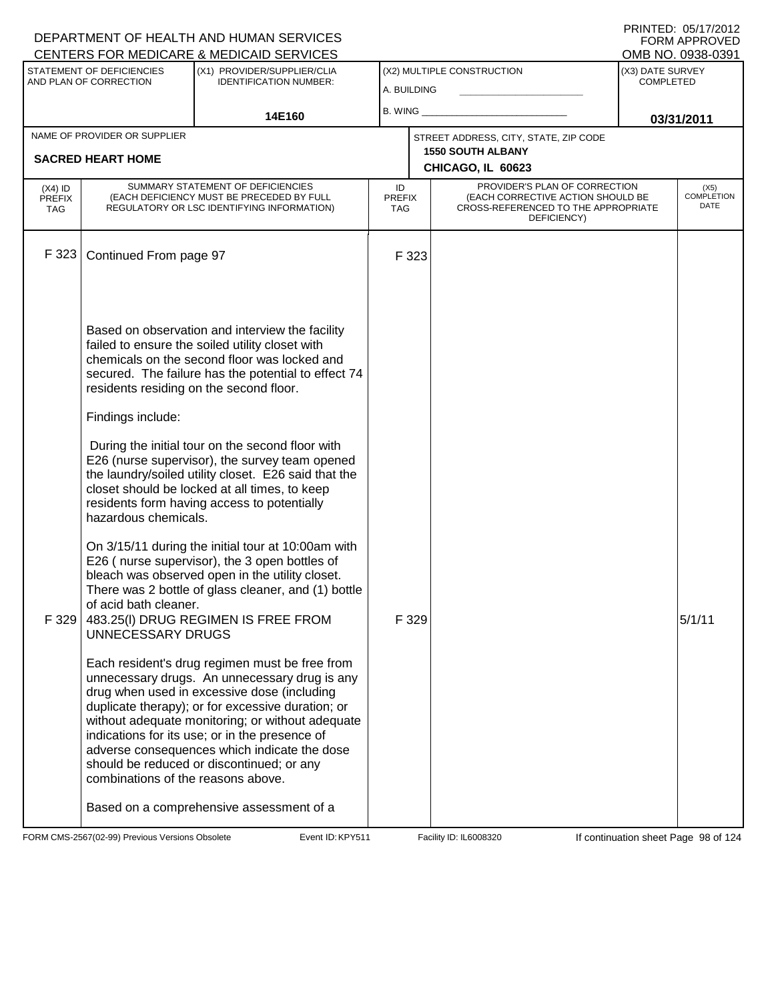|                                          |                                                          | DEPARTMENT OF HEALTH AND HUMAN SERVICES<br>CENTERS FOR MEDICARE & MEDICAID SERVICES                                                                                                                                                                                                                                                                                                                    |                            |       |                                                                                                                          |                                      | FORM APPROVED<br>OMB NO. 0938-0391 |
|------------------------------------------|----------------------------------------------------------|--------------------------------------------------------------------------------------------------------------------------------------------------------------------------------------------------------------------------------------------------------------------------------------------------------------------------------------------------------------------------------------------------------|----------------------------|-------|--------------------------------------------------------------------------------------------------------------------------|--------------------------------------|------------------------------------|
|                                          | STATEMENT OF DEFICIENCIES<br>AND PLAN OF CORRECTION      | (X1) PROVIDER/SUPPLIER/CLIA<br><b>IDENTIFICATION NUMBER:</b>                                                                                                                                                                                                                                                                                                                                           | A. BUILDING                |       | (X2) MULTIPLE CONSTRUCTION                                                                                               | (X3) DATE SURVEY<br><b>COMPLETED</b> |                                    |
|                                          |                                                          | 14E160                                                                                                                                                                                                                                                                                                                                                                                                 | B. WING                    |       |                                                                                                                          | 03/31/2011                           |                                    |
|                                          | NAME OF PROVIDER OR SUPPLIER<br><b>SACRED HEART HOME</b> |                                                                                                                                                                                                                                                                                                                                                                                                        |                            |       | STREET ADDRESS, CITY, STATE, ZIP CODE<br><b>1550 SOUTH ALBANY</b><br>CHICAGO, IL 60623                                   |                                      |                                    |
| $(X4)$ ID<br><b>PREFIX</b><br><b>TAG</b> |                                                          | SUMMARY STATEMENT OF DEFICIENCIES<br>(EACH DEFICIENCY MUST BE PRECEDED BY FULL<br>REGULATORY OR LSC IDENTIFYING INFORMATION)                                                                                                                                                                                                                                                                           | ID<br><b>PREFIX</b><br>TAG |       | PROVIDER'S PLAN OF CORRECTION<br>(EACH CORRECTIVE ACTION SHOULD BE<br>CROSS-REFERENCED TO THE APPROPRIATE<br>DEFICIENCY) |                                      | $(X5)$<br>COMPLETION<br>DATE       |
| F 323                                    | Continued From page 97                                   |                                                                                                                                                                                                                                                                                                                                                                                                        |                            | F 323 |                                                                                                                          |                                      |                                    |
|                                          | residents residing on the second floor.                  | Based on observation and interview the facility<br>failed to ensure the soiled utility closet with<br>chemicals on the second floor was locked and<br>secured. The failure has the potential to effect 74                                                                                                                                                                                              |                            |       |                                                                                                                          |                                      |                                    |
|                                          | Findings include:                                        |                                                                                                                                                                                                                                                                                                                                                                                                        |                            |       |                                                                                                                          |                                      |                                    |
|                                          | hazardous chemicals.                                     | During the initial tour on the second floor with<br>E26 (nurse supervisor), the survey team opened<br>the laundry/soiled utility closet. E26 said that the<br>closet should be locked at all times, to keep<br>residents form having access to potentially                                                                                                                                             |                            |       |                                                                                                                          |                                      |                                    |
| F 329                                    | of acid bath cleaner.<br><b>UNNECESSARY DRUGS</b>        | On 3/15/11 during the initial tour at 10:00am with<br>E26 (nurse supervisor), the 3 open bottles of<br>bleach was observed open in the utility closet.<br>There was 2 bottle of glass cleaner, and (1) bottle<br>483.25(I) DRUG REGIMEN IS FREE FROM                                                                                                                                                   |                            | F 329 |                                                                                                                          |                                      | 5/1/11                             |
|                                          | combinations of the reasons above.                       | Each resident's drug regimen must be free from<br>unnecessary drugs. An unnecessary drug is any<br>drug when used in excessive dose (including<br>duplicate therapy); or for excessive duration; or<br>without adequate monitoring; or without adequate<br>indications for its use; or in the presence of<br>adverse consequences which indicate the dose<br>should be reduced or discontinued; or any |                            |       |                                                                                                                          |                                      |                                    |
|                                          |                                                          | Based on a comprehensive assessment of a                                                                                                                                                                                                                                                                                                                                                               |                            |       |                                                                                                                          |                                      |                                    |

FORM CMS-2567(02-99) Previous Versions Obsolete Event ID: KPY511 Facility ID: IL6008320 If continuation sheet Page 98 of 124

DEPARTMENT OF HEALTH AND HUMAN SERVICES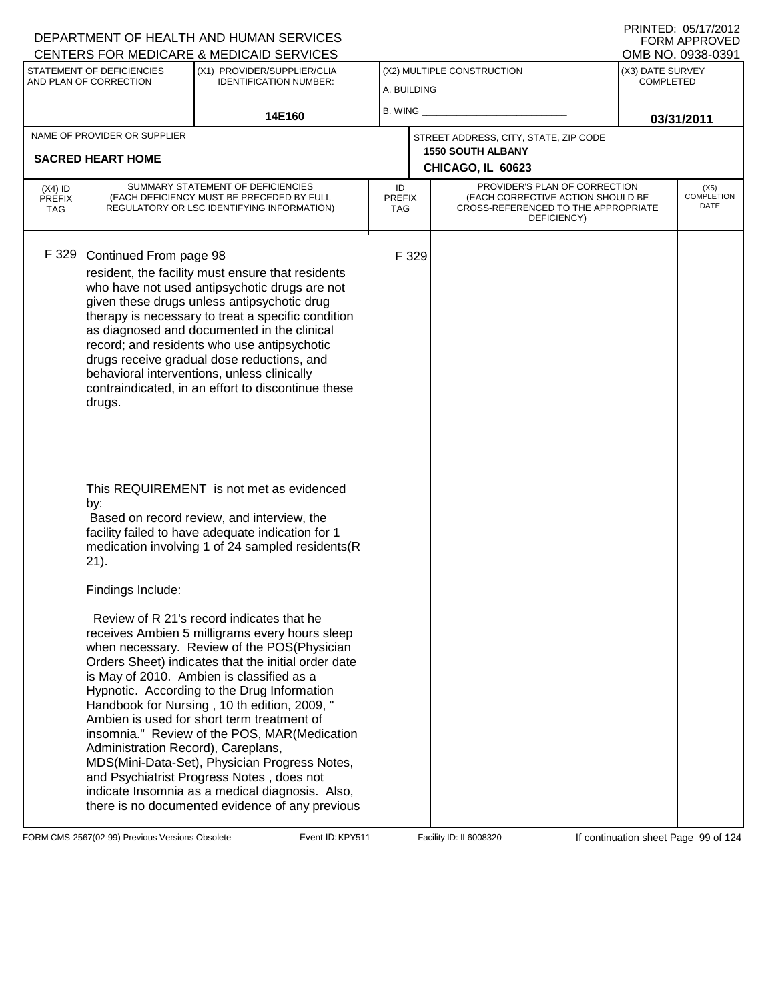#### A. BUILDING (X1) PROVIDER/SUPPLIER/CLIA IDENTIFICATION NUMBER: STATEMENT OF DEFICIENCIES AND PLAN OF CORRECTION (X3) DATE SURVEY COMPLETED (X2) MULTIPLE CONSTRUCTION B. WING **\_\_\_\_\_\_\_\_\_\_\_\_\_\_\_\_\_\_\_\_\_\_** CENTERS FOR MEDICARE & MEDICAID SERVICES 14E160 **B. WING CONSUMING (2011 03/31/2011 CHICAGO, IL 60623** NAME OF PROVIDER OR SUPPLIER STREET ADDRESS, CITY, STATE, ZIP CODE **SACRED HEART HOME 1550 SOUTH ALBANY** PROVIDER'S PLAN OF CORRECTION (EACH CORRECTIVE ACTION SHOULD BE CROSS-REFERENCED TO THE APPROPRIATE DEFICIENCY) (X5) COMPLETION DATE ID PREFIX TAG (X4) ID PREFIX TAG SUMMARY STATEMENT OF DEFICIENCIES (EACH DEFICIENCY MUST BE PRECEDED BY FULL REGULATORY OR LSC IDENTIFYING INFORMATION) F 329 Continued From page 98 F 329 resident, the facility must ensure that residents who have not used antipsychotic drugs are not given these drugs unless antipsychotic drug therapy is necessary to treat a specific condition as diagnosed and documented in the clinical record; and residents who use antipsychotic drugs receive gradual dose reductions, and behavioral interventions, unless clinically contraindicated, in an effort to discontinue these drugs. This REQUIREMENT is not met as evidenced by: Based on record review, and interview, the facility failed to have adequate indication for 1 medication involving 1 of 24 sampled residents(R 21). Findings Include: Review of R 21's record indicates that he receives Ambien 5 milligrams every hours sleep when necessary. Review of the POS(Physician Orders Sheet) indicates that the initial order date is May of 2010. Ambien is classified as a Hypnotic. According to the Drug Information Handbook for Nursing , 10 th edition, 2009, " Ambien is used for short term treatment of insomnia." Review of the POS, MAR(Medication Administration Record), Careplans, MDS(Mini-Data-Set), Physician Progress Notes, and Psychiatrist Progress Notes , does not indicate Insomnia as a medical diagnosis. Also, there is no documented evidence of any previous

FORM CMS-2567(02-99) Previous Versions Obsolete **KRY511** Event ID: KPY511 Facility ID: IL6008320 If continuation sheet Page 99 of 124

DEPARTMENT OF HEALTH AND HUMAN SERVICES

PRINTED: 05/17/2012 FORM APPROVED<br>OMB NO. 0938-0391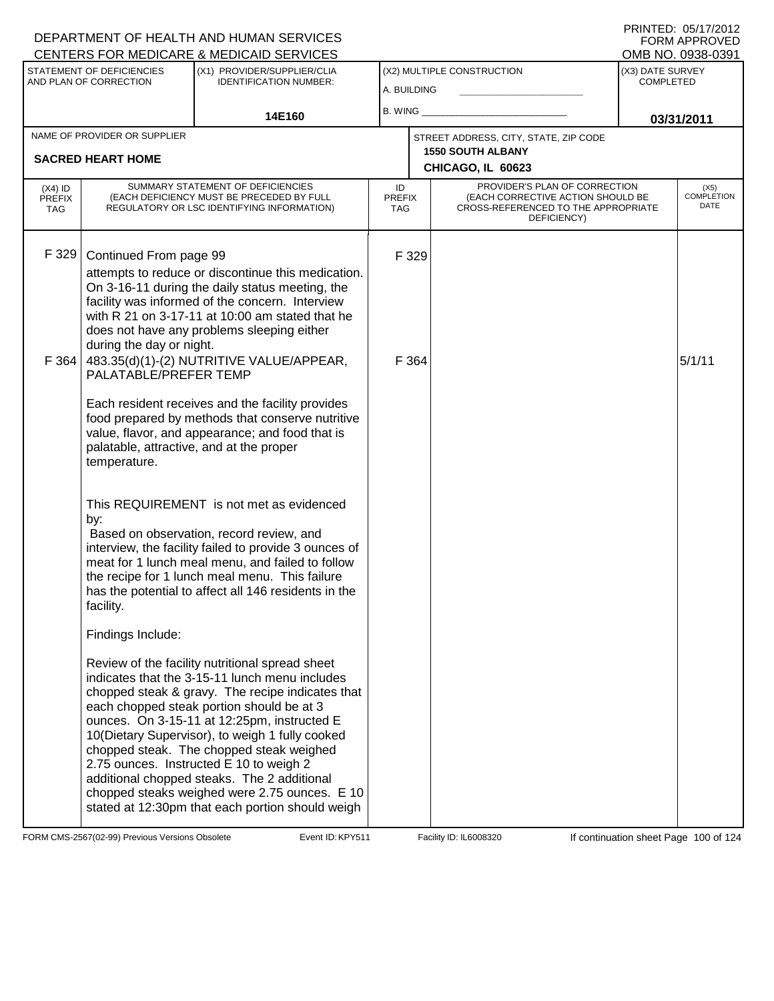#### A. BUILDING (X1) PROVIDER/SUPPLIER/CLIA IDENTIFICATION NUMBER: STATEMENT OF DEFICIENCIES AND PLAN OF CORRECTION (X3) DATE SURVEY COMPLETED FORM APPROVED<br>OMB NO. 0938-0391 (X2) MULTIPLE CONSTRUCTION B. WING **\_\_\_\_\_\_\_\_\_\_\_\_\_\_\_\_\_\_\_\_\_\_** CENTERS FOR MEDICARE & MEDICAID SERVICES 14E160 **B. WING CONSUMING (2011 03/31/2011 CHICAGO, IL 60623** NAME OF PROVIDER OR SUPPLIER STREET ADDRESS, CITY, STATE, ZIP CODE **SACRED HEART HOME 1550 SOUTH ALBANY** PROVIDER'S PLAN OF CORRECTION (EACH CORRECTIVE ACTION SHOULD BE CROSS-REFERENCED TO THE APPROPRIATE DEFICIENCY) (X5) COMPLETION DATE ID PREFIX TAG (X4) ID PREFIX TAG SUMMARY STATEMENT OF DEFICIENCIES (EACH DEFICIENCY MUST BE PRECEDED BY FULL REGULATORY OR LSC IDENTIFYING INFORMATION) F 329 Continued From page 99 F 329 attempts to reduce or discontinue this medication. On 3-16-11 during the daily status meeting, the facility was informed of the concern. Interview with R 21 on 3-17-11 at 10:00 am stated that he does not have any problems sleeping either during the day or night. F 364  $\vert$  483.35(d)(1)-(2) NUTRITIVE VALUE/APPEAR, PALATABLE/PREFER TEMP Each resident receives and the facility provides food prepared by methods that conserve nutritive value, flavor, and appearance; and food that is palatable, attractive, and at the proper temperature. This REQUIREMENT is not met as evidenced by:  $F$  364  $5/1/11$  Based on observation, record review, and interview, the facility failed to provide 3 ounces of meat for 1 lunch meal menu, and failed to follow the recipe for 1 lunch meal menu. This failure has the potential to affect all 146 residents in the facility. Findings Include: Review of the facility nutritional spread sheet indicates that the 3-15-11 lunch menu includes chopped steak & gravy. The recipe indicates that each chopped steak portion should be at 3 ounces. On 3-15-11 at 12:25pm, instructed E 10(Dietary Supervisor), to weigh 1 fully cooked chopped steak. The chopped steak weighed 2.75 ounces. Instructed E 10 to weigh 2 additional chopped steaks. The 2 additional chopped steaks weighed were 2.75 ounces. E 10 stated at 12:30pm that each portion should weigh

FORM CMS-2567(02-99) Previous Versions Obsolete Exent ID: KPY511 Facility ID: IL6008320 If continuation sheet Page 100 of 124

DEPARTMENT OF HEALTH AND HUMAN SERVICES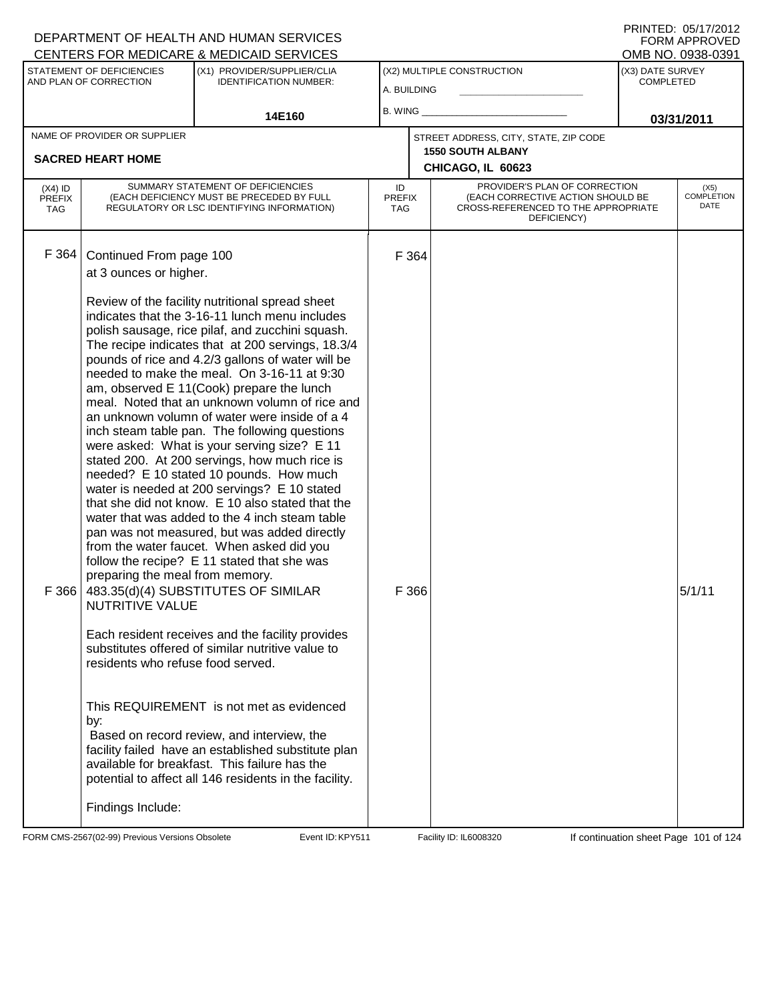|                                          | STATEMENT OF DEFICIENCIES<br>AND PLAN OF CORRECTION                                                                                                        | <u>ULIVILING I UN MEDIUANE &amp; MEDIUAID JENVIULU</u><br>(X1) PROVIDER/SUPPLIER/CLIA<br><b>IDENTIFICATION NUMBER:</b>                                                                                                                                                                                                                                                                                                                                                                                                                                                                                                                                                                                                                                                                                                                                                                                                                                                                                                                                                                                                                                                                                                                                                                                                                                                   | A. BUILDING                       |                | (X2) MULTIPLE CONSTRUCTION                                                                                               | ו פטט־טטפט .טאו טואוט<br>(X3) DATE SURVEY<br><b>COMPLETED</b> |                                   |
|------------------------------------------|------------------------------------------------------------------------------------------------------------------------------------------------------------|--------------------------------------------------------------------------------------------------------------------------------------------------------------------------------------------------------------------------------------------------------------------------------------------------------------------------------------------------------------------------------------------------------------------------------------------------------------------------------------------------------------------------------------------------------------------------------------------------------------------------------------------------------------------------------------------------------------------------------------------------------------------------------------------------------------------------------------------------------------------------------------------------------------------------------------------------------------------------------------------------------------------------------------------------------------------------------------------------------------------------------------------------------------------------------------------------------------------------------------------------------------------------------------------------------------------------------------------------------------------------|-----------------------------------|----------------|--------------------------------------------------------------------------------------------------------------------------|---------------------------------------------------------------|-----------------------------------|
|                                          |                                                                                                                                                            | 14E160                                                                                                                                                                                                                                                                                                                                                                                                                                                                                                                                                                                                                                                                                                                                                                                                                                                                                                                                                                                                                                                                                                                                                                                                                                                                                                                                                                   |                                   |                |                                                                                                                          | 03/31/2011                                                    |                                   |
|                                          | NAME OF PROVIDER OR SUPPLIER<br><b>SACRED HEART HOME</b>                                                                                                   |                                                                                                                                                                                                                                                                                                                                                                                                                                                                                                                                                                                                                                                                                                                                                                                                                                                                                                                                                                                                                                                                                                                                                                                                                                                                                                                                                                          |                                   |                | STREET ADDRESS, CITY, STATE, ZIP CODE<br><b>1550 SOUTH ALBANY</b><br>CHICAGO, IL 60623                                   |                                                               |                                   |
| $(X4)$ ID<br><b>PREFIX</b><br><b>TAG</b> |                                                                                                                                                            | SUMMARY STATEMENT OF DEFICIENCIES<br>(EACH DEFICIENCY MUST BE PRECEDED BY FULL<br>REGULATORY OR LSC IDENTIFYING INFORMATION)                                                                                                                                                                                                                                                                                                                                                                                                                                                                                                                                                                                                                                                                                                                                                                                                                                                                                                                                                                                                                                                                                                                                                                                                                                             | ID<br><b>PREFIX</b><br><b>TAG</b> |                | PROVIDER'S PLAN OF CORRECTION<br>(EACH CORRECTIVE ACTION SHOULD BE<br>CROSS-REFERENCED TO THE APPROPRIATE<br>DEFICIENCY) |                                                               | (X5)<br><b>COMPLETION</b><br>DATE |
| F 364<br>F 366                           | Continued From page 100<br>at 3 ounces or higher.<br>preparing the meal from memory.<br><b>NUTRITIVE VALUE</b><br>residents who refuse food served.<br>by: | Review of the facility nutritional spread sheet<br>indicates that the 3-16-11 lunch menu includes<br>polish sausage, rice pilaf, and zucchini squash.<br>The recipe indicates that at 200 servings, 18.3/4<br>pounds of rice and 4.2/3 gallons of water will be<br>needed to make the meal. On 3-16-11 at 9:30<br>am, observed E 11(Cook) prepare the lunch<br>meal. Noted that an unknown volumn of rice and<br>an unknown volumn of water were inside of a 4<br>inch steam table pan. The following questions<br>were asked: What is your serving size? E 11<br>stated 200. At 200 servings, how much rice is<br>needed? E 10 stated 10 pounds. How much<br>water is needed at 200 servings? E 10 stated<br>that she did not know. E 10 also stated that the<br>water that was added to the 4 inch steam table<br>pan was not measured, but was added directly<br>from the water faucet. When asked did you<br>follow the recipe? E 11 stated that she was<br>483.35(d)(4) SUBSTITUTES OF SIMILAR<br>Each resident receives and the facility provides<br>substitutes offered of similar nutritive value to<br>This REQUIREMENT is not met as evidenced<br>Based on record review, and interview, the<br>facility failed have an established substitute plan<br>available for breakfast. This failure has the<br>potential to affect all 146 residents in the facility. |                                   | F 364<br>F 366 |                                                                                                                          |                                                               | 5/1/11                            |
|                                          | Findings Include:                                                                                                                                          |                                                                                                                                                                                                                                                                                                                                                                                                                                                                                                                                                                                                                                                                                                                                                                                                                                                                                                                                                                                                                                                                                                                                                                                                                                                                                                                                                                          |                                   |                |                                                                                                                          |                                                               |                                   |

FORM CMS-2567(02-99) Previous Versions Obsolete Exent ID: KPY511 Event ID: KPY511 Facility ID: IL6008320 If continuation sheet Page 101 of 124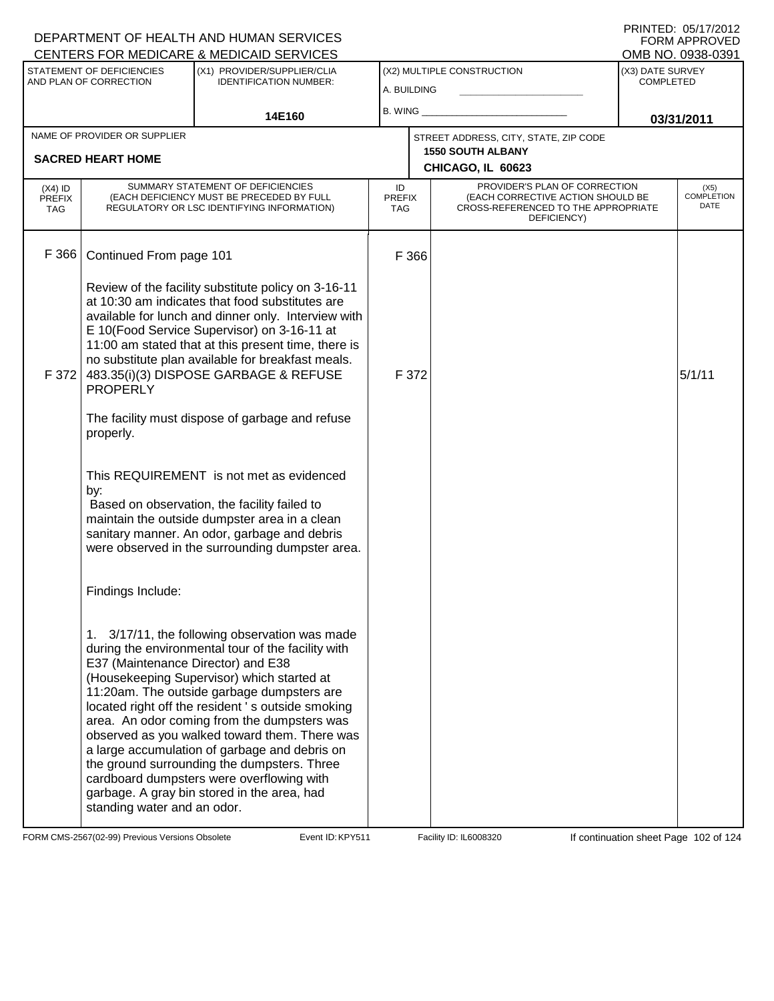|                                          |                                                                   | DEPARTMENT OF HEALTH AND HUMAN SERVICES<br>CENTERS FOR MEDICARE & MEDICAID SERVICES                                                                                                                                                                                                                                                                                                                                                                                                                                                              |                                   |       |                                                                                                                          |                                      | FORM APPROVED<br>OMB NO. 0938-0391 |
|------------------------------------------|-------------------------------------------------------------------|--------------------------------------------------------------------------------------------------------------------------------------------------------------------------------------------------------------------------------------------------------------------------------------------------------------------------------------------------------------------------------------------------------------------------------------------------------------------------------------------------------------------------------------------------|-----------------------------------|-------|--------------------------------------------------------------------------------------------------------------------------|--------------------------------------|------------------------------------|
|                                          | STATEMENT OF DEFICIENCIES<br>AND PLAN OF CORRECTION               | (X1) PROVIDER/SUPPLIER/CLIA<br><b>IDENTIFICATION NUMBER:</b>                                                                                                                                                                                                                                                                                                                                                                                                                                                                                     | A. BUILDING                       |       | (X2) MULTIPLE CONSTRUCTION                                                                                               | (X3) DATE SURVEY<br><b>COMPLETED</b> |                                    |
|                                          |                                                                   | 14E160                                                                                                                                                                                                                                                                                                                                                                                                                                                                                                                                           | B. WING                           |       |                                                                                                                          | 03/31/2011                           |                                    |
|                                          | NAME OF PROVIDER OR SUPPLIER                                      |                                                                                                                                                                                                                                                                                                                                                                                                                                                                                                                                                  |                                   |       | STREET ADDRESS, CITY, STATE, ZIP CODE                                                                                    |                                      |                                    |
|                                          | <b>SACRED HEART HOME</b>                                          |                                                                                                                                                                                                                                                                                                                                                                                                                                                                                                                                                  |                                   |       | <b>1550 SOUTH ALBANY</b><br>CHICAGO, IL 60623                                                                            |                                      |                                    |
| $(X4)$ ID<br><b>PREFIX</b><br><b>TAG</b> |                                                                   | SUMMARY STATEMENT OF DEFICIENCIES<br>(EACH DEFICIENCY MUST BE PRECEDED BY FULL<br>REGULATORY OR LSC IDENTIFYING INFORMATION)                                                                                                                                                                                                                                                                                                                                                                                                                     | ID<br><b>PREFIX</b><br><b>TAG</b> |       | PROVIDER'S PLAN OF CORRECTION<br>(EACH CORRECTIVE ACTION SHOULD BE<br>CROSS-REFERENCED TO THE APPROPRIATE<br>DEFICIENCY) |                                      | $(X5)$<br>COMPLETION<br>DATE       |
| F 366                                    | Continued From page 101                                           |                                                                                                                                                                                                                                                                                                                                                                                                                                                                                                                                                  |                                   | F 366 |                                                                                                                          |                                      |                                    |
| F 372                                    | <b>PROPERLY</b>                                                   | Review of the facility substitute policy on 3-16-11<br>at 10:30 am indicates that food substitutes are<br>available for lunch and dinner only. Interview with<br>E 10(Food Service Supervisor) on 3-16-11 at<br>11:00 am stated that at this present time, there is<br>no substitute plan available for breakfast meals.<br>483.35(i)(3) DISPOSE GARBAGE & REFUSE<br>The facility must dispose of garbage and refuse                                                                                                                             |                                   | F 372 |                                                                                                                          |                                      | 5/1/11                             |
|                                          | properly.<br>by:                                                  | This REQUIREMENT is not met as evidenced<br>Based on observation, the facility failed to<br>maintain the outside dumpster area in a clean<br>sanitary manner. An odor, garbage and debris<br>were observed in the surrounding dumpster area.                                                                                                                                                                                                                                                                                                     |                                   |       |                                                                                                                          |                                      |                                    |
|                                          | Findings Include:                                                 |                                                                                                                                                                                                                                                                                                                                                                                                                                                                                                                                                  |                                   |       |                                                                                                                          |                                      |                                    |
|                                          | E37 (Maintenance Director) and E38<br>standing water and an odor. | 1. 3/17/11, the following observation was made<br>during the environmental tour of the facility with<br>(Housekeeping Supervisor) which started at<br>11:20am. The outside garbage dumpsters are<br>located right off the resident's outside smoking<br>area. An odor coming from the dumpsters was<br>observed as you walked toward them. There was<br>a large accumulation of garbage and debris on<br>the ground surrounding the dumpsters. Three<br>cardboard dumpsters were overflowing with<br>garbage. A gray bin stored in the area, had |                                   |       |                                                                                                                          |                                      |                                    |

FORM CMS-2567(02-99) Previous Versions Obsolete Event ID: KPY511 Facility ID: IL6008320 If continuation sheet Page 102 of 124

DEPARTMENT OF HEALTH AND HUMAN SERVICES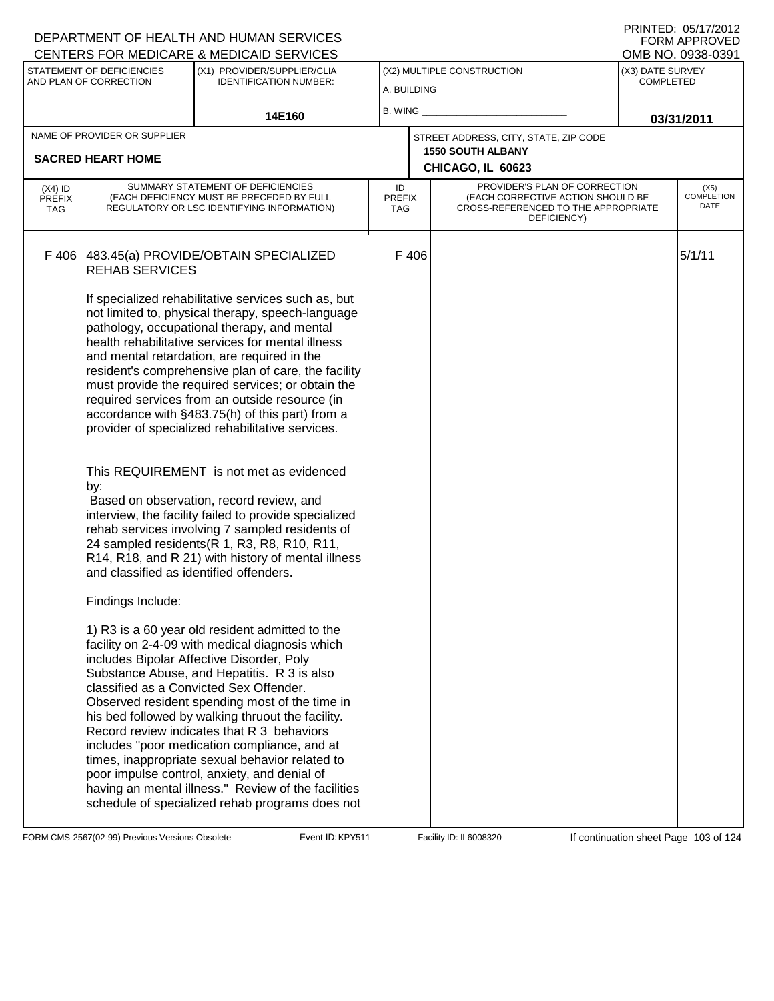| <b>CENTERS FOR MEDICARE &amp; MEDICAID SERVICES</b> |                                                     |                                                                                                                                                                                                                                                                                                                                                                                                                                                                                                                                                                                                                                                             |                                   |      |                                                                                                                          | OMB NO. 0938-0391                    |                              |
|-----------------------------------------------------|-----------------------------------------------------|-------------------------------------------------------------------------------------------------------------------------------------------------------------------------------------------------------------------------------------------------------------------------------------------------------------------------------------------------------------------------------------------------------------------------------------------------------------------------------------------------------------------------------------------------------------------------------------------------------------------------------------------------------------|-----------------------------------|------|--------------------------------------------------------------------------------------------------------------------------|--------------------------------------|------------------------------|
|                                                     | STATEMENT OF DEFICIENCIES<br>AND PLAN OF CORRECTION | (X1) PROVIDER/SUPPLIER/CLIA<br><b>IDENTIFICATION NUMBER:</b>                                                                                                                                                                                                                                                                                                                                                                                                                                                                                                                                                                                                | A. BUILDING                       |      | (X2) MULTIPLE CONSTRUCTION                                                                                               | (X3) DATE SURVEY<br><b>COMPLETED</b> |                              |
|                                                     |                                                     |                                                                                                                                                                                                                                                                                                                                                                                                                                                                                                                                                                                                                                                             | B. WING                           |      |                                                                                                                          |                                      |                              |
|                                                     |                                                     | 14E160                                                                                                                                                                                                                                                                                                                                                                                                                                                                                                                                                                                                                                                      |                                   |      |                                                                                                                          |                                      | 03/31/2011                   |
|                                                     | NAME OF PROVIDER OR SUPPLIER                        |                                                                                                                                                                                                                                                                                                                                                                                                                                                                                                                                                                                                                                                             |                                   |      | STREET ADDRESS, CITY, STATE, ZIP CODE<br><b>1550 SOUTH ALBANY</b>                                                        |                                      |                              |
|                                                     | <b>SACRED HEART HOME</b>                            |                                                                                                                                                                                                                                                                                                                                                                                                                                                                                                                                                                                                                                                             |                                   |      | CHICAGO, IL 60623                                                                                                        |                                      |                              |
| $(X4)$ ID<br><b>PREFIX</b><br><b>TAG</b>            |                                                     | SUMMARY STATEMENT OF DEFICIENCIES<br>(EACH DEFICIENCY MUST BE PRECEDED BY FULL<br>REGULATORY OR LSC IDENTIFYING INFORMATION)                                                                                                                                                                                                                                                                                                                                                                                                                                                                                                                                | ID<br><b>PREFIX</b><br><b>TAG</b> |      | PROVIDER'S PLAN OF CORRECTION<br>(EACH CORRECTIVE ACTION SHOULD BE<br>CROSS-REFERENCED TO THE APPROPRIATE<br>DEFICIENCY) |                                      | $(X5)$<br>COMPLETION<br>DATE |
| F 406                                               | <b>REHAB SERVICES</b>                               | 483.45(a) PROVIDE/OBTAIN SPECIALIZED                                                                                                                                                                                                                                                                                                                                                                                                                                                                                                                                                                                                                        |                                   | F406 |                                                                                                                          |                                      | 5/1/11                       |
|                                                     |                                                     | If specialized rehabilitative services such as, but<br>not limited to, physical therapy, speech-language<br>pathology, occupational therapy, and mental<br>health rehabilitative services for mental illness<br>and mental retardation, are required in the<br>resident's comprehensive plan of care, the facility<br>must provide the required services; or obtain the<br>required services from an outside resource (in<br>accordance with §483.75(h) of this part) from a<br>provider of specialized rehabilitative services.                                                                                                                            |                                   |      |                                                                                                                          |                                      |                              |
|                                                     | by:<br>and classified as identified offenders.      | This REQUIREMENT is not met as evidenced<br>Based on observation, record review, and<br>interview, the facility failed to provide specialized<br>rehab services involving 7 sampled residents of<br>24 sampled residents (R 1, R3, R8, R10, R11,<br>R14, R18, and R 21) with history of mental illness                                                                                                                                                                                                                                                                                                                                                      |                                   |      |                                                                                                                          |                                      |                              |
|                                                     | Findings Include:                                   | 1) R3 is a 60 year old resident admitted to the<br>facility on 2-4-09 with medical diagnosis which<br>includes Bipolar Affective Disorder, Poly<br>Substance Abuse, and Hepatitis. R 3 is also<br>classified as a Convicted Sex Offender.<br>Observed resident spending most of the time in<br>his bed followed by walking thruout the facility.<br>Record review indicates that R 3 behaviors<br>includes "poor medication compliance, and at<br>times, inappropriate sexual behavior related to<br>poor impulse control, anxiety, and denial of<br>having an mental illness." Review of the facilities<br>schedule of specialized rehab programs does not |                                   |      |                                                                                                                          |                                      |                              |

FORM CMS-2567(02-99) Previous Versions Obsolete Event ID: KPY511 Facility ID: IL6008320 If continuation sheet Page 103 of 124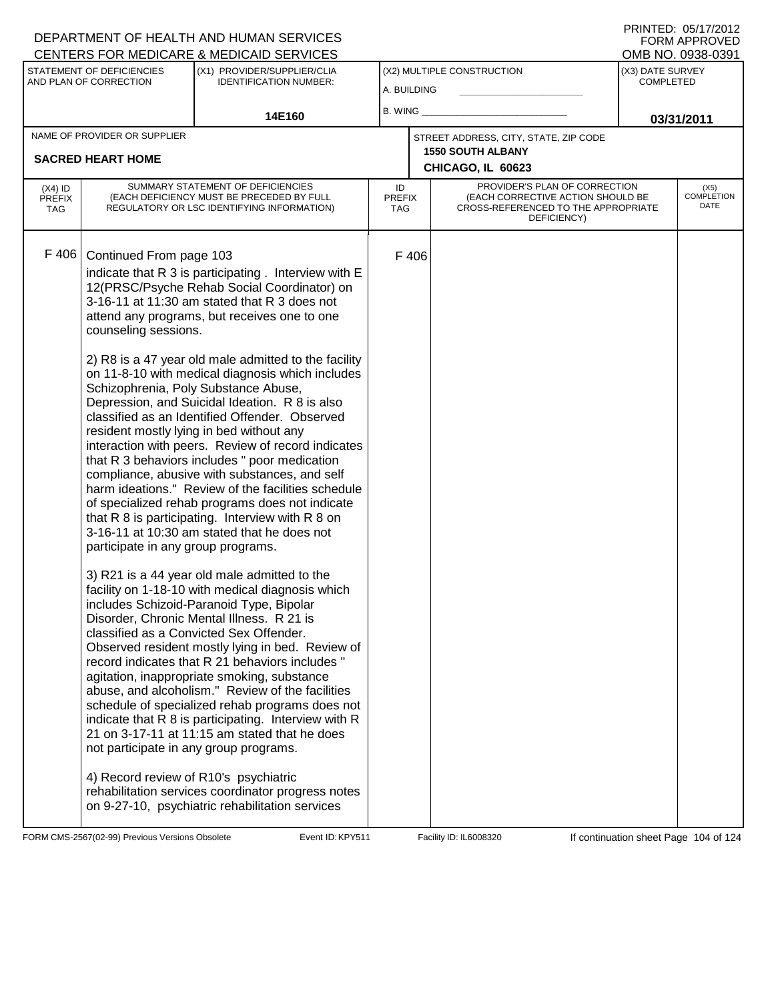|                                                          |                                                                                                                                                                                                                                                                                                                                                                                                                                                                                                                                                                                                                                                                                                                                                                                                                                                                                                                                                                                                                                                                                                                                                                                                                                                                                                                                                                                                                                                                                                                                                                                                                                                                                                                                                              | <b>CENTERS FOR MEDICARE &amp; MEDICAID SERVICES</b>                                                   |                            |          |                                                                                                                          |            | OMB NO. 0938-0391                    |  |
|----------------------------------------------------------|--------------------------------------------------------------------------------------------------------------------------------------------------------------------------------------------------------------------------------------------------------------------------------------------------------------------------------------------------------------------------------------------------------------------------------------------------------------------------------------------------------------------------------------------------------------------------------------------------------------------------------------------------------------------------------------------------------------------------------------------------------------------------------------------------------------------------------------------------------------------------------------------------------------------------------------------------------------------------------------------------------------------------------------------------------------------------------------------------------------------------------------------------------------------------------------------------------------------------------------------------------------------------------------------------------------------------------------------------------------------------------------------------------------------------------------------------------------------------------------------------------------------------------------------------------------------------------------------------------------------------------------------------------------------------------------------------------------------------------------------------------------|-------------------------------------------------------------------------------------------------------|----------------------------|----------|--------------------------------------------------------------------------------------------------------------------------|------------|--------------------------------------|--|
| STATEMENT OF DEFICIENCIES<br>AND PLAN OF CORRECTION      |                                                                                                                                                                                                                                                                                                                                                                                                                                                                                                                                                                                                                                                                                                                                                                                                                                                                                                                                                                                                                                                                                                                                                                                                                                                                                                                                                                                                                                                                                                                                                                                                                                                                                                                                                              | (X1) PROVIDER/SUPPLIER/CLIA<br><b>IDENTIFICATION NUMBER:</b>                                          | A. BUILDING                |          | (X2) MULTIPLE CONSTRUCTION                                                                                               |            | (X3) DATE SURVEY<br><b>COMPLETED</b> |  |
| 14E160                                                   |                                                                                                                                                                                                                                                                                                                                                                                                                                                                                                                                                                                                                                                                                                                                                                                                                                                                                                                                                                                                                                                                                                                                                                                                                                                                                                                                                                                                                                                                                                                                                                                                                                                                                                                                                              |                                                                                                       |                            | B. WING_ |                                                                                                                          | 03/31/2011 |                                      |  |
| NAME OF PROVIDER OR SUPPLIER<br><b>SACRED HEART HOME</b> |                                                                                                                                                                                                                                                                                                                                                                                                                                                                                                                                                                                                                                                                                                                                                                                                                                                                                                                                                                                                                                                                                                                                                                                                                                                                                                                                                                                                                                                                                                                                                                                                                                                                                                                                                              |                                                                                                       |                            |          | STREET ADDRESS, CITY, STATE, ZIP CODE<br><b>1550 SOUTH ALBANY</b>                                                        |            |                                      |  |
|                                                          |                                                                                                                                                                                                                                                                                                                                                                                                                                                                                                                                                                                                                                                                                                                                                                                                                                                                                                                                                                                                                                                                                                                                                                                                                                                                                                                                                                                                                                                                                                                                                                                                                                                                                                                                                              |                                                                                                       |                            |          | CHICAGO, IL 60623                                                                                                        |            |                                      |  |
| $(X4)$ ID<br><b>PREFIX</b><br><b>TAG</b>                 |                                                                                                                                                                                                                                                                                                                                                                                                                                                                                                                                                                                                                                                                                                                                                                                                                                                                                                                                                                                                                                                                                                                                                                                                                                                                                                                                                                                                                                                                                                                                                                                                                                                                                                                                                              |                                                                                                       | ID<br><b>PREFIX</b><br>TAG |          | PROVIDER'S PLAN OF CORRECTION<br>(EACH CORRECTIVE ACTION SHOULD BE<br>CROSS-REFERENCED TO THE APPROPRIATE<br>DEFICIENCY) |            | (X5)<br><b>COMPLETION</b><br>DATE    |  |
| F 406                                                    | SUMMARY STATEMENT OF DEFICIENCIES<br>(EACH DEFICIENCY MUST BE PRECEDED BY FULL<br>REGULATORY OR LSC IDENTIFYING INFORMATION)<br>Continued From page 103<br>indicate that R 3 is participating. Interview with E<br>12(PRSC/Psyche Rehab Social Coordinator) on<br>3-16-11 at 11:30 am stated that R 3 does not<br>attend any programs, but receives one to one<br>counseling sessions.<br>2) R8 is a 47 year old male admitted to the facility<br>on 11-8-10 with medical diagnosis which includes<br>Schizophrenia, Poly Substance Abuse,<br>Depression, and Suicidal Ideation. R 8 is also<br>classified as an Identified Offender. Observed<br>resident mostly lying in bed without any<br>interaction with peers. Review of record indicates<br>that R 3 behaviors includes " poor medication<br>compliance, abusive with substances, and self<br>harm ideations." Review of the facilities schedule<br>of specialized rehab programs does not indicate<br>that R 8 is participating. Interview with R 8 on<br>3-16-11 at 10:30 am stated that he does not<br>participate in any group programs.<br>3) R21 is a 44 year old male admitted to the<br>facility on 1-18-10 with medical diagnosis which<br>includes Schizoid-Paranoid Type, Bipolar<br>Disorder, Chronic Mental Illness. R 21 is<br>classified as a Convicted Sex Offender.<br>Observed resident mostly lying in bed. Review of<br>record indicates that R 21 behaviors includes "<br>agitation, inappropriate smoking, substance<br>abuse, and alcoholism." Review of the facilities<br>schedule of specialized rehab programs does not<br>indicate that R 8 is participating. Interview with R<br>21 on 3-17-11 at 11:15 am stated that he does<br>not participate in any group programs. |                                                                                                       |                            | F 406    |                                                                                                                          |            |                                      |  |
|                                                          | 4) Record review of R10's psychiatric                                                                                                                                                                                                                                                                                                                                                                                                                                                                                                                                                                                                                                                                                                                                                                                                                                                                                                                                                                                                                                                                                                                                                                                                                                                                                                                                                                                                                                                                                                                                                                                                                                                                                                                        | rehabilitation services coordinator progress notes<br>on 9-27-10, psychiatric rehabilitation services |                            |          |                                                                                                                          |            |                                      |  |

FORM CMS-2567(02-99) Previous Versions Obsolete Event ID: KPY511 Facility ID: IL6008320 If continuation sheet Page 104 of 124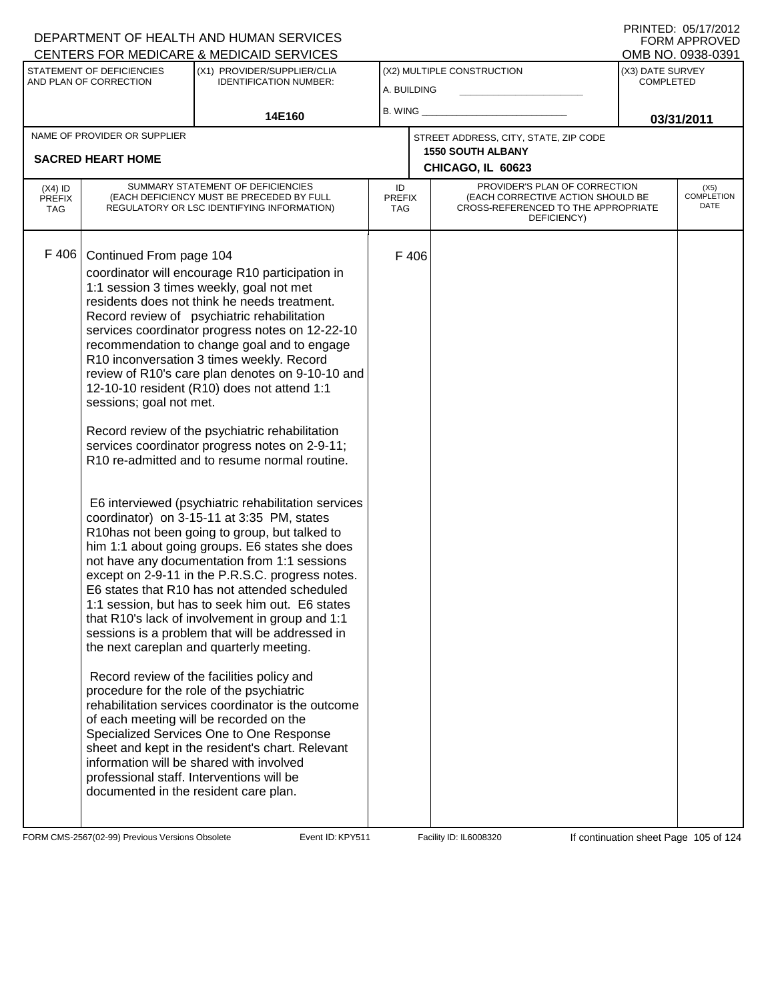|                                                     |                                                                                             | <b>CENTERS FOR MEDICARE &amp; MEDICAID SERVICES</b>                                                                                                                                                                                                                                                                                                                                                                                                                                                                                                                                                                                                                                                                                                                                                                                                                                                                                                                                                                                                                                                                                                                                                                                                                                                                                                                                                                                                                                                                                                                   |                                   |       |                                                                                                                          |                                      | OMB NO. 0938-0391                 |
|-----------------------------------------------------|---------------------------------------------------------------------------------------------|-----------------------------------------------------------------------------------------------------------------------------------------------------------------------------------------------------------------------------------------------------------------------------------------------------------------------------------------------------------------------------------------------------------------------------------------------------------------------------------------------------------------------------------------------------------------------------------------------------------------------------------------------------------------------------------------------------------------------------------------------------------------------------------------------------------------------------------------------------------------------------------------------------------------------------------------------------------------------------------------------------------------------------------------------------------------------------------------------------------------------------------------------------------------------------------------------------------------------------------------------------------------------------------------------------------------------------------------------------------------------------------------------------------------------------------------------------------------------------------------------------------------------------------------------------------------------|-----------------------------------|-------|--------------------------------------------------------------------------------------------------------------------------|--------------------------------------|-----------------------------------|
| STATEMENT OF DEFICIENCIES<br>AND PLAN OF CORRECTION |                                                                                             | (X1) PROVIDER/SUPPLIER/CLIA<br><b>IDENTIFICATION NUMBER:</b>                                                                                                                                                                                                                                                                                                                                                                                                                                                                                                                                                                                                                                                                                                                                                                                                                                                                                                                                                                                                                                                                                                                                                                                                                                                                                                                                                                                                                                                                                                          | A. BUILDING                       |       | (X2) MULTIPLE CONSTRUCTION                                                                                               | (X3) DATE SURVEY<br><b>COMPLETED</b> |                                   |
| 14E160                                              |                                                                                             | B. WING                                                                                                                                                                                                                                                                                                                                                                                                                                                                                                                                                                                                                                                                                                                                                                                                                                                                                                                                                                                                                                                                                                                                                                                                                                                                                                                                                                                                                                                                                                                                                               |                                   |       | 03/31/2011                                                                                                               |                                      |                                   |
| NAME OF PROVIDER OR SUPPLIER                        |                                                                                             |                                                                                                                                                                                                                                                                                                                                                                                                                                                                                                                                                                                                                                                                                                                                                                                                                                                                                                                                                                                                                                                                                                                                                                                                                                                                                                                                                                                                                                                                                                                                                                       |                                   |       | STREET ADDRESS, CITY, STATE, ZIP CODE                                                                                    |                                      |                                   |
| <b>SACRED HEART HOME</b>                            |                                                                                             |                                                                                                                                                                                                                                                                                                                                                                                                                                                                                                                                                                                                                                                                                                                                                                                                                                                                                                                                                                                                                                                                                                                                                                                                                                                                                                                                                                                                                                                                                                                                                                       |                                   |       | <b>1550 SOUTH ALBANY</b><br>CHICAGO, IL 60623                                                                            |                                      |                                   |
|                                                     |                                                                                             |                                                                                                                                                                                                                                                                                                                                                                                                                                                                                                                                                                                                                                                                                                                                                                                                                                                                                                                                                                                                                                                                                                                                                                                                                                                                                                                                                                                                                                                                                                                                                                       |                                   |       |                                                                                                                          |                                      |                                   |
| $(X4)$ ID<br><b>PREFIX</b><br><b>TAG</b>            |                                                                                             | SUMMARY STATEMENT OF DEFICIENCIES<br>(EACH DEFICIENCY MUST BE PRECEDED BY FULL<br>REGULATORY OR LSC IDENTIFYING INFORMATION)                                                                                                                                                                                                                                                                                                                                                                                                                                                                                                                                                                                                                                                                                                                                                                                                                                                                                                                                                                                                                                                                                                                                                                                                                                                                                                                                                                                                                                          | ID<br><b>PREFIX</b><br><b>TAG</b> |       | PROVIDER'S PLAN OF CORRECTION<br>(EACH CORRECTIVE ACTION SHOULD BE<br>CROSS-REFERENCED TO THE APPROPRIATE<br>DEFICIENCY) |                                      | (X5)<br><b>COMPLETION</b><br>DATE |
| F 406                                               | Continued From page 104<br>sessions; goal not met.<br>documented in the resident care plan. | coordinator will encourage R10 participation in<br>1:1 session 3 times weekly, goal not met<br>residents does not think he needs treatment.<br>Record review of psychiatric rehabilitation<br>services coordinator progress notes on 12-22-10<br>recommendation to change goal and to engage<br>R10 inconversation 3 times weekly. Record<br>review of R10's care plan denotes on 9-10-10 and<br>12-10-10 resident (R10) does not attend 1:1<br>Record review of the psychiatric rehabilitation<br>services coordinator progress notes on 2-9-11;<br>R <sub>10</sub> re-admitted and to resume normal routine.<br>E6 interviewed (psychiatric rehabilitation services<br>coordinator) on 3-15-11 at 3:35 PM, states<br>R10has not been going to group, but talked to<br>him 1:1 about going groups. E6 states she does<br>not have any documentation from 1:1 sessions<br>except on 2-9-11 in the P.R.S.C. progress notes.<br>E6 states that R10 has not attended scheduled<br>1:1 session, but has to seek him out. E6 states<br>that R10's lack of involvement in group and 1:1<br>sessions is a problem that will be addressed in<br>the next careplan and quarterly meeting.<br>Record review of the facilities policy and<br>procedure for the role of the psychiatric<br>rehabilitation services coordinator is the outcome<br>of each meeting will be recorded on the<br>Specialized Services One to One Response<br>sheet and kept in the resident's chart. Relevant<br>information will be shared with involved<br>professional staff. Interventions will be |                                   | F 406 |                                                                                                                          |                                      |                                   |

FORM CMS-2567(02-99) Previous Versions Obsolete Event ID: KPY511 Facility ID: IL6008320 If continuation sheet Page 105 of 124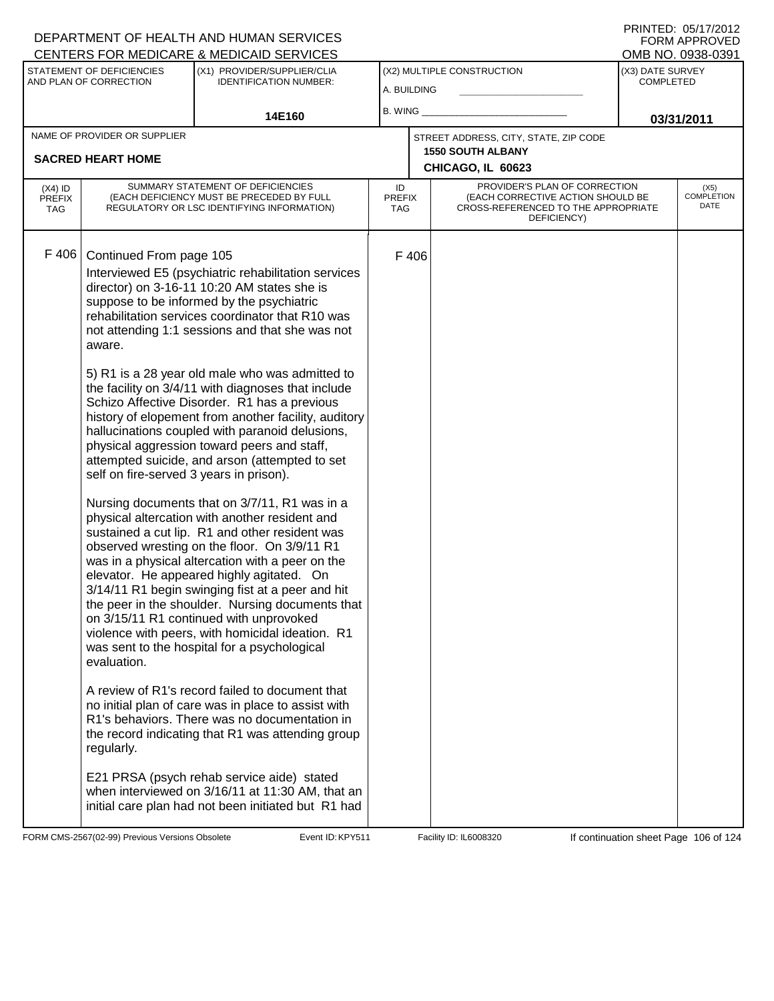|                                                          |                                         | <u>UENTERS FUR MEDIUARE &amp; MEDIUAID SERVIUES</u>                                                                                                                                                                                                                                                                                                                                                                                                                                                                                                       |                                           |       |                                                                                                                          |                               | ו פטיסטאט .טאו םועוט              |
|----------------------------------------------------------|-----------------------------------------|-----------------------------------------------------------------------------------------------------------------------------------------------------------------------------------------------------------------------------------------------------------------------------------------------------------------------------------------------------------------------------------------------------------------------------------------------------------------------------------------------------------------------------------------------------------|-------------------------------------------|-------|--------------------------------------------------------------------------------------------------------------------------|-------------------------------|-----------------------------------|
| STATEMENT OF DEFICIENCIES<br>AND PLAN OF CORRECTION      |                                         | (X1) PROVIDER/SUPPLIER/CLIA<br><b>IDENTIFICATION NUMBER:</b>                                                                                                                                                                                                                                                                                                                                                                                                                                                                                              | (X2) MULTIPLE CONSTRUCTION<br>A. BUILDING |       |                                                                                                                          | (X3) DATE SURVEY<br>COMPLETED |                                   |
| 14E160                                                   |                                         | B. WING                                                                                                                                                                                                                                                                                                                                                                                                                                                                                                                                                   |                                           |       | 03/31/2011                                                                                                               |                               |                                   |
| NAME OF PROVIDER OR SUPPLIER<br><b>SACRED HEART HOME</b> |                                         |                                                                                                                                                                                                                                                                                                                                                                                                                                                                                                                                                           |                                           |       | STREET ADDRESS, CITY, STATE, ZIP CODE<br><b>1550 SOUTH ALBANY</b>                                                        |                               |                                   |
|                                                          |                                         |                                                                                                                                                                                                                                                                                                                                                                                                                                                                                                                                                           |                                           |       | CHICAGO, IL 60623                                                                                                        |                               |                                   |
| $(X4)$ ID<br><b>PREFIX</b><br><b>TAG</b>                 |                                         | SUMMARY STATEMENT OF DEFICIENCIES<br>(EACH DEFICIENCY MUST BE PRECEDED BY FULL<br>REGULATORY OR LSC IDENTIFYING INFORMATION)                                                                                                                                                                                                                                                                                                                                                                                                                              | ID<br><b>PREFIX</b><br>TAG                |       | PROVIDER'S PLAN OF CORRECTION<br>(EACH CORRECTIVE ACTION SHOULD BE<br>CROSS-REFERENCED TO THE APPROPRIATE<br>DEFICIENCY) |                               | (X5)<br><b>COMPLETION</b><br>DATE |
| F 406                                                    | Continued From page 105<br>aware.       | Interviewed E5 (psychiatric rehabilitation services<br>director) on 3-16-11 10:20 AM states she is<br>suppose to be informed by the psychiatric<br>rehabilitation services coordinator that R10 was<br>not attending 1:1 sessions and that she was not                                                                                                                                                                                                                                                                                                    |                                           | F 406 |                                                                                                                          |                               |                                   |
|                                                          | self on fire-served 3 years in prison). | 5) R1 is a 28 year old male who was admitted to<br>the facility on 3/4/11 with diagnoses that include<br>Schizo Affective Disorder. R1 has a previous<br>history of elopement from another facility, auditory<br>hallucinations coupled with paranoid delusions,<br>physical aggression toward peers and staff,<br>attempted suicide, and arson (attempted to set                                                                                                                                                                                         |                                           |       |                                                                                                                          |                               |                                   |
|                                                          | evaluation.                             | Nursing documents that on 3/7/11, R1 was in a<br>physical altercation with another resident and<br>sustained a cut lip. R1 and other resident was<br>observed wresting on the floor. On 3/9/11 R1<br>was in a physical altercation with a peer on the<br>elevator. He appeared highly agitated. On<br>3/14/11 R1 begin swinging fist at a peer and hit<br>the peer in the shoulder. Nursing documents that<br>on 3/15/11 R1 continued with unprovoked<br>violence with peers, with homicidal ideation. R1<br>was sent to the hospital for a psychological |                                           |       |                                                                                                                          |                               |                                   |
|                                                          | regularly.                              | A review of R1's record failed to document that<br>no initial plan of care was in place to assist with<br>R1's behaviors. There was no documentation in<br>the record indicating that R1 was attending group                                                                                                                                                                                                                                                                                                                                              |                                           |       |                                                                                                                          |                               |                                   |
|                                                          |                                         | E21 PRSA (psych rehab service aide) stated<br>when interviewed on 3/16/11 at 11:30 AM, that an<br>initial care plan had not been initiated but R1 had                                                                                                                                                                                                                                                                                                                                                                                                     |                                           |       |                                                                                                                          |                               |                                   |

FORM CMS-2567(02-99) Previous Versions Obsolete Event ID: KPY511 Facility ID: IL6008320 If continuation sheet Page 106 of 124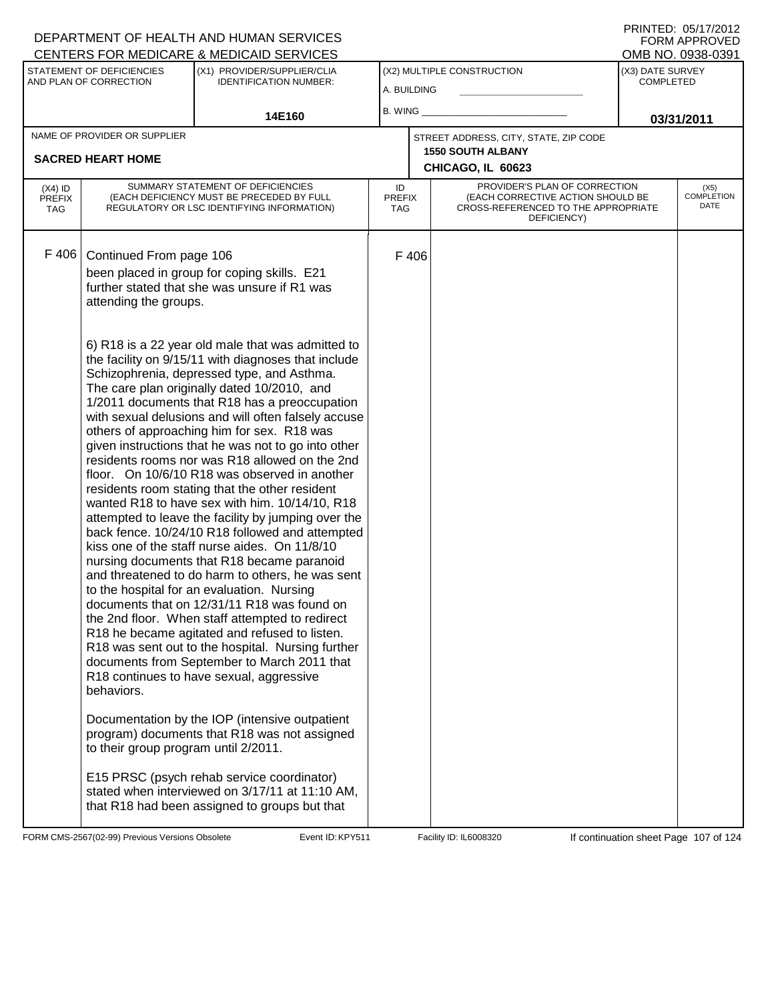|                                          |                                                  | CENTERS FOR MEDICARE & MEDICAID SERVICES                                                                                                                                                                                                                                                                                                                                                                                                                                                                                                                                                                                                                                                                                                                                                                                                                                                                                                                                                                                                                                                                                                                                                                                             |                                   |       |                                                                                                                          |                  | OMB NO. 0938-0391                 |
|------------------------------------------|--------------------------------------------------|--------------------------------------------------------------------------------------------------------------------------------------------------------------------------------------------------------------------------------------------------------------------------------------------------------------------------------------------------------------------------------------------------------------------------------------------------------------------------------------------------------------------------------------------------------------------------------------------------------------------------------------------------------------------------------------------------------------------------------------------------------------------------------------------------------------------------------------------------------------------------------------------------------------------------------------------------------------------------------------------------------------------------------------------------------------------------------------------------------------------------------------------------------------------------------------------------------------------------------------|-----------------------------------|-------|--------------------------------------------------------------------------------------------------------------------------|------------------|-----------------------------------|
| STATEMENT OF DEFICIENCIES                |                                                  | (X1) PROVIDER/SUPPLIER/CLIA                                                                                                                                                                                                                                                                                                                                                                                                                                                                                                                                                                                                                                                                                                                                                                                                                                                                                                                                                                                                                                                                                                                                                                                                          |                                   |       | (X2) MULTIPLE CONSTRUCTION                                                                                               | (X3) DATE SURVEY |                                   |
| AND PLAN OF CORRECTION                   |                                                  | <b>IDENTIFICATION NUMBER:</b>                                                                                                                                                                                                                                                                                                                                                                                                                                                                                                                                                                                                                                                                                                                                                                                                                                                                                                                                                                                                                                                                                                                                                                                                        | A. BUILDING                       |       |                                                                                                                          | <b>COMPLETED</b> |                                   |
| 14E160                                   |                                                  | B. WING $\_$                                                                                                                                                                                                                                                                                                                                                                                                                                                                                                                                                                                                                                                                                                                                                                                                                                                                                                                                                                                                                                                                                                                                                                                                                         |                                   |       | 03/31/2011                                                                                                               |                  |                                   |
|                                          | NAME OF PROVIDER OR SUPPLIER                     |                                                                                                                                                                                                                                                                                                                                                                                                                                                                                                                                                                                                                                                                                                                                                                                                                                                                                                                                                                                                                                                                                                                                                                                                                                      |                                   |       | STREET ADDRESS, CITY, STATE, ZIP CODE                                                                                    |                  |                                   |
|                                          | <b>SACRED HEART HOME</b>                         |                                                                                                                                                                                                                                                                                                                                                                                                                                                                                                                                                                                                                                                                                                                                                                                                                                                                                                                                                                                                                                                                                                                                                                                                                                      |                                   |       | <b>1550 SOUTH ALBANY</b>                                                                                                 |                  |                                   |
|                                          |                                                  |                                                                                                                                                                                                                                                                                                                                                                                                                                                                                                                                                                                                                                                                                                                                                                                                                                                                                                                                                                                                                                                                                                                                                                                                                                      |                                   |       | CHICAGO, IL 60623                                                                                                        |                  |                                   |
| $(X4)$ ID<br><b>PREFIX</b><br><b>TAG</b> |                                                  | SUMMARY STATEMENT OF DEFICIENCIES<br>(EACH DEFICIENCY MUST BE PRECEDED BY FULL<br>REGULATORY OR LSC IDENTIFYING INFORMATION)                                                                                                                                                                                                                                                                                                                                                                                                                                                                                                                                                                                                                                                                                                                                                                                                                                                                                                                                                                                                                                                                                                         | ID<br><b>PREFIX</b><br><b>TAG</b> |       | PROVIDER'S PLAN OF CORRECTION<br>(EACH CORRECTIVE ACTION SHOULD BE<br>CROSS-REFERENCED TO THE APPROPRIATE<br>DEFICIENCY) |                  | (X5)<br><b>COMPLETION</b><br>DATE |
| F 406                                    | Continued From page 106<br>attending the groups. | been placed in group for coping skills. E21<br>further stated that she was unsure if R1 was<br>6) R18 is a 22 year old male that was admitted to                                                                                                                                                                                                                                                                                                                                                                                                                                                                                                                                                                                                                                                                                                                                                                                                                                                                                                                                                                                                                                                                                     |                                   | F 406 |                                                                                                                          |                  |                                   |
|                                          | behaviors.                                       | the facility on 9/15/11 with diagnoses that include<br>Schizophrenia, depressed type, and Asthma.<br>The care plan originally dated 10/2010, and<br>1/2011 documents that R18 has a preoccupation<br>with sexual delusions and will often falsely accuse<br>others of approaching him for sex. R18 was<br>given instructions that he was not to go into other<br>residents rooms nor was R18 allowed on the 2nd<br>floor. On 10/6/10 R18 was observed in another<br>residents room stating that the other resident<br>wanted R18 to have sex with him. 10/14/10, R18<br>attempted to leave the facility by jumping over the<br>back fence. 10/24/10 R18 followed and attempted<br>kiss one of the staff nurse aides. On 11/8/10<br>nursing documents that R18 became paranoid<br>and threatened to do harm to others, he was sent<br>to the hospital for an evaluation. Nursing<br>documents that on 12/31/11 R18 was found on<br>the 2nd floor. When staff attempted to redirect<br>R18 he became agitated and refused to listen.<br>R18 was sent out to the hospital. Nursing further<br>documents from September to March 2011 that<br>R18 continues to have sexual, aggressive<br>Documentation by the IOP (intensive outpatient |                                   |       |                                                                                                                          |                  |                                   |
|                                          | to their group program until 2/2011.             | program) documents that R18 was not assigned<br>E15 PRSC (psych rehab service coordinator)<br>stated when interviewed on 3/17/11 at 11:10 AM,<br>that R18 had been assigned to groups but that                                                                                                                                                                                                                                                                                                                                                                                                                                                                                                                                                                                                                                                                                                                                                                                                                                                                                                                                                                                                                                       |                                   |       |                                                                                                                          |                  |                                   |

FORM CMS-2567(02-99) Previous Versions Obsolete Event ID: KPY511 Facility ID: IL6008320 If continuation sheet Page 107 of 124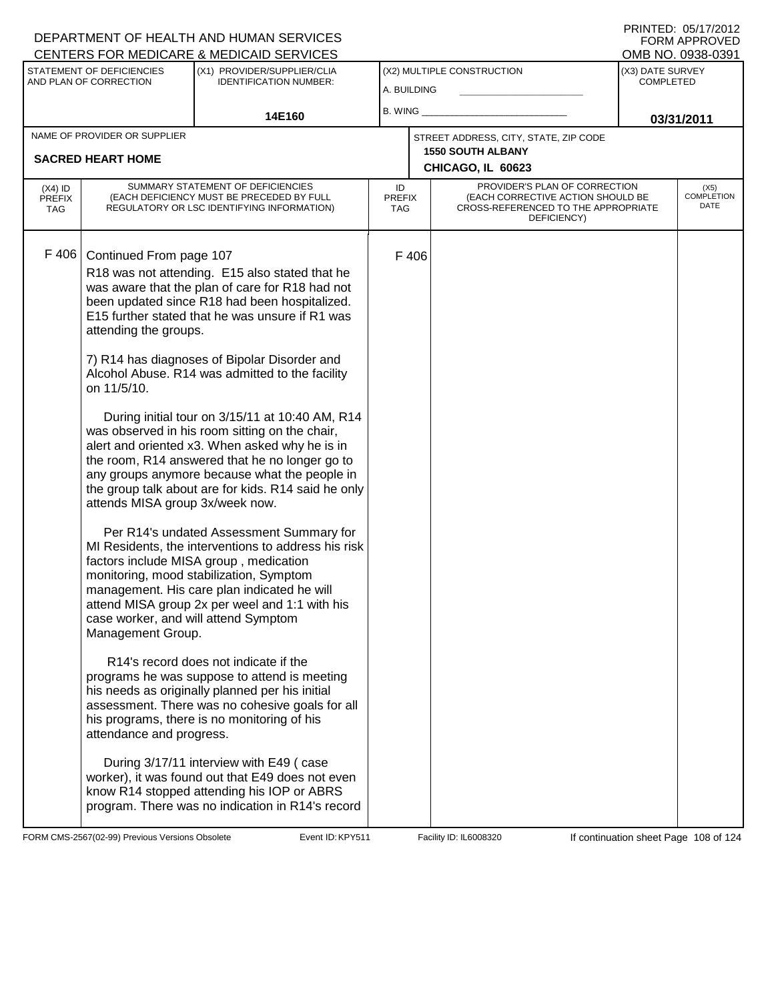PRINTED: 05/17/2012 FORM APPROVED<br>OMB NO. 0938-0391

| 02.000 UNITED ON THE DIGHALL & INLEDION (ID OLITY IOLO                                                                                                                                               |                                                                                                                                                                                                                                                                                                                                                                                                                                                                                                                                                                                                                                                                                                                                                                                                                                                                                                                                                                                                                                                                                                                                                                                                                                                                                                               |                                           |       |                                                                                                                          |                                      | י טטטט. טאני שוייכ                |
|------------------------------------------------------------------------------------------------------------------------------------------------------------------------------------------------------|---------------------------------------------------------------------------------------------------------------------------------------------------------------------------------------------------------------------------------------------------------------------------------------------------------------------------------------------------------------------------------------------------------------------------------------------------------------------------------------------------------------------------------------------------------------------------------------------------------------------------------------------------------------------------------------------------------------------------------------------------------------------------------------------------------------------------------------------------------------------------------------------------------------------------------------------------------------------------------------------------------------------------------------------------------------------------------------------------------------------------------------------------------------------------------------------------------------------------------------------------------------------------------------------------------------|-------------------------------------------|-------|--------------------------------------------------------------------------------------------------------------------------|--------------------------------------|-----------------------------------|
| STATEMENT OF DEFICIENCIES<br>AND PLAN OF CORRECTION                                                                                                                                                  | (X1) PROVIDER/SUPPLIER/CLIA<br><b>IDENTIFICATION NUMBER:</b>                                                                                                                                                                                                                                                                                                                                                                                                                                                                                                                                                                                                                                                                                                                                                                                                                                                                                                                                                                                                                                                                                                                                                                                                                                                  | (X2) MULTIPLE CONSTRUCTION<br>A. BUILDING |       |                                                                                                                          | (X3) DATE SURVEY<br><b>COMPLETED</b> |                                   |
|                                                                                                                                                                                                      | 14E160                                                                                                                                                                                                                                                                                                                                                                                                                                                                                                                                                                                                                                                                                                                                                                                                                                                                                                                                                                                                                                                                                                                                                                                                                                                                                                        | <b>B. WING</b>                            |       |                                                                                                                          |                                      | 03/31/2011                        |
| NAME OF PROVIDER OR SUPPLIER<br><b>SACRED HEART HOME</b>                                                                                                                                             |                                                                                                                                                                                                                                                                                                                                                                                                                                                                                                                                                                                                                                                                                                                                                                                                                                                                                                                                                                                                                                                                                                                                                                                                                                                                                                               |                                           |       | STREET ADDRESS, CITY, STATE, ZIP CODE<br><b>1550 SOUTH ALBANY</b><br>CHICAGO, IL 60623                                   |                                      |                                   |
| $(X4)$ ID<br><b>PREFIX</b><br><b>TAG</b>                                                                                                                                                             | SUMMARY STATEMENT OF DEFICIENCIES<br>(EACH DEFICIENCY MUST BE PRECEDED BY FULL<br>REGULATORY OR LSC IDENTIFYING INFORMATION)                                                                                                                                                                                                                                                                                                                                                                                                                                                                                                                                                                                                                                                                                                                                                                                                                                                                                                                                                                                                                                                                                                                                                                                  | ID<br><b>PREFIX</b><br>TAG                |       | PROVIDER'S PLAN OF CORRECTION<br>(EACH CORRECTIVE ACTION SHOULD BE<br>CROSS-REFERENCED TO THE APPROPRIATE<br>DEFICIENCY) |                                      | (X5)<br><b>COMPLETION</b><br>DATE |
| F 406<br>Continued From page 107<br>attending the groups.<br>on 11/5/10.<br>attends MISA group 3x/week now.<br>case worker, and will attend Symptom<br>Management Group.<br>attendance and progress. | R18 was not attending. E15 also stated that he<br>was aware that the plan of care for R18 had not<br>been updated since R18 had been hospitalized.<br>E15 further stated that he was unsure if R1 was<br>7) R14 has diagnoses of Bipolar Disorder and<br>Alcohol Abuse. R14 was admitted to the facility<br>During initial tour on 3/15/11 at 10:40 AM, R14<br>was observed in his room sitting on the chair,<br>alert and oriented x3. When asked why he is in<br>the room, R14 answered that he no longer go to<br>any groups anymore because what the people in<br>the group talk about are for kids. R14 said he only<br>Per R14's undated Assessment Summary for<br>MI Residents, the interventions to address his risk<br>factors include MISA group, medication<br>monitoring, mood stabilization, Symptom<br>management. His care plan indicated he will<br>attend MISA group 2x per weel and 1:1 with his<br>R14's record does not indicate if the<br>programs he was suppose to attend is meeting<br>his needs as originally planned per his initial<br>assessment. There was no cohesive goals for all<br>his programs, there is no monitoring of his<br>During 3/17/11 interview with E49 (case<br>worker), it was found out that E49 does not even<br>know R14 stopped attending his IOP or ABRS |                                           | F 406 |                                                                                                                          |                                      |                                   |

FORM CMS-2567(02-99) Previous Versions Obsolete KPTH Event ID: KPY511 Facility ID: IL6008320 If continuation sheet Page 108 of 124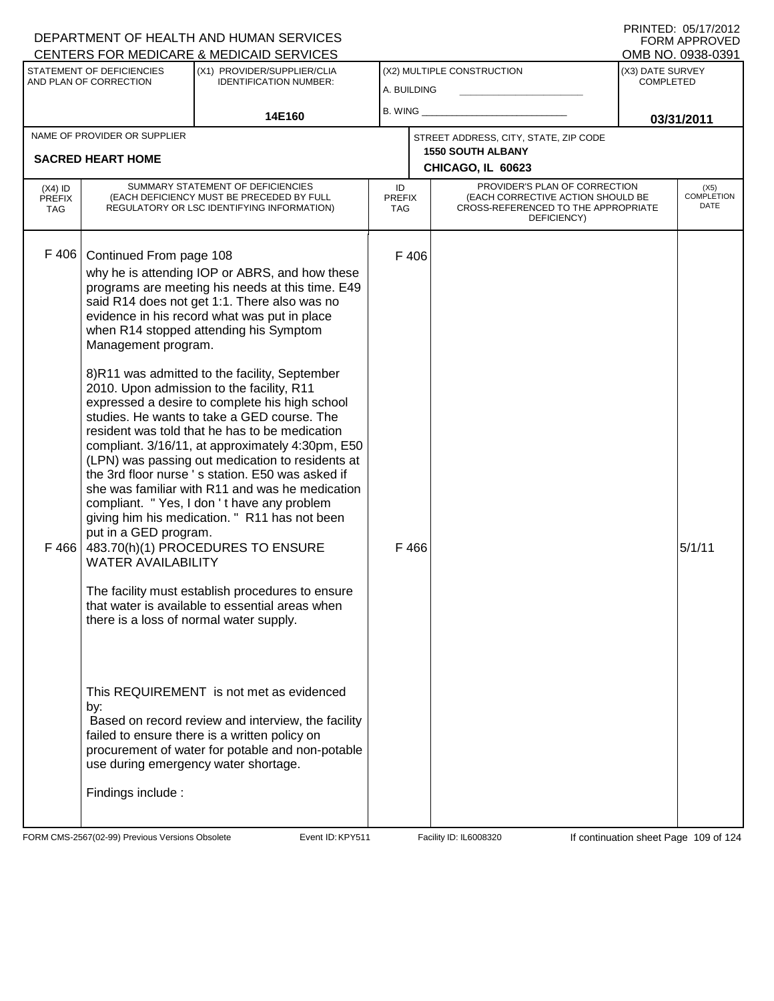| CENTERS FOR MEDICARE & MEDICAID SERVICES |                                                                                                                                                 |                                                                                                                                                                                                                                                                                                                                                                                                                                                                                                                                                                                                                                                                                                                                                                                                                                                                                                                                                        |                                   |                                           |                                                                                                                          | OMB NO. 0938-0391 |                                      |  |
|------------------------------------------|-------------------------------------------------------------------------------------------------------------------------------------------------|--------------------------------------------------------------------------------------------------------------------------------------------------------------------------------------------------------------------------------------------------------------------------------------------------------------------------------------------------------------------------------------------------------------------------------------------------------------------------------------------------------------------------------------------------------------------------------------------------------------------------------------------------------------------------------------------------------------------------------------------------------------------------------------------------------------------------------------------------------------------------------------------------------------------------------------------------------|-----------------------------------|-------------------------------------------|--------------------------------------------------------------------------------------------------------------------------|-------------------|--------------------------------------|--|
|                                          | STATEMENT OF DEFICIENCIES<br>AND PLAN OF CORRECTION                                                                                             | (X1) PROVIDER/SUPPLIER/CLIA<br><b>IDENTIFICATION NUMBER:</b>                                                                                                                                                                                                                                                                                                                                                                                                                                                                                                                                                                                                                                                                                                                                                                                                                                                                                           |                                   | (X2) MULTIPLE CONSTRUCTION<br>A. BUILDING |                                                                                                                          |                   | (X3) DATE SURVEY<br><b>COMPLETED</b> |  |
|                                          |                                                                                                                                                 | 14E160                                                                                                                                                                                                                                                                                                                                                                                                                                                                                                                                                                                                                                                                                                                                                                                                                                                                                                                                                 |                                   | B. WING                                   |                                                                                                                          |                   | 03/31/2011                           |  |
|                                          | NAME OF PROVIDER OR SUPPLIER                                                                                                                    |                                                                                                                                                                                                                                                                                                                                                                                                                                                                                                                                                                                                                                                                                                                                                                                                                                                                                                                                                        |                                   |                                           | STREET ADDRESS, CITY, STATE, ZIP CODE                                                                                    |                   |                                      |  |
|                                          | <b>SACRED HEART HOME</b>                                                                                                                        |                                                                                                                                                                                                                                                                                                                                                                                                                                                                                                                                                                                                                                                                                                                                                                                                                                                                                                                                                        |                                   |                                           | <b>1550 SOUTH ALBANY</b><br>CHICAGO, IL 60623                                                                            |                   |                                      |  |
| $(X4)$ ID<br><b>PREFIX</b><br><b>TAG</b> |                                                                                                                                                 | SUMMARY STATEMENT OF DEFICIENCIES<br>(EACH DEFICIENCY MUST BE PRECEDED BY FULL<br>REGULATORY OR LSC IDENTIFYING INFORMATION)                                                                                                                                                                                                                                                                                                                                                                                                                                                                                                                                                                                                                                                                                                                                                                                                                           | ID<br><b>PREFIX</b><br><b>TAG</b> |                                           | PROVIDER'S PLAN OF CORRECTION<br>(EACH CORRECTIVE ACTION SHOULD BE<br>CROSS-REFERENCED TO THE APPROPRIATE<br>DEFICIENCY) |                   | (X5)<br><b>COMPLETION</b><br>DATE    |  |
| F 406<br>F466                            | Continued From page 108<br>Management program.<br>put in a GED program.<br><b>WATER AVAILABILITY</b><br>there is a loss of normal water supply. | why he is attending IOP or ABRS, and how these<br>programs are meeting his needs at this time. E49<br>said R14 does not get 1:1. There also was no<br>evidence in his record what was put in place<br>when R14 stopped attending his Symptom<br>8)R11 was admitted to the facility, September<br>2010. Upon admission to the facility, R11<br>expressed a desire to complete his high school<br>studies. He wants to take a GED course. The<br>resident was told that he has to be medication<br>compliant. 3/16/11, at approximately 4:30pm, E50<br>(LPN) was passing out medication to residents at<br>the 3rd floor nurse 's station. E50 was asked if<br>she was familiar with R11 and was he medication<br>compliant. "Yes, I don't have any problem<br>giving him his medication. " R11 has not been<br>483.70(h)(1) PROCEDURES TO ENSURE<br>The facility must establish procedures to ensure<br>that water is available to essential areas when |                                   | F 406<br>F 466                            |                                                                                                                          |                   | 5/1/11                               |  |
|                                          | by:<br>Findings include:                                                                                                                        | This REQUIREMENT is not met as evidenced<br>Based on record review and interview, the facility<br>failed to ensure there is a written policy on<br>procurement of water for potable and non-potable<br>use during emergency water shortage.                                                                                                                                                                                                                                                                                                                                                                                                                                                                                                                                                                                                                                                                                                            |                                   |                                           |                                                                                                                          |                   |                                      |  |

FORM CMS-2567(02-99) Previous Versions Obsolete Event ID: KPY511 Facility ID: IL6008320 If continuation sheet Page 109 of 124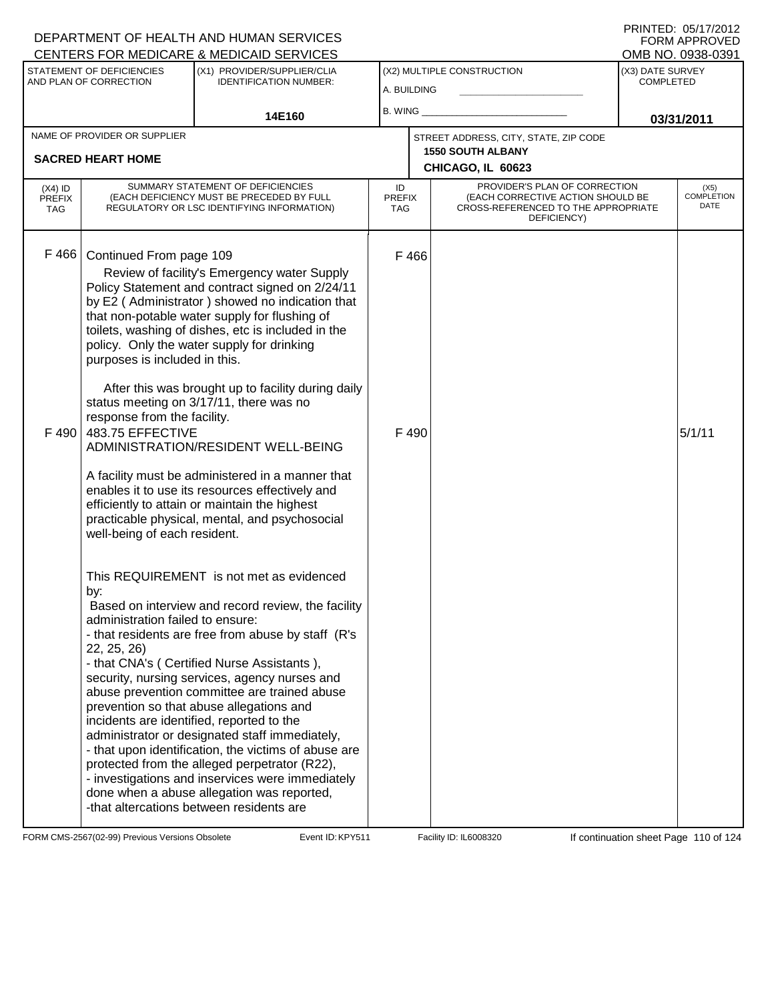#### A. BUILDING (X1) PROVIDER/SUPPLIER/CLIA IDENTIFICATION NUMBER: STATEMENT OF DEFICIENCIES AND PLAN OF CORRECTION (X3) DATE SURVEY COMPLETED FORM APPROVED<br>OMB NO. 0938-0391 (X2) MULTIPLE CONSTRUCTION B. WING **\_\_\_\_\_\_\_\_\_\_\_\_\_\_\_\_\_\_\_\_\_\_** CENTERS FOR MEDICARE & MEDICAID SERVICES 14E160 **B. WING CONSUMING (2011 03/31/2011 CHICAGO, IL 60623** NAME OF PROVIDER OR SUPPLIER STREET ADDRESS, CITY, STATE, ZIP CODE **SACRED HEART HOME 1550 SOUTH ALBANY** PROVIDER'S PLAN OF CORRECTION (EACH CORRECTIVE ACTION SHOULD BE CROSS-REFERENCED TO THE APPROPRIATE DEFICIENCY) (X5) COMPLETION DATE ID PREFIX TAG (X4) ID PREFIX TAG SUMMARY STATEMENT OF DEFICIENCIES (EACH DEFICIENCY MUST BE PRECEDED BY FULL REGULATORY OR LSC IDENTIFYING INFORMATION) F 466 Continued From page 109 F 466 Review of facility's Emergency water Supply Policy Statement and contract signed on 2/24/11 by E2 ( Administrator ) showed no indication that that non-potable water supply for flushing of toilets, washing of dishes, etc is included in the policy. Only the water supply for drinking purposes is included in this. After this was brought up to facility during daily status meeting on 3/17/11, there was no response from the facility. F 490 483.75 EFFECTIVE ADMINISTRATION/RESIDENT WELL-BEING A facility must be administered in a manner that enables it to use its resources effectively and efficiently to attain or maintain the highest practicable physical, mental, and psychosocial well-being of each resident. This REQUIREMENT is not met as evidenced by:  $F \, 490$  5/1/11 Based on interview and record review, the facility administration failed to ensure: - that residents are free from abuse by staff (R's 22, 25, 26) - that CNA's ( Certified Nurse Assistants ), security, nursing services, agency nurses and abuse prevention committee are trained abuse prevention so that abuse allegations and incidents are identified, reported to the administrator or designated staff immediately, - that upon identification, the victims of abuse are protected from the alleged perpetrator (R22), - investigations and inservices were immediately done when a abuse allegation was reported, -that altercations between residents are

FORM CMS-2567(02-99) Previous Versions Obsolete **KRYS11** Event ID: KPY511 Facility ID: IL6008320 If continuation sheet Page 110 of 124

DEPARTMENT OF HEALTH AND HUMAN SERVICES

PRINTED: 05/17/2012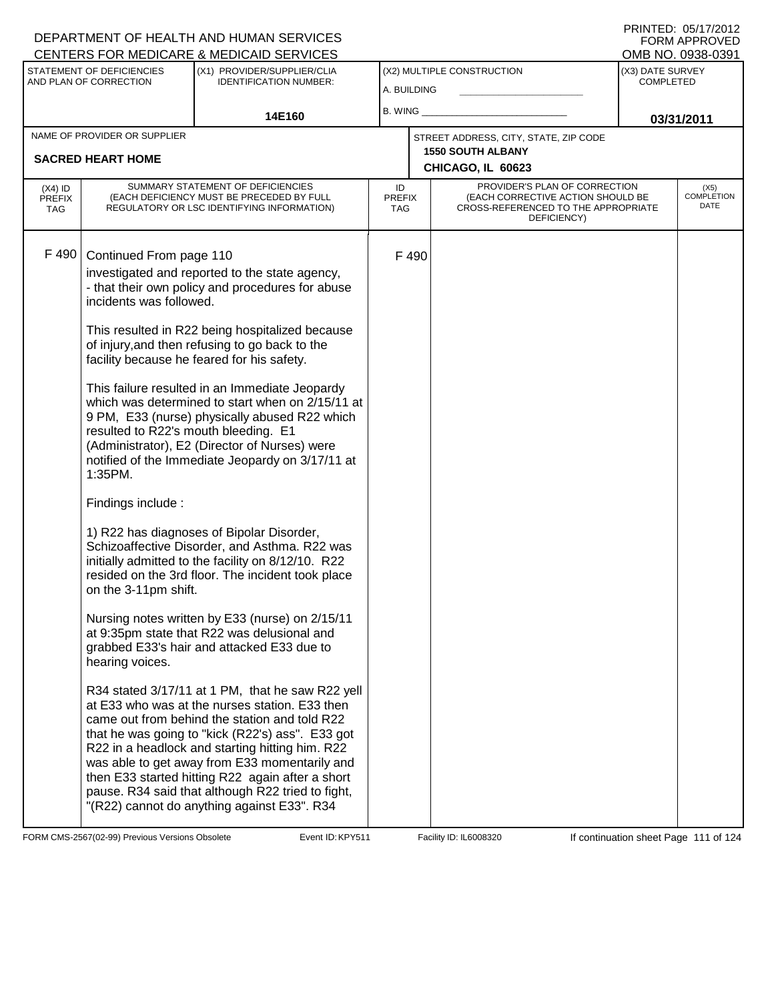|                                          |                                                                                                                                                    | CENTERS FOR MEDICARE & MEDICAID SERVICES                                                                                                                                                                                                                                                                                                                                                                                                                                                                                                                                                                                                                                                                                                                                                                                                                                   |                                           |                                               |                                                                                                                          |                                      | OMB NO. 0938-0391                 |
|------------------------------------------|----------------------------------------------------------------------------------------------------------------------------------------------------|----------------------------------------------------------------------------------------------------------------------------------------------------------------------------------------------------------------------------------------------------------------------------------------------------------------------------------------------------------------------------------------------------------------------------------------------------------------------------------------------------------------------------------------------------------------------------------------------------------------------------------------------------------------------------------------------------------------------------------------------------------------------------------------------------------------------------------------------------------------------------|-------------------------------------------|-----------------------------------------------|--------------------------------------------------------------------------------------------------------------------------|--------------------------------------|-----------------------------------|
|                                          | STATEMENT OF DEFICIENCIES<br>AND PLAN OF CORRECTION                                                                                                | (X1) PROVIDER/SUPPLIER/CLIA<br><b>IDENTIFICATION NUMBER:</b>                                                                                                                                                                                                                                                                                                                                                                                                                                                                                                                                                                                                                                                                                                                                                                                                               | (X2) MULTIPLE CONSTRUCTION<br>A. BUILDING |                                               |                                                                                                                          | (X3) DATE SURVEY<br><b>COMPLETED</b> |                                   |
|                                          |                                                                                                                                                    | 14E160                                                                                                                                                                                                                                                                                                                                                                                                                                                                                                                                                                                                                                                                                                                                                                                                                                                                     | B. WING                                   |                                               |                                                                                                                          | 03/31/2011                           |                                   |
|                                          | NAME OF PROVIDER OR SUPPLIER                                                                                                                       |                                                                                                                                                                                                                                                                                                                                                                                                                                                                                                                                                                                                                                                                                                                                                                                                                                                                            |                                           |                                               | STREET ADDRESS, CITY, STATE, ZIP CODE                                                                                    |                                      |                                   |
| <b>SACRED HEART HOME</b>                 |                                                                                                                                                    |                                                                                                                                                                                                                                                                                                                                                                                                                                                                                                                                                                                                                                                                                                                                                                                                                                                                            |                                           | <b>1550 SOUTH ALBANY</b><br>CHICAGO, IL 60623 |                                                                                                                          |                                      |                                   |
| $(X4)$ ID<br><b>PREFIX</b><br><b>TAG</b> |                                                                                                                                                    | SUMMARY STATEMENT OF DEFICIENCIES<br>(EACH DEFICIENCY MUST BE PRECEDED BY FULL<br>REGULATORY OR LSC IDENTIFYING INFORMATION)                                                                                                                                                                                                                                                                                                                                                                                                                                                                                                                                                                                                                                                                                                                                               | ID<br><b>PREFIX</b><br><b>TAG</b>         |                                               | PROVIDER'S PLAN OF CORRECTION<br>(EACH CORRECTIVE ACTION SHOULD BE<br>CROSS-REFERENCED TO THE APPROPRIATE<br>DEFICIENCY) |                                      | (X5)<br><b>COMPLETION</b><br>DATE |
| F 490                                    | Continued From page 110<br>incidents was followed.<br>resulted to R22's mouth bleeding. E1<br>1:35PM.<br>Findings include:<br>on the 3-11pm shift. | investigated and reported to the state agency,<br>- that their own policy and procedures for abuse<br>This resulted in R22 being hospitalized because<br>of injury, and then refusing to go back to the<br>facility because he feared for his safety.<br>This failure resulted in an Immediate Jeopardy<br>which was determined to start when on 2/15/11 at<br>9 PM, E33 (nurse) physically abused R22 which<br>(Administrator), E2 (Director of Nurses) were<br>notified of the Immediate Jeopardy on 3/17/11 at<br>1) R22 has diagnoses of Bipolar Disorder,<br>Schizoaffective Disorder, and Asthma. R22 was<br>initially admitted to the facility on 8/12/10. R22<br>resided on the 3rd floor. The incident took place<br>Nursing notes written by E33 (nurse) on 2/15/11<br>at 9:35pm state that R22 was delusional and<br>grabbed E33's hair and attacked E33 due to |                                           | F 490                                         |                                                                                                                          |                                      |                                   |
|                                          | hearing voices.                                                                                                                                    | R34 stated 3/17/11 at 1 PM, that he saw R22 yell<br>at E33 who was at the nurses station. E33 then<br>came out from behind the station and told R22<br>that he was going to "kick (R22's) ass". E33 got<br>R22 in a headlock and starting hitting him. R22<br>was able to get away from E33 momentarily and<br>then E33 started hitting R22 again after a short<br>pause. R34 said that although R22 tried to fight,<br>"(R22) cannot do anything against E33". R34                                                                                                                                                                                                                                                                                                                                                                                                        |                                           |                                               |                                                                                                                          |                                      |                                   |

FORM CMS-2567(02-99) Previous Versions Obsolete Event ID: KPY511 Facility ID: IL6008320 If continuation sheet Page 111 of 124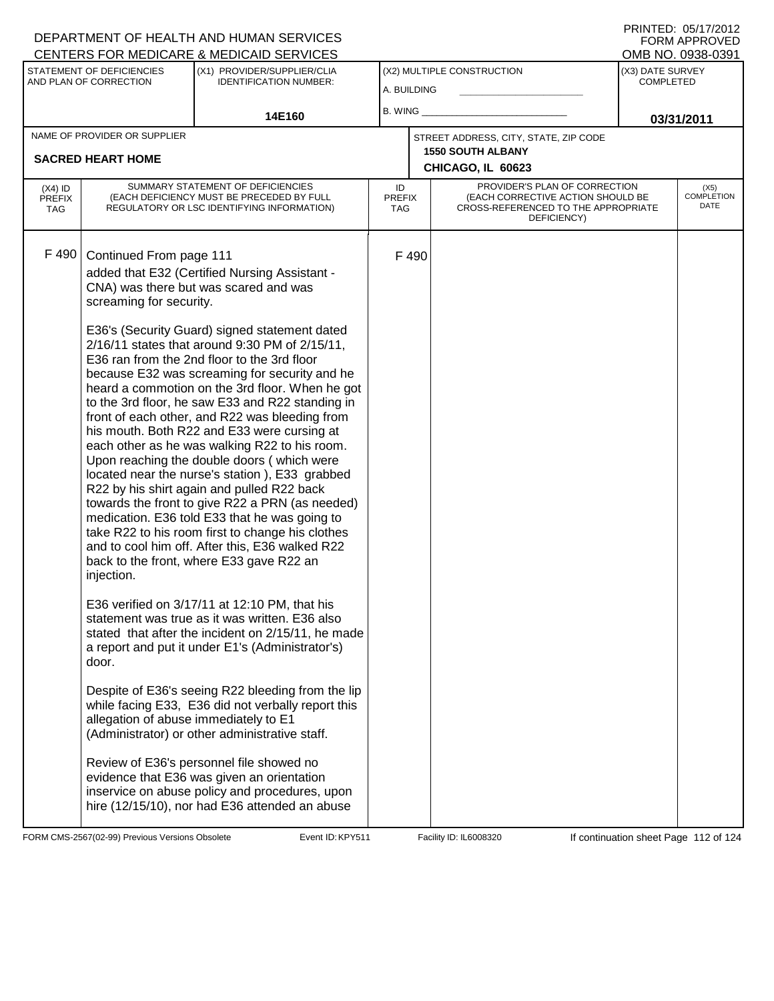|                                          |                                                                  | CENTERS FOR MEDICARE & MEDICAID SERVICES                                                                                                                                                                                                                                                                                                                                                                                                                                                                                                                                                                                                                                                                                                                                                                                                                                                                                                                                                                 |                            |                                               |                                                                                                                          |            | OMB NO. 0938-0391                    |  |
|------------------------------------------|------------------------------------------------------------------|----------------------------------------------------------------------------------------------------------------------------------------------------------------------------------------------------------------------------------------------------------------------------------------------------------------------------------------------------------------------------------------------------------------------------------------------------------------------------------------------------------------------------------------------------------------------------------------------------------------------------------------------------------------------------------------------------------------------------------------------------------------------------------------------------------------------------------------------------------------------------------------------------------------------------------------------------------------------------------------------------------|----------------------------|-----------------------------------------------|--------------------------------------------------------------------------------------------------------------------------|------------|--------------------------------------|--|
|                                          | STATEMENT OF DEFICIENCIES<br>AND PLAN OF CORRECTION              | (X1) PROVIDER/SUPPLIER/CLIA<br><b>IDENTIFICATION NUMBER:</b>                                                                                                                                                                                                                                                                                                                                                                                                                                                                                                                                                                                                                                                                                                                                                                                                                                                                                                                                             |                            | (X2) MULTIPLE CONSTRUCTION<br>A. BUILDING     |                                                                                                                          |            | (X3) DATE SURVEY<br><b>COMPLETED</b> |  |
|                                          |                                                                  | 14E160                                                                                                                                                                                                                                                                                                                                                                                                                                                                                                                                                                                                                                                                                                                                                                                                                                                                                                                                                                                                   | B. WING                    |                                               |                                                                                                                          | 03/31/2011 |                                      |  |
|                                          | NAME OF PROVIDER OR SUPPLIER                                     |                                                                                                                                                                                                                                                                                                                                                                                                                                                                                                                                                                                                                                                                                                                                                                                                                                                                                                                                                                                                          |                            |                                               | STREET ADDRESS, CITY, STATE, ZIP CODE                                                                                    |            |                                      |  |
| <b>SACRED HEART HOME</b>                 |                                                                  |                                                                                                                                                                                                                                                                                                                                                                                                                                                                                                                                                                                                                                                                                                                                                                                                                                                                                                                                                                                                          |                            | <b>1550 SOUTH ALBANY</b><br>CHICAGO, IL 60623 |                                                                                                                          |            |                                      |  |
| $(X4)$ ID<br><b>PREFIX</b><br><b>TAG</b> |                                                                  | SUMMARY STATEMENT OF DEFICIENCIES<br>(EACH DEFICIENCY MUST BE PRECEDED BY FULL<br>REGULATORY OR LSC IDENTIFYING INFORMATION)                                                                                                                                                                                                                                                                                                                                                                                                                                                                                                                                                                                                                                                                                                                                                                                                                                                                             | ID<br><b>PREFIX</b><br>TAG |                                               | PROVIDER'S PLAN OF CORRECTION<br>(EACH CORRECTIVE ACTION SHOULD BE<br>CROSS-REFERENCED TO THE APPROPRIATE<br>DEFICIENCY) |            | (X5)<br><b>COMPLETION</b><br>DATE    |  |
| F 490                                    | Continued From page 111<br>screaming for security.<br>injection. | added that E32 (Certified Nursing Assistant -<br>CNA) was there but was scared and was<br>E36's (Security Guard) signed statement dated<br>2/16/11 states that around 9:30 PM of 2/15/11,<br>E36 ran from the 2nd floor to the 3rd floor<br>because E32 was screaming for security and he<br>heard a commotion on the 3rd floor. When he got<br>to the 3rd floor, he saw E33 and R22 standing in<br>front of each other, and R22 was bleeding from<br>his mouth. Both R22 and E33 were cursing at<br>each other as he was walking R22 to his room.<br>Upon reaching the double doors (which were<br>located near the nurse's station), E33 grabbed<br>R22 by his shirt again and pulled R22 back<br>towards the front to give R22 a PRN (as needed)<br>medication. E36 told E33 that he was going to<br>take R22 to his room first to change his clothes<br>and to cool him off. After this, E36 walked R22<br>back to the front, where E33 gave R22 an<br>E36 verified on 3/17/11 at 12:10 PM, that his |                            | F490                                          |                                                                                                                          |            |                                      |  |
|                                          | door.                                                            | statement was true as it was written. E36 also<br>stated that after the incident on 2/15/11, he made<br>a report and put it under E1's (Administrator's)                                                                                                                                                                                                                                                                                                                                                                                                                                                                                                                                                                                                                                                                                                                                                                                                                                                 |                            |                                               |                                                                                                                          |            |                                      |  |
|                                          | allegation of abuse immediately to E1                            | Despite of E36's seeing R22 bleeding from the lip<br>while facing E33, E36 did not verbally report this<br>(Administrator) or other administrative staff.                                                                                                                                                                                                                                                                                                                                                                                                                                                                                                                                                                                                                                                                                                                                                                                                                                                |                            |                                               |                                                                                                                          |            |                                      |  |
|                                          |                                                                  | Review of E36's personnel file showed no<br>evidence that E36 was given an orientation<br>inservice on abuse policy and procedures, upon<br>hire (12/15/10), nor had E36 attended an abuse                                                                                                                                                                                                                                                                                                                                                                                                                                                                                                                                                                                                                                                                                                                                                                                                               |                            |                                               |                                                                                                                          |            |                                      |  |

FORM CMS-2567(02-99) Previous Versions Obsolete Event ID: KPY511 Facility ID: IL6008320 If continuation sheet Page 112 of 124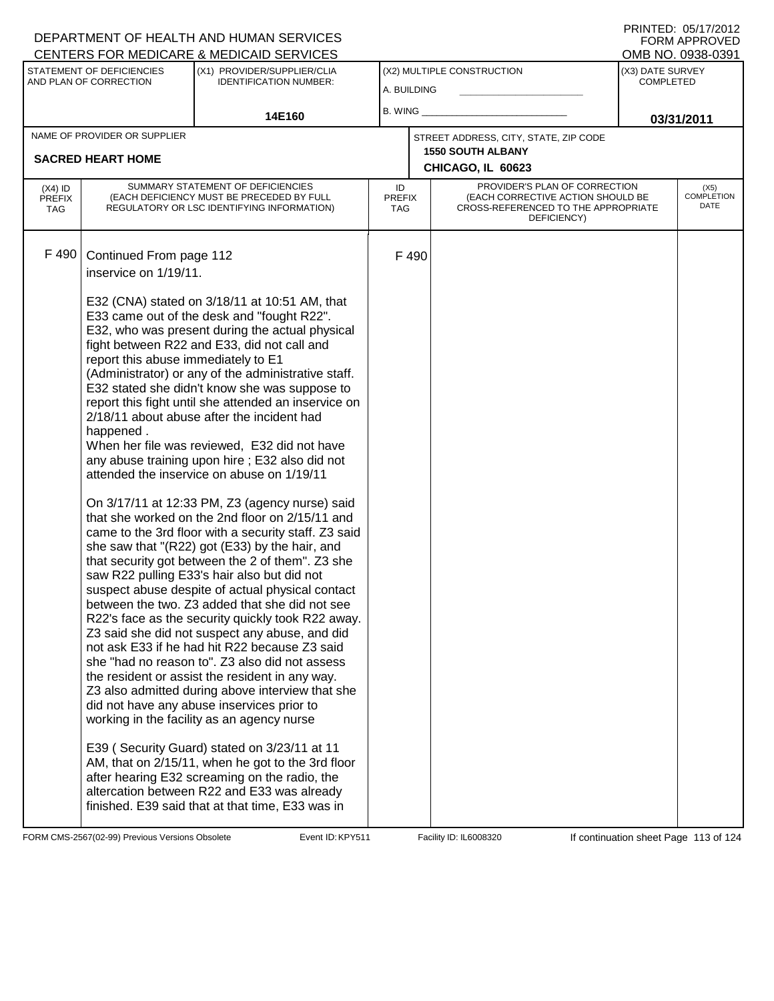|           |                                                                                                                                 |                                                                                                                                                                                                                                                                                                                                                                                                                                                                                                                                                                                                                                                                                                                                                                                                                                                                                                                                                                                                                                                                                                                                                                                                                                                                                                                                                                                                                                                                                                                                                                                                                                                                                                                                                                                                                                                                                                                                                                   |    |                             |                                                                                                                                                             | OMB NO. 0938-0391                                                                                         |
|-----------|---------------------------------------------------------------------------------------------------------------------------------|-------------------------------------------------------------------------------------------------------------------------------------------------------------------------------------------------------------------------------------------------------------------------------------------------------------------------------------------------------------------------------------------------------------------------------------------------------------------------------------------------------------------------------------------------------------------------------------------------------------------------------------------------------------------------------------------------------------------------------------------------------------------------------------------------------------------------------------------------------------------------------------------------------------------------------------------------------------------------------------------------------------------------------------------------------------------------------------------------------------------------------------------------------------------------------------------------------------------------------------------------------------------------------------------------------------------------------------------------------------------------------------------------------------------------------------------------------------------------------------------------------------------------------------------------------------------------------------------------------------------------------------------------------------------------------------------------------------------------------------------------------------------------------------------------------------------------------------------------------------------------------------------------------------------------------------------------------------------|----|-----------------------------|-------------------------------------------------------------------------------------------------------------------------------------------------------------|-----------------------------------------------------------------------------------------------------------|
|           | (X1) PROVIDER/SUPPLIER/CLIA                                                                                                     |                                                                                                                                                                                                                                                                                                                                                                                                                                                                                                                                                                                                                                                                                                                                                                                                                                                                                                                                                                                                                                                                                                                                                                                                                                                                                                                                                                                                                                                                                                                                                                                                                                                                                                                                                                                                                                                                                                                                                                   |    |                             | (X3) DATE SURVEY<br><b>COMPLETED</b>                                                                                                                        |                                                                                                           |
|           |                                                                                                                                 |                                                                                                                                                                                                                                                                                                                                                                                                                                                                                                                                                                                                                                                                                                                                                                                                                                                                                                                                                                                                                                                                                                                                                                                                                                                                                                                                                                                                                                                                                                                                                                                                                                                                                                                                                                                                                                                                                                                                                                   |    |                             |                                                                                                                                                             |                                                                                                           |
|           | 14E160                                                                                                                          |                                                                                                                                                                                                                                                                                                                                                                                                                                                                                                                                                                                                                                                                                                                                                                                                                                                                                                                                                                                                                                                                                                                                                                                                                                                                                                                                                                                                                                                                                                                                                                                                                                                                                                                                                                                                                                                                                                                                                                   |    |                             |                                                                                                                                                             | 03/31/2011                                                                                                |
|           |                                                                                                                                 |                                                                                                                                                                                                                                                                                                                                                                                                                                                                                                                                                                                                                                                                                                                                                                                                                                                                                                                                                                                                                                                                                                                                                                                                                                                                                                                                                                                                                                                                                                                                                                                                                                                                                                                                                                                                                                                                                                                                                                   |    |                             |                                                                                                                                                             |                                                                                                           |
|           |                                                                                                                                 |                                                                                                                                                                                                                                                                                                                                                                                                                                                                                                                                                                                                                                                                                                                                                                                                                                                                                                                                                                                                                                                                                                                                                                                                                                                                                                                                                                                                                                                                                                                                                                                                                                                                                                                                                                                                                                                                                                                                                                   |    |                             |                                                                                                                                                             |                                                                                                           |
|           |                                                                                                                                 |                                                                                                                                                                                                                                                                                                                                                                                                                                                                                                                                                                                                                                                                                                                                                                                                                                                                                                                                                                                                                                                                                                                                                                                                                                                                                                                                                                                                                                                                                                                                                                                                                                                                                                                                                                                                                                                                                                                                                                   |    |                             |                                                                                                                                                             |                                                                                                           |
|           |                                                                                                                                 |                                                                                                                                                                                                                                                                                                                                                                                                                                                                                                                                                                                                                                                                                                                                                                                                                                                                                                                                                                                                                                                                                                                                                                                                                                                                                                                                                                                                                                                                                                                                                                                                                                                                                                                                                                                                                                                                                                                                                                   |    | DEFICIENCY)                 |                                                                                                                                                             | (X5)<br><b>COMPLETION</b><br>DATE                                                                         |
|           |                                                                                                                                 |                                                                                                                                                                                                                                                                                                                                                                                                                                                                                                                                                                                                                                                                                                                                                                                                                                                                                                                                                                                                                                                                                                                                                                                                                                                                                                                                                                                                                                                                                                                                                                                                                                                                                                                                                                                                                                                                                                                                                                   |    |                             |                                                                                                                                                             |                                                                                                           |
| happened. |                                                                                                                                 |                                                                                                                                                                                                                                                                                                                                                                                                                                                                                                                                                                                                                                                                                                                                                                                                                                                                                                                                                                                                                                                                                                                                                                                                                                                                                                                                                                                                                                                                                                                                                                                                                                                                                                                                                                                                                                                                                                                                                                   |    |                             |                                                                                                                                                             |                                                                                                           |
|           | <b>STATEMENT OF DEFICIENCIES</b><br>AND PLAN OF CORRECTION<br>NAME OF PROVIDER OR SUPPLIER<br><b>SACRED HEART HOME</b><br>F 490 | CENTERS FOR MEDICARE & MEDICAID SERVICES<br><b>IDENTIFICATION NUMBER:</b><br>SUMMARY STATEMENT OF DEFICIENCIES<br>(EACH DEFICIENCY MUST BE PRECEDED BY FULL<br>REGULATORY OR LSC IDENTIFYING INFORMATION)<br>Continued From page 112<br>inservice on 1/19/11.<br>E32 (CNA) stated on 3/18/11 at 10:51 AM, that<br>E33 came out of the desk and "fought R22".<br>E32, who was present during the actual physical<br>fight between R22 and E33, did not call and<br>report this abuse immediately to E1<br>(Administrator) or any of the administrative staff.<br>E32 stated she didn't know she was suppose to<br>report this fight until she attended an inservice on<br>2/18/11 about abuse after the incident had<br>When her file was reviewed, E32 did not have<br>any abuse training upon hire; E32 also did not<br>attended the inservice on abuse on 1/19/11<br>On 3/17/11 at 12:33 PM, Z3 (agency nurse) said<br>that she worked on the 2nd floor on 2/15/11 and<br>came to the 3rd floor with a security staff. Z3 said<br>she saw that "(R22) got (E33) by the hair, and<br>that security got between the 2 of them". Z3 she<br>saw R22 pulling E33's hair also but did not<br>suspect abuse despite of actual physical contact<br>between the two. Z3 added that she did not see<br>R22's face as the security quickly took R22 away.<br>Z3 said she did not suspect any abuse, and did<br>not ask E33 if he had hit R22 because Z3 said<br>she "had no reason to". Z3 also did not assess<br>the resident or assist the resident in any way.<br>Z3 also admitted during above interview that she<br>did not have any abuse inservices prior to<br>working in the facility as an agency nurse<br>E39 (Security Guard) stated on 3/23/11 at 11<br>AM, that on 2/15/11, when he got to the 3rd floor<br>after hearing E32 screaming on the radio, the<br>altercation between R22 and E33 was already<br>finished. E39 said that at that time, E33 was in | ID | <b>PREFIX</b><br><b>TAG</b> | (X2) MULTIPLE CONSTRUCTION<br>A. BUILDING<br>B. WING $\_$<br>STREET ADDRESS, CITY, STATE, ZIP CODE<br><b>1550 SOUTH ALBANY</b><br>CHICAGO, IL 60623<br>F490 | PROVIDER'S PLAN OF CORRECTION<br>(EACH CORRECTIVE ACTION SHOULD BE<br>CROSS-REFERENCED TO THE APPROPRIATE |

FORM CMS-2567(02-99) Previous Versions Obsolete Event ID: KPY511 Facility ID: IL6008320 If continuation sheet Page 113 of 124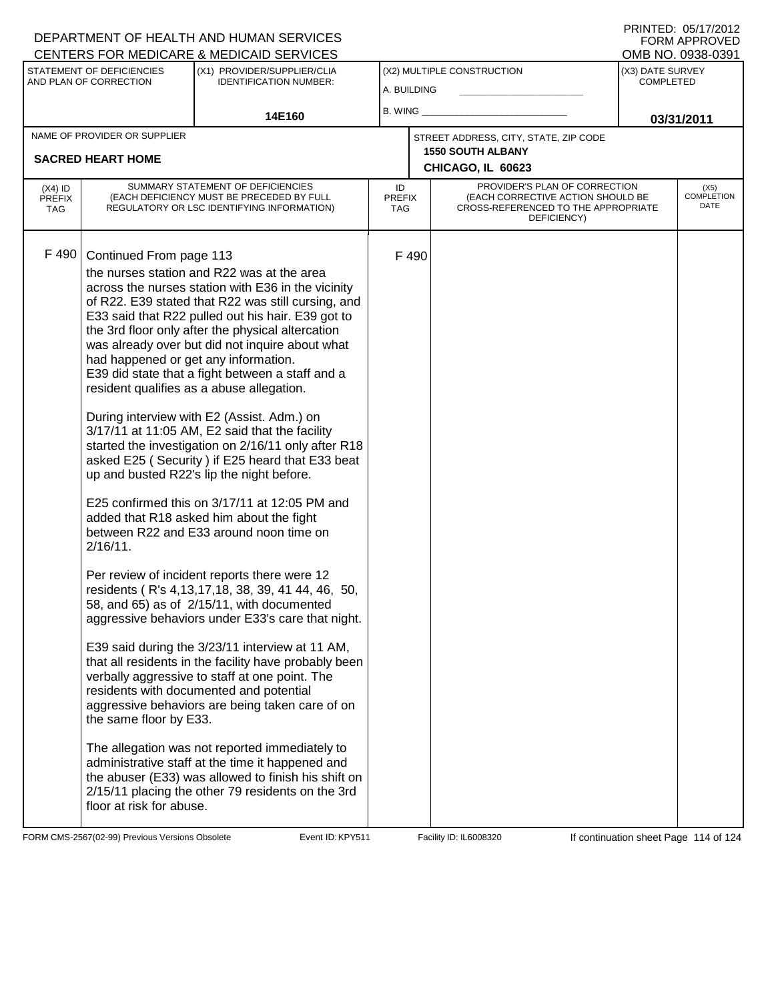|                                   |                                                                                | CENTERS FOR MEDICARE & MEDICAID SERVICES                                                                                                                                                                                                                                                                                                                                                                                                                                                                                                                                                                                                                                                                                                                                                                                                                                                                                                                                                                                    |                            |       |                                                                                                                          |                  | OMB NO. 0938-0391                 |
|-----------------------------------|--------------------------------------------------------------------------------|-----------------------------------------------------------------------------------------------------------------------------------------------------------------------------------------------------------------------------------------------------------------------------------------------------------------------------------------------------------------------------------------------------------------------------------------------------------------------------------------------------------------------------------------------------------------------------------------------------------------------------------------------------------------------------------------------------------------------------------------------------------------------------------------------------------------------------------------------------------------------------------------------------------------------------------------------------------------------------------------------------------------------------|----------------------------|-------|--------------------------------------------------------------------------------------------------------------------------|------------------|-----------------------------------|
|                                   | STATEMENT OF DEFICIENCIES                                                      | (X1) PROVIDER/SUPPLIER/CLIA                                                                                                                                                                                                                                                                                                                                                                                                                                                                                                                                                                                                                                                                                                                                                                                                                                                                                                                                                                                                 |                            |       | (X2) MULTIPLE CONSTRUCTION                                                                                               | (X3) DATE SURVEY |                                   |
|                                   | AND PLAN OF CORRECTION                                                         | <b>IDENTIFICATION NUMBER:</b>                                                                                                                                                                                                                                                                                                                                                                                                                                                                                                                                                                                                                                                                                                                                                                                                                                                                                                                                                                                               | A. BUILDING                |       |                                                                                                                          | <b>COMPLETED</b> |                                   |
|                                   |                                                                                | 14E160                                                                                                                                                                                                                                                                                                                                                                                                                                                                                                                                                                                                                                                                                                                                                                                                                                                                                                                                                                                                                      | B. WING                    |       |                                                                                                                          | 03/31/2011       |                                   |
|                                   | NAME OF PROVIDER OR SUPPLIER                                                   |                                                                                                                                                                                                                                                                                                                                                                                                                                                                                                                                                                                                                                                                                                                                                                                                                                                                                                                                                                                                                             |                            |       | STREET ADDRESS, CITY, STATE, ZIP CODE                                                                                    |                  |                                   |
|                                   | <b>SACRED HEART HOME</b>                                                       |                                                                                                                                                                                                                                                                                                                                                                                                                                                                                                                                                                                                                                                                                                                                                                                                                                                                                                                                                                                                                             |                            |       | <b>1550 SOUTH ALBANY</b>                                                                                                 |                  |                                   |
|                                   |                                                                                |                                                                                                                                                                                                                                                                                                                                                                                                                                                                                                                                                                                                                                                                                                                                                                                                                                                                                                                                                                                                                             |                            |       | CHICAGO, IL 60623                                                                                                        |                  |                                   |
| $(X4)$ ID<br><b>PREFIX</b><br>TAG |                                                                                | SUMMARY STATEMENT OF DEFICIENCIES<br>(EACH DEFICIENCY MUST BE PRECEDED BY FULL<br>REGULATORY OR LSC IDENTIFYING INFORMATION)                                                                                                                                                                                                                                                                                                                                                                                                                                                                                                                                                                                                                                                                                                                                                                                                                                                                                                | ID<br><b>PREFIX</b><br>TAG |       | PROVIDER'S PLAN OF CORRECTION<br>(EACH CORRECTIVE ACTION SHOULD BE<br>CROSS-REFERENCED TO THE APPROPRIATE<br>DEFICIENCY) |                  | (X5)<br><b>COMPLETION</b><br>DATE |
| F 490                             | Continued From page 113<br>had happened or get any information.<br>$2/16/11$ . | the nurses station and R22 was at the area<br>across the nurses station with E36 in the vicinity<br>of R22. E39 stated that R22 was still cursing, and<br>E33 said that R22 pulled out his hair. E39 got to<br>the 3rd floor only after the physical altercation<br>was already over but did not inquire about what<br>E39 did state that a fight between a staff and a<br>resident qualifies as a abuse allegation.<br>During interview with E2 (Assist. Adm.) on<br>3/17/11 at 11:05 AM, E2 said that the facility<br>started the investigation on 2/16/11 only after R18<br>asked E25 (Security) if E25 heard that E33 beat<br>up and busted R22's lip the night before.<br>E25 confirmed this on 3/17/11 at 12:05 PM and<br>added that R18 asked him about the fight<br>between R22 and E33 around noon time on<br>Per review of incident reports there were 12<br>residents (R's 4,13,17,18, 38, 39, 41 44, 46, 50,<br>58, and 65) as of 2/15/11, with documented<br>aggressive behaviors under E33's care that night. |                            | F 490 |                                                                                                                          |                  |                                   |
|                                   | the same floor by E33.                                                         | E39 said during the 3/23/11 interview at 11 AM,<br>that all residents in the facility have probably been<br>verbally aggressive to staff at one point. The<br>residents with documented and potential<br>aggressive behaviors are being taken care of on                                                                                                                                                                                                                                                                                                                                                                                                                                                                                                                                                                                                                                                                                                                                                                    |                            |       |                                                                                                                          |                  |                                   |
|                                   | floor at risk for abuse.                                                       | The allegation was not reported immediately to<br>administrative staff at the time it happened and<br>the abuser (E33) was allowed to finish his shift on<br>2/15/11 placing the other 79 residents on the 3rd                                                                                                                                                                                                                                                                                                                                                                                                                                                                                                                                                                                                                                                                                                                                                                                                              |                            |       |                                                                                                                          |                  |                                   |

FORM CMS-2567(02-99) Previous Versions Obsolete Event ID: KPY511 Facility ID: IL6008320 If continuation sheet Page 114 of 124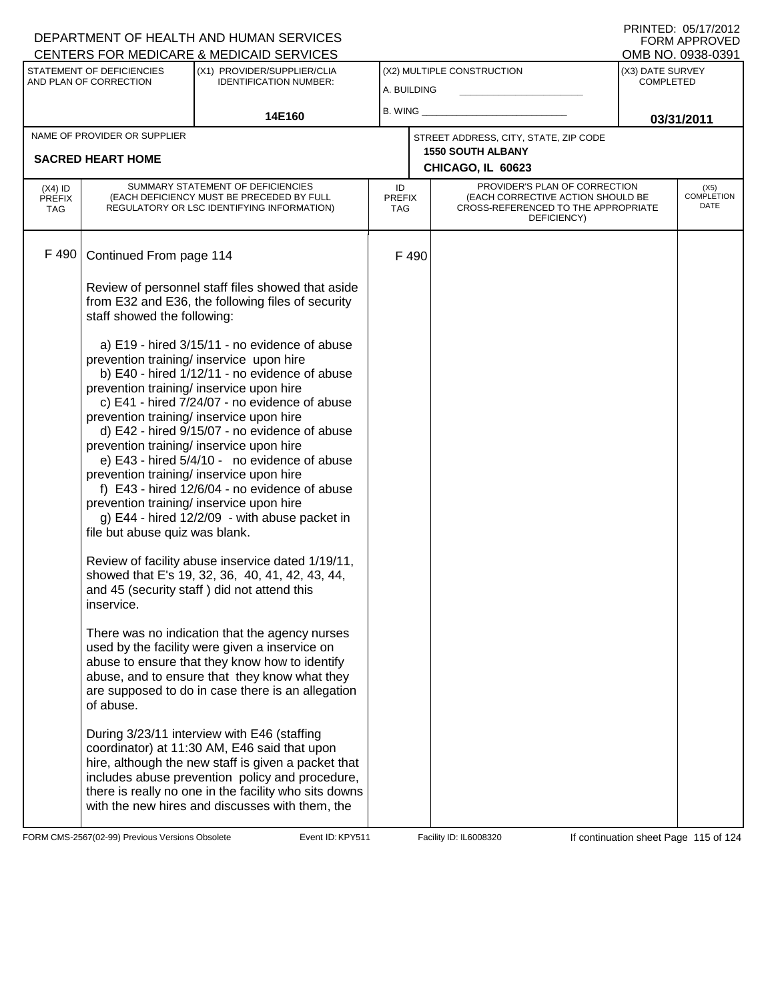|                                   |                                                                                                                                       | <b>CENTERS FOR MEDICARE &amp; MEDICAID SERVICES</b>                                                                                                                                                                                                                                                                                                                                                                                                                                                                                                                                                                        |                            |      |                                                                                                                          |                                      | OMB NO. 0938-0391                 |
|-----------------------------------|---------------------------------------------------------------------------------------------------------------------------------------|----------------------------------------------------------------------------------------------------------------------------------------------------------------------------------------------------------------------------------------------------------------------------------------------------------------------------------------------------------------------------------------------------------------------------------------------------------------------------------------------------------------------------------------------------------------------------------------------------------------------------|----------------------------|------|--------------------------------------------------------------------------------------------------------------------------|--------------------------------------|-----------------------------------|
|                                   | STATEMENT OF DEFICIENCIES<br>AND PLAN OF CORRECTION                                                                                   | (X1) PROVIDER/SUPPLIER/CLIA<br><b>IDENTIFICATION NUMBER:</b>                                                                                                                                                                                                                                                                                                                                                                                                                                                                                                                                                               | A. BUILDING                |      | (X2) MULTIPLE CONSTRUCTION                                                                                               | (X3) DATE SURVEY<br><b>COMPLETED</b> |                                   |
|                                   |                                                                                                                                       |                                                                                                                                                                                                                                                                                                                                                                                                                                                                                                                                                                                                                            |                            |      |                                                                                                                          |                                      |                                   |
|                                   |                                                                                                                                       | 14E160                                                                                                                                                                                                                                                                                                                                                                                                                                                                                                                                                                                                                     | B. WING_                   |      |                                                                                                                          |                                      | 03/31/2011                        |
|                                   | NAME OF PROVIDER OR SUPPLIER                                                                                                          |                                                                                                                                                                                                                                                                                                                                                                                                                                                                                                                                                                                                                            |                            |      | STREET ADDRESS, CITY, STATE, ZIP CODE                                                                                    |                                      |                                   |
|                                   | <b>SACRED HEART HOME</b>                                                                                                              |                                                                                                                                                                                                                                                                                                                                                                                                                                                                                                                                                                                                                            |                            |      | <b>1550 SOUTH ALBANY</b><br>CHICAGO, IL 60623                                                                            |                                      |                                   |
| $(X4)$ ID<br><b>PREFIX</b><br>TAG | SUMMARY STATEMENT OF DEFICIENCIES<br>(EACH DEFICIENCY MUST BE PRECEDED BY FULL<br>REGULATORY OR LSC IDENTIFYING INFORMATION)          |                                                                                                                                                                                                                                                                                                                                                                                                                                                                                                                                                                                                                            | ID<br><b>PREFIX</b><br>TAG |      | PROVIDER'S PLAN OF CORRECTION<br>(EACH CORRECTIVE ACTION SHOULD BE<br>CROSS-REFERENCED TO THE APPROPRIATE<br>DEFICIENCY) |                                      | (X5)<br><b>COMPLETION</b><br>DATE |
| F 490                             | Continued From page 114                                                                                                               |                                                                                                                                                                                                                                                                                                                                                                                                                                                                                                                                                                                                                            |                            | F490 |                                                                                                                          |                                      |                                   |
|                                   | Review of personnel staff files showed that aside<br>from E32 and E36, the following files of security<br>staff showed the following: |                                                                                                                                                                                                                                                                                                                                                                                                                                                                                                                                                                                                                            |                            |      |                                                                                                                          |                                      |                                   |
|                                   | file but abuse quiz was blank.                                                                                                        | a) E19 - hired 3/15/11 - no evidence of abuse<br>prevention training/ inservice upon hire<br>b) E40 - hired 1/12/11 - no evidence of abuse<br>prevention training/ inservice upon hire<br>c) E41 - hired 7/24/07 - no evidence of abuse<br>prevention training/ inservice upon hire<br>d) E42 - hired 9/15/07 - no evidence of abuse<br>prevention training/ inservice upon hire<br>e) E43 - hired 5/4/10 - no evidence of abuse<br>prevention training/ inservice upon hire<br>f) E43 - hired 12/6/04 - no evidence of abuse<br>prevention training/ inservice upon hire<br>g) E44 - hired 12/2/09 - with abuse packet in |                            |      |                                                                                                                          |                                      |                                   |
|                                   | inservice.                                                                                                                            | Review of facility abuse inservice dated 1/19/11,<br>showed that E's 19, 32, 36, 40, 41, 42, 43, 44,<br>and 45 (security staff) did not attend this                                                                                                                                                                                                                                                                                                                                                                                                                                                                        |                            |      |                                                                                                                          |                                      |                                   |
|                                   | of abuse.                                                                                                                             | There was no indication that the agency nurses<br>used by the facility were given a inservice on<br>abuse to ensure that they know how to identify<br>abuse, and to ensure that they know what they<br>are supposed to do in case there is an allegation                                                                                                                                                                                                                                                                                                                                                                   |                            |      |                                                                                                                          |                                      |                                   |
|                                   |                                                                                                                                       | During 3/23/11 interview with E46 (staffing<br>coordinator) at 11:30 AM, E46 said that upon<br>hire, although the new staff is given a packet that<br>includes abuse prevention policy and procedure,<br>there is really no one in the facility who sits downs<br>with the new hires and discusses with them, the                                                                                                                                                                                                                                                                                                          |                            |      |                                                                                                                          |                                      |                                   |

FORM CMS-2567(02-99) Previous Versions Obsolete Event ID: KPY511 Facility ID: IL6008320 If continuation sheet Page 115 of 124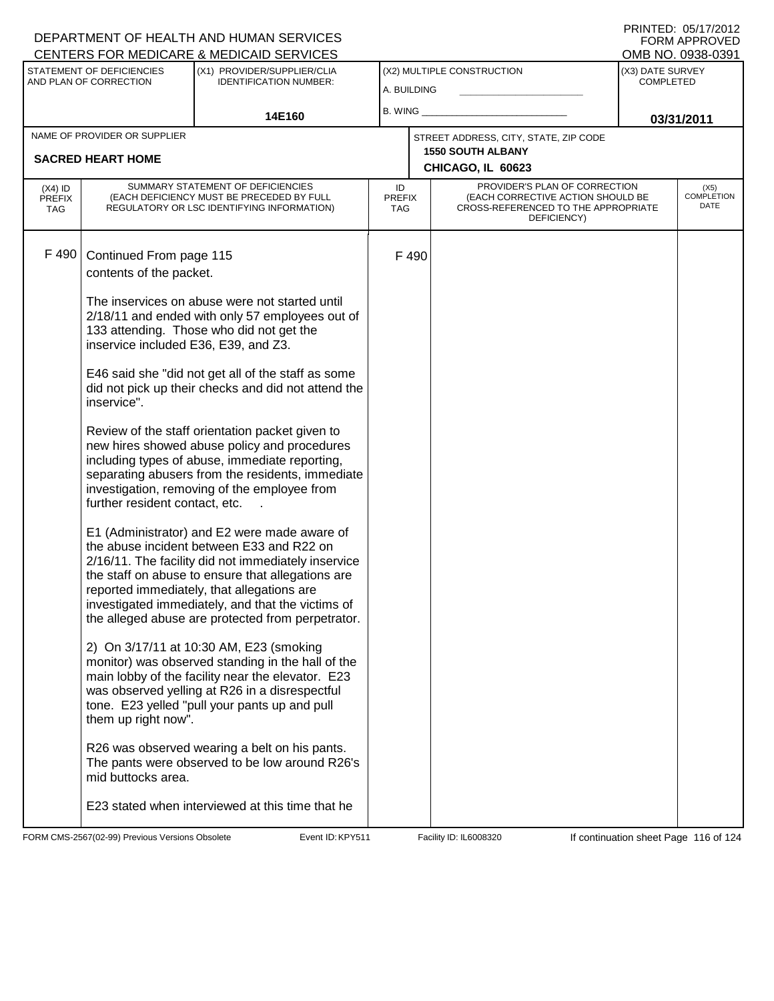| PRINTED: 05/17/2012 |               |
|---------------------|---------------|
|                     | FORM APPROVED |
| OMB NO. 0938-0391   |               |

|                                          |                                                     | <b>CENTERS FOR MEDICARE &amp; MEDICAID SERVICES</b>                                                                                                                                                                                                                                                                                                           |                                   |      |                                                                                                                          |                                      | OMB NO. 0938-0391            |
|------------------------------------------|-----------------------------------------------------|---------------------------------------------------------------------------------------------------------------------------------------------------------------------------------------------------------------------------------------------------------------------------------------------------------------------------------------------------------------|-----------------------------------|------|--------------------------------------------------------------------------------------------------------------------------|--------------------------------------|------------------------------|
|                                          | STATEMENT OF DEFICIENCIES<br>AND PLAN OF CORRECTION | (X1) PROVIDER/SUPPLIER/CLIA<br><b>IDENTIFICATION NUMBER:</b>                                                                                                                                                                                                                                                                                                  | A. BUILDING                       |      | (X2) MULTIPLE CONSTRUCTION                                                                                               | (X3) DATE SURVEY<br><b>COMPLETED</b> |                              |
|                                          |                                                     | 14E160                                                                                                                                                                                                                                                                                                                                                        | B. WING                           |      |                                                                                                                          | 03/31/2011                           |                              |
|                                          | NAME OF PROVIDER OR SUPPLIER                        |                                                                                                                                                                                                                                                                                                                                                               |                                   |      | STREET ADDRESS, CITY, STATE, ZIP CODE                                                                                    |                                      |                              |
|                                          | <b>SACRED HEART HOME</b>                            |                                                                                                                                                                                                                                                                                                                                                               |                                   |      | <b>1550 SOUTH ALBANY</b><br>CHICAGO, IL 60623                                                                            |                                      |                              |
|                                          |                                                     |                                                                                                                                                                                                                                                                                                                                                               |                                   |      |                                                                                                                          |                                      |                              |
| $(X4)$ ID<br><b>PREFIX</b><br><b>TAG</b> |                                                     | SUMMARY STATEMENT OF DEFICIENCIES<br>(EACH DEFICIENCY MUST BE PRECEDED BY FULL<br>REGULATORY OR LSC IDENTIFYING INFORMATION)                                                                                                                                                                                                                                  | ID<br><b>PREFIX</b><br><b>TAG</b> |      | PROVIDER'S PLAN OF CORRECTION<br>(EACH CORRECTIVE ACTION SHOULD BE<br>CROSS-REFERENCED TO THE APPROPRIATE<br>DEFICIENCY) |                                      | $(X5)$<br>COMPLETION<br>DATE |
| F 490                                    | Continued From page 115                             |                                                                                                                                                                                                                                                                                                                                                               |                                   | F490 |                                                                                                                          |                                      |                              |
|                                          | contents of the packet.                             |                                                                                                                                                                                                                                                                                                                                                               |                                   |      |                                                                                                                          |                                      |                              |
|                                          | inservice included E36, E39, and Z3.                | The inservices on abuse were not started until<br>2/18/11 and ended with only 57 employees out of<br>133 attending. Those who did not get the                                                                                                                                                                                                                 |                                   |      |                                                                                                                          |                                      |                              |
|                                          | inservice".                                         | E46 said she "did not get all of the staff as some<br>did not pick up their checks and did not attend the                                                                                                                                                                                                                                                     |                                   |      |                                                                                                                          |                                      |                              |
|                                          | further resident contact, etc.                      | Review of the staff orientation packet given to<br>new hires showed abuse policy and procedures<br>including types of abuse, immediate reporting,<br>separating abusers from the residents, immediate<br>investigation, removing of the employee from                                                                                                         |                                   |      |                                                                                                                          |                                      |                              |
|                                          |                                                     | E1 (Administrator) and E2 were made aware of<br>the abuse incident between E33 and R22 on<br>2/16/11. The facility did not immediately inservice<br>the staff on abuse to ensure that allegations are<br>reported immediately, that allegations are<br>investigated immediately, and that the victims of<br>the alleged abuse are protected from perpetrator. |                                   |      |                                                                                                                          |                                      |                              |
|                                          | them up right now".                                 | 2) On 3/17/11 at 10:30 AM, E23 (smoking<br>monitor) was observed standing in the hall of the<br>main lobby of the facility near the elevator. E23<br>was observed yelling at R26 in a disrespectful<br>tone. E23 yelled "pull your pants up and pull                                                                                                          |                                   |      |                                                                                                                          |                                      |                              |
|                                          | mid buttocks area.                                  | R26 was observed wearing a belt on his pants.<br>The pants were observed to be low around R26's                                                                                                                                                                                                                                                               |                                   |      |                                                                                                                          |                                      |                              |
|                                          |                                                     | E23 stated when interviewed at this time that he                                                                                                                                                                                                                                                                                                              |                                   |      |                                                                                                                          |                                      |                              |

FORM CMS-2567(02-99) Previous Versions Obsolete Event ID: KPY511 Facility ID: IL6008320 If continuation sheet Page 116 of 124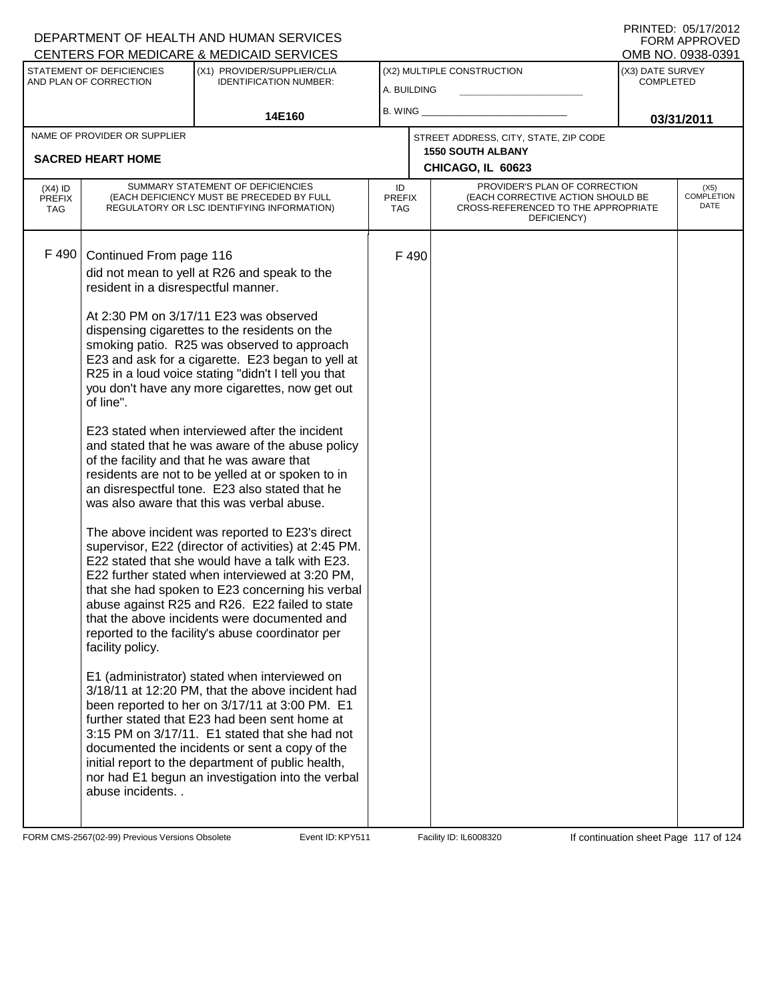|                                                     |                                                              |                                                                                                                                                                                                                                                                                                                                                                                                                                                                                                                                                                                                                                                                                                                                                                                                                                                                                                                                                                                                                                                                                                                                                                                                                                                                                                                                                                                                                                                                                                                                                                                                                                                                                                                                                                           |                            |                      |                                                                                                                          | OMB NO. 0938-0391                                                                                         |  |
|-----------------------------------------------------|--------------------------------------------------------------|---------------------------------------------------------------------------------------------------------------------------------------------------------------------------------------------------------------------------------------------------------------------------------------------------------------------------------------------------------------------------------------------------------------------------------------------------------------------------------------------------------------------------------------------------------------------------------------------------------------------------------------------------------------------------------------------------------------------------------------------------------------------------------------------------------------------------------------------------------------------------------------------------------------------------------------------------------------------------------------------------------------------------------------------------------------------------------------------------------------------------------------------------------------------------------------------------------------------------------------------------------------------------------------------------------------------------------------------------------------------------------------------------------------------------------------------------------------------------------------------------------------------------------------------------------------------------------------------------------------------------------------------------------------------------------------------------------------------------------------------------------------------------|----------------------------|----------------------|--------------------------------------------------------------------------------------------------------------------------|-----------------------------------------------------------------------------------------------------------|--|
| STATEMENT OF DEFICIENCIES<br>AND PLAN OF CORRECTION | (X1) PROVIDER/SUPPLIER/CLIA<br><b>IDENTIFICATION NUMBER:</b> |                                                                                                                                                                                                                                                                                                                                                                                                                                                                                                                                                                                                                                                                                                                                                                                                                                                                                                                                                                                                                                                                                                                                                                                                                                                                                                                                                                                                                                                                                                                                                                                                                                                                                                                                                                           | (X2) MULTIPLE CONSTRUCTION |                      |                                                                                                                          | (X3) DATE SURVEY<br><b>COMPLETED</b>                                                                      |  |
|                                                     |                                                              |                                                                                                                                                                                                                                                                                                                                                                                                                                                                                                                                                                                                                                                                                                                                                                                                                                                                                                                                                                                                                                                                                                                                                                                                                                                                                                                                                                                                                                                                                                                                                                                                                                                                                                                                                                           |                            |                      |                                                                                                                          |                                                                                                           |  |
|                                                     | 14E160                                                       |                                                                                                                                                                                                                                                                                                                                                                                                                                                                                                                                                                                                                                                                                                                                                                                                                                                                                                                                                                                                                                                                                                                                                                                                                                                                                                                                                                                                                                                                                                                                                                                                                                                                                                                                                                           |                            |                      | 03/31/2011                                                                                                               |                                                                                                           |  |
| NAME OF PROVIDER OR SUPPLIER                        |                                                              |                                                                                                                                                                                                                                                                                                                                                                                                                                                                                                                                                                                                                                                                                                                                                                                                                                                                                                                                                                                                                                                                                                                                                                                                                                                                                                                                                                                                                                                                                                                                                                                                                                                                                                                                                                           |                            |                      |                                                                                                                          |                                                                                                           |  |
| <b>SACRED HEART HOME</b>                            |                                                              |                                                                                                                                                                                                                                                                                                                                                                                                                                                                                                                                                                                                                                                                                                                                                                                                                                                                                                                                                                                                                                                                                                                                                                                                                                                                                                                                                                                                                                                                                                                                                                                                                                                                                                                                                                           |                            |                      |                                                                                                                          |                                                                                                           |  |
|                                                     |                                                              | ID                                                                                                                                                                                                                                                                                                                                                                                                                                                                                                                                                                                                                                                                                                                                                                                                                                                                                                                                                                                                                                                                                                                                                                                                                                                                                                                                                                                                                                                                                                                                                                                                                                                                                                                                                                        |                            | DEFICIENCY)          |                                                                                                                          | $(X5)$<br>COMPLETION<br>DATE                                                                              |  |
| of line".<br>facility policy.                       |                                                              |                                                                                                                                                                                                                                                                                                                                                                                                                                                                                                                                                                                                                                                                                                                                                                                                                                                                                                                                                                                                                                                                                                                                                                                                                                                                                                                                                                                                                                                                                                                                                                                                                                                                                                                                                                           |                            |                      |                                                                                                                          |                                                                                                           |  |
|                                                     | abuse incidents. .                                           | <b>CENTERS FOR MEDICARE &amp; MEDICAID SERVICES</b><br>SUMMARY STATEMENT OF DEFICIENCIES<br>(EACH DEFICIENCY MUST BE PRECEDED BY FULL<br>REGULATORY OR LSC IDENTIFYING INFORMATION)<br>Continued From page 116<br>did not mean to yell at R26 and speak to the<br>resident in a disrespectful manner.<br>At 2:30 PM on 3/17/11 E23 was observed<br>dispensing cigarettes to the residents on the<br>smoking patio. R25 was observed to approach<br>E23 and ask for a cigarette. E23 began to yell at<br>R25 in a loud voice stating "didn't I tell you that<br>you don't have any more cigarettes, now get out<br>E23 stated when interviewed after the incident<br>and stated that he was aware of the abuse policy<br>of the facility and that he was aware that<br>residents are not to be yelled at or spoken to in<br>an disrespectful tone. E23 also stated that he<br>was also aware that this was verbal abuse.<br>The above incident was reported to E23's direct<br>supervisor, E22 (director of activities) at 2:45 PM.<br>E22 stated that she would have a talk with E23.<br>E22 further stated when interviewed at 3:20 PM,<br>that she had spoken to E23 concerning his verbal<br>abuse against R25 and R26. E22 failed to state<br>that the above incidents were documented and<br>reported to the facility's abuse coordinator per<br>E1 (administrator) stated when interviewed on<br>3/18/11 at 12:20 PM, that the above incident had<br>been reported to her on 3/17/11 at 3:00 PM. E1<br>further stated that E23 had been sent home at<br>3:15 PM on 3/17/11. E1 stated that she had not<br>documented the incidents or sent a copy of the<br>initial report to the department of public health,<br>nor had E1 begun an investigation into the verbal |                            | <b>PREFIX</b><br>TAG | A. BUILDING<br>B. WING<br>STREET ADDRESS, CITY, STATE, ZIP CODE<br><b>1550 SOUTH ALBANY</b><br>CHICAGO, IL 60623<br>F490 | PROVIDER'S PLAN OF CORRECTION<br>(EACH CORRECTIVE ACTION SHOULD BE<br>CROSS-REFERENCED TO THE APPROPRIATE |  |

FORM CMS-2567(02-99) Previous Versions Obsolete Event ID: KPY511 Facility ID: IL6008320 If continuation sheet Page 117 of 124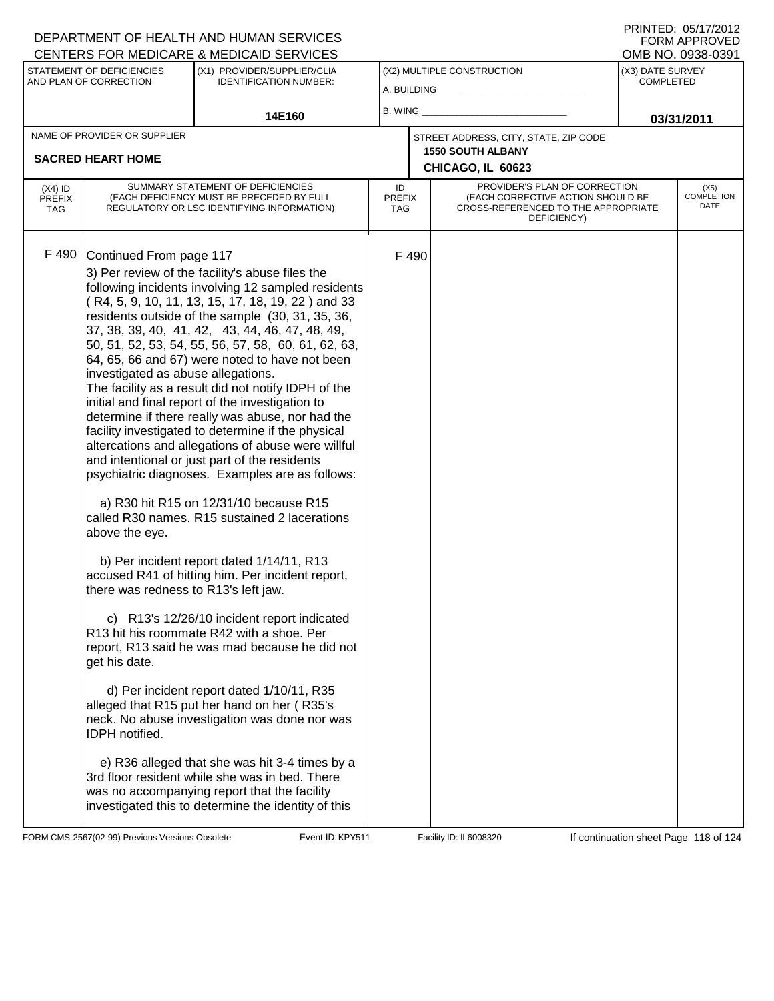#### DEPARTMENT OF HEALTH AND HUMAN SERVICES CENTERS FOR MEDICARE & MEDICAID SERVICES

| PRINTED: 05/17/2012 |
|---------------------|
| FORM APPROVED       |
| OMB NO. 0938-0391   |

| <u>ULIVILING I UN MEDIUANE &amp; MEDIUAID JENVIULU</u>                               |                                                                                                                                                                   |                                                                                                                                                                                                                                                                                                                                                                                                                                                                                                                                                                                                                                                                                                                                                                                                                                                                                                                                                                                                                                                                                                                                                                                                                                                                                                                                                                                                                                                             |                             |      |                                                                                                                          | ו פטט־טטפט .טאו טואוט                |                                   |
|--------------------------------------------------------------------------------------|-------------------------------------------------------------------------------------------------------------------------------------------------------------------|-------------------------------------------------------------------------------------------------------------------------------------------------------------------------------------------------------------------------------------------------------------------------------------------------------------------------------------------------------------------------------------------------------------------------------------------------------------------------------------------------------------------------------------------------------------------------------------------------------------------------------------------------------------------------------------------------------------------------------------------------------------------------------------------------------------------------------------------------------------------------------------------------------------------------------------------------------------------------------------------------------------------------------------------------------------------------------------------------------------------------------------------------------------------------------------------------------------------------------------------------------------------------------------------------------------------------------------------------------------------------------------------------------------------------------------------------------------|-----------------------------|------|--------------------------------------------------------------------------------------------------------------------------|--------------------------------------|-----------------------------------|
| STATEMENT OF DEFICIENCIES<br>AND PLAN OF CORRECTION<br><b>IDENTIFICATION NUMBER:</b> |                                                                                                                                                                   | (X1) PROVIDER/SUPPLIER/CLIA                                                                                                                                                                                                                                                                                                                                                                                                                                                                                                                                                                                                                                                                                                                                                                                                                                                                                                                                                                                                                                                                                                                                                                                                                                                                                                                                                                                                                                 | A. BUILDING                 |      | (X2) MULTIPLE CONSTRUCTION                                                                                               | (X3) DATE SURVEY<br><b>COMPLETED</b> |                                   |
|                                                                                      |                                                                                                                                                                   | 14E160                                                                                                                                                                                                                                                                                                                                                                                                                                                                                                                                                                                                                                                                                                                                                                                                                                                                                                                                                                                                                                                                                                                                                                                                                                                                                                                                                                                                                                                      |                             |      |                                                                                                                          |                                      | 03/31/2011                        |
|                                                                                      | NAME OF PROVIDER OR SUPPLIER<br><b>SACRED HEART HOME</b>                                                                                                          |                                                                                                                                                                                                                                                                                                                                                                                                                                                                                                                                                                                                                                                                                                                                                                                                                                                                                                                                                                                                                                                                                                                                                                                                                                                                                                                                                                                                                                                             |                             |      | STREET ADDRESS, CITY, STATE, ZIP CODE<br><b>1550 SOUTH ALBANY</b><br>CHICAGO, IL 60623                                   |                                      |                                   |
| $(X4)$ ID<br><b>PREFIX</b><br>TAG                                                    |                                                                                                                                                                   | SUMMARY STATEMENT OF DEFICIENCIES<br>(EACH DEFICIENCY MUST BE PRECEDED BY FULL<br>REGULATORY OR LSC IDENTIFYING INFORMATION)                                                                                                                                                                                                                                                                                                                                                                                                                                                                                                                                                                                                                                                                                                                                                                                                                                                                                                                                                                                                                                                                                                                                                                                                                                                                                                                                | ID<br><b>PREFIX</b><br>TAG. |      | PROVIDER'S PLAN OF CORRECTION<br>(EACH CORRECTIVE ACTION SHOULD BE<br>CROSS-REFERENCED TO THE APPROPRIATE<br>DEFICIENCY) |                                      | (X5)<br><b>COMPLETION</b><br>DATE |
| F 490                                                                                | Continued From page 117<br>investigated as abuse allegations.<br>above the eye.<br>there was redness to R13's left jaw.<br>get his date.<br><b>IDPH</b> notified. | 3) Per review of the facility's abuse files the<br>following incidents involving 12 sampled residents<br>(R4, 5, 9, 10, 11, 13, 15, 17, 18, 19, 22) and 33<br>residents outside of the sample (30, 31, 35, 36,<br>37, 38, 39, 40, 41, 42, 43, 44, 46, 47, 48, 49,<br>50, 51, 52, 53, 54, 55, 56, 57, 58, 60, 61, 62, 63,<br>64, 65, 66 and 67) were noted to have not been<br>The facility as a result did not notify IDPH of the<br>initial and final report of the investigation to<br>determine if there really was abuse, nor had the<br>facility investigated to determine if the physical<br>altercations and allegations of abuse were willful<br>and intentional or just part of the residents<br>psychiatric diagnoses. Examples are as follows:<br>a) R30 hit R15 on 12/31/10 because R15<br>called R30 names. R15 sustained 2 lacerations<br>b) Per incident report dated 1/14/11, R13<br>accused R41 of hitting him. Per incident report,<br>c) R13's 12/26/10 incident report indicated<br>R13 hit his roommate R42 with a shoe. Per<br>report, R13 said he was mad because he did not<br>d) Per incident report dated 1/10/11, R35<br>alleged that R15 put her hand on her (R35's<br>neck. No abuse investigation was done nor was<br>e) R36 alleged that she was hit 3-4 times by a<br>3rd floor resident while she was in bed. There<br>was no accompanying report that the facility<br>investigated this to determine the identity of this |                             | F490 |                                                                                                                          |                                      |                                   |

FORM CMS-2567(02-99) Previous Versions Obsolete Event ID: KPY511 Facility ID: IL6008320 If continuation sheet Page 118 of 124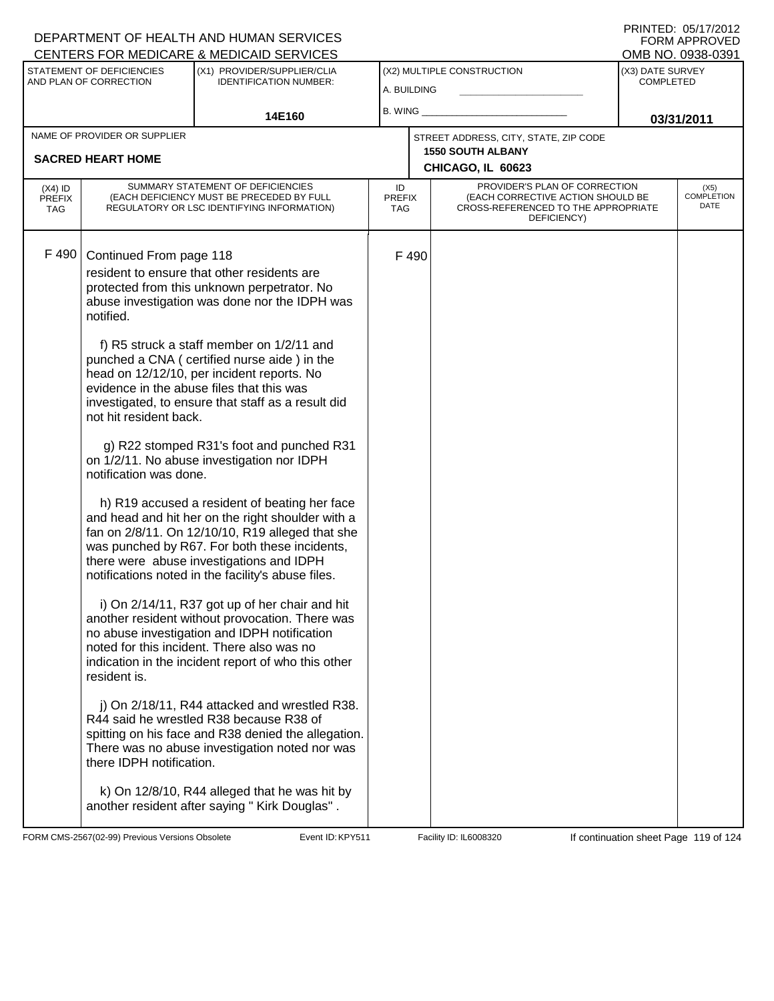|                                          |                                                                                                                                      | <b>CENTERS FOR MEDICARE &amp; MEDICAID SERVICES</b>                                                                                                                                                                                                                                                                                                                                                                                                                                                                                                                                                                                                                                                                                                                                                                                                                                                                                                                                                                                                                                                                                                                                                                                                                                                                                                                |             |                                                                                                                                                  |                                               |                                      | OMB NO. 0938-0391                 |
|------------------------------------------|--------------------------------------------------------------------------------------------------------------------------------------|--------------------------------------------------------------------------------------------------------------------------------------------------------------------------------------------------------------------------------------------------------------------------------------------------------------------------------------------------------------------------------------------------------------------------------------------------------------------------------------------------------------------------------------------------------------------------------------------------------------------------------------------------------------------------------------------------------------------------------------------------------------------------------------------------------------------------------------------------------------------------------------------------------------------------------------------------------------------------------------------------------------------------------------------------------------------------------------------------------------------------------------------------------------------------------------------------------------------------------------------------------------------------------------------------------------------------------------------------------------------|-------------|--------------------------------------------------------------------------------------------------------------------------------------------------|-----------------------------------------------|--------------------------------------|-----------------------------------|
|                                          | STATEMENT OF DEFICIENCIES<br>AND PLAN OF CORRECTION                                                                                  | (X1) PROVIDER/SUPPLIER/CLIA<br><b>IDENTIFICATION NUMBER:</b>                                                                                                                                                                                                                                                                                                                                                                                                                                                                                                                                                                                                                                                                                                                                                                                                                                                                                                                                                                                                                                                                                                                                                                                                                                                                                                       | A. BUILDING |                                                                                                                                                  | (X2) MULTIPLE CONSTRUCTION                    | (X3) DATE SURVEY<br><b>COMPLETED</b> |                                   |
|                                          |                                                                                                                                      | 14E160                                                                                                                                                                                                                                                                                                                                                                                                                                                                                                                                                                                                                                                                                                                                                                                                                                                                                                                                                                                                                                                                                                                                                                                                                                                                                                                                                             | B. WING_    |                                                                                                                                                  |                                               | 03/31/2011                           |                                   |
|                                          | NAME OF PROVIDER OR SUPPLIER                                                                                                         |                                                                                                                                                                                                                                                                                                                                                                                                                                                                                                                                                                                                                                                                                                                                                                                                                                                                                                                                                                                                                                                                                                                                                                                                                                                                                                                                                                    |             |                                                                                                                                                  | STREET ADDRESS, CITY, STATE, ZIP CODE         |                                      |                                   |
|                                          | <b>SACRED HEART HOME</b>                                                                                                             |                                                                                                                                                                                                                                                                                                                                                                                                                                                                                                                                                                                                                                                                                                                                                                                                                                                                                                                                                                                                                                                                                                                                                                                                                                                                                                                                                                    |             |                                                                                                                                                  | <b>1550 SOUTH ALBANY</b><br>CHICAGO, IL 60623 |                                      |                                   |
| $(X4)$ ID<br><b>PREFIX</b><br><b>TAG</b> |                                                                                                                                      | SUMMARY STATEMENT OF DEFICIENCIES<br>(EACH DEFICIENCY MUST BE PRECEDED BY FULL<br>REGULATORY OR LSC IDENTIFYING INFORMATION)                                                                                                                                                                                                                                                                                                                                                                                                                                                                                                                                                                                                                                                                                                                                                                                                                                                                                                                                                                                                                                                                                                                                                                                                                                       | ID          | PROVIDER'S PLAN OF CORRECTION<br>(EACH CORRECTIVE ACTION SHOULD BE<br><b>PREFIX</b><br>CROSS-REFERENCED TO THE APPROPRIATE<br>TAG<br>DEFICIENCY) |                                               |                                      | (X5)<br><b>COMPLETION</b><br>DATE |
| F 490                                    | Continued From page 118<br>notified.<br>not hit resident back.<br>notification was done.<br>resident is.<br>there IDPH notification. | resident to ensure that other residents are<br>protected from this unknown perpetrator. No<br>abuse investigation was done nor the IDPH was<br>f) R5 struck a staff member on 1/2/11 and<br>punched a CNA (certified nurse aide) in the<br>head on 12/12/10, per incident reports. No<br>evidence in the abuse files that this was<br>investigated, to ensure that staff as a result did<br>g) R22 stomped R31's foot and punched R31<br>on 1/2/11. No abuse investigation nor IDPH<br>h) R19 accused a resident of beating her face<br>and head and hit her on the right shoulder with a<br>fan on 2/8/11. On 12/10/10, R19 alleged that she<br>was punched by R67. For both these incidents,<br>there were abuse investigations and IDPH<br>notifications noted in the facility's abuse files.<br>i) On 2/14/11, R37 got up of her chair and hit<br>another resident without provocation. There was<br>no abuse investigation and IDPH notification<br>noted for this incident. There also was no<br>indication in the incident report of who this other<br>j) On 2/18/11, R44 attacked and wrestled R38.<br>R44 said he wrestled R38 because R38 of<br>spitting on his face and R38 denied the allegation.<br>There was no abuse investigation noted nor was<br>k) On 12/8/10, R44 alleged that he was hit by<br>another resident after saying " Kirk Douglas". |             | F490                                                                                                                                             |                                               |                                      |                                   |
|                                          |                                                                                                                                      |                                                                                                                                                                                                                                                                                                                                                                                                                                                                                                                                                                                                                                                                                                                                                                                                                                                                                                                                                                                                                                                                                                                                                                                                                                                                                                                                                                    |             |                                                                                                                                                  |                                               |                                      |                                   |

FORM CMS-2567(02-99) Previous Versions Obsolete Event ID: KPY511 Facility ID: IL6008320 If continuation sheet Page 119 of 124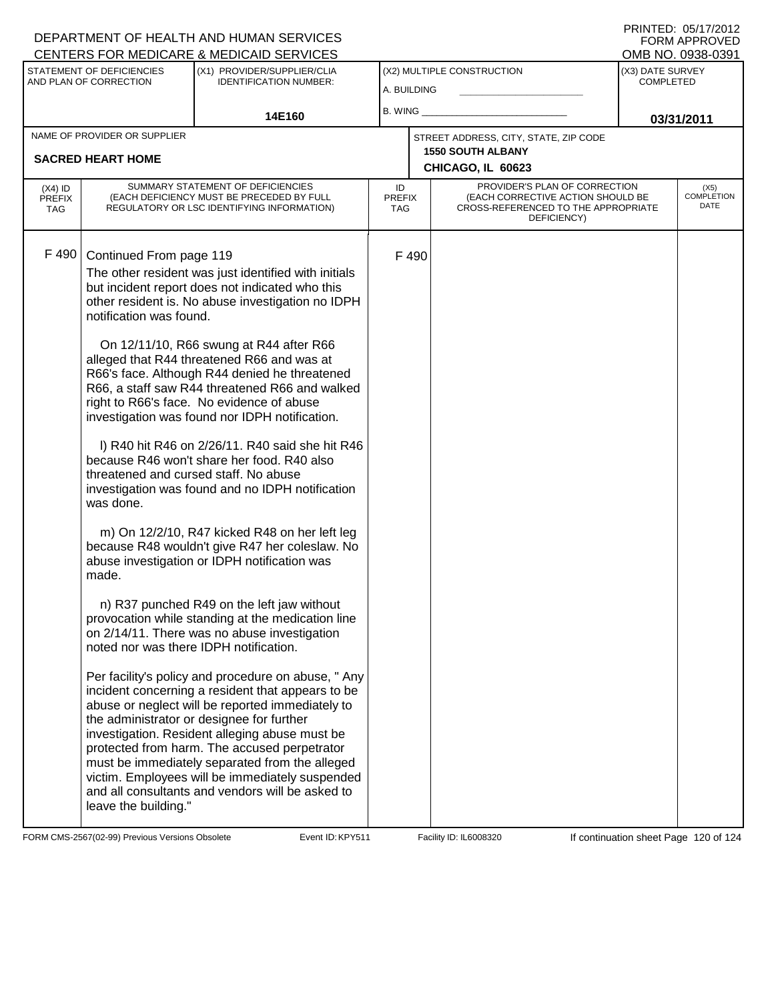#### DEPARTMENT OF HEALTH AND HUMAN SERVICES CENTERS FOR MEDICARE & MEDICAID SERVICES

| PRINTED: 05/17/2012 |
|---------------------|
| FORM APPROVED       |
| OMB NO. 0938-0391   |

|                                                          |                                                                                                                                                                                     | <u>UENTERS FÜR MEDIUARE &amp; MEDIUAID SERVIUES</u>                                                                                                                                                                                                                                                                                                                                                                                                                                                                                                                                                                                                                                                                                                                                                                                                                                                                                                                                                                                                                                                                                                                                                                                                                                                                                                                                       |                                           |       |                                                                                                                          |                                      | UMB NU. 0938-0391                 |
|----------------------------------------------------------|-------------------------------------------------------------------------------------------------------------------------------------------------------------------------------------|-------------------------------------------------------------------------------------------------------------------------------------------------------------------------------------------------------------------------------------------------------------------------------------------------------------------------------------------------------------------------------------------------------------------------------------------------------------------------------------------------------------------------------------------------------------------------------------------------------------------------------------------------------------------------------------------------------------------------------------------------------------------------------------------------------------------------------------------------------------------------------------------------------------------------------------------------------------------------------------------------------------------------------------------------------------------------------------------------------------------------------------------------------------------------------------------------------------------------------------------------------------------------------------------------------------------------------------------------------------------------------------------|-------------------------------------------|-------|--------------------------------------------------------------------------------------------------------------------------|--------------------------------------|-----------------------------------|
| STATEMENT OF DEFICIENCIES<br>AND PLAN OF CORRECTION      |                                                                                                                                                                                     | (X1) PROVIDER/SUPPLIER/CLIA<br><b>IDENTIFICATION NUMBER:</b>                                                                                                                                                                                                                                                                                                                                                                                                                                                                                                                                                                                                                                                                                                                                                                                                                                                                                                                                                                                                                                                                                                                                                                                                                                                                                                                              | (X2) MULTIPLE CONSTRUCTION<br>A. BUILDING |       |                                                                                                                          | (X3) DATE SURVEY<br><b>COMPLETED</b> |                                   |
|                                                          | 14E160                                                                                                                                                                              |                                                                                                                                                                                                                                                                                                                                                                                                                                                                                                                                                                                                                                                                                                                                                                                                                                                                                                                                                                                                                                                                                                                                                                                                                                                                                                                                                                                           | $B.$ WING $\_$                            |       |                                                                                                                          | 03/31/2011                           |                                   |
| NAME OF PROVIDER OR SUPPLIER<br><b>SACRED HEART HOME</b> |                                                                                                                                                                                     |                                                                                                                                                                                                                                                                                                                                                                                                                                                                                                                                                                                                                                                                                                                                                                                                                                                                                                                                                                                                                                                                                                                                                                                                                                                                                                                                                                                           |                                           |       | STREET ADDRESS, CITY, STATE, ZIP CODE<br><b>1550 SOUTH ALBANY</b><br>CHICAGO, IL 60623                                   |                                      |                                   |
| $(X4)$ ID<br><b>PREFIX</b><br><b>TAG</b>                 |                                                                                                                                                                                     | SUMMARY STATEMENT OF DEFICIENCIES<br>(EACH DEFICIENCY MUST BE PRECEDED BY FULL<br>REGULATORY OR LSC IDENTIFYING INFORMATION)                                                                                                                                                                                                                                                                                                                                                                                                                                                                                                                                                                                                                                                                                                                                                                                                                                                                                                                                                                                                                                                                                                                                                                                                                                                              | ID<br><b>PREFIX</b><br>TAG                |       | PROVIDER'S PLAN OF CORRECTION<br>(EACH CORRECTIVE ACTION SHOULD BE<br>CROSS-REFERENCED TO THE APPROPRIATE<br>DEFICIENCY) |                                      | (X5)<br><b>COMPLETION</b><br>DATE |
| F 490                                                    | Continued From page 119<br>notification was found.<br>threatened and cursed staff. No abuse<br>was done.<br>made.<br>noted nor was there IDPH notification.<br>leave the building." | The other resident was just identified with initials<br>but incident report does not indicated who this<br>other resident is. No abuse investigation no IDPH<br>On 12/11/10, R66 swung at R44 after R66<br>alleged that R44 threatened R66 and was at<br>R66's face. Although R44 denied he threatened<br>R66, a staff saw R44 threatened R66 and walked<br>right to R66's face. No evidence of abuse<br>investigation was found nor IDPH notification.<br>I) R40 hit R46 on 2/26/11. R40 said she hit R46<br>because R46 won't share her food. R40 also<br>investigation was found and no IDPH notification<br>m) On 12/2/10, R47 kicked R48 on her left leg<br>because R48 wouldn't give R47 her coleslaw. No<br>abuse investigation or IDPH notification was<br>n) R37 punched R49 on the left jaw without<br>provocation while standing at the medication line<br>on 2/14/11. There was no abuse investigation<br>Per facility's policy and procedure on abuse, "Any<br>incident concerning a resident that appears to be<br>abuse or neglect will be reported immediately to<br>the administrator or designee for further<br>investigation. Resident alleging abuse must be<br>protected from harm. The accused perpetrator<br>must be immediately separated from the alleged<br>victim. Employees will be immediately suspended<br>and all consultants and vendors will be asked to |                                           | F 490 |                                                                                                                          |                                      |                                   |

FORM CMS-2567(02-99) Previous Versions Obsolete Event ID: KPY511 Facility ID: IL6008320 If continuation sheet Page 120 of 124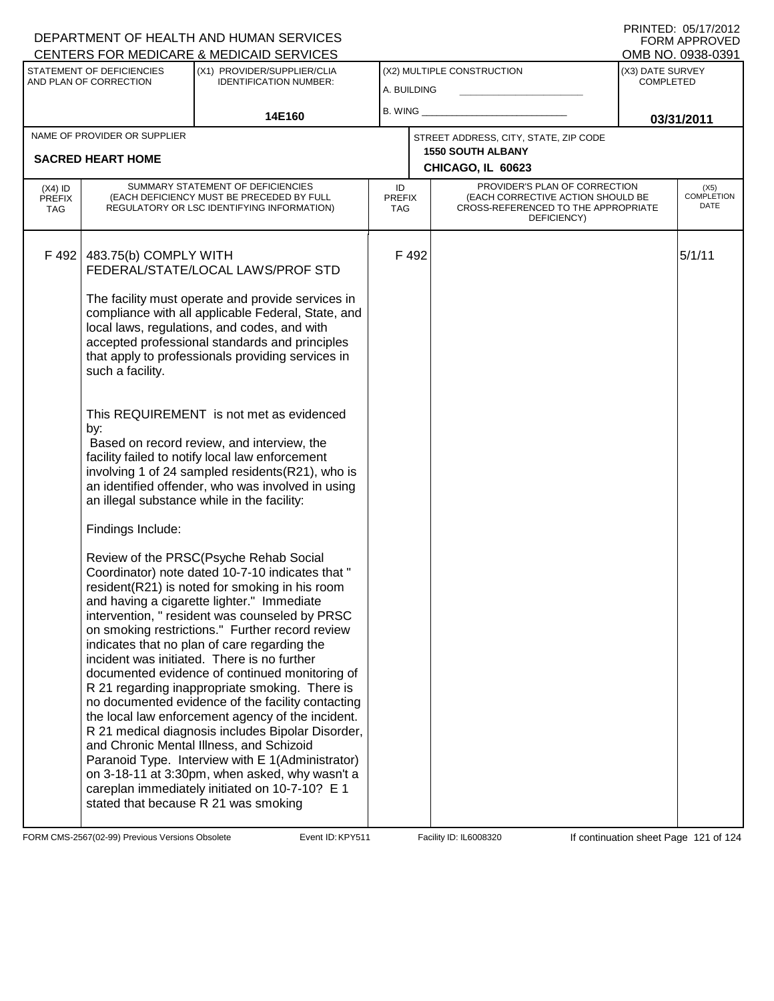| <b>CENTERS FOR MEDICARE &amp; MEDICAID SERVICES</b>                                                                 |                                                                       |                                                                                                                                                                                                                                                                                                                                                                                                                                                                                                                                                                                                                                                                                                                                                                                                        |                            |       |                                                                                                                          | OMB NO. 0938-0391 |                              |
|---------------------------------------------------------------------------------------------------------------------|-----------------------------------------------------------------------|--------------------------------------------------------------------------------------------------------------------------------------------------------------------------------------------------------------------------------------------------------------------------------------------------------------------------------------------------------------------------------------------------------------------------------------------------------------------------------------------------------------------------------------------------------------------------------------------------------------------------------------------------------------------------------------------------------------------------------------------------------------------------------------------------------|----------------------------|-------|--------------------------------------------------------------------------------------------------------------------------|-------------------|------------------------------|
| STATEMENT OF DEFICIENCIES<br>(X1) PROVIDER/SUPPLIER/CLIA<br>AND PLAN OF CORRECTION<br><b>IDENTIFICATION NUMBER:</b> |                                                                       | (X2) MULTIPLE CONSTRUCTION<br>A. BUILDING                                                                                                                                                                                                                                                                                                                                                                                                                                                                                                                                                                                                                                                                                                                                                              |                            |       | (X3) DATE SURVEY<br><b>COMPLETED</b>                                                                                     |                   |                              |
|                                                                                                                     |                                                                       | $B.$ WING $\_$                                                                                                                                                                                                                                                                                                                                                                                                                                                                                                                                                                                                                                                                                                                                                                                         |                            |       |                                                                                                                          |                   |                              |
| 14E160                                                                                                              |                                                                       |                                                                                                                                                                                                                                                                                                                                                                                                                                                                                                                                                                                                                                                                                                                                                                                                        |                            |       |                                                                                                                          | 03/31/2011        |                              |
| NAME OF PROVIDER OR SUPPLIER                                                                                        |                                                                       |                                                                                                                                                                                                                                                                                                                                                                                                                                                                                                                                                                                                                                                                                                                                                                                                        |                            |       | STREET ADDRESS, CITY, STATE, ZIP CODE<br><b>1550 SOUTH ALBANY</b>                                                        |                   |                              |
|                                                                                                                     | <b>SACRED HEART HOME</b>                                              |                                                                                                                                                                                                                                                                                                                                                                                                                                                                                                                                                                                                                                                                                                                                                                                                        |                            |       | CHICAGO, IL 60623                                                                                                        |                   |                              |
| $(X4)$ ID<br><b>PREFIX</b><br><b>TAG</b>                                                                            |                                                                       | SUMMARY STATEMENT OF DEFICIENCIES<br>(EACH DEFICIENCY MUST BE PRECEDED BY FULL<br>REGULATORY OR LSC IDENTIFYING INFORMATION)                                                                                                                                                                                                                                                                                                                                                                                                                                                                                                                                                                                                                                                                           | ID<br><b>PREFIX</b><br>TAG |       | PROVIDER'S PLAN OF CORRECTION<br>(EACH CORRECTIVE ACTION SHOULD BE<br>CROSS-REFERENCED TO THE APPROPRIATE<br>DEFICIENCY) |                   | $(X5)$<br>COMPLETION<br>DATE |
| F 492                                                                                                               | 483.75(b) COMPLY WITH<br>such a facility.<br>by:<br>Findings Include: | FEDERAL/STATE/LOCAL LAWS/PROF STD<br>The facility must operate and provide services in<br>compliance with all applicable Federal, State, and<br>local laws, regulations, and codes, and with<br>accepted professional standards and principles<br>that apply to professionals providing services in<br>This REQUIREMENT is not met as evidenced<br>Based on record review, and interview, the<br>facility failed to notify local law enforcement<br>involving 1 of 24 sampled residents(R21), who is<br>an identified offender, who was involved in using<br>an illegal substance while in the facility:<br>Review of the PRSC(Psyche Rehab Social<br>Coordinator) note dated 10-7-10 indicates that "<br>resident(R21) is noted for smoking in his room<br>and having a cigarette lighter." Immediate |                            | F 492 |                                                                                                                          |                   | 5/1/11                       |
|                                                                                                                     |                                                                       | intervention, " resident was counseled by PRSC<br>on smoking restrictions." Further record review<br>indicates that no plan of care regarding the<br>incident was initiated. There is no further<br>documented evidence of continued monitoring of<br>R 21 regarding inappropriate smoking. There is<br>no documented evidence of the facility contacting<br>the local law enforcement agency of the incident.<br>R 21 medical diagnosis includes Bipolar Disorder,<br>and Chronic Mental Illness, and Schizoid<br>Paranoid Type. Interview with E 1(Administrator)<br>on 3-18-11 at 3:30pm, when asked, why wasn't a<br>careplan immediately initiated on 10-7-10? E 1<br>stated that because R 21 was smoking                                                                                        |                            |       |                                                                                                                          |                   |                              |

FORM CMS-2567(02-99) Previous Versions Obsolete Event ID: KPY511 Facility ID: IL6008320 If continuation sheet Page 121 of 124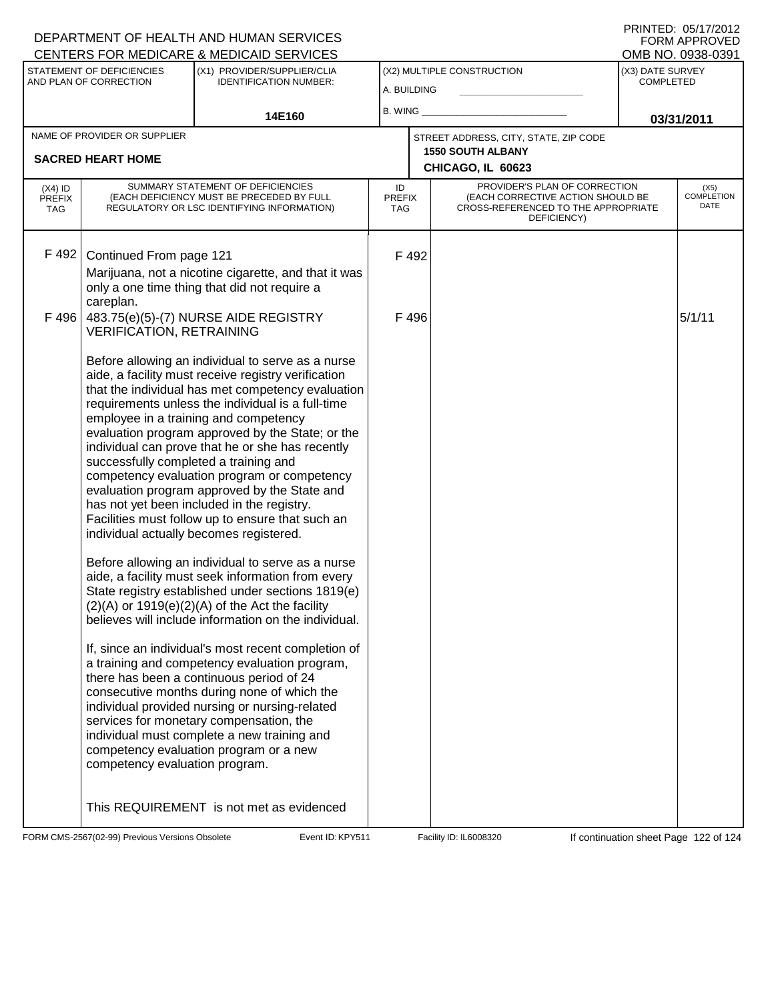| <b>CENTERS FOR MEDICARE &amp; MEDICAID SERVICES</b>                                                                 |                                                                                                                              |                                                                                                                                                                                                                                                                                                                                                                                                                                                                                                                                                                                                                                                                                                                                                                                                                                                                                                                                                                                                                                                                                                                                                                                                                                                                                                                                                                                                                                                                                               |                            |               |                                                                                                                          |                              | OMB NO. 0938-0391 |
|---------------------------------------------------------------------------------------------------------------------|------------------------------------------------------------------------------------------------------------------------------|-----------------------------------------------------------------------------------------------------------------------------------------------------------------------------------------------------------------------------------------------------------------------------------------------------------------------------------------------------------------------------------------------------------------------------------------------------------------------------------------------------------------------------------------------------------------------------------------------------------------------------------------------------------------------------------------------------------------------------------------------------------------------------------------------------------------------------------------------------------------------------------------------------------------------------------------------------------------------------------------------------------------------------------------------------------------------------------------------------------------------------------------------------------------------------------------------------------------------------------------------------------------------------------------------------------------------------------------------------------------------------------------------------------------------------------------------------------------------------------------------|----------------------------|---------------|--------------------------------------------------------------------------------------------------------------------------|------------------------------|-------------------|
| STATEMENT OF DEFICIENCIES<br>(X1) PROVIDER/SUPPLIER/CLIA<br>AND PLAN OF CORRECTION<br><b>IDENTIFICATION NUMBER:</b> |                                                                                                                              | (X2) MULTIPLE CONSTRUCTION                                                                                                                                                                                                                                                                                                                                                                                                                                                                                                                                                                                                                                                                                                                                                                                                                                                                                                                                                                                                                                                                                                                                                                                                                                                                                                                                                                                                                                                                    |                            |               | (X3) DATE SURVEY<br>COMPLETED                                                                                            |                              |                   |
|                                                                                                                     |                                                                                                                              | A. BUILDING                                                                                                                                                                                                                                                                                                                                                                                                                                                                                                                                                                                                                                                                                                                                                                                                                                                                                                                                                                                                                                                                                                                                                                                                                                                                                                                                                                                                                                                                                   |                            |               |                                                                                                                          |                              |                   |
|                                                                                                                     | 14E160                                                                                                                       |                                                                                                                                                                                                                                                                                                                                                                                                                                                                                                                                                                                                                                                                                                                                                                                                                                                                                                                                                                                                                                                                                                                                                                                                                                                                                                                                                                                                                                                                                               |                            | B. WING       |                                                                                                                          | 03/31/2011                   |                   |
| NAME OF PROVIDER OR SUPPLIER                                                                                        |                                                                                                                              |                                                                                                                                                                                                                                                                                                                                                                                                                                                                                                                                                                                                                                                                                                                                                                                                                                                                                                                                                                                                                                                                                                                                                                                                                                                                                                                                                                                                                                                                                               |                            |               | STREET ADDRESS, CITY, STATE, ZIP CODE                                                                                    |                              |                   |
|                                                                                                                     | <b>SACRED HEART HOME</b>                                                                                                     |                                                                                                                                                                                                                                                                                                                                                                                                                                                                                                                                                                                                                                                                                                                                                                                                                                                                                                                                                                                                                                                                                                                                                                                                                                                                                                                                                                                                                                                                                               |                            |               | <b>1550 SOUTH ALBANY</b><br>CHICAGO, IL 60623                                                                            |                              |                   |
| $(X4)$ ID<br><b>PREFIX</b><br><b>TAG</b>                                                                            | SUMMARY STATEMENT OF DEFICIENCIES<br>(EACH DEFICIENCY MUST BE PRECEDED BY FULL<br>REGULATORY OR LSC IDENTIFYING INFORMATION) |                                                                                                                                                                                                                                                                                                                                                                                                                                                                                                                                                                                                                                                                                                                                                                                                                                                                                                                                                                                                                                                                                                                                                                                                                                                                                                                                                                                                                                                                                               | ID<br><b>PREFIX</b><br>TAG |               | PROVIDER'S PLAN OF CORRECTION<br>(EACH CORRECTIVE ACTION SHOULD BE<br>CROSS-REFERENCED TO THE APPROPRIATE<br>DEFICIENCY) | $(X5)$<br>COMPLETION<br>DATE |                   |
| F 492<br>F 496                                                                                                      | Continued From page 121<br>careplan.                                                                                         | Marijuana, not a nicotine cigarette, and that it was                                                                                                                                                                                                                                                                                                                                                                                                                                                                                                                                                                                                                                                                                                                                                                                                                                                                                                                                                                                                                                                                                                                                                                                                                                                                                                                                                                                                                                          |                            | F 492<br>F496 |                                                                                                                          |                              | 5/1/11            |
|                                                                                                                     | This REQUIREMENT is not met as evidenced                                                                                     | only a one time thing that did not require a<br>483.75(e)(5)-(7) NURSE AIDE REGISTRY<br><b>VERIFICATION, RETRAINING</b><br>Before allowing an individual to serve as a nurse<br>aide, a facility must receive registry verification<br>that the individual has met competency evaluation<br>requirements unless the individual is a full-time<br>employee in a training and competency<br>evaluation program approved by the State; or the<br>individual can prove that he or she has recently<br>successfully completed a training and<br>competency evaluation program or competency<br>evaluation program approved by the State and<br>has not yet been included in the registry.<br>Facilities must follow up to ensure that such an<br>individual actually becomes registered.<br>Before allowing an individual to serve as a nurse<br>aide, a facility must seek information from every<br>State registry established under sections 1819(e)<br>$(2)(A)$ or 1919 $(e)(2)(A)$ of the Act the facility<br>believes will include information on the individual.<br>If, since an individual's most recent completion of<br>a training and competency evaluation program,<br>there has been a continuous period of 24<br>consecutive months during none of which the<br>individual provided nursing or nursing-related<br>services for monetary compensation, the<br>individual must complete a new training and<br>competency evaluation program or a new<br>competency evaluation program. |                            |               |                                                                                                                          |                              |                   |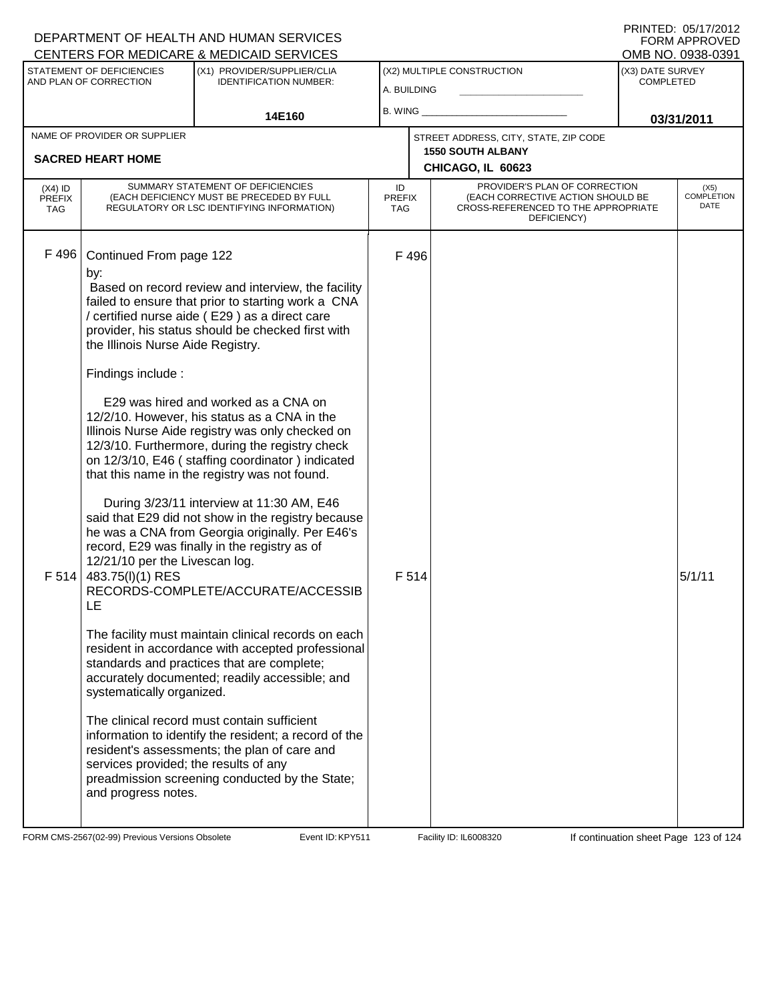#### A. BUILDING (X1) PROVIDER/SUPPLIER/CLIA IDENTIFICATION NUMBER: STATEMENT OF DEFICIENCIES AND PLAN OF CORRECTION (X3) DATE SURVEY COMPLETED FORM APPROVED<br>OMB NO. 0938-0391 (X2) MULTIPLE CONSTRUCTION B. WING **\_\_\_\_\_\_\_\_\_\_\_\_\_\_\_\_\_\_\_\_\_\_** CENTERS FOR MEDICARE & MEDICAID SERVICES 14E160 **B. WING CONSUMING (2011 03/31/2011 CHICAGO, IL 60623** NAME OF PROVIDER OR SUPPLIER STREET ADDRESS, CITY, STATE, ZIP CODE **SACRED HEART HOME 1550 SOUTH ALBANY** PROVIDER'S PLAN OF CORRECTION (EACH CORRECTIVE ACTION SHOULD BE CROSS-REFERENCED TO THE APPROPRIATE DEFICIENCY) (X5) COMPLETION DATE ID PREFIX TAG (X4) ID PREFIX TAG SUMMARY STATEMENT OF DEFICIENCIES (EACH DEFICIENCY MUST BE PRECEDED BY FULL REGULATORY OR LSC IDENTIFYING INFORMATION) F 496 Continued From page 122 F 496 by: Based on record review and interview, the facility failed to ensure that prior to starting work a CNA / certified nurse aide ( E29 ) as a direct care provider, his status should be checked first with the Illinois Nurse Aide Registry. Findings include : E29 was hired and worked as a CNA on 12/2/10. However, his status as a CNA in the Illinois Nurse Aide registry was only checked on 12/3/10. Furthermore, during the registry check on 12/3/10, E46 ( staffing coordinator ) indicated that this name in the registry was not found. During 3/23/11 interview at 11:30 AM, E46 said that E29 did not show in the registry because he was a CNA from Georgia originally. Per E46's record, E29 was finally in the registry as of 12/21/10 per the Livescan log.  $F$  514 483.75(l)(1) RES RECORDS-COMPLETE/ACCURATE/ACCESSIB LE The facility must maintain clinical records on each resident in accordance with accepted professional standards and practices that are complete; accurately documented; readily accessible; and systematically organized. The clinical record must contain sufficient information to identify the resident; a record of the resident's assessments; the plan of care and services provided; the results of any preadmission screening conducted by the State; and progress notes.  $F$  514  $\vert$

FORM CMS-2567(02-99) Previous Versions Obsolete **KRYS11** Event ID: KPY511 Facility ID: IL6008320 If continuation sheet Page 123 of 124

DEPARTMENT OF HEALTH AND HUMAN SERVICES

PRINTED: 05/17/2012